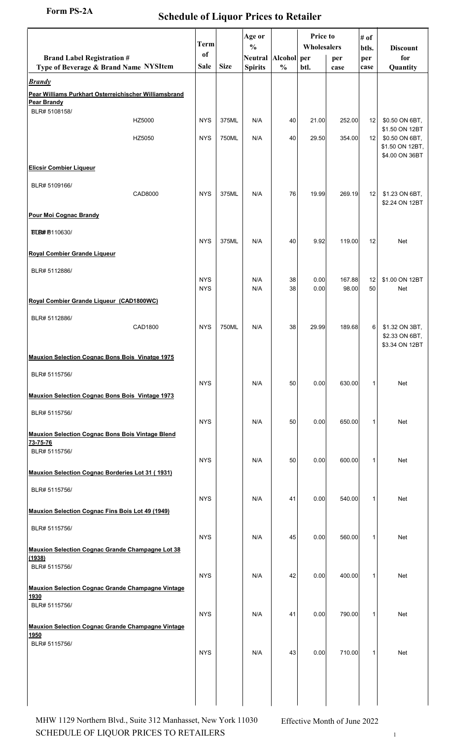## Form PS-2A Schedule of Liquor Prices to Retailer

| Quantity<br>\$0.50 ON 6BT,<br>\$1.50 ON 12BT<br>\$0.50 ON 6BT,<br>\$1.50 ON 12BT,<br>\$4.00 ON 36BT |
|-----------------------------------------------------------------------------------------------------|
|                                                                                                     |
|                                                                                                     |
|                                                                                                     |
|                                                                                                     |
|                                                                                                     |
| \$1.23 ON 6BT,<br>\$2.24 ON 12BT                                                                    |
|                                                                                                     |
| Net                                                                                                 |
|                                                                                                     |
| \$1.00 ON 12BT<br>Net                                                                               |
|                                                                                                     |
| \$1.32 ON 3BT,<br>\$2.33 ON 6BT,<br>\$3.34 ON 12BT                                                  |
|                                                                                                     |
| Net                                                                                                 |
|                                                                                                     |
| Net                                                                                                 |
| Net                                                                                                 |
|                                                                                                     |
| Net                                                                                                 |
|                                                                                                     |
| Net                                                                                                 |
| Net                                                                                                 |
|                                                                                                     |
| Net                                                                                                 |
|                                                                                                     |
| <b>Net</b>                                                                                          |
|                                                                                                     |
|                                                                                                     |

SCHEDULE OF LIQUOR PRICES TO RETAILERS  $\frac{1}{1}$ MHW 1129 Northern Blvd., Suite 312 Manhasset, New York 11030 Effective Month of June 2022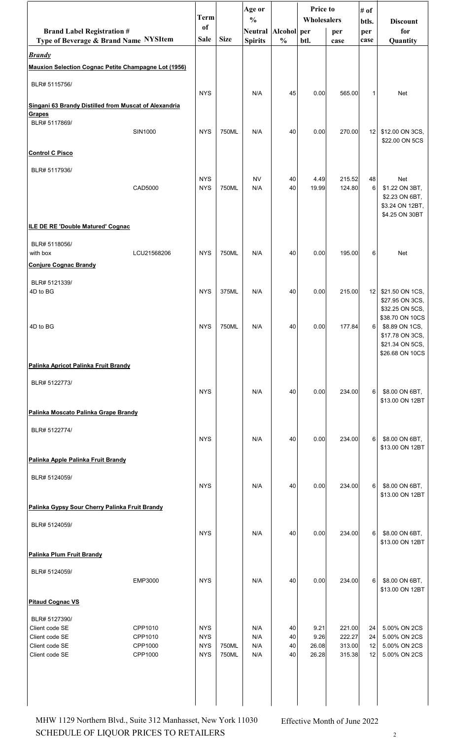|                                                                       |                    | Term                     |             | Age or<br>$\frac{0}{0}$ |               | Price to<br>Wholesalers |                  | # of<br>btls.  | <b>Discount</b>                                                                            |
|-----------------------------------------------------------------------|--------------------|--------------------------|-------------|-------------------------|---------------|-------------------------|------------------|----------------|--------------------------------------------------------------------------------------------|
| <b>Brand Label Registration #</b>                                     |                    | of                       |             | Neutral Alcohol per     |               |                         | per              | per            | for                                                                                        |
| Type of Beverage & Brand Name NYSItem                                 |                    | Sale                     | <b>Size</b> | <b>Spirits</b>          | $\frac{0}{0}$ | btl.                    | case             | case           | Quantity                                                                                   |
| <b>Brandy</b><br>Mauxion Selection Cognac Petite Champagne Lot (1956) |                    |                          |             |                         |               |                         |                  |                |                                                                                            |
| BLR# 5115756/                                                         |                    |                          |             |                         |               |                         |                  |                |                                                                                            |
| Singani 63 Brandy Distilled from Muscat of Alexandria                 |                    | <b>NYS</b>               |             | N/A                     | 45            | 0.00                    | 565.00           | 1              | Net                                                                                        |
| Grapes<br>BLR# 5117869/                                               |                    |                          |             |                         |               |                         |                  |                |                                                                                            |
|                                                                       | <b>SIN1000</b>     | <b>NYS</b>               | 750ML       | N/A                     | 40            | 0.00                    | 270.00           | 12             | \$12.00 ON 3CS,<br>\$22.00 ON 5CS                                                          |
| <b>Control C Pisco</b>                                                |                    |                          |             |                         |               |                         |                  |                |                                                                                            |
| BLR# 5117936/                                                         |                    |                          |             |                         |               |                         |                  |                |                                                                                            |
|                                                                       | CAD5000            | <b>NYS</b><br><b>NYS</b> | 750ML       | <b>NV</b><br>N/A        | 40<br>40      | 4.49<br>19.99           | 215.52<br>124.80 | 48<br>6        | Net<br>\$1.22 ON 3BT,<br>\$2.23 ON 6BT,<br>\$3.24 ON 12BT,<br>\$4.25 ON 30BT               |
| ILE DE RE 'Double Matured' Cognac                                     |                    |                          |             |                         |               |                         |                  |                |                                                                                            |
| BLR# 5118056/<br>with box<br><b>Conjure Cognac Brandy</b>             | LCU21568206        | <b>NYS</b>               | 750ML       | N/A                     | 40            | 0.00                    | 195.00           | 6              | Net                                                                                        |
|                                                                       |                    |                          |             |                         |               |                         |                  |                |                                                                                            |
| BLR# 5121339/<br>4D to BG                                             |                    | <b>NYS</b>               | 375ML       | N/A                     | 40            | 0.00                    | 215.00           | 12             | \$21.50 ON 1CS,<br>\$27.95 ON 3CS,<br>\$32.25 ON 5CS,                                      |
| 4D to BG                                                              |                    | <b>NYS</b>               | 750ML       | N/A                     | 40            | 0.00                    | 177.84           | 61             | \$38.70 ON 10CS<br>\$8.89 ON 1CS,<br>\$17.78 ON 3CS,<br>\$21.34 ON 5CS,<br>\$26.68 ON 10CS |
| Palinka Apricot Palinka Fruit Brandy                                  |                    |                          |             |                         |               |                         |                  |                |                                                                                            |
| BLR# 5122773/                                                         |                    | <b>NYS</b>               |             | N/A                     | 40            | 0.00                    | 234.00           | 6              | \$8.00 ON 6BT,                                                                             |
| Palinka Moscato Palinka Grape Brandy                                  |                    |                          |             |                         |               |                         |                  |                | \$13.00 ON 12BT                                                                            |
| BLR# 5122774/                                                         |                    | <b>NYS</b>               |             | N/A                     | 40            | 0.00                    | 234.00           | 6              | \$8.00 ON 6BT,<br>\$13.00 ON 12BT                                                          |
| Palinka Apple Palinka Fruit Brandy                                    |                    |                          |             |                         |               |                         |                  |                |                                                                                            |
| BLR# 5124059/                                                         |                    | <b>NYS</b>               |             | N/A                     | 40            | 0.00                    | 234.00           | 6              | \$8.00 ON 6BT,<br>\$13.00 ON 12BT                                                          |
| Palinka Gypsy Sour Cherry Palinka Fruit Brandy                        |                    |                          |             |                         |               |                         |                  |                |                                                                                            |
| BLR# 5124059/                                                         |                    | <b>NYS</b>               |             | N/A                     | 40            | 0.00                    | 234.00           | 6 <sup>1</sup> | \$8.00 ON 6BT,<br>\$13.00 ON 12BT                                                          |
| Palinka Plum Fruit Brandy                                             |                    |                          |             |                         |               |                         |                  |                |                                                                                            |
| BLR# 5124059/                                                         | EMP3000            | <b>NYS</b>               |             | N/A                     | 40            | 0.00                    | 234.00           | 6              | \$8.00 ON 6BT,<br>\$13.00 ON 12BT                                                          |
| <b>Pitaud Cognac VS</b>                                               |                    |                          |             |                         |               |                         |                  |                |                                                                                            |
| BLR# 5127390/                                                         |                    |                          |             |                         |               |                         |                  |                |                                                                                            |
| Client code SE<br>Client code SE                                      | CPP1010<br>CPP1010 | <b>NYS</b><br><b>NYS</b> |             | N/A<br>N/A              | 40<br>40      | 9.21<br>9.26            | 221.00<br>222.27 | 24<br>24       | 5.00% ON 2CS<br>5.00% ON 2CS                                                               |
| Client code SE                                                        | CPP1000            | <b>NYS</b>               | 750ML       | N/A                     | 40            | 26.08                   | 313.00           | 12             | 5.00% ON 2CS                                                                               |
| Client code SE                                                        | CPP1000            | <b>NYS</b>               | 750ML       | N/A                     | 40            | 26.28                   | 315.38           | 12             | 5.00% ON 2CS                                                                               |

SCHEDULE OF LIQUOR PRICES TO RETAILERS  $\frac{2}{3}$ MHW 1129 Northern Blvd., Suite 312 Manhasset, New York 11030 Effective Month of June 2022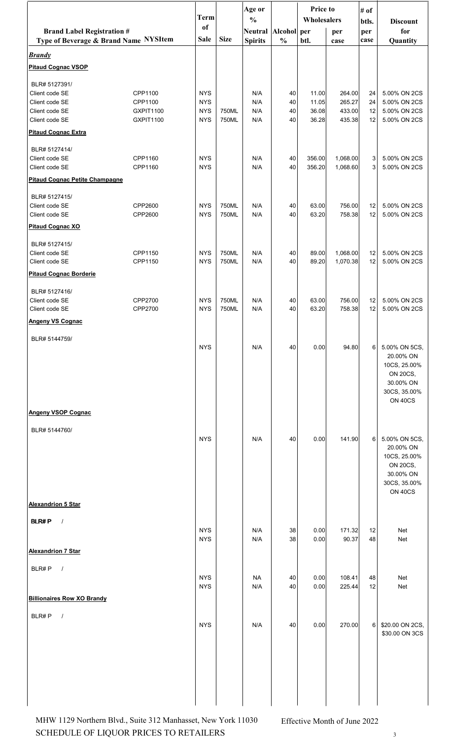|                                                                            |                        | <b>Term</b>              |                | Age or                           |                              | <b>Price to</b> |                  | # of        |                                |
|----------------------------------------------------------------------------|------------------------|--------------------------|----------------|----------------------------------|------------------------------|-----------------|------------------|-------------|--------------------------------|
|                                                                            |                        | of                       |                | $\frac{0}{0}$                    |                              | Wholesalers     |                  | btls.       | <b>Discount</b>                |
| <b>Brand Label Registration #</b><br>Type of Beverage & Brand Name NYSItem |                        | <b>Sale</b>              | <b>Size</b>    | <b>Neutral</b><br><b>Spirits</b> | Alcohol per<br>$\frac{0}{0}$ | btl.            | per<br>case      | per<br>case | for<br>Quantity                |
| <b>Brandy</b>                                                              |                        |                          |                |                                  |                              |                 |                  |             |                                |
| <b>Pitaud Cognac VSOP</b>                                                  |                        |                          |                |                                  |                              |                 |                  |             |                                |
| BLR# 5127391/                                                              |                        |                          |                |                                  |                              |                 |                  |             |                                |
| Client code SE                                                             | CPP1100                | <b>NYS</b>               |                | N/A                              | 40                           | 11.00           | 264.00           | 24          | 5.00% ON 2CS                   |
| Client code SE                                                             | CPP1100                | <b>NYS</b>               |                | N/A                              | 40                           | 11.05           | 265.27           | 24          | 5.00% ON 2CS                   |
| Client code SE<br>Client code SE                                           | GXPIT1100<br>GXPIT1100 | <b>NYS</b><br><b>NYS</b> | 750ML<br>750ML | N/A<br>N/A                       | 40<br>40                     | 36.08<br>36.28  | 433.00<br>435.38 | 12<br>12    | 5.00% ON 2CS<br>5.00% ON 2CS   |
| <b>Pitaud Cognac Extra</b>                                                 |                        |                          |                |                                  |                              |                 |                  |             |                                |
| BLR# 5127414/                                                              |                        |                          |                |                                  |                              |                 |                  |             |                                |
| Client code SE                                                             | CPP1160                | <b>NYS</b>               |                | N/A                              | 40                           | 356.00          | 1,068.00         | 3           | 5.00% ON 2CS                   |
| Client code SE                                                             | CPP1160                | <b>NYS</b>               |                | N/A                              | 40                           | 356.20          | 1,068.60         | 3           | 5.00% ON 2CS                   |
| <b>Pitaud Cognac Petite Champagne</b>                                      |                        |                          |                |                                  |                              |                 |                  |             |                                |
| BLR# 5127415/                                                              |                        |                          | 750ML          |                                  |                              |                 |                  |             |                                |
| Client code SE<br>Client code SE                                           | CPP2600<br>CPP2600     | <b>NYS</b><br><b>NYS</b> | 750ML          | N/A<br>N/A                       | 40<br>40                     | 63.00<br>63.20  | 756.00<br>758.38 | 12<br>12    | 5.00% ON 2CS<br>5.00% ON 2CS   |
| <b>Pitaud Cognac XO</b>                                                    |                        |                          |                |                                  |                              |                 |                  |             |                                |
| BLR# 5127415/                                                              |                        |                          |                |                                  |                              |                 |                  |             |                                |
| Client code SE                                                             | CPP1150                | <b>NYS</b>               | 750ML          | N/A                              | 40                           | 89.00           | 1,068.00         | 12          | 5.00% ON 2CS                   |
| Client code SE                                                             | CPP1150                | <b>NYS</b>               | 750ML          | N/A                              | 40                           | 89.20           | 1,070.38         | 12          | 5.00% ON 2CS                   |
| <b>Pitaud Cognac Borderie</b>                                              |                        |                          |                |                                  |                              |                 |                  |             |                                |
| BLR# 5127416/                                                              |                        |                          |                |                                  |                              |                 |                  |             |                                |
| Client code SE<br>Client code SE                                           | CPP2700<br>CPP2700     | <b>NYS</b><br><b>NYS</b> | 750ML<br>750ML | N/A<br>N/A                       | 40<br>40                     | 63.00<br>63.20  | 756.00<br>758.38 | 12<br>12    | 5.00% ON 2CS<br>5.00% ON 2CS   |
| <b>Angeny VS Cognac</b>                                                    |                        |                          |                |                                  |                              |                 |                  |             |                                |
|                                                                            |                        |                          |                |                                  |                              |                 |                  |             |                                |
| BLR# 5144759/                                                              |                        | <b>NYS</b>               |                | N/A                              | 40                           | 0.00            | 94.80            | 6           | 5.00% ON 5CS,                  |
|                                                                            |                        |                          |                |                                  |                              |                 |                  |             | 20.00% ON<br>10CS, 25.00%      |
|                                                                            |                        |                          |                |                                  |                              |                 |                  |             | <b>ON 20CS,</b><br>30.00% ON   |
|                                                                            |                        |                          |                |                                  |                              |                 |                  |             | 30CS, 35.00%<br><b>ON 40CS</b> |
| <b>Angeny VSOP Cognac</b>                                                  |                        |                          |                |                                  |                              |                 |                  |             |                                |
| BLR# 5144760/                                                              |                        |                          |                |                                  |                              |                 |                  |             |                                |
|                                                                            |                        | <b>NYS</b>               |                | N/A                              | 40                           | 0.00            | 141.90           | 6           | 5.00% ON 5CS,                  |
|                                                                            |                        |                          |                |                                  |                              |                 |                  |             | 20.00% ON<br>10CS, 25.00%      |
|                                                                            |                        |                          |                |                                  |                              |                 |                  |             | <b>ON 20CS,</b>                |
|                                                                            |                        |                          |                |                                  |                              |                 |                  |             | 30.00% ON<br>30CS, 35.00%      |
|                                                                            |                        |                          |                |                                  |                              |                 |                  |             | ON 40CS                        |
| <b>Alexandrion 5 Star</b>                                                  |                        |                          |                |                                  |                              |                 |                  |             |                                |
| <b>BLR#P</b><br>$\sqrt{ }$                                                 |                        |                          |                |                                  |                              |                 |                  |             |                                |
|                                                                            |                        | <b>NYS</b><br><b>NYS</b> |                | N/A<br>N/A                       | 38<br>38                     | 0.00<br>0.00    | 171.32<br>90.37  | 12<br>48    | Net<br>Net                     |
| <b>Alexandrion 7 Star</b>                                                  |                        |                          |                |                                  |                              |                 |                  |             |                                |
| BLR#P<br>$\sqrt{ }$                                                        |                        |                          |                |                                  |                              |                 |                  |             |                                |
|                                                                            |                        | <b>NYS</b>               |                | <b>NA</b>                        | 40                           | 0.00            | 108.41           | 48          | Net                            |
|                                                                            |                        | <b>NYS</b>               |                | N/A                              | 40                           | 0.00            | 225.44           | 12          | Net                            |
| <b>Billionaires Row XO Brandy</b>                                          |                        |                          |                |                                  |                              |                 |                  |             |                                |
| BLR#P<br>$\sqrt{ }$                                                        |                        | <b>NYS</b>               |                | N/A                              | 40                           | 0.00            | 270.00           | 6           | \$20.00 ON 2CS,                |
|                                                                            |                        |                          |                |                                  |                              |                 |                  |             | \$30.00 ON 3CS                 |
|                                                                            |                        |                          |                |                                  |                              |                 |                  |             |                                |
|                                                                            |                        |                          |                |                                  |                              |                 |                  |             |                                |
|                                                                            |                        |                          |                |                                  |                              |                 |                  |             |                                |
|                                                                            |                        |                          |                |                                  |                              |                 |                  |             |                                |
|                                                                            |                        |                          |                |                                  |                              |                 |                  |             |                                |

SCHEDULE OF LIQUOR PRICES TO RETAILERS  $\frac{3}{3}$ MHW 1129 Northern Blvd., Suite 312 Manhasset, New York 11030 Effective Month of June 2022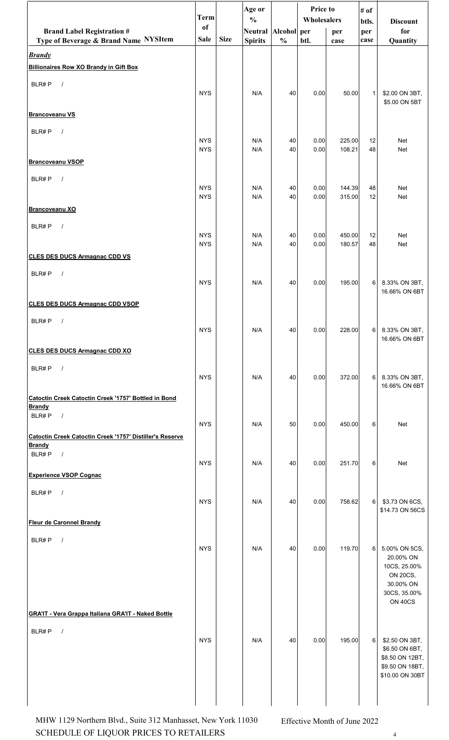|                                                                           | <b>Term</b>              |             | Age or<br>$\frac{0}{0}$ |               | Price to     |                  | # of         |                                    |
|---------------------------------------------------------------------------|--------------------------|-------------|-------------------------|---------------|--------------|------------------|--------------|------------------------------------|
| <b>Brand Label Registration #</b>                                         | of                       |             | Neutral Alcohol per     |               | Wholesalers  | per              | btls.<br>per | <b>Discount</b><br>for             |
| Type of Beverage & Brand Name NYSItem                                     | Sale                     | <b>Size</b> | <b>Spirits</b>          | $\frac{0}{0}$ | btl.         | case             | case         | Quantity                           |
| <b>Brandy</b><br><b>Billionaires Row XO Brandy in Gift Box</b>            |                          |             |                         |               |              |                  |              |                                    |
| BLR#P<br>$\sqrt{ }$                                                       |                          |             |                         |               |              |                  |              |                                    |
|                                                                           | <b>NYS</b>               |             | N/A                     | 40            | 0.00         | 50.00            | $\mathbf{1}$ | \$2.00 ON 3BT,<br>\$5.00 ON 5BT    |
| <b>Brancoveanu VS</b>                                                     |                          |             |                         |               |              |                  |              |                                    |
| BLR#P<br>$\sqrt{ }$                                                       |                          |             |                         |               |              |                  |              |                                    |
|                                                                           | <b>NYS</b><br><b>NYS</b> |             | N/A<br>N/A              | 40<br>40      | 0.00<br>0.00 | 225.00<br>108.21 | 12<br>48     | Net<br>Net                         |
| <b>Brancoveanu VSOP</b>                                                   |                          |             |                         |               |              |                  |              |                                    |
| BLR#P<br>$\sqrt{ }$                                                       | <b>NYS</b>               |             | N/A                     |               | 0.00         | 144.39           |              | Net                                |
|                                                                           | <b>NYS</b>               |             | N/A                     | 40<br>40      | 0.00         | 315.00           | 48<br>12     | Net                                |
| <b>Brancoveanu XO</b>                                                     |                          |             |                         |               |              |                  |              |                                    |
| BLR#P<br>$\sqrt{ }$                                                       | <b>NYS</b>               |             | N/A                     | 40            | 0.00         | 450.00           | 12           | Net                                |
|                                                                           | <b>NYS</b>               |             | N/A                     | 40            | 0.00         | 180.57           | 48           | Net                                |
| <b>CLES DES DUCS Armagnac CDD VS</b>                                      |                          |             |                         |               |              |                  |              |                                    |
| BLR#P<br>$\sqrt{ }$                                                       | <b>NYS</b>               |             | N/A                     | 40            | 0.00         | 195.00           | 6            | 8.33% ON 3BT,                      |
|                                                                           |                          |             |                         |               |              |                  |              | 16.66% ON 6BT                      |
| <b>CLES DES DUCS Armagnac CDD VSOP</b>                                    |                          |             |                         |               |              |                  |              |                                    |
| BLR#P<br>$\sqrt{ }$                                                       | <b>NYS</b>               |             | N/A                     | 40            | 0.00         | 228.00           |              | 6 8.33% ON 3BT,                    |
|                                                                           |                          |             |                         |               |              |                  |              | 16.66% ON 6BT                      |
| <b>CLES DES DUCS Armagnac CDD XO</b>                                      |                          |             |                         |               |              |                  |              |                                    |
| BLR#P<br>$\sqrt{ }$                                                       | <b>NYS</b>               |             | N/A                     | 40            | 0.00         | 372.00           | 6            | 8.33% ON 3BT,                      |
|                                                                           |                          |             |                         |               |              |                  |              | 16.66% ON 6BT                      |
| Catoctin Creek Catoctin Creek '1757' Bottled in Bond<br><b>Brandy</b>     |                          |             |                         |               |              |                  |              |                                    |
| BLR#P<br>$\sqrt{ }$                                                       | <b>NYS</b>               |             | N/A                     | 50            | 0.00         | 450.00           | 6            | Net                                |
| Catoctin Creek Catoctin Creek '1757' Distiller's Reserve<br><b>Brandy</b> |                          |             |                         |               |              |                  |              |                                    |
| BLR#P<br>$\sqrt{ }$                                                       | <b>NYS</b>               |             | N/A                     | 40            | 0.00         |                  | 6            | Net                                |
| <b>Experience VSOP Cognac</b>                                             |                          |             |                         |               |              | 251.70           |              |                                    |
| BLR#P<br>$\sqrt{ }$                                                       |                          |             |                         |               |              |                  |              |                                    |
|                                                                           | <b>NYS</b>               |             | N/A                     | 40            | 0.00         | 758.62           | $6 \mid$     | \$3.73 ON 6CS,<br>\$14.73 ON 56CS  |
| <b>Fleur de Caronnel Brandy</b>                                           |                          |             |                         |               |              |                  |              |                                    |
| BLR#P<br>$\sqrt{ }$                                                       |                          |             |                         |               |              |                  |              |                                    |
|                                                                           | <b>NYS</b>               |             | N/A                     | 40            | 0.00         | 119.70           | 6            | 5.00% ON 5CS,<br>20.00% ON         |
|                                                                           |                          |             |                         |               |              |                  |              | 10CS, 25.00%<br><b>ON 20CS,</b>    |
|                                                                           |                          |             |                         |               |              |                  |              | 30.00% ON<br>30CS, 35.00%          |
|                                                                           |                          |             |                         |               |              |                  |              | <b>ON 40CS</b>                     |
| <b>GRA'IT - Vera Grappa Italiana GRA'IT - Naked Bottle</b>                |                          |             |                         |               |              |                  |              |                                    |
| BLR#P<br>$\sqrt{ }$                                                       | <b>NYS</b>               |             | N/A                     | 40            | 0.00         | 195.00           | 6            | \$2.50 ON 3BT,                     |
|                                                                           |                          |             |                         |               |              |                  |              | \$6.50 ON 6BT,<br>\$8.50 ON 12BT,  |
|                                                                           |                          |             |                         |               |              |                  |              | \$9.50 ON 18BT,<br>\$10.00 ON 30BT |
|                                                                           |                          |             |                         |               |              |                  |              |                                    |
|                                                                           |                          |             |                         |               |              |                  |              |                                    |

SCHEDULE OF LIQUOR PRICES TO RETAILERS  $4$ MHW 1129 Northern Blvd., Suite 312 Manhasset, New York 11030 Effective Month of June 2022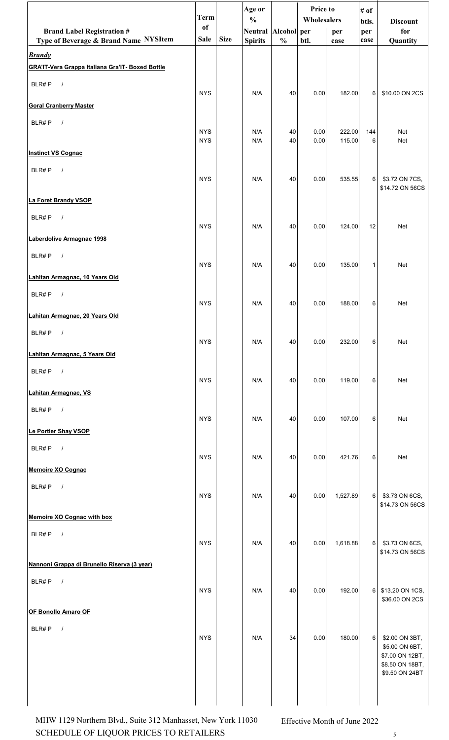|                                                         | <b>Term</b>              |             | Age or<br>$\frac{0}{0}$ |               | Price to     |                  | # of         |                                   |
|---------------------------------------------------------|--------------------------|-------------|-------------------------|---------------|--------------|------------------|--------------|-----------------------------------|
| <b>Brand Label Registration #</b>                       | <sub>of</sub>            |             | Neutral Alcohol per     |               | Wholesalers  | per              | btls.<br>per | <b>Discount</b><br>for            |
| Type of Beverage & Brand Name NYSItem                   | <b>Sale</b>              | <b>Size</b> | <b>Spirits</b>          | $\frac{0}{0}$ | btl.         | case             | case         | Quantity                          |
| <b>Brandy</b>                                           |                          |             |                         |               |              |                  |              |                                   |
| <b>GRA'IT-Vera Grappa Italiana Gra'IT- Boxed Bottle</b> |                          |             |                         |               |              |                  |              |                                   |
| BLR#P<br>$\overline{\phantom{a}}$                       |                          |             |                         |               |              |                  |              |                                   |
|                                                         | <b>NYS</b>               |             | N/A                     | 40            | 0.00         | 182.00           | 6            | \$10.00 ON 2CS                    |
| <b>Goral Cranberry Master</b>                           |                          |             |                         |               |              |                  |              |                                   |
| BLR#P<br>$\sqrt{ }$                                     |                          |             |                         |               |              |                  |              |                                   |
|                                                         | <b>NYS</b><br><b>NYS</b> |             | N/A<br>N/A              | 40<br>40      | 0.00<br>0.00 | 222.00<br>115.00 | 144<br>6     | Net<br>Net                        |
| <b>Instinct VS Cognac</b>                               |                          |             |                         |               |              |                  |              |                                   |
| $\sqrt{ }$                                              |                          |             |                         |               |              |                  |              |                                   |
| BLR#P                                                   | <b>NYS</b>               |             | N/A                     | 40            | 0.00         | 535.55           | 6            | \$3.72 ON 7CS,                    |
|                                                         |                          |             |                         |               |              |                  |              | \$14.72 ON 56CS                   |
| La Foret Brandy VSOP                                    |                          |             |                         |               |              |                  |              |                                   |
| BLR#P<br>$\sqrt{ }$                                     |                          |             |                         |               |              |                  |              |                                   |
| Laberdolive Armagnac 1998                               | <b>NYS</b>               |             | N/A                     | 40            | 0.00         | 124.00           | 12           | <b>Net</b>                        |
|                                                         |                          |             |                         |               |              |                  |              |                                   |
| BLR#P<br>$\sqrt{ }$                                     | <b>NYS</b>               |             | N/A                     | 40            | 0.00         | 135.00           | $\mathbf{1}$ | Net                               |
| Lahitan Armagnac, 10 Years Old                          |                          |             |                         |               |              |                  |              |                                   |
| BLR#P<br>$\sqrt{ }$                                     |                          |             |                         |               |              |                  |              |                                   |
|                                                         | <b>NYS</b>               |             | N/A                     | 40            | 0.00         | 188.00           | 6            | <b>Net</b>                        |
| Lahitan Armagnac, 20 Years Old                          |                          |             |                         |               |              |                  |              |                                   |
| BLR#P<br>$\overline{\phantom{a}}$                       |                          |             |                         |               |              |                  |              |                                   |
|                                                         | <b>NYS</b>               |             | N/A                     | 40            | 0.00         | 232.00           | 6            | Net                               |
| Lahitan Armagnac, 5 Years Old                           |                          |             |                         |               |              |                  |              |                                   |
| BLR#P $/$                                               |                          |             |                         |               |              |                  |              |                                   |
|                                                         | <b>NYS</b>               |             | N/A                     | 40            | 0.00         | 119.00           | 6            | Net                               |
| Lahitan Armagnac, VS                                    |                          |             |                         |               |              |                  |              |                                   |
| BLR#P<br>$\overline{\phantom{a}}$                       | <b>NYS</b>               |             | N/A                     | 40            | 0.00         | 107.00           | 6            | Net                               |
| Le Portier Shay VSOP                                    |                          |             |                         |               |              |                  |              |                                   |
| $\overline{\phantom{a}}$<br>BLR#P                       |                          |             |                         |               |              |                  |              |                                   |
|                                                         | <b>NYS</b>               |             | N/A                     | 40            | 0.00         | 421.76           | 6            | Net                               |
| <b>Memoire XO Cognac</b>                                |                          |             |                         |               |              |                  |              |                                   |
| BLR#P<br>$\sqrt{ }$                                     |                          |             |                         |               |              |                  |              |                                   |
|                                                         | <b>NYS</b>               |             | N/A                     | 40            | 0.00         | 1,527.89         | $6 \mid$     | \$3.73 ON 6CS,<br>\$14.73 ON 56CS |
| Memoire XO Cognac with box                              |                          |             |                         |               |              |                  |              |                                   |
|                                                         |                          |             |                         |               |              |                  |              |                                   |
| BLR#P<br>$\sqrt{ }$                                     | <b>NYS</b>               |             | N/A                     | 40            | 0.00         | 1,618.88         | $6 \mid$     | \$3.73 ON 6CS,                    |
|                                                         |                          |             |                         |               |              |                  |              | \$14.73 ON 56CS                   |
| Nannoni Grappa di Brunello Riserva (3 year)             |                          |             |                         |               |              |                  |              |                                   |
| BLR#P $/$                                               |                          |             |                         |               |              |                  |              |                                   |
|                                                         | <b>NYS</b>               |             | N/A                     | 40            | 0.00         | 192.00           | $6 \mid$     | \$13.20 ON 1CS,<br>\$36.00 ON 2CS |
| OF Bonollo Amaro OF                                     |                          |             |                         |               |              |                  |              |                                   |
| $\sqrt{ }$<br>BLR#P                                     |                          |             |                         |               |              |                  |              |                                   |
|                                                         | <b>NYS</b>               |             | N/A                     | 34            | 0.00         | 180.00           | 6            | \$2.00 ON 3BT,                    |
|                                                         |                          |             |                         |               |              |                  |              | \$5.00 ON 6BT,<br>\$7.00 ON 12BT, |
|                                                         |                          |             |                         |               |              |                  |              | \$8.50 ON 18BT,<br>\$9.50 ON 24BT |
|                                                         |                          |             |                         |               |              |                  |              |                                   |
|                                                         |                          |             |                         |               |              |                  |              |                                   |
|                                                         |                          |             |                         |               |              |                  |              |                                   |

SCHEDULE OF LIQUOR PRICES TO RETAILERS  $$\mathbf{\small{5}}$$ MHW 1129 Northern Blvd., Suite 312 Manhasset, New York 11030 Effective Month of June 2022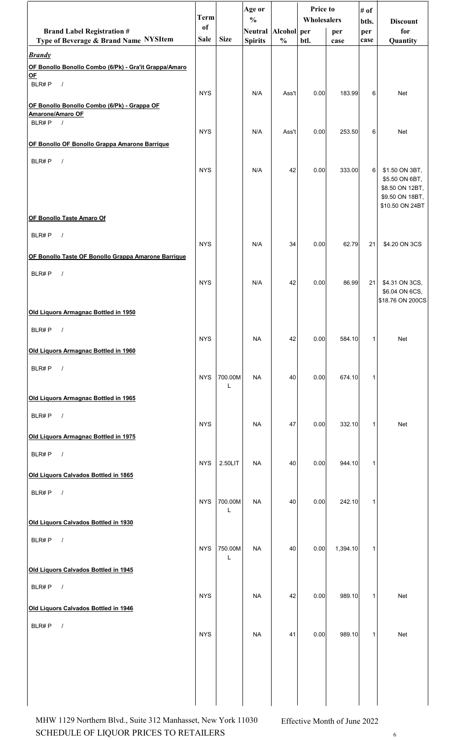|                                                               | <b>Term</b> |              | Age or<br>$\frac{0}{0}$ |               | Price to<br>Wholesalers |          | # of           |                                    |
|---------------------------------------------------------------|-------------|--------------|-------------------------|---------------|-------------------------|----------|----------------|------------------------------------|
| <b>Brand Label Registration #</b>                             | of          |              | Neutral Alcohol per     |               |                         | per      | btls.<br>per   | <b>Discount</b><br>for             |
| Type of Beverage & Brand Name NYSItem                         | <b>Sale</b> | <b>Size</b>  | <b>Spirits</b>          | $\frac{0}{0}$ | btl.                    | case     | case           | Quantity                           |
| <b>Brandy</b>                                                 |             |              |                         |               |                         |          |                |                                    |
| OF Bonollo Bonollo Combo (6/Pk) - Gra'it Grappa/Amaro<br>$OF$ |             |              |                         |               |                         |          |                |                                    |
| BLR#P<br>$\sqrt{ }$                                           | <b>NYS</b>  |              | N/A                     | Ass't         | 0.00                    | 183.99   | 6              | Net                                |
| OF Bonollo Bonollo Combo (6/Pk) - Grappa OF                   |             |              |                         |               |                         |          |                |                                    |
| Amarone/Amaro OF<br>BLR#P<br>$\frac{1}{2}$                    |             |              |                         |               |                         |          |                |                                    |
|                                                               | <b>NYS</b>  |              | N/A                     | Ass't         | 0.00                    | 253.50   | 6              | <b>Net</b>                         |
| OF Bonollo OF Bonollo Grappa Amarone Barrique                 |             |              |                         |               |                         |          |                |                                    |
| BLR#P<br>$\sqrt{ }$                                           |             |              |                         |               |                         |          |                |                                    |
|                                                               | <b>NYS</b>  |              | N/A                     | 42            | 0.00                    | 333.00   | 6 <sup>1</sup> | \$1.50 ON 3BT,<br>\$5.50 ON 6BT,   |
|                                                               |             |              |                         |               |                         |          |                | \$8.50 ON 12BT,<br>\$9.50 ON 18BT, |
|                                                               |             |              |                         |               |                         |          |                | \$10.50 ON 24BT                    |
| OF Bonollo Taste Amaro Of                                     |             |              |                         |               |                         |          |                |                                    |
| BLR#P<br>$\sqrt{ }$                                           | <b>NYS</b>  |              | N/A                     | 34            | 0.00                    | 62.79    | 21             |                                    |
| OF Bonollo Taste OF Bonollo Grappa Amarone Barrique           |             |              |                         |               |                         |          |                | \$4.20 ON 3CS                      |
| BLR#P<br>$\sqrt{ }$                                           |             |              |                         |               |                         |          |                |                                    |
|                                                               | <b>NYS</b>  |              | N/A                     | 42            | 0.00                    | 86.99    | 21             | \$4.31 ON 3CS,                     |
|                                                               |             |              |                         |               |                         |          |                | \$6.04 ON 6CS,<br>\$18.76 ON 200CS |
| Old Liquors Armagnac Bottled in 1950                          |             |              |                         |               |                         |          |                |                                    |
| BLR#P<br>$\sqrt{2}$                                           |             |              |                         |               |                         |          |                |                                    |
|                                                               | <b>NYS</b>  |              | NA                      | 42            | 0.00                    | 584.10   | $\mathbf{1}$   | Net                                |
| Old Liquors Armagnac Bottled in 1960                          |             |              |                         |               |                         |          |                |                                    |
| BLR#P $/$                                                     | <b>NYS</b>  | 700.00M      | NA.                     | 40            | 0.00                    | 674.10   | $\mathbf{1}$   |                                    |
|                                                               |             | L            |                         |               |                         |          |                |                                    |
| Old Liquors Armagnac Bottled in 1965                          |             |              |                         |               |                         |          |                |                                    |
| BLR#P $/$                                                     |             |              |                         |               |                         |          |                |                                    |
| Old Liquors Armagnac Bottled in 1975                          | <b>NYS</b>  |              | NA                      | 47            | 0.00                    | 332.10   | $\mathbf{1}$   | Net                                |
|                                                               |             |              |                         |               |                         |          |                |                                    |
| BLR#P $/$                                                     | <b>NYS</b>  | 2.50LIT      | NA.                     | 40            | 0.00                    | 944.10   | $\mathbf{1}$   |                                    |
| Old Liquors Calvados Bottled in 1865                          |             |              |                         |               |                         |          |                |                                    |
| BLR#P $/$                                                     |             |              |                         |               |                         |          |                |                                    |
|                                                               | <b>NYS</b>  | 700.00M<br>Г | <b>NA</b>               | 40            | 0.00                    | 242.10   | $\mathbf{1}$   |                                    |
| Old Liquors Calvados Bottled in 1930                          |             |              |                         |               |                         |          |                |                                    |
| BLR#P $/$                                                     |             |              |                         |               |                         |          |                |                                    |
|                                                               | <b>NYS</b>  | 750.00M<br>Г | NA.                     | 40            | 0.00                    | 1,394.10 | $\mathbf{1}$   |                                    |
| Old Liquors Calvados Bottled in 1945                          |             |              |                         |               |                         |          |                |                                    |
| BLR#P<br>$\sqrt{ }$                                           |             |              |                         |               |                         |          |                |                                    |
|                                                               | <b>NYS</b>  |              | <b>NA</b>               | 42            | 0.00                    | 989.10   | $\mathbf{1}$   | Net                                |
| Old Liquors Calvados Bottled in 1946                          |             |              |                         |               |                         |          |                |                                    |
| BLR#P $/$                                                     |             |              |                         |               |                         |          |                |                                    |
|                                                               | <b>NYS</b>  |              | NA.                     | 41            | 0.00                    | 989.10   | 1              | Net                                |
|                                                               |             |              |                         |               |                         |          |                |                                    |
|                                                               |             |              |                         |               |                         |          |                |                                    |
|                                                               |             |              |                         |               |                         |          |                |                                    |
|                                                               |             |              |                         |               |                         |          |                |                                    |

SCHEDULE OF LIQUOR PRICES TO RETAILERS  $\qquad \qquad \, \, \,$  6 MHW 1129 Northern Blvd., Suite 312 Manhasset, New York 11030 Effective Month of June 2022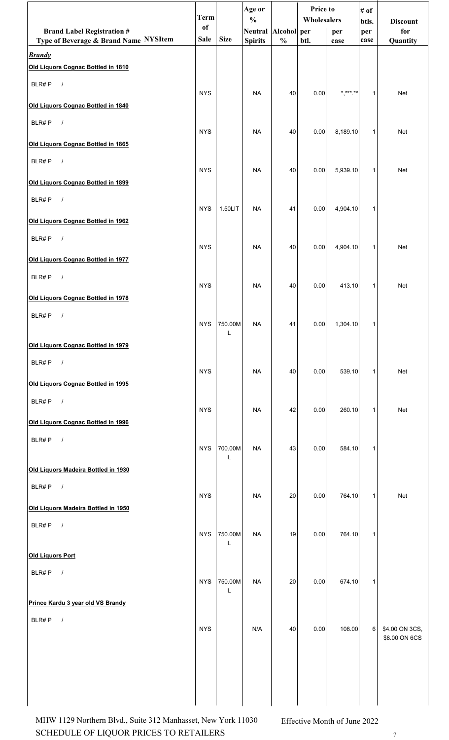|                                                        | <b>Term</b>   |              | Age or<br>$\frac{0}{0}$ |               | Price to<br>Wholesalers |               | # of         |                                 |
|--------------------------------------------------------|---------------|--------------|-------------------------|---------------|-------------------------|---------------|--------------|---------------------------------|
| <b>Brand Label Registration #</b>                      | <sub>of</sub> |              | Neutral Alcohol per     |               |                         | per           | btls.<br>per | <b>Discount</b><br>for          |
| Type of Beverage & Brand Name NYSItem<br><b>Brandy</b> | <b>Sale</b>   | <b>Size</b>  | <b>Spirits</b>          | $\frac{0}{0}$ | btl.                    | case          | case         | Quantity                        |
| Old Liquors Cognac Bottled in 1810                     |               |              |                         |               |                         |               |              |                                 |
| BLR#P<br>$\sqrt{ }$                                    |               |              |                         |               |                         |               |              |                                 |
| Old Liquors Cognac Bottled in 1840                     | <b>NYS</b>    |              | <b>NA</b>               | 40            | 0.00                    | * *** **<br>, | $\mathbf{1}$ | Net                             |
| $\sqrt{ }$<br>BLR#P                                    |               |              |                         |               |                         |               |              |                                 |
| Old Liquors Cognac Bottled in 1865                     | <b>NYS</b>    |              | <b>NA</b>               | 40            | 0.00                    | 8,189.10      | $\mathbf{1}$ | <b>Net</b>                      |
| BLR#P<br>$\sqrt{ }$                                    |               |              |                         |               |                         |               |              |                                 |
|                                                        | <b>NYS</b>    |              | <b>NA</b>               | 40            | 0.00                    | 5,939.10      | 1            | Net                             |
| Old Liquors Cognac Bottled in 1899                     |               |              |                         |               |                         |               |              |                                 |
| BLR#P<br>$\sqrt{ }$                                    | <b>NYS</b>    | 1.50LIT      | <b>NA</b>               | 41            | 0.00                    | 4,904.10      | $\mathbf{1}$ |                                 |
| Old Liquors Cognac Bottled in 1962                     |               |              |                         |               |                         |               |              |                                 |
| BLR#P<br>$\sqrt{ }$                                    | <b>NYS</b>    |              | <b>NA</b>               | 40            | 0.00                    | 4,904.10      | $\mathbf{1}$ | Net                             |
| Old Liquors Cognac Bottled in 1977                     |               |              |                         |               |                         |               |              |                                 |
| $\overline{\phantom{a}}$<br>BLR#P                      | <b>NYS</b>    |              |                         |               |                         |               |              |                                 |
| Old Liquors Cognac Bottled in 1978                     |               |              | <b>NA</b>               | 40            | 0.00                    | 413.10        | $\mathbf{1}$ | <b>Net</b>                      |
| BLR#P<br>$\prime$                                      |               |              |                         |               |                         |               |              |                                 |
|                                                        | <b>NYS</b>    | 750.00M<br>L | <b>NA</b>               | 41            | 0.00                    | 1,304.10      | 1            |                                 |
| Old Liquors Cognac Bottled in 1979                     |               |              |                         |               |                         |               |              |                                 |
| BLR#P $/$                                              | <b>NYS</b>    |              | <b>NA</b>               | 40            | 0.00                    | 539.10        | 1            | Net                             |
| Old Liquors Cognac Bottled in 1995                     |               |              |                         |               |                         |               |              |                                 |
| BLR#P<br>$\overline{\phantom{a}}$                      |               |              |                         |               |                         |               |              |                                 |
| Old Liquors Cognac Bottled in 1996                     | <b>NYS</b>    |              | <b>NA</b>               | 42            | 0.00                    | 260.10        | $\mathbf{1}$ | Net                             |
| BLR#P $/$                                              |               |              |                         |               |                         |               |              |                                 |
|                                                        | <b>NYS</b>    | 700.00M<br>L | <b>NA</b>               | 43            | 0.00                    | 584.10        | 1            |                                 |
| Old Liquors Madeira Bottled in 1930                    |               |              |                         |               |                         |               |              |                                 |
| BLR#P $/$                                              | <b>NYS</b>    |              | <b>NA</b>               | 20            | 0.00                    | 764.10        | 1            | Net                             |
| Old Liquors Madeira Bottled in 1950                    |               |              |                         |               |                         |               |              |                                 |
| BLR#P<br>$\overline{\phantom{a}}$                      |               |              |                         |               |                         |               |              |                                 |
|                                                        | <b>NYS</b>    | 750.00M<br>L | <b>NA</b>               | 19            | 0.00                    | 764.10        | 1            |                                 |
| <b>Old Liquors Port</b>                                |               |              |                         |               |                         |               |              |                                 |
| BLR#P $/$                                              | <b>NYS</b>    | 750.00M      | <b>NA</b>               | $20\,$        | 0.00                    | 674.10        | $\mathbf{1}$ |                                 |
| Prince Kardu 3 year old VS Brandy                      |               | L            |                         |               |                         |               |              |                                 |
| BLR#P<br>$\sqrt{ }$                                    |               |              |                         |               |                         |               |              |                                 |
|                                                        | <b>NYS</b>    |              | N/A                     | 40            | 0.00                    | 108.00        | 6            | \$4.00 ON 3CS,<br>\$8.00 ON 6CS |
|                                                        |               |              |                         |               |                         |               |              |                                 |
|                                                        |               |              |                         |               |                         |               |              |                                 |
|                                                        |               |              |                         |               |                         |               |              |                                 |
|                                                        |               |              |                         |               |                         |               |              |                                 |

SCHEDULE OF LIQUOR PRICES TO RETAILERS <sup>7</sup> MHW 1129 Northern Blvd., Suite 312 Manhasset, New York 11030 Effective Month of June 2022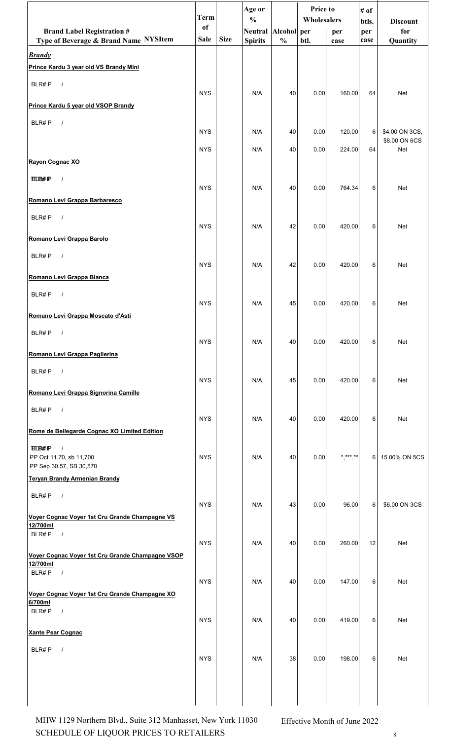|                                                                                  | <b>Term</b>   |             | Age or<br>$\frac{0}{0}$ |               | <b>Price to</b><br>Wholesalers |          | # of<br>btls.  | <b>Discount</b>      |
|----------------------------------------------------------------------------------|---------------|-------------|-------------------------|---------------|--------------------------------|----------|----------------|----------------------|
| <b>Brand Label Registration #</b>                                                | <sub>of</sub> |             | Neutral Alcohol per     |               |                                | per      | per            | for                  |
| Type of Beverage & Brand Name NYSItem                                            | Sale          | <b>Size</b> | <b>Spirits</b>          | $\frac{0}{0}$ | btl.                           | case     | case           | Quantity             |
| <b>Brandy</b><br>Prince Kardu 3 year old VS Brandy Mini                          |               |             |                         |               |                                |          |                |                      |
| BLR#P $/$                                                                        | <b>NYS</b>    |             | N/A                     | 40            | 0.00                           | 160.00   | 64             | <b>Net</b>           |
| Prince Kardu 5 year old VSOP Brandy                                              |               |             |                         |               |                                |          |                |                      |
| BLR#P<br>$\sqrt{ }$                                                              | <b>NYS</b>    |             | N/A                     | 40            | 0.00                           | 120.00   | $6 \mid$       | \$4.00 ON 3CS,       |
|                                                                                  | <b>NYS</b>    |             | N/A                     | 40            | 0.00                           | 224.00   | 64             | \$8.00 ON 6CS<br>Net |
| Rayon Cognac XO                                                                  |               |             |                         |               |                                |          |                |                      |
| <b>BLB#P</b><br>$\sqrt{ }$                                                       | <b>NYS</b>    |             | N/A                     | 40            | 0.00                           | 764.34   | 6              | <b>Net</b>           |
| Romano Levi Grappa Barbaresco                                                    |               |             |                         |               |                                |          |                |                      |
| BLR#P<br>$\sqrt{ }$                                                              | <b>NYS</b>    |             | N/A                     | 42            | 0.00                           | 420.00   | 6              | Net                  |
| Romano Levi Grappa Barolo                                                        |               |             |                         |               |                                |          |                |                      |
| $\sqrt{ }$<br>BLR#P                                                              | <b>NYS</b>    |             | N/A                     | 42            | 0.00                           | 420.00   | 6              | Net                  |
| Romano Levi Grappa Bianca                                                        |               |             |                         |               |                                |          |                |                      |
| $\sqrt{ }$<br>BLR#P                                                              | <b>NYS</b>    |             | N/A                     | 45            | 0.00                           | 420.00   | 6              | Net                  |
| Romano Levi Grappa Moscato d'Asti                                                |               |             |                         |               |                                |          |                |                      |
| BLR#P<br>$\sqrt{ }$                                                              | <b>NYS</b>    |             | N/A                     | 40            | 0.00                           | 420.00   | 6              | Net                  |
| Romano Levi Grappa Paglierina                                                    |               |             |                         |               |                                |          |                |                      |
| BLR#P<br>$\frac{1}{2}$                                                           | <b>NYS</b>    |             | N/A                     | 45            | 0.00                           | 420.00   | 6              | Net                  |
| Romano Levi Grappa Signorina Camille                                             |               |             |                         |               |                                |          |                |                      |
| BLR#P<br>$\sqrt{ }$                                                              | <b>NYS</b>    |             | N/A                     | 40            | 0.00                           | 420.00   | 6              | Net                  |
| Rome de Bellegarde Cognac XO Limited Edition                                     |               |             |                         |               |                                |          |                |                      |
| $\sqrt{ }$<br><b>BLB#P</b><br>PP Oct 11.70, sb 11,700<br>PP Sep 30.57, SB 30,570 | <b>NYS</b>    |             | N/A                     | 40            | 0.00                           | $******$ | 6 <sup>1</sup> | 15.00% ON 5CS        |
| <b>Teryan Brandy Armenian Brandy</b>                                             |               |             |                         |               |                                |          |                |                      |
| BLR#P<br>$\sqrt{ }$                                                              | <b>NYS</b>    |             | N/A                     | 43            | 0.00                           | 96.00    | 6              | \$6.00 ON 3CS        |
| Voyer Cognac Voyer 1st Cru Grande Champagne VS<br>12/700ml                       |               |             |                         |               |                                |          |                |                      |
| BLR#P<br>$\sqrt{ }$                                                              | <b>NYS</b>    |             | N/A                     | 40            | 0.00                           | 260.00   | 12             | Net                  |
| Voyer Cognac Voyer 1st Cru Grande Champagne VSOP<br>12/700ml                     |               |             |                         |               |                                |          |                |                      |
| BLR#P<br>$\sqrt{ }$                                                              | <b>NYS</b>    |             | N/A                     | 40            | 0.00                           | 147.00   | 6              | Net                  |
| Voyer Cognac Voyer 1st Cru Grande Champagne XO<br>6/700ml                        |               |             |                         |               |                                |          |                |                      |
| BLR#P<br>$\sqrt{ }$                                                              | <b>NYS</b>    |             | N/A                     | 40            | 0.00                           | 419.00   | 6              | Net                  |
| <b>Xante Pear Cognac</b>                                                         |               |             |                         |               |                                |          |                |                      |
| BLR#P<br>$\prime$                                                                | <b>NYS</b>    |             | N/A                     | $38\,$        | 0.00                           | 198.00   | 6 <sup>1</sup> | Net                  |
|                                                                                  |               |             |                         |               |                                |          |                |                      |
|                                                                                  |               |             |                         |               |                                |          |                |                      |

SCHEDULE OF LIQUOR PRICES TO RETAILERS  $\qquad \qquad \quad \ \ \ast$ MHW 1129 Northern Blvd., Suite 312 Manhasset, New York 11030 Effective Month of June 2022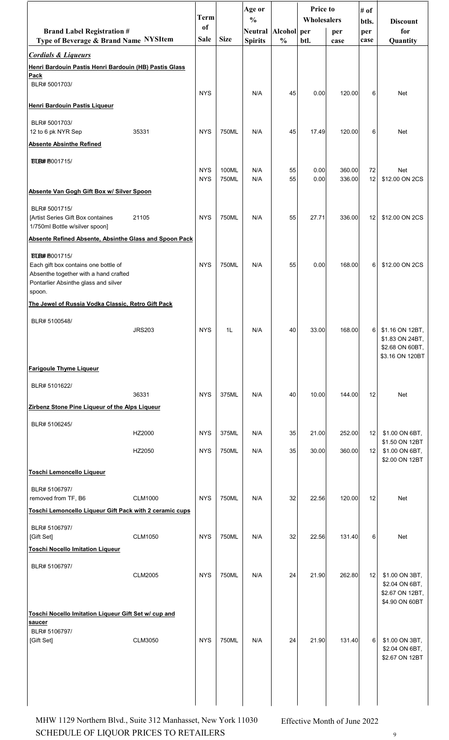|                                                                                                                                                         |                | <b>Term</b><br><sub>of</sub> |                | Age or<br>$\frac{0}{0}$               |               | <b>Price to</b><br>Wholesalers |                  | # of<br>btls.  | <b>Discount</b>                                                          |
|---------------------------------------------------------------------------------------------------------------------------------------------------------|----------------|------------------------------|----------------|---------------------------------------|---------------|--------------------------------|------------------|----------------|--------------------------------------------------------------------------|
| <b>Brand Label Registration #</b><br>Type of Beverage & Brand Name NYSItem                                                                              |                | Sale                         | <b>Size</b>    | Neutral Alcohol per<br><b>Spirits</b> | $\frac{0}{0}$ | btl.                           | per<br>case      | per<br>case    | for<br>Quantity                                                          |
| <b>Cordials &amp; Liqueurs</b>                                                                                                                          |                |                              |                |                                       |               |                                |                  |                |                                                                          |
| Henri Bardouin Pastis Henri Bardouin (HB) Pastis Glass<br>Pack                                                                                          |                |                              |                |                                       |               |                                |                  |                |                                                                          |
| BLR# 5001703/                                                                                                                                           |                | <b>NYS</b>                   |                | N/A                                   | 45            | 0.00                           | 120.00           | 6              | Net                                                                      |
| Henri Bardouin Pastis Liqueur                                                                                                                           |                |                              |                |                                       |               |                                |                  |                |                                                                          |
| BLR# 5001703/<br>12 to 6 pk NYR Sep                                                                                                                     | 35331          | <b>NYS</b>                   | 750ML          | N/A                                   | 45            | 17.49                          | 120.00           | 6              | Net                                                                      |
| <b>Absente Absinthe Refined</b>                                                                                                                         |                |                              |                |                                       |               |                                |                  |                |                                                                          |
| <b>BLB# 8001715/</b>                                                                                                                                    |                | <b>NYS</b><br><b>NYS</b>     | 100ML<br>750ML | N/A<br>N/A                            | 55<br>55      | 0.00<br>0.00                   | 360.00<br>336.00 | 72<br>12       | Net<br>\$12.00 ON 2CS                                                    |
| Absente Van Gogh Gift Box w/ Silver Spoon                                                                                                               |                |                              |                |                                       |               |                                |                  |                |                                                                          |
| BLR# 5001715/<br>[Artist Series Gift Box containes<br>1/750ml Bottle w/silver spoon]                                                                    | 21105          | <b>NYS</b>                   | 750ML          | N/A                                   | 55            | 27.71                          | 336.00           | 12             | \$12.00 ON 2CS                                                           |
| Absente Refined Absente, Absinthe Glass and Spoon Pack                                                                                                  |                |                              |                |                                       |               |                                |                  |                |                                                                          |
| <b>BLB# 9001715/</b><br>Each gift box contains one bottle of<br>Absenthe together with a hand crafted<br>Pontarlier Absinthe glass and silver<br>spoon. |                | <b>NYS</b>                   | 750ML          | N/A                                   | 55            | 0.00                           | 168.00           | 6              | \$12.00 ON 2CS                                                           |
| The Jewel of Russia Vodka Classic, Retro Gift Pack                                                                                                      |                |                              |                |                                       |               |                                |                  |                |                                                                          |
| BLR# 5100548/                                                                                                                                           | <b>JRS203</b>  | <b>NYS</b>                   | 1L             | N/A                                   | 40            | 33.00                          | 168.00           | 6 <sup>1</sup> | \$1.16 ON 12BT,<br>\$1.83 ON 24BT,<br>\$2.68 ON 60BT,<br>\$3.16 ON 120BT |
| <b>Farigoule Thyme Liqueur</b>                                                                                                                          |                |                              |                |                                       |               |                                |                  |                |                                                                          |
| BLR# 5101622/                                                                                                                                           |                |                              |                |                                       |               |                                |                  |                |                                                                          |
| Zirbenz Stone Pine Liqueur of the Alps Liqueur                                                                                                          | 36331          | <b>NYS</b>                   | 375ML          | N/A                                   | 40            | 10.00                          | 144.00           | 12             | Net                                                                      |
|                                                                                                                                                         |                |                              |                |                                       |               |                                |                  |                |                                                                          |
| BLR# 5106245/                                                                                                                                           | HZ2000         | <b>NYS</b>                   | 375ML          | N/A                                   | 35            | 21.00                          | 252.00           | 12             | \$1.00 ON 6BT,                                                           |
|                                                                                                                                                         | HZ2050         | <b>NYS</b>                   | 750ML          | N/A                                   | 35            | 30.00                          | 360.00           | 12             | \$1.50 ON 12BT<br>\$1.00 ON 6BT,                                         |
| <b>Toschi Lemoncello Liqueur</b>                                                                                                                        |                |                              |                |                                       |               |                                |                  |                | \$2.00 ON 12BT                                                           |
| BLR# 5106797/                                                                                                                                           |                |                              |                |                                       |               |                                |                  |                |                                                                          |
| removed from TF, B6                                                                                                                                     | <b>CLM1000</b> | <b>NYS</b>                   | 750ML          | N/A                                   | 32            | 22.56                          | 120.00           | 12             | Net                                                                      |
| Toschi Lemoncello Liqueur Gift Pack with 2 ceramic cups                                                                                                 |                |                              |                |                                       |               |                                |                  |                |                                                                          |
| BLR# 5106797/<br>[Gift Set]                                                                                                                             | <b>CLM1050</b> | <b>NYS</b>                   | 750ML          | N/A                                   | 32            | 22.56                          | 131.40           | 6              | Net                                                                      |
| <b>Toschi Nocello Imitation Liqueur</b>                                                                                                                 |                |                              |                |                                       |               |                                |                  |                |                                                                          |
| BLR# 5106797/                                                                                                                                           | <b>CLM2005</b> | <b>NYS</b>                   | 750ML          | N/A                                   | 24            | 21.90                          | 262.80           | 12             | \$1.00 ON 3BT,<br>\$2.04 ON 6BT,                                         |
|                                                                                                                                                         |                |                              |                |                                       |               |                                |                  |                | \$2.67 ON 12BT,<br>\$4.90 ON 60BT                                        |
| Toschi Nocello Imitation Liqueur Gift Set w/ cup and<br>saucer                                                                                          |                |                              |                |                                       |               |                                |                  |                |                                                                          |
| BLR# 5106797/<br>[Gift Set]                                                                                                                             | <b>CLM3050</b> | <b>NYS</b>                   | 750ML          | N/A                                   | 24            | 21.90                          | 131.40           | $6 \mid$       | \$1.00 ON 3BT,<br>\$2.04 ON 6BT,<br>\$2.67 ON 12BT                       |
|                                                                                                                                                         |                |                              |                |                                       |               |                                |                  |                |                                                                          |

SCHEDULE OF LIQUOR PRICES TO RETAILERS  $\qquad \qquad \, \,$   $\,$   $\,$   $\,$   $\,$ MHW 1129 Northern Blvd., Suite 312 Manhasset, New York 11030 Effective Month of June 2022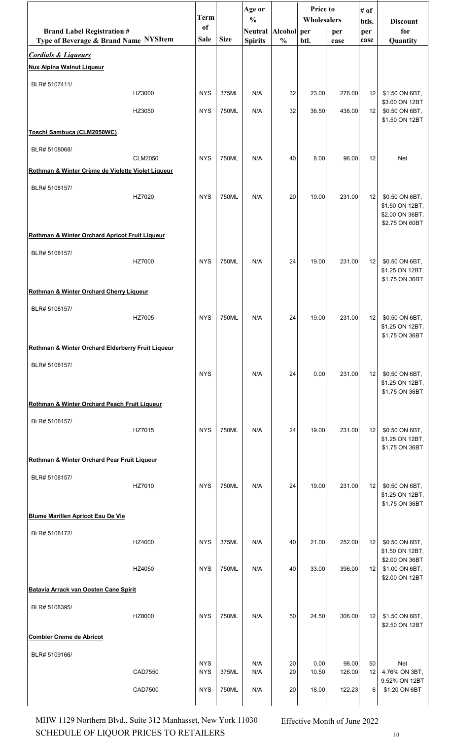|                                                   |                | <b>Term</b> |             | Age or<br>$\frac{0}{0}$ |               | Price to    |        | # of            |                                                                        |
|---------------------------------------------------|----------------|-------------|-------------|-------------------------|---------------|-------------|--------|-----------------|------------------------------------------------------------------------|
| <b>Brand Label Registration #</b>                 |                | of          |             | <b>Neutral</b>          | Alcohol per   | Wholesalers | per    | btls.<br>per    | <b>Discount</b><br>for                                                 |
| Type of Beverage & Brand Name NYSItem             |                | Sale        | <b>Size</b> | <b>Spirits</b>          | $\frac{0}{0}$ | btl.        | case   | case            | Quantity                                                               |
| <b>Cordials &amp; Liqueurs</b>                    |                |             |             |                         |               |             |        |                 |                                                                        |
| <b>Nux Alpina Walnut Liqueur</b>                  |                |             |             |                         |               |             |        |                 |                                                                        |
| BLR# 5107411/                                     | HZ3000         | <b>NYS</b>  | 375ML       | N/A                     | 32            | 23.00       | 276.00 | 12 <sub>1</sub> | \$1.50 ON 6BT,<br>\$3.00 ON 12BT                                       |
|                                                   | HZ3050         | <b>NYS</b>  | 750ML       | N/A                     | 32            | 36.50       | 438.00 | 12              | \$0.50 ON 6BT,<br>\$1.50 ON 12BT                                       |
| Toschi Sambuca (CLM2050WC)                        |                |             |             |                         |               |             |        |                 |                                                                        |
| BLR# 5108068/                                     |                |             |             |                         |               |             |        |                 |                                                                        |
| Rothman & Winter Crème de Violette Violet Liqueur | <b>CLM2050</b> | <b>NYS</b>  | 750ML       | N/A                     | 40            | 8.00        | 96.00  | 12              | Net                                                                    |
| BLR# 5108157/                                     |                |             |             |                         |               |             |        |                 |                                                                        |
|                                                   | HZ7020         | <b>NYS</b>  | 750ML       | N/A                     | 20            | 19.00       | 231.00 | 12              | \$0.50 ON 6BT,<br>\$1.50 ON 12BT,<br>\$2.00 ON 36BT,<br>\$2.75 ON 60BT |
| Rothman & Winter Orchard Apricot Fruit Liqueur    |                |             |             |                         |               |             |        |                 |                                                                        |
| BLR# 5108157/                                     | HZ7000         | <b>NYS</b>  | 750ML       | N/A                     | 24            | 19.00       | 231.00 | 12              | \$0.50 ON 6BT,<br>\$1.25 ON 12BT,<br>\$1.75 ON 36BT                    |
| Rothman & Winter Orchard Cherry Liqueur           |                |             |             |                         |               |             |        |                 |                                                                        |
| BLR# 5108157/                                     | HZ7005         | <b>NYS</b>  | 750ML       | N/A                     | 24            | 19.00       | 231.00 | 12              | \$0.50 ON 6BT,<br>\$1.25 ON 12BT,<br>\$1.75 ON 36BT                    |
| Rothman & Winter Orchard Elderberry Fruit Liqueur |                |             |             |                         |               |             |        |                 |                                                                        |
| BLR# 5108157/                                     |                | <b>NYS</b>  |             | N/A                     | 24            | 0.00        | 231.00 | 12              | \$0.50 ON 6BT,<br>\$1.25 ON 12BT,<br>\$1.75 ON 36BT                    |
| Rothman & Winter Orchard Peach Fruit Liqueur      |                |             |             |                         |               |             |        |                 |                                                                        |
| BLR# 5108157/                                     | HZ7015         | <b>NYS</b>  | 750ML       | N/A                     | 24            | 19.00       | 231.00 | 12              | \$0.50 ON 6BT,<br>\$1.25 ON 12BT,<br>\$1.75 ON 36BT                    |
| Rothman & Winter Orchard Pear Fruit Liqueur       |                |             |             |                         |               |             |        |                 |                                                                        |
| BLR# 5108157/                                     | HZ7010         | <b>NYS</b>  | 750ML       | N/A                     | 24            | 19.00       | 231.00 | 12              | \$0.50 ON 6BT,<br>\$1.25 ON 12BT,<br>\$1.75 ON 36BT                    |
| <b>Blume Marillen Apricot Eau De Vie</b>          |                |             |             |                         |               |             |        |                 |                                                                        |
| BLR# 5108172/                                     | HZ4000         | <b>NYS</b>  | 375ML       | N/A                     | 40            | 21.00       | 252.00 | 12              | \$0.50 ON 6BT,<br>\$1.50 ON 12BT,                                      |
|                                                   | HZ4050         | <b>NYS</b>  | 750ML       | N/A                     | 40            | 33.00       | 396.00 | 12 <sub>1</sub> | \$2.00 ON 36BT<br>\$1.00 ON 6BT,<br>\$2.00 ON 12BT                     |
| Batavia Arrack van Oosten Cane Spirit             |                |             |             |                         |               |             |        |                 |                                                                        |
| BLR# 5108395/                                     |                |             |             |                         |               |             |        |                 |                                                                        |
|                                                   | HZ8000         | <b>NYS</b>  | 750ML       | N/A                     | 50            | 24.50       | 306.00 | 12              | \$1.50 ON 6BT,<br>\$2.50 ON 12BT                                       |
| <b>Combier Creme de Abricot</b>                   |                |             |             |                         |               |             |        |                 |                                                                        |
| BLR# 5109166/                                     |                | <b>NYS</b>  |             | N/A                     | 20            | 0.00        | 98.00  | 50              | Net                                                                    |
|                                                   | CAD7550        | <b>NYS</b>  | 375ML       | N/A                     | 20            | 10.50       | 126.00 | 12              | 4.76% ON 3BT,<br>9.52% ON 12BT                                         |
|                                                   | CAD7500        | <b>NYS</b>  | 750ML       | N/A                     | 20            | 18.00       | 122.23 | 6               | \$1.20 ON 6BT                                                          |

SCHEDULE OF LIQUOR PRICES TO RETAILERS  $_{10}$ MHW 1129 Northern Blvd., Suite 312 Manhasset, New York 11030 Effective Month of June 2022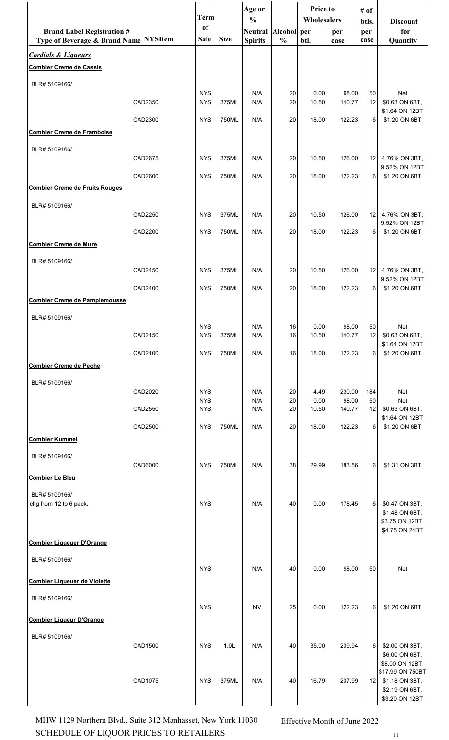|                                       |         |                          |                  | Age or                  |               | Price to      |                 | # of     |                                    |
|---------------------------------------|---------|--------------------------|------------------|-------------------------|---------------|---------------|-----------------|----------|------------------------------------|
|                                       |         | <b>Term</b>              |                  | $\frac{0}{0}$           |               | Wholesalers   |                 | btls.    | <b>Discount</b>                    |
| <b>Brand Label Registration #</b>     |         | of                       |                  | Neutral   Alcohol   per |               |               | per             | per      | for                                |
| Type of Beverage & Brand Name NYSItem |         | Sale                     | <b>Size</b>      | <b>Spirits</b>          | $\frac{0}{0}$ | btl.          | case            | case     | Quantity                           |
| <b>Cordials &amp; Liqueurs</b>        |         |                          |                  |                         |               |               |                 |          |                                    |
| <b>Combier Creme de Cassis</b>        |         |                          |                  |                         |               |               |                 |          |                                    |
| BLR# 5109166/                         |         |                          |                  |                         |               |               |                 |          |                                    |
|                                       | CAD2350 | <b>NYS</b><br><b>NYS</b> | 375ML            | N/A<br>N/A              | 20<br>20      | 0.00<br>10.50 | 98.00<br>140.77 | 50<br>12 | <b>Net</b><br>\$0.63 ON 6BT,       |
|                                       |         |                          |                  |                         |               |               |                 |          | \$1.64 ON 12BT                     |
|                                       | CAD2300 | <b>NYS</b>               | 750ML            | N/A                     | 20            | 18.00         | 122.23          | 6        | \$1.20 ON 6BT                      |
| <b>Combier Creme de Framboise</b>     |         |                          |                  |                         |               |               |                 |          |                                    |
| BLR# 5109166/                         |         |                          |                  |                         |               |               |                 |          |                                    |
|                                       | CAD2675 | <b>NYS</b>               | 375ML            | N/A                     | 20            | 10.50         | 126.00          | 12       | 4.76% ON 3BT,<br>9.52% ON 12BT     |
|                                       | CAD2600 | <b>NYS</b>               | 750ML            | N/A                     | 20            | 18.00         | 122.23          | 6        | \$1.20 ON 6BT                      |
| <b>Combier Creme de Fruits Rouges</b> |         |                          |                  |                         |               |               |                 |          |                                    |
| BLR# 5109166/                         |         |                          |                  |                         |               |               |                 |          |                                    |
|                                       | CAD2250 | <b>NYS</b>               | 375ML            | N/A                     | 20            | 10.50         | 126.00          | 12       | 4.76% ON 3BT,                      |
|                                       | CAD2200 | <b>NYS</b>               | 750ML            | N/A                     | 20            | 18.00         | 122.23          | 6        | 9.52% ON 12BT<br>\$1.20 ON 6BT     |
| <b>Combier Creme de Mure</b>          |         |                          |                  |                         |               |               |                 |          |                                    |
|                                       |         |                          |                  |                         |               |               |                 |          |                                    |
| BLR# 5109166/                         | CAD2450 | <b>NYS</b>               | 375ML            | N/A                     | 20            | 10.50         | 126.00          | 12       | 4.76% ON 3BT,                      |
|                                       |         |                          |                  |                         |               |               |                 |          | 9.52% ON 12BT                      |
| <b>Combier Creme de Pamplemousse</b>  | CAD2400 | <b>NYS</b>               | 750ML            | N/A                     | 20            | 18.00         | 122.23          | 6        | \$1.20 ON 6BT                      |
|                                       |         |                          |                  |                         |               |               |                 |          |                                    |
| BLR# 5109166/                         |         | <b>NYS</b>               |                  | N/A                     | 16            | 0.00          | 98.00           | 50       |                                    |
|                                       | CAD2150 | <b>NYS</b>               | 375ML            | N/A                     | 16            | 10.50         | 140.77          | 12       | Net<br>\$0.63 ON 6BT,              |
|                                       |         | <b>NYS</b>               | 750ML            | N/A                     | 16            | 18.00         |                 | 6        | \$1.64 ON 12BT                     |
| <b>Combier Creme de Peche</b>         | CAD2100 |                          |                  |                         |               |               | 122.23          |          | \$1.20 ON 6BT                      |
|                                       |         |                          |                  |                         |               |               |                 |          |                                    |
| BLR# 5109166/                         | CAD2020 | <b>NYS</b>               |                  | N/A                     | 20            | 4.49          | 230.00          | 184      | Net                                |
|                                       |         | <b>NYS</b>               |                  | N/A                     | 20            | 0.00          | 98.00           | 50       | Net                                |
|                                       | CAD2550 | <b>NYS</b>               |                  | N/A                     | 20            | 10.50         | 140.77          | 12       | \$0.63 ON 6BT,<br>\$1.64 ON 12BT   |
|                                       | CAD2500 | <b>NYS</b>               | 750ML            | N/A                     | 20            | 18.00         | 122.23          | 6        | \$1.20 ON 6BT                      |
| <b>Combier Kummel</b>                 |         |                          |                  |                         |               |               |                 |          |                                    |
| BLR# 5109166/                         |         |                          |                  |                         |               |               |                 |          |                                    |
|                                       | CAD6000 | <b>NYS</b>               | 750ML            | N/A                     | 38            | 29.99         | 183.56          | 6        | \$1.31 ON 3BT                      |
| <b>Combier Le Bleu</b>                |         |                          |                  |                         |               |               |                 |          |                                    |
| BLR# 5109166/                         |         |                          |                  |                         |               |               |                 |          |                                    |
| chg from 12 to 6 pack.                |         | <b>NYS</b>               |                  | N/A                     | 40            | 0.00          | 178.45          | 6        | \$0.47 ON 3BT,                     |
|                                       |         |                          |                  |                         |               |               |                 |          | \$1.48 ON 6BT,<br>\$3.75 ON 12BT,  |
|                                       |         |                          |                  |                         |               |               |                 |          | \$4.75 ON 24BT                     |
| <b>Combier Liqueuer D'Orange</b>      |         |                          |                  |                         |               |               |                 |          |                                    |
| BLR# 5109166/                         |         |                          |                  |                         |               |               |                 |          |                                    |
|                                       |         | <b>NYS</b>               |                  | N/A                     | 40            | 0.00          | 98.00           | 50       | Net                                |
| <b>Combier Liqueuer de Violette</b>   |         |                          |                  |                         |               |               |                 |          |                                    |
| BLR# 5109166/                         |         |                          |                  |                         |               |               |                 |          |                                    |
|                                       |         | <b>NYS</b>               |                  | <b>NV</b>               | 25            | 0.00          | 122.23          | 6        | \$1.20 ON 6BT                      |
| <b>Combier Liqueur D'Orange</b>       |         |                          |                  |                         |               |               |                 |          |                                    |
| BLR# 5109166/                         |         |                          |                  |                         |               |               |                 |          |                                    |
|                                       | CAD1500 | <b>NYS</b>               | 1.0 <sub>L</sub> | N/A                     | 40            | 35.00         | 209.94          | 6        | \$2.00 ON 3BT,<br>\$6.00 ON 6BT,   |
|                                       |         |                          |                  |                         |               |               |                 |          | \$8.00 ON 12BT,                    |
|                                       | CAD1075 | <b>NYS</b>               | 375ML            | N/A                     | 40            | 16.79         | 207.99          | 12       | \$17.99 ON 750BT<br>\$1.18 ON 3BT, |
|                                       |         |                          |                  |                         |               |               |                 |          | \$2.19 ON 6BT,                     |
|                                       |         |                          |                  |                         |               |               |                 |          | \$3.20 ON 12BT                     |

 $\begin{minipage}{.4\linewidth} \textbf{SCHEDULE OF LIQUOR PRICES TO RETAILERS} \end{minipage}$ MHW 1129 Northern Blvd., Suite 312 Manhasset, New York 11030 Effective Month of June 2022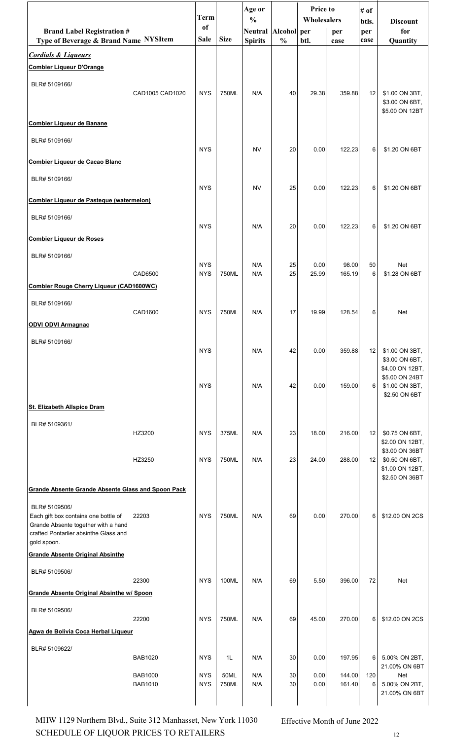|                                                                             |                           |                          |               | Age or         |                | <b>Price to</b> |                  | # of            |                                   |
|-----------------------------------------------------------------------------|---------------------------|--------------------------|---------------|----------------|----------------|-----------------|------------------|-----------------|-----------------------------------|
|                                                                             |                           | Term<br>of               |               | $\frac{0}{0}$  |                | Wholesalers     |                  | btls.           | <b>Discount</b>                   |
| <b>Brand Label Registration #</b>                                           |                           | <b>Sale</b>              | <b>Size</b>   | <b>Neutral</b> | <b>Alcohol</b> | per             | per              | per             | for                               |
| Type of Beverage & Brand Name NYSItem                                       |                           |                          |               | <b>Spirits</b> | $\frac{0}{0}$  | btl.            | case             | case            | Quantity                          |
| <b>Cordials &amp; Liqueurs</b>                                              |                           |                          |               |                |                |                 |                  |                 |                                   |
| <b>Combier Liqueur D'Orange</b>                                             |                           |                          |               |                |                |                 |                  |                 |                                   |
| BLR# 5109166/                                                               |                           |                          |               |                |                |                 |                  |                 |                                   |
|                                                                             | CAD1005 CAD1020           | <b>NYS</b>               | 750ML         | N/A            | 40             | 29.38           | 359.88           | 12              | \$1.00 ON 3BT,<br>\$3.00 ON 6BT,  |
|                                                                             |                           |                          |               |                |                |                 |                  |                 | \$5.00 ON 12BT                    |
| <b>Combier Liqueur de Banane</b>                                            |                           |                          |               |                |                |                 |                  |                 |                                   |
| BLR# 5109166/                                                               |                           |                          |               |                |                |                 |                  |                 |                                   |
|                                                                             |                           | <b>NYS</b>               |               | <b>NV</b>      | 20             | 0.00            | 122.23           | 6               | \$1.20 ON 6BT                     |
| <b>Combier Liqueur de Cacao Blanc</b>                                       |                           |                          |               |                |                |                 |                  |                 |                                   |
| BLR# 5109166/                                                               |                           |                          |               |                |                |                 |                  |                 |                                   |
|                                                                             |                           | <b>NYS</b>               |               | <b>NV</b>      | 25             | 0.00            | 122.23           | 6               | \$1.20 ON 6BT                     |
| Combier Liqueur de Pasteque (watermelon)                                    |                           |                          |               |                |                |                 |                  |                 |                                   |
| BLR# 5109166/                                                               |                           |                          |               |                |                |                 |                  |                 |                                   |
|                                                                             |                           | <b>NYS</b>               |               | N/A            | 20             | 0.00            | 122.23           | 6               | \$1.20 ON 6BT                     |
| <b>Combier Liqueur de Roses</b>                                             |                           |                          |               |                |                |                 |                  |                 |                                   |
| BLR# 5109166/                                                               |                           |                          |               |                |                |                 |                  |                 |                                   |
|                                                                             | CAD6500                   | <b>NYS</b><br><b>NYS</b> | 750ML         | N/A<br>N/A     | 25<br>25       | 0.00<br>25.99   | 98.00<br>165.19  | 50<br>6         | <b>Net</b><br>\$1.28 ON 6BT       |
| <b>Combier Rouge Cherry Liqueur (CAD1600WC)</b>                             |                           |                          |               |                |                |                 |                  |                 |                                   |
|                                                                             |                           |                          |               |                |                |                 |                  |                 |                                   |
| BLR# 5109166/                                                               | CAD1600                   | <b>NYS</b>               | 750ML         | N/A            | 17             | 19.99           | 128.54           | 6               | Net                               |
| <b>ODVI ODVI Armagnac</b>                                                   |                           |                          |               |                |                |                 |                  |                 |                                   |
|                                                                             |                           |                          |               |                |                |                 |                  |                 |                                   |
| BLR# 5109166/                                                               |                           | <b>NYS</b>               |               | N/A            | 42             | 0.00            | 359.88           | 12              | \$1.00 ON 3BT,                    |
|                                                                             |                           |                          |               |                |                |                 |                  |                 | \$3.00 ON 6BT,                    |
|                                                                             |                           |                          |               |                |                |                 |                  |                 | \$4.00 ON 12BT,<br>\$5.00 ON 24BT |
|                                                                             |                           | <b>NYS</b>               |               | N/A            | 42             | 0.00            | 159.00           | 6               | \$1.00 ON 3BT,                    |
| <b>St. Elizabeth Allspice Dram</b>                                          |                           |                          |               |                |                |                 |                  |                 | \$2.50 ON 6BT                     |
|                                                                             |                           |                          |               |                |                |                 |                  |                 |                                   |
| BLR# 5109361/                                                               | HZ3200                    | <b>NYS</b>               | 375ML         | N/A            | 23             | 18.00           | 216.00           | 12              | \$0.75 ON 6BT,                    |
|                                                                             |                           |                          |               |                |                |                 |                  |                 | \$2.00 ON 12BT,                   |
|                                                                             | HZ3250                    | <b>NYS</b>               | 750ML         | N/A            | 23             | 24.00           | 288.00           | 12              | \$3.00 ON 36BT<br>\$0.50 ON 6BT,  |
|                                                                             |                           |                          |               |                |                |                 |                  |                 | \$1.00 ON 12BT,                   |
|                                                                             |                           |                          |               |                |                |                 |                  |                 | \$2.50 ON 36BT                    |
| <b>Grande Absente Grande Absente Glass and Spoon Pack</b>                   |                           |                          |               |                |                |                 |                  |                 |                                   |
| BLR# 5109506/                                                               |                           |                          |               |                |                |                 |                  |                 |                                   |
| Each gift box contains one bottle of<br>Grande Absente together with a hand | 22203                     | <b>NYS</b>               | 750ML         | N/A            | 69             | 0.00            | 270.00           | 6               | \$12.00 ON 2CS                    |
| crafted Pontarlier absinthe Glass and                                       |                           |                          |               |                |                |                 |                  |                 |                                   |
| gold spoon.                                                                 |                           |                          |               |                |                |                 |                  |                 |                                   |
| <b>Grande Absente Original Absinthe</b>                                     |                           |                          |               |                |                |                 |                  |                 |                                   |
| BLR# 5109506/                                                               | 22300                     | <b>NYS</b>               | 100ML         | N/A            | 69             | 5.50            | 396.00           | 72              | Net                               |
| <b>Grande Absente Original Absinthe w/ Spoon</b>                            |                           |                          |               |                |                |                 |                  |                 |                                   |
|                                                                             |                           |                          |               |                |                |                 |                  |                 |                                   |
| BLR# 5109506/                                                               | 22200                     | <b>NYS</b>               | 750ML         | N/A            | 69             | 45.00           | 270.00           | 6               | \$12.00 ON 2CS                    |
| Agwa de Bolivia Coca Herbal Liqueur                                         |                           |                          |               |                |                |                 |                  |                 |                                   |
|                                                                             |                           |                          |               |                |                |                 |                  |                 |                                   |
| BLR# 5109622/                                                               | <b>BAB1020</b>            | <b>NYS</b>               | 1L            | N/A            | 30             | 0.00            | 197.95           | 6               | 5.00% ON 2BT,                     |
|                                                                             |                           |                          |               |                |                |                 |                  |                 | 21.00% ON 6BT                     |
|                                                                             | <b>BAB1000</b><br>BAB1010 | <b>NYS</b><br><b>NYS</b> | 50ML<br>750ML | N/A<br>N/A     | $30\,$<br>30   | 0.00<br>0.00    | 144.00<br>161.40 | 120<br>$6 \mid$ | Net<br>5.00% ON 2BT,              |
|                                                                             |                           |                          |               |                |                |                 |                  |                 | 21.00% ON 6BT                     |
|                                                                             |                           |                          |               |                |                |                 |                  |                 |                                   |

SCHEDULE OF LIQUOR PRICES TO RETAILERS  $12$ MHW 1129 Northern Blvd., Suite 312 Manhasset, New York 11030 Effective Month of June 2022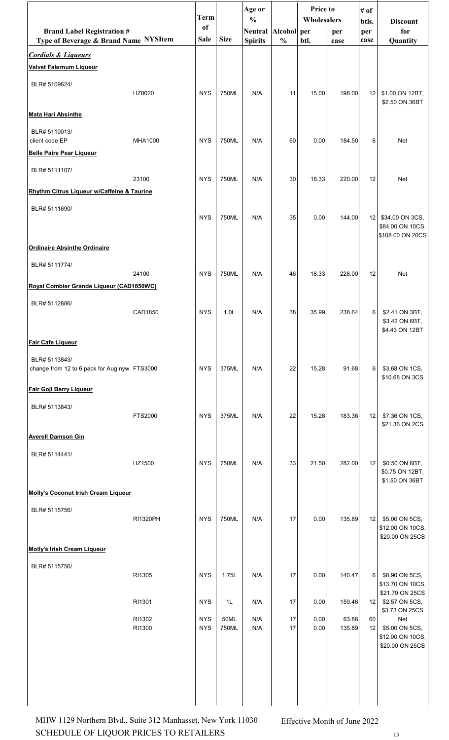|                                                                  |          | <b>Term</b> |                  | Age or<br>$\frac{0}{0}$ |               | <b>Price to</b><br>Wholesalers |        | # of         |                                                            |
|------------------------------------------------------------------|----------|-------------|------------------|-------------------------|---------------|--------------------------------|--------|--------------|------------------------------------------------------------|
| <b>Brand Label Registration #</b>                                |          | of          |                  | Neutral Alcohol per     |               |                                | per    | btls.<br>per | <b>Discount</b><br>for                                     |
| Type of Beverage & Brand Name NYSItem                            |          | <b>Sale</b> | <b>Size</b>      | <b>Spirits</b>          | $\frac{0}{0}$ | btl.                           | case   | case         | Quantity                                                   |
| <b>Cordials &amp; Liqueurs</b><br><b>Velvet Falernum Liqueur</b> |          |             |                  |                         |               |                                |        |              |                                                            |
| BLR# 5109624/                                                    |          |             |                  |                         |               |                                |        |              |                                                            |
|                                                                  | HZ8020   | <b>NYS</b>  | 750ML            | N/A                     | 11            | 15.00                          | 198.00 | 12           | \$1.00 ON 12BT,<br>\$2.50 ON 36BT                          |
| <b>Mata Hari Absinthe</b>                                        |          |             |                  |                         |               |                                |        |              |                                                            |
| BLR# 5110013/<br>client code EP                                  | MHA1000  | <b>NYS</b>  | 750ML            | N/A                     | 60            | 0.00                           | 184.50 | 6            | Net                                                        |
| <b>Belle Paire Pear Liqueur</b>                                  |          |             |                  |                         |               |                                |        |              |                                                            |
| BLR# 5111107/                                                    |          | <b>NYS</b>  | 750ML            | N/A                     | 30            |                                |        |              |                                                            |
| Rhythm Citrus Liqueur w/Caffeine & Taurine                       | 23100    |             |                  |                         |               | 18.33                          | 220.00 | 12           | Net                                                        |
| BLR# 5111690/                                                    |          |             |                  |                         |               |                                |        |              |                                                            |
|                                                                  |          | <b>NYS</b>  | 750ML            | N/A                     | 35            | 0.00                           | 144.00 |              | 12 \$34.00 ON 3CS,<br>\$84.00 ON 10CS,<br>\$108.00 ON 20CS |
| <b>Ordinaire Absinthe Ordinaire</b>                              |          |             |                  |                         |               |                                |        |              |                                                            |
| BLR# 5111774/                                                    |          |             |                  |                         |               |                                |        |              |                                                            |
| Royal Combier Grande Liqueur (CAD1850WC)                         | 24100    | <b>NYS</b>  | 750ML            | N/A                     | 46            | 18.33                          | 228.00 | 12           | Net                                                        |
| BLR# 5112886/                                                    |          |             |                  |                         |               |                                |        |              |                                                            |
|                                                                  | CAD1850  | <b>NYS</b>  | 1.0 <sub>L</sub> | N/A                     | 38            | 35.99                          | 238.64 | 6            | \$2.41 ON 3BT,                                             |
|                                                                  |          |             |                  |                         |               |                                |        |              | \$3.42 ON 6BT.<br>\$4.43 ON 12BT                           |
| <b>Fair Cafe Liqueur</b>                                         |          |             |                  |                         |               |                                |        |              |                                                            |
| BLR# 5113843/<br>change from 12 to 6 pack for Aug nyw FTS3000    |          | <b>NYS</b>  | 375ML            | N/A                     | 22            | 15.28                          | 91.68  | 6            | \$3.68 ON 1CS,<br>\$10.68 ON 3CS                           |
| <b>Fair Goji Berry Liqueur</b>                                   |          |             |                  |                         |               |                                |        |              |                                                            |
| BLR# 5113843/                                                    |          |             |                  |                         |               |                                |        |              |                                                            |
|                                                                  | FTS2000  | <b>NYS</b>  | 375ML            | N/A                     | 22            | 15.28                          | 183.36 | 12           | \$7.36 ON 1CS,<br>\$21.36 ON 2CS                           |
| <b>Averell Damson Gin</b>                                        |          |             |                  |                         |               |                                |        |              |                                                            |
| BLR# 5114441/                                                    |          |             |                  |                         |               |                                |        |              |                                                            |
|                                                                  | HZ1500   | <b>NYS</b>  | 750ML            | N/A                     | 33            | 21.50                          | 282.00 | 12           | \$0.50 ON 6BT,<br>\$0.75 ON 12BT,                          |
|                                                                  |          |             |                  |                         |               |                                |        |              | \$1.50 ON 36BT                                             |
| <b>Molly's Coconut Irish Cream Liqueur</b>                       |          |             |                  |                         |               |                                |        |              |                                                            |
| BLR# 5115756/                                                    | RI1320PH | <b>NYS</b>  | 750ML            | N/A                     | 17            | 0.00                           | 135.89 | 12           | \$5.00 ON 5CS,                                             |
|                                                                  |          |             |                  |                         |               |                                |        |              | \$12.00 ON 10CS,<br>\$20.00 ON 25CS                        |
| <b>Molly's Irish Cream Liqueur</b>                               |          |             |                  |                         |               |                                |        |              |                                                            |
| BLR# 5115756/                                                    |          |             |                  |                         |               |                                |        |              |                                                            |
|                                                                  | RI1305   | <b>NYS</b>  | 1.75L            | N/A                     | 17            | 0.00                           | 140.47 | 6            | \$8.90 ON 5CS,<br>\$13.70 ON 10CS,                         |
|                                                                  | RI1301   | <b>NYS</b>  | 1L               | N/A                     | 17            | 0.00                           | 159.46 | 12           | \$21.70 ON 25CS<br>\$2.57 ON 5CS,                          |
|                                                                  | RI1302   | <b>NYS</b>  | 50ML             | N/A                     | 17            | 0.00                           | 63.86  | 60           | \$3.73 ON 25CS<br>Net                                      |
|                                                                  | RI1300   | <b>NYS</b>  | 750ML            | N/A                     | 17            | 0.00                           | 135.89 | 12           | \$5.00 ON 5CS,<br>\$12.00 ON 10CS,<br>\$20.00 ON 25CS      |
|                                                                  |          |             |                  |                         |               |                                |        |              |                                                            |
|                                                                  |          |             |                  |                         |               |                                |        |              |                                                            |
|                                                                  |          |             |                  |                         |               |                                |        |              |                                                            |
|                                                                  |          |             |                  |                         |               |                                |        |              |                                                            |

SCHEDULE OF LIQUOR PRICES TO RETAILERS  $13$ MHW 1129 Northern Blvd., Suite 312 Manhasset, New York 11030 Effective Month of June 2022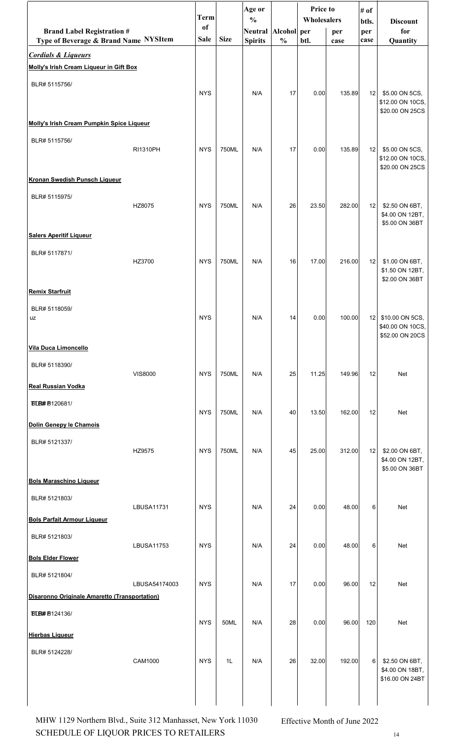|                                                                            |                   |                   |             | Age or                           |                              | Price to    |             | # of        |                                     |
|----------------------------------------------------------------------------|-------------------|-------------------|-------------|----------------------------------|------------------------------|-------------|-------------|-------------|-------------------------------------|
|                                                                            |                   | <b>Term</b>       |             | $\frac{0}{0}$                    |                              | Wholesalers |             | btls.       | <b>Discount</b>                     |
| <b>Brand Label Registration #</b><br>Type of Beverage & Brand Name NYSItem |                   | of<br><b>Sale</b> | <b>Size</b> | <b>Neutral</b><br><b>Spirits</b> | Alcohol per<br>$\frac{0}{0}$ | btl.        | per<br>case | per<br>case | for<br>Quantity                     |
| <b>Cordials &amp; Liqueurs</b>                                             |                   |                   |             |                                  |                              |             |             |             |                                     |
| Molly's Irish Cream Liqueur in Gift Box                                    |                   |                   |             |                                  |                              |             |             |             |                                     |
| BLR# 5115756/                                                              |                   |                   |             |                                  |                              |             |             |             |                                     |
|                                                                            |                   | <b>NYS</b>        |             | N/A                              | 17                           | 0.00        | 135.89      | 12          | \$5.00 ON 5CS,                      |
|                                                                            |                   |                   |             |                                  |                              |             |             |             | \$12.00 ON 10CS,<br>\$20.00 ON 25CS |
| Molly's Irish Cream Pumpkin Spice Liqueur                                  |                   |                   |             |                                  |                              |             |             |             |                                     |
| BLR# 5115756/                                                              |                   |                   |             |                                  |                              |             |             |             |                                     |
|                                                                            | RI1310PH          | <b>NYS</b>        | 750ML       | N/A                              | 17                           | 0.00        | 135.89      | 12          | \$5.00 ON 5CS,<br>\$12.00 ON 10CS,  |
|                                                                            |                   |                   |             |                                  |                              |             |             |             | \$20.00 ON 25CS                     |
| Kronan Swedish Punsch Liqueur                                              |                   |                   |             |                                  |                              |             |             |             |                                     |
| BLR# 5115975/                                                              | HZ8075            | <b>NYS</b>        | 750ML       | N/A                              | 26                           | 23.50       | 282.00      | 12          | \$2.50 ON 6BT,                      |
|                                                                            |                   |                   |             |                                  |                              |             |             |             | \$4.00 ON 12BT,                     |
| <b>Salers Aperitif Liqueur</b>                                             |                   |                   |             |                                  |                              |             |             |             | \$5.00 ON 36BT                      |
|                                                                            |                   |                   |             |                                  |                              |             |             |             |                                     |
| BLR# 5117871/                                                              | HZ3700            | <b>NYS</b>        | 750ML       | N/A                              | 16                           | 17.00       | 216.00      | 12          | \$1.00 ON 6BT,                      |
|                                                                            |                   |                   |             |                                  |                              |             |             |             | \$1.50 ON 12BT,<br>\$2.00 ON 36BT   |
| <b>Remix Starfruit</b>                                                     |                   |                   |             |                                  |                              |             |             |             |                                     |
| BLR# 5118059/                                                              |                   |                   |             |                                  |                              |             |             |             |                                     |
| uz                                                                         |                   | <b>NYS</b>        |             | N/A                              | 14                           | 0.00        | 100.00      | 12          | \$10.00 ON 5CS,                     |
|                                                                            |                   |                   |             |                                  |                              |             |             |             | \$40.00 ON 10CS,<br>\$52.00 ON 20CS |
| Vila Duca Limoncello                                                       |                   |                   |             |                                  |                              |             |             |             |                                     |
| BLR# 5118390/                                                              |                   |                   |             |                                  |                              |             |             |             |                                     |
| <b>Real Russian Vodka</b>                                                  | <b>VIS8000</b>    | <b>NYS</b>        | 750ML       | N/A                              | 25                           | 11.25       | 149.96      | 12          | Net                                 |
|                                                                            |                   |                   |             |                                  |                              |             |             |             |                                     |
| <b>BLB#B120681/</b>                                                        |                   | <b>NYS</b>        | 750ML       | N/A                              | 40                           | 13.50       | 162.00      | 12          | Net                                 |
| Dolin Genepy le Chamois                                                    |                   |                   |             |                                  |                              |             |             |             |                                     |
| BLR# 5121337/                                                              |                   |                   |             |                                  |                              |             |             |             |                                     |
|                                                                            | HZ9575            | <b>NYS</b>        | 750ML       | N/A                              | 45                           | 25.00       | 312.00      | 12          | \$2.00 ON 6BT,<br>\$4.00 ON 12BT,   |
|                                                                            |                   |                   |             |                                  |                              |             |             |             | \$5.00 ON 36BT                      |
| <b>Bols Maraschino Liqueur</b>                                             |                   |                   |             |                                  |                              |             |             |             |                                     |
| BLR# 5121803/                                                              | <b>LBUSA11731</b> | <b>NYS</b>        |             | N/A                              | 24                           | 0.00        | 48.00       | 6           | Net                                 |
| <b>Bols Parfait Armour Liqueur</b>                                         |                   |                   |             |                                  |                              |             |             |             |                                     |
| BLR# 5121803/                                                              |                   |                   |             |                                  |                              |             |             |             |                                     |
|                                                                            | <b>LBUSA11753</b> | <b>NYS</b>        |             | N/A                              | 24                           | 0.00        | 48.00       | 6           | Net                                 |
| <b>Bols Elder Flower</b>                                                   |                   |                   |             |                                  |                              |             |             |             |                                     |
| BLR# 5121804/                                                              |                   |                   |             |                                  |                              |             |             |             |                                     |
| Disaronno Originale Amaretto (Transportation)                              | LBUSA54174003     | <b>NYS</b>        |             | N/A                              | 17                           | 0.00        | 96.00       | 12          | Net                                 |
| <b>BLB#B124136/</b>                                                        |                   |                   |             |                                  |                              |             |             |             |                                     |
|                                                                            |                   | <b>NYS</b>        | 50ML        | N/A                              | 28                           | 0.00        | 96.00       | 120         | Net                                 |
| <b>Hierbas Liqueur</b>                                                     |                   |                   |             |                                  |                              |             |             |             |                                     |
| BLR# 5124228/                                                              |                   |                   |             |                                  |                              |             |             |             |                                     |
|                                                                            | CAM1000           | <b>NYS</b>        | 1L          | N/A                              | 26                           | 32.00       | 192.00      | 6           | \$2.50 ON 6BT,<br>\$4.00 ON 18BT,   |
|                                                                            |                   |                   |             |                                  |                              |             |             |             | \$16.00 ON 24BT                     |
|                                                                            |                   |                   |             |                                  |                              |             |             |             |                                     |
|                                                                            |                   |                   |             |                                  |                              |             |             |             |                                     |

SCHEDULE OF LIQUOR PRICES TO RETAILERS  $14$ MHW 1129 Northern Blvd., Suite 312 Manhasset, New York 11030 Effective Month of June 2022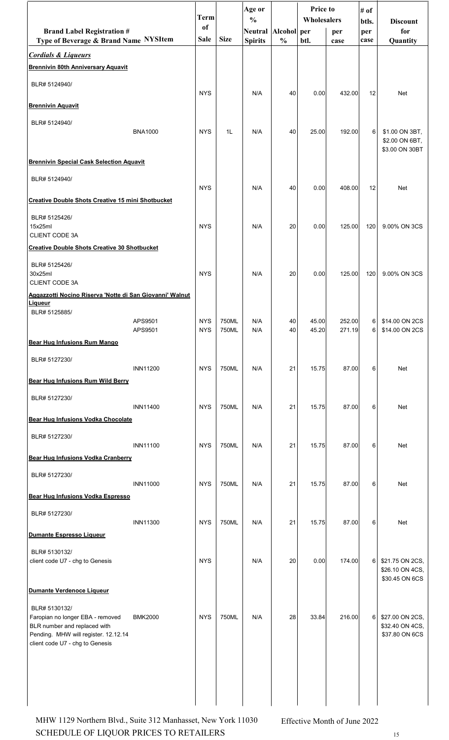|                                                                                                                                             |                    | Term                     |                | Age or<br>$\frac{0}{0}$          |                              | Price to<br>Wholesalers |                  | # of<br>btls. | <b>Discount</b>                                      |
|---------------------------------------------------------------------------------------------------------------------------------------------|--------------------|--------------------------|----------------|----------------------------------|------------------------------|-------------------------|------------------|---------------|------------------------------------------------------|
| <b>Brand Label Registration #</b><br>Type of Beverage & Brand Name NYSItem                                                                  |                    | of<br>Sale               | <b>Size</b>    | <b>Neutral</b><br><b>Spirits</b> | Alcohol per<br>$\frac{0}{0}$ | btl.                    | per<br>case      | per<br>case   | for<br>Quantity                                      |
| <b>Cordials &amp; Liqueurs</b>                                                                                                              |                    |                          |                |                                  |                              |                         |                  |               |                                                      |
| <b>Brennivin 80th Anniversary Aquavit</b>                                                                                                   |                    |                          |                |                                  |                              |                         |                  |               |                                                      |
| BLR# 5124940/                                                                                                                               |                    | <b>NYS</b>               |                | N/A                              | 40                           | 0.00                    | 432.00           | 12            | Net                                                  |
| <b>Brennivin Aquavit</b>                                                                                                                    |                    |                          |                |                                  |                              |                         |                  |               |                                                      |
| BLR# 5124940/                                                                                                                               | <b>BNA1000</b>     | <b>NYS</b>               | 1L             | N/A                              | 40                           | 25.00                   | 192.00           | 6             | \$1.00 ON 3BT,<br>\$2.00 ON 6BT,<br>\$3.00 ON 30BT   |
| <b>Brennivin Special Cask Selection Aquavit</b>                                                                                             |                    |                          |                |                                  |                              |                         |                  |               |                                                      |
| BLR# 5124940/                                                                                                                               |                    | <b>NYS</b>               |                | N/A                              | 40                           | 0.00                    | 408.00           | 12            | Net                                                  |
| <b>Creative Double Shots Creative 15 mini Shotbucket</b>                                                                                    |                    |                          |                |                                  |                              |                         |                  |               |                                                      |
| BLR# 5125426/<br>15x25ml<br><b>CLIENT CODE 3A</b>                                                                                           |                    | <b>NYS</b>               |                | N/A                              | 20                           | 0.00                    | 125.00           | 120           | 9.00% ON 3CS                                         |
| <b>Creative Double Shots Creative 30 Shotbucket</b>                                                                                         |                    |                          |                |                                  |                              |                         |                  |               |                                                      |
| BLR# 5125426/<br>30x25ml<br><b>CLIENT CODE 3A</b>                                                                                           |                    | <b>NYS</b>               |                | N/A                              | 20                           | 0.00                    | 125.00           | 120           | 9.00% ON 3CS                                         |
| Aggazzotti Nocino Riserva 'Notte di San Giovanni' Walnut<br>Liqueur                                                                         |                    |                          |                |                                  |                              |                         |                  |               |                                                      |
| BLR# 5125885/                                                                                                                               | APS9501<br>APS9501 | <b>NYS</b><br><b>NYS</b> | 750ML<br>750ML | N/A<br>N/A                       | 40<br>40                     | 45.00<br>45.20          | 252.00<br>271.19 | 6<br>6        | \$14.00 ON 2CS<br>\$14.00 ON 2CS                     |
| <b>Bear Hug Infusions Rum Mango</b>                                                                                                         |                    |                          |                |                                  |                              |                         |                  |               |                                                      |
| BLR# 5127230/                                                                                                                               | <b>INN11200</b>    | <b>NYS</b>               | 750ML          | N/A                              | 21                           | 15.75                   | 87.00            | 6             | Net                                                  |
| <b>Bear Hug Infusions Rum Wild Berry</b>                                                                                                    |                    |                          |                |                                  |                              |                         |                  |               |                                                      |
| BLR# 5127230/                                                                                                                               | <b>INN11400</b>    | <b>NYS</b>               | 750ML          | N/A                              | 21                           | 15.75                   | 87.00            | 6             | Net                                                  |
| Bear Hug Infusions Vodka Chocolate                                                                                                          |                    |                          |                |                                  |                              |                         |                  |               |                                                      |
| BLR# 5127230/                                                                                                                               | <b>INN11100</b>    | <b>NYS</b>               | 750ML          | N/A                              | 21                           | 15.75                   | 87.00            | 6             | Net                                                  |
| <b>Bear Hug Infusions Vodka Cranberry</b>                                                                                                   |                    |                          |                |                                  |                              |                         |                  |               |                                                      |
| BLR# 5127230/                                                                                                                               | <b>INN11000</b>    | <b>NYS</b>               | 750ML          | N/A                              | 21                           | 15.75                   | 87.00            | 6             | <b>Net</b>                                           |
| Bear Hug Infusions Vodka Espresso                                                                                                           |                    |                          |                |                                  |                              |                         |                  |               |                                                      |
| BLR# 5127230/                                                                                                                               | <b>INN11300</b>    | <b>NYS</b>               | 750ML          | N/A                              | 21                           | 15.75                   | 87.00            | 6             | Net                                                  |
| Dumante Espresso Liqueur                                                                                                                    |                    |                          |                |                                  |                              |                         |                  |               |                                                      |
| BLR# 5130132/<br>client code U7 - chg to Genesis                                                                                            |                    | <b>NYS</b>               |                | N/A                              | 20                           | 0.00                    | 174.00           | 6             | \$21.75 ON 2CS,<br>\$26.10 ON 4CS,<br>\$30.45 ON 6CS |
| Dumante Verdenoce Liqueur<br>BLR# 5130132/                                                                                                  |                    |                          |                |                                  |                              |                         |                  |               |                                                      |
| Faropian no longer EBA - removed<br>BLR number and replaced with<br>Pending. MHW will register. 12.12.14<br>client code U7 - chg to Genesis | <b>BMK2000</b>     | <b>NYS</b>               | 750ML          | N/A                              | 28                           | 33.84                   | 216.00           | 6             | \$27.00 ON 2CS,<br>\$32.40 ON 4CS,<br>\$37.80 ON 6CS |
|                                                                                                                                             |                    |                          |                |                                  |                              |                         |                  |               |                                                      |

SCHEDULE OF LIQUOR PRICES TO RETAILERS 15 MHW 1129 Northern Blvd., Suite 312 Manhasset, New York 11030 Effective Month of June 2022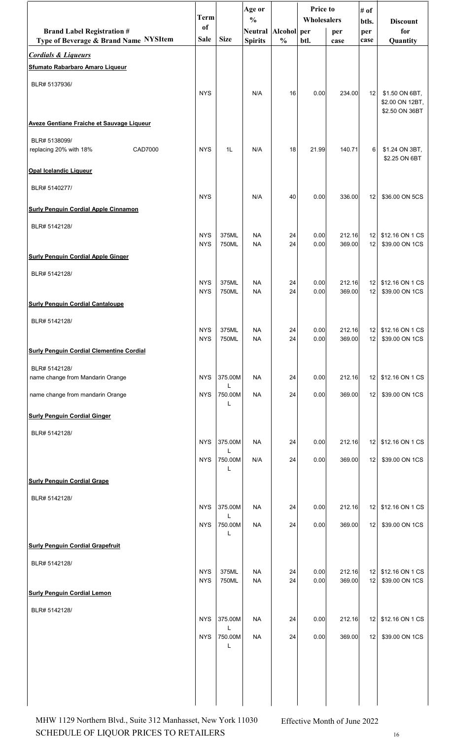|                                                                         | <b>Term</b>              |                | Age or<br>$\frac{0}{0}$ |               | <b>Price to</b><br>Wholesalers |                  | # of                               |                                                     |
|-------------------------------------------------------------------------|--------------------------|----------------|-------------------------|---------------|--------------------------------|------------------|------------------------------------|-----------------------------------------------------|
| <b>Brand Label Registration #</b>                                       | of                       |                | Neutral Alcohol per     |               |                                | per              | btls.<br>per                       | <b>Discount</b><br>for                              |
| Type of Beverage & Brand Name NYSItem<br><b>Cordials &amp; Liqueurs</b> | Sale                     | <b>Size</b>    | <b>Spirits</b>          | $\frac{0}{0}$ | btl.                           | case             | case                               | Quantity                                            |
| <b>Sfumato Rabarbaro Amaro Liqueur</b>                                  |                          |                |                         |               |                                |                  |                                    |                                                     |
| BLR# 5137936/                                                           |                          |                |                         |               |                                |                  |                                    |                                                     |
|                                                                         | <b>NYS</b>               |                | N/A                     | 16            | 0.00                           | 234.00           | 12                                 | \$1.50 ON 6BT,<br>\$2.00 ON 12BT,<br>\$2.50 ON 36BT |
| <b>Aveze Gentiane Fraiche et Sauvage Liqueur</b>                        |                          |                |                         |               |                                |                  |                                    |                                                     |
| BLR# 5138099/<br>replacing 20% with 18%<br>CAD7000                      | <b>NYS</b>               | 1L             | N/A                     | 18            | 21.99                          | 140.71           | 6 <sup>1</sup>                     | \$1.24 ON 3BT,<br>\$2.25 ON 6BT                     |
| <b>Opal Icelandic Liqueur</b>                                           |                          |                |                         |               |                                |                  |                                    |                                                     |
| BLR# 5140277/                                                           | <b>NYS</b>               |                | N/A                     | 40            | 0.00                           | 336.00           | 12                                 | \$36.00 ON 5CS                                      |
| <b>Surly Penguin Cordial Apple Cinnamon</b>                             |                          |                |                         |               |                                |                  |                                    |                                                     |
| BLR# 5142128/                                                           |                          |                |                         |               |                                |                  |                                    |                                                     |
|                                                                         | <b>NYS</b><br><b>NYS</b> | 375ML<br>750ML | <b>NA</b><br><b>NA</b>  | 24<br>24      | 0.00<br>0.00                   | 212.16<br>369.00 | 12 <sub>1</sub><br>12              | \$12.16 ON 1 CS<br>\$39.00 ON 1CS                   |
| <b>Surly Penguin Cordial Apple Ginger</b>                               |                          |                |                         |               |                                |                  |                                    |                                                     |
| BLR# 5142128/                                                           | <b>NYS</b>               | 375ML          | <b>NA</b>               | 24            | 0.00                           | 212.16           | 12                                 | \$12.16 ON 1 CS                                     |
|                                                                         | <b>NYS</b>               | 750ML          | <b>NA</b>               | 24            | 0.00                           | 369.00           | 12                                 | \$39.00 ON 1CS                                      |
| <b>Surly Penguin Cordial Cantaloupe</b>                                 |                          |                |                         |               |                                |                  |                                    |                                                     |
| BLR# 5142128/                                                           | <b>NYS</b>               | 375ML          | <b>NA</b>               | 24            | 0.00                           | 212.16           |                                    | 12 \$12.16 ON 1 CS                                  |
| <b>Surly Penguin Cordial Clementine Cordial</b>                         | <b>NYS</b>               | 750ML          | <b>NA</b>               | 24            | 0.00                           | 369.00           | 12 <sub>1</sub>                    | \$39.00 ON 1CS                                      |
| BLR# 5142128/                                                           |                          |                |                         |               |                                |                  |                                    |                                                     |
| name change from Mandarin Orange                                        | <b>NYS</b>               | 375.00M<br>L   | <b>NA</b>               | 24            | 0.00                           | 212.16           | 12                                 | \$12.16 ON 1 CS                                     |
| name change from mandarin Orange                                        | <b>NYS</b>               | 750.00M<br>L   | <b>NA</b>               | 24            | 0.00                           | 369.00           | 12                                 | \$39.00 ON 1CS                                      |
| <b>Surly Penguin Cordial Ginger</b>                                     |                          |                |                         |               |                                |                  |                                    |                                                     |
| BLR# 5142128/                                                           | <b>NYS</b>               | 375.00M        | <b>NA</b>               | 24            | 0.00                           | 212.16           | 12                                 | \$12.16 ON 1 CS                                     |
|                                                                         | <b>NYS</b>               | L<br>750.00M   | N/A                     | 24            | 0.00                           | 369.00           | 12                                 |                                                     |
|                                                                         |                          | L              |                         |               |                                |                  |                                    | \$39.00 ON 1CS                                      |
| <b>Surly Penguin Cordial Grape</b>                                      |                          |                |                         |               |                                |                  |                                    |                                                     |
| BLR# 5142128/                                                           | <b>NYS</b>               | 375.00M        | <b>NA</b>               | 24            | 0.00                           | 212.16           | 12                                 | \$12.16 ON 1 CS                                     |
|                                                                         | <b>NYS</b>               | L<br>750.00M   | <b>NA</b>               | 24            | 0.00                           | 369.00           | 12                                 | \$39.00 ON 1CS                                      |
| <b>Surly Penguin Cordial Grapefruit</b>                                 |                          | L              |                         |               |                                |                  |                                    |                                                     |
| BLR# 5142128/                                                           |                          |                |                         |               |                                |                  |                                    |                                                     |
|                                                                         | <b>NYS</b><br><b>NYS</b> | 375ML<br>750ML | <b>NA</b><br><b>NA</b>  | 24<br>24      | 0.00<br>0.00                   | 212.16<br>369.00 | 12 <sub>1</sub><br>12 <sub>1</sub> | \$12.16 ON 1 CS<br>\$39.00 ON 1CS                   |
| <b>Surly Penguin Cordial Lemon</b>                                      |                          |                |                         |               |                                |                  |                                    |                                                     |
| BLR# 5142128/                                                           |                          |                |                         |               |                                |                  |                                    |                                                     |
|                                                                         | <b>NYS</b>               | 375.00M<br>L   | <b>NA</b>               | 24            | 0.00                           | 212.16           | 12                                 | \$12.16 ON 1 CS                                     |
|                                                                         | <b>NYS</b>               | 750.00M<br>L   | <b>NA</b>               | 24            | 0.00                           | 369.00           | 12                                 | \$39.00 ON 1CS                                      |
|                                                                         |                          |                |                         |               |                                |                  |                                    |                                                     |
|                                                                         |                          |                |                         |               |                                |                  |                                    |                                                     |
|                                                                         |                          |                |                         |               |                                |                  |                                    |                                                     |
|                                                                         |                          |                |                         |               |                                |                  |                                    |                                                     |

SCHEDULE OF LIQUOR PRICES TO RETAILERS 16 MHW 1129 Northern Blvd., Suite 312 Manhasset, New York 11030 Effective Month of June 2022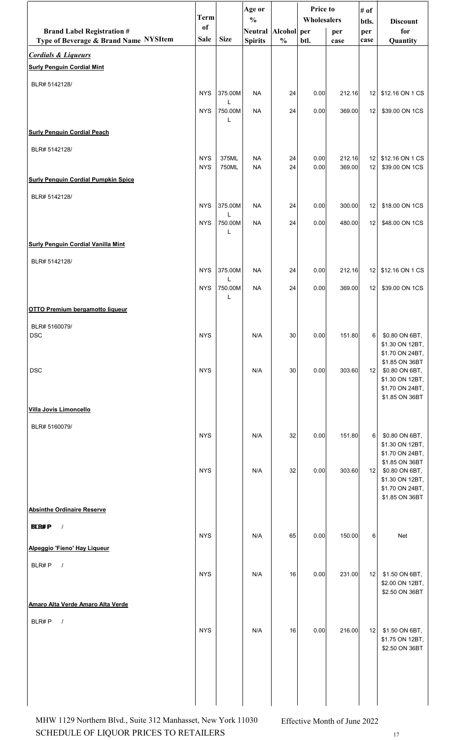|                                                                         | <b>Term</b>   |              | Age or<br>$\frac{0}{0}$ |               | <b>Price to</b><br>Wholesalers |        | # of            | <b>Discount</b>                    |
|-------------------------------------------------------------------------|---------------|--------------|-------------------------|---------------|--------------------------------|--------|-----------------|------------------------------------|
| <b>Brand Label Registration #</b>                                       | <sub>of</sub> |              | Neutral Alcohol per     |               |                                | per    | btls.<br>per    | for                                |
| Type of Beverage & Brand Name NYSItem<br><b>Cordials &amp; Liqueurs</b> | <b>Sale</b>   | <b>Size</b>  | <b>Spirits</b>          | $\frac{0}{0}$ | btl.                           | case   | case            | Quantity                           |
| <b>Surly Penguin Cordial Mint</b>                                       |               |              |                         |               |                                |        |                 |                                    |
| BLR# 5142128/                                                           |               |              |                         |               |                                |        |                 |                                    |
|                                                                         | <b>NYS</b>    | 375.00M<br>L | <b>NA</b>               | 24            | 0.00                           | 212.16 | 12              | \$12.16 ON 1 CS                    |
|                                                                         | <b>NYS</b>    | 750.00M<br>L | <b>NA</b>               | 24            | 0.00                           | 369.00 | 12 <sub>1</sub> | \$39.00 ON 1CS                     |
| <b>Surly Penguin Cordial Peach</b>                                      |               |              |                         |               |                                |        |                 |                                    |
| BLR# 5142128/                                                           | <b>NYS</b>    | 375ML        | <b>NA</b>               | 24            | 0.00                           | 212.16 | 12              | \$12.16 ON 1 CS                    |
|                                                                         | <b>NYS</b>    | 750ML        | <b>NA</b>               | 24            | 0.00                           | 369.00 | 12              | \$39.00 ON 1CS                     |
| <b>Surly Penguin Cordial Pumpkin Spice</b>                              |               |              |                         |               |                                |        |                 |                                    |
| BLR# 5142128/                                                           | <b>NYS</b>    | 375.00M      | <b>NA</b>               | 24            | 0.00                           | 300.00 | 12              | \$18.00 ON 1CS                     |
|                                                                         | <b>NYS</b>    | L<br>750.00M | <b>NA</b>               | 24            | 0.00                           | 480.00 | 12              | \$48.00 ON 1CS                     |
| <b>Surly Penguin Cordial Vanilla Mint</b>                               |               | L            |                         |               |                                |        |                 |                                    |
| BLR# 5142128/                                                           |               |              |                         |               |                                |        |                 |                                    |
|                                                                         | <b>NYS</b>    | 375.00M<br>L | <b>NA</b>               | 24            | 0.00                           | 212.16 | 12 <sub>1</sub> | \$12.16 ON 1 CS                    |
|                                                                         | <b>NYS</b>    | 750.00M<br>L | <b>NA</b>               | 24            | 0.00                           | 369.00 | 12              | \$39.00 ON 1CS                     |
| <b>OTTO Premium bergamotto liqueur</b>                                  |               |              |                         |               |                                |        |                 |                                    |
| BLR# 5160079/<br><b>DSC</b>                                             | <b>NYS</b>    |              | N/A                     | 30            | 0.00                           | 151.80 | 6               | \$0.80 ON 6BT,                     |
|                                                                         |               |              |                         |               |                                |        |                 | \$1.30 ON 12BT,<br>\$1.70 ON 24BT, |
| <b>DSC</b>                                                              | <b>NYS</b>    |              | N/A                     | 30            | 0.00                           | 303.60 | 12 <sub>1</sub> | \$1.85 ON 36BT<br>\$0.80 ON 6BT,   |
|                                                                         |               |              |                         |               |                                |        |                 | \$1.30 ON 12BT,<br>\$1.70 ON 24BT, |
|                                                                         |               |              |                         |               |                                |        |                 | \$1.85 ON 36BT                     |
| Villa Jovis Limoncello                                                  |               |              |                         |               |                                |        |                 |                                    |
| BLR# 5160079/                                                           | <b>NYS</b>    |              | N/A                     | 32            | 0.00                           | 151.80 | 6               | \$0.80 ON 6BT,                     |
|                                                                         |               |              |                         |               |                                |        |                 | \$1.30 ON 12BT,<br>\$1.70 ON 24BT, |
|                                                                         | <b>NYS</b>    |              | N/A                     | 32            | 0.00                           | 303.60 | 12 <sub>1</sub> | \$1.85 ON 36BT<br>\$0.80 ON 6BT,   |
|                                                                         |               |              |                         |               |                                |        |                 | \$1.30 ON 12BT,<br>\$1.70 ON 24BT, |
| <b>Absinthe Ordinaire Reserve</b>                                       |               |              |                         |               |                                |        |                 | \$1.85 ON 36BT                     |
| <b>BLR#P</b><br>$\prime$                                                |               |              |                         |               |                                |        |                 |                                    |
|                                                                         | <b>NYS</b>    |              | N/A                     | 65            | 0.00                           | 150.00 | 6               | Net                                |
| Alpeggio 'Fieno' Hay Liqueur                                            |               |              |                         |               |                                |        |                 |                                    |
| BLR#P<br>$\sqrt{ }$                                                     | <b>NYS</b>    |              | N/A                     | 16            | 0.00                           | 231.00 | 12              | \$1.50 ON 6BT,                     |
|                                                                         |               |              |                         |               |                                |        |                 | \$2.00 ON 12BT,<br>\$2.50 ON 36BT  |
| Amaro Alta Verde Amaro Alta Verde                                       |               |              |                         |               |                                |        |                 |                                    |
| BLR#P<br>$\sqrt{ }$                                                     | <b>NYS</b>    |              | N/A                     | 16            | 0.00                           | 216.00 | 12              | \$1.50 ON 6BT,                     |
|                                                                         |               |              |                         |               |                                |        |                 | \$1.75 ON 12BT,<br>\$2.50 ON 36BT  |
|                                                                         |               |              |                         |               |                                |        |                 |                                    |
|                                                                         |               |              |                         |               |                                |        |                 |                                    |
|                                                                         |               |              |                         |               |                                |        |                 |                                    |
|                                                                         |               |              |                         |               |                                |        |                 |                                    |

SCHEDULE OF LIQUOR PRICES TO RETAILERS  $17$ MHW 1129 Northern Blvd., Suite 312 Manhasset, New York 11030 Effective Month of June 2022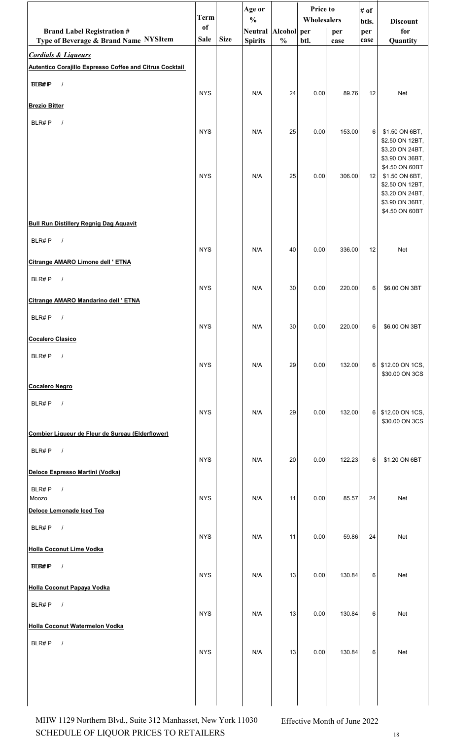|                                                                                           | <b>Term</b>   |             | Age or<br>$\frac{0}{0}$ |               | Price to<br>Wholesalers |        | # of         | <b>Discount</b>                                                                           |
|-------------------------------------------------------------------------------------------|---------------|-------------|-------------------------|---------------|-------------------------|--------|--------------|-------------------------------------------------------------------------------------------|
| <b>Brand Label Registration #</b>                                                         | <sub>of</sub> |             | Neutral Alcohol per     |               |                         | per    | btls.<br>per | for                                                                                       |
| Type of Beverage & Brand Name NYSItem                                                     | <b>Sale</b>   | <b>Size</b> | <b>Spirits</b>          | $\frac{0}{0}$ | btl.                    | case   | case         | Quantity                                                                                  |
| <b>Cordials &amp; Liqueurs</b><br>Autentico Corajillo Espresso Coffee and Citrus Cocktail |               |             |                         |               |                         |        |              |                                                                                           |
| <b>BLB#P</b><br>$\sqrt{ }$                                                                |               |             |                         |               |                         |        |              |                                                                                           |
|                                                                                           | <b>NYS</b>    |             | N/A                     | 24            | 0.00                    | 89.76  | 12           | Net                                                                                       |
| <b>Brezio Bitter</b>                                                                      |               |             |                         |               |                         |        |              |                                                                                           |
| BLR#P<br>$\sqrt{ }$                                                                       | <b>NYS</b>    |             | N/A                     | 25            | 0.00                    | 153.00 | 6            | \$1.50 ON 6BT,                                                                            |
|                                                                                           | <b>NYS</b>    |             | N/A                     | 25            | 0.00                    | 306.00 | 12           | \$2.50 ON 12BT,<br>\$3.20 ON 24BT,<br>\$3.90 ON 36BT,<br>\$4.50 ON 60BT<br>\$1.50 ON 6BT, |
|                                                                                           |               |             |                         |               |                         |        |              | \$2.50 ON 12BT,<br>\$3.20 ON 24BT,<br>\$3.90 ON 36BT,<br>\$4.50 ON 60BT                   |
| <b>Bull Run Distillery Regnig Dag Aquavit</b>                                             |               |             |                         |               |                         |        |              |                                                                                           |
| BLR#P<br>$\sqrt{ }$                                                                       | <b>NYS</b>    |             | N/A                     | 40            | 0.00                    | 336.00 | 12           | Net                                                                                       |
| Citrange AMARO Limone dell ' ETNA                                                         |               |             |                         |               |                         |        |              |                                                                                           |
| BLR#P<br>$\sqrt{ }$                                                                       | <b>NYS</b>    |             | N/A                     | 30            | 0.00                    | 220.00 | 6            | \$6.00 ON 3BT                                                                             |
| Citrange AMARO Mandarino dell ' ETNA                                                      |               |             |                         |               |                         |        |              |                                                                                           |
| BLR#P<br>$\prime$                                                                         | <b>NYS</b>    |             | N/A                     | 30            | 0.00                    | 220.00 | 6            | \$6.00 ON 3BT                                                                             |
| <b>Cocalero Clasico</b>                                                                   |               |             |                         |               |                         |        |              |                                                                                           |
| BLR#P<br>$\sqrt{ }$                                                                       | <b>NYS</b>    |             | N/A                     | 29            | 0.00                    | 132.00 | 6            | \$12.00 ON 1CS,<br>\$30.00 ON 3CS                                                         |
| <b>Cocalero Negro</b>                                                                     |               |             |                         |               |                         |        |              |                                                                                           |
| BLR#P<br>$\sqrt{ }$                                                                       | <b>NYS</b>    |             | N/A                     | 29            | 0.00                    | 132.00 | 6            | \$12.00 ON 1CS,<br>\$30.00 ON 3CS                                                         |
| Combier Liqueur de Fleur de Sureau (Elderflower)                                          |               |             |                         |               |                         |        |              |                                                                                           |
| BLR#P<br>$\sqrt{ }$                                                                       | <b>NYS</b>    |             | N/A                     | 20            | 0.00                    | 122.23 | 6            | \$1.20 ON 6BT                                                                             |
| Deloce Espresso Martini (Vodka)                                                           |               |             |                         |               |                         |        |              |                                                                                           |
| BLR#P<br>$\sqrt{ }$<br>Moozo                                                              | <b>NYS</b>    |             | N/A                     | 11            | 0.00                    | 85.57  | 24           | Net                                                                                       |
| Deloce Lemonade Iced Tea                                                                  |               |             |                         |               |                         |        |              |                                                                                           |
| BLR#P<br>$\sqrt{ }$                                                                       | <b>NYS</b>    |             | N/A                     | 11            | 0.00                    | 59.86  | 24           | <b>Net</b>                                                                                |
| <b>Holla Coconut Lime Vodka</b>                                                           |               |             |                         |               |                         |        |              |                                                                                           |
| $\sqrt{ }$<br><b>BLB#P</b>                                                                | <b>NYS</b>    |             | N/A                     | 13            | 0.00                    | 130.84 | 6            | <b>Net</b>                                                                                |
| <b>Holla Coconut Papaya Vodka</b>                                                         |               |             |                         |               |                         |        |              |                                                                                           |
| BLR#P<br>$\sqrt{ }$                                                                       | <b>NYS</b>    |             | N/A                     | 13            | 0.00                    | 130.84 | 6            | Net                                                                                       |
| Holla Coconut Watermelon Vodka                                                            |               |             |                         |               |                         |        |              |                                                                                           |
| BLR#P<br>$\sqrt{ }$                                                                       | <b>NYS</b>    |             | N/A                     | 13            | 0.00                    | 130.84 | 6            | Net                                                                                       |
|                                                                                           |               |             |                         |               |                         |        |              |                                                                                           |
|                                                                                           |               |             |                         |               |                         |        |              |                                                                                           |

SCHEDULE OF LIQUOR PRICES TO RETAILERS  $18$ MHW 1129 Northern Blvd., Suite 312 Manhasset, New York 11030 Effective Month of June 2022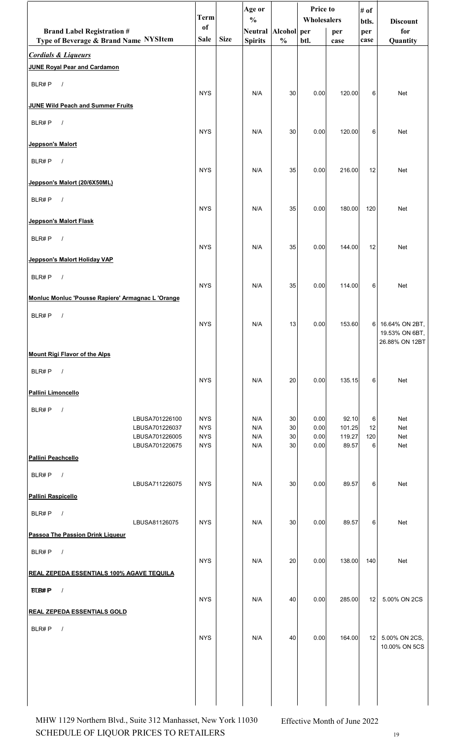|                                                   | <b>Term</b>              |             | Age or                               |               | Price to<br>Wholesalers |                  | # of         |                                  |
|---------------------------------------------------|--------------------------|-------------|--------------------------------------|---------------|-------------------------|------------------|--------------|----------------------------------|
| <b>Brand Label Registration #</b>                 | of                       |             | $\frac{0}{0}$<br>Neutral Alcohol per |               |                         | per              | btls.<br>per | <b>Discount</b><br>for           |
| Type of Beverage & Brand Name NYSItem             | Sale                     | <b>Size</b> | <b>Spirits</b>                       | $\frac{0}{0}$ | btl.                    | case             | case         | Quantity                         |
| <b>Cordials &amp; Liqueurs</b>                    |                          |             |                                      |               |                         |                  |              |                                  |
| <b>JUNE Royal Pear and Cardamon</b>               |                          |             |                                      |               |                         |                  |              |                                  |
| BLR#P<br>$\sqrt{ }$                               |                          |             |                                      |               |                         |                  |              |                                  |
| <b>JUNE Wild Peach and Summer Fruits</b>          | <b>NYS</b>               |             | N/A                                  | 30            | 0.00                    | 120.00           | 6            | Net                              |
|                                                   |                          |             |                                      |               |                         |                  |              |                                  |
| BLR#P<br>$\sqrt{ }$                               | <b>NYS</b>               |             | N/A                                  | 30            | 0.00                    | 120.00           | 6            | Net                              |
| Jeppson's Malort                                  |                          |             |                                      |               |                         |                  |              |                                  |
| BLR#P<br>$\sqrt{ }$                               |                          |             |                                      |               |                         |                  |              |                                  |
| Jeppson's Malort (20/6X50ML)                      | <b>NYS</b>               |             | N/A                                  | 35            | 0.00                    | 216.00           | 12           | Net                              |
|                                                   |                          |             |                                      |               |                         |                  |              |                                  |
| BLR#P<br>$\frac{1}{2}$                            | <b>NYS</b>               |             | N/A                                  | 35            | 0.00                    | 180.00           | 120          | Net                              |
| Jeppson's Malort Flask                            |                          |             |                                      |               |                         |                  |              |                                  |
| BLR#P<br>$\sqrt{ }$                               |                          |             |                                      |               |                         |                  |              |                                  |
|                                                   | <b>NYS</b>               |             | N/A                                  | 35            | 0.00                    | 144.00           | 12           | Net                              |
| Jeppson's Malort Holiday VAP                      |                          |             |                                      |               |                         |                  |              |                                  |
| BLR#P<br>$\sqrt{ }$                               | <b>NYS</b>               |             | N/A                                  | 35            | 0.00                    | 114.00           | 6            | Net                              |
| Monluc Monluc 'Pousse Rapiere' Armagnac L 'Orange |                          |             |                                      |               |                         |                  |              |                                  |
| BLR#P<br>$\prime$                                 |                          |             |                                      |               |                         |                  |              |                                  |
|                                                   | <b>NYS</b>               |             | N/A                                  | 13            | 0.00                    | 153.60           | 6            | 16.64% ON 2BT,<br>19.53% ON 6BT, |
|                                                   |                          |             |                                      |               |                         |                  |              | 26.88% ON 12BT                   |
| <b>Mount Rigi Flavor of the Alps</b>              |                          |             |                                      |               |                         |                  |              |                                  |
| BLR#P<br>$\sqrt{ }$                               |                          |             |                                      |               |                         |                  |              |                                  |
| <b>Pallini Limoncello</b>                         | <b>NYS</b>               |             | N/A                                  | 20            | 0.00                    | 135.15           | 6            | Net                              |
|                                                   |                          |             |                                      |               |                         |                  |              |                                  |
| BLR#P<br>$\sqrt{ }$<br>LBUSA701226100             | <b>NYS</b>               |             | N/A                                  | 30            | 0.00                    | 92.10            | 6            | Net                              |
| LBUSA701226037<br>LBUSA701226005                  | <b>NYS</b><br><b>NYS</b> |             | N/A<br>N/A                           | 30<br>30      | 0.00<br>0.00            | 101.25<br>119.27 | 12<br>120    | Net<br>Net                       |
| LBUSA701220675                                    | <b>NYS</b>               |             | N/A                                  | 30            | 0.00                    | 89.57            | 6            | Net                              |
| Pallini Peachcello                                |                          |             |                                      |               |                         |                  |              |                                  |
| BLR#P<br>$\sqrt{ }$                               |                          |             |                                      |               |                         |                  |              |                                  |
| LBUSA711226075<br>Pallini Raspicello              | <b>NYS</b>               |             | N/A                                  | 30            | 0.00                    | 89.57            | 6            | Net                              |
| BLR#P<br>$\sqrt{ }$                               |                          |             |                                      |               |                         |                  |              |                                  |
| LBUSA81126075                                     | <b>NYS</b>               |             | N/A                                  | 30            | 0.00                    | 89.57            | 6            | Net                              |
| Passoa The Passion Drink Liqueur                  |                          |             |                                      |               |                         |                  |              |                                  |
| BLR#P<br>$\sqrt{ }$                               |                          |             |                                      |               |                         |                  |              |                                  |
| <b>REAL ZEPEDA ESSENTIALS 100% AGAVE TEQUILA</b>  | <b>NYS</b>               |             | N/A                                  | 20            | 0.00                    | 138.00           | 140          | Net                              |
| <b>BLB#P</b>                                      |                          |             |                                      |               |                         |                  |              |                                  |
| $\sqrt{2}$                                        | <b>NYS</b>               |             | N/A                                  | 40            | 0.00                    | 285.00           | 12           | 5.00% ON 2CS                     |
| <u>REAL ZEPEDA ESSENTIALS GOLD</u>                |                          |             |                                      |               |                         |                  |              |                                  |
| BLR#P<br>$\sqrt{ }$                               |                          |             |                                      |               |                         |                  |              |                                  |
|                                                   | <b>NYS</b>               |             | N/A                                  | 40            | 0.00                    | 164.00           | 12           | 5.00% ON 2CS,<br>10.00% ON 5CS   |
|                                                   |                          |             |                                      |               |                         |                  |              |                                  |
|                                                   |                          |             |                                      |               |                         |                  |              |                                  |
|                                                   |                          |             |                                      |               |                         |                  |              |                                  |
|                                                   |                          |             |                                      |               |                         |                  |              |                                  |

SCHEDULE OF LIQUOR PRICES TO RETAILERS 19 MHW 1129 Northern Blvd., Suite 312 Manhasset, New York 11030 Effective Month of June 2022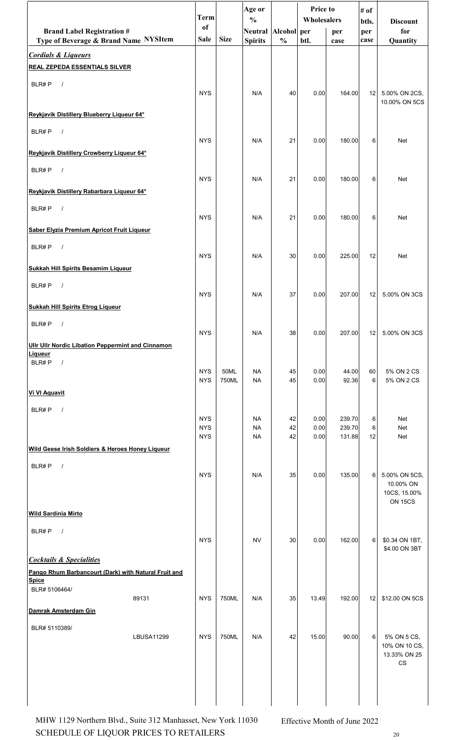|                                                          | <b>Term</b>              |               | Age or                               |               | Price to<br>Wholesalers |                  | # of         |                               |
|----------------------------------------------------------|--------------------------|---------------|--------------------------------------|---------------|-------------------------|------------------|--------------|-------------------------------|
| <b>Brand Label Registration #</b>                        | of                       |               | $\frac{0}{0}$<br>Neutral Alcohol per |               |                         | per              | btls.<br>per | <b>Discount</b><br>for        |
| Type of Beverage & Brand Name NYSItem                    | Sale                     | <b>Size</b>   | <b>Spirits</b>                       | $\frac{0}{0}$ | btl.                    | case             | case         | Quantity                      |
| <b>Cordials &amp; Liqueurs</b>                           |                          |               |                                      |               |                         |                  |              |                               |
| <b>REAL ZEPEDA ESSENTIALS SILVER</b>                     |                          |               |                                      |               |                         |                  |              |                               |
| BLR#P<br>$\sqrt{ }$                                      | <b>NYS</b>               |               | N/A                                  | 40            | 0.00                    | 164.00           | 12           | 5.00% ON 2CS,                 |
| Reykjavik Distillery Blueberry Liqueur 64°               |                          |               |                                      |               |                         |                  |              | 10.00% ON 5CS                 |
|                                                          |                          |               |                                      |               |                         |                  |              |                               |
| BLR#P<br>$\sqrt{ }$                                      | <b>NYS</b>               |               | N/A                                  | 21            | 0.00                    | 180.00           | 6            | Net                           |
| Reykjavik Distillery Crowberry Liqueur 64°               |                          |               |                                      |               |                         |                  |              |                               |
| BLR#P<br>$\sqrt{ }$                                      | <b>NYS</b>               |               | N/A                                  | 21            | 0.00                    | 180.00           | 6            | <b>Net</b>                    |
| Reykjavik Distillery Rabarbara Liqueur 64°               |                          |               |                                      |               |                         |                  |              |                               |
| BLR#P<br>$\sqrt{ }$                                      |                          |               |                                      |               |                         |                  |              |                               |
|                                                          | <b>NYS</b>               |               | N/A                                  | 21            | 0.00                    | 180.00           | 6            | Net                           |
| Saber Elyzia Premium Apricot Fruit Liqueur               |                          |               |                                      |               |                         |                  |              |                               |
| BLR#P<br>$\sqrt{ }$                                      | <b>NYS</b>               |               | N/A                                  | 30            | 0.00                    | 225.00           | 12           | <b>Net</b>                    |
| <b>Sukkah Hill Spirits Besamim Liqueur</b>               |                          |               |                                      |               |                         |                  |              |                               |
| $\sqrt{ }$<br>BLR#P                                      |                          |               |                                      |               |                         |                  |              |                               |
|                                                          | <b>NYS</b>               |               | N/A                                  | 37            | 0.00                    | 207.00           | 12           | 5.00% ON 3CS                  |
| <b>Sukkah Hill Spirits Etrog Liqueur</b>                 |                          |               |                                      |               |                         |                  |              |                               |
| BLR#P<br>$\sqrt{ }$                                      | <b>NYS</b>               |               | N/A                                  | 38            | 0.00                    | 207.00           | 12           | 5.00% ON 3CS                  |
| <b>Ullr Ullr Nordic Libation Peppermint and Cinnamon</b> |                          |               |                                      |               |                         |                  |              |                               |
| <b>Liqueur</b><br>BLR#P<br>$\sqrt{ }$                    |                          |               |                                      |               |                         |                  |              |                               |
|                                                          | <b>NYS</b><br><b>NYS</b> | 50ML<br>750ML | <b>NA</b><br><b>NA</b>               | 45<br>45      | 0.00<br>0.00            | 44.00<br>92.36   | 60<br>6      | 5% ON 2 CS<br>5% ON 2 CS      |
| <b>Vi VI Aquavit</b>                                     |                          |               |                                      |               |                         |                  |              |                               |
| BLR#P<br>$\sqrt{ }$                                      |                          |               |                                      |               |                         |                  |              |                               |
|                                                          | <b>NYS</b><br><b>NYS</b> |               | <b>NA</b><br><b>NA</b>               | 42<br>42      | 0.00<br>0.00            | 239.70<br>239.70 | 6<br>6       | Net<br>Net                    |
| Wild Geese Irish Soldiers & Heroes Honey Liqueur         | <b>NYS</b>               |               | <b>NA</b>                            | 42            | 0.00                    | 131.88           | 12           | Net                           |
|                                                          |                          |               |                                      |               |                         |                  |              |                               |
| BLR#P<br>$\sqrt{ }$                                      | <b>NYS</b>               |               | N/A                                  | 35            | 0.00                    | 135.00           | 6            | 5.00% ON 5CS,                 |
|                                                          |                          |               |                                      |               |                         |                  |              | 10.00% ON<br>10CS, 15.00%     |
|                                                          |                          |               |                                      |               |                         |                  |              | ON 15CS                       |
| <b>Wild Sardinia Mirto</b>                               |                          |               |                                      |               |                         |                  |              |                               |
| BLR#P<br>$\sqrt{ }$                                      | <b>NYS</b>               |               | <b>NV</b>                            | 30            | 0.00                    | 162.00           | 6            | \$0.34 ON 1BT,                |
| <b>Cocktails &amp; Specialities</b>                      |                          |               |                                      |               |                         |                  |              | \$4.00 ON 3BT                 |
| Pango Rhum Barbancourt (Dark) with Natural Fruit and     |                          |               |                                      |               |                         |                  |              |                               |
| <b>Spice</b><br>BLR# 5106464/                            |                          |               |                                      |               |                         |                  |              |                               |
| 89131                                                    | <b>NYS</b>               | 750ML         | N/A                                  | 35            | 13.49                   | 192.00           | 12           | \$12.00 ON 5CS                |
| Damrak Amsterdam Gin                                     |                          |               |                                      |               |                         |                  |              |                               |
| BLR# 5110389/<br><b>LBUSA11299</b>                       | <b>NYS</b>               | 750ML         | N/A                                  | 42            | 15.00                   | 90.00            | 6            | 5% ON 5 CS,                   |
|                                                          |                          |               |                                      |               |                         |                  |              | 10% ON 10 CS,<br>13.33% ON 25 |
|                                                          |                          |               |                                      |               |                         |                  |              | $_{\rm CS}$                   |
|                                                          |                          |               |                                      |               |                         |                  |              |                               |
|                                                          |                          |               |                                      |               |                         |                  |              |                               |

SCHEDULE OF LIQUOR PRICES TO RETAILERS  $_{20}$ MHW 1129 Northern Blvd., Suite 312 Manhasset, New York 11030 Effective Month of June 2022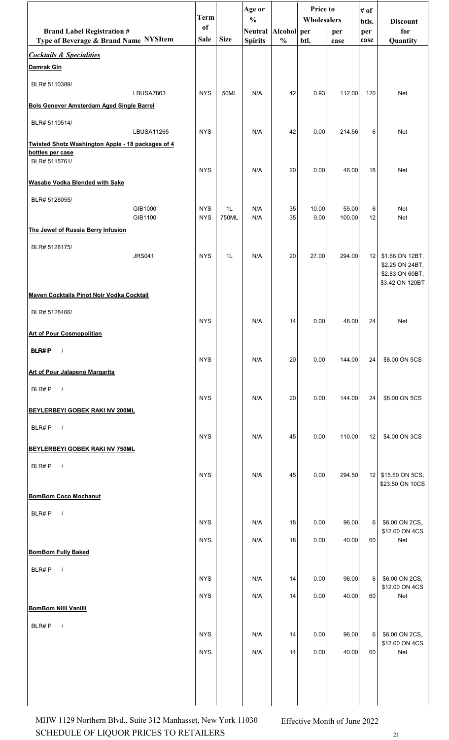|                                                                       | <b>Term</b> |             | Age or<br>$\frac{0}{0}$ |               | <b>Price to</b><br>Wholesalers |        | # of         | <b>Discount</b>                    |
|-----------------------------------------------------------------------|-------------|-------------|-------------------------|---------------|--------------------------------|--------|--------------|------------------------------------|
| <b>Brand Label Registration #</b>                                     | of          |             | Neutral Alcohol per     |               |                                | per    | btls.<br>per | for                                |
| Type of Beverage & Brand Name NYSItem                                 | <b>Sale</b> | <b>Size</b> | <b>Spirits</b>          | $\frac{0}{0}$ | btl.                           | case   | case         | Quantity                           |
| <b>Cocktails &amp; Specialities</b><br>Damrak Gin                     |             |             |                         |               |                                |        |              |                                    |
| BLR# 5110389/<br>LBUSA7863                                            | <b>NYS</b>  | 50ML        | N/A                     | 42            | 0.93                           | 112.00 | 120          | Net                                |
| <b>Bols Genever Amsterdam Aged Single Barrel</b>                      |             |             |                         |               |                                |        |              |                                    |
| BLR# 5110514/                                                         |             |             |                         |               |                                |        |              |                                    |
| <b>LBUSA11265</b>                                                     | <b>NYS</b>  |             | N/A                     | 42            | 0.00                           | 214.56 | 6            | Net                                |
| Twisted Shotz Washington Apple - 18 packages of 4<br>bottles per case |             |             |                         |               |                                |        |              |                                    |
| BLR# 5115761/                                                         |             |             |                         |               |                                |        |              |                                    |
| <b>Wasabe Vodka Blended with Sake</b>                                 | <b>NYS</b>  |             | N/A                     | 20            | 0.00                           | 46.00  | 18           | Net                                |
|                                                                       |             |             |                         |               |                                |        |              |                                    |
| BLR# 5126055/<br>GIB1000                                              | <b>NYS</b>  | 1L          | N/A                     | 35            | 10.00                          | 55.00  | 6            | <b>Net</b>                         |
| GIB1100                                                               | <b>NYS</b>  | 750ML       | N/A                     | 35            | 9.00                           | 100.00 | 12           | Net                                |
| The Jewel of Russia Berry Infusion                                    |             |             |                         |               |                                |        |              |                                    |
| BLR# 5128175/<br><b>JRS041</b>                                        | <b>NYS</b>  | 1L          | N/A                     | 20            | 27.00                          | 294.00 | 12           | \$1.66 ON 12BT,                    |
|                                                                       |             |             |                         |               |                                |        |              | \$2.25 ON 24BT,                    |
|                                                                       |             |             |                         |               |                                |        |              | \$2.83 ON 60BT,<br>\$3.42 ON 120BT |
| Maven Cocktails Pinot Noir Vodka Cocktail                             |             |             |                         |               |                                |        |              |                                    |
| BLR# 5128466/                                                         |             |             |                         |               |                                |        |              |                                    |
|                                                                       | <b>NYS</b>  |             | N/A                     | 14            | 0.00                           | 48.00  | 24           | Net                                |
| <b>Art of Pour Cosmopolitian</b>                                      |             |             |                         |               |                                |        |              |                                    |
| <b>BLR#P</b><br>$\sqrt{ }$                                            | <b>NYS</b>  |             | N/A                     | 20            | 0.00                           | 144.00 | 24           | \$8.00 ON 5CS                      |
| <b>Art of Pour Jalapeno Margarita</b>                                 |             |             |                         |               |                                |        |              |                                    |
| BLR#P<br>$\sqrt{ }$                                                   |             |             |                         |               |                                |        |              |                                    |
|                                                                       | <b>NYS</b>  |             | N/A                     | 20            | 0.00                           | 144.00 | 24           | \$8.00 ON 5CS                      |
| BEYLERBEYI GOBEK RAKI NV 200ML                                        |             |             |                         |               |                                |        |              |                                    |
| BLR#P<br>$\sqrt{ }$                                                   | <b>NYS</b>  |             | N/A                     | 45            | 0.00                           | 110.00 | 12           | \$4.00 ON 3CS                      |
| BEYLERBEYI GOBEK RAKI NV 750ML                                        |             |             |                         |               |                                |        |              |                                    |
| BLR#P<br>$\sqrt{ }$                                                   |             |             |                         |               |                                |        |              |                                    |
|                                                                       | <b>NYS</b>  |             | N/A                     | 45            | 0.00                           | 294.50 | 12           | \$15.50 ON 5CS,                    |
| <b>BomBom Coco Mochanut</b>                                           |             |             |                         |               |                                |        |              | \$23.50 ON 10CS                    |
|                                                                       |             |             |                         |               |                                |        |              |                                    |
| BLR#P<br>$\sqrt{ }$                                                   | <b>NYS</b>  |             | N/A                     | 18            | 0.00                           | 96.00  | 6            | \$6.00 ON 2CS,                     |
|                                                                       | <b>NYS</b>  |             | N/A                     | 18            | 0.00                           | 40.00  | 60           | \$12.00 ON 4CS<br>Net              |
| <b>BomBom Fully Baked</b>                                             |             |             |                         |               |                                |        |              |                                    |
| BLR#P<br>$\sqrt{ }$                                                   |             |             |                         |               |                                |        |              |                                    |
|                                                                       | <b>NYS</b>  |             | N/A                     | 14            | 0.00                           | 96.00  | 6            | \$6.00 ON 2CS,                     |
|                                                                       | <b>NYS</b>  |             | N/A                     | 14            | 0.00                           | 40.00  | 60           | \$12.00 ON 4CS<br>Net              |
| <b>BomBom Nilli Vanilli</b>                                           |             |             |                         |               |                                |        |              |                                    |
| BLR#P<br>$\frac{1}{2}$                                                |             |             |                         |               |                                |        |              |                                    |
|                                                                       | <b>NYS</b>  |             | N/A                     | 14            | 0.00                           | 96.00  | 6            | \$6.00 ON 2CS,<br>\$12.00 ON 4CS   |
|                                                                       | <b>NYS</b>  |             | N/A                     | 14            | 0.00                           | 40.00  | 60           | Net                                |
|                                                                       |             |             |                         |               |                                |        |              |                                    |
|                                                                       |             |             |                         |               |                                |        |              |                                    |
|                                                                       |             |             |                         |               |                                |        |              |                                    |

SCHEDULE OF LIQUOR PRICES TO RETAILERS  $21$ MHW 1129 Northern Blvd., Suite 312 Manhasset, New York 11030 Effective Month of June 2022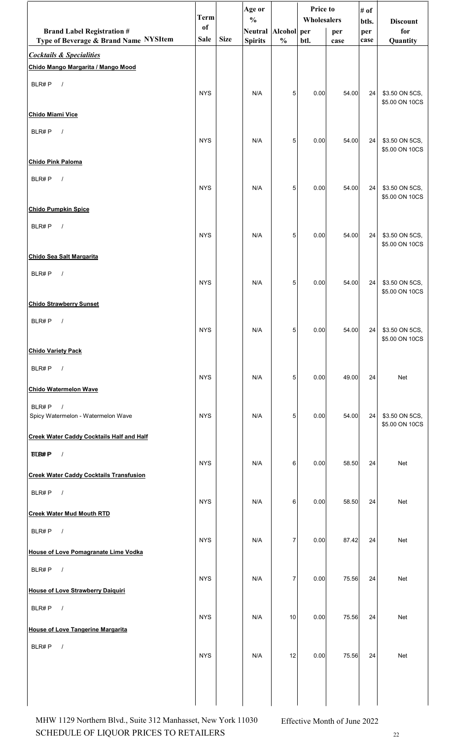|                                                                              | <b>Term</b> |             | Age or<br>$\frac{0}{0}$ |               | Price to<br>Wholesalers |                                                                                                                                                                                                                                                                                                                                       | # of<br>btls. | <b>Discount</b>                     |
|------------------------------------------------------------------------------|-------------|-------------|-------------------------|---------------|-------------------------|---------------------------------------------------------------------------------------------------------------------------------------------------------------------------------------------------------------------------------------------------------------------------------------------------------------------------------------|---------------|-------------------------------------|
| <b>Brand Label Registration #</b>                                            | of          | <b>Size</b> | Neutral Alcohol per     |               |                         | per                                                                                                                                                                                                                                                                                                                                   | per           | for                                 |
| Type of Beverage & Brand Name NYSItem<br><b>Cocktails &amp; Specialities</b> | <b>Sale</b> |             | <b>Spirits</b>          | $\frac{0}{0}$ | btl.                    | case                                                                                                                                                                                                                                                                                                                                  | case          | Quantity                            |
| Chido Mango Margarita / Mango Mood                                           |             |             |                         |               |                         |                                                                                                                                                                                                                                                                                                                                       |               |                                     |
| BLR#P<br>$\sqrt{ }$                                                          | <b>NYS</b>  |             | N/A                     | 5             | 0.00                    | 54.00                                                                                                                                                                                                                                                                                                                                 | 24            | \$3.50 ON 5CS,<br>\$5.00 ON 10CS    |
| <b>Chido Miami Vice</b>                                                      |             |             |                         |               |                         |                                                                                                                                                                                                                                                                                                                                       |               |                                     |
| BLR#P<br>$\sqrt{ }$                                                          | <b>NYS</b>  |             | N/A                     | 5             | 0.00                    | 54.00                                                                                                                                                                                                                                                                                                                                 | 24            | \$3.50 ON 5CS,<br>\$5.00 ON 10CS    |
| Chido Pink Paloma                                                            |             |             |                         |               |                         |                                                                                                                                                                                                                                                                                                                                       |               |                                     |
| BLR#P<br>$\sqrt{ }$                                                          | <b>NYS</b>  |             | N/A                     | 5             | 0.00                    | 54.00                                                                                                                                                                                                                                                                                                                                 | 24            | \$3.50 ON 5CS,<br>\$5.00 ON 10CS    |
| <b>Chido Pumpkin Spice</b>                                                   |             |             |                         |               |                         |                                                                                                                                                                                                                                                                                                                                       |               |                                     |
| BLR#P<br>$\sqrt{ }$                                                          | <b>NYS</b>  |             | N/A                     | 5             | 0.00                    | 54.00                                                                                                                                                                                                                                                                                                                                 | 24            | \$3.50 ON 5CS,<br>\$5.00 ON 10CS    |
| <b>Chido Sea Salt Margarita</b>                                              |             |             |                         |               |                         |                                                                                                                                                                                                                                                                                                                                       |               |                                     |
| BLR#P<br>$\sqrt{ }$                                                          | <b>NYS</b>  |             | N/A                     | 5             | 0.00                    | 54.00                                                                                                                                                                                                                                                                                                                                 | 24            | \$3.50 ON 5CS,<br>\$5.00 ON 10CS    |
| <b>Chido Strawberry Sunset</b>                                               |             |             |                         |               |                         |                                                                                                                                                                                                                                                                                                                                       |               |                                     |
| BLR#P<br>$\sqrt{ }$                                                          | <b>NYS</b>  |             | N/A                     | 5             | 0.00                    | 54.00                                                                                                                                                                                                                                                                                                                                 |               | 24 \$3.50 ON 5CS,<br>\$5.00 ON 10CS |
| <b>Chido Variety Pack</b>                                                    |             |             |                         |               |                         |                                                                                                                                                                                                                                                                                                                                       |               |                                     |
| BLR#P<br>$\sqrt{ }$                                                          | <b>NYS</b>  |             | N/A                     | 5             | 0.00                    | 49.00                                                                                                                                                                                                                                                                                                                                 | 24            | Net                                 |
| <b>Chido Watermelon Wave</b>                                                 |             |             |                         |               |                         |                                                                                                                                                                                                                                                                                                                                       |               |                                     |
| BLR#P<br>$\frac{1}{2}$<br>Spicy Watermelon - Watermelon Wave                 | <b>NYS</b>  |             | N/A                     | 5             | 0.00                    | 54.00                                                                                                                                                                                                                                                                                                                                 | 24            | \$3.50 ON 5CS,<br>\$5.00 ON 10CS    |
| <b>Creek Water Caddy Cocktails Half and Half</b>                             |             |             |                         |               |                         |                                                                                                                                                                                                                                                                                                                                       |               |                                     |
| <b>BLB#P</b><br>$\sqrt{ }$                                                   | <b>NYS</b>  |             | N/A                     | 6             | 0.00                    | 58.50                                                                                                                                                                                                                                                                                                                                 | 24            | Net                                 |
| <b>Creek Water Caddy Cocktails Transfusion</b>                               |             |             |                         |               |                         |                                                                                                                                                                                                                                                                                                                                       |               |                                     |
| $\sqrt{ }$<br>BLR#P                                                          | <b>NYS</b>  |             | N/A                     | 6             | 0.00                    | 58.50                                                                                                                                                                                                                                                                                                                                 | 24            | Net                                 |
| <b>Creek Water Mud Mouth RTD</b>                                             |             |             |                         |               |                         |                                                                                                                                                                                                                                                                                                                                       |               |                                     |
| BLR#P<br>$\sqrt{ }$                                                          | <b>NYS</b>  |             | N/A                     | 7             | 0.00                    | 87.42                                                                                                                                                                                                                                                                                                                                 | 24            | Net                                 |
| <b>House of Love Pomagranate Lime Vodka</b>                                  |             |             |                         |               |                         |                                                                                                                                                                                                                                                                                                                                       |               |                                     |
| BLR#P<br>$\sqrt{ }$                                                          | <b>NYS</b>  |             | N/A                     | 7             | 0.00                    | 75.56                                                                                                                                                                                                                                                                                                                                 | 24            | Net                                 |
| <b>House of Love Strawberry Daiquiri</b>                                     |             |             |                         |               |                         |                                                                                                                                                                                                                                                                                                                                       |               |                                     |
| BLR#P $/$                                                                    | <b>NYS</b>  |             | N/A                     | 10            | 0.00                    | 75.56                                                                                                                                                                                                                                                                                                                                 | 24            | Net                                 |
| <b>House of Love Tangerine Margarita</b>                                     |             |             |                         |               |                         |                                                                                                                                                                                                                                                                                                                                       |               |                                     |
| BLR#P<br>$\sqrt{ }$                                                          | <b>NYS</b>  |             | N/A                     | 12            | 0.00                    | 75.56                                                                                                                                                                                                                                                                                                                                 | 24            | Net                                 |
|                                                                              |             |             |                         |               |                         |                                                                                                                                                                                                                                                                                                                                       |               |                                     |
|                                                                              |             |             |                         |               |                         | $\begin{bmatrix} 0 & 1 & 0 \\ 0 & 0 & 0 \\ 0 & 0 & 0 \\ 0 & 0 & 0 \\ 0 & 0 & 0 \\ 0 & 0 & 0 \\ 0 & 0 & 0 \\ 0 & 0 & 0 \\ 0 & 0 & 0 \\ 0 & 0 & 0 \\ 0 & 0 & 0 \\ 0 & 0 & 0 \\ 0 & 0 & 0 \\ 0 & 0 & 0 \\ 0 & 0 & 0 \\ 0 & 0 & 0 \\ 0 & 0 & 0 \\ 0 & 0 & 0 \\ 0 & 0 & 0 \\ 0 & 0 & 0 \\ 0 & 0 & 0 \\ 0 & 0 & 0 \\ 0 & 0 & 0 \\ 0 & 0 & $ |               |                                     |

SCHEDULE OF LIQUOR PRICES TO RETAILERS 22 MHW 1129 Northern Blvd., Suite 312 Manhasset, New York 11030 Effective Month of June 2022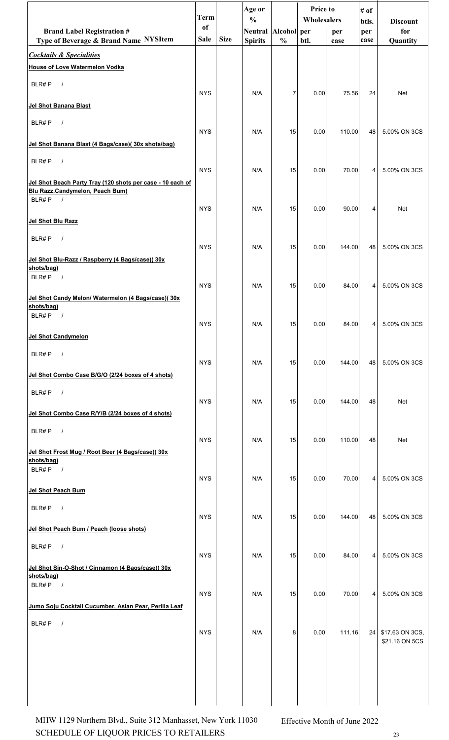|                                                                                                                           | <b>Term</b>       |             | Age or<br>$\frac{0}{0}$               |                | <b>Price to</b><br><b>Wholesalers</b> |             | # of<br>btls. | <b>Discount</b> |
|---------------------------------------------------------------------------------------------------------------------------|-------------------|-------------|---------------------------------------|----------------|---------------------------------------|-------------|---------------|-----------------|
| <b>Brand Label Registration #</b><br>Type of Beverage & Brand Name NYSItem                                                | of<br><b>Sale</b> | <b>Size</b> | Neutral Alcohol per<br><b>Spirits</b> | $\frac{0}{0}$  | btl.                                  | per<br>case | per<br>case   | for<br>Quantity |
| <b>Cocktails &amp; Specialities</b>                                                                                       |                   |             |                                       |                |                                       |             |               |                 |
| <b>House of Love Watermelon Vodka</b>                                                                                     |                   |             |                                       |                |                                       |             |               |                 |
| BLR#P<br>$\sqrt{ }$                                                                                                       | <b>NYS</b>        |             | N/A                                   | $\overline{7}$ | 0.00                                  | 75.56       | 24            | <b>Net</b>      |
| Jel Shot Banana Blast                                                                                                     |                   |             |                                       |                |                                       |             |               |                 |
| BLR#P<br>$\sqrt{ }$                                                                                                       | <b>NYS</b>        |             | N/A                                   | 15             | 0.00                                  | 110.00      | 48            | 5.00% ON 3CS    |
| Jel Shot Banana Blast (4 Bags/case)(30x shots/bag)                                                                        |                   |             |                                       |                |                                       |             |               |                 |
| BLR#P<br>$\sqrt{ }$                                                                                                       | <b>NYS</b>        |             | N/A                                   | 15             | 0.00                                  | 70.00       | 4             | 5.00% ON 3CS    |
| Jel Shot Beach Party Tray (120 shots per case - 10 each of<br>Blu Razz, Candymelon, Peach Bum)<br>BLR#P<br>$\overline{1}$ |                   |             |                                       |                |                                       |             |               |                 |
| Jel Shot Blu Razz                                                                                                         | <b>NYS</b>        |             | N/A                                   | 15             | 0.00                                  | 90.00       | 4             | Net             |
| BLR#P<br>$\sqrt{ }$                                                                                                       |                   |             |                                       |                |                                       |             |               |                 |
| Jel Shot Blu-Razz / Raspberry (4 Bags/case)(30x                                                                           | <b>NYS</b>        |             | N/A                                   | 15             | 0.00                                  | 144.00      | 48            | 5.00% ON 3CS    |
| shots/bag)<br>BLR#P<br>$\overline{\phantom{a}}$                                                                           | <b>NYS</b>        |             | N/A                                   | 15             | 0.00                                  | 84.00       | 4             | 5.00% ON 3CS    |
| Jel Shot Candy Melon/ Watermelon (4 Bags/case)(30x<br>shots/bag)                                                          |                   |             |                                       |                |                                       |             |               |                 |
| BLR#P<br>$\sqrt{ }$                                                                                                       | <b>NYS</b>        |             | N/A                                   | 15             | 0.00                                  | 84.00       | 4             | 5.00% ON 3CS    |
| <b>Jel Shot Candymelon</b>                                                                                                |                   |             |                                       |                |                                       |             |               |                 |
| $\sqrt{ }$<br>BLR#P                                                                                                       | <b>NYS</b>        |             | N/A                                   | 15             | 0.00                                  | 144.00      | 48            | 5.00% ON 3CS    |
| Jel Shot Combo Case B/G/O (2/24 boxes of 4 shots)                                                                         |                   |             |                                       |                |                                       |             |               |                 |
| BLR#P<br>$\sqrt{ }$                                                                                                       | <b>NYS</b>        |             | N/A                                   | 15             | 0.00                                  | 144.00      | 48            | Net             |
| Jel Shot Combo Case R/Y/B (2/24 boxes of 4 shots)                                                                         |                   |             |                                       |                |                                       |             |               |                 |
| BLR#P<br>$\sqrt{ }$                                                                                                       | <b>NYS</b>        |             | N/A                                   | 15             | 0.00                                  | 110.00      | 48            | <b>Net</b>      |
| Jel Shot Frost Mug / Root Beer (4 Bags/case)(30x<br>shots/bag)                                                            |                   |             |                                       |                |                                       |             |               |                 |
| BLR#P $/$                                                                                                                 | <b>NYS</b>        |             | N/A                                   | 15             | 0.00                                  | 70.00       | 4             | 5.00% ON 3CS    |
| Jel Shot Peach Bum                                                                                                        |                   |             |                                       |                |                                       |             |               |                 |
| BLR#P<br>$\sqrt{ }$                                                                                                       | <b>NYS</b>        |             | N/A                                   | 15             | 0.00                                  | 144.00      | 48            | 5.00% ON 3CS    |
| Jel Shot Peach Bum / Peach (loose shots)                                                                                  |                   |             |                                       |                |                                       |             |               |                 |
| BLR#P $/$                                                                                                                 | <b>NYS</b>        |             | N/A                                   | 15             | 0.00                                  | 84.00       | 4             | 5.00% ON 3CS    |
| Jel Shot Sin-O-Shot / Cinnamon (4 Bags/case)(30x                                                                          |                   |             |                                       |                |                                       |             |               |                 |
| shots/bag)<br>$\sqrt{ }$<br>BLR#P                                                                                         |                   |             |                                       |                |                                       |             |               | 5.00% ON 3CS    |
| Jumo Soju Cocktail Cucumber, Asian Pear, Perilla Leaf                                                                     | <b>NYS</b>        |             | N/A                                   | 15             | 0.00                                  | 70.00       | 4             |                 |
| BLR#P<br>$\sqrt{ }$                                                                                                       | <b>NYS</b>        |             | N/A                                   | 8              | 0.00                                  | 111.16      | 24            | \$17.63 ON 3CS, |
|                                                                                                                           |                   |             |                                       |                |                                       |             |               | \$21.16 ON 5CS  |
|                                                                                                                           |                   |             |                                       |                |                                       |             |               |                 |
|                                                                                                                           |                   |             |                                       |                |                                       |             |               |                 |
|                                                                                                                           |                   |             |                                       |                |                                       |             |               |                 |

SCHEDULE OF LIQUOR PRICES TO RETAILERS 23 MHW 1129 Northern Blvd., Suite 312 Manhasset, New York 11030 Effective Month of June 2022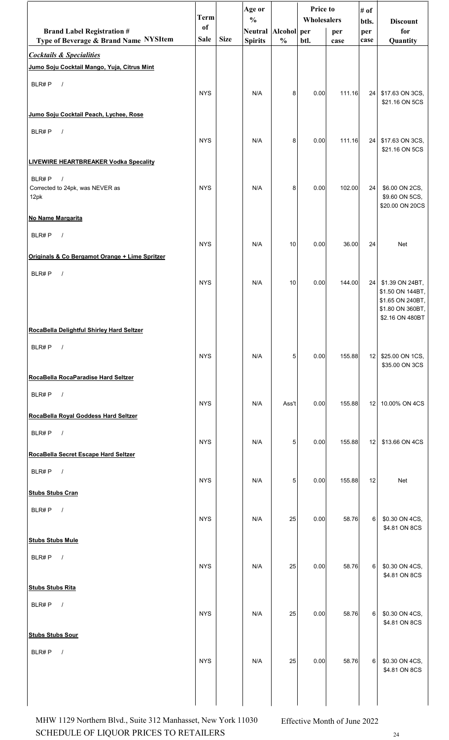|                                                                                    | <b>Term</b> |             | Age or<br>$\frac{0}{0}$ |               | Price to<br>Wholesalers |        | # of         |                                                                                |
|------------------------------------------------------------------------------------|-------------|-------------|-------------------------|---------------|-------------------------|--------|--------------|--------------------------------------------------------------------------------|
| <b>Brand Label Registration #</b>                                                  | of          |             | Neutral Alcohol per     |               |                         | per    | btls.<br>per | <b>Discount</b><br>for                                                         |
| Type of Beverage & Brand Name NYSItem                                              | <b>Sale</b> | <b>Size</b> | <b>Spirits</b>          | $\frac{0}{0}$ | btl.                    | case   | case         | Quantity                                                                       |
| <b>Cocktails &amp; Specialities</b><br>Jumo Soju Cocktail Mango, Yuja, Citrus Mint |             |             |                         |               |                         |        |              |                                                                                |
| BLR#P<br>$\sqrt{ }$                                                                |             |             |                         |               |                         |        |              |                                                                                |
|                                                                                    | <b>NYS</b>  |             | N/A                     | 8             | 0.00                    | 111.16 | 24           | \$17.63 ON 3CS,<br>\$21.16 ON 5CS                                              |
| Jumo Soju Cocktail Peach, Lychee, Rose                                             |             |             |                         |               |                         |        |              |                                                                                |
| BLR#P<br>$\sqrt{ }$                                                                | <b>NYS</b>  |             | N/A                     | 8             | 0.00                    | 111.16 |              | 24 \$17.63 ON 3CS,<br>\$21.16 ON 5CS                                           |
| <b>LIVEWIRE HEARTBREAKER Vodka Specality</b>                                       |             |             |                         |               |                         |        |              |                                                                                |
| BLR#P<br>$\sqrt{ }$<br>Corrected to 24pk, was NEVER as<br>12pk                     | <b>NYS</b>  |             | N/A                     | 8             | 0.00                    | 102.00 | 24           | \$6.00 ON 2CS,<br>\$9.60 ON 5CS,<br>\$20.00 ON 20CS                            |
| No Name Margarita                                                                  |             |             |                         |               |                         |        |              |                                                                                |
| BLR#P<br>$\sqrt{ }$                                                                | <b>NYS</b>  |             | N/A                     | 10            | 0.00                    | 36.00  | 24           | Net                                                                            |
| Originals & Co Bergamot Orange + Lime Spritzer                                     |             |             |                         |               |                         |        |              |                                                                                |
| BLR#P<br>$\sqrt{ }$                                                                | <b>NYS</b>  |             | N/A                     | 10            | 0.00                    | 144.00 |              | 24 \$1.39 ON 24BT,<br>\$1.50 ON 144BT,<br>\$1.65 ON 240BT,<br>\$1.80 ON 360BT, |
| RocaBella Delightful Shirley Hard Seltzer                                          |             |             |                         |               |                         |        |              | \$2.16 ON 480BT                                                                |
|                                                                                    |             |             |                         |               |                         |        |              |                                                                                |
| BLR#P<br>$\sqrt{ }$                                                                | <b>NYS</b>  |             | N/A                     | 5             | 0.00                    | 155.88 |              | 12 \$25.00 ON 1CS,<br>\$35.00 ON 3CS                                           |
| RocaBella RocaParadise Hard Seltzer                                                |             |             |                         |               |                         |        |              |                                                                                |
| BLR#P<br>$\sqrt{ }$                                                                | <b>NYS</b>  |             | N/A                     | Ass't         | 0.00                    | 155.88 | 12           | 10.00% ON 4CS                                                                  |
| RocaBella Royal Goddess Hard Seltzer                                               |             |             |                         |               |                         |        |              |                                                                                |
| BLR#P $/$                                                                          | <b>NYS</b>  |             | N/A                     | 5             | 0.00                    | 155.88 | 12           | \$13.66 ON 4CS                                                                 |
| RocaBella Secret Escape Hard Seltzer                                               |             |             |                         |               |                         |        |              |                                                                                |
| BLR#P<br>$\overline{\phantom{a}}$                                                  | <b>NYS</b>  |             | N/A                     | 5             | 0.00                    | 155.88 | 12           | Net                                                                            |
| <b>Stubs Stubs Cran</b>                                                            |             |             |                         |               |                         |        |              |                                                                                |
| BLR#P<br>$\sqrt{ }$                                                                | <b>NYS</b>  |             | N/A                     | 25            | 0.00                    | 58.76  | 6            | \$0.30 ON 4CS,<br>\$4.81 ON 8CS                                                |
| <b>Stubs Stubs Mule</b>                                                            |             |             |                         |               |                         |        |              |                                                                                |
| BLR#P $/$                                                                          | <b>NYS</b>  |             | N/A                     | 25            | 0.00                    | 58.76  | 6            | \$0.30 ON 4CS,<br>\$4.81 ON 8CS                                                |
| <b>Stubs Stubs Rita</b>                                                            |             |             |                         |               |                         |        |              |                                                                                |
| BLR#P<br>$\sqrt{ }$                                                                | <b>NYS</b>  |             | N/A                     | 25            | 0.00                    | 58.76  | 6            | \$0.30 ON 4CS,<br>\$4.81 ON 8CS                                                |
| <b>Stubs Stubs Sour</b>                                                            |             |             |                         |               |                         |        |              |                                                                                |
| BLR#P<br>$\sqrt{ }$                                                                | <b>NYS</b>  |             | N/A                     | 25            | 0.00                    | 58.76  |              | 6 \$0.30 ON 4CS,<br>\$4.81 ON 8CS                                              |
|                                                                                    |             |             |                         |               |                         |        |              |                                                                                |

SCHEDULE OF LIQUOR PRICES TO RETAILERS 24 MHW 1129 Northern Blvd., Suite 312 Manhasset, New York 11030 Effective Month of June 2022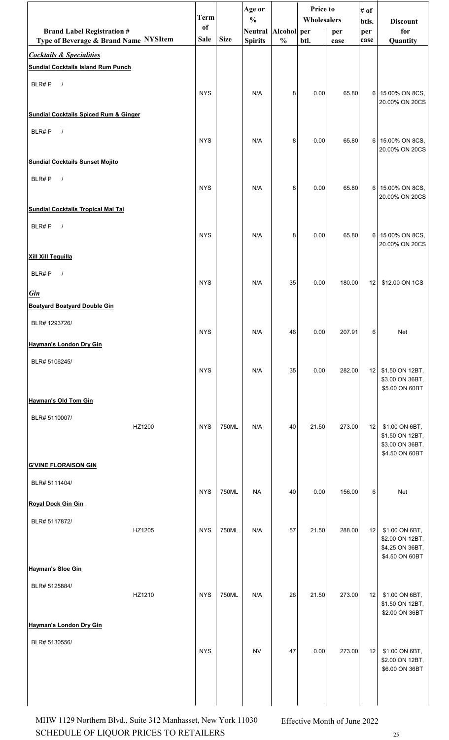|                                                                            |        | <b>Term</b>                  |             | Age or<br>$\frac{0}{0}$               |               | Price to<br>Wholesalers |             | # of<br>btls. | <b>Discount</b>                                                        |
|----------------------------------------------------------------------------|--------|------------------------------|-------------|---------------------------------------|---------------|-------------------------|-------------|---------------|------------------------------------------------------------------------|
| <b>Brand Label Registration #</b><br>Type of Beverage & Brand Name NYSItem |        | <sub>of</sub><br><b>Sale</b> | <b>Size</b> | Neutral Alcohol per<br><b>Spirits</b> | $\frac{0}{0}$ | btl.                    | per<br>case | per<br>case   | for<br>Quantity                                                        |
| <b>Cocktails &amp; Specialities</b>                                        |        |                              |             |                                       |               |                         |             |               |                                                                        |
| <b>Sundial Cocktails Island Rum Punch</b>                                  |        |                              |             |                                       |               |                         |             |               |                                                                        |
| BLR#P<br>$\sqrt{ }$                                                        |        | <b>NYS</b>                   |             | N/A                                   | 8             | 0.00                    | 65.80       |               | 6 15.00% ON 8CS,<br>20.00% ON 20CS                                     |
| <b>Sundial Cocktails Spiced Rum &amp; Ginger</b>                           |        |                              |             |                                       |               |                         |             |               |                                                                        |
| BLR#P<br>$\sqrt{ }$                                                        |        | <b>NYS</b>                   |             | N/A                                   | 8             | 0.00                    | 65.80       |               | 6 15.00% ON 8CS,<br>20.00% ON 20CS                                     |
| <b>Sundial Cocktails Sunset Mojito</b>                                     |        |                              |             |                                       |               |                         |             |               |                                                                        |
| BLR#P<br>$\sqrt{ }$                                                        |        | <b>NYS</b>                   |             | N/A                                   | 8             | 0.00                    | 65.80       |               | 6 15.00% ON 8CS,<br>20.00% ON 20CS                                     |
| Sundial Cocktails Tropical Mai Tai                                         |        |                              |             |                                       |               |                         |             |               |                                                                        |
| BLR#P<br>$\sqrt{ }$                                                        |        | <b>NYS</b>                   |             | N/A                                   | 8             | 0.00                    | 65.80       |               | 6 15.00% ON 8CS,<br>20.00% ON 20CS                                     |
| <b>Xill Xill Tequilla</b>                                                  |        |                              |             |                                       |               |                         |             |               |                                                                        |
| BLR#P<br>$\sqrt{ }$<br><b>Gin</b>                                          |        | <b>NYS</b>                   |             | N/A                                   | 35            | 0.00                    | 180.00      | 12            | \$12.00 ON 1CS                                                         |
| <b>Boatyard Boatyard Double Gin</b>                                        |        |                              |             |                                       |               |                         |             |               |                                                                        |
| BLR# 1293726/                                                              |        |                              |             |                                       |               |                         |             |               |                                                                        |
| <b>Hayman's London Dry Gin</b>                                             |        | <b>NYS</b>                   |             | N/A                                   | 46            | 0.00                    | 207.91      | 6             | Net                                                                    |
| BLR# 5106245/                                                              |        | <b>NYS</b>                   |             | N/A                                   | 35            | 0.00                    | 282.00      | 12            | \$1.50 ON 12BT,<br>\$3.00 ON 36BT,<br>\$5.00 ON 60BT                   |
| Hayman's Old Tom Gin                                                       |        |                              |             |                                       |               |                         |             |               |                                                                        |
| BLR# 5110007/                                                              | HZ1200 | <b>NYS</b>                   | 750ML       | N/A                                   | 40            | 21.50                   | 273.00      | 12            | \$1.00 ON 6BT,<br>\$1.50 ON 12BT,<br>\$3.00 ON 36BT,<br>\$4.50 ON 60BT |
| <b>G'VINE FLORAISON GIN</b>                                                |        |                              |             |                                       |               |                         |             |               |                                                                        |
| BLR# 5111404/                                                              |        | <b>NYS</b>                   | 750ML       | <b>NA</b>                             | 40            | 0.00                    | 156.00      | 6             | Net                                                                    |
| <b>Royal Dock Gin Gin</b>                                                  |        |                              |             |                                       |               |                         |             |               |                                                                        |
| BLR# 5117872/                                                              | HZ1205 | <b>NYS</b>                   | 750ML       | N/A                                   | 57            | 21.50                   | 288.00      | 12            | \$1.00 ON 6BT,<br>\$2.00 ON 12BT,<br>\$4.25 ON 36BT,<br>\$4.50 ON 60BT |
| <b>Hayman's Sloe Gin</b>                                                   |        |                              |             |                                       |               |                         |             |               |                                                                        |
| BLR# 5125884/                                                              |        |                              |             |                                       |               |                         |             |               |                                                                        |
|                                                                            | HZ1210 | <b>NYS</b>                   | 750ML       | N/A                                   | 26            | 21.50                   | 273.00      | 12            | \$1.00 ON 6BT,<br>\$1.50 ON 12BT,<br>\$2.00 ON 36BT                    |
| Hayman's London Dry Gin                                                    |        |                              |             |                                       |               |                         |             |               |                                                                        |
| BLR# 5130556/                                                              |        | <b>NYS</b>                   |             | <b>NV</b>                             | 47            | 0.00                    | 273.00      | 12            | \$1.00 ON 6BT,<br>\$2.00 ON 12BT,<br>\$6.00 ON 36BT                    |
|                                                                            |        |                              |             |                                       |               |                         |             |               |                                                                        |

SCHEDULE OF LIQUOR PRICES TO RETAILERS 25 MHW 1129 Northern Blvd., Suite 312 Manhasset, New York 11030 Effective Month of June 2022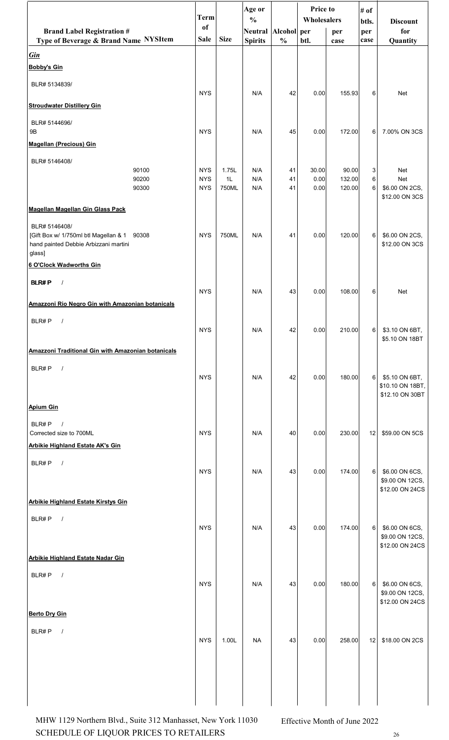|                                                                                                                 | <b>Term</b> |             | Age or<br>$\frac{0}{0}$ |               | <b>Price to</b><br>Wholesalers |        | # of         |                                                       |
|-----------------------------------------------------------------------------------------------------------------|-------------|-------------|-------------------------|---------------|--------------------------------|--------|--------------|-------------------------------------------------------|
| <b>Brand Label Registration #</b>                                                                               | of          |             | Neutral Alcohol per     |               |                                | per    | btls.<br>per | <b>Discount</b><br>for                                |
| Type of Beverage & Brand Name NYSItem                                                                           | <b>Sale</b> | <b>Size</b> | <b>Spirits</b>          | $\frac{0}{0}$ | btl.                           | case   | case         | Quantity                                              |
| <u>Gin</u><br><b>Bobby's Gin</b>                                                                                |             |             |                         |               |                                |        |              |                                                       |
| BLR# 5134839/                                                                                                   | <b>NYS</b>  |             | N/A                     | 42            | 0.00                           | 155.93 | 6            | Net                                                   |
| <b>Stroudwater Distillery Gin</b>                                                                               |             |             |                         |               |                                |        |              |                                                       |
| BLR# 5144696/<br>9B                                                                                             | <b>NYS</b>  |             | N/A                     | 45            | 0.00                           | 172.00 | 6            | 7.00% ON 3CS                                          |
| <b>Magellan (Precious) Gin</b>                                                                                  |             |             |                         |               |                                |        |              |                                                       |
| BLR# 5146408/<br>90100                                                                                          | <b>NYS</b>  | 1.75L       | N/A                     | 41            | 30.00                          | 90.00  | 3            | Net                                                   |
| 90200                                                                                                           | <b>NYS</b>  | 1L          | N/A                     | 41            | 0.00                           | 132.00 | 6            | Net                                                   |
| 90300                                                                                                           | <b>NYS</b>  | 750ML       | N/A                     | 41            | 0.00                           | 120.00 | 6            | \$6.00 ON 2CS,<br>\$12.00 ON 3CS                      |
| <b>Magellan Magellan Gin Glass Pack</b>                                                                         |             |             |                         |               |                                |        |              |                                                       |
| BLR# 5146408/<br>[Gift Box w/ 1/750ml btl Magellan & 1 90308<br>hand painted Debbie Arbizzani martini<br>glass] | <b>NYS</b>  | 750ML       | N/A                     | 41            | 0.00                           | 120.00 | 6            | \$6.00 ON 2CS,<br>\$12.00 ON 3CS                      |
| 6 O'Clock Wadworths Gin                                                                                         |             |             |                         |               |                                |        |              |                                                       |
| <b>BLR#P</b>                                                                                                    | <b>NYS</b>  |             | N/A                     | 43            | 0.00                           | 108.00 | 6            | Net                                                   |
| Amazzoni Rio Negro Gin with Amazonian botanicals                                                                |             |             |                         |               |                                |        |              |                                                       |
| BLR#P<br>$\prime$                                                                                               | <b>NYS</b>  |             | N/A                     | 42            | 0.00                           | 210.00 |              | 6 \$3.10 ON 6BT,<br>\$5.10 ON 18BT                    |
| <b>Amazzoni Traditional Gin with Amazonian botanicals</b>                                                       |             |             |                         |               |                                |        |              |                                                       |
| BLR#P<br>$\sqrt{ }$                                                                                             | <b>NYS</b>  |             | N/A                     | 42            | 0.00                           | 180.00 | 6            | \$5.10 ON 6BT,<br>\$10.10 ON 18BT,<br>\$12.10 ON 30BT |
| <b>Apium Gin</b>                                                                                                |             |             |                         |               |                                |        |              |                                                       |
| BLR#P<br>$\sqrt{ }$<br>Corrected size to 700ML                                                                  | <b>NYS</b>  |             | N/A                     | 40            | 0.00                           | 230.00 | 12           | \$59.00 ON 5CS                                        |
| <b>Arbikie Highland Estate AK's Gin</b>                                                                         |             |             |                         |               |                                |        |              |                                                       |
| BLR#P<br>$\sqrt{ }$                                                                                             | <b>NYS</b>  |             | N/A                     | 43            | 0.00                           | 174.00 | 6            | \$6.00 ON 6CS,<br>\$9.00 ON 12CS,<br>\$12.00 ON 24CS  |
| <b>Arbikie Highland Estate Kirstys Gin</b>                                                                      |             |             |                         |               |                                |        |              |                                                       |
| BLR#P<br>$\sqrt{ }$                                                                                             | <b>NYS</b>  |             | N/A                     | 43            | 0.00                           | 174.00 | 6            | \$6.00 ON 6CS,<br>\$9.00 ON 12CS,<br>\$12.00 ON 24CS  |
| <b>Arbikie Highland Estate Nadar Gin</b>                                                                        |             |             |                         |               |                                |        |              |                                                       |
| BLR#P<br>$\sqrt{ }$                                                                                             | <b>NYS</b>  |             | N/A                     | 43            | 0.00                           | 180.00 | 6            | \$6.00 ON 6CS,<br>\$9.00 ON 12CS,<br>\$12.00 ON 24CS  |
| <b>Berto Dry Gin</b>                                                                                            |             |             |                         |               |                                |        |              |                                                       |
| BLR#P<br>$\sqrt{ }$                                                                                             | <b>NYS</b>  | 1.00L       | <b>NA</b>               | 43            | 0.00                           | 258.00 | 12           | \$18.00 ON 2CS                                        |
|                                                                                                                 |             |             |                         |               |                                |        |              |                                                       |
|                                                                                                                 |             |             |                         |               |                                |        |              |                                                       |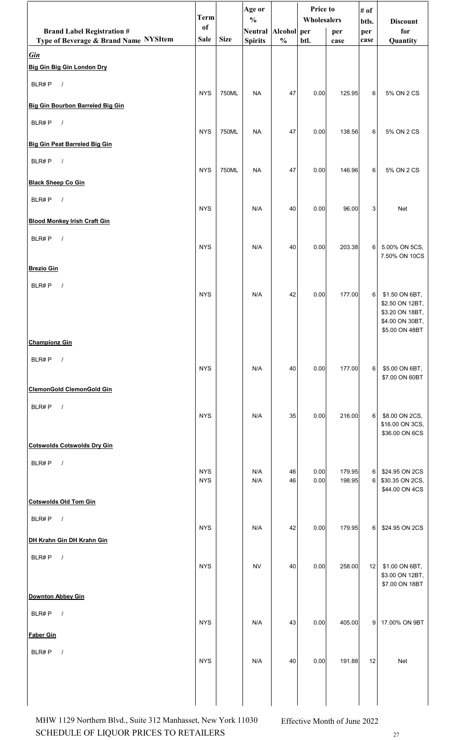|                                                                            | <b>Term</b>                  |             | Age or<br>$\frac{0}{0}$               |               | Price to<br>Wholesalers |                  | # of<br>btls. | <b>Discount</b>                    |
|----------------------------------------------------------------------------|------------------------------|-------------|---------------------------------------|---------------|-------------------------|------------------|---------------|------------------------------------|
| <b>Brand Label Registration #</b><br>Type of Beverage & Brand Name NYSItem | <sub>of</sub><br><b>Sale</b> | <b>Size</b> | Neutral Alcohol per<br><b>Spirits</b> | $\frac{0}{0}$ | btl.                    | per              | per<br>case   | for<br>Quantity                    |
| <b>Gin</b>                                                                 |                              |             |                                       |               |                         | case             |               |                                    |
| Big Gin Big Gin London Dry                                                 |                              |             |                                       |               |                         |                  |               |                                    |
| BLR#P<br>$\overline{\phantom{a}}$                                          |                              |             |                                       |               |                         |                  |               |                                    |
| Big Gin Bourbon Barreled Big Gin                                           | <b>NYS</b>                   | 750ML       | <b>NA</b>                             | 47            | 0.00                    | 125.95           | 6             | 5% ON 2 CS                         |
| BLR#P<br>$\sqrt{ }$                                                        |                              |             |                                       |               |                         |                  |               |                                    |
| Big Gin Peat Barreled Big Gin                                              | <b>NYS</b>                   | 750ML       | <b>NA</b>                             | 47            | 0.00                    | 138.56           | $6 \mid$      | 5% ON 2 CS                         |
| BLR#P<br>$\sqrt{ }$                                                        |                              |             |                                       |               |                         |                  |               |                                    |
|                                                                            | <b>NYS</b>                   | 750ML       | <b>NA</b>                             | 47            | 0.00                    | 146.96           | 6             | 5% ON 2 CS                         |
| <b>Black Sheep Co Gin</b>                                                  |                              |             |                                       |               |                         |                  |               |                                    |
| BLR#P<br>$\sqrt{ }$                                                        | <b>NYS</b>                   |             | N/A                                   | 40            | 0.00                    | 96.00            | 3             | Net                                |
| <b>Blood Monkey Irish Craft Gin</b>                                        |                              |             |                                       |               |                         |                  |               |                                    |
| BLR#P<br>$\sqrt{ }$                                                        | <b>NYS</b>                   |             | N/A                                   | 40            | 0.00                    | 203.38           | $6 \mid$      | 5.00% ON 5CS,                      |
|                                                                            |                              |             |                                       |               |                         |                  |               | 7.50% ON 10CS                      |
| <b>Brezio Gin</b>                                                          |                              |             |                                       |               |                         |                  |               |                                    |
| BLR#P $/$                                                                  | <b>NYS</b>                   |             | N/A                                   | 42            | 0.00                    | 177.00           | $6 \mid$      | \$1.50 ON 6BT,                     |
|                                                                            |                              |             |                                       |               |                         |                  |               | \$2.50 ON 12BT,<br>\$3.20 ON 18BT, |
|                                                                            |                              |             |                                       |               |                         |                  |               | \$4.00 ON 30BT,<br>\$5.00 ON 48BT  |
| <b>Championz Gin</b>                                                       |                              |             |                                       |               |                         |                  |               |                                    |
| BLR#P<br>$\sqrt{ }$                                                        |                              |             |                                       |               |                         |                  |               |                                    |
|                                                                            | <b>NYS</b>                   |             | N/A                                   | 40            | 0.00                    | 177.00           | 6             | \$5.00 ON 6BT,<br>\$7.00 ON 60BT   |
| ClemonGold ClemonGold Gin                                                  |                              |             |                                       |               |                         |                  |               |                                    |
| BLR#P<br>$\sqrt{ }$                                                        | <b>NYS</b>                   |             | N/A                                   | 35            | 0.00                    | 216.00           | $6 \mid$      | \$8.00 ON 2CS,                     |
|                                                                            |                              |             |                                       |               |                         |                  |               | \$16.00 ON 3CS,<br>\$36.00 ON 6CS  |
| <b>Cotswolds Cotswolds Dry Gin</b>                                         |                              |             |                                       |               |                         |                  |               |                                    |
| BLR#P<br>$\sqrt{ }$                                                        |                              |             |                                       |               |                         |                  |               |                                    |
|                                                                            | <b>NYS</b><br><b>NYS</b>     |             | N/A<br>N/A                            | 46<br>46      | 0.00<br>0.00            | 179.95<br>198.95 | $6 \mid$<br>6 | \$24.95 ON 2CS<br>\$30.35 ON 2CS,  |
| <b>Cotswolds Old Tom Gin</b>                                               |                              |             |                                       |               |                         |                  |               | \$44.00 ON 4CS                     |
| $\sqrt{ }$<br>BLR#P                                                        |                              |             |                                       |               |                         |                  |               |                                    |
|                                                                            | <b>NYS</b>                   |             | N/A                                   | 42            | 0.00                    | 179.95           | $6 \mid$      | \$24.95 ON 2CS                     |
| DH Krahn Gin DH Krahn Gin                                                  |                              |             |                                       |               |                         |                  |               |                                    |
| BLR#P<br>$\sqrt{ }$                                                        | <b>NYS</b>                   |             | <b>NV</b>                             | 40            | 0.00                    | 258.00           | 12            | \$1.00 ON 6BT,                     |
|                                                                            |                              |             |                                       |               |                         |                  |               | \$3.00 ON 12BT,<br>\$7.00 ON 18BT  |
| <b>Downton Abbey Gin</b>                                                   |                              |             |                                       |               |                         |                  |               |                                    |
| BLR#P<br>$\sqrt{ }$                                                        | <b>NYS</b>                   |             | N/A                                   | 43            | 0.00                    | 405.00           | 9             | 17.00% ON 9BT                      |
| <b>Faber Gin</b>                                                           |                              |             |                                       |               |                         |                  |               |                                    |
| BLR#P<br>$\sqrt{ }$                                                        |                              |             |                                       |               |                         |                  |               |                                    |
|                                                                            | <b>NYS</b>                   |             | N/A                                   | 40            | 0.00                    | 191.88           | 12            | Net                                |
|                                                                            |                              |             |                                       |               |                         |                  |               |                                    |
|                                                                            |                              |             |                                       |               |                         |                  |               |                                    |

SCHEDULE OF LIQUOR PRICES TO RETAILERS  $27$ MHW 1129 Northern Blvd., Suite 312 Manhasset, New York 11030 Effective Month of June 2022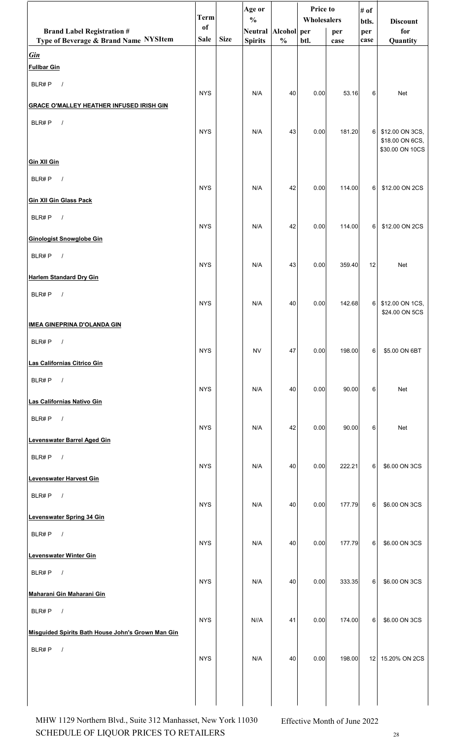|                                                     | <b>Term</b> |             | Age or<br>$\frac{0}{0}$ |               | Price to<br>Wholesalers |        | # of<br>btls.  | <b>Discount</b>                    |
|-----------------------------------------------------|-------------|-------------|-------------------------|---------------|-------------------------|--------|----------------|------------------------------------|
| <b>Brand Label Registration #</b>                   | of<br>Sale  | <b>Size</b> | Neutral Alcohol per     |               |                         | per    | per            | for                                |
| Type of Beverage & Brand Name NYSItem<br><b>Gin</b> |             |             | <b>Spirits</b>          | $\frac{0}{0}$ | btl.                    | case   | case           | Quantity                           |
| <b>Fullbar Gin</b>                                  |             |             |                         |               |                         |        |                |                                    |
| BLR#P<br>$\overline{\phantom{a}}$                   | <b>NYS</b>  |             | N/A                     | 40            |                         |        | 6              | Net                                |
| <b>GRACE O'MALLEY HEATHER INFUSED IRISH GIN</b>     |             |             |                         |               | 0.00                    | 53.16  |                |                                    |
| BLR#P<br>$\sqrt{ }$                                 |             |             |                         |               |                         |        |                |                                    |
|                                                     | <b>NYS</b>  |             | N/A                     | 43            | 0.00                    | 181.20 | 6 <sup>1</sup> | \$12.00 ON 3CS,<br>\$18.00 ON 6CS, |
| <b>Gin XII Gin</b>                                  |             |             |                         |               |                         |        |                | \$30.00 ON 10CS                    |
| BLR#P<br>$\sqrt{ }$                                 |             |             |                         |               |                         |        |                |                                    |
| <b>Gin XII Gin Glass Pack</b>                       | <b>NYS</b>  |             | N/A                     | 42            | 0.00                    | 114.00 | 6              | \$12.00 ON 2CS                     |
| BLR#P<br>$\sqrt{ }$                                 |             |             |                         |               |                         |        |                |                                    |
| <b>Ginologist Snowglobe Gin</b>                     | <b>NYS</b>  |             | N/A                     | 42            | 0.00                    | 114.00 | 6              | \$12.00 ON 2CS                     |
| BLR#P<br>$\sqrt{ }$                                 |             |             |                         |               |                         |        |                |                                    |
| <b>Harlem Standard Dry Gin</b>                      | <b>NYS</b>  |             | N/A                     | 43            | 0.00                    | 359.40 | 12             | Net                                |
| BLR#P<br>$\sqrt{ }$                                 |             |             |                         |               |                         |        |                |                                    |
|                                                     | <b>NYS</b>  |             | N/A                     | 40            | 0.00                    | 142.68 | $6 \mid$       | \$12.00 ON 1CS,<br>\$24.00 ON 5CS  |
| <u>IMEA GINEPRINA D'OLANDA GIN</u>                  |             |             |                         |               |                         |        |                |                                    |
| BLR#P<br>$\prime$                                   | <b>NYS</b>  |             | <b>NV</b>               | 47            | 0.00                    | 198.00 | 6              | \$5.00 ON 6BT                      |
| Las Californias Citrico Gin                         |             |             |                         |               |                         |        |                |                                    |
| BLR#P<br>$\sqrt{ }$                                 | <b>NYS</b>  |             | N/A                     | 40            | 0.00                    | 90.00  | 6              | <b>Net</b>                         |
| Las Californias Nativo Gin                          |             |             |                         |               |                         |        |                |                                    |
| BLR#P<br>$\sqrt{ }$                                 |             |             |                         |               |                         |        |                |                                    |
| Levenswater Barrel Aged Gin                         | <b>NYS</b>  |             | N/A                     | 42            | 0.00                    | 90.00  | 6              | Net                                |
| BLR#P<br>$\sqrt{ }$                                 |             |             |                         |               |                         |        |                |                                    |
| Levenswater Harvest Gin                             | <b>NYS</b>  |             | N/A                     | 40            | 0.00                    | 222.21 | 6              | \$6.00 ON 3CS                      |
| $\sqrt{ }$<br>BLR#P                                 |             |             |                         |               |                         |        |                |                                    |
| Levenswater Spring 34 Gin                           | <b>NYS</b>  |             | N/A                     | 40            | 0.00                    | 177.79 | 6              | \$6.00 ON 3CS                      |
| BLR#P<br>$\sqrt{ }$                                 |             |             |                         |               |                         |        |                |                                    |
| Levenswater Winter Gin                              | <b>NYS</b>  |             | N/A                     | 40            | 0.00                    | 177.79 | 6              | \$6.00 ON 3CS                      |
| BLR#P<br>$\sqrt{ }$                                 |             |             |                         |               |                         |        |                |                                    |
| Maharani Gin Maharani Gin                           | <b>NYS</b>  |             | N/A                     | 40            | 0.00                    | 333.35 | 6              | \$6.00 ON 3CS                      |
| BLR#P<br>$\sqrt{ }$                                 |             |             |                         |               |                         |        |                |                                    |
| Misquided Spirits Bath House John's Grown Man Gin   | <b>NYS</b>  |             | N//A                    | 41            | 0.00                    | 174.00 | 6              | \$6.00 ON 3CS                      |
| BLR#P<br>$\prime$                                   |             |             |                         |               |                         |        |                |                                    |
|                                                     | <b>NYS</b>  |             | N/A                     | 40            | 0.00                    | 198.00 |                | 12   15.20% ON 2CS                 |
|                                                     |             |             |                         |               |                         |        |                |                                    |
|                                                     |             |             |                         |               |                         |        |                |                                    |

SCHEDULE OF LIQUOR PRICES TO RETAILERS 28 MHW 1129 Northern Blvd., Suite 312 Manhasset, New York 11030 Effective Month of June 2022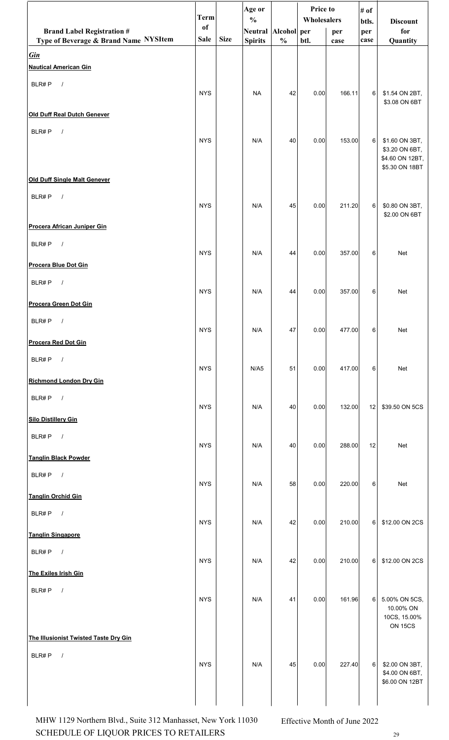|                                            | <b>Term</b> |             | Age or                               |               | Price to<br>Wholesalers |        | # of         |                                   |
|--------------------------------------------|-------------|-------------|--------------------------------------|---------------|-------------------------|--------|--------------|-----------------------------------|
| <b>Brand Label Registration #</b>          | of          |             | $\frac{0}{0}$<br>Neutral Alcohol per |               |                         | per    | btls.<br>per | <b>Discount</b><br>for            |
| Type of Beverage & Brand Name NYSItem      | <b>Sale</b> | <b>Size</b> | <b>Spirits</b>                       | $\frac{0}{0}$ | btl.                    | case   | case         | Quantity                          |
| <b>Gin</b><br><b>Nautical American Gin</b> |             |             |                                      |               |                         |        |              |                                   |
| BLR#P<br>$\sqrt{ }$                        |             |             |                                      |               |                         |        |              |                                   |
|                                            | <b>NYS</b>  |             | <b>NA</b>                            | 42            | 0.00                    | 166.11 | 6            | \$1.54 ON 2BT,<br>\$3.08 ON 6BT   |
| <b>Old Duff Real Dutch Genever</b>         |             |             |                                      |               |                         |        |              |                                   |
| BLR#P<br>$\sqrt{ }$                        |             |             |                                      |               |                         |        |              |                                   |
|                                            | <b>NYS</b>  |             | N/A                                  | 40            | 0.00                    | 153.00 | $6 \mid$     | \$1.60 ON 3BT,<br>\$3.20 ON 6BT,  |
|                                            |             |             |                                      |               |                         |        |              | \$4.60 ON 12BT,<br>\$5.30 ON 18BT |
| Old Duff Single Malt Genever               |             |             |                                      |               |                         |        |              |                                   |
| BLR#P<br>$\sqrt{ }$                        |             |             |                                      |               |                         |        |              |                                   |
|                                            | <b>NYS</b>  |             | N/A                                  | 45            | 0.00                    | 211.20 | 6            | \$0.80 ON 3BT,<br>\$2.00 ON 6BT   |
| Procera African Juniper Gin                |             |             |                                      |               |                         |        |              |                                   |
| BLR#P<br>$\sqrt{ }$                        | <b>NYS</b>  |             | N/A                                  | 44            | 0.00                    | 357.00 | 6            | Net                               |
| Procera Blue Dot Gin                       |             |             |                                      |               |                         |        |              |                                   |
| BLR#P<br>$\sqrt{ }$                        |             |             |                                      |               |                         |        |              |                                   |
| Procera Green Dot Gin                      | <b>NYS</b>  |             | N/A                                  | 44            | 0.00                    | 357.00 | 6            | Net                               |
| BLR#P<br>$\sqrt{ }$                        |             |             |                                      |               |                         |        |              |                                   |
|                                            | <b>NYS</b>  |             | N/A                                  | $47\,$        | 0.00                    | 477.00 | 6            | Net                               |
| <b>Procera Red Dot Gin</b>                 |             |             |                                      |               |                         |        |              |                                   |
| BLR#P<br>$\sqrt{ }$                        | <b>NYS</b>  |             | N/AS                                 | 51            | 0.00                    | 417.00 | 6            | Net                               |
| <b>Richmond London Dry Gin</b>             |             |             |                                      |               |                         |        |              |                                   |
| BLR#P $/$                                  | <b>NYS</b>  |             | N/A                                  | 40            | 0.00                    | 132.00 | 12           | \$39.50 ON 5CS                    |
| <b>Silo Distillery Gin</b>                 |             |             |                                      |               |                         |        |              |                                   |
| BLR#P<br>$\sqrt{ }$                        |             |             |                                      |               |                         |        |              |                                   |
| <b>Tanglin Black Powder</b>                | <b>NYS</b>  |             | N/A                                  | 40            | 0.00                    | 288.00 | 12           | Net                               |
| BLR#P<br>$\overline{\phantom{a}}$          |             |             |                                      |               |                         |        |              |                                   |
|                                            | <b>NYS</b>  |             | N/A                                  | 58            | 0.00                    | 220.00 | 6            | Net                               |
| <b>Tanglin Orchid Gin</b>                  |             |             |                                      |               |                         |        |              |                                   |
| BLR#P $/$                                  | <b>NYS</b>  |             | N/A                                  | 42            | 0.00                    | 210.00 | 6            | \$12.00 ON 2CS                    |
| <b>Tanglin Singapore</b>                   |             |             |                                      |               |                         |        |              |                                   |
| BLR#P<br>$\overline{\phantom{a}}$          | <b>NYS</b>  |             | N/A                                  | 42            | 0.00                    | 210.00 | 6            | \$12.00 ON 2CS                    |
| The Exiles Irish Gin                       |             |             |                                      |               |                         |        |              |                                   |
| BLR#P $/$                                  |             |             |                                      |               |                         |        |              |                                   |
|                                            | <b>NYS</b>  |             | N/A                                  | 41            | 0.00                    | 161.96 | 6            | 5.00% ON 5CS,<br>10.00% ON        |
|                                            |             |             |                                      |               |                         |        |              | 10CS, 15.00%<br><b>ON 15CS</b>    |
| The Illusionist Twisted Taste Dry Gin      |             |             |                                      |               |                         |        |              |                                   |
| BLR#P<br>$\sqrt{ }$                        |             |             |                                      |               |                         |        |              |                                   |
|                                            | <b>NYS</b>  |             | N/A                                  | 45            | 0.00                    | 227.40 | $\sqrt{6}$   | \$2.00 ON 3BT,<br>\$4.00 ON 6BT,  |
|                                            |             |             |                                      |               |                         |        |              | \$6.00 ON 12BT                    |
|                                            |             |             |                                      |               |                         |        |              |                                   |

SCHEDULE OF LIQUOR PRICES TO RETAILERS 29 MHW 1129 Northern Blvd., Suite 312 Manhasset, New York 11030 Effective Month of June 2022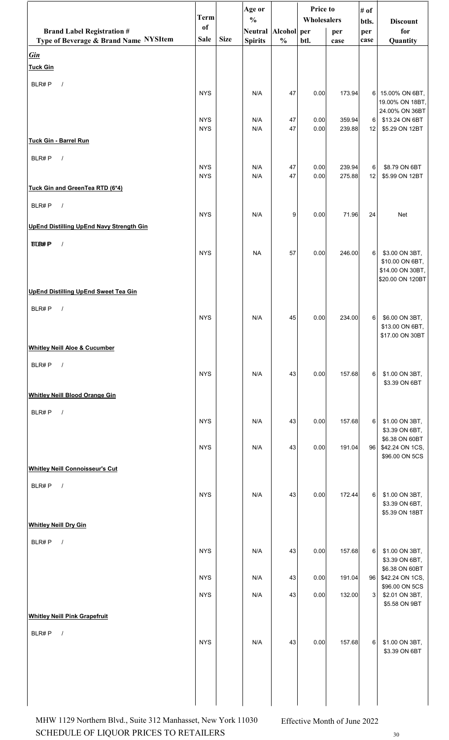|                                                                            | <b>Term</b> |             | Age or                               |               | Price to    |             | # of           |                                   |
|----------------------------------------------------------------------------|-------------|-------------|--------------------------------------|---------------|-------------|-------------|----------------|-----------------------------------|
|                                                                            | <b>of</b>   |             | $\frac{0}{0}$<br>Neutral Alcohol per |               | Wholesalers |             | btls.          | <b>Discount</b><br>for            |
| <b>Brand Label Registration #</b><br>Type of Beverage & Brand Name NYSItem | Sale        | <b>Size</b> | <b>Spirits</b>                       | $\frac{0}{0}$ | btl.        | per<br>case | per<br>case    | Quantity                          |
| <b>Gin</b>                                                                 |             |             |                                      |               |             |             |                |                                   |
| <b>Tuck Gin</b>                                                            |             |             |                                      |               |             |             |                |                                   |
| BLR#P<br>$\frac{1}{2}$                                                     |             |             |                                      |               |             |             |                |                                   |
|                                                                            | <b>NYS</b>  |             | N/A                                  | 47            | 0.00        | 173.94      | 6I             | 15.00% ON 6BT,                    |
|                                                                            |             |             |                                      |               |             |             |                | 19.00% ON 18BT,<br>24.00% ON 36BT |
|                                                                            | <b>NYS</b>  |             | N/A                                  | 47            | 0.00        | 359.94      | 6              | \$13.24 ON 6BT                    |
|                                                                            | <b>NYS</b>  |             | N/A                                  | 47            | 0.00        | 239.88      | 12             | \$5.29 ON 12BT                    |
| Tuck Gin - Barrel Run                                                      |             |             |                                      |               |             |             |                |                                   |
| BLR#P<br>$\sqrt{ }$                                                        | <b>NYS</b>  |             | N/A                                  | 47            | 0.00        | 239.94      | 6              | \$8.79 ON 6BT                     |
|                                                                            | <b>NYS</b>  |             | N/A                                  | 47            | 0.00        | 275.88      | 12             | \$5.99 ON 12BT                    |
| Tuck Gin and GreenTea RTD (6*4)                                            |             |             |                                      |               |             |             |                |                                   |
| BLR#P<br>$\sqrt{ }$                                                        |             |             |                                      |               |             |             |                |                                   |
|                                                                            | <b>NYS</b>  |             | N/A                                  | 9             | 0.00        | 71.96       | 24             | Net                               |
| <b>UpEnd Distilling UpEnd Navy Strength Gin</b>                            |             |             |                                      |               |             |             |                |                                   |
| <b>BLB#P</b><br>$\frac{1}{2}$                                              |             |             |                                      |               |             |             |                |                                   |
|                                                                            | <b>NYS</b>  |             | <b>NA</b>                            | 57            | 0.00        | 246.00      | 6              | \$3.00 ON 3BT,<br>\$10.00 ON 6BT, |
|                                                                            |             |             |                                      |               |             |             |                | \$14.00 ON 30BT,                  |
|                                                                            |             |             |                                      |               |             |             |                | \$20.00 ON 120BT                  |
| <b>UpEnd Distilling UpEnd Sweet Tea Gin</b>                                |             |             |                                      |               |             |             |                |                                   |
| BLR#P<br>$\prime$                                                          |             |             |                                      |               |             |             |                |                                   |
|                                                                            | <b>NYS</b>  |             | N/A                                  | 45            | 0.00        | 234.00      | 6              | \$6.00 ON 3BT,<br>\$13.00 ON 6BT, |
|                                                                            |             |             |                                      |               |             |             |                | \$17.00 ON 30BT                   |
| <b>Whitley Neill Aloe &amp; Cucumber</b>                                   |             |             |                                      |               |             |             |                |                                   |
| BLR#P<br>$\sqrt{ }$                                                        |             |             |                                      |               |             |             |                |                                   |
|                                                                            | <b>NYS</b>  |             | N/A                                  | 43            | 0.00        | 157.68      | 6              | \$1.00 ON 3BT,<br>\$3.39 ON 6BT   |
| <b>Whitley Neill Blood Orange Gin</b>                                      |             |             |                                      |               |             |             |                |                                   |
| BLR#P<br>$\sqrt{ }$                                                        |             |             |                                      |               |             |             |                |                                   |
|                                                                            | <b>NYS</b>  |             | N/A                                  | 43            | 0.00        | 157.68      | 6              | \$1.00 ON 3BT,                    |
|                                                                            |             |             |                                      |               |             |             |                | \$3.39 ON 6BT,<br>\$6.38 ON 60BT  |
|                                                                            | <b>NYS</b>  |             | N/A                                  | 43            | 0.00        | 191.04      | 96             | \$42.24 ON 1CS,                   |
| <b>Whitley Neill Connoisseur's Cut</b>                                     |             |             |                                      |               |             |             |                | \$96.00 ON 5CS                    |
|                                                                            |             |             |                                      |               |             |             |                |                                   |
| BLR#P<br>$\sqrt{ }$                                                        | <b>NYS</b>  |             | N/A                                  | 43            | 0.00        | 172.44      | 6              | \$1.00 ON 3BT,                    |
|                                                                            |             |             |                                      |               |             |             |                | \$3.39 ON 6BT,                    |
| <b>Whitley Neill Dry Gin</b>                                               |             |             |                                      |               |             |             |                | \$5.39 ON 18BT                    |
|                                                                            |             |             |                                      |               |             |             |                |                                   |
| BLR#P<br>$\sqrt{ }$                                                        | <b>NYS</b>  |             | N/A                                  | 43            | 0.00        | 157.68      | 6              | \$1.00 ON 3BT,                    |
|                                                                            |             |             |                                      |               |             |             |                | \$3.39 ON 6BT,                    |
|                                                                            | <b>NYS</b>  |             | N/A                                  | 43            | 0.00        | 191.04      | 96             | \$6.38 ON 60BT<br>\$42.24 ON 1CS, |
|                                                                            |             |             |                                      |               |             |             |                | \$96.00 ON 5CS                    |
|                                                                            | <b>NYS</b>  |             | N/A                                  | 43            | 0.00        | 132.00      | 3 <sup>1</sup> | \$2.01 ON 3BT,<br>\$5.58 ON 9BT   |
| <b>Whitley Neill Pink Grapefruit</b>                                       |             |             |                                      |               |             |             |                |                                   |
| BLR#P<br>$\sqrt{ }$                                                        |             |             |                                      |               |             |             |                |                                   |
|                                                                            | <b>NYS</b>  |             | N/A                                  | 43            | 0.00        | 157.68      | 6              | \$1.00 ON 3BT,                    |
|                                                                            |             |             |                                      |               |             |             |                | \$3.39 ON 6BT                     |
|                                                                            |             |             |                                      |               |             |             |                |                                   |
|                                                                            |             |             |                                      |               |             |             |                |                                   |
|                                                                            |             |             |                                      |               |             |             |                |                                   |
|                                                                            |             |             |                                      |               |             |             |                |                                   |

SCHEDULE OF LIQUOR PRICES TO RETAILERS  $_{30}$ MHW 1129 Northern Blvd., Suite 312 Manhasset, New York 11030 Effective Month of June 2022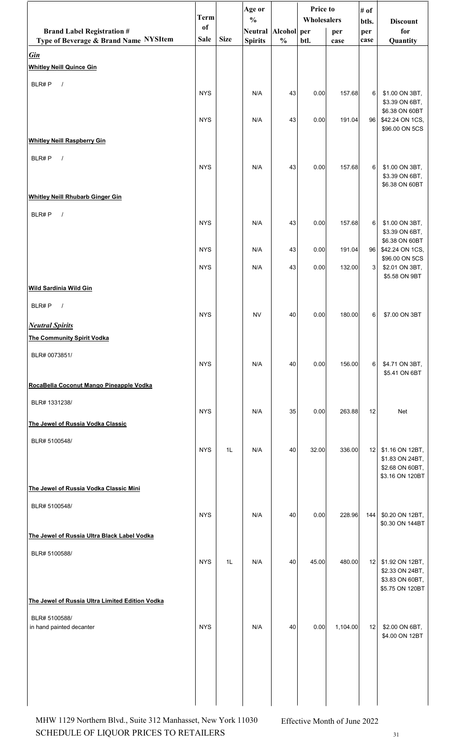|                                                 | <b>Term</b> |             | Age or                               |               | Price to    |          | # of         |                                    |
|-------------------------------------------------|-------------|-------------|--------------------------------------|---------------|-------------|----------|--------------|------------------------------------|
| <b>Brand Label Registration #</b>               | of          |             | $\frac{0}{0}$<br>Neutral Alcohol per |               | Wholesalers | per      | btls.<br>per | <b>Discount</b><br>for             |
| Type of Beverage & Brand Name NYSItem           | Sale        | <b>Size</b> | <b>Spirits</b>                       | $\frac{0}{0}$ | btl.        | case     | case         | Quantity                           |
| <b>Gin</b>                                      |             |             |                                      |               |             |          |              |                                    |
| <b>Whitley Neill Quince Gin</b>                 |             |             |                                      |               |             |          |              |                                    |
| BLR#P<br>$\sqrt{ }$                             | <b>NYS</b>  |             | N/A                                  | 43            | 0.00        | 157.68   | 6            | \$1.00 ON 3BT,                     |
|                                                 |             |             |                                      |               |             |          |              | \$3.39 ON 6BT,                     |
|                                                 | <b>NYS</b>  |             | N/A                                  | 43            | 0.00        | 191.04   | 96           | \$6.38 ON 60BT<br>\$42.24 ON 1CS,  |
|                                                 |             |             |                                      |               |             |          |              | \$96.00 ON 5CS                     |
| <b>Whitley Neill Raspberry Gin</b>              |             |             |                                      |               |             |          |              |                                    |
| BLR#P<br>$\sqrt{ }$                             | <b>NYS</b>  |             | N/A                                  | 43            | 0.00        | 157.68   | 6            | \$1.00 ON 3BT,                     |
|                                                 |             |             |                                      |               |             |          |              | \$3.39 ON 6BT,<br>\$6.38 ON 60BT   |
| <b>Whitley Neill Rhubarb Ginger Gin</b>         |             |             |                                      |               |             |          |              |                                    |
| BLR#P<br>$\sqrt{ }$                             |             |             |                                      |               |             |          |              |                                    |
|                                                 | <b>NYS</b>  |             | N/A                                  | 43            | 0.00        | 157.68   | 6            | \$1.00 ON 3BT,<br>\$3.39 ON 6BT,   |
|                                                 |             |             |                                      |               |             |          |              | \$6.38 ON 60BT                     |
|                                                 | <b>NYS</b>  |             | N/A                                  | 43            | 0.00        | 191.04   | 96           | \$42.24 ON 1CS,<br>\$96.00 ON 5CS  |
|                                                 | <b>NYS</b>  |             | N/A                                  | 43            | 0.00        | 132.00   | 3            | \$2.01 ON 3BT,<br>\$5.58 ON 9BT    |
| <b>Wild Sardinia Wild Gin</b>                   |             |             |                                      |               |             |          |              |                                    |
| BLR#P<br>$\sqrt{ }$                             |             |             |                                      |               |             |          |              |                                    |
| <b>Neutral Spirits</b>                          | <b>NYS</b>  |             | <b>NV</b>                            | 40            | 0.00        | 180.00   | 6            | \$7.00 ON 3BT                      |
| <b>The Community Spirit Vodka</b>               |             |             |                                      |               |             |          |              |                                    |
| BLR# 0073851/                                   |             |             |                                      |               |             |          |              |                                    |
|                                                 | <b>NYS</b>  |             | N/A                                  | 40            | 0.00        | 156.00   | 6            | \$4.71 ON 3BT,<br>\$5.41 ON 6BT    |
| RocaBella Coconut Mango Pineapple Vodka         |             |             |                                      |               |             |          |              |                                    |
| BLR# 1331238/                                   |             |             |                                      |               |             |          |              |                                    |
|                                                 | <b>NYS</b>  |             | N/A                                  | 35            | 0.00        | 263.88   | 12           | <b>Net</b>                         |
| The Jewel of Russia Vodka Classic               |             |             |                                      |               |             |          |              |                                    |
| BLR# 5100548/                                   | <b>NYS</b>  | 1L          | N/A                                  | 40            | 32.00       | 336.00   | 12           | \$1.16 ON 12BT,                    |
|                                                 |             |             |                                      |               |             |          |              | \$1.83 ON 24BT,<br>\$2.68 ON 60BT, |
|                                                 |             |             |                                      |               |             |          |              | \$3.16 ON 120BT                    |
| The Jewel of Russia Vodka Classic Mini          |             |             |                                      |               |             |          |              |                                    |
| BLR# 5100548/                                   | <b>NYS</b>  |             | N/A                                  | 40            | 0.00        | 228.96   | 144          | \$0.20 ON 12BT,                    |
|                                                 |             |             |                                      |               |             |          |              | \$0.30 ON 144BT                    |
| The Jewel of Russia Ultra Black Label Vodka     |             |             |                                      |               |             |          |              |                                    |
| BLR# 5100588/                                   | <b>NYS</b>  | 1L          | N/A                                  | 40            | 45.00       | 480.00   | 12           | \$1.92 ON 12BT,                    |
|                                                 |             |             |                                      |               |             |          |              | \$2.33 ON 24BT,                    |
|                                                 |             |             |                                      |               |             |          |              | \$3.83 ON 60BT,<br>\$5.75 ON 120BT |
| The Jewel of Russia Ultra Limited Edition Vodka |             |             |                                      |               |             |          |              |                                    |
| BLR# 5100588/                                   |             |             |                                      |               |             |          |              |                                    |
| in hand painted decanter                        | <b>NYS</b>  |             | N/A                                  | 40            | 0.00        | 1,104.00 | 12           | \$2.00 ON 6BT,<br>\$4.00 ON 12BT   |
|                                                 |             |             |                                      |               |             |          |              |                                    |
|                                                 |             |             |                                      |               |             |          |              |                                    |
|                                                 |             |             |                                      |               |             |          |              |                                    |
|                                                 |             |             |                                      |               |             |          |              |                                    |
|                                                 |             |             |                                      |               |             |          |              |                                    |

SCHEDULE OF LIQUOR PRICES TO RETAILERS  $31$ MHW 1129 Northern Blvd., Suite 312 Manhasset, New York 11030 Effective Month of June 2022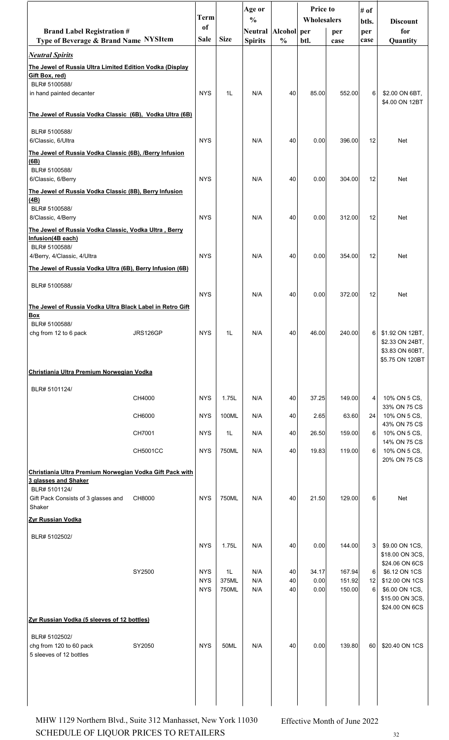|                                                                                          |          | <b>Term</b>              |                | Age or<br>$\frac{0}{0}$               |               | <b>Price to</b><br>Wholesalers |                  | # of<br>btls.  | <b>Discount</b>                    |
|------------------------------------------------------------------------------------------|----------|--------------------------|----------------|---------------------------------------|---------------|--------------------------------|------------------|----------------|------------------------------------|
| <b>Brand Label Registration #</b><br>Type of Beverage & Brand Name NYSItem               |          | of<br>Sale               | <b>Size</b>    | Neutral Alcohol per<br><b>Spirits</b> | $\frac{0}{0}$ | btl.                           | per<br>case      | per<br>case    | for<br>Quantity                    |
| <b>Neutral Spirits</b>                                                                   |          |                          |                |                                       |               |                                |                  |                |                                    |
| The Jewel of Russia Ultra Limited Edition Vodka (Display<br>Gift Box, red)               |          |                          |                |                                       |               |                                |                  |                |                                    |
| BLR# 5100588/<br>in hand painted decanter                                                |          | <b>NYS</b>               | 1L             | N/A                                   | 40            | 85.00                          | 552.00           | 6 <sup>1</sup> | \$2.00 ON 6BT,                     |
| The Jewel of Russia Vodka Classic (6B), Vodka Ultra (6B)                                 |          |                          |                |                                       |               |                                |                  |                | \$4.00 ON 12BT                     |
| BLR# 5100588/                                                                            |          |                          |                |                                       |               |                                |                  |                |                                    |
| 6/Classic, 6/Ultra                                                                       |          | <b>NYS</b>               |                | N/A                                   | 40            | 0.00                           | 396.00           | 12             | Net                                |
| The Jewel of Russia Vodka Classic (6B), /Berry Infusion<br>(6B)                          |          |                          |                |                                       |               |                                |                  |                |                                    |
| BLR# 5100588/<br>6/Classic, 6/Berry                                                      |          | <b>NYS</b>               |                | N/A                                   | 40            | 0.00                           | 304.00           | 12             | Net                                |
| The Jewel of Russia Vodka Classic (8B), Berry Infusion<br>(4B)                           |          |                          |                |                                       |               |                                |                  |                |                                    |
| BLR# 5100588/<br>8/Classic, 4/Berry                                                      |          | <b>NYS</b>               |                | N/A                                   | 40            | 0.00                           | 312.00           | 12             | Net                                |
| The Jewel of Russia Vodka Classic, Vodka Ultra, Berry                                    |          |                          |                |                                       |               |                                |                  |                |                                    |
| Infusion(4B each)<br>BLR# 5100588/                                                       |          |                          |                |                                       |               |                                |                  |                |                                    |
| 4/Berry, 4/Classic, 4/Ultra<br>The Jewel of Russia Vodka Ultra (6B), Berry Infusion (6B) |          | <b>NYS</b>               |                | N/A                                   | 40            | 0.00                           | 354.00           | 12             | <b>Net</b>                         |
| BLR# 5100588/                                                                            |          |                          |                |                                       |               |                                |                  |                |                                    |
|                                                                                          |          | <b>NYS</b>               |                | N/A                                   | 40            | 0.00                           | 372.00           | 12             | Net                                |
| The Jewel of Russia Vodka Ultra Black Label in Retro Gift<br>Box                         |          |                          |                |                                       |               |                                |                  |                |                                    |
| BLR# 5100588/<br>chg from 12 to 6 pack                                                   | JRS126GP | <b>NYS</b>               | 1L             | N/A                                   | 40            | 46.00                          | 240.00           | 6              | \$1.92 ON 12BT,                    |
|                                                                                          |          |                          |                |                                       |               |                                |                  |                | \$2.33 ON 24BT,<br>\$3.83 ON 60BT, |
| Christiania Ultra Premium Norwegian Vodka                                                |          |                          |                |                                       |               |                                |                  |                | \$5.75 ON 120BT                    |
| BLR# 5101124/                                                                            |          |                          |                |                                       |               |                                |                  |                |                                    |
|                                                                                          | CH4000   | <b>NYS</b>               | 1.75L          | N/A                                   | 40            | 37.25                          | 149.00           | 4              | 10% ON 5 CS,<br>33% ON 75 CS       |
|                                                                                          | CH6000   | <b>NYS</b>               | 100ML          | N/A                                   | 40            | 2.65                           | 63.60            | 24             | 10% ON 5 CS,                       |
|                                                                                          | CH7001   | <b>NYS</b>               | 1L             | N/A                                   | 40            | 26.50                          | 159.00           | 6              | 43% ON 75 CS<br>10% ON 5 CS,       |
|                                                                                          | CH5001CC | <b>NYS</b>               | 750ML          | N/A                                   | 40            | 19.83                          | 119.00           | 6              | 14% ON 75 CS<br>10% ON 5 CS,       |
| Christiania Ultra Premium Norwegian Vodka Gift Pack with                                 |          |                          |                |                                       |               |                                |                  |                | 20% ON 75 CS                       |
| 3 glasses and Shaker<br>BLR# 5101124/                                                    |          |                          |                |                                       |               |                                |                  |                |                                    |
| Gift Pack Consists of 3 glasses and<br>Shaker                                            | CH8000   | <b>NYS</b>               | 750ML          | N/A                                   | 40            | 21.50                          | 129.00           | 6              | Net                                |
| Zyr Russian Vodka                                                                        |          |                          |                |                                       |               |                                |                  |                |                                    |
| BLR# 5102502/                                                                            |          |                          |                |                                       |               |                                |                  |                |                                    |
|                                                                                          |          | <b>NYS</b>               | 1.75L          | N/A                                   | 40            | 0.00                           | 144.00           | 3              | \$9.00 ON 1CS,<br>\$18.00 ON 3CS,  |
|                                                                                          | SY2500   | <b>NYS</b>               | 1L             | N/A                                   | 40            | 34.17                          | 167.94           | 6              | \$24.06 ON 6CS<br>\$6.12 ON 1CS    |
|                                                                                          |          | <b>NYS</b><br><b>NYS</b> | 375ML<br>750ML | N/A<br>N/A                            | 40<br>40      | 0.00<br>0.00                   | 151.92<br>150.00 | 12<br>6        | \$12.00 ON 1CS<br>\$6.00 ON 1CS,   |
|                                                                                          |          |                          |                |                                       |               |                                |                  |                | \$15.00 ON 3CS,<br>\$24.00 ON 6CS  |
| Zyr Russian Vodka (5 sleeves of 12 bottles)                                              |          |                          |                |                                       |               |                                |                  |                |                                    |
| BLR# 5102502/                                                                            |          | <b>NYS</b>               | 50ML           |                                       |               |                                | 139.80           |                |                                    |
| chg from 120 to 60 pack<br>5 sleeves of 12 bottles                                       | SY2050   |                          |                | N/A                                   | 40            | 0.00                           |                  | 60             | \$20.40 ON 1CS                     |
|                                                                                          |          |                          |                |                                       |               |                                |                  |                |                                    |
|                                                                                          |          |                          |                |                                       |               |                                |                  |                |                                    |
|                                                                                          |          |                          |                |                                       |               |                                |                  |                |                                    |

SCHEDULE OF LIQUOR PRICES TO RETAILERS  $32$ MHW 1129 Northern Blvd., Suite 312 Manhasset, New York 11030 Effective Month of June 2022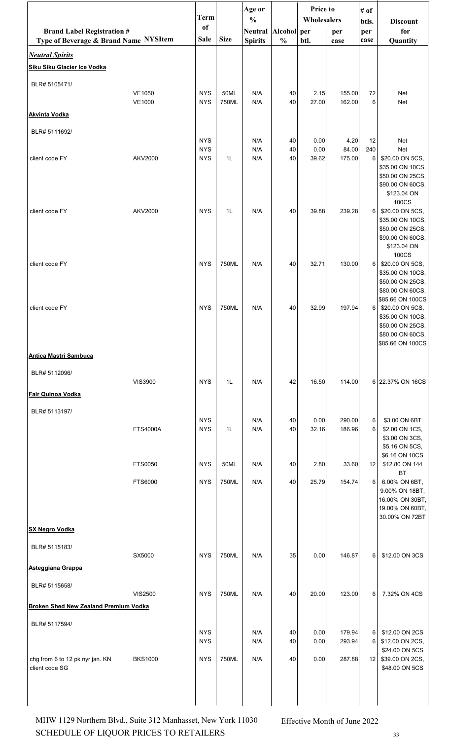|                                                                            |                 |                          |             | Age or                           |                              | Price to      |                  | # of        |                                                                                                                     |
|----------------------------------------------------------------------------|-----------------|--------------------------|-------------|----------------------------------|------------------------------|---------------|------------------|-------------|---------------------------------------------------------------------------------------------------------------------|
|                                                                            |                 | <b>Term</b><br>of        |             | $\frac{0}{0}$                    |                              | Wholesalers   |                  | btls.       | <b>Discount</b>                                                                                                     |
| <b>Brand Label Registration #</b><br>Type of Beverage & Brand Name NYSItem |                 | Sale                     | <b>Size</b> | <b>Neutral</b><br><b>Spirits</b> | Alcohol per<br>$\frac{0}{0}$ | btl.          | per<br>case      | per<br>case | for<br>Quantity                                                                                                     |
| <b>Neutral Spirits</b>                                                     |                 |                          |             |                                  |                              |               |                  |             |                                                                                                                     |
| Siku Siku Glacier Ice Vodka                                                |                 |                          |             |                                  |                              |               |                  |             |                                                                                                                     |
|                                                                            |                 |                          |             |                                  |                              |               |                  |             |                                                                                                                     |
| BLR# 5105471/                                                              | <b>VE1050</b>   | <b>NYS</b>               | 50ML        | N/A                              | 40                           | 2.15          | 155.00           | 72          | Net                                                                                                                 |
|                                                                            | <b>VE1000</b>   | <b>NYS</b>               | 750ML       | N/A                              | 40                           | 27.00         | 162.00           | 6           | Net                                                                                                                 |
| <b>Akvinta Vodka</b>                                                       |                 |                          |             |                                  |                              |               |                  |             |                                                                                                                     |
| BLR# 5111692/                                                              |                 |                          |             |                                  |                              |               |                  |             |                                                                                                                     |
|                                                                            |                 | <b>NYS</b><br><b>NYS</b> |             | N/A<br>N/A                       | 40<br>40                     | 0.00<br>0.00  | 4.20<br>84.00    | 12<br>240   | Net<br><b>Net</b>                                                                                                   |
| client code FY                                                             | <b>AKV2000</b>  | <b>NYS</b>               | 1L          | N/A                              | 40                           | 39.62         | 175.00           | 6           | \$20.00 ON 5CS,<br>\$35.00 ON 10CS,<br>\$50.00 ON 25CS,<br>\$90.00 ON 60CS,<br>\$123.04 ON                          |
| client code FY                                                             | <b>AKV2000</b>  | <b>NYS</b>               | 1L          | N/A                              | 40                           | 39.88         | 239.28           | 6           | 100CS<br>\$20.00 ON 5CS,<br>\$35.00 ON 10CS,<br>\$50.00 ON 25CS,<br>\$90.00 ON 60CS,<br>\$123.04 ON                 |
| client code FY                                                             |                 | <b>NYS</b>               | 750ML       | N/A                              | 40                           | 32.71         | 130.00           | 6           | 100CS<br>\$20.00 ON 5CS,<br>\$35.00 ON 10CS,<br>\$50.00 ON 25CS,<br>\$80.00 ON 60CS,                                |
| client code FY                                                             |                 | <b>NYS</b>               | 750ML       | N/A                              | 40                           | 32.99         | 197.94           | 6           | \$85.66 ON 100CS<br>\$20.00 ON 5CS,<br>\$35.00 ON 10CS,<br>\$50.00 ON 25CS,<br>\$80.00 ON 60CS,<br>\$85.66 ON 100CS |
| <b>Antica Mastri Sambuca</b>                                               |                 |                          |             |                                  |                              |               |                  |             |                                                                                                                     |
| BLR# 5112096/                                                              | <b>VIS3900</b>  | <b>NYS</b>               | 1L          | N/A                              | 42                           | 16.50         | 114.00           |             | 6 22.37% ON 16CS                                                                                                    |
| Fair Quinoa Vodka                                                          |                 |                          |             |                                  |                              |               |                  |             |                                                                                                                     |
| BLR# 5113197/                                                              |                 |                          |             |                                  |                              |               |                  |             |                                                                                                                     |
|                                                                            | <b>FTS4000A</b> | <b>NYS</b><br><b>NYS</b> | 1L          | N/A<br>N/A                       | 40<br>40                     | 0.00<br>32.16 | 290.00<br>186.96 | 6<br>6      | \$3.00 ON 6BT<br>\$2.00 ON 1CS,<br>\$3.00 ON 3CS,<br>\$5.16 ON 5CS,<br>\$6.16 ON 10CS                               |
|                                                                            | FTS0050         | <b>NYS</b>               | 50ML        | N/A                              | 40                           | 2.80          | 33.60            | 12          | \$12.80 ON 144                                                                                                      |
|                                                                            | FTS6000         | <b>NYS</b>               | 750ML       | N/A                              | 40                           | 25.79         | 154.74           | 6           | <b>BT</b><br>6.00% ON 6BT,<br>9.00% ON 18BT,<br>16.00% ON 30BT,<br>19.00% ON 60BT,<br>30.00% ON 72BT                |
| <b>SX Negro Vodka</b>                                                      |                 |                          |             |                                  |                              |               |                  |             |                                                                                                                     |
| BLR# 5115183/                                                              | SX5000          | <b>NYS</b>               | 750ML       | N/A                              | 35                           | 0.00          | 146.87           | 6           | \$12.00 ON 3CS                                                                                                      |
| Asteggiana Grappa                                                          |                 |                          |             |                                  |                              |               |                  |             |                                                                                                                     |
| BLR# 5115658/                                                              |                 |                          |             |                                  |                              |               |                  |             |                                                                                                                     |
|                                                                            | <b>VIS2500</b>  | <b>NYS</b>               | 750ML       | N/A                              | 40                           | 20.00         | 123.00           | 6           | 7.32% ON 4CS                                                                                                        |
| <b>Broken Shed New Zealand Premium Vodka</b>                               |                 |                          |             |                                  |                              |               |                  |             |                                                                                                                     |
| BLR# 5117594/                                                              |                 | <b>NYS</b><br><b>NYS</b> |             | N/A<br>N/A                       | 40<br>40                     | 0.00<br>0.00  | 179.94<br>293.94 | 6<br>6      | \$12.00 ON 2CS<br>\$12.00 ON 2CS,                                                                                   |
|                                                                            |                 |                          |             |                                  |                              |               |                  |             | \$24.00 ON 5CS                                                                                                      |
| chg from 6 to 12 pk nyr jan. KN<br>client code SG                          | <b>BKS1000</b>  | <b>NYS</b>               | 750ML       | N/A                              | 40                           | 0.00          | 287.88           | 12          | \$39.00 ON 2CS,<br>\$48.00 ON 5CS                                                                                   |
|                                                                            |                 |                          |             |                                  |                              |               |                  |             |                                                                                                                     |

 $\begin{minipage}{.4\linewidth} \textbf{SCHEDULE OF LIQUOR PRICES TO RETAILERS} \end{minipage}$ MHW 1129 Northern Blvd., Suite 312 Manhasset, New York 11030 Effective Month of June 2022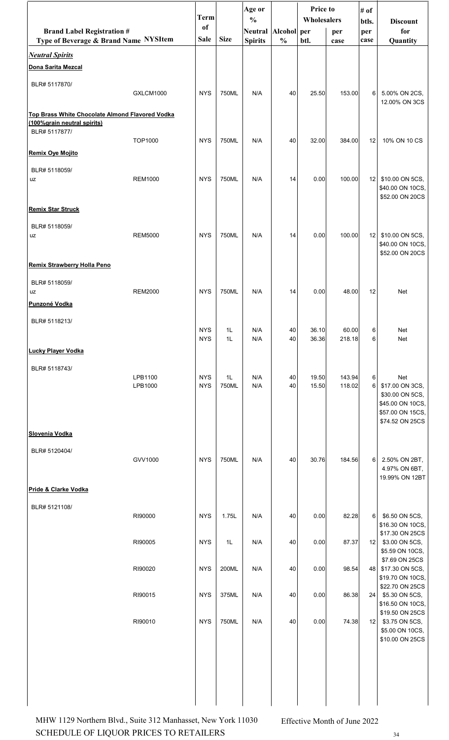|                                                                                                 |                    | <b>Term</b>              |             | Age or<br>$\frac{0}{0}$ | Price to<br># of |                | Wholesalers      |                     |                                                                                                      |
|-------------------------------------------------------------------------------------------------|--------------------|--------------------------|-------------|-------------------------|------------------|----------------|------------------|---------------------|------------------------------------------------------------------------------------------------------|
| <b>Brand Label Registration #</b>                                                               |                    | of                       |             | Neutral Alcohol per     |                  |                | per              | btls.<br>per        | <b>Discount</b><br>for                                                                               |
| Type of Beverage & Brand Name NYSItem                                                           |                    | <b>Sale</b>              | <b>Size</b> | <b>Spirits</b>          | $\frac{0}{0}$    | btl.           | case             | case                | Quantity                                                                                             |
| <b>Neutral Spirits</b><br>Dona Sarita Mezcal                                                    |                    |                          |             |                         |                  |                |                  |                     |                                                                                                      |
| BLR# 5117870/                                                                                   |                    |                          |             |                         |                  |                |                  |                     |                                                                                                      |
|                                                                                                 | GXLCM1000          | <b>NYS</b>               | 750ML       | N/A                     | 40               | 25.50          | 153.00           | 6                   | 5.00% ON 2CS,                                                                                        |
| Top Brass White Chocolate Almond Flavored Vodka<br>(100%grain neutral spirits)<br>BLR# 5117877/ |                    |                          |             |                         |                  |                |                  |                     | 12.00% ON 3CS                                                                                        |
|                                                                                                 | TOP1000            | <b>NYS</b>               | 750ML       | N/A                     | 40               | 32.00          | 384.00           | 12                  | 10% ON 10 CS                                                                                         |
| <b>Remix Oye Mojito</b>                                                                         |                    |                          |             |                         |                  |                |                  |                     |                                                                                                      |
| BLR# 5118059/<br>uz                                                                             | <b>REM1000</b>     | <b>NYS</b>               | 750ML       | N/A                     | 14               | 0.00           | 100.00           | 12                  | \$10.00 ON 5CS,<br>\$40.00 ON 10CS,<br>\$52.00 ON 20CS                                               |
| <b>Remix Star Struck</b>                                                                        |                    |                          |             |                         |                  |                |                  |                     |                                                                                                      |
| BLR# 5118059/<br>uz                                                                             | <b>REM5000</b>     | <b>NYS</b>               | 750ML       | N/A                     | 14               | 0.00           | 100.00           | 12                  | \$10.00 ON 5CS,<br>\$40.00 ON 10CS,<br>\$52.00 ON 20CS                                               |
| Remix Strawberry Holla Peno                                                                     |                    |                          |             |                         |                  |                |                  |                     |                                                                                                      |
| BLR# 5118059/<br>uz                                                                             | <b>REM2000</b>     | <b>NYS</b>               | 750ML       | N/A                     | 14               | 0.00           | 48.00            | 12                  | Net                                                                                                  |
| Punzoné Vodka                                                                                   |                    |                          |             |                         |                  |                |                  |                     |                                                                                                      |
| BLR# 5118213/                                                                                   |                    | <b>NYS</b><br><b>NYS</b> | 1L<br>1L    | N/A<br>N/A              | 40<br>40         | 36.10<br>36.36 | 60.00<br>218.18  | 6 <sup>1</sup><br>6 | Net<br>Net                                                                                           |
| <b>Lucky Player Vodka</b>                                                                       |                    |                          |             |                         |                  |                |                  |                     |                                                                                                      |
| BLR# 5118743/                                                                                   | LPB1100<br>LPB1000 | <b>NYS</b><br><b>NYS</b> | 1L<br>750ML | N/A<br>N/A              | 40<br>40         | 19.50<br>15.50 | 143.94<br>118.02 | 6<br>6              | Net<br>\$17.00 ON 3CS,<br>\$30.00 ON 5CS,<br>\$45.00 ON 10CS,<br>\$57.00 ON 15CS,<br>\$74.52 ON 25CS |
| Slovenia Vodka                                                                                  |                    |                          |             |                         |                  |                |                  |                     |                                                                                                      |
| BLR# 5120404/                                                                                   | GVV1000            | <b>NYS</b>               | 750ML       | N/A                     | 40               | 30.76          | 184.56           | 6                   | 2.50% ON 2BT,<br>4.97% ON 6BT,<br>19.99% ON 12BT                                                     |
| Pride & Clarke Vodka                                                                            |                    |                          |             |                         |                  |                |                  |                     |                                                                                                      |
| BLR# 5121108/                                                                                   | RI90000            | <b>NYS</b>               | 1.75L       | N/A                     | 40               | 0.00           | 82.28            | 6                   | \$6.50 ON 5CS,<br>\$16.30 ON 10CS,                                                                   |
|                                                                                                 | RI90005            | <b>NYS</b>               | 1L          | N/A                     | 40               | 0.00           | 87.37            | 12                  | \$17.30 ON 25CS<br>\$3.00 ON 5CS,                                                                    |
|                                                                                                 | RI90020            | <b>NYS</b>               | 200ML       | N/A                     | 40               | 0.00           | 98.54            | 48                  | \$5.59 ON 10CS,<br>\$7.69 ON 25CS<br>\$17.30 ON 5CS,<br>\$19.70 ON 10CS,                             |
|                                                                                                 | RI90015            | <b>NYS</b>               | 375ML       | N/A                     | 40               | 0.00           | 86.38            | 24                  | \$22.70 ON 25CS<br>\$5.30 ON 5CS,                                                                    |
|                                                                                                 | RI90010            | <b>NYS</b>               | 750ML       | N/A                     | 40               | 0.00           | 74.38            | 12                  | \$16.50 ON 10CS,<br>\$19.50 ON 25CS<br>\$3.75 ON 5CS,<br>\$5.00 ON 10CS,<br>\$10.00 ON 25CS          |
|                                                                                                 |                    |                          |             |                         |                  |                |                  |                     |                                                                                                      |

SCHEDULE OF LIQUOR PRICES TO RETAILERS  $34$ MHW 1129 Northern Blvd., Suite 312 Manhasset, New York 11030 Effective Month of June 2022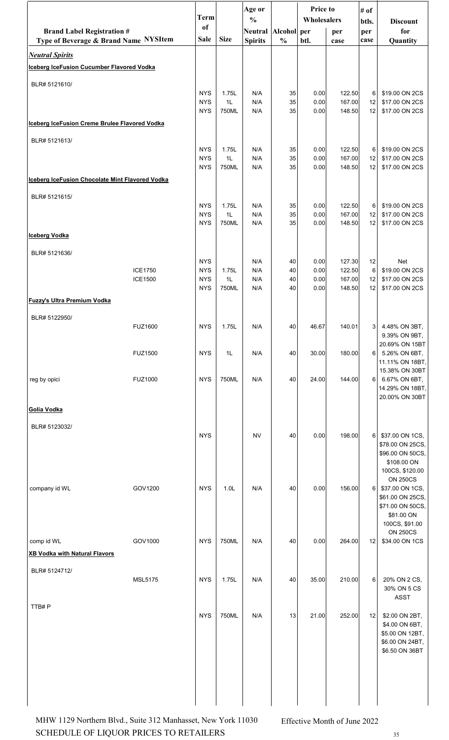|                                                                            |                | <b>Term</b>              | <b>Price to</b><br>Age or<br># of<br>$\frac{0}{0}$<br>btls. |                                       | Wholesalers   |              | <b>Discount</b>  |             |                                     |
|----------------------------------------------------------------------------|----------------|--------------------------|-------------------------------------------------------------|---------------------------------------|---------------|--------------|------------------|-------------|-------------------------------------|
| <b>Brand Label Registration #</b><br>Type of Beverage & Brand Name NYSItem |                | <sub>of</sub><br>Sale    | <b>Size</b>                                                 | Neutral Alcohol per<br><b>Spirits</b> | $\frac{0}{0}$ | btl.         | per<br>case      | per<br>case | for<br>Quantity                     |
| <b>Neutral Spirits</b>                                                     |                |                          |                                                             |                                       |               |              |                  |             |                                     |
| Iceberg IceFusion Cucumber Flavored Vodka                                  |                |                          |                                                             |                                       |               |              |                  |             |                                     |
| BLR# 5121610/                                                              |                | <b>NYS</b>               | 1.75L                                                       | N/A                                   | 35            | 0.00         | 122.50           | 6           | \$19.00 ON 2CS                      |
|                                                                            |                | <b>NYS</b>               | 1L                                                          | N/A                                   | 35            | 0.00         | 167.00           | 12          | \$17.00 ON 2CS                      |
| Iceberg IceFusion Creme Brulee Flavored Vodka                              |                | <b>NYS</b>               | 750ML                                                       | N/A                                   | 35            | 0.00         | 148.50           | 12          | \$17.00 ON 2CS                      |
| BLR# 5121613/                                                              |                |                          |                                                             |                                       |               |              |                  |             |                                     |
|                                                                            |                | <b>NYS</b><br><b>NYS</b> | 1.75L<br>1L                                                 | N/A<br>N/A                            | 35<br>35      | 0.00<br>0.00 | 122.50<br>167.00 | 6<br>12     | \$19.00 ON 2CS<br>\$17.00 ON 2CS    |
|                                                                            |                | <b>NYS</b>               | 750ML                                                       | N/A                                   | 35            | 0.00         | 148.50           | 12          | \$17.00 ON 2CS                      |
| Iceberg IceFusion Chocolate Mint Flavored Vodka                            |                |                          |                                                             |                                       |               |              |                  |             |                                     |
| BLR# 5121615/                                                              |                | <b>NYS</b>               | 1.75L                                                       | N/A                                   | 35            | 0.00         | 122.50           | 6           | \$19.00 ON 2CS                      |
|                                                                            |                | <b>NYS</b><br><b>NYS</b> | 1L<br>750ML                                                 | N/A<br>N/A                            | 35<br>35      | 0.00<br>0.00 | 167.00<br>148.50 | 12<br>12    | \$17.00 ON 2CS<br>\$17.00 ON 2CS    |
| <b>Iceberg Vodka</b>                                                       |                |                          |                                                             |                                       |               |              |                  |             |                                     |
| BLR# 5121636/                                                              |                |                          |                                                             |                                       |               |              |                  |             |                                     |
|                                                                            | <b>ICE1750</b> | <b>NYS</b><br><b>NYS</b> | 1.75L                                                       | N/A<br>N/A                            | 40<br>40      | 0.00<br>0.00 | 127.30<br>122.50 | 12<br>6     | <b>Net</b><br>\$19.00 ON 2CS        |
|                                                                            | ICE1500        | <b>NYS</b><br><b>NYS</b> | 1L<br>750ML                                                 | N/A<br>N/A                            | 40<br>40      | 0.00<br>0.00 | 167.00<br>148.50 | 12<br>12    | \$17.00 ON 2CS<br>\$17.00 ON 2CS    |
| <b>Fuzzy's Ultra Premium Vodka</b>                                         |                |                          |                                                             |                                       |               |              |                  |             |                                     |
| BLR# 5122950/                                                              |                |                          |                                                             |                                       |               |              |                  |             |                                     |
|                                                                            | <b>FUZ1600</b> | <b>NYS</b>               | 1.75L                                                       | N/A                                   | 40            | 46.67        | 140.01           | 3           | 4.48% ON 3BT,<br>9.39% ON 9BT,      |
|                                                                            | <b>FUZ1500</b> | <b>NYS</b>               | 1L                                                          | N/A                                   | 40            | 30.00        | 180.00           | 6           | 20.69% ON 15BT<br>5.26% ON 6BT,     |
|                                                                            |                |                          |                                                             |                                       |               |              |                  |             | 11.11% ON 18BT,                     |
| reg by opici                                                               | <b>FUZ1000</b> | <b>NYS</b>               | 750ML                                                       | N/A                                   | 40            | 24.00        | 144.00           | 6           | 15.38% ON 30BT<br>6.67% ON 6BT,     |
|                                                                            |                |                          |                                                             |                                       |               |              |                  |             | 14.29% ON 18BT,<br>20.00% ON 30BT   |
| Golia Vodka                                                                |                |                          |                                                             |                                       |               |              |                  |             |                                     |
| BLR# 5123032/                                                              |                | <b>NYS</b>               |                                                             | <b>NV</b>                             | 40            | 0.00         | 198.00           | 6           | \$37.00 ON 1CS,                     |
|                                                                            |                |                          |                                                             |                                       |               |              |                  |             | \$78.00 ON 25CS,                    |
|                                                                            |                |                          |                                                             |                                       |               |              |                  |             | \$96.00 ON 50CS,<br>\$108.00 ON     |
|                                                                            |                |                          |                                                             |                                       |               |              |                  |             | 100CS, \$120.00<br><b>ON 250CS</b>  |
| company id WL                                                              | GOV1200        | <b>NYS</b>               | 1.0 <sub>L</sub>                                            | N/A                                   | 40            | 0.00         | 156.00           | 6           | \$37.00 ON 1CS,<br>\$61.00 ON 25CS, |
|                                                                            |                |                          |                                                             |                                       |               |              |                  |             | \$71.00 ON 50CS,<br>\$81.00 ON      |
|                                                                            |                |                          |                                                             |                                       |               |              |                  |             | 100CS, \$91.00<br><b>ON 250CS</b>   |
| comp id WL                                                                 | GOV1000        | <b>NYS</b>               | 750ML                                                       | N/A                                   | 40            | 0.00         | 264.00           | 12          | \$34.00 ON 1CS                      |
| <b>XB Vodka with Natural Flavors</b>                                       |                |                          |                                                             |                                       |               |              |                  |             |                                     |
| BLR# 5124712/                                                              | <b>MSL5175</b> | <b>NYS</b>               | 1.75L                                                       | N/A                                   | 40            | 35.00        | 210.00           | 6           | 20% ON 2 CS,                        |
|                                                                            |                |                          |                                                             |                                       |               |              |                  |             | 30% ON 5 CS<br><b>ASST</b>          |
| TTB#P                                                                      |                | <b>NYS</b>               | 750ML                                                       | N/A                                   | 13            | 21.00        | 252.00           | 12          | \$2.00 ON 2BT,                      |
|                                                                            |                |                          |                                                             |                                       |               |              |                  |             | \$4.00 ON 6BT,<br>\$5.00 ON 12BT,   |
|                                                                            |                |                          |                                                             |                                       |               |              |                  |             | \$6.00 ON 24BT,                     |
|                                                                            |                |                          |                                                             |                                       |               |              |                  |             | \$6.50 ON 36BT                      |
|                                                                            |                |                          |                                                             |                                       |               |              |                  |             |                                     |
|                                                                            |                |                          |                                                             |                                       |               |              |                  |             |                                     |
|                                                                            |                |                          |                                                             |                                       |               |              |                  |             |                                     |

SCHEDULE OF LIQUOR PRICES TO RETAILERS 35 MHW 1129 Northern Blvd., Suite 312 Manhasset, New York 11030 Effective Month of June 2022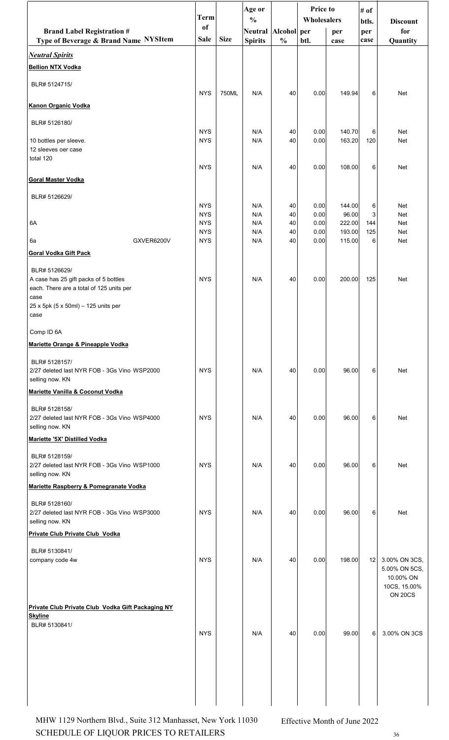|                                                                                  | <b>Term</b>              |             | Age or                                |               | Price to     |                  | # of        |                                                                               |
|----------------------------------------------------------------------------------|--------------------------|-------------|---------------------------------------|---------------|--------------|------------------|-------------|-------------------------------------------------------------------------------|
|                                                                                  | <sub>of</sub>            |             | $\frac{0}{0}$                         |               | Wholesalers  |                  | btls.       | <b>Discount</b>                                                               |
| <b>Brand Label Registration #</b><br>Type of Beverage & Brand Name NYSItem       | Sale                     | <b>Size</b> | Neutral Alcohol per<br><b>Spirits</b> | $\frac{0}{0}$ | btl.         | per<br>case      | per<br>case | for<br>Quantity                                                               |
| <b>Neutral Spirits</b>                                                           |                          |             |                                       |               |              |                  |             |                                                                               |
| <b>Bellion NTX Vodka</b>                                                         |                          |             |                                       |               |              |                  |             |                                                                               |
| BLR# 5124715/                                                                    | <b>NYS</b>               | 750ML       | N/A                                   | 40            | 0.00         | 149.94           | 6           | Net                                                                           |
| <b>Kanon Organic Vodka</b>                                                       |                          |             |                                       |               |              |                  |             |                                                                               |
| BLR# 5126180/                                                                    |                          |             |                                       |               |              |                  |             |                                                                               |
| 10 bottles per sleeve.                                                           | <b>NYS</b><br><b>NYS</b> |             | N/A<br>N/A                            | 40<br>40      | 0.00<br>0.00 | 140.70<br>163.20 | 6<br>120    | <b>Net</b><br>Net                                                             |
| 12 sleeves oer case<br>total 120                                                 |                          |             |                                       |               |              |                  |             |                                                                               |
|                                                                                  | <b>NYS</b>               |             | N/A                                   | 40            | 0.00         | 108.00           | 6           | <b>Net</b>                                                                    |
| <b>Goral Master Vodka</b>                                                        |                          |             |                                       |               |              |                  |             |                                                                               |
| BLR# 5126629/                                                                    | <b>NYS</b>               |             | N/A                                   | 40            | 0.00         | 144.00           | 6           | <b>Net</b>                                                                    |
|                                                                                  | <b>NYS</b>               |             | N/A                                   | 40            | 0.00         | 96.00            | 3           | Net                                                                           |
| 6A                                                                               | <b>NYS</b>               |             | N/A                                   | 40            | 0.00         | 222.00           | 144         | Net                                                                           |
|                                                                                  | <b>NYS</b>               |             | N/A                                   | 40            | 0.00         | 193.00           | 125         | Net                                                                           |
| GXVER6200V<br>6a                                                                 | <b>NYS</b>               |             | N/A                                   | 40            | 0.00         | 115.00           | 6           | Net                                                                           |
| <b>Goral Vodka Gift Pack</b>                                                     |                          |             |                                       |               |              |                  |             |                                                                               |
| BLR# 5126629/                                                                    |                          |             |                                       |               |              |                  |             |                                                                               |
| A case has 25 gift packs of 5 bottles                                            | <b>NYS</b>               |             | N/A                                   | 40            | 0.00         | 200.00           | 125         | Net                                                                           |
| each. There are a total of 125 units per                                         |                          |             |                                       |               |              |                  |             |                                                                               |
| case<br>25 x 5pk (5 x 50ml) - 125 units per<br>case                              |                          |             |                                       |               |              |                  |             |                                                                               |
| Comp ID 6A                                                                       |                          |             |                                       |               |              |                  |             |                                                                               |
| Mariette Orange & Pineapple Vodka                                                |                          |             |                                       |               |              |                  |             |                                                                               |
|                                                                                  |                          |             |                                       |               |              |                  |             |                                                                               |
| BLR# 5128157/<br>2/27 deleted last NYR FOB - 3Gs Vino WSP2000<br>selling now. KN | <b>NYS</b>               |             | N/A                                   | 40            | 0.00         | 96.00            | 6           | <b>Net</b>                                                                    |
| Mariette Vanilla & Coconut Vodka                                                 |                          |             |                                       |               |              |                  |             |                                                                               |
| BLR# 5128158/<br>2/27 deleted last NYR FOB - 3Gs Vino WSP4000                    | <b>NYS</b>               |             | N/A                                   | 40            | 0.00         | 96.00            | 6           | Net                                                                           |
| selling now. KN                                                                  |                          |             |                                       |               |              |                  |             |                                                                               |
| Mariette '5X' Distilled Vodka                                                    |                          |             |                                       |               |              |                  |             |                                                                               |
| BLR# 5128159/<br>2/27 deleted last NYR FOB - 3Gs Vino WSP1000<br>selling now. KN | <b>NYS</b>               |             | N/A                                   | 40            | 0.00         | 96.00            | 6           | <b>Net</b>                                                                    |
| Mariette Raspberry & Pomegranate Vodka                                           |                          |             |                                       |               |              |                  |             |                                                                               |
| BLR# 5128160/                                                                    |                          |             |                                       |               |              |                  |             |                                                                               |
| 2/27 deleted last NYR FOB - 3Gs Vino WSP3000<br>selling now. KN                  | <b>NYS</b>               |             | N/A                                   | 40            | 0.00         | 96.00            | 6           | <b>Net</b>                                                                    |
| Private Club Private Club Vodka                                                  |                          |             |                                       |               |              |                  |             |                                                                               |
| BLR# 5130841/                                                                    |                          |             |                                       |               |              |                  |             |                                                                               |
| company code 4w                                                                  | <b>NYS</b>               |             | N/A                                   | 40            | 0.00         | 198.00           | 12          | 3.00% ON 3CS,<br>5.00% ON 5CS,<br>10.00% ON<br>10CS, 15.00%<br><b>ON 20CS</b> |
| Private Club Private Club Vodka Gift Packaging NY                                |                          |             |                                       |               |              |                  |             |                                                                               |
| <b>Skyline</b>                                                                   |                          |             |                                       |               |              |                  |             |                                                                               |
| BLR# 5130841/                                                                    | <b>NYS</b>               |             | N/A                                   | 40            | 0.00         | 99.00            | 6           | 3.00% ON 3CS                                                                  |
|                                                                                  |                          |             |                                       |               |              |                  |             |                                                                               |
|                                                                                  |                          |             |                                       |               |              |                  |             |                                                                               |
|                                                                                  |                          |             |                                       |               |              |                  |             |                                                                               |
|                                                                                  |                          |             |                                       |               | 1            |                  |             |                                                                               |
|                                                                                  |                          |             |                                       |               |              |                  |             |                                                                               |

SCHEDULE OF LIQUOR PRICES TO RETAILERS 36 MHW 1129 Northern Blvd., Suite 312 Manhasset, New York 11030 Effective Month of June 2022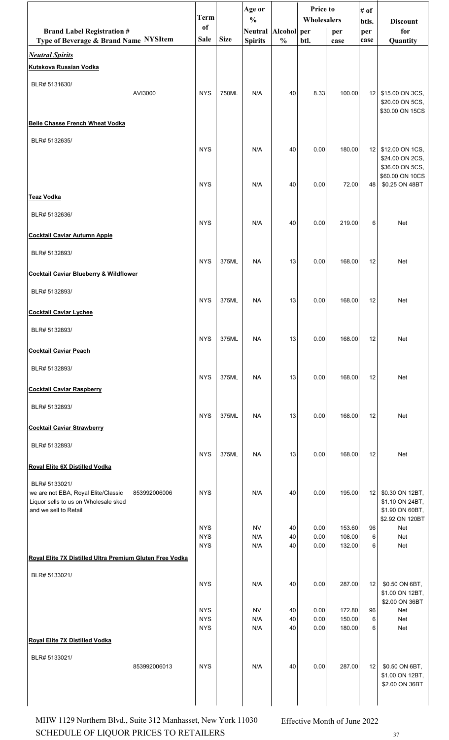|                                                               | <b>Term</b>              |             | Age or<br>$\frac{0}{0}$ |               | <b>Price to</b><br>Wholesalers |                  | # of            |                                    |
|---------------------------------------------------------------|--------------------------|-------------|-------------------------|---------------|--------------------------------|------------------|-----------------|------------------------------------|
| <b>Brand Label Registration #</b>                             | <sub>of</sub>            |             | Neutral   Alcohol   per |               |                                | per              | btls.<br>per    | <b>Discount</b><br>for             |
| Type of Beverage & Brand Name NYSItem                         | Sale                     | <b>Size</b> | <b>Spirits</b>          | $\frac{0}{0}$ | btl.                           | case             | case            | Quantity                           |
| <b>Neutral Spirits</b>                                        |                          |             |                         |               |                                |                  |                 |                                    |
| <b>Kutskova Russian Vodka</b>                                 |                          |             |                         |               |                                |                  |                 |                                    |
| BLR# 5131630/<br>AVI3000                                      | <b>NYS</b>               | 750ML       | N/A                     | 40            | 8.33                           | 100.00           | 12 <sub>1</sub> | \$15.00 ON 3CS,                    |
|                                                               |                          |             |                         |               |                                |                  |                 | \$20.00 ON 5CS,<br>\$30.00 ON 15CS |
| <b>Belle Chasse French Wheat Vodka</b>                        |                          |             |                         |               |                                |                  |                 |                                    |
| BLR# 5132635/                                                 |                          |             |                         |               |                                |                  |                 |                                    |
|                                                               | <b>NYS</b>               |             | N/A                     | 40            | 0.00                           | 180.00           | 12              | \$12.00 ON 1CS,<br>\$24.00 ON 2CS, |
|                                                               |                          |             |                         |               |                                |                  |                 | \$36.00 ON 5CS,                    |
|                                                               | <b>NYS</b>               |             | N/A                     | 40            | 0.00                           | 72.00            | 48              | \$60.00 ON 10CS<br>\$0.25 ON 48BT  |
| <b>Teaz Vodka</b>                                             |                          |             |                         |               |                                |                  |                 |                                    |
| BLR# 5132636/                                                 |                          |             |                         |               |                                |                  |                 |                                    |
| <b>Cocktail Caviar Autumn Apple</b>                           | <b>NYS</b>               |             | N/A                     | 40            | 0.00                           | 219.00           | 6               | Net                                |
|                                                               |                          |             |                         |               |                                |                  |                 |                                    |
| BLR# 5132893/                                                 | <b>NYS</b>               | 375ML       | <b>NA</b>               | 13            | 0.00                           | 168.00           | 12              | Net                                |
| <b>Cocktail Caviar Blueberry &amp; Wildflower</b>             |                          |             |                         |               |                                |                  |                 |                                    |
| BLR# 5132893/                                                 |                          |             |                         |               |                                |                  |                 |                                    |
| <b>Cocktail Caviar Lychee</b>                                 | <b>NYS</b>               | 375ML       | <b>NA</b>               | 13            | 0.00                           | 168.00           | 12              | Net                                |
|                                                               |                          |             |                         |               |                                |                  |                 |                                    |
| BLR# 5132893/                                                 | <b>NYS</b>               | 375ML       | <b>NA</b>               | 13            | 0.00                           | 168.00           | 12              | Net                                |
| <b>Cocktail Caviar Peach</b>                                  |                          |             |                         |               |                                |                  |                 |                                    |
| BLR# 5132893/                                                 |                          |             |                         |               |                                |                  |                 |                                    |
| <b>Cocktail Caviar Raspberry</b>                              | <b>NYS</b>               | 375ML       | <b>NA</b>               | 13            | 0.00                           | 168.00           | 12              | Net                                |
| BLR# 5132893/                                                 |                          |             |                         |               |                                |                  |                 |                                    |
|                                                               | <b>NYS</b>               | 375ML       | <b>NA</b>               | 13            | 0.00                           | 168.00           | 12              | Net                                |
| <b>Cocktail Caviar Strawberry</b>                             |                          |             |                         |               |                                |                  |                 |                                    |
| BLR# 5132893/                                                 |                          |             |                         |               |                                |                  |                 |                                    |
| Royal Elite 6X Distilled Vodka                                | <b>NYS</b>               | 375ML       | <b>NA</b>               | 13            | 0.00                           | 168.00           | 12              | Net                                |
| BLR# 5133021/                                                 |                          |             |                         |               |                                |                  |                 |                                    |
| we are not EBA, Royal Elite/Classic<br>853992006006           | <b>NYS</b>               |             | N/A                     | 40            | 0.00                           | 195.00           | 12              | \$0.30 ON 12BT,                    |
| Liquor sells to us on Wholesale sked<br>and we sell to Retail |                          |             |                         |               |                                |                  |                 | \$1.10 ON 24BT,<br>\$1.90 ON 60BT, |
|                                                               | <b>NYS</b>               |             | <b>NV</b>               | 40            | 0.00                           | 153.60           | 96              | \$2.92 ON 120BT<br>Net             |
|                                                               | <b>NYS</b><br><b>NYS</b> |             | N/A<br>N/A              | 40<br>40      | 0.00<br>0.00                   | 108.00<br>132.00 | 6<br>6          | Net<br>Net                         |
| Royal Elite 7X Distilled Ultra Premium Gluten Free Vodka      |                          |             |                         |               |                                |                  |                 |                                    |
| BLR# 5133021/                                                 |                          |             |                         |               |                                |                  |                 |                                    |
|                                                               | <b>NYS</b>               |             | N/A                     | 40            | 0.00                           | 287.00           | 12              | \$0.50 ON 6BT,<br>\$1.00 ON 12BT,  |
|                                                               |                          |             |                         |               |                                |                  |                 | \$2.00 ON 36BT                     |
|                                                               | <b>NYS</b><br><b>NYS</b> |             | <b>NV</b><br>N/A        | 40<br>40      | 0.00<br>0.00                   | 172.80<br>150.00 | 96<br>6         | Net<br>Net                         |
|                                                               | <b>NYS</b>               |             | N/A                     | 40            | 0.00                           | 180.00           | 6               | Net                                |
| <b>Royal Elite 7X Distilled Vodka</b>                         |                          |             |                         |               |                                |                  |                 |                                    |
| BLR# 5133021/<br>853992006013                                 | <b>NYS</b>               |             | N/A                     | 40            | 0.00                           | 287.00           |                 | 12 \$0.50 ON 6BT,                  |
|                                                               |                          |             |                         |               |                                |                  |                 | \$1.00 ON 12BT,<br>\$2.00 ON 36BT  |
|                                                               |                          |             |                         |               |                                |                  |                 |                                    |
|                                                               |                          |             |                         |               |                                |                  |                 |                                    |

SCHEDULE OF LIQUOR PRICES TO RETAILERS  $37$ MHW 1129 Northern Blvd., Suite 312 Manhasset, New York 11030 Effective Month of June 2022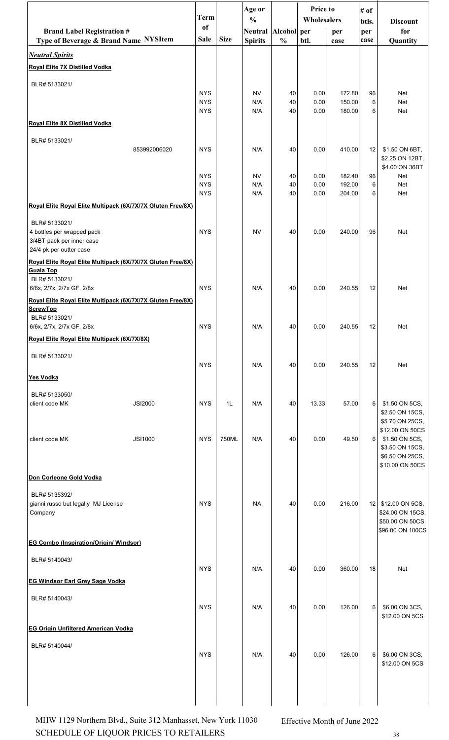|                                                                                                                               | <b>Term</b>                            |             | Age or<br>$\frac{0}{0}$               |                | Price to<br>Wholesalers |                            | # of<br>btls.   | <b>Discount</b>                                                                                               |  |
|-------------------------------------------------------------------------------------------------------------------------------|----------------------------------------|-------------|---------------------------------------|----------------|-------------------------|----------------------------|-----------------|---------------------------------------------------------------------------------------------------------------|--|
| <b>Brand Label Registration #</b><br>Type of Beverage & Brand Name NYSItem                                                    | <sub>of</sub><br>Sale                  | <b>Size</b> | Neutral Alcohol per<br><b>Spirits</b> | $\frac{0}{0}$  | btl.                    | per<br>case                | per<br>case     | for<br>Quantity                                                                                               |  |
| <b>Neutral Spirits</b>                                                                                                        |                                        |             |                                       |                |                         |                            |                 |                                                                                                               |  |
| Royal Elite 7X Distilled Vodka                                                                                                |                                        |             |                                       |                |                         |                            |                 |                                                                                                               |  |
| BLR# 5133021/                                                                                                                 | <b>NYS</b><br><b>NYS</b><br><b>NYS</b> |             | <b>NV</b><br>N/A<br>N/A               | 40<br>40<br>40 | 0.00<br>0.00<br>0.00    | 172.80<br>150.00<br>180.00 | 96<br>6<br>6    | Net<br>Net<br>Net                                                                                             |  |
| Royal Elite 8X Distilled Vodka                                                                                                |                                        |             |                                       |                |                         |                            |                 |                                                                                                               |  |
| BLR# 5133021/                                                                                                                 |                                        |             |                                       |                |                         |                            |                 |                                                                                                               |  |
| 853992006020                                                                                                                  | <b>NYS</b>                             |             | N/A                                   | 40             | 0.00                    | 410.00                     | 12              | \$1.50 ON 6BT,<br>\$2.25 ON 12BT,<br>\$4.00 ON 36BT                                                           |  |
|                                                                                                                               | <b>NYS</b><br><b>NYS</b><br><b>NYS</b> |             | <b>NV</b><br>N/A<br>N/A               | 40<br>40<br>40 | 0.00<br>0.00<br>0.00    | 182.40<br>192.00<br>204.00 | 96<br>6<br>6    | Net<br>Net<br>Net                                                                                             |  |
| Royal Elite Royal Elite Multipack (6X/7X/7X Gluten Free/8X)                                                                   |                                        |             |                                       |                |                         |                            |                 |                                                                                                               |  |
| BLR# 5133021/<br>4 bottles per wrapped pack<br>3/4BT pack per inner case<br>24/4 pk per outter case                           | <b>NYS</b>                             |             | <b>NV</b>                             | 40             | 0.00                    | 240.00                     | 96              | Net                                                                                                           |  |
| Royal Elite Royal Elite Multipack (6X/7X/7X Gluten Free/8X)<br><b>Guala Top</b><br>BLR# 5133021/<br>6/6x, 2/7x, 2/7x GF, 2/8x | <b>NYS</b>                             |             | N/A                                   | 40             | 0.00                    | 240.55                     | 12              | Net                                                                                                           |  |
| Royal Elite Royal Elite Multipack (6X/7X/7X Gluten Free/8X)<br><b>ScrewTop</b>                                                |                                        |             |                                       |                |                         |                            |                 |                                                                                                               |  |
| BLR# 5133021/<br>6/6x, 2/7x, 2/7x GF, 2/8x                                                                                    | <b>NYS</b>                             |             | N/A                                   | 40             | 0.00                    | 240.55                     | 12              | Net                                                                                                           |  |
| Royal Elite Royal Elite Multipack (6X/7X/8X)                                                                                  |                                        |             |                                       |                |                         |                            |                 |                                                                                                               |  |
| BLR# 5133021/                                                                                                                 | <b>NYS</b>                             |             | N/A                                   | 40             | 0.00                    | 240.55                     | 12              | Net                                                                                                           |  |
| <b>Yes Vodka</b>                                                                                                              |                                        |             |                                       |                |                         |                            |                 |                                                                                                               |  |
| BLR# 5133050/<br>client code MK<br><b>JSI2000</b>                                                                             | <b>NYS</b>                             | 1L          | N/A                                   | 40             | 13.33                   | 57.00                      | 6               | \$1.50 ON 5CS,<br>\$2.50 ON 15CS,                                                                             |  |
| client code MK<br><b>JSI1000</b>                                                                                              | <b>NYS</b>                             | 750ML       | N/A                                   | 40             | 0.00                    | 49.50                      | 6               | \$5.70 ON 25CS,<br>\$12.00 ON 50CS<br>\$1.50 ON 5CS,<br>\$3.50 ON 15CS,<br>\$6.50 ON 25CS,<br>\$10.00 ON 50CS |  |
| Don Corleone Gold Vodka                                                                                                       |                                        |             |                                       |                |                         |                            |                 |                                                                                                               |  |
| BLR# 5135392/<br>gianni russo but legally MJ License<br>Company                                                               | <b>NYS</b>                             |             | <b>NA</b>                             | 40             | 0.00                    | 216.00                     | 12 <sub>1</sub> | \$12.00 ON 5CS,<br>\$24.00 ON 15CS,<br>\$50.00 ON 50CS,<br>\$96.00 ON 100CS                                   |  |
| <b>EG Combo (Inspiration/Origin/ Windsor)</b>                                                                                 |                                        |             |                                       |                |                         |                            |                 |                                                                                                               |  |
| BLR# 5140043/                                                                                                                 | <b>NYS</b>                             |             | N/A                                   | 40             | 0.00                    | 360.00                     | 18              | Net                                                                                                           |  |
| <b>EG Windsor Earl Grey Sage Vodka</b>                                                                                        |                                        |             |                                       |                |                         |                            |                 |                                                                                                               |  |
| BLR# 5140043/                                                                                                                 | <b>NYS</b>                             |             | N/A                                   | 40             | 0.00                    | 126.00                     | 6               | \$6.00 ON 3CS,<br>\$12.00 ON 5CS                                                                              |  |
| <b>EG Origin Unfiltered American Vodka</b>                                                                                    |                                        |             |                                       |                |                         |                            |                 |                                                                                                               |  |
| BLR# 5140044/                                                                                                                 | <b>NYS</b>                             |             | N/A                                   | 40             | 0.00                    | 126.00                     | 6               | \$6.00 ON 3CS,<br>\$12.00 ON 5CS                                                                              |  |
|                                                                                                                               |                                        |             |                                       |                |                         |                            |                 |                                                                                                               |  |

SCHEDULE OF LIQUOR PRICES TO RETAILERS  $38$ MHW 1129 Northern Blvd., Suite 312 Manhasset, New York 11030 Effective Month of June 2022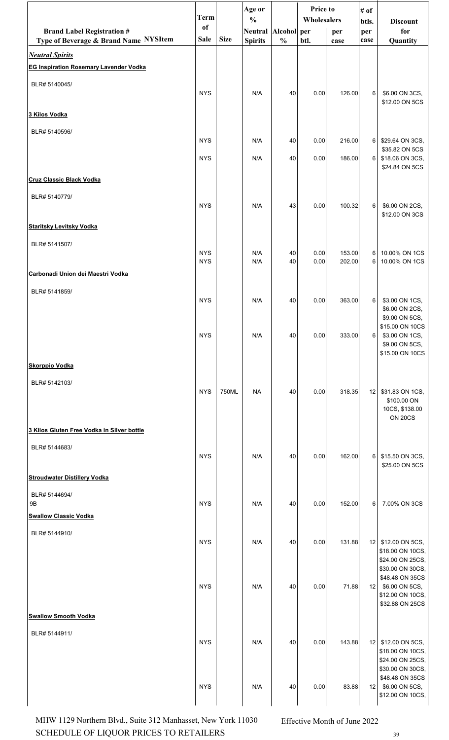|                                                                 | <b>Term</b>       |             | Age or<br>$\frac{0}{0}$ |               | Price to<br>Wholesalers |        | # of<br>btls. | <b>Discount</b>                                                                              |  |
|-----------------------------------------------------------------|-------------------|-------------|-------------------------|---------------|-------------------------|--------|---------------|----------------------------------------------------------------------------------------------|--|
| <b>Brand Label Registration #</b>                               | of<br><b>Sale</b> | <b>Size</b> | Neutral Alcohol per     |               |                         | per    | per           | for                                                                                          |  |
| Type of Beverage & Brand Name NYSItem<br><b>Neutral Spirits</b> |                   |             | <b>Spirits</b>          | $\frac{0}{0}$ | btl.                    | case   | case          | Quantity                                                                                     |  |
| <b>EG Inspiration Rosemary Lavender Vodka</b>                   |                   |             |                         |               |                         |        |               |                                                                                              |  |
| BLR# 5140045/                                                   | <b>NYS</b>        |             | N/A                     | 40            | 0.00                    | 126.00 | 6             | \$6.00 ON 3CS,                                                                               |  |
| 3 Kilos Vodka                                                   |                   |             |                         |               |                         |        |               | \$12.00 ON 5CS                                                                               |  |
| BLR# 5140596/                                                   |                   |             |                         |               |                         |        |               |                                                                                              |  |
|                                                                 | <b>NYS</b>        |             | N/A                     | 40            | 0.00                    | 216.00 | 6             | \$29.64 ON 3CS,<br>\$35.82 ON 5CS                                                            |  |
|                                                                 | <b>NYS</b>        |             | N/A                     | 40            | 0.00                    | 186.00 | 6             | \$18.06 ON 3CS,<br>\$24.84 ON 5CS                                                            |  |
| <b>Cruz Classic Black Vodka</b>                                 |                   |             |                         |               |                         |        |               |                                                                                              |  |
| BLR# 5140779/                                                   | <b>NYS</b>        |             | N/A                     | 43            | 0.00                    | 100.32 | 6             | \$6.00 ON 2CS,<br>\$12.00 ON 3CS                                                             |  |
| <b>Staritsky Levitsky Vodka</b>                                 |                   |             |                         |               |                         |        |               |                                                                                              |  |
| BLR# 5141507/                                                   | <b>NYS</b>        |             | N/A                     | 40            | 0.00                    | 153.00 | $6 \mid$      | 10.00% ON 1CS                                                                                |  |
|                                                                 | <b>NYS</b>        |             | N/A                     | 40            | 0.00                    | 202.00 | 6             | 10.00% ON 1CS                                                                                |  |
| Carbonadi Union dei Maestri Vodka                               |                   |             |                         |               |                         |        |               |                                                                                              |  |
| BLR# 5141859/                                                   | <b>NYS</b>        |             | N/A                     | 40            | 0.00                    | 363.00 | 6             | \$3.00 ON 1CS,<br>\$6.00 ON 2CS,                                                             |  |
|                                                                 | <b>NYS</b>        |             | N/A                     | 40            | 0.00                    | 333.00 | 6             | \$9.00 ON 5CS,<br>\$15.00 ON 10CS<br>\$3.00 ON 1CS,<br>\$9.00 ON 5CS,<br>\$15.00 ON 10CS     |  |
| <b>Skorppio Vodka</b>                                           |                   |             |                         |               |                         |        |               |                                                                                              |  |
| BLR# 5142103/                                                   | <b>NYS</b>        | 750ML       | <b>NA</b>               | 40            | 0.00                    | 318.35 | 12            | \$31.83 ON 1CS,<br>\$100.00 ON<br>10CS, \$138.00<br><b>ON 20CS</b>                           |  |
| 3 Kilos Gluten Free Vodka in Silver bottle                      |                   |             |                         |               |                         |        |               |                                                                                              |  |
| BLR# 5144683/                                                   | <b>NYS</b>        |             | N/A                     | 40            | 0.00                    | 162.00 | 6             | \$15.50 ON 3CS,<br>\$25.00 ON 5CS                                                            |  |
| <b>Stroudwater Distillery Vodka</b>                             |                   |             |                         |               |                         |        |               |                                                                                              |  |
| BLR# 5144694/<br>$9\mathsf{B}$<br><b>Swallow Classic Vodka</b>  | <b>NYS</b>        |             | N/A                     | 40            | 0.00                    | 152.00 | 6             | 7.00% ON 3CS                                                                                 |  |
| BLR# 5144910/                                                   |                   |             |                         |               |                         |        |               |                                                                                              |  |
|                                                                 | <b>NYS</b>        |             | N/A                     | 40            | 0.00                    | 131.88 | 12            | \$12.00 ON 5CS,<br>\$18.00 ON 10CS,<br>\$24.00 ON 25CS,                                      |  |
|                                                                 | <b>NYS</b>        |             | N/A                     | 40            | 0.00                    | 71.88  | 12            | \$30.00 ON 30CS,<br>\$48.48 ON 35CS<br>\$6.00 ON 5CS,<br>\$12.00 ON 10CS,<br>\$32.88 ON 25CS |  |
| <b>Swallow Smooth Vodka</b>                                     |                   |             |                         |               |                         |        |               |                                                                                              |  |
| BLR# 5144911/                                                   | <b>NYS</b>        |             | N/A                     | 40            | 0.00                    | 143.88 | 12            | \$12.00 ON 5CS,<br>\$18.00 ON 10CS,<br>\$24.00 ON 25CS,                                      |  |
|                                                                 | <b>NYS</b>        |             | N/A                     | 40            | 0.00                    | 83.88  |               | \$30.00 ON 30CS,<br>\$48.48 ON 35CS<br>12 \$6.00 ON 5CS,<br>\$12.00 ON 10CS,                 |  |

SCHEDULE OF LIQUOR PRICES TO RETAILERS 39 MHW 1129 Northern Blvd., Suite 312 Manhasset, New York 11030 Effective Month of June 2022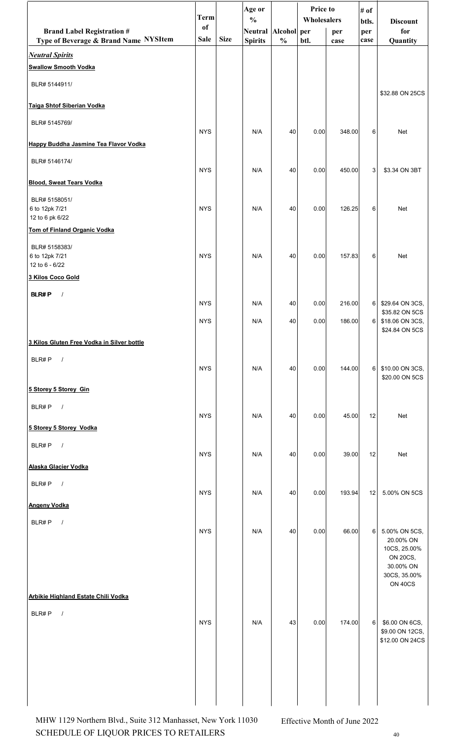|                                                                            | <b>Term</b>                  |             | Age or<br>$\frac{0}{0}$               |               | Price to<br>Wholesalers |             | # of<br>btls. | <b>Discount</b>                                               |  |
|----------------------------------------------------------------------------|------------------------------|-------------|---------------------------------------|---------------|-------------------------|-------------|---------------|---------------------------------------------------------------|--|
| <b>Brand Label Registration #</b><br>Type of Beverage & Brand Name NYSItem | <sub>of</sub><br><b>Sale</b> | <b>Size</b> | Neutral Alcohol per<br><b>Spirits</b> | $\frac{0}{0}$ | btl.                    | per<br>case | per<br>case   | for<br>Quantity                                               |  |
| <b>Neutral Spirits</b>                                                     |                              |             |                                       |               |                         |             |               |                                                               |  |
| <b>Swallow Smooth Vodka</b>                                                |                              |             |                                       |               |                         |             |               |                                                               |  |
| BLR# 5144911/                                                              |                              |             |                                       |               |                         |             |               | \$32.88 ON 25CS                                               |  |
| Taiga Shtof Siberian Vodka                                                 |                              |             |                                       |               |                         |             |               |                                                               |  |
| BLR# 5145769/                                                              | <b>NYS</b>                   |             | N/A                                   | 40            | 0.00                    | 348.00      | 6             | Net                                                           |  |
| Happy Buddha Jasmine Tea Flavor Vodka                                      |                              |             |                                       |               |                         |             |               |                                                               |  |
| BLR# 5146174/                                                              | <b>NYS</b>                   |             | N/A                                   | 40            | 0.00                    | 450.00      | 3             | \$3.34 ON 3BT                                                 |  |
| <b>Blood, Sweat Tears Vodka</b>                                            |                              |             |                                       |               |                         |             |               |                                                               |  |
| BLR# 5158051/<br>6 to 12pk 7/21                                            | <b>NYS</b>                   |             | N/A                                   | 40            | 0.00                    | 126.25      | 6             | Net                                                           |  |
| 12 to 6 pk 6/22<br>Tom of Finland Organic Vodka                            |                              |             |                                       |               |                         |             |               |                                                               |  |
| BLR# 5158383/                                                              |                              |             |                                       |               |                         |             |               |                                                               |  |
| 6 to 12pk 7/21<br>12 to 6 - 6/22                                           | <b>NYS</b>                   |             | N/A                                   | 40            | 0.00                    | 157.83      | 6             | Net                                                           |  |
| 3 Kilos Coco Gold                                                          |                              |             |                                       |               |                         |             |               |                                                               |  |
| <b>BLR#P</b><br>$\frac{1}{2}$                                              | <b>NYS</b>                   |             | N/A                                   | 40            | 0.00                    | 216.00      | $6 \mid$      | \$29.64 ON 3CS,                                               |  |
|                                                                            | <b>NYS</b>                   |             | N/A                                   | 40            | 0.00                    | 186.00      | $6 \mid$      | \$35.82 ON 5CS<br>\$18.06 ON 3CS,                             |  |
| 3 Kilos Gluten Free Vodka in Silver bottle                                 |                              |             |                                       |               |                         |             |               | \$24.84 ON 5CS                                                |  |
| BLR#P<br>$\sqrt{ }$                                                        |                              |             |                                       |               |                         |             |               |                                                               |  |
|                                                                            | <b>NYS</b>                   |             | N/A                                   | 40            | 0.00                    | 144.00      | 6             | \$10.00 ON 3CS,<br>\$20.00 ON 5CS                             |  |
| 5 Storey 5 Storey Gin                                                      |                              |             |                                       |               |                         |             |               |                                                               |  |
| BLR#P<br>$\sqrt{ }$                                                        | <b>NYS</b>                   |             | N/A                                   | 40            | 0.00                    | 45.00       | 12            | Net                                                           |  |
| 5 Storey 5 Storey Vodka                                                    |                              |             |                                       |               |                         |             |               |                                                               |  |
| BLR#P<br>$\overline{\phantom{a}}$                                          | <b>NYS</b>                   |             | N/A                                   | 40            | 0.00                    | 39.00       | 12            | Net                                                           |  |
| Alaska Glacier Vodka                                                       |                              |             |                                       |               |                         |             |               |                                                               |  |
| BLR#P<br>$\sqrt{ }$                                                        | <b>NYS</b>                   |             | N/A                                   | 40            | 0.00                    | 193.94      | 12            | 5.00% ON 5CS                                                  |  |
| <b>Angeny Vodka</b>                                                        |                              |             |                                       |               |                         |             |               |                                                               |  |
| BLR#P<br>$\sqrt{ }$                                                        | <b>NYS</b>                   |             | N/A                                   | 40            | 0.00                    | 66.00       | 6             | 5.00% ON 5CS,<br>20.00% ON<br>10CS, 25.00%<br><b>ON 20CS,</b> |  |
| Arbikie Highland Estate Chili Vodka                                        |                              |             |                                       |               |                         |             |               | 30.00% ON<br>30CS, 35.00%<br>ON 40CS                          |  |
| BLR#P<br>$\sqrt{ }$                                                        |                              |             |                                       |               |                         |             |               |                                                               |  |
|                                                                            | <b>NYS</b>                   |             | N/A                                   | 43            | 0.00                    | 174.00      | 6             | \$6.00 ON 6CS,<br>\$9.00 ON 12CS,<br>\$12.00 ON 24CS          |  |
|                                                                            |                              |             |                                       |               |                         |             |               |                                                               |  |

SCHEDULE OF LIQUOR PRICES TO RETAILERS 40 MHW 1129 Northern Blvd., Suite 312 Manhasset, New York 11030 Effective Month of June 2022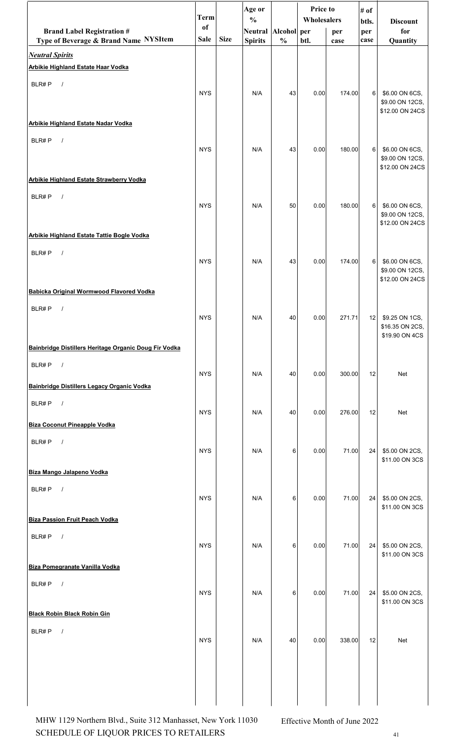|                                                                   | <b>Term</b>   |             | Age or<br>$\frac{0}{0}$ |               | Price to<br>Wholesalers |        | # of         |                                                      |
|-------------------------------------------------------------------|---------------|-------------|-------------------------|---------------|-------------------------|--------|--------------|------------------------------------------------------|
| <b>Brand Label Registration #</b>                                 | <sub>of</sub> |             | Neutral Alcohol per     |               |                         | per    | btls.<br>per | <b>Discount</b><br>for                               |
| Type of Beverage & Brand Name NYSItem                             | <b>Sale</b>   | <b>Size</b> | <b>Spirits</b>          | $\frac{0}{0}$ | btl.                    | case   | case         | Quantity                                             |
| <b>Neutral Spirits</b><br>Arbikie Highland Estate Haar Vodka      |               |             |                         |               |                         |        |              |                                                      |
| BLR#P                                                             |               |             |                         |               |                         |        |              |                                                      |
| $\sqrt{ }$                                                        | <b>NYS</b>    |             | N/A                     | 43            | 0.00                    | 174.00 | 6            | \$6.00 ON 6CS,<br>\$9.00 ON 12CS,<br>\$12.00 ON 24CS |
| Arbikie Highland Estate Nadar Vodka                               |               |             |                         |               |                         |        |              |                                                      |
| BLR#P<br>$\sqrt{ }$                                               | <b>NYS</b>    |             | N/A                     | 43            | 0.00                    | 180.00 | 6            | \$6.00 ON 6CS,<br>\$9.00 ON 12CS,<br>\$12.00 ON 24CS |
| <b>Arbikie Highland Estate Strawberry Vodka</b>                   |               |             |                         |               |                         |        |              |                                                      |
| BLR#P<br>$\sqrt{ }$                                               | <b>NYS</b>    |             | N/A                     | 50            | 0.00                    | 180.00 | 6            | \$6.00 ON 6CS,<br>\$9.00 ON 12CS,<br>\$12.00 ON 24CS |
| Arbikie Highland Estate Tattie Bogle Vodka                        |               |             |                         |               |                         |        |              |                                                      |
| BLR#P<br>$\sqrt{ }$                                               | <b>NYS</b>    |             | N/A                     | 43            | 0.00                    | 174.00 | 6            | \$6.00 ON 6CS,<br>\$9.00 ON 12CS,<br>\$12.00 ON 24CS |
| Babicka Original Wormwood Flavored Vodka                          |               |             |                         |               |                         |        |              |                                                      |
| BLR#P<br>$\sqrt{ }$                                               | <b>NYS</b>    |             | N/A                     | 40            | 0.00                    | 271.71 | 12           | \$9.25 ON 1CS,<br>\$16.35 ON 2CS,<br>\$19.90 ON 4CS  |
| Bainbridge Distillers Heritage Organic Doug Fir Vodka             |               |             |                         |               |                         |        |              |                                                      |
| BLR#P<br>$\sqrt{ }$<br>Bainbridge Distillers Legacy Organic Vodka | <b>NYS</b>    |             | N/A                     | 40            | 0.00                    | 300.00 | 12           | <b>Net</b>                                           |
|                                                                   |               |             |                         |               |                         |        |              |                                                      |
| BLR#P<br>$\sqrt{ }$                                               | <b>NYS</b>    |             | N/A                     | 40            | 0.00                    | 276.00 | 12           | <b>Net</b>                                           |
| <b>Biza Coconut Pineapple Vodka</b>                               |               |             |                         |               |                         |        |              |                                                      |
| BLR#P<br>$\sqrt{ }$                                               | <b>NYS</b>    |             | N/A                     | 6             | 0.00                    | 71.00  | 24           | \$5.00 ON 2CS,<br>\$11.00 ON 3CS                     |
| Biza Mango Jalapeno Vodka                                         |               |             |                         |               |                         |        |              |                                                      |
| BLR#P<br>$\sqrt{ }$                                               | <b>NYS</b>    |             | N/A                     | 6             | 0.00                    | 71.00  | 24           | \$5.00 ON 2CS,<br>\$11.00 ON 3CS                     |
| <b>Biza Passion Fruit Peach Vodka</b>                             |               |             |                         |               |                         |        |              |                                                      |
| BLR#P<br>$\sqrt{ }$                                               | <b>NYS</b>    |             | N/A                     | 6             | 0.00                    | 71.00  | 24           | \$5.00 ON 2CS,<br>\$11.00 ON 3CS                     |
| Biza Pomegranate Vanilla Vodka                                    |               |             |                         |               |                         |        |              |                                                      |
| BLR#P<br>$\sqrt{ }$                                               | <b>NYS</b>    |             | N/A                     | 6             | 0.00                    | 71.00  | 24           | \$5.00 ON 2CS,<br>\$11.00 ON 3CS                     |
| <b>Black Robin Black Robin Gin</b>                                |               |             |                         |               |                         |        |              |                                                      |
| BLR#P<br>$\sqrt{ }$                                               | <b>NYS</b>    |             | N/A                     | 40            | 0.00                    | 338.00 | 12           | Net                                                  |
|                                                                   |               |             |                         |               |                         |        |              |                                                      |
|                                                                   |               |             |                         |               |                         |        |              |                                                      |

SCHEDULE OF LIQUOR PRICES TO RETAILERS  $^{41}$ MHW 1129 Northern Blvd., Suite 312 Manhasset, New York 11030 Effective Month of June 2022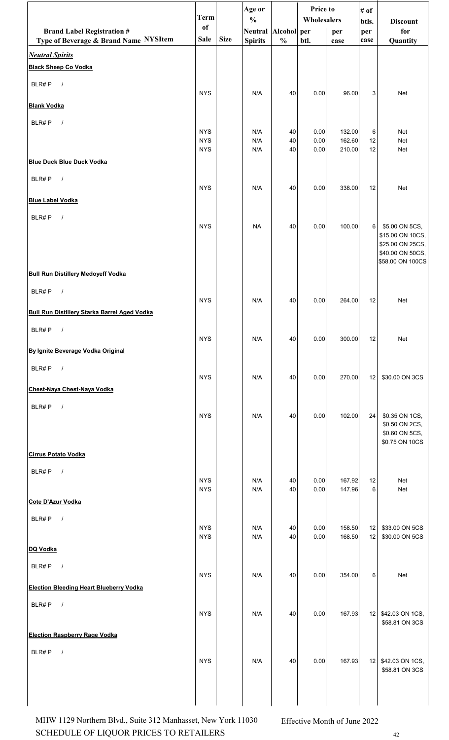|                                                     | <b>Term</b>              |             | Age or<br>$\frac{0}{0}$ |               | Price to<br>Wholesalers |                  | # of         |                                      |
|-----------------------------------------------------|--------------------------|-------------|-------------------------|---------------|-------------------------|------------------|--------------|--------------------------------------|
| <b>Brand Label Registration #</b>                   | of                       |             | <b>Neutral</b>          | Alcohol per   |                         | per              | btls.<br>per | <b>Discount</b><br>for               |
| Type of Beverage & Brand Name NYSItem               | <b>Sale</b>              | <b>Size</b> | <b>Spirits</b>          | $\frac{0}{0}$ | btl.                    | case             | case         | Quantity                             |
| <b>Neutral Spirits</b>                              |                          |             |                         |               |                         |                  |              |                                      |
| <b>Black Sheep Co Vodka</b>                         |                          |             |                         |               |                         |                  |              |                                      |
| BLR#P $/$                                           | <b>NYS</b>               |             | N/A                     | 40            | 0.00                    | 96.00            | 3            | Net                                  |
| <b>Blank Vodka</b>                                  |                          |             |                         |               |                         |                  |              |                                      |
| BLR#P<br>$\sqrt{ }$                                 |                          |             |                         |               |                         |                  |              |                                      |
|                                                     | <b>NYS</b>               |             | N/A                     | 40            | 0.00                    | 132.00           | 6            | Net                                  |
|                                                     | <b>NYS</b><br><b>NYS</b> |             | N/A<br>N/A              | 40<br>40      | 0.00<br>0.00            | 162.60<br>210.00 | 12<br>12     | Net<br>Net                           |
| <b>Blue Duck Blue Duck Vodka</b>                    |                          |             |                         |               |                         |                  |              |                                      |
| BLR#P<br>$\sqrt{ }$                                 |                          |             |                         |               |                         |                  |              |                                      |
|                                                     | <b>NYS</b>               |             | N/A                     | 40            | 0.00                    | 338.00           | 12           | Net                                  |
| <b>Blue Label Vodka</b>                             |                          |             |                         |               |                         |                  |              |                                      |
| BLR#P<br>$\sqrt{ }$                                 |                          |             |                         |               |                         |                  |              |                                      |
|                                                     | <b>NYS</b>               |             | <b>NA</b>               | 40            | 0.00                    | 100.00           | $6 \mid$     | \$5.00 ON 5CS,<br>\$15.00 ON 10CS,   |
|                                                     |                          |             |                         |               |                         |                  |              | \$25.00 ON 25CS,                     |
|                                                     |                          |             |                         |               |                         |                  |              | \$40.00 ON 50CS,<br>\$58.00 ON 100CS |
| <b>Bull Run Distillery Medoyeff Vodka</b>           |                          |             |                         |               |                         |                  |              |                                      |
| BLR#P<br>$\overline{\phantom{a}}$                   |                          |             |                         |               |                         |                  |              |                                      |
|                                                     | <b>NYS</b>               |             | N/A                     | 40            | 0.00                    | 264.00           | 12           | Net                                  |
| <b>Bull Run Distillery Starka Barrel Aged Vodka</b> |                          |             |                         |               |                         |                  |              |                                      |
| BLR#P $/$                                           |                          |             |                         |               |                         |                  |              |                                      |
|                                                     | <b>NYS</b>               |             | N/A                     | 40            | 0.00                    | 300.00           | 12           | Net                                  |
| By Ignite Beverage Vodka Original                   |                          |             |                         |               |                         |                  |              |                                      |
| BLR#P<br>$\sqrt{ }$                                 | <b>NYS</b>               |             | N/A                     | 40            | 0.00                    | 270.00           | 12           | \$30.00 ON 3CS                       |
| Chest-Naya Chest-Naya Vodka                         |                          |             |                         |               |                         |                  |              |                                      |
| BLR#P<br>$\sqrt{ }$                                 |                          |             |                         |               |                         |                  |              |                                      |
|                                                     | <b>NYS</b>               |             | N/A                     | 40            | 0.00                    | 102.00           | 24           | \$0.35 ON 1CS,                       |
|                                                     |                          |             |                         |               |                         |                  |              | \$0.50 ON 2CS,<br>\$0.60 ON 5CS,     |
|                                                     |                          |             |                         |               |                         |                  |              | \$0.75 ON 10CS                       |
| <b>Cirrus Potato Vodka</b>                          |                          |             |                         |               |                         |                  |              |                                      |
| BLR#P<br>$\sqrt{ }$                                 |                          |             |                         |               |                         |                  |              |                                      |
|                                                     | <b>NYS</b><br><b>NYS</b> |             | N/A<br>N/A              | 40<br>40      | 0.00<br>0.00            | 167.92<br>147.96 | 12<br>$\,6$  | Net<br>Net                           |
| Cote D'Azur Vodka                                   |                          |             |                         |               |                         |                  |              |                                      |
| $\sqrt{ }$<br>BLR#P                                 |                          |             |                         |               |                         |                  |              |                                      |
|                                                     | <b>NYS</b>               |             | N/A                     | 40            | 0.00                    | 158.50           | 12           | \$33.00 ON 5CS                       |
|                                                     | <b>NYS</b>               |             | N/A                     | 40            | 0.00                    | 168.50           | 12           | \$30.00 ON 5CS                       |
| DQ Vodka                                            |                          |             |                         |               |                         |                  |              |                                      |
| BLR#P<br>$\sqrt{ }$                                 | <b>NYS</b>               |             | N/A                     | 40            | 0.00                    | 354.00           | 6            | Net                                  |
| <b>Election Bleeding Heart Blueberry Vodka</b>      |                          |             |                         |               |                         |                  |              |                                      |
| BLR#P<br>$\sqrt{ }$                                 |                          |             |                         |               |                         |                  |              |                                      |
|                                                     | <b>NYS</b>               |             | N/A                     | 40            | 0.00                    | 167.93           | 12           | \$42.03 ON 1CS,                      |
|                                                     |                          |             |                         |               |                         |                  |              | \$58.81 ON 3CS                       |
| <b>Election Raspberry Rage Vodka</b>                |                          |             |                         |               |                         |                  |              |                                      |
| BLR#P<br>$\sqrt{ }$                                 | <b>NYS</b>               |             | N/A                     | 40            | 0.00                    | 167.93           |              | 12 \$42.03 ON 1CS,                   |
|                                                     |                          |             |                         |               |                         |                  |              | \$58.81 ON 3CS                       |
|                                                     |                          |             |                         |               |                         |                  |              |                                      |
|                                                     |                          |             |                         |               |                         |                  |              |                                      |
|                                                     |                          |             |                         |               |                         |                  |              |                                      |

ᆨ

SCHEDULE OF LIQUOR PRICES TO RETAILERS 42 MHW 1129 Northern Blvd., Suite 312 Manhasset, New York 11030 Effective Month of June 2022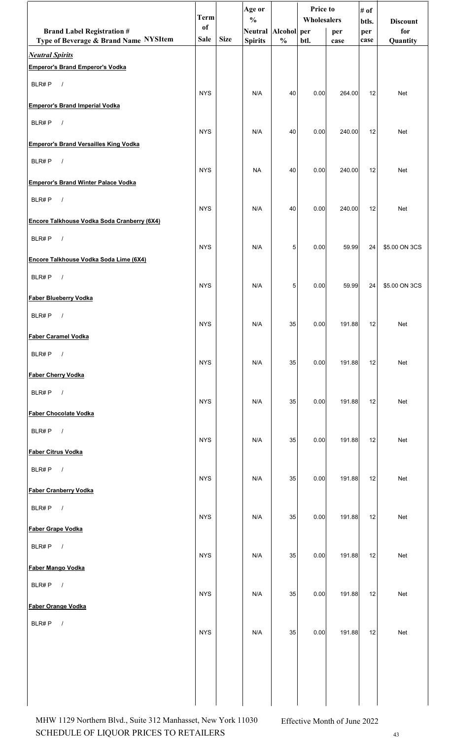|                                                                 | <b>Term</b> |             | Age or<br>$\frac{0}{0}$ |               | <b>Price to</b><br>Wholesalers |        | # of         |                        |
|-----------------------------------------------------------------|-------------|-------------|-------------------------|---------------|--------------------------------|--------|--------------|------------------------|
| <b>Brand Label Registration #</b>                               | of          |             | Neutral Alcohol per     |               |                                | per    | btls.<br>per | <b>Discount</b><br>for |
| Type of Beverage & Brand Name NYSItem<br><b>Neutral Spirits</b> | <b>Sale</b> | <b>Size</b> | <b>Spirits</b>          | $\frac{0}{0}$ | btl.                           | case   | case         | Quantity               |
| <b>Emperor's Brand Emperor's Vodka</b>                          |             |             |                         |               |                                |        |              |                        |
| BLR#P<br>$\sqrt{ }$                                             | <b>NYS</b>  |             | N/A                     | 40            | 0.00                           | 264.00 | 12           | <b>Net</b>             |
| <b>Emperor's Brand Imperial Vodka</b>                           |             |             |                         |               |                                |        |              |                        |
| $\sqrt{ }$<br>BLR#P                                             | <b>NYS</b>  |             | N/A                     | 40            | 0.00                           | 240.00 | 12           | Net                    |
| <b>Emperor's Brand Versailles King Vodka</b>                    |             |             |                         |               |                                |        |              |                        |
| BLR#P<br>$\sqrt{ }$                                             | <b>NYS</b>  |             | <b>NA</b>               | 40            | 0.00                           | 240.00 | 12           | <b>Net</b>             |
| <b>Emperor's Brand Winter Palace Vodka</b>                      |             |             |                         |               |                                |        |              |                        |
| BLR#P<br>$\sqrt{ }$                                             | <b>NYS</b>  |             | N/A                     | 40            | 0.00                           | 240.00 | 12           | Net                    |
| Encore Talkhouse Vodka Soda Cranberry (6X4)                     |             |             |                         |               |                                |        |              |                        |
| BLR#P<br>$\sqrt{ }$                                             | <b>NYS</b>  |             | N/A                     | 5             | 0.00                           | 59.99  | 24           | \$5.00 ON 3CS          |
| Encore Talkhouse Vodka Soda Lime (6X4)                          |             |             |                         |               |                                |        |              |                        |
| $\sqrt{ }$<br>BLR#P                                             | <b>NYS</b>  |             | N/A                     | 5             | 0.00                           | 59.99  | 24           | \$5.00 ON 3CS          |
| <b>Faber Blueberry Vodka</b>                                    |             |             |                         |               |                                |        |              |                        |
| BLR#P<br>$\prime$                                               | <b>NYS</b>  |             | N/A                     | 35            | 0.00                           | 191.88 | 12           | Net                    |
| <b>Faber Caramel Vodka</b>                                      |             |             |                         |               |                                |        |              |                        |
| BLR#P $/$                                                       | <b>NYS</b>  |             | N/A                     | 35            | 0.00                           | 191.88 | 12           | Net                    |
| <b>Faber Cherry Vodka</b>                                       |             |             |                         |               |                                |        |              |                        |
| BLR#P<br>$\overline{\phantom{a}}$                               | <b>NYS</b>  |             | N/A                     | 35            | 0.00                           | 191.88 | 12           | Net                    |
| <b>Faber Chocolate Vodka</b>                                    |             |             |                         |               |                                |        |              |                        |
| BLR#P $/$                                                       | <b>NYS</b>  |             | N/A                     | 35            | 0.00                           | 191.88 | 12           | Net                    |
| <b>Faber Citrus Vodka</b>                                       |             |             |                         |               |                                |        |              |                        |
| BLR#P $/$                                                       | <b>NYS</b>  |             | N/A                     | 35            | 0.00                           | 191.88 | 12           | Net                    |
| <b>Faber Cranberry Vodka</b>                                    |             |             |                         |               |                                |        |              |                        |
| $\sqrt{ }$<br>BLR#P                                             | <b>NYS</b>  |             | N/A                     | 35            | 0.00                           | 191.88 | 12           | Net                    |
| Faber Grape Vodka                                               |             |             |                         |               |                                |        |              |                        |
| BLR#P $/$                                                       | <b>NYS</b>  |             | N/A                     | 35            | 0.00                           | 191.88 | 12           | Net                    |
| Faber Mango Vodka                                               |             |             |                         |               |                                |        |              |                        |
| $\overline{\phantom{a}}$<br>BLR#P                               | <b>NYS</b>  |             | N/A                     | 35            | 0.00                           | 191.88 | 12           | Net                    |
| Faber Orange Vodka                                              |             |             |                         |               |                                |        |              |                        |
| $\sqrt{ }$<br>BLR#P                                             | <b>NYS</b>  |             | N/A                     | 35            | 0.00                           | 191.88 | 12           | Net                    |
|                                                                 |             |             |                         |               |                                |        |              |                        |
|                                                                 |             |             |                         |               |                                |        |              |                        |
|                                                                 |             |             |                         |               |                                |        |              |                        |
|                                                                 |             |             |                         |               |                                |        |              |                        |

SCHEDULE OF LIQUOR PRICES TO RETAILERS 43 MHW 1129 Northern Blvd., Suite 312 Manhasset, New York 11030 Effective Month of June 2022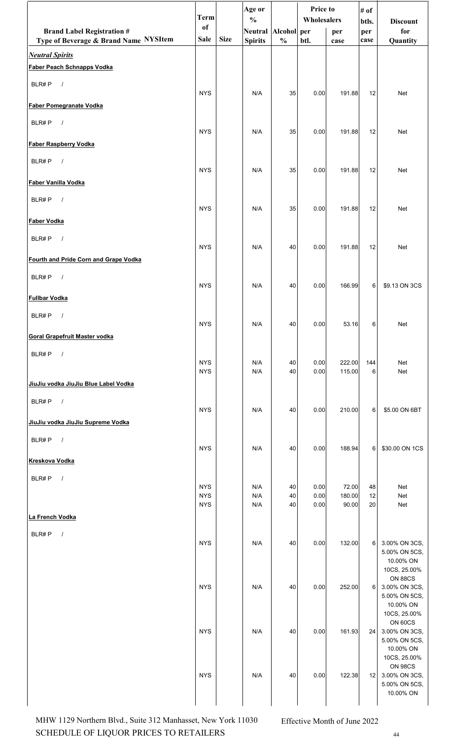|                                                             | <b>Term</b>              |             | Age or<br>$\frac{0}{0}$ |               | Price to<br>Wholesalers |                  | # of<br>btls. | <b>Discount</b>                                                               |
|-------------------------------------------------------------|--------------------------|-------------|-------------------------|---------------|-------------------------|------------------|---------------|-------------------------------------------------------------------------------|
| <b>Brand Label Registration #</b>                           | of                       |             | Neutral Alcohol per     |               |                         | per              | per           | for                                                                           |
| Type of Beverage & Brand Name NYSItem                       | Sale                     | <b>Size</b> | <b>Spirits</b>          | $\frac{0}{0}$ | btl.                    | case             | case          | Quantity                                                                      |
| <b>Neutral Spirits</b><br><b>Faber Peach Schnapps Vodka</b> |                          |             |                         |               |                         |                  |               |                                                                               |
| BLR#P<br>$\overline{\phantom{a}}$                           |                          |             |                         |               |                         |                  |               |                                                                               |
| <b>Faber Pomegranate Vodka</b>                              | <b>NYS</b>               |             | N/A                     | 35            | 0.00                    | 191.88           | 12            | Net                                                                           |
| BLR#P<br>$\sqrt{ }$                                         | <b>NYS</b>               |             | N/A                     | 35            | 0.00                    | 191.88           | 12            | Net                                                                           |
| <b>Faber Raspberry Vodka</b>                                |                          |             |                         |               |                         |                  |               |                                                                               |
| $\sqrt{ }$<br>BLR#P                                         | <b>NYS</b>               |             | N/A                     | 35            | 0.00                    | 191.88           | 12            | Net                                                                           |
| Faber Vanilla Vodka                                         |                          |             |                         |               |                         |                  |               |                                                                               |
| BLR#P<br>$\sqrt{ }$                                         | <b>NYS</b>               |             | N/A                     | 35            | 0.00                    | 191.88           | 12            | Net                                                                           |
| Faber Vodka                                                 |                          |             |                         |               |                         |                  |               |                                                                               |
| BLR#P<br>$\sqrt{ }$                                         | <b>NYS</b>               |             | N/A                     | 40            | 0.00                    | 191.88           | 12            | Net                                                                           |
| Fourth and Pride Corn and Grape Vodka                       |                          |             |                         |               |                         |                  |               |                                                                               |
| $\sqrt{ }$<br>BLR#P                                         | <b>NYS</b>               |             | N/A                     | 40            | 0.00                    | 166.99           | 6             | \$9.13 ON 3CS                                                                 |
| <b>Fullbar Vodka</b>                                        |                          |             |                         |               |                         |                  |               |                                                                               |
| BLR#P<br>$\prime$                                           | <b>NYS</b>               |             | N/A                     | 40            | 0.00                    | 53.16            | 6             | Net                                                                           |
| <b>Goral Grapefruit Master vodka</b>                        |                          |             |                         |               |                         |                  |               |                                                                               |
| BLR#P<br>$\sqrt{ }$                                         |                          |             |                         |               |                         |                  |               |                                                                               |
|                                                             | <b>NYS</b><br><b>NYS</b> |             | N/A<br>N/A              | 40<br>40      | 0.00<br>0.00            | 222.00<br>115.00 | 144<br>6      | Net<br>Net                                                                    |
| JiuJiu vodka JiuJiu Blue Label Vodka                        |                          |             |                         |               |                         |                  |               |                                                                               |
| BLR#P<br>$\overline{\phantom{a}}$                           | <b>NYS</b>               |             | N/A                     | 40            | 0.00                    | 210.00           | 6             | \$5.00 ON 6BT                                                                 |
| JiuJiu vodka JiuJiu Supreme Vodka                           |                          |             |                         |               |                         |                  |               |                                                                               |
| $\sqrt{ }$<br>BLR#P                                         | <b>NYS</b>               |             | N/A                     | 40            | 0.00                    | 188.94           | 6             | \$30.00 ON 1CS                                                                |
| <b>Kreskova Vodka</b>                                       |                          |             |                         |               |                         |                  |               |                                                                               |
| BLR#P<br>$\sqrt{ }$                                         |                          |             |                         |               |                         |                  |               |                                                                               |
|                                                             | <b>NYS</b><br><b>NYS</b> |             | N/A<br>N/A              | 40<br>40      | 0.00<br>0.00            | 72.00<br>180.00  | 48<br>12      | Net<br>Net                                                                    |
| La French Vodka                                             | <b>NYS</b>               |             | N/A                     | 40            | 0.00                    | 90.00            | 20            | Net                                                                           |
|                                                             |                          |             |                         |               |                         |                  |               |                                                                               |
| BLR#P<br>$\sqrt{ }$                                         | <b>NYS</b>               |             | N/A                     | 40            | 0.00                    | 132.00           | 6             | 3.00% ON 3CS,<br>5.00% ON 5CS,<br>10.00% ON                                   |
|                                                             | <b>NYS</b>               |             | N/A                     | 40            | 0.00                    | 252.00           | 6             | 10CS, 25.00%<br><b>ON 88CS</b><br>3.00% ON 3CS,<br>5.00% ON 5CS,<br>10.00% ON |
|                                                             | <b>NYS</b>               |             | N/A                     | 40            | 0.00                    | 161.93           | 24            | 10CS, 25.00%<br>ON 60CS<br>3.00% ON 3CS,<br>5.00% ON 5CS,<br>10.00% ON        |
|                                                             | <b>NYS</b>               |             | N/A                     | 40            | 0.00                    | 122.38           | 12            | 10CS, 25.00%<br>ON 98CS<br>3.00% ON 3CS,<br>5.00% ON 5CS,<br>10.00% ON        |

SCHEDULE OF LIQUOR PRICES TO RETAILERS 44 MHW 1129 Northern Blvd., Suite 312 Manhasset, New York 11030 Effective Month of June 2022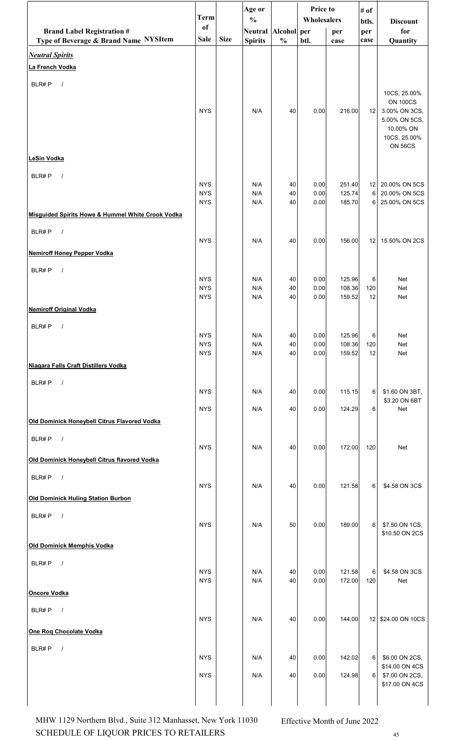|                                                                            | <b>Term</b>              |             | Age or                               |               | Price to<br>Wholesalers |                  | # of        |                                  |
|----------------------------------------------------------------------------|--------------------------|-------------|--------------------------------------|---------------|-------------------------|------------------|-------------|----------------------------------|
|                                                                            | of                       |             | $\frac{0}{0}$<br>Neutral Alcohol per |               |                         |                  | btls.       | <b>Discount</b><br>for           |
| <b>Brand Label Registration #</b><br>Type of Beverage & Brand Name NYSItem | <b>Sale</b>              | <b>Size</b> | <b>Spirits</b>                       | $\frac{0}{0}$ | btl.                    | per<br>case      | per<br>case | Quantity                         |
| <b>Neutral Spirits</b>                                                     |                          |             |                                      |               |                         |                  |             |                                  |
| La French Vodka                                                            |                          |             |                                      |               |                         |                  |             |                                  |
|                                                                            |                          |             |                                      |               |                         |                  |             |                                  |
| BLR#P<br>$\sqrt{ }$                                                        |                          |             |                                      |               |                         |                  |             | 10CS, 25.00%                     |
|                                                                            |                          |             |                                      |               |                         |                  |             | <b>ON 100CS</b>                  |
|                                                                            | <b>NYS</b>               |             | N/A                                  | 40            | 0.00                    | 216.00           | 12          | 3.00% ON 3CS,<br>5.00% ON 5CS,   |
|                                                                            |                          |             |                                      |               |                         |                  |             | 10.00% ON                        |
|                                                                            |                          |             |                                      |               |                         |                  |             | 10CS, 25.00%<br><b>ON 56CS</b>   |
| <b>LeSin Vodka</b>                                                         |                          |             |                                      |               |                         |                  |             |                                  |
|                                                                            |                          |             |                                      |               |                         |                  |             |                                  |
| BLR#P<br>$\sqrt{ }$                                                        | <b>NYS</b>               |             | N/A                                  | 40            | 0.00                    | 251.40           |             | 12 20.00% ON 5CS                 |
|                                                                            | <b>NYS</b>               |             | N/A                                  | 40            | 0.00                    | 125.74           | 6           | 20.00% ON 5CS                    |
| Misquided Spirits Howe & Hummel White Crook Vodka                          | <b>NYS</b>               |             | N/A                                  | 40            | 0.00                    | 185.70           | 6           | 25.00% ON 5CS                    |
|                                                                            |                          |             |                                      |               |                         |                  |             |                                  |
| BLR#P<br>$\sqrt{ }$                                                        | <b>NYS</b>               |             | N/A                                  | 40            | 0.00                    | 156.00           | 12          | 15.50% ON 2CS                    |
| <b>Nemiroff Honey Pepper Vodka</b>                                         |                          |             |                                      |               |                         |                  |             |                                  |
|                                                                            |                          |             |                                      |               |                         |                  |             |                                  |
| BLR#P<br>$\sqrt{ }$                                                        | <b>NYS</b>               |             | N/A                                  | 40            | 0.00                    | 125.96           | 6           | Net                              |
|                                                                            | <b>NYS</b>               |             | N/A                                  | 40            | 0.00                    | 108.36           | 120         | Net                              |
|                                                                            | <b>NYS</b>               |             | N/A                                  | 40            | 0.00                    | 159.52           | 12          | Net                              |
| <b>Nemiroff Original Vodka</b>                                             |                          |             |                                      |               |                         |                  |             |                                  |
| BLR#P<br>$\prime$                                                          | <b>NYS</b>               |             | N/A                                  | 40            | 0.00                    | 125.96           | 6           | Net                              |
|                                                                            | <b>NYS</b>               |             | N/A                                  | 40            | 0.00                    | 108.36           | 120         | Net                              |
|                                                                            | <b>NYS</b>               |             | N/A                                  | 40            | 0.00                    | 159.52           | 12          | Net                              |
| Niagara Falls Craft Distillers Vodka                                       |                          |             |                                      |               |                         |                  |             |                                  |
| BLR#P<br>$\sqrt{ }$                                                        |                          |             |                                      |               |                         |                  |             |                                  |
|                                                                            | <b>NYS</b>               |             | N/A                                  | 40            | 0.00                    | 115.15           | 6           | \$1.60 ON 3BT,<br>\$3.20 ON 6BT  |
|                                                                            | <b>NYS</b>               |             | N/A                                  | 40            | 0.00                    | 124.29           | 6           | Net                              |
| Old Dominick Honeybell Citrus Flavored Vodka                               |                          |             |                                      |               |                         |                  |             |                                  |
| BLR#P<br>$\sqrt{ }$                                                        |                          |             |                                      |               |                         |                  |             |                                  |
|                                                                            | <b>NYS</b>               |             | N/A                                  | 40            | 0.00                    | 172.00           | 120         | Net                              |
| Old Dominick Honeybell Citrus flavored Vodka                               |                          |             |                                      |               |                         |                  |             |                                  |
| BLR#P<br>$\sqrt{ }$                                                        | <b>NYS</b>               |             | N/A                                  | 40            | 0.00                    | 121.58           | 6           | \$4.58 ON 3CS                    |
| <b>Old Dominick Huling Station Burbon</b>                                  |                          |             |                                      |               |                         |                  |             |                                  |
|                                                                            |                          |             |                                      |               |                         |                  |             |                                  |
| BLR#P<br>$\sqrt{ }$                                                        | <b>NYS</b>               |             | N/A                                  | 50            | 0.00                    | 189.00           | 6           | \$7.50 ON 1CS,                   |
|                                                                            |                          |             |                                      |               |                         |                  |             | \$10.50 ON 2CS                   |
| <b>Old Dominick Memphis Vodka</b>                                          |                          |             |                                      |               |                         |                  |             |                                  |
| BLR#P<br>$\sqrt{ }$                                                        |                          |             |                                      |               |                         |                  |             |                                  |
|                                                                            | <b>NYS</b><br><b>NYS</b> |             | N/A<br>N/A                           | 40<br>40      | 0.00<br>0.00            | 121.58<br>172.00 | 6<br>120    | \$4.58 ON 3CS<br>Net             |
| <b>Oncore Vodka</b>                                                        |                          |             |                                      |               |                         |                  |             |                                  |
| BLR#P<br>$\sqrt{ }$                                                        |                          |             |                                      |               |                         |                  |             |                                  |
|                                                                            | <b>NYS</b>               |             | N/A                                  | 40            | 0.00                    | 144.00           | 12          | \$24.00 ON 10CS                  |
| One Rog Chocolate Vodka                                                    |                          |             |                                      |               |                         |                  |             |                                  |
| BLR#P<br>$\prime$                                                          |                          |             |                                      |               |                         |                  |             |                                  |
|                                                                            | <b>NYS</b>               |             | N/A                                  | 40            | 0.00                    | 142.02           | 6           | \$6.00 ON 2CS,                   |
|                                                                            | <b>NYS</b>               |             | N/A                                  | 40            | 0.00                    | 124.98           | 6           | \$14.00 ON 4CS<br>\$7.00 ON 2CS, |
|                                                                            |                          |             |                                      |               |                         |                  |             | \$17.00 ON 4CS                   |
|                                                                            |                          |             |                                      |               |                         |                  |             |                                  |

SCHEDULE OF LIQUOR PRICES TO RETAILERS 45 MHW 1129 Northern Blvd., Suite 312 Manhasset, New York 11030 Effective Month of June 2022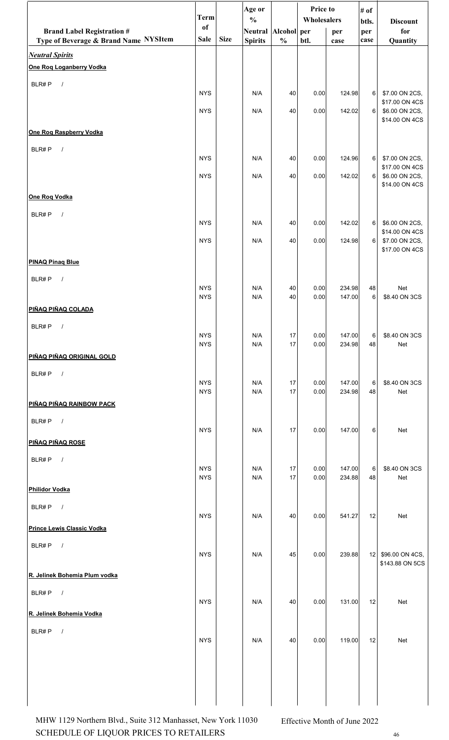|                                       | <b>Term</b>              |             | Age or<br>$\frac{0}{0}$ |               | Price to<br>Wholesalers |                  | # of         |                                    |  |
|---------------------------------------|--------------------------|-------------|-------------------------|---------------|-------------------------|------------------|--------------|------------------------------------|--|
| <b>Brand Label Registration #</b>     | of                       |             | Neutral Alcohol per     |               |                         | per              | btls.<br>per | <b>Discount</b><br>for             |  |
| Type of Beverage & Brand Name NYSItem | <b>Sale</b>              | <b>Size</b> | <b>Spirits</b>          | $\frac{0}{0}$ | btl.                    | case             | case         | Quantity                           |  |
| <b>Neutral Spirits</b>                |                          |             |                         |               |                         |                  |              |                                    |  |
| <b>One Rog Loganberry Vodka</b>       |                          |             |                         |               |                         |                  |              |                                    |  |
| BLR#P<br>$\sqrt{ }$                   | <b>NYS</b>               |             | N/A                     | 40            | 0.00                    | 124.98           | 6            | \$7.00 ON 2CS,                     |  |
|                                       | <b>NYS</b>               |             | N/A                     | 40            | 0.00                    | 142.02           | 6            | \$17.00 ON 4CS<br>\$6.00 ON 2CS,   |  |
|                                       |                          |             |                         |               |                         |                  |              | \$14.00 ON 4CS                     |  |
| <b>One Rog Raspberry Vodka</b>        |                          |             |                         |               |                         |                  |              |                                    |  |
| BLR#P<br>$\sqrt{ }$                   | <b>NYS</b>               |             | N/A                     | 40            | 0.00                    | 124.96           | 6            | \$7.00 ON 2CS,                     |  |
|                                       | <b>NYS</b>               |             | N/A                     | 40            | 0.00                    | 142.02           | 6            | \$17.00 ON 4CS<br>\$6.00 ON 2CS,   |  |
|                                       |                          |             |                         |               |                         |                  |              | \$14.00 ON 4CS                     |  |
| One Rog Vodka                         |                          |             |                         |               |                         |                  |              |                                    |  |
| BLR#P<br>$\sqrt{ }$                   | <b>NYS</b>               |             | N/A                     | 40            | 0.00                    | 142.02           | 6            | \$6.00 ON 2CS,                     |  |
|                                       | <b>NYS</b>               |             | N/A                     | 40            | 0.00                    | 124.98           | 6            | \$14.00 ON 4CS<br>\$7.00 ON 2CS,   |  |
|                                       |                          |             |                         |               |                         |                  |              | \$17.00 ON 4CS                     |  |
| <b>PINAQ Pinaq Blue</b>               |                          |             |                         |               |                         |                  |              |                                    |  |
| BLR#P<br>$\sqrt{ }$                   | <b>NYS</b>               |             | N/A                     | 40            | 0.00                    | 234.98           | 48           | Net                                |  |
|                                       | <b>NYS</b>               |             | N/A                     | 40            | 0.00                    | 147.00           | 6            | \$8.40 ON 3CS                      |  |
| PIÑAQ PIÑAQ COLADA                    |                          |             |                         |               |                         |                  |              |                                    |  |
| BLR#P<br>$\prime$                     | <b>NYS</b>               |             | N/A                     | 17            | 0.00                    | 147.00           | 6            | \$8.40 ON 3CS                      |  |
|                                       | <b>NYS</b>               |             | N/A                     | 17            | 0.00                    | 234.98           | 48           | Net                                |  |
| PIÑAQ PIÑAQ ORIGINAL GOLD             |                          |             |                         |               |                         |                  |              |                                    |  |
| BLR#P<br>$\sqrt{ }$                   | <b>NYS</b>               |             | N/A                     | 17            | 0.00                    | 147.00           | 6            | \$8.40 ON 3CS                      |  |
|                                       | <b>NYS</b>               |             | N/A                     | 17            | 0.00                    | 234.98           | 48           | Net                                |  |
| PIÑAQ PIÑAQ RAINBOW PACK              |                          |             |                         |               |                         |                  |              |                                    |  |
| BLR#P<br>$\sqrt{ }$                   | <b>NYS</b>               |             | N/A                     | 17            | 0.00                    | 147.00           | 6            | Net                                |  |
| PIÑAQ PIÑAQ ROSE                      |                          |             |                         |               |                         |                  |              |                                    |  |
| BLR#P<br>$\sqrt{ }$                   |                          |             |                         |               |                         |                  |              |                                    |  |
|                                       | <b>NYS</b><br><b>NYS</b> |             | N/A<br>N/A              | 17<br>17      | 0.00<br>0.00            | 147.00<br>234.88 | 6<br>48      | \$8.40 ON 3CS<br>Net               |  |
| <b>Philidor Vodka</b>                 |                          |             |                         |               |                         |                  |              |                                    |  |
| BLR#P<br>$\sqrt{ }$                   |                          |             |                         |               |                         |                  |              |                                    |  |
| Prince Lewis Classic Vodka            | <b>NYS</b>               |             | N/A                     | 40            | 0.00                    | 541.27           | 12           | Net                                |  |
| BLR#P<br>$\sqrt{ }$                   |                          |             |                         |               |                         |                  |              |                                    |  |
|                                       | <b>NYS</b>               |             | N/A                     | 45            | 0.00                    | 239.88           | 12           | \$96.00 ON 4CS,<br>\$143.88 ON 5CS |  |
| R. Jelinek Bohemia Plum vodka         |                          |             |                         |               |                         |                  |              |                                    |  |
| BLR#P<br>$\sqrt{ }$                   |                          |             |                         |               |                         |                  |              |                                    |  |
|                                       | <b>NYS</b>               |             | N/A                     | 40            | 0.00                    | 131.00           | 12           | Net                                |  |
| R. Jelinek Bohemia Vodka              |                          |             |                         |               |                         |                  |              |                                    |  |
| BLR#P<br>$\sqrt{ }$                   | <b>NYS</b>               |             | N/A                     | 40            | 0.00                    | 119.00           | 12           | Net                                |  |
|                                       |                          |             |                         |               |                         |                  |              |                                    |  |
|                                       |                          |             |                         |               |                         |                  |              |                                    |  |
|                                       |                          |             |                         |               |                         |                  |              |                                    |  |
|                                       |                          |             |                         |               |                         |                  |              |                                    |  |

SCHEDULE OF LIQUOR PRICES TO RETAILERS 46 MHW 1129 Northern Blvd., Suite 312 Manhasset, New York 11030 Effective Month of June 2022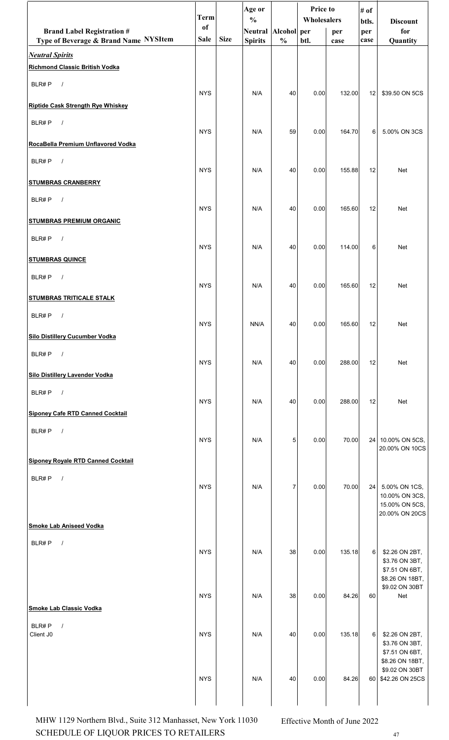|                                                                 | <b>Term</b> |             | Age or<br>$\frac{0}{0}$ |                | <b>Price to</b><br>Wholesalers |        | # of         | <b>Discount</b>                                     |
|-----------------------------------------------------------------|-------------|-------------|-------------------------|----------------|--------------------------------|--------|--------------|-----------------------------------------------------|
| <b>Brand Label Registration #</b>                               | of          |             | Neutral Alcohol per     |                |                                | per    | btls.<br>per | for                                                 |
| Type of Beverage & Brand Name NYSItem                           | Sale        | <b>Size</b> | <b>Spirits</b>          | $\frac{0}{0}$  | btl.                           | case   | case         | Quantity                                            |
| <b>Neutral Spirits</b><br><b>Richmond Classic British Vodka</b> |             |             |                         |                |                                |        |              |                                                     |
| BLR#P<br>$\sqrt{ }$                                             | <b>NYS</b>  |             | N/A                     | 40             |                                |        |              |                                                     |
| <b>Riptide Cask Strength Rye Whiskey</b>                        |             |             |                         |                | 0.00                           | 132.00 | 12           | \$39.50 ON 5CS                                      |
| BLR#P<br>$\sqrt{ }$                                             | <b>NYS</b>  |             | N/A                     | 59             | 0.00                           | 164.70 | 6            | 5.00% ON 3CS                                        |
| RocaBella Premium Unflavored Vodka                              |             |             |                         |                |                                |        |              |                                                     |
| BLR#P<br>$\sqrt{ }$                                             | <b>NYS</b>  |             | N/A                     | 40             | 0.00                           | 155.88 | 12           | Net                                                 |
| <b>STUMBRAS CRANBERRY</b>                                       |             |             |                         |                |                                |        |              |                                                     |
| BLR#P<br>$\sqrt{ }$                                             | <b>NYS</b>  |             | N/A                     | 40             | 0.00                           | 165.60 | 12           | Net                                                 |
| <b>STUMBRAS PREMIUM ORGANIC</b>                                 |             |             |                         |                |                                |        |              |                                                     |
| BLR#P<br>$\sqrt{ }$                                             | <b>NYS</b>  |             | N/A                     | 40             | 0.00                           | 114.00 | 6            | Net                                                 |
| <b>STUMBRAS QUINCE</b>                                          |             |             |                         |                |                                |        |              |                                                     |
| BLR#P<br>$\sqrt{ }$                                             | <b>NYS</b>  |             | N/A                     | 40             | 0.00                           | 165.60 | 12           | Net                                                 |
| <b>STUMBRAS TRITICALE STALK</b>                                 |             |             |                         |                |                                |        |              |                                                     |
| BLR#P<br>$\prime$                                               | <b>NYS</b>  |             | NN/A                    | 40             | 0.00                           | 165.60 | 12           | Net                                                 |
| <b>Silo Distillery Cucumber Vodka</b>                           |             |             |                         |                |                                |        |              |                                                     |
| BLR#P<br>$\sqrt{ }$                                             | <b>NYS</b>  |             | N/A                     | 40             | 0.00                           | 288.00 | 12           | Net                                                 |
| <b>Silo Distillery Lavender Vodka</b>                           |             |             |                         |                |                                |        |              |                                                     |
| BLR#P<br>$\sqrt{ }$                                             | <b>NYS</b>  |             | N/A                     | 40             | 0.00                           | 288.00 | 12           | Net                                                 |
| <b>Siponey Cafe RTD Canned Cocktail</b>                         |             |             |                         |                |                                |        |              |                                                     |
| $\sqrt{ }$<br>BLR#P                                             | <b>NYS</b>  |             | N/A                     | 5              | 0.00                           | 70.00  |              | 24 10.00% ON 5CS,<br>20.00% ON 10CS                 |
| <b>Siponey Royale RTD Canned Cocktail</b>                       |             |             |                         |                |                                |        |              |                                                     |
| BLR#P<br>$\sqrt{ }$                                             | <b>NYS</b>  |             | N/A                     | $\overline{7}$ | 0.00                           | 70.00  | 24           | 5.00% ON 1CS,                                       |
|                                                                 |             |             |                         |                |                                |        |              | 10.00% ON 3CS,<br>15.00% ON 5CS,                    |
| <b>Smoke Lab Aniseed Vodka</b>                                  |             |             |                         |                |                                |        |              | 20.00% ON 20CS                                      |
| BLR#P<br>$\sqrt{ }$                                             |             |             |                         |                |                                |        |              |                                                     |
|                                                                 | <b>NYS</b>  |             | N/A                     | 38             | 0.00                           | 135.18 | 6            | \$2.26 ON 2BT,<br>\$3.76 ON 3BT,                    |
|                                                                 |             |             |                         |                |                                |        |              | \$7.51 ON 6BT,<br>\$8.26 ON 18BT,<br>\$9.02 ON 30BT |
| <b>Smoke Lab Classic Vodka</b>                                  | <b>NYS</b>  |             | N/A                     | 38             | 0.00                           | 84.26  | 60           | Net                                                 |
| BLR#P<br>$\sqrt{ }$                                             |             |             |                         |                |                                |        |              |                                                     |
| Client J0                                                       | <b>NYS</b>  |             | N/A                     | 40             | 0.00                           | 135.18 | 6            | \$2.26 ON 2BT,<br>\$3.76 ON 3BT,<br>\$7.51 ON 6BT,  |
|                                                                 |             |             |                         |                |                                |        |              | \$8.26 ON 18BT,<br>\$9.02 ON 30BT                   |
|                                                                 | <b>NYS</b>  |             | N/A                     | 40             | 0.00                           | 84.26  | 60           | \$42.26 ON 25CS                                     |
|                                                                 |             |             |                         |                |                                |        |              |                                                     |

SCHEDULE OF LIQUOR PRICES TO RETAILERS 47 MHW 1129 Northern Blvd., Suite 312 Manhasset, New York 11030 Effective Month of June 2022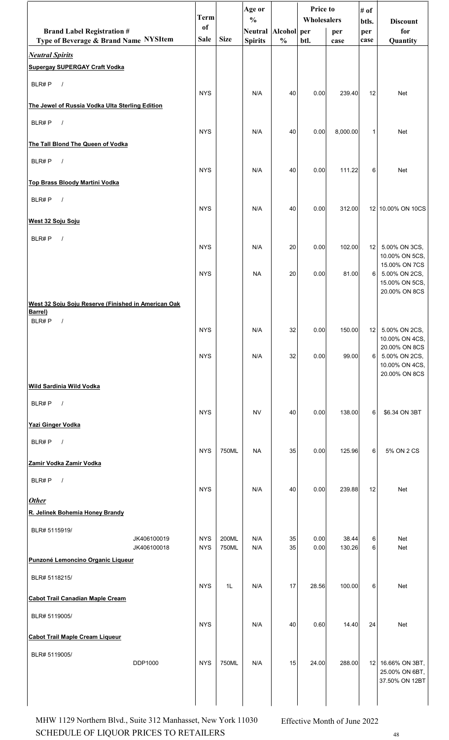|                                                                | <b>Term</b>   |             | Age or<br>$\frac{0}{0}$ |               | Price to<br>Wholesalers |          | # of         |                                     |
|----------------------------------------------------------------|---------------|-------------|-------------------------|---------------|-------------------------|----------|--------------|-------------------------------------|
| <b>Brand Label Registration #</b>                              | <sub>of</sub> |             | Neutral Alcohol per     |               |                         | per      | btls.<br>per | <b>Discount</b><br>for              |
| Type of Beverage & Brand Name NYSItem                          | Sale          | <b>Size</b> | <b>Spirits</b>          | $\frac{0}{0}$ | btl.                    | case     | case         | Quantity                            |
| <b>Neutral Spirits</b><br><b>Supergay SUPERGAY Craft Vodka</b> |               |             |                         |               |                         |          |              |                                     |
| BLR#P<br>$\sqrt{ }$                                            |               |             |                         |               |                         |          |              |                                     |
|                                                                | <b>NYS</b>    |             | N/A                     | 40            | 0.00                    | 239.40   | 12           | Net                                 |
| The Jewel of Russia Vodka Ulta Sterling Edition                |               |             |                         |               |                         |          |              |                                     |
| BLR#P<br>$\sqrt{ }$                                            | <b>NYS</b>    |             | N/A                     | 40            | 0.00                    | 8,000.00 | $\mathbf{1}$ | <b>Net</b>                          |
| The Tall Blond The Queen of Vodka                              |               |             |                         |               |                         |          |              |                                     |
| BLR#P<br>$\sqrt{ }$                                            | <b>NYS</b>    |             | N/A                     | 40            | 0.00                    | 111.22   | 6            | <b>Net</b>                          |
| Top Brass Bloody Martini Vodka                                 |               |             |                         |               |                         |          |              |                                     |
| BLR#P<br>$\sqrt{ }$                                            |               |             |                         |               |                         |          |              |                                     |
|                                                                | <b>NYS</b>    |             | N/A                     | 40            | 0.00                    | 312.00   |              | 12 10.00% ON 10CS                   |
| West 32 Soju Soju                                              |               |             |                         |               |                         |          |              |                                     |
| BLR#P<br>$\sqrt{ }$                                            | <b>NYS</b>    |             | N/A                     | 20            | 0.00                    | 102.00   | 12           | 5.00% ON 3CS,                       |
|                                                                |               |             |                         |               |                         |          |              | 10.00% ON 5CS,<br>15.00% ON 7CS     |
|                                                                | <b>NYS</b>    |             | <b>NA</b>               | 20            | 0.00                    | 81.00    | 6            | 5.00% ON 2CS,<br>15.00% ON 5CS,     |
| West 32 Soju Soju Reserve (Finished in American Oak            |               |             |                         |               |                         |          |              | 20.00% ON 8CS                       |
| Barrel)                                                        |               |             |                         |               |                         |          |              |                                     |
| BLR#P<br>$\sqrt{ }$                                            | <b>NYS</b>    |             | N/A                     | 32            | 0.00                    | 150.00   |              | 12 5.00% ON 2CS,                    |
|                                                                |               |             |                         |               |                         |          |              | 10.00% ON 4CS,<br>20.00% ON 8CS     |
|                                                                | <b>NYS</b>    |             | N/A                     | 32            | 0.00                    | 99.00    | $6 \mid$     | 5.00% ON 2CS,<br>10.00% ON 4CS,     |
| <b>Wild Sardinia Wild Vodka</b>                                |               |             |                         |               |                         |          |              | 20.00% ON 8CS                       |
| BLR#P<br>$\sqrt{ }$                                            |               |             |                         |               |                         |          |              |                                     |
|                                                                | <b>NYS</b>    |             | <b>NV</b>               | 40            | 0.00                    | 138.00   | 6            | \$6.34 ON 3BT                       |
| Yazi Ginger Vodka                                              |               |             |                         |               |                         |          |              |                                     |
| BLR#P $/$                                                      | <b>NYS</b>    | 750ML       | <b>NA</b>               | 35            | 0.00                    | 125.96   | 6            | 5% ON 2 CS                          |
| Zamir Vodka Zamir Vodka                                        |               |             |                         |               |                         |          |              |                                     |
| BLR#P<br>$\sqrt{ }$                                            |               |             |                         |               |                         |          |              |                                     |
| <b>Other</b>                                                   | <b>NYS</b>    |             | N/A                     | 40            | 0.00                    | 239.88   | 12           | Net                                 |
| R. Jelinek Bohemia Honey Brandy                                |               |             |                         |               |                         |          |              |                                     |
| BLR# 5115919/<br>JK406100019                                   | <b>NYS</b>    | 200ML       | N/A                     | 35            | 0.00                    | 38.44    | 6            | Net                                 |
| JK406100018                                                    | <b>NYS</b>    | 750ML       | N/A                     | 35            | 0.00                    | 130.26   | 6            | Net                                 |
| Punzoné Lemoncino Organic Liqueur                              |               |             |                         |               |                         |          |              |                                     |
| BLR# 5118215/                                                  | <b>NYS</b>    | 1L          | N/A                     | 17            | 28.56                   | 100.00   | 6            | Net                                 |
| <b>Cabot Trail Canadian Maple Cream</b>                        |               |             |                         |               |                         |          |              |                                     |
| BLR# 5119005/                                                  |               |             |                         |               |                         |          |              |                                     |
| <b>Cabot Trail Maple Cream Liqueur</b>                         | <b>NYS</b>    |             | N/A                     | 40            | 0.60                    | 14.40    | 24           | Net                                 |
| BLR# 5119005/                                                  |               |             |                         |               |                         |          |              |                                     |
| DDP1000                                                        | <b>NYS</b>    | 750ML       | N/A                     | 15            | 24.00                   | 288.00   |              | 12 16.66% ON 3BT,<br>25.00% ON 6BT, |
|                                                                |               |             |                         |               |                         |          |              | 37.50% ON 12BT                      |
|                                                                |               |             |                         |               |                         |          |              |                                     |

SCHEDULE OF LIQUOR PRICES TO RETAILERS 48 MHW 1129 Northern Blvd., Suite 312 Manhasset, New York 11030 Effective Month of June 2022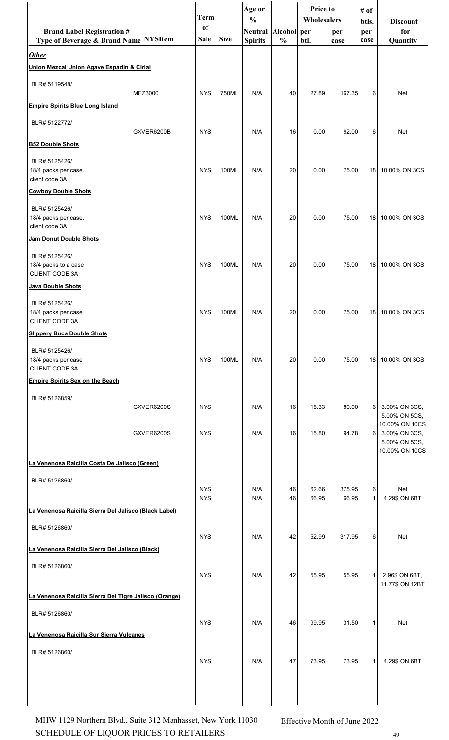|                                                        |            | <b>Term</b>   |             | Age or                               |               | <b>Price to</b> |        | # of         |                                 |
|--------------------------------------------------------|------------|---------------|-------------|--------------------------------------|---------------|-----------------|--------|--------------|---------------------------------|
| <b>Brand Label Registration #</b>                      |            | <sub>of</sub> |             | $\frac{0}{0}$<br>Neutral Alcohol per |               | Wholesalers     | per    | btls.<br>per | <b>Discount</b><br>for          |
| Type of Beverage & Brand Name NYSItem                  |            | <b>Sale</b>   | <b>Size</b> | <b>Spirits</b>                       | $\frac{0}{0}$ | btl.            | case   | case         | Quantity                        |
| <b>Other</b>                                           |            |               |             |                                      |               |                 |        |              |                                 |
| Union Mezcal Union Agave Espadin & Cirial              |            |               |             |                                      |               |                 |        |              |                                 |
| BLR# 5119548/                                          |            |               |             |                                      |               |                 |        |              |                                 |
|                                                        | MEZ3000    | <b>NYS</b>    | 750ML       | N/A                                  | 40            | 27.89           | 167.35 | 6            | Net                             |
| <b>Empire Spirits Blue Long Island</b>                 |            |               |             |                                      |               |                 |        |              |                                 |
| BLR# 5122772/                                          | GXVER6200B | <b>NYS</b>    |             | N/A                                  | 16            | 0.00            | 92.00  | 6            | Net                             |
| <b>B52 Double Shots</b>                                |            |               |             |                                      |               |                 |        |              |                                 |
| BLR# 5125426/                                          |            |               |             |                                      |               |                 |        |              |                                 |
| 18/4 packs per case.<br>client code 3A                 |            | <b>NYS</b>    | 100ML       | N/A                                  | 20            | 0.00            | 75.00  | 18           | 10.00% ON 3CS                   |
| <b>Cowboy Double Shots</b>                             |            |               |             |                                      |               |                 |        |              |                                 |
| BLR# 5125426/                                          |            |               |             |                                      |               |                 |        |              |                                 |
| 18/4 packs per case.                                   |            | <b>NYS</b>    | 100ML       | N/A                                  | 20            | 0.00            | 75.00  | 18           | 10.00% ON 3CS                   |
| client code 3A<br>Jam Donut Double Shots               |            |               |             |                                      |               |                 |        |              |                                 |
|                                                        |            |               |             |                                      |               |                 |        |              |                                 |
| BLR# 5125426/<br>18/4 packs to a case                  |            | <b>NYS</b>    | 100ML       | N/A                                  | 20            | 0.00            | 75.00  | 18           | 10.00% ON 3CS                   |
| CLIENT CODE 3A                                         |            |               |             |                                      |               |                 |        |              |                                 |
| Java Double Shots                                      |            |               |             |                                      |               |                 |        |              |                                 |
| BLR# 5125426/                                          |            |               |             |                                      |               |                 |        |              |                                 |
| 18/4 packs per case<br>CLIENT CODE 3A                  |            | <b>NYS</b>    | 100ML       | N/A                                  | 20            | 0.00            | 75.00  | 18           | 10.00% ON 3CS                   |
| <b>Slippery Buca Double Shots</b>                      |            |               |             |                                      |               |                 |        |              |                                 |
| BLR# 5125426/                                          |            |               |             |                                      |               |                 |        |              |                                 |
| 18/4 packs per case                                    |            | <b>NYS</b>    | 100ML       | N/A                                  | 20            | 0.00            | 75.00  | 18           | 10.00% ON 3CS                   |
| CLIENT CODE 3A                                         |            |               |             |                                      |               |                 |        |              |                                 |
| <b>Empire Spirits Sex on the Beach</b>                 |            |               |             |                                      |               |                 |        |              |                                 |
| BLR# 5126859/                                          | GXVER6200S | <b>NYS</b>    |             | N/A                                  | 16            | 15.33           | 80.00  | 6            | 3.00% ON 3CS,                   |
|                                                        |            |               |             |                                      |               |                 |        |              | 5.00% ON 5CS,                   |
|                                                        | GXVER6200S | <b>NYS</b>    |             | N/A                                  | 16            | 15.80           | 94.78  | 6            | 10.00% ON 10CS<br>3.00% ON 3CS, |
|                                                        |            |               |             |                                      |               |                 |        |              | 5.00% ON 5CS,<br>10.00% ON 10CS |
| La Venenosa Raicilla Costa De Jalisco (Green)          |            |               |             |                                      |               |                 |        |              |                                 |
| BLR# 5126860/                                          |            |               |             |                                      |               |                 |        |              |                                 |
|                                                        |            | <b>NYS</b>    |             | N/A                                  | 46            | 62.66           | 375.95 | 6            | Net                             |
|                                                        |            | <b>NYS</b>    |             | N/A                                  | 46            | 66.95           | 66.95  | $\mathbf{1}$ | 4.29\$ ON 6BT                   |
| La Venenosa Raicilla Sierra Del Jalisco (Black Label)  |            |               |             |                                      |               |                 |        |              |                                 |
| BLR# 5126860/                                          |            | <b>NYS</b>    |             | N/A                                  | 42            | 52.99           | 317.95 | 6            | Net                             |
| La Venenosa Raicilla Sierra Del Jalisco (Black)        |            |               |             |                                      |               |                 |        |              |                                 |
| BLR# 5126860/                                          |            |               |             |                                      |               |                 |        |              |                                 |
|                                                        |            | <b>NYS</b>    |             | N/A                                  | 42            | 55.95           | 55.95  | $\mathbf{1}$ | 2.96\$ ON 6BT,                  |
|                                                        |            |               |             |                                      |               |                 |        |              | 11.77\$ ON 12BT                 |
| La Venenosa Raicilla Sierra Del Tigre Jalisco (Orange) |            |               |             |                                      |               |                 |        |              |                                 |
| BLR# 5126860/                                          |            | <b>NYS</b>    |             | N/A                                  | 46            | 99.95           | 31.50  | $\mathbf 1$  | Net                             |
| La Venenosa Raicilla Sur Sierra Vulcanes               |            |               |             |                                      |               |                 |        |              |                                 |
| BLR# 5126860/                                          |            |               |             |                                      |               |                 |        |              |                                 |
|                                                        |            | <b>NYS</b>    |             | N/A                                  | 47            | 73.95           | 73.95  | $\mathbf{1}$ | 4.29\$ ON 6BT                   |
|                                                        |            |               |             |                                      |               |                 |        |              |                                 |
|                                                        |            |               |             |                                      |               |                 |        |              |                                 |
|                                                        |            |               |             |                                      |               |                 |        |              |                                 |

SCHEDULE OF LIQUOR PRICES TO RETAILERS 49 MHW 1129 Northern Blvd., Suite 312 Manhasset, New York 11030 Effective Month of June 2022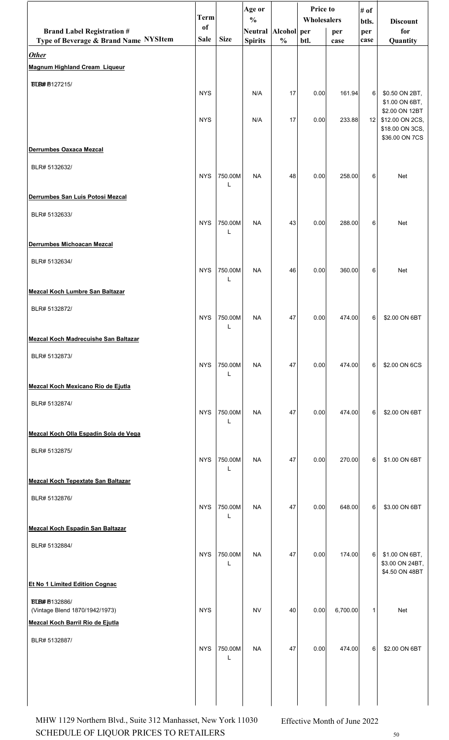|                                             | Term        |              | Age or                               |               | <b>Price to</b> |             | # of         |                                    |
|---------------------------------------------|-------------|--------------|--------------------------------------|---------------|-----------------|-------------|--------------|------------------------------------|
| <b>Brand Label Registration #</b>           | of          |              | $\frac{0}{0}$<br>Neutral Alcohol per |               | Wholesalers     |             | btls.        | <b>Discount</b><br>for             |
| Type of Beverage & Brand Name NYSItem       | <b>Sale</b> | <b>Size</b>  | <b>Spirits</b>                       | $\frac{0}{0}$ | btl.            | per<br>case | per<br>case  | Quantity                           |
| <b>Other</b>                                |             |              |                                      |               |                 |             |              |                                    |
| <b>Magnum Highland Cream Liqueur</b>        |             |              |                                      |               |                 |             |              |                                    |
| <b>BLB#B127215/</b>                         |             |              |                                      |               |                 |             |              |                                    |
|                                             | <b>NYS</b>  |              | N/A                                  | 17            | 0.00            | 161.94      | 6            | \$0.50 ON 2BT,<br>\$1.00 ON 6BT,   |
|                                             |             |              |                                      |               |                 |             |              | \$2.00 ON 12BT                     |
|                                             | <b>NYS</b>  |              | N/A                                  | 17            | 0.00            | 233.88      | 12           | \$12.00 ON 2CS,<br>\$18.00 ON 3CS, |
|                                             |             |              |                                      |               |                 |             |              | \$36.00 ON 7CS                     |
| Derrumbes Oaxaca Mezcal                     |             |              |                                      |               |                 |             |              |                                    |
| BLR# 5132632/                               | <b>NYS</b>  | 750.00M      | <b>NA</b>                            | 48            | 0.00            | 258.00      | 6            | Net                                |
|                                             |             | L            |                                      |               |                 |             |              |                                    |
| Derrumbes San Luis Potosi Mezcal            |             |              |                                      |               |                 |             |              |                                    |
| BLR# 5132633/                               |             |              |                                      |               |                 |             |              |                                    |
|                                             | <b>NYS</b>  | 750.00M<br>L | <b>NA</b>                            | 43            | 0.00            | 288.00      | 6            | Net                                |
| Derrumbes Michoacan Mezcal                  |             |              |                                      |               |                 |             |              |                                    |
| BLR# 5132634/                               |             |              |                                      |               |                 |             |              |                                    |
|                                             | <b>NYS</b>  | 750.00M      | <b>NA</b>                            | 46            | 0.00            | 360.00      | 6            | Net                                |
| <b>Mezcal Koch Lumbre San Baltazar</b>      |             |              |                                      |               |                 |             |              |                                    |
|                                             |             |              |                                      |               |                 |             |              |                                    |
| BLR# 5132872/                               | <b>NYS</b>  | 750.00M      | <b>NA</b>                            | 47            | 0.00            | 474.00      | 6            | \$2.00 ON 6BT                      |
|                                             |             | L            |                                      |               |                 |             |              |                                    |
| <b>Mezcal Koch Madrecuishe San Baltazar</b> |             |              |                                      |               |                 |             |              |                                    |
| BLR# 5132873/                               | <b>NYS</b>  | 750.00M      | <b>NA</b>                            | 47            | 0.00            | 474.00      | 6            | \$2.00 ON 6CS                      |
|                                             |             | L            |                                      |               |                 |             |              |                                    |
| Mezcal Koch Mexicano Rio de Ejutla          |             |              |                                      |               |                 |             |              |                                    |
| BLR# 5132874/                               |             |              |                                      |               |                 |             |              |                                    |
|                                             | <b>NYS</b>  | 750.00M<br>L | <b>NA</b>                            | 47            | 0.00            | 474.00      | 6            | \$2.00 ON 6BT                      |
| Mezcal Koch Olla Espadín Sola de Vega       |             |              |                                      |               |                 |             |              |                                    |
| BLR# 5132875/                               |             |              |                                      |               |                 |             |              |                                    |
|                                             | <b>NYS</b>  | 750.00M      | <b>NA</b>                            | 47            | 0.00            | 270.00      | 6            | \$1.00 ON 6BT                      |
| <b>Mezcal Koch Tepextate San Baltazar</b>   |             |              |                                      |               |                 |             |              |                                    |
| BLR# 5132876/                               |             |              |                                      |               |                 |             |              |                                    |
|                                             | <b>NYS</b>  | 750.00M      | <b>NA</b>                            | 47            | 0.00            | 648.00      | 6            | \$3.00 ON 6BT                      |
| <b>Mezcal Koch Espadín San Baltazar</b>     |             | L            |                                      |               |                 |             |              |                                    |
|                                             |             |              |                                      |               |                 |             |              |                                    |
| BLR# 5132884/                               | <b>NYS</b>  | 750.00M      | <b>NA</b>                            | 47            | 0.00            | 174.00      | 6            | \$1.00 ON 6BT,                     |
|                                             |             | L            |                                      |               |                 |             |              | \$3.00 ON 24BT,<br>\$4.50 ON 48BT  |
| Et No 1 Limited Edition Cognac              |             |              |                                      |               |                 |             |              |                                    |
| <b>BLB#B132886/</b>                         |             |              |                                      |               |                 |             |              |                                    |
| (Vintage Blend 1870/1942/1973)              | <b>NYS</b>  |              | <b>NV</b>                            | 40            | 0.00            | 6,700.00    | $\mathbf{1}$ | Net                                |
| Mezcal Koch Barril Rio de Ejutla            |             |              |                                      |               |                 |             |              |                                    |
| BLR# 5132887/                               |             |              |                                      |               |                 |             |              |                                    |
|                                             | <b>NYS</b>  | 750.00M<br>L | <b>NA</b>                            | 47            | 0.00            | 474.00      | 6            | \$2.00 ON 6BT                      |
|                                             |             |              |                                      |               |                 |             |              |                                    |
|                                             |             |              |                                      |               |                 |             |              |                                    |
|                                             |             |              |                                      |               |                 |             |              |                                    |

SCHEDULE OF LIQUOR PRICES TO RETAILERS  $_{50}$ MHW 1129 Northern Blvd., Suite 312 Manhasset, New York 11030 Effective Month of June 2022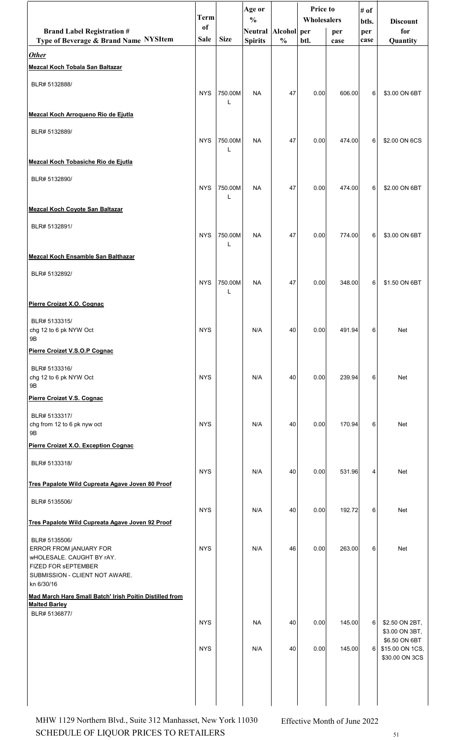|                                                                                                                               | Term        |              | Age or<br>$\frac{0}{0}$ |               | <b>Price to</b><br>Wholesalers |        | # of         |                                                    |
|-------------------------------------------------------------------------------------------------------------------------------|-------------|--------------|-------------------------|---------------|--------------------------------|--------|--------------|----------------------------------------------------|
| <b>Brand Label Registration #</b>                                                                                             | of          |              | <b>Neutral</b>          | Alcohol per   |                                | per    | btls.<br>per | <b>Discount</b><br>for                             |
| Type of Beverage & Brand Name NYSItem                                                                                         | <b>Sale</b> | <b>Size</b>  | <b>Spirits</b>          | $\frac{0}{0}$ | btl.                           | case   | case         | Quantity                                           |
| <b>Other</b><br><b>Mezcal Koch Tobala San Baltazar</b>                                                                        |             |              |                         |               |                                |        |              |                                                    |
| BLR# 5132888/                                                                                                                 |             |              |                         |               |                                |        |              |                                                    |
|                                                                                                                               | <b>NYS</b>  | 750.00M      | <b>NA</b>               | 47            | 0.00                           | 606.00 | 6            | \$3.00 ON 6BT                                      |
| Mezcal Koch Arroqueno Rio de Ejutla                                                                                           |             |              |                         |               |                                |        |              |                                                    |
| BLR# 5132889/                                                                                                                 | <b>NYS</b>  | 750.00M      | <b>NA</b>               | 47            | 0.00                           | 474.00 | 6            | \$2.00 ON 6CS                                      |
| Mezcal Koch Tobasiche Rio de Ejutla                                                                                           |             |              |                         |               |                                |        |              |                                                    |
| BLR# 5132890/                                                                                                                 | <b>NYS</b>  | 750.00M      | <b>NA</b>               | 47            | 0.00                           | 474.00 | 6            | \$2.00 ON 6BT                                      |
| <b>Mezcal Koch Coyote San Baltazar</b>                                                                                        |             |              |                         |               |                                |        |              |                                                    |
| BLR# 5132891/                                                                                                                 | <b>NYS</b>  | 750.00M      | <b>NA</b>               | 47            | 0.00                           | 774.00 | 6            | \$3.00 ON 6BT                                      |
| <b>Mezcal Koch Ensamble San Balthazar</b>                                                                                     |             |              |                         |               |                                |        |              |                                                    |
| BLR# 5132892/                                                                                                                 | <b>NYS</b>  | 750.00M<br>L | <b>NA</b>               | 47            | 0.00                           | 348.00 | 6            | \$1.50 ON 6BT                                      |
| Pierre Croizet X.O. Cognac                                                                                                    |             |              |                         |               |                                |        |              |                                                    |
| BLR# 5133315/<br>chg 12 to 6 pk NYW Oct<br>9Β                                                                                 | <b>NYS</b>  |              | N/A                     | 40            | 0.00                           | 491.94 | $6 \mid$     | Net                                                |
| Pierre Croizet V.S.O.P Cognac                                                                                                 |             |              |                         |               |                                |        |              |                                                    |
| BLR# 5133316/<br>chg 12 to 6 pk NYW Oct<br>9Β                                                                                 | <b>NYS</b>  |              | N/A                     | 40            | 0.00                           | 239.94 | 6            | Net                                                |
| Pierre Croizet V.S. Cognac                                                                                                    |             |              |                         |               |                                |        |              |                                                    |
| BLR# 5133317/<br>chg from 12 to 6 pk nyw oct<br>9Β                                                                            | <b>NYS</b>  |              | N/A                     | 40            | 0.00                           | 170.94 | 6            | Net                                                |
| Pierre Croizet X.O. Exception Cognac                                                                                          |             |              |                         |               |                                |        |              |                                                    |
| BLR# 5133318/                                                                                                                 | <b>NYS</b>  |              | N/A                     | 40            | 0.00                           | 531.96 | 4            | Net                                                |
| Tres Papalote Wild Cupreata Agave Joven 80 Proof                                                                              |             |              |                         |               |                                |        |              |                                                    |
| BLR# 5135506/                                                                                                                 | <b>NYS</b>  |              | N/A                     | 40            | 0.00                           | 192.72 | 6            | Net                                                |
| Tres Papalote Wild Cupreata Agave Joven 92 Proof                                                                              |             |              |                         |               |                                |        |              |                                                    |
| BLR# 5135506/<br>ERROR FROM JANUARY FOR<br>wHOLESALE. CAUGHT BY rAY.<br>FIZED FOR SEPTEMBER<br>SUBMISSION - CLIENT NOT AWARE. | <b>NYS</b>  |              | N/A                     | 46            | 0.00                           | 263.00 | 6            | Net                                                |
| kn 6/30/16<br>Mad March Hare Small Batch' Irish Poitin Distilled from                                                         |             |              |                         |               |                                |        |              |                                                    |
| <b>Malted Barley</b><br>BLR# 5136877/                                                                                         |             |              |                         |               |                                |        |              |                                                    |
|                                                                                                                               | <b>NYS</b>  |              | <b>NA</b>               | 40            | 0.00                           | 145.00 | 6            | \$2.50 ON 2BT,<br>\$3.00 ON 3BT,                   |
|                                                                                                                               | <b>NYS</b>  |              | N/A                     | 40            | 0.00                           | 145.00 | 6            | \$6.50 ON 6BT<br>\$15.00 ON 1CS,<br>\$30.00 ON 3CS |
|                                                                                                                               |             |              |                         |               |                                |        |              |                                                    |

SCHEDULE OF LIQUOR PRICES TO RETAILERS  $51$ MHW 1129 Northern Blvd., Suite 312 Manhasset, New York 11030 Effective Month of June 2022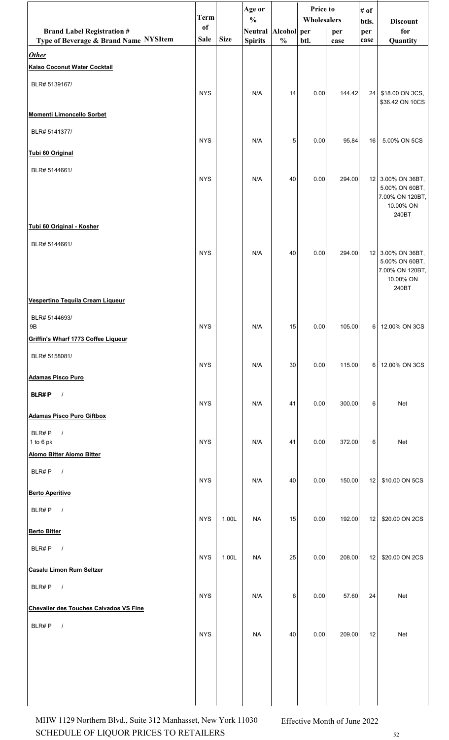|                                                       | <b>Term</b>   |             | Age or<br>$\frac{0}{0}$ |               | Price to<br>Wholesalers |        | # of<br>btls. | <b>Discount</b>                                                           |
|-------------------------------------------------------|---------------|-------------|-------------------------|---------------|-------------------------|--------|---------------|---------------------------------------------------------------------------|
| <b>Brand Label Registration #</b>                     | <sub>of</sub> |             | Neutral Alcohol per     |               |                         | per    | per           | for                                                                       |
| Type of Beverage & Brand Name NYSItem<br><b>Other</b> | <b>Sale</b>   | <b>Size</b> | <b>Spirits</b>          | $\frac{0}{0}$ | btl.                    | case   | case          | Quantity                                                                  |
| <b>Kaiso Coconut Water Cocktail</b>                   |               |             |                         |               |                         |        |               |                                                                           |
| BLR# 5139167/                                         |               |             |                         |               |                         |        |               |                                                                           |
|                                                       | <b>NYS</b>    |             | N/A                     | 14            | 0.00                    | 144.42 | 24            | \$18.00 ON 3CS,<br>\$36.42 ON 10CS                                        |
| <b>Momenti Limoncello Sorbet</b>                      |               |             |                         |               |                         |        |               |                                                                           |
| BLR# 5141377/                                         | <b>NYS</b>    |             | N/A                     | 5             | 0.00                    | 95.84  | 16            | 5.00% ON 5CS                                                              |
| Tubi 60 Original                                      |               |             |                         |               |                         |        |               |                                                                           |
| BLR# 5144661/                                         |               |             |                         |               |                         |        |               |                                                                           |
|                                                       | <b>NYS</b>    |             | N/A                     | 40            | 0.00                    | 294.00 | 12            | 3.00% ON 36BT,<br>5.00% ON 60BT,<br>7.00% ON 120BT,<br>10.00% ON<br>240BT |
| Tubi 60 Original - Kosher                             |               |             |                         |               |                         |        |               |                                                                           |
| BLR# 5144661/                                         | <b>NYS</b>    |             | N/A                     | 40            | 0.00                    | 294.00 |               | 12 3.00% ON 36BT,                                                         |
|                                                       |               |             |                         |               |                         |        |               | 5.00% ON 60BT,<br>7.00% ON 120BT,<br>10.00% ON<br>240BT                   |
| Vespertino Tequila Cream Liqueur                      |               |             |                         |               |                         |        |               |                                                                           |
| BLR# 5144693/<br>9 <sub>B</sub>                       | <b>NYS</b>    |             | N/A                     | 15            | 0.00                    | 105.00 |               | 6 12.00% ON 3CS                                                           |
| Griffin's Wharf 1773 Coffee Liqueur                   |               |             |                         |               |                         |        |               |                                                                           |
| BLR# 5158081/                                         |               |             |                         |               |                         |        |               |                                                                           |
| <b>Adamas Pisco Puro</b>                              | <b>NYS</b>    |             | N/A                     | 30            | 0.00                    | 115.00 | 6             | 12.00% ON 3CS                                                             |
| <b>BLR#P</b><br>$\sqrt{ }$                            |               |             |                         |               |                         |        |               |                                                                           |
| <b>Adamas Pisco Puro Giftbox</b>                      | <b>NYS</b>    |             | N/A                     | 41            | 0.00                    | 300.00 | 6             | <b>Net</b>                                                                |
| BLR#P<br>$\sqrt{ }$                                   |               |             |                         |               |                         |        |               |                                                                           |
| 1 to 6 pk                                             | <b>NYS</b>    |             | N/A                     | 41            | 0.00                    | 372.00 | 6             | <b>Net</b>                                                                |
| <b>Alomo Bitter Alomo Bitter</b>                      |               |             |                         |               |                         |        |               |                                                                           |
| BLR#P<br>$\overline{\phantom{a}}$                     | <b>NYS</b>    |             | N/A                     | 40            | 0.00                    | 150.00 | 12            | \$10.00 ON 5CS                                                            |
| <b>Berto Aperitivo</b>                                |               |             |                         |               |                         |        |               |                                                                           |
| BLR#P<br>$\sqrt{ }$                                   | <b>NYS</b>    | 1.00L       | <b>NA</b>               | 15            | 0.00                    | 192.00 | 12            | \$20.00 ON 2CS                                                            |
| <b>Berto Bitter</b>                                   |               |             |                         |               |                         |        |               |                                                                           |
| BLR#P<br>$\sqrt{ }$                                   | <b>NYS</b>    | 1.00L       | <b>NA</b>               | 25            | 0.00                    | 208.00 | 12            | \$20.00 ON 2CS                                                            |
| Casalu Limon Rum Seltzer                              |               |             |                         |               |                         |        |               |                                                                           |
| BLR#P<br>$\sqrt{ }$                                   |               |             |                         |               |                         |        |               |                                                                           |
| <b>Chevalier des Touches Calvados VS Fine</b>         | <b>NYS</b>    |             | N/A                     | 6             | 0.00                    | 57.60  | 24            | Net                                                                       |
| BLR#P $/$                                             |               |             |                         |               |                         |        |               |                                                                           |
|                                                       | <b>NYS</b>    |             | <b>NA</b>               | 40            | 0.00                    | 209.00 | 12            | Net                                                                       |
|                                                       |               |             |                         |               |                         |        |               |                                                                           |
|                                                       |               |             |                         |               |                         |        |               |                                                                           |
|                                                       |               |             |                         |               |                         |        |               |                                                                           |
|                                                       |               |             |                         |               |                         |        |               |                                                                           |

SCHEDULE OF LIQUOR PRICES TO RETAILERS 52 MHW 1129 Northern Blvd., Suite 312 Manhasset, New York 11030 Effective Month of June 2022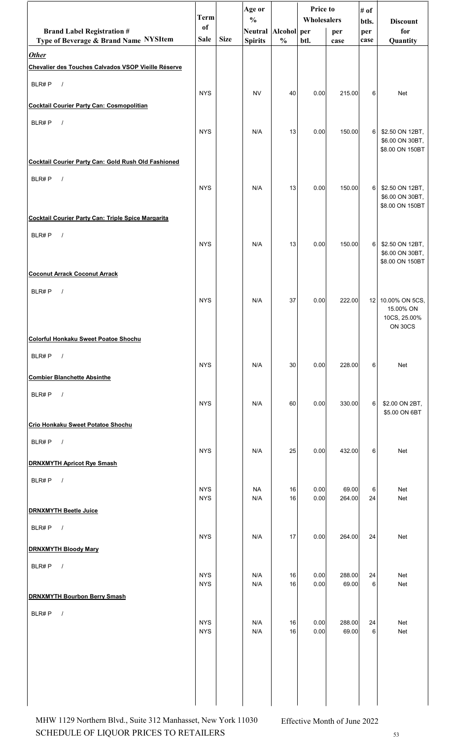|                                                                     | <b>Term</b>              |             | Age or                               |               | Price to<br>Wholesalers |                 | # of         |                                    |
|---------------------------------------------------------------------|--------------------------|-------------|--------------------------------------|---------------|-------------------------|-----------------|--------------|------------------------------------|
| <b>Brand Label Registration #</b>                                   | of                       |             | $\frac{0}{0}$<br>Neutral Alcohol per |               |                         | per             | btls.<br>per | <b>Discount</b><br>for             |
| Type of Beverage & Brand Name NYSItem                               | Sale                     | <b>Size</b> | <b>Spirits</b>                       | $\frac{0}{0}$ | btl.                    | case            | case         | Quantity                           |
| <b>Other</b><br>Chevalier des Touches Calvados VSOP Vieille Réserve |                          |             |                                      |               |                         |                 |              |                                    |
| BLR#P<br>$\sqrt{ }$                                                 |                          |             |                                      |               |                         |                 |              |                                    |
|                                                                     | <b>NYS</b>               |             | <b>NV</b>                            | 40            | 0.00                    | 215.00          | 6            | Net                                |
| <b>Cocktail Courier Party Can: Cosmopolitian</b>                    |                          |             |                                      |               |                         |                 |              |                                    |
| BLR#P<br>$\sqrt{ }$                                                 | <b>NYS</b>               |             | N/A                                  | 13            | 0.00                    | 150.00          | 6            | \$2.50 ON 12BT,                    |
|                                                                     |                          |             |                                      |               |                         |                 |              | \$6.00 ON 30BT,<br>\$8.00 ON 150BT |
| Cocktail Courier Party Can: Gold Rush Old Fashioned                 |                          |             |                                      |               |                         |                 |              |                                    |
| BLR#P<br>$\sqrt{ }$                                                 |                          |             |                                      |               |                         |                 |              |                                    |
|                                                                     | <b>NYS</b>               |             | N/A                                  | 13            | 0.00                    | 150.00          | 6            | \$2.50 ON 12BT,<br>\$6.00 ON 30BT, |
|                                                                     |                          |             |                                      |               |                         |                 |              | \$8.00 ON 150BT                    |
| Cocktail Courier Party Can: Triple Spice Margarita                  |                          |             |                                      |               |                         |                 |              |                                    |
| BLR#P<br>$\sqrt{ }$                                                 | <b>NYS</b>               |             | N/A                                  | 13            | 0.00                    | 150.00          | 6            | \$2.50 ON 12BT,                    |
|                                                                     |                          |             |                                      |               |                         |                 |              | \$6.00 ON 30BT,<br>\$8.00 ON 150BT |
| <b>Coconut Arrack Coconut Arrack</b>                                |                          |             |                                      |               |                         |                 |              |                                    |
| BLR#P<br>$\sqrt{ }$                                                 |                          |             |                                      |               |                         |                 |              |                                    |
|                                                                     | <b>NYS</b>               |             | N/A                                  | 37            | 0.00                    | 222.00          | 12           | 10.00% ON 5CS,<br>15.00% ON        |
|                                                                     |                          |             |                                      |               |                         |                 |              | 10CS, 25.00%<br>ON 30CS            |
| Colorful Honkaku Sweet Poatoe Shochu                                |                          |             |                                      |               |                         |                 |              |                                    |
| $\overline{\phantom{a}}$<br>BLR#P                                   |                          |             |                                      |               |                         |                 |              |                                    |
| <b>Combier Blanchette Absinthe</b>                                  | <b>NYS</b>               |             | N/A                                  | 30            | 0.00                    | 228.00          | 6            | Net                                |
|                                                                     |                          |             |                                      |               |                         |                 |              |                                    |
| BLR#P<br>$\sqrt{ }$                                                 | <b>NYS</b>               |             | N/A                                  | 60            | 0.00                    | 330.00          | 6            | \$2.00 ON 2BT,                     |
| Crio Honkaku Sweet Potatoe Shochu                                   |                          |             |                                      |               |                         |                 |              | \$5.00 ON 6BT                      |
| BLR#P $/$                                                           |                          |             |                                      |               |                         |                 |              |                                    |
|                                                                     | <b>NYS</b>               |             | N/A                                  | 25            | 0.00                    | 432.00          | 6            | Net                                |
| <b>DRNXMYTH Apricot Rye Smash</b>                                   |                          |             |                                      |               |                         |                 |              |                                    |
| BLR#P<br>$\overline{\phantom{a}}$                                   | <b>NYS</b>               |             | <b>NA</b>                            | 16            | 0.00                    | 69.00           | 6            | Net                                |
|                                                                     | <b>NYS</b>               |             | N/A                                  | 16            | 0.00                    | 264.00          | 24           | Net                                |
| <b>DRNXMYTH Beetle Juice</b>                                        |                          |             |                                      |               |                         |                 |              |                                    |
| $\overline{\phantom{a}}$<br>BLR#P                                   | <b>NYS</b>               |             | N/A                                  | 17            | 0.00                    | 264.00          | 24           | Net                                |
| <b>DRNXMYTH Bloody Mary</b>                                         |                          |             |                                      |               |                         |                 |              |                                    |
| BLR#P<br>$\sqrt{ }$                                                 |                          |             |                                      |               |                         |                 |              |                                    |
|                                                                     | <b>NYS</b><br><b>NYS</b> |             | N/A<br>N/A                           | 16<br>16      | 0.00<br>0.00            | 288.00<br>69.00 | 24<br>6      | Net<br>Net                         |
| <b>DRNXMYTH Bourbon Berry Smash</b>                                 |                          |             |                                      |               |                         |                 |              |                                    |
| BLR#P<br>$\sqrt{ }$                                                 | <b>NYS</b>               |             | N/A                                  | 16            | 0.00                    | 288.00          | 24           | Net                                |
|                                                                     | <b>NYS</b>               |             | N/A                                  | 16            | 0.00                    | 69.00           | 6            | Net                                |
|                                                                     |                          |             |                                      |               |                         |                 |              |                                    |
|                                                                     |                          |             |                                      |               |                         |                 |              |                                    |
|                                                                     |                          |             |                                      |               |                         |                 |              |                                    |
|                                                                     |                          |             |                                      |               |                         |                 |              |                                    |
|                                                                     |                          |             |                                      |               |                         |                 |              |                                    |

SCHEDULE OF LIQUOR PRICES TO RETAILERS 53 MHW 1129 Northern Blvd., Suite 312 Manhasset, New York 11030 Effective Month of June 2022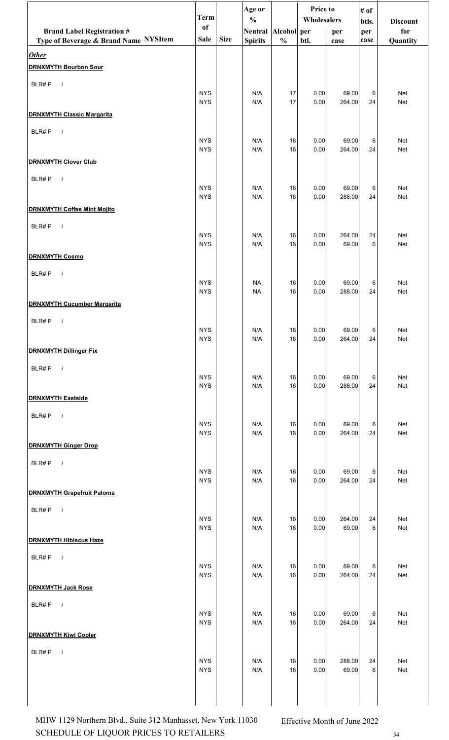|                                              | <b>Term</b>              |             | Age or                               |               | Price to<br>Wholesalers |                 | # of         |                        |  |
|----------------------------------------------|--------------------------|-------------|--------------------------------------|---------------|-------------------------|-----------------|--------------|------------------------|--|
| <b>Brand Label Registration #</b>            | of                       |             | $\frac{0}{0}$<br>Neutral Alcohol per |               |                         | per             | btls.<br>per | <b>Discount</b><br>for |  |
| Type of Beverage & Brand Name NYSItem        | <b>Sale</b>              | <b>Size</b> | <b>Spirits</b>                       | $\frac{0}{0}$ | btl.                    | case            | case         | Quantity               |  |
| <b>Other</b><br><b>DRNXMYTH Bourbon Sour</b> |                          |             |                                      |               |                         |                 |              |                        |  |
| BLR#P<br>$\sqrt{ }$                          |                          |             |                                      |               |                         |                 |              |                        |  |
|                                              | <b>NYS</b><br><b>NYS</b> |             | N/A<br>N/A                           | 17<br>17      | 0.00<br>0.00            | 69.00<br>264.00 | 6<br>24      | Net<br>Net             |  |
| <b>DRNXMYTH Classic Margarita</b>            |                          |             |                                      |               |                         |                 |              |                        |  |
| BLR#P<br>$\sqrt{ }$                          | <b>NYS</b>               |             | N/A                                  | 16            | 0.00                    | 69.00           | 6            | Net                    |  |
| <b>DRNXMYTH Clover Club</b>                  | <b>NYS</b>               |             | N/A                                  | 16            | 0.00                    | 264.00          | 24           | Net                    |  |
| BLR#P<br>$\sqrt{ }$                          |                          |             |                                      |               |                         |                 |              |                        |  |
|                                              | <b>NYS</b><br><b>NYS</b> |             | N/A<br>N/A                           | 16<br>16      | 0.00<br>0.00            | 69.00<br>288.00 | 6<br>24      | Net<br>Net             |  |
| <b>DRNXMYTH Coffee Mint Mojito</b>           |                          |             |                                      |               |                         |                 |              |                        |  |
| BLR#P<br>$\sqrt{ }$                          |                          |             |                                      |               |                         |                 |              |                        |  |
|                                              | <b>NYS</b><br><b>NYS</b> |             | N/A<br>N/A                           | 16<br>16      | 0.00<br>0.00            | 264.00<br>69.00 | 24<br>6      | Net<br>Net             |  |
| <b>DRNXMYTH Cosmo</b>                        |                          |             |                                      |               |                         |                 |              |                        |  |
| BLR#P<br>$\sqrt{ }$                          |                          |             |                                      |               |                         |                 |              |                        |  |
|                                              | <b>NYS</b><br><b>NYS</b> |             | <b>NA</b><br><b>NA</b>               | 16<br>16      | 0.00<br>0.00            | 69.00<br>288.00 | 6<br>24      | Net<br>Net             |  |
| <b>DRNXMYTH Cucumber Margarita</b>           |                          |             |                                      |               |                         |                 |              |                        |  |
| BLR#P<br>$\sqrt{ }$                          |                          |             |                                      |               |                         |                 |              |                        |  |
|                                              | <b>NYS</b><br><b>NYS</b> |             | $\mathsf{N}/\mathsf{A}$<br>N/A       | $16\,$<br>16  | 0.00<br>0.00            | 69.00<br>264.00 | $\,6$<br>24  | Net<br>Net             |  |
| <b>DRNXMYTH Dillinger Fix</b>                |                          |             |                                      |               |                         |                 |              |                        |  |
| BLR#P $/$                                    |                          |             |                                      |               |                         |                 |              |                        |  |
|                                              | <b>NYS</b><br><b>NYS</b> |             | N/A<br>N/A                           | 16<br>16      | 0.00<br>0.00            | 69.00<br>288.00 | 6<br>24      | Net<br>Net             |  |
| <b>DRNXMYTH Eastside</b>                     |                          |             |                                      |               |                         |                 |              |                        |  |
| BLR#P $/$                                    |                          |             |                                      |               |                         |                 |              |                        |  |
|                                              | <b>NYS</b><br><b>NYS</b> |             | N/A<br>N/A                           | 16<br>16      | 0.00<br>0.00            | 69.00<br>264.00 | 6<br>24      | Net<br>Net             |  |
| <b>DRNXMYTH Ginger Drop</b>                  |                          |             |                                      |               |                         |                 |              |                        |  |
| BLR#P $/$                                    |                          |             |                                      |               |                         |                 |              |                        |  |
|                                              | <b>NYS</b><br><b>NYS</b> |             | N/A<br>N/A                           | 16<br>16      | 0.00<br>0.00            | 69.00<br>264.00 | 6<br>24      | Net<br>Net             |  |
| <b>DRNXMYTH Grapefruit Paloma</b>            |                          |             |                                      |               |                         |                 |              |                        |  |
| BLR#P $/$                                    |                          |             |                                      |               |                         |                 |              |                        |  |
|                                              | <b>NYS</b><br><b>NYS</b> |             | N/A<br>N/A                           | 16<br>16      | 0.00<br>0.00            | 264.00<br>69.00 | 24<br>6      | Net<br>Net             |  |
| <b>DRNXMYTH Hibiscus Haze</b>                |                          |             |                                      |               |                         |                 |              |                        |  |
| BLR#P $/$                                    |                          |             |                                      |               |                         |                 |              |                        |  |
|                                              | <b>NYS</b><br><b>NYS</b> |             | N/A<br>N/A                           | 16<br>16      | 0.00<br>0.00            | 69.00<br>264.00 | 6<br>24      | Net<br>Net             |  |
| <b>DRNXMYTH Jack Rose</b>                    |                          |             |                                      |               |                         |                 |              |                        |  |
| BLR#P<br>$\sqrt{ }$                          |                          |             |                                      |               |                         |                 |              |                        |  |
|                                              | <b>NYS</b><br><b>NYS</b> |             | N/A<br>N/A                           | 16<br>16      | 0.00<br>0.00            | 69.00<br>264.00 | 6<br>24      | Net<br>Net             |  |
| <b>DRNXMYTH Kiwi Cooler</b>                  |                          |             |                                      |               |                         |                 |              |                        |  |
| BLR#P $/$                                    |                          |             |                                      |               |                         |                 |              |                        |  |
|                                              | <b>NYS</b><br><b>NYS</b> |             | N/A<br>N/A                           | 16<br>16      | 0.00<br>0.00            | 288.00<br>69.00 | 24<br>6      | Net<br>Net             |  |
|                                              |                          |             |                                      |               |                         |                 |              |                        |  |
|                                              |                          |             |                                      |               |                         |                 |              |                        |  |

SCHEDULE OF LIQUOR PRICES TO RETAILERS  $^{54}$ MHW 1129 Northern Blvd., Suite 312 Manhasset, New York 11030 Effective Month of June 2022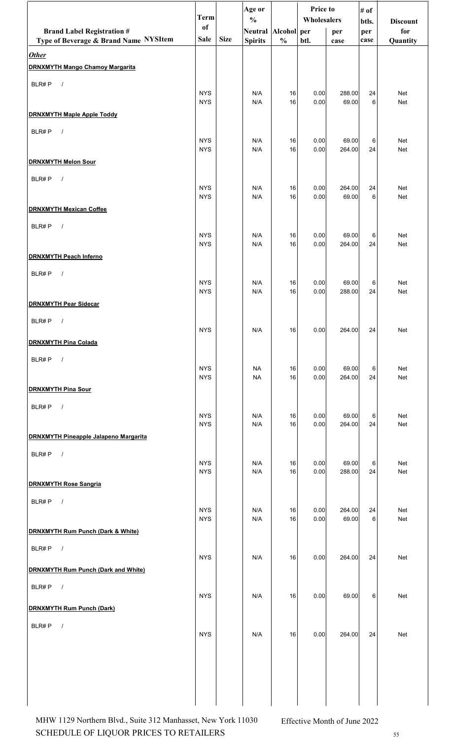|                                                        | <b>Term</b>              |             | Age or<br>$\frac{0}{0}$ |               | Price to<br>Wholesalers |                 | # of         |                        |
|--------------------------------------------------------|--------------------------|-------------|-------------------------|---------------|-------------------------|-----------------|--------------|------------------------|
| <b>Brand Label Registration #</b>                      | of                       |             | Neutral Alcohol per     |               |                         | per             | btls.<br>per | <b>Discount</b><br>for |
| Type of Beverage & Brand Name NYSItem                  | <b>Sale</b>              | <b>Size</b> | <b>Spirits</b>          | $\frac{0}{0}$ | btl.                    | case            | case         | Quantity               |
| <b>Other</b><br><b>DRNXMYTH Mango Chamoy Margarita</b> |                          |             |                         |               |                         |                 |              |                        |
| BLR#P<br>$\sqrt{ }$                                    |                          |             |                         |               |                         |                 |              |                        |
|                                                        | <b>NYS</b><br><b>NYS</b> |             | N/A<br>N/A              | 16<br>16      | 0.00<br>0.00            | 288.00<br>69.00 | 24<br>6      | Net<br>Net             |
| <b>DRNXMYTH Maple Apple Toddy</b>                      |                          |             |                         |               |                         |                 |              |                        |
| BLR#P<br>$\sqrt{ }$                                    | <b>NYS</b>               |             | N/A                     | 16            | 0.00                    | 69.00           | 6            | Net                    |
|                                                        | <b>NYS</b>               |             | N/A                     | 16            | 0.00                    | 264.00          | 24           | Net                    |
| <b>DRNXMYTH Melon Sour</b>                             |                          |             |                         |               |                         |                 |              |                        |
| BLR#P<br>$\sqrt{ }$                                    | <b>NYS</b>               |             | N/A                     | 16            | 0.00                    | 264.00          | 24           | Net                    |
|                                                        | <b>NYS</b>               |             | N/A                     | 16            | 0.00                    | 69.00           | 6            | Net                    |
| <b>DRNXMYTH Mexican Coffee</b>                         |                          |             |                         |               |                         |                 |              |                        |
| BLR#P<br>$\sqrt{ }$                                    | <b>NYS</b>               |             | N/A                     | 16            | 0.00                    | 69.00           | 6            | Net                    |
| <b>DRNXMYTH Peach Inferno</b>                          | <b>NYS</b>               |             | N/A                     | 16            | 0.00                    | 264.00          | 24           | Net                    |
|                                                        |                          |             |                         |               |                         |                 |              |                        |
| BLR#P<br>$\prime$                                      | <b>NYS</b>               |             | N/A                     | 16            | 0.00                    | 69.00           | 6            | Net                    |
| <b>DRNXMYTH Pear Sidecar</b>                           | <b>NYS</b>               |             | N/A                     | 16            | 0.00                    | 288.00          | 24           | Net                    |
| BLR#P<br>$\sqrt{ }$                                    |                          |             |                         |               |                         |                 |              |                        |
|                                                        | <b>NYS</b>               |             | N/A                     | 16            | 0.00                    | 264.00          | 24           | Net                    |
| <b>DRNXMYTH Pina Colada</b>                            |                          |             |                         |               |                         |                 |              |                        |
| BLR#P<br>$\sqrt{ }$                                    | <b>NYS</b>               |             | NA                      | 16            | 0.00                    | 69.00           | 6            | <b>Net</b>             |
|                                                        | <b>NYS</b>               |             | <b>NA</b>               | 16            | 0.00                    | 264.00          | 24           | Net                    |
| <b>DRNXMYTH Pina Sour</b>                              |                          |             |                         |               |                         |                 |              |                        |
| BLR#P<br>$\sqrt{ }$                                    | <b>NYS</b>               |             | N/A                     | 16            | 0.00                    | 69.00           | 6            | Net                    |
|                                                        | <b>NYS</b>               |             | N/A                     | 16            | 0.00                    | 264.00          | 24           | Net                    |
| <b>DRNXMYTH Pineapple Jalapeno Margarita</b>           |                          |             |                         |               |                         |                 |              |                        |
| BLR#P<br>$\overline{\phantom{a}}$                      | <b>NYS</b>               |             | N/A                     | 16            | 0.00                    | 69.00           | 6            | Net                    |
| <b>DRNXMYTH Rose Sangria</b>                           | <b>NYS</b>               |             | N/A                     | 16            | 0.00                    | 288.00          | 24           | Net                    |
| BLR#P<br>$\sqrt{ }$                                    |                          |             |                         |               |                         |                 |              |                        |
|                                                        | <b>NYS</b><br><b>NYS</b> |             | N/A<br>N/A              | 16<br>16      | 0.00<br>0.00            | 264.00<br>69.00 | 24<br>6      | <b>Net</b><br>Net      |
| <b>DRNXMYTH Rum Punch (Dark &amp; White)</b>           |                          |             |                         |               |                         |                 |              |                        |
| BLR#P<br>$\sqrt{ }$                                    |                          |             |                         |               |                         |                 |              |                        |
|                                                        | <b>NYS</b>               |             | N/A                     | 16            | 0.00                    | 264.00          | 24           | Net                    |
| <b>DRNXMYTH Rum Punch (Dark and White)</b>             |                          |             |                         |               |                         |                 |              |                        |
| BLR#P<br>$\sqrt{ }$                                    | <b>NYS</b>               |             | N/A                     | 16            | 0.00                    | 69.00           | 6            | Net                    |
| <b>DRNXMYTH Rum Punch (Dark)</b>                       |                          |             |                         |               |                         |                 |              |                        |
| BLR#P $/$                                              | <b>NYS</b>               |             | N/A                     | 16            | 0.00                    | 264.00          | 24           | Net                    |
|                                                        |                          |             |                         |               |                         |                 |              |                        |
|                                                        |                          |             |                         |               |                         |                 |              |                        |
|                                                        |                          |             |                         |               |                         |                 |              |                        |
|                                                        |                          |             |                         |               |                         |                 |              |                        |
|                                                        |                          |             |                         |               |                         |                 |              |                        |

SCHEDULE OF LIQUOR PRICES TO RETAILERS 55 MHW 1129 Northern Blvd., Suite 312 Manhasset, New York 11030 Effective Month of June 2022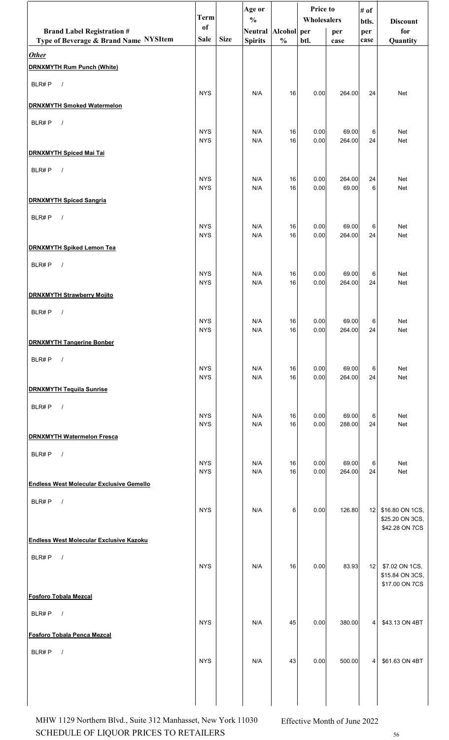|                                                 | <b>Term</b>              |             | Age or<br>$\frac{0}{0}$ |               | Price to<br>Wholesalers |                 | # of         |                                   |
|-------------------------------------------------|--------------------------|-------------|-------------------------|---------------|-------------------------|-----------------|--------------|-----------------------------------|
| <b>Brand Label Registration #</b>               | of                       |             | Neutral Alcohol per     |               |                         | per             | btls.<br>per | <b>Discount</b><br>for            |
| Type of Beverage & Brand Name NYSItem           | Sale                     | <b>Size</b> | <b>Spirits</b>          | $\frac{0}{0}$ | btl.                    | case            | case         | Quantity                          |
| <b>Other</b>                                    |                          |             |                         |               |                         |                 |              |                                   |
| <b>DRNXMYTH Rum Punch (White)</b>               |                          |             |                         |               |                         |                 |              |                                   |
| BLR#P<br>$\sqrt{ }$                             | <b>NYS</b>               |             | N/A                     | 16            | 0.00                    | 264.00          | 24           | Net                               |
| <b>DRNXMYTH Smoked Watermelon</b>               |                          |             |                         |               |                         |                 |              |                                   |
| BLR#P<br>$\sqrt{ }$                             |                          |             |                         |               |                         |                 |              |                                   |
|                                                 | <b>NYS</b><br><b>NYS</b> |             | N/A<br>N/A              | 16<br>16      | 0.00<br>0.00            | 69.00<br>264.00 | 6<br>24      | Net<br>Net                        |
| <b>DRNXMYTH Spiced Mai Tai</b>                  |                          |             |                         |               |                         |                 |              |                                   |
| BLR#P<br>$\sqrt{ }$                             |                          |             |                         |               |                         |                 |              |                                   |
|                                                 | <b>NYS</b><br><b>NYS</b> |             | N/A<br>N/A              | 16<br>16      | 0.00<br>0.00            | 264.00<br>69.00 | 24<br>6      | Net<br>Net                        |
| <b>DRNXMYTH Spiced Sangria</b>                  |                          |             |                         |               |                         |                 |              |                                   |
| BLR#P<br>$\sqrt{ }$                             |                          |             |                         |               |                         |                 |              |                                   |
|                                                 | <b>NYS</b><br><b>NYS</b> |             | N/A<br>N/A              | 16<br>16      | 0.00<br>0.00            | 69.00<br>264.00 | 6<br>24      | Net<br>Net                        |
| <b>DRNXMYTH Spiked Lemon Tea</b>                |                          |             |                         |               |                         |                 |              |                                   |
| BLR#P<br>$\sqrt{ }$                             |                          |             |                         |               |                         |                 |              |                                   |
|                                                 | <b>NYS</b><br><b>NYS</b> |             | N/A<br>N/A              | 16<br>16      | 0.00<br>0.00            | 69.00<br>264.00 | 6<br>24      | Net<br>Net                        |
| <b>DRNXMYTH Strawberry Mojito</b>               |                          |             |                         |               |                         |                 |              |                                   |
| BLR#P<br>$\sqrt{ }$                             |                          |             |                         |               |                         |                 |              |                                   |
|                                                 | <b>NYS</b><br><b>NYS</b> |             | N/A<br>N/A              | 16<br>16      | 0.00<br>0.00            | 69.00<br>264.00 | 6<br>24      | Net                               |
| <b>DRNXMYTH Tangerine Bonber</b>                |                          |             |                         |               |                         |                 |              | Net                               |
| BLR#P<br>$\sqrt{ }$                             |                          |             |                         |               |                         |                 |              |                                   |
|                                                 | <b>NYS</b>               |             | N/A<br>N/A              | 16            | 0.00                    | 69.00           | 6            | Net                               |
| <b>DRNXMYTH Tequila Sunrise</b>                 | <b>NYS</b>               |             |                         | 16            | 0.00                    | 264.00          | 24           | Net                               |
| BLR#P<br>$\frac{1}{2}$                          |                          |             |                         |               |                         |                 |              |                                   |
|                                                 | <b>NYS</b>               |             | N/A                     | 16            | 0.00                    | 69.00           | 6            | Net                               |
| <b>DRNXMYTH Watermelon Fresca</b>               | <b>NYS</b>               |             | N/A                     | 16            | 0.00                    | 288.00          | 24           | Net                               |
| BLR#P<br>$\sqrt{ }$                             |                          |             |                         |               |                         |                 |              |                                   |
|                                                 | <b>NYS</b>               |             | N/A                     | 16            | 0.00                    | 69.00           | 6            | Net                               |
| <b>Endless West Molecular Exclusive Gemello</b> | <b>NYS</b>               |             | N/A                     | 16            | 0.00                    | 264.00          | 24           | Net                               |
| BLR#P<br>$\sqrt{ }$                             |                          |             |                         |               |                         |                 |              |                                   |
|                                                 | <b>NYS</b>               |             | N/A                     | 6             | 0.00                    | 126.80          | 12           | \$16.80 ON 1CS,                   |
|                                                 |                          |             |                         |               |                         |                 |              | \$25.20 ON 3CS,<br>\$42.28 ON 7CS |
| <b>Endless West Molecular Exclusive Kazoku</b>  |                          |             |                         |               |                         |                 |              |                                   |
| BLR#P<br>$\sqrt{ }$                             |                          |             |                         |               |                         |                 |              |                                   |
|                                                 | <b>NYS</b>               |             | N/A                     | 16            | 0.00                    | 83.93           | 12           | \$7.02 ON 1CS,<br>\$15.84 ON 3CS, |
| <b>Fosforo Tobala Mezcal</b>                    |                          |             |                         |               |                         |                 |              | \$17.00 ON 7CS                    |
|                                                 |                          |             |                         |               |                         |                 |              |                                   |
| BLR#P<br>$\sqrt{ }$                             | <b>NYS</b>               |             | N/A                     | 45            | 0.00                    | 380.00          | 4            | \$43.13 ON 4BT                    |
| Fosforo Tobala Penca Mezcal                     |                          |             |                         |               |                         |                 |              |                                   |
| BLR#P<br>$\sqrt{ }$                             |                          |             |                         |               |                         |                 |              |                                   |
|                                                 | <b>NYS</b>               |             | N/A                     | 43            | 0.00                    | 500.00          |              | 4 \$61.63 ON 4BT                  |
|                                                 |                          |             |                         |               |                         |                 |              |                                   |
|                                                 |                          |             |                         |               |                         |                 |              |                                   |

SCHEDULE OF LIQUOR PRICES TO RETAILERS  $_{56}$ MHW 1129 Northern Blvd., Suite 312 Manhasset, New York 11030 Effective Month of June 2022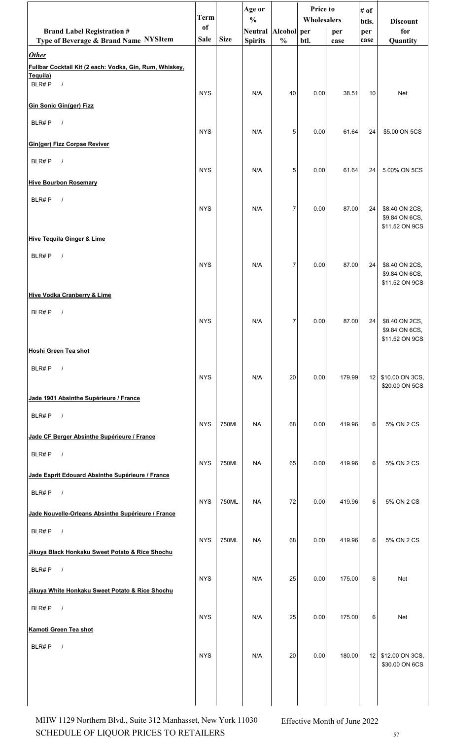|                                                                         | <b>Term</b>   |             | Age or<br>$\frac{0}{0}$ |                | Price to<br>Wholesalers |        | # of<br>btls. | <b>Discount</b>                      |
|-------------------------------------------------------------------------|---------------|-------------|-------------------------|----------------|-------------------------|--------|---------------|--------------------------------------|
| <b>Brand Label Registration #</b>                                       | <sub>of</sub> |             | Neutral Alcohol per     |                |                         | per    | per           | for                                  |
| Type of Beverage & Brand Name NYSItem                                   | <b>Sale</b>   | <b>Size</b> | <b>Spirits</b>          | $\frac{0}{0}$  | btl.                    | case   | case          | Quantity                             |
| <b>Other</b><br>Fullbar Cocktail Kit (2 each: Vodka, Gin, Rum, Whiskey, |               |             |                         |                |                         |        |               |                                      |
| Tequila)<br>BLR#P<br>$\sqrt{ }$                                         |               |             |                         |                |                         |        |               |                                      |
|                                                                         | <b>NYS</b>    |             | N/A                     | 40             | 0.00                    | 38.51  | 10            | Net                                  |
| <b>Gin Sonic Gin(ger) Fizz</b>                                          |               |             |                         |                |                         |        |               |                                      |
| BLR#P<br>$\sqrt{ }$                                                     | <b>NYS</b>    |             | N/A                     | 5              | 0.00                    | 61.64  | 24            | \$5.00 ON 5CS                        |
| <b>Gin(ger) Fizz Corpse Reviver</b>                                     |               |             |                         |                |                         |        |               |                                      |
| BLR#P<br>$\sqrt{ }$                                                     |               |             |                         |                |                         |        |               |                                      |
|                                                                         | <b>NYS</b>    |             | N/A                     | 5              | 0.00                    | 61.64  | 24            | 5.00% ON 5CS                         |
| <b>Hive Bourbon Rosemary</b>                                            |               |             |                         |                |                         |        |               |                                      |
| BLR#P<br>$\sqrt{ }$                                                     | <b>NYS</b>    |             | N/A                     | 7              | 0.00                    | 87.00  | 24            | \$8.40 ON 2CS,                       |
|                                                                         |               |             |                         |                |                         |        |               | \$9.84 ON 6CS,<br>\$11.52 ON 9CS     |
| <b>Hive Tequila Ginger &amp; Lime</b>                                   |               |             |                         |                |                         |        |               |                                      |
| BLR#P<br>$\sqrt{ }$                                                     |               |             |                         |                |                         |        |               |                                      |
|                                                                         | <b>NYS</b>    |             | N/A                     | 7              | 0.00                    | 87.00  | 24            | \$8.40 ON 2CS,<br>\$9.84 ON 6CS,     |
|                                                                         |               |             |                         |                |                         |        |               | \$11.52 ON 9CS                       |
| <b>Hive Vodka Cranberry &amp; Lime</b>                                  |               |             |                         |                |                         |        |               |                                      |
| BLR#P<br>$\sqrt{ }$                                                     | <b>NYS</b>    |             | N/A                     | $\overline{7}$ | 0.00                    | 87.00  | 24            | \$8.40 ON 2CS,                       |
|                                                                         |               |             |                         |                |                         |        |               | \$9.84 ON 6CS,<br>\$11.52 ON 9CS     |
| <b>Hoshi Green Tea shot</b>                                             |               |             |                         |                |                         |        |               |                                      |
| BLR#P<br>$\sqrt{ }$                                                     |               |             |                         |                |                         |        |               |                                      |
|                                                                         | <b>NYS</b>    |             | N/A                     | 20             | 0.00                    | 179.99 | 12            | \$10.00 ON 3CS,<br>\$20.00 ON 5CS    |
| Jade 1901 Absinthe Supérieure / France                                  |               |             |                         |                |                         |        |               |                                      |
| BLR#P<br>$\sqrt{ }$                                                     |               |             |                         |                |                         |        |               |                                      |
| Jade CF Berger Absinthe Supérieure / France                             | <b>NYS</b>    | 750ML       | <b>NA</b>               | 68             | 0.00                    | 419.96 | 6             | 5% ON 2 CS                           |
| BLR#P<br>$\overline{\phantom{a}}$                                       |               |             |                         |                |                         |        |               |                                      |
|                                                                         | <b>NYS</b>    | 750ML       | <b>NA</b>               | 65             | 0.00                    | 419.96 | 6             | 5% ON 2 CS                           |
| Jade Esprit Edouard Absinthe Supérieure / France                        |               |             |                         |                |                         |        |               |                                      |
| $\sqrt{ }$<br>BLR#P                                                     | <b>NYS</b>    | 750ML       | <b>NA</b>               | 72             | 0.00                    | 419.96 | 6             | 5% ON 2 CS                           |
| Jade Nouvelle-Orleans Absinthe Supérieure / France                      |               |             |                         |                |                         |        |               |                                      |
| BLR#P<br>$\sqrt{ }$                                                     |               |             |                         |                |                         |        |               |                                      |
| Jikuya Black Honkaku Sweet Potato & Rice Shochu                         | <b>NYS</b>    | 750ML       | <b>NA</b>               | 68             | 0.00                    | 419.96 | 6             | 5% ON 2 CS                           |
| BLR#P<br>$\sqrt{ }$                                                     |               |             |                         |                |                         |        |               |                                      |
|                                                                         | <b>NYS</b>    |             | N/A                     | 25             | 0.00                    | 175.00 | 6             | Net                                  |
| Jikuya White Honkaku Sweet Potato & Rice Shochu                         |               |             |                         |                |                         |        |               |                                      |
| BLR#P $/$                                                               | <b>NYS</b>    |             | N/A                     | 25             | 0.00                    | 175.00 | 6             | Net                                  |
| Kamoti Green Tea shot                                                   |               |             |                         |                |                         |        |               |                                      |
| BLR#P<br>$\prime$                                                       |               |             |                         |                |                         |        |               |                                      |
|                                                                         | <b>NYS</b>    |             | N/A                     | 20             | 0.00                    | 180.00 |               | 12 \$12.00 ON 3CS,<br>\$30.00 ON 6CS |
|                                                                         |               |             |                         |                |                         |        |               |                                      |
|                                                                         |               |             |                         |                |                         |        |               |                                      |
|                                                                         |               |             |                         |                |                         |        |               |                                      |

SCHEDULE OF LIQUOR PRICES TO RETAILERS  $57$ MHW 1129 Northern Blvd., Suite 312 Manhasset, New York 11030 Effective Month of June 2022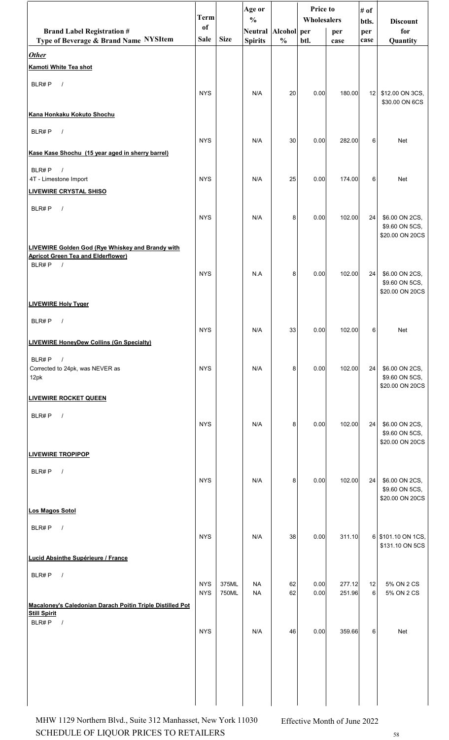|                                                                                                      | <b>Term</b>   |             | Age or<br>$\frac{0}{0}$ |               | <b>Price to</b><br>Wholesalers |        | # of         |                                       |
|------------------------------------------------------------------------------------------------------|---------------|-------------|-------------------------|---------------|--------------------------------|--------|--------------|---------------------------------------|
| <b>Brand Label Registration #</b>                                                                    | <sub>of</sub> |             | Neutral Alcohol per     |               |                                | per    | btls.<br>per | <b>Discount</b><br>for                |
| Type of Beverage & Brand Name NYSItem                                                                | <b>Sale</b>   | <b>Size</b> | <b>Spirits</b>          | $\frac{0}{0}$ | btl.                           | case   | case         | Quantity                              |
| <b>Other</b><br>Kamoti White Tea shot                                                                |               |             |                         |               |                                |        |              |                                       |
| BLR#P<br>$\sqrt{ }$                                                                                  |               |             |                         |               |                                |        |              |                                       |
|                                                                                                      | <b>NYS</b>    |             | N/A                     | 20            | 0.00                           | 180.00 | 12           | \$12.00 ON 3CS,<br>\$30.00 ON 6CS     |
| Kana Honkaku Kokuto Shochu                                                                           |               |             |                         |               |                                |        |              |                                       |
| BLR#P<br>$\sqrt{ }$                                                                                  |               |             |                         |               |                                |        |              |                                       |
| Kase Kase Shochu (15 year aged in sherry barrel)                                                     | <b>NYS</b>    |             | N/A                     | 30            | 0.00                           | 282.00 | 6            | <b>Net</b>                            |
| BLR#P<br>$\sqrt{ }$                                                                                  |               |             |                         |               |                                |        |              |                                       |
| 4T - Limestone Import                                                                                | <b>NYS</b>    |             | N/A                     | 25            | 0.00                           | 174.00 | 6            | <b>Net</b>                            |
| <b>LIVEWIRE CRYSTAL SHISO</b>                                                                        |               |             |                         |               |                                |        |              |                                       |
| BLR#P<br>$\prime$                                                                                    | <b>NYS</b>    |             | N/A                     | 8             | 0.00                           | 102.00 | 24           | \$6.00 ON 2CS,                        |
|                                                                                                      |               |             |                         |               |                                |        |              | \$9.60 ON 5CS,<br>\$20.00 ON 20CS     |
| <b>LIVEWIRE Golden God (Rye Whiskey and Brandy with</b><br><b>Apricot Green Tea and Elderflower)</b> |               |             |                         |               |                                |        |              |                                       |
| BLR#P<br>$\prime$                                                                                    | <b>NYS</b>    |             | N.A                     | 8             | 0.00                           | 102.00 | 24           | \$6.00 ON 2CS,                        |
|                                                                                                      |               |             |                         |               |                                |        |              | \$9.60 ON 5CS,<br>\$20.00 ON 20CS     |
| <b>LIVEWIRE Holy Tyger</b>                                                                           |               |             |                         |               |                                |        |              |                                       |
| BLR#P<br>$\prime$                                                                                    | <b>NYS</b>    |             |                         |               |                                |        |              |                                       |
| <b>LIVEWIRE HoneyDew Collins (Gn Specialty)</b>                                                      |               |             | N/A                     | 33            | 0.00                           | 102.00 | $6 \mid$     | Net                                   |
| BLR#P<br>$\sqrt{ }$                                                                                  |               |             |                         |               |                                |        |              |                                       |
| Corrected to 24pk, was NEVER as<br>12pk                                                              | <b>NYS</b>    |             | N/A                     | 8             | 0.00                           | 102.00 | 24           | \$6.00 ON 2CS,<br>\$9.60 ON 5CS,      |
| <b>LIVEWIRE ROCKET QUEEN</b>                                                                         |               |             |                         |               |                                |        |              | \$20.00 ON 20CS                       |
|                                                                                                      |               |             |                         |               |                                |        |              |                                       |
| BLR#P<br>$\frac{1}{2}$                                                                               | <b>NYS</b>    |             | N/A                     | 8             | 0.00                           | 102.00 | 24           | \$6.00 ON 2CS,                        |
|                                                                                                      |               |             |                         |               |                                |        |              | \$9.60 ON 5CS,<br>\$20.00 ON 20CS     |
| <b>LIVEWIRE TROPIPOP</b>                                                                             |               |             |                         |               |                                |        |              |                                       |
| BLR#P<br>$\sqrt{ }$                                                                                  | <b>NYS</b>    |             | N/A                     | 8             | 0.00                           | 102.00 | 24           | \$6.00 ON 2CS,                        |
|                                                                                                      |               |             |                         |               |                                |        |              | \$9.60 ON 5CS,<br>\$20.00 ON 20CS     |
| Los Magos Sotol                                                                                      |               |             |                         |               |                                |        |              |                                       |
| BLR#P<br>$\sqrt{ }$                                                                                  |               |             |                         |               |                                |        |              |                                       |
|                                                                                                      | <b>NYS</b>    |             | N/A                     | 38            | 0.00                           | 311.10 |              | 6 \$101.10 ON 1CS,<br>\$131.10 ON 5CS |
| Lucid Absinthe Supérieure / France                                                                   |               |             |                         |               |                                |        |              |                                       |
| BLR#P<br>$\sqrt{ }$                                                                                  | <b>NYS</b>    | 375ML       | <b>NA</b>               | 62            | 0.00                           | 277.12 | 12           | 5% ON 2 CS                            |
|                                                                                                      | <b>NYS</b>    | 750ML       | <b>NA</b>               | 62            | 0.00                           | 251.96 | 6            | 5% ON 2 CS                            |
| Macaloney's Caledonian Darach Poitin Triple Distilled Pot<br><b>Still Spirit</b>                     |               |             |                         |               |                                |        |              |                                       |
| BLR#P<br>$\sqrt{ }$                                                                                  | <b>NYS</b>    |             | N/A                     | 46            | 0.00                           | 359.66 | 6            | Net                                   |
|                                                                                                      |               |             |                         |               |                                |        |              |                                       |
|                                                                                                      |               |             |                         |               |                                |        |              |                                       |
|                                                                                                      |               |             |                         |               |                                |        |              |                                       |
|                                                                                                      |               |             |                         |               |                                |        |              |                                       |

SCHEDULE OF LIQUOR PRICES TO RETAILERS 58 MHW 1129 Northern Blvd., Suite 312 Manhasset, New York 11030 Effective Month of June 2022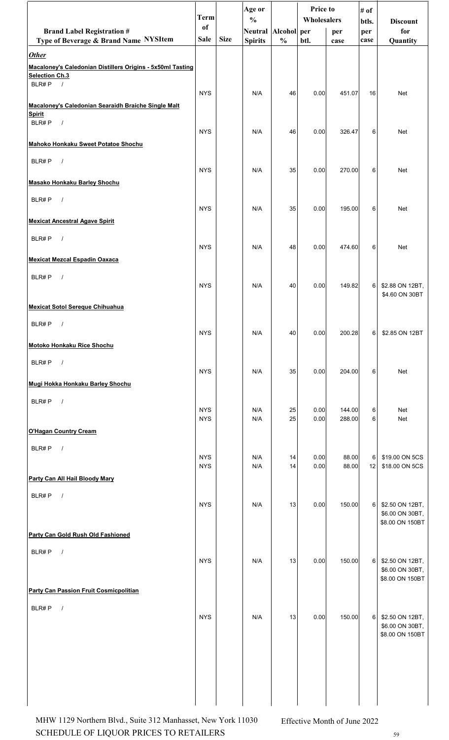|                                                                                                                  | <b>Term</b>              |             | Age or<br>$\frac{0}{0}$ |               | Price to<br>Wholesalers |                  | # of<br>btls. | <b>Discount</b>                                       |
|------------------------------------------------------------------------------------------------------------------|--------------------------|-------------|-------------------------|---------------|-------------------------|------------------|---------------|-------------------------------------------------------|
| <b>Brand Label Registration #</b>                                                                                | <sub>of</sub>            |             | Neutral Alcohol per     |               |                         | per              | per           | for                                                   |
| Type of Beverage & Brand Name NYSItem                                                                            | Sale                     | <b>Size</b> | <b>Spirits</b>          | $\frac{0}{0}$ | btl.                    | case             | case          | Quantity                                              |
| <b>Other</b><br>Macaloney's Caledonian Distillers Origins - 5x50ml Tasting<br><b>Selection Ch.3</b><br>BLR#P $/$ |                          |             |                         |               |                         |                  |               |                                                       |
| Macaloney's Caledonian Searaidh Braiche Single Malt                                                              | <b>NYS</b>               |             | N/A                     | 46            | 0.00                    | 451.07           | 16            | Net                                                   |
| <b>Spirit</b>                                                                                                    |                          |             |                         |               |                         |                  |               |                                                       |
| BLR#P<br>$\sqrt{ }$                                                                                              | <b>NYS</b>               |             | N/A                     | 46            | 0.00                    | 326.47           | 6             | Net                                                   |
| Mahoko Honkaku Sweet Potatoe Shochu                                                                              |                          |             |                         |               |                         |                  |               |                                                       |
| BLR#P<br>$\sqrt{ }$                                                                                              | <b>NYS</b>               |             | N/A                     | 35            | 0.00                    | 270.00           | 6             | Net                                                   |
| <b>Masako Honkaku Barley Shochu</b>                                                                              |                          |             |                         |               |                         |                  |               |                                                       |
| BLR#P<br>$\sqrt{ }$                                                                                              | <b>NYS</b>               |             | N/A                     | 35            | 0.00                    | 195.00           | 6             | <b>Net</b>                                            |
| <b>Mexicat Ancestral Agave Spirit</b>                                                                            |                          |             |                         |               |                         |                  |               |                                                       |
| BLR#P<br>$\sqrt{ }$                                                                                              | <b>NYS</b>               |             | N/A                     | 48            | 0.00                    | 474.60           | 6             | Net                                                   |
| <b>Mexicat Mezcal Espadin Oaxaca</b>                                                                             |                          |             |                         |               |                         |                  |               |                                                       |
| BLR#P<br>$\sqrt{ }$                                                                                              | <b>NYS</b>               |             | N/A                     | 40            | 0.00                    | 149.82           | $6 \mid$      | \$2.88 ON 12BT,<br>\$4.60 ON 30BT                     |
| <b>Mexicat Sotol Sereque Chihuahua</b>                                                                           |                          |             |                         |               |                         |                  |               |                                                       |
| BLR#P<br>$\prime$                                                                                                | <b>NYS</b>               |             | N/A                     | 40            | 0.00                    | 200.28           | 6             | \$2.85 ON 12BT                                        |
| Motoko Honkaku Rice Shochu                                                                                       |                          |             |                         |               |                         |                  |               |                                                       |
| BLR#P<br>$\sqrt{ }$                                                                                              | <b>NYS</b>               |             | N/A                     | 35            | 0.00                    | 204.00           | 6             | Net                                                   |
| Mugi Hokka Honkaku Barley Shochu                                                                                 |                          |             |                         |               |                         |                  |               |                                                       |
| BLR#P<br>$\sqrt{ }$                                                                                              | <b>NYS</b><br><b>NYS</b> |             | N/A<br>N/A              | 25<br>25      | 0.00<br>0.00            | 144.00<br>288.00 | 6<br>6        | Net<br>Net                                            |
| <b>O'Hagan Country Cream</b>                                                                                     |                          |             |                         |               |                         |                  |               |                                                       |
| BLR#P<br>$\sqrt{ }$                                                                                              |                          |             |                         |               |                         |                  |               |                                                       |
|                                                                                                                  | <b>NYS</b><br><b>NYS</b> |             | N/A<br>N/A              | 14<br>14      | 0.00<br>0.00            | 88.00<br>88.00   | 6<br>12       | \$19.00 ON 5CS<br>\$18.00 ON 5CS                      |
| Party Can All Hail Bloody Mary                                                                                   |                          |             |                         |               |                         |                  |               |                                                       |
| BLR#P<br>$\sqrt{ }$                                                                                              | <b>NYS</b>               |             | N/A                     | 13            | 0.00                    | 150.00           | 6             | \$2.50 ON 12BT,<br>\$6.00 ON 30BT,<br>\$8.00 ON 150BT |
| Party Can Gold Rush Old Fashioned                                                                                |                          |             |                         |               |                         |                  |               |                                                       |
| BLR#P<br>$\sqrt{ }$                                                                                              | <b>NYS</b>               |             | N/A                     | 13            | 0.00                    | 150.00           | 6             | \$2.50 ON 12BT,<br>\$6.00 ON 30BT,                    |
| Party Can Passion Fruit Cosmicpolitian                                                                           |                          |             |                         |               |                         |                  |               | \$8.00 ON 150BT                                       |
| BLR#P<br>$\sqrt{ }$                                                                                              |                          |             |                         |               |                         |                  |               |                                                       |
|                                                                                                                  | <b>NYS</b>               |             | N/A                     | 13            | 0.00                    | 150.00           | $6 \mid$      | \$2.50 ON 12BT,<br>\$6.00 ON 30BT,<br>\$8.00 ON 150BT |
|                                                                                                                  |                          |             |                         |               |                         |                  |               |                                                       |
|                                                                                                                  |                          |             |                         |               |                         |                  |               |                                                       |

SCHEDULE OF LIQUOR PRICES TO RETAILERS 59 MHW 1129 Northern Blvd., Suite 312 Manhasset, New York 11030 Effective Month of June 2022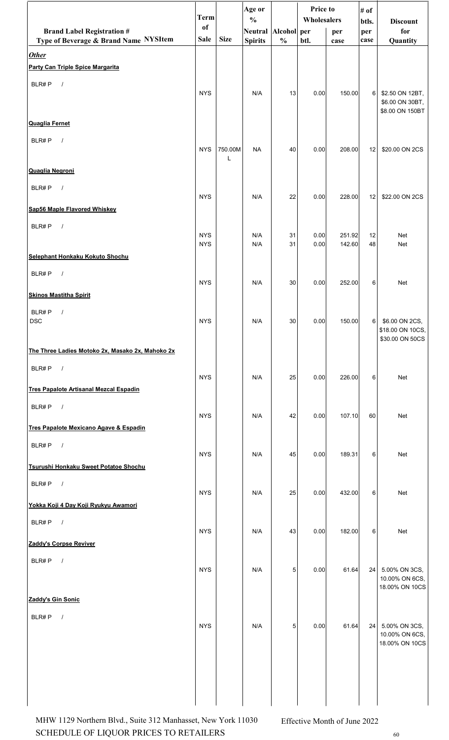|                                                  | <b>Term</b>   |             | Age or<br>$\frac{0}{0}$ |               | Price to<br>Wholesalers |        | # of         |                                     |
|--------------------------------------------------|---------------|-------------|-------------------------|---------------|-------------------------|--------|--------------|-------------------------------------|
| <b>Brand Label Registration #</b>                | <sub>of</sub> |             | Neutral Alcohol per     |               |                         | per    | btls.<br>per | <b>Discount</b><br>for              |
| Type of Beverage & Brand Name NYSItem            | Sale          | <b>Size</b> | <b>Spirits</b>          | $\frac{0}{0}$ | btl.                    | case   | case         | Quantity                            |
| <b>Other</b><br>Party Can Triple Spice Margarita |               |             |                         |               |                         |        |              |                                     |
| BLR#P<br>$\sqrt{ }$                              |               |             |                         |               |                         |        |              |                                     |
|                                                  | <b>NYS</b>    |             | N/A                     | 13            | 0.00                    | 150.00 | 6            | \$2.50 ON 12BT,<br>\$6.00 ON 30BT,  |
|                                                  |               |             |                         |               |                         |        |              | \$8.00 ON 150BT                     |
| <b>Quaglia Fernet</b>                            |               |             |                         |               |                         |        |              |                                     |
| BLR#P<br>$\sqrt{ }$                              | <b>NYS</b>    | 750.00M     | <b>NA</b>               | 40            | 0.00                    | 208.00 | 12           | \$20.00 ON 2CS                      |
| <b>Quaglia Negroni</b>                           |               | L           |                         |               |                         |        |              |                                     |
| BLR#P<br>$\sqrt{ }$                              |               |             |                         |               |                         |        |              |                                     |
|                                                  | <b>NYS</b>    |             | N/A                     | 22            | 0.00                    | 228.00 | 12           | \$22.00 ON 2CS                      |
| Sap56 Maple Flavored Whiskey                     |               |             |                         |               |                         |        |              |                                     |
| BLR#P<br>$\sqrt{ }$                              | <b>NYS</b>    |             | N/A                     | 31            | 0.00                    | 251.92 | 12           | <b>Net</b>                          |
| Selephant Honkaku Kokuto Shochu                  | <b>NYS</b>    |             | N/A                     | 31            | 0.00                    | 142.60 | 48           | Net                                 |
| BLR#P<br>$\sqrt{ }$                              |               |             |                         |               |                         |        |              |                                     |
| <b>Skinos Mastitha Spirit</b>                    | <b>NYS</b>    |             | N/A                     | 30            | 0.00                    | 252.00 | 6            | Net                                 |
| BLR#P<br>$\prime$                                |               |             |                         |               |                         |        |              |                                     |
| <b>DSC</b>                                       | <b>NYS</b>    |             | N/A                     | 30            | 0.00                    | 150.00 | 6            | \$6.00 ON 2CS,                      |
|                                                  |               |             |                         |               |                         |        |              | \$18.00 ON 10CS,<br>\$30.00 ON 50CS |
| The Three Ladies Motoko 2x, Masako 2x, Mahoko 2x |               |             |                         |               |                         |        |              |                                     |
| BLR#P<br>$\sqrt{ }$                              | <b>NYS</b>    |             | N/A                     | 25            | 0.00                    | 226.00 | 6            | Net                                 |
| <b>Tres Papalote Artisanal Mezcal Espadin</b>    |               |             |                         |               |                         |        |              |                                     |
| BLR#P $/$                                        |               |             |                         |               |                         |        |              |                                     |
| Tres Papalote Mexicano Agave & Espadin           | <b>NYS</b>    |             | N/A                     | 42            | 0.00                    | 107.10 | 60           | Net                                 |
| BLR#P<br>$\overline{\phantom{a}}$                |               |             |                         |               |                         |        |              |                                     |
| Tsurushi Honkaku Sweet Potatoe Shochu            | <b>NYS</b>    |             | N/A                     | 45            | 0.00                    | 189.31 | 6            | Net                                 |
| $\overline{\phantom{a}}$<br>BLR#P                |               |             |                         |               |                         |        |              |                                     |
|                                                  | <b>NYS</b>    |             | N/A                     | 25            | 0.00                    | 432.00 | 6            | Net                                 |
| Yokka Koji 4 Day Koji Ryukyu Awamori             |               |             |                         |               |                         |        |              |                                     |
| BLR#P $/$                                        | <b>NYS</b>    |             | N/A                     | 43            | 0.00                    | 182.00 | 6            | Net                                 |
| Zaddy's Corpse Reviver                           |               |             |                         |               |                         |        |              |                                     |
| BLR#P<br>$\sqrt{ }$                              | <b>NYS</b>    |             | N/A                     | 5             | 0.00                    | 61.64  | 24           | 5.00% ON 3CS,                       |
|                                                  |               |             |                         |               |                         |        |              | 10.00% ON 6CS,<br>18.00% ON 10CS    |
| Zaddy's Gin Sonic                                |               |             |                         |               |                         |        |              |                                     |
| BLR#P $/$                                        |               |             |                         |               |                         |        |              |                                     |
|                                                  | <b>NYS</b>    |             | N/A                     | 5             | 0.00                    | 61.64  |              | 24 5.00% ON 3CS,<br>10.00% ON 6CS,  |
|                                                  |               |             |                         |               |                         |        |              | 18.00% ON 10CS                      |
|                                                  |               |             |                         |               |                         |        |              |                                     |
|                                                  |               |             |                         |               |                         |        |              |                                     |
|                                                  |               |             |                         |               |                         |        |              |                                     |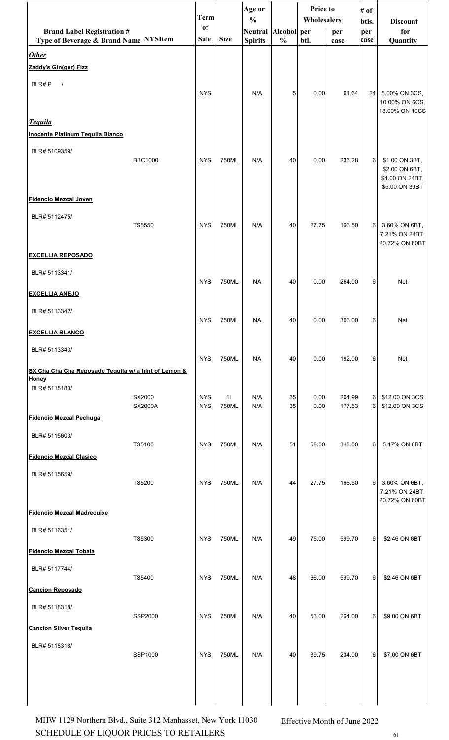|                                                      |                          | <b>Term</b>              |             | Age or<br>$\frac{0}{0}$ |               | Price to<br>Wholesalers |                  | # of         | <b>Discount</b>                                     |
|------------------------------------------------------|--------------------------|--------------------------|-------------|-------------------------|---------------|-------------------------|------------------|--------------|-----------------------------------------------------|
| <b>Brand Label Registration #</b>                    |                          | of                       |             | Neutral Alcohol per     |               |                         | per              | btls.<br>per | for                                                 |
| Type of Beverage & Brand Name NYSItem                |                          | Sale                     | <b>Size</b> | <b>Spirits</b>          | $\frac{0}{0}$ | btl.                    | case             | case         | Quantity                                            |
| <b>Other</b><br>Zaddy's Gin(ger) Fizz                |                          |                          |             |                         |               |                         |                  |              |                                                     |
| BLR#P<br>$\sqrt{ }$                                  |                          |                          |             |                         |               |                         |                  |              |                                                     |
|                                                      |                          | <b>NYS</b>               |             | N/A                     | 5             | 0.00                    | 61.64            | 24           | 5.00% ON 3CS,<br>10.00% ON 6CS,                     |
| <b>Tequila</b>                                       |                          |                          |             |                         |               |                         |                  |              | 18.00% ON 10CS                                      |
| <b>Inocente Platinum Tequila Blanco</b>              |                          |                          |             |                         |               |                         |                  |              |                                                     |
| BLR# 5109359/                                        | <b>BBC1000</b>           | <b>NYS</b>               | 750ML       | N/A                     | 40            | 0.00                    | 233.28           | 6            |                                                     |
|                                                      |                          |                          |             |                         |               |                         |                  |              | \$1.00 ON 3BT,<br>\$2.00 ON 6BT,<br>\$4.00 ON 24BT, |
| <b>Fidencio Mezcal Joven</b>                         |                          |                          |             |                         |               |                         |                  |              | \$5.00 ON 30BT                                      |
| BLR# 5112475/                                        |                          |                          |             |                         |               |                         |                  |              |                                                     |
|                                                      | <b>TS5550</b>            | <b>NYS</b>               | 750ML       | N/A                     | 40            | 27.75                   | 166.50           | 6            | 3.60% ON 6BT,<br>7.21% ON 24BT,<br>20.72% ON 60BT   |
| <b>EXCELLIA REPOSADO</b>                             |                          |                          |             |                         |               |                         |                  |              |                                                     |
| BLR# 5113341/                                        |                          | <b>NYS</b>               | 750ML       | <b>NA</b>               | 40            | 0.00                    | 264.00           | 6            | Net                                                 |
| <b>EXCELLIA ANEJO</b>                                |                          |                          |             |                         |               |                         |                  |              |                                                     |
| BLR# 5113342/                                        |                          | <b>NYS</b>               | 750ML       | <b>NA</b>               | 40            | 0.00                    | 306.00           | 6            | Net                                                 |
| <b>EXCELLIA BLANCO</b>                               |                          |                          |             |                         |               |                         |                  |              |                                                     |
| BLR# 5113343/                                        |                          | <b>NYS</b>               | 750ML       | <b>NA</b>               | 40            | 0.00                    | 192.00           | 6            | Net                                                 |
| SX Cha Cha Cha Reposado Tequila w/ a hint of Lemon & |                          |                          |             |                         |               |                         |                  |              |                                                     |
| Honey<br>BLR# 5115183/                               |                          |                          |             |                         |               |                         |                  |              |                                                     |
|                                                      | SX2000<br><b>SX2000A</b> | <b>NYS</b><br><b>NYS</b> | 1L<br>750ML | N/A<br>N/A              | 35<br>35      | 0.00<br>0.00            | 204.99<br>177.53 | 6<br>6       | \$12.00 ON 3CS<br>\$12.00 ON 3CS                    |
| <b>Fidencio Mezcal Pechuga</b>                       |                          |                          |             |                         |               |                         |                  |              |                                                     |
| BLR# 5115603/                                        | TS5100                   | <b>NYS</b>               | 750ML       | N/A                     | 51            | 58.00                   | 348.00           | 6            | 5.17% ON 6BT                                        |
| <b>Fidencio Mezcal Clasico</b>                       |                          |                          |             |                         |               |                         |                  |              |                                                     |
| BLR# 5115659/                                        |                          |                          |             |                         |               |                         |                  |              |                                                     |
|                                                      | <b>TS5200</b>            | <b>NYS</b>               | 750ML       | N/A                     | 44            | 27.75                   | 166.50           | 6            | 3.60% ON 6BT,<br>7.21% ON 24BT,                     |
| <b>Fidencio Mezcal Madrecuixe</b>                    |                          |                          |             |                         |               |                         |                  |              | 20.72% ON 60BT                                      |
| BLR# 5116351/                                        |                          |                          |             |                         |               |                         |                  |              |                                                     |
| <b>Fidencio Mezcal Tobala</b>                        | <b>TS5300</b>            | <b>NYS</b>               | 750ML       | N/A                     | 49            | 75.00                   | 599.70           | 6            | \$2.46 ON 6BT                                       |
| BLR# 5117744/                                        |                          |                          |             |                         |               |                         |                  |              |                                                     |
|                                                      | TS5400                   | <b>NYS</b>               | 750ML       | N/A                     | 48            | 66.00                   | 599.70           | 6            | \$2.46 ON 6BT                                       |
| <b>Cancion Reposado</b>                              |                          |                          |             |                         |               |                         |                  |              |                                                     |
| BLR# 5118318/                                        | SSP2000                  | <b>NYS</b>               | 750ML       | N/A                     | 40            | 53.00                   | 264.00           | 6            | \$9.00 ON 6BT                                       |
| <b>Cancion Silver Tequila</b>                        |                          |                          |             |                         |               |                         |                  |              |                                                     |
| BLR# 5118318/                                        | SSP1000                  | <b>NYS</b>               | 750ML       | N/A                     | 40            | 39.75                   | 204.00           | 6            | \$7.00 ON 6BT                                       |
|                                                      |                          |                          |             |                         |               |                         |                  |              |                                                     |
|                                                      |                          |                          |             |                         |               |                         |                  |              |                                                     |
|                                                      |                          |                          |             |                         |               |                         |                  |              |                                                     |

SCHEDULE OF LIQUOR PRICES TO RETAILERS  $61$ MHW 1129 Northern Blvd., Suite 312 Manhasset, New York 11030 Effective Month of June 2022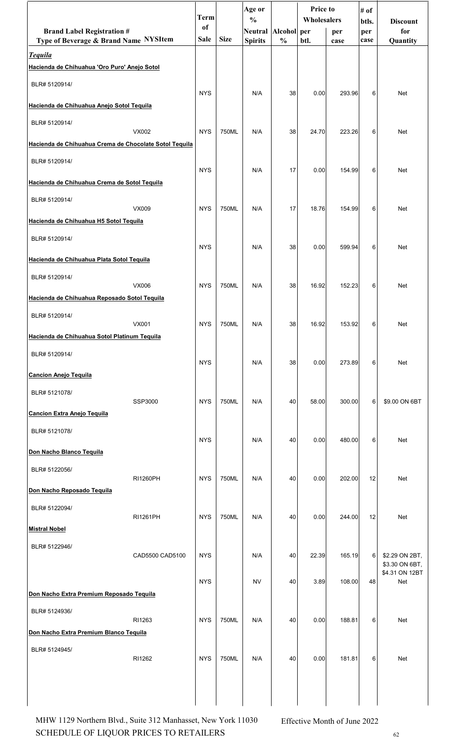|                                                                |                 | <b>Term</b> |             | Age or<br>$\frac{0}{0}$ |               | <b>Price to</b><br>Wholesalers |        | # of         |                                  |
|----------------------------------------------------------------|-----------------|-------------|-------------|-------------------------|---------------|--------------------------------|--------|--------------|----------------------------------|
| <b>Brand Label Registration #</b>                              |                 | of          |             | <b>Neutral</b>          | Alcohol per   |                                | per    | btls.<br>per | <b>Discount</b><br>for           |
| Type of Beverage & Brand Name NYSItem                          |                 | Sale        | <b>Size</b> | <b>Spirits</b>          | $\frac{0}{0}$ | btl.                           | case   | case         | Quantity                         |
| <b>Tequila</b><br>Hacienda de Chihuahua 'Oro Puro' Anejo Sotol |                 |             |             |                         |               |                                |        |              |                                  |
| BLR# 5120914/                                                  |                 | <b>NYS</b>  |             | N/A                     | 38            | 0.00                           | 293.96 | 6            | <b>Net</b>                       |
| Hacienda de Chihuahua Anejo Sotol Tequila                      |                 |             |             |                         |               |                                |        |              |                                  |
| BLR# 5120914/                                                  | VX002           | <b>NYS</b>  | 750ML       | N/A                     | 38            | 24.70                          | 223.26 | 6            | Net                              |
| Hacienda de Chihuahua Crema de Chocolate Sotol Tequila         |                 |             |             |                         |               |                                |        |              |                                  |
| BLR# 5120914/                                                  |                 | <b>NYS</b>  |             | N/A                     | 17            | 0.00                           | 154.99 | 6            | <b>Net</b>                       |
| Hacienda de Chihuahua Crema de Sotol Tequila                   |                 |             |             |                         |               |                                |        |              |                                  |
| BLR# 5120914/                                                  | VX009           | <b>NYS</b>  | 750ML       | N/A                     | 17            | 18.76                          | 154.99 | 6            | Net                              |
| Hacienda de Chihuahua H5 Sotol Tequila                         |                 |             |             |                         |               |                                |        |              |                                  |
| BLR# 5120914/                                                  |                 | <b>NYS</b>  |             | N/A                     | 38            | 0.00                           | 599.94 | 6            | <b>Net</b>                       |
| Hacienda de Chihuahua Plata Sotol Tequila                      |                 |             |             |                         |               |                                |        |              |                                  |
| BLR# 5120914/                                                  | VX006           | <b>NYS</b>  | 750ML       | N/A                     | 38            | 16.92                          | 152.23 | 6            | <b>Net</b>                       |
| Hacienda de Chihuahua Reposado Sotol Tequila                   |                 |             |             |                         |               |                                |        |              |                                  |
| BLR# 5120914/                                                  | VX001           | <b>NYS</b>  | 750ML       | N/A                     | 38            | 16.92                          | 153.92 | 6            | Net                              |
| Hacienda de Chihuahua Sotol Platinum Tequila                   |                 |             |             |                         |               |                                |        |              |                                  |
| BLR# 5120914/                                                  |                 | <b>NYS</b>  |             | N/A                     | 38            | 0.00                           | 273.89 | 6            | Net                              |
| <b>Cancion Anejo Tequila</b>                                   |                 |             |             |                         |               |                                |        |              |                                  |
| BLR# 5121078/                                                  | SSP3000         | <b>NYS</b>  | 750ML       | N/A                     | 40            | 58.00                          | 300.00 | 6            | \$9.00 ON 6BT                    |
| <b>Cancion Extra Anejo Tequila</b>                             |                 |             |             |                         |               |                                |        |              |                                  |
| BLR# 5121078/                                                  |                 | <b>NYS</b>  |             | N/A                     | 40            | 0.00                           | 480.00 | 6            | Net                              |
| Don Nacho Blanco Tequila                                       |                 |             |             |                         |               |                                |        |              |                                  |
| BLR# 5122056/                                                  | <b>RI1260PH</b> | <b>NYS</b>  | 750ML       | N/A                     | 40            | 0.00                           | 202.00 | 12           | Net                              |
| Don Nacho Reposado Tequila                                     |                 |             |             |                         |               |                                |        |              |                                  |
| BLR# 5122094/                                                  | <b>RI1261PH</b> | <b>NYS</b>  | 750ML       | N/A                     | 40            | 0.00                           | 244.00 | 12           | Net                              |
| <b>Mistral Nobel</b>                                           |                 |             |             |                         |               |                                |        |              |                                  |
| BLR# 5122946/                                                  | CAD5500 CAD5100 | <b>NYS</b>  |             | N/A                     | 40            | 22.39                          | 165.19 | 6            | \$2.29 ON 2BT,                   |
|                                                                |                 |             |             |                         |               |                                |        |              | \$3.30 ON 6BT,<br>\$4.31 ON 12BT |
| Don Nacho Extra Premium Reposado Tequila                       |                 | <b>NYS</b>  |             | <b>NV</b>               | 40            | 3.89                           | 108.00 | 48           | Net                              |
| BLR# 5124936/                                                  |                 |             |             |                         |               |                                |        |              |                                  |
| Don Nacho Extra Premium Blanco Tequila                         | RI1263          | <b>NYS</b>  | 750ML       | N/A                     | 40            | 0.00                           | 188.81 | 6            | Net                              |
|                                                                |                 |             |             |                         |               |                                |        |              |                                  |
| BLR# 5124945/                                                  | RI1262          | <b>NYS</b>  | 750ML       | N/A                     | 40            | 0.00                           | 181.81 | 6            | Net                              |
|                                                                |                 |             |             |                         |               |                                |        |              |                                  |
|                                                                |                 |             |             |                         |               |                                |        |              |                                  |

SCHEDULE OF LIQUOR PRICES TO RETAILERS 62 MHW 1129 Northern Blvd., Suite 312 Manhasset, New York 11030 Effective Month of June 2022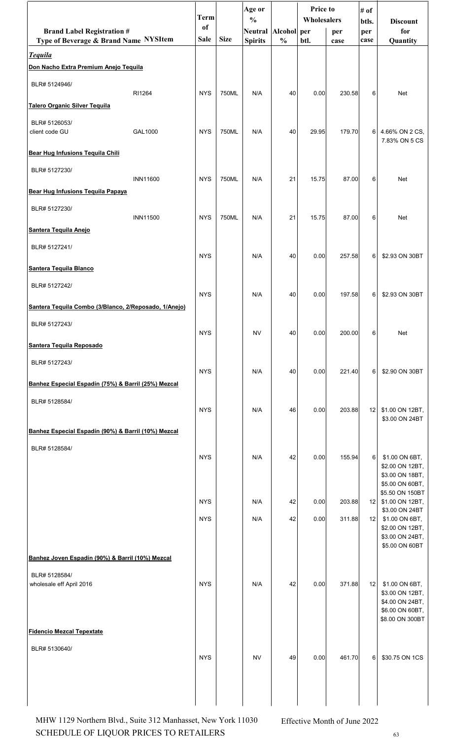|                                                                            |                 | <b>Term</b>       |             | Age or<br>$\frac{0}{0}$               |               | <b>Price to</b><br>Wholesalers |             | # of<br>btls.   | <b>Discount</b>                                      |
|----------------------------------------------------------------------------|-----------------|-------------------|-------------|---------------------------------------|---------------|--------------------------------|-------------|-----------------|------------------------------------------------------|
| <b>Brand Label Registration #</b><br>Type of Beverage & Brand Name NYSItem |                 | of<br><b>Sale</b> | <b>Size</b> | Neutral Alcohol per<br><b>Spirits</b> | $\frac{0}{0}$ | btl.                           | per<br>case | per<br>case     | for<br>Quantity                                      |
| <b>Tequila</b>                                                             |                 |                   |             |                                       |               |                                |             |                 |                                                      |
| Don Nacho Extra Premium Anejo Tequila                                      |                 |                   |             |                                       |               |                                |             |                 |                                                      |
| BLR# 5124946/                                                              | RI1264          | <b>NYS</b>        | 750ML       | N/A                                   | 40            | 0.00                           | 230.58      | 6               | Net                                                  |
| <b>Talero Organic Silver Tequila</b>                                       |                 |                   |             |                                       |               |                                |             |                 |                                                      |
| BLR# 5126053/<br>client code GU                                            | GAL1000         | <b>NYS</b>        | 750ML       | N/A                                   | 40            | 29.95                          | 179.70      |                 | 6 4.66% ON 2 CS,<br>7.83% ON 5 CS                    |
| Bear Hug Infusions Tequila Chili                                           |                 |                   |             |                                       |               |                                |             |                 |                                                      |
| BLR# 5127230/                                                              |                 |                   |             |                                       |               |                                |             |                 |                                                      |
| Bear Hug Infusions Tequila Papaya                                          | <b>INN11600</b> | <b>NYS</b>        | 750ML       | N/A                                   | 21            | 15.75                          | 87.00       | 6               | Net                                                  |
| BLR# 5127230/                                                              |                 |                   |             |                                       |               |                                |             |                 |                                                      |
| Santera Tequila Anejo                                                      | <b>INN11500</b> | <b>NYS</b>        | 750ML       | N/A                                   | 21            | 15.75                          | 87.00       | 6               | Net                                                  |
| BLR# 5127241/                                                              |                 |                   |             |                                       |               |                                |             |                 |                                                      |
|                                                                            |                 | <b>NYS</b>        |             | N/A                                   | 40            | 0.00                           | 257.58      | 6               | \$2.93 ON 30BT                                       |
| Santera Tequila Blanco                                                     |                 |                   |             |                                       |               |                                |             |                 |                                                      |
| BLR# 5127242/                                                              |                 | <b>NYS</b>        |             | N/A                                   | 40            | 0.00                           | 197.58      | $6 \mid$        | \$2.93 ON 30BT                                       |
| Santera Tequila Combo (3/Blanco, 2/Reposado, 1/Anejo)                      |                 |                   |             |                                       |               |                                |             |                 |                                                      |
| BLR# 5127243/                                                              |                 | <b>NYS</b>        |             | <b>NV</b>                             | 40            | 0.00                           | 200.00      | 6               | Net                                                  |
| Santera Tequila Reposado                                                   |                 |                   |             |                                       |               |                                |             |                 |                                                      |
| BLR# 5127243/                                                              |                 |                   |             |                                       |               |                                |             |                 |                                                      |
| Banhez Especial Espadín (75%) & Barril (25%) Mezcal                        |                 | <b>NYS</b>        |             | N/A                                   | 40            | 0.00                           | 221.40      | 6               | \$2.90 ON 30BT                                       |
| BLR# 5128584/                                                              |                 |                   |             |                                       |               |                                |             |                 |                                                      |
|                                                                            |                 | <b>NYS</b>        |             | N/A                                   | 46            | 0.00                           | 203.88      | 12              | \$1.00 ON 12BT,<br>\$3.00 ON 24BT                    |
| Banhez Especial Espadín (90%) & Barril (10%) Mezcal                        |                 |                   |             |                                       |               |                                |             |                 |                                                      |
| BLR# 5128584/                                                              |                 | <b>NYS</b>        |             | N/A                                   | 42            | 0.00                           | 155.94      | $6 \mid$        | \$1.00 ON 6BT,                                       |
|                                                                            |                 |                   |             |                                       |               |                                |             |                 | \$2.00 ON 12BT,<br>\$3.00 ON 18BT,                   |
|                                                                            |                 |                   |             |                                       |               |                                |             |                 | \$5.00 ON 60BT,<br>\$5.50 ON 150BT                   |
|                                                                            |                 | <b>NYS</b>        |             | N/A                                   | 42            | 0.00                           | 203.88      | 12 <sub>1</sub> | \$1.00 ON 12BT,<br>\$3.00 ON 24BT                    |
|                                                                            |                 | <b>NYS</b>        |             | N/A                                   | 42            | 0.00                           | 311.88      | 12              | \$1.00 ON 6BT,<br>\$2.00 ON 12BT,                    |
|                                                                            |                 |                   |             |                                       |               |                                |             |                 | \$3.00 ON 24BT,<br>\$5.00 ON 60BT                    |
| Banhez Joven Espadín (90%) & Barril (10%) Mezcal                           |                 |                   |             |                                       |               |                                |             |                 |                                                      |
| BLR# 5128584/                                                              |                 |                   |             |                                       |               |                                |             |                 |                                                      |
| wholesale eff April 2016                                                   |                 | <b>NYS</b>        |             | N/A                                   | 42            | 0.00                           | 371.88      | 12              | \$1.00 ON 6BT,<br>\$3.00 ON 12BT,<br>\$4.00 ON 24BT, |
|                                                                            |                 |                   |             |                                       |               |                                |             |                 | \$6.00 ON 60BT,<br>\$8.00 ON 300BT                   |
| <b>Fidencio Mezcal Tepextate</b>                                           |                 |                   |             |                                       |               |                                |             |                 |                                                      |
| BLR# 5130640/                                                              |                 | <b>NYS</b>        |             | NV                                    | 49            | 0.00                           | 461.70      |                 | 6 \$30.75 ON 1CS                                     |
|                                                                            |                 |                   |             |                                       |               |                                |             |                 | NYS NV 49 0.00 461.70 6 \$30.75 ON 1CS               |
|                                                                            |                 |                   |             |                                       |               |                                |             |                 |                                                      |
|                                                                            |                 |                   |             |                                       |               |                                |             |                 |                                                      |

SCHEDULE OF LIQUOR PRICES TO RETAILERS  $63$ MHW 1129 Northern Blvd., Suite 312 Manhasset, New York 11030 Effective Month of June 2022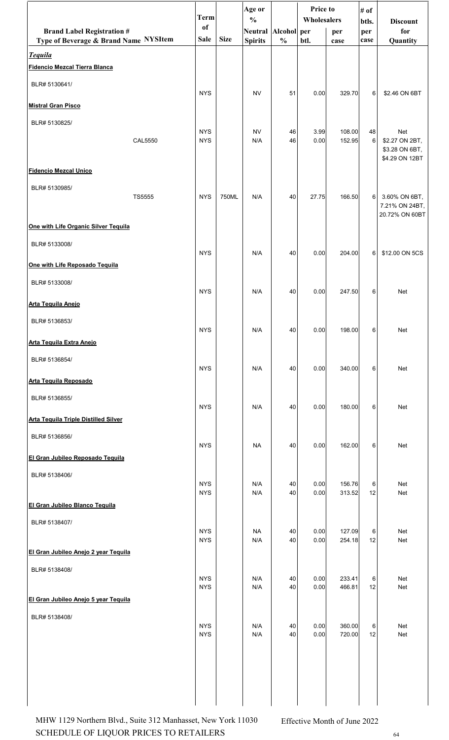|                                                         | <b>Term</b>              |             | Age or<br>$\frac{0}{0}$ |               | Price to<br>Wholesalers |                  | # of<br>btls.    | <b>Discount</b>                  |
|---------------------------------------------------------|--------------------------|-------------|-------------------------|---------------|-------------------------|------------------|------------------|----------------------------------|
| <b>Brand Label Registration #</b>                       | <sub>of</sub><br>Sale    | <b>Size</b> | Neutral Alcohol per     | $\frac{0}{0}$ | btl.                    | per              | per              | for                              |
| Type of Beverage & Brand Name NYSItem<br><b>Tequila</b> |                          |             | <b>Spirits</b>          |               |                         | case             | case             | Quantity                         |
| <b>Fidencio Mezcal Tierra Blanca</b>                    |                          |             |                         |               |                         |                  |                  |                                  |
| BLR# 5130641/                                           |                          |             |                         |               |                         |                  |                  |                                  |
| <b>Mistral Gran Pisco</b>                               | <b>NYS</b>               |             | <b>NV</b>               | 51            | 0.00                    | 329.70           | 6                | \$2.46 ON 6BT                    |
| BLR# 5130825/                                           |                          |             |                         |               |                         |                  |                  |                                  |
| <b>CAL5550</b>                                          | <b>NYS</b><br><b>NYS</b> |             | <b>NV</b><br>N/A        | 46<br>46      | 3.99<br>0.00            | 108.00<br>152.95 | 48<br>$\sqrt{6}$ | Net<br>\$2.27 ON 2BT,            |
|                                                         |                          |             |                         |               |                         |                  |                  | \$3.28 ON 6BT,<br>\$4.29 ON 12BT |
| <b>Fidencio Mezcal Unico</b>                            |                          |             |                         |               |                         |                  |                  |                                  |
| BLR# 5130985/                                           |                          |             |                         |               |                         |                  |                  |                                  |
| TS5555                                                  | <b>NYS</b>               | 750ML       | N/A                     | 40            | 27.75                   | 166.50           | 6                | 3.60% ON 6BT,<br>7.21% ON 24BT,  |
|                                                         |                          |             |                         |               |                         |                  |                  | 20.72% ON 60BT                   |
| One with Life Organic Silver Tequila                    |                          |             |                         |               |                         |                  |                  |                                  |
| BLR# 5133008/                                           | <b>NYS</b>               |             | N/A                     | 40            | 0.00                    | 204.00           | 6                | \$12.00 ON 5CS                   |
| One with Life Reposado Tequila                          |                          |             |                         |               |                         |                  |                  |                                  |
| BLR# 5133008/                                           | <b>NYS</b>               |             | N/A                     | 40            | 0.00                    | 247.50           | 6                | <b>Net</b>                       |
| <b>Arta Tequila Anejo</b>                               |                          |             |                         |               |                         |                  |                  |                                  |
| BLR# 5136853/                                           |                          |             |                         |               |                         |                  |                  |                                  |
| <b>Arta Tequila Extra Anejo</b>                         | <b>NYS</b>               |             | N/A                     | 40            | 0.00                    | 198.00           | $6 \mid$         | Net                              |
| BLR# 5136854/                                           |                          |             |                         |               |                         |                  |                  |                                  |
|                                                         | <b>NYS</b>               |             | N/A                     | 40            | 0.00                    | 340.00           | 6                | Net                              |
| <b>Arta Tequila Reposado</b>                            |                          |             |                         |               |                         |                  |                  |                                  |
| BLR# 5136855/                                           | <b>NYS</b>               |             | N/A                     | 40            | 0.00                    | 180.00           | 6                | Net                              |
| <b>Arta Tequila Triple Distilled Silver</b>             |                          |             |                         |               |                         |                  |                  |                                  |
| BLR# 5136856/                                           | <b>NYS</b>               |             | <b>NA</b>               | 40            | 0.00                    | 162.00           | 6                | Net                              |
| El Gran Jubileo Reposado Tequila                        |                          |             |                         |               |                         |                  |                  |                                  |
| BLR# 5138406/                                           |                          |             |                         |               |                         |                  |                  |                                  |
|                                                         | <b>NYS</b><br><b>NYS</b> |             | N/A<br>N/A              | 40<br>40      | 0.00<br>0.00            | 156.76<br>313.52 | 6<br>12          | <b>Net</b><br>Net                |
| El Gran Jubileo Blanco Tequila                          |                          |             |                         |               |                         |                  |                  |                                  |
| BLR# 5138407/                                           |                          |             |                         |               |                         |                  |                  |                                  |
|                                                         | <b>NYS</b><br><b>NYS</b> |             | NA.<br>N/A              | 40<br>40      | 0.00<br>0.00            | 127.09<br>254.18 | 6<br>12          | Net<br>Net                       |
| El Gran Jubileo Anejo 2 year Tequila                    |                          |             |                         |               |                         |                  |                  |                                  |
| BLR# 5138408/                                           | <b>NYS</b>               |             | N/A                     | 40            | 0.00                    | 233.41           | 6                | Net                              |
|                                                         | <b>NYS</b>               |             | N/A                     | 40            | 0.00                    | 466.81           | 12               | Net                              |
| El Gran Jubileo Anejo 5 year Tequila                    |                          |             |                         |               |                         |                  |                  |                                  |
| BLR# 5138408/                                           | <b>NYS</b>               |             | N/A                     | 40            | 0.00                    | 360.00           | 6                | Net                              |
|                                                         | <b>NYS</b>               |             | N/A                     | 40            | 0.00                    | 720.00           | 12               | Net                              |
|                                                         |                          |             |                         |               |                         |                  |                  |                                  |
|                                                         |                          |             |                         |               |                         |                  |                  |                                  |
|                                                         |                          |             |                         |               |                         |                  |                  |                                  |
|                                                         |                          |             |                         |               |                         |                  |                  |                                  |

SCHEDULE OF LIQUOR PRICES TO RETAILERS  $^{64}$ MHW 1129 Northern Blvd., Suite 312 Manhasset, New York 11030 Effective Month of June 2022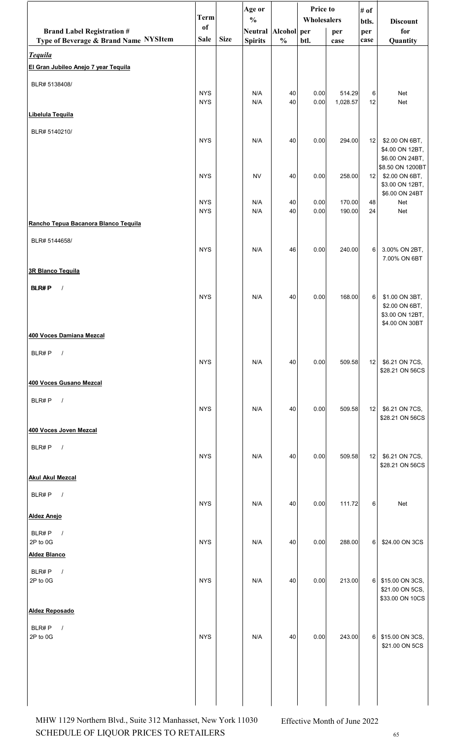|                                                        | <b>Term</b>              |             | Age or<br>$\frac{0}{0}$ |               | Price to<br>Wholesalers |                    | # of            |                                                                         |  |
|--------------------------------------------------------|--------------------------|-------------|-------------------------|---------------|-------------------------|--------------------|-----------------|-------------------------------------------------------------------------|--|
| <b>Brand Label Registration #</b>                      | of                       |             | Neutral Alcohol per     |               |                         | per                | btls.<br>per    | <b>Discount</b><br>for                                                  |  |
| Type of Beverage & Brand Name NYSItem                  | <b>Sale</b>              | <b>Size</b> | <b>Spirits</b>          | $\frac{0}{0}$ | btl.                    | case               | case            | Quantity                                                                |  |
| <b>Tequila</b><br>El Gran Jubileo Anejo 7 year Tequila |                          |             |                         |               |                         |                    |                 |                                                                         |  |
| BLR# 5138408/                                          |                          |             |                         |               |                         |                    |                 |                                                                         |  |
|                                                        | <b>NYS</b><br><b>NYS</b> |             | N/A<br>N/A              | 40<br>40      | 0.00<br>0.00            | 514.29<br>1,028.57 | 6<br>12         | Net<br>Net                                                              |  |
| Libelula Tequila                                       |                          |             |                         |               |                         |                    |                 |                                                                         |  |
| BLR# 5140210/                                          |                          |             |                         |               |                         |                    |                 |                                                                         |  |
|                                                        | <b>NYS</b>               |             | N/A                     | 40            | 0.00                    | 294.00             | 12              | \$2.00 ON 6BT,<br>\$4.00 ON 12BT,<br>\$6.00 ON 24BT,                    |  |
|                                                        | <b>NYS</b>               |             | <b>NV</b>               | 40            | 0.00                    | 258.00             | 12              | \$8.50 ON 1200BT<br>\$2.00 ON 6BT,<br>\$3.00 ON 12BT,<br>\$6.00 ON 24BT |  |
| Rancho Tepua Bacanora Blanco Tequila                   | <b>NYS</b><br><b>NYS</b> |             | N/A<br>N/A              | 40<br>40      | 0.00<br>0.00            | 170.00<br>190.00   | 48<br>24        | Net<br>Net                                                              |  |
|                                                        |                          |             |                         |               |                         |                    |                 |                                                                         |  |
| BLR# 5144658/                                          | <b>NYS</b>               |             | N/A                     | 46            | 0.00                    | 240.00             | 6               | 3.00% ON 2BT,<br>7.00% ON 6BT                                           |  |
| 3R Blanco Tequila                                      |                          |             |                         |               |                         |                    |                 |                                                                         |  |
| <b>BLR#P</b><br>$\sqrt{ }$                             | <b>NYS</b>               |             | N/A                     | 40            | 0.00                    | 168.00             | 6               | \$1.00 ON 3BT,<br>\$2.00 ON 6BT,<br>\$3.00 ON 12BT,                     |  |
| 400 Voces Damiana Mezcal                               |                          |             |                         |               |                         |                    |                 | \$4.00 ON 30BT                                                          |  |
| BLR#P<br>$\sqrt{ }$                                    |                          |             |                         |               |                         |                    |                 |                                                                         |  |
|                                                        | <b>NYS</b>               |             | N/A                     | 40            | 0.00                    | 509.58             | 12              | \$6.21 ON 7CS,<br>\$28.21 ON 56CS                                       |  |
| 400 Voces Gusano Mezcal                                |                          |             |                         |               |                         |                    |                 |                                                                         |  |
| BLR#P<br>$\sqrt{ }$                                    | <b>NYS</b>               |             | N/A                     | 40            | 0.00                    | 509.58             | 12              | \$6.21 ON 7CS,<br>\$28.21 ON 56CS                                       |  |
| 400 Voces Joven Mezcal                                 |                          |             |                         |               |                         |                    |                 |                                                                         |  |
| BLR#P<br>$\sqrt{ }$                                    |                          |             |                         |               |                         |                    |                 |                                                                         |  |
|                                                        | <b>NYS</b>               |             | N/A                     | 40            | 0.00                    | 509.58             | 12 <sub>1</sub> | \$6.21 ON 7CS,<br>\$28.21 ON 56CS                                       |  |
| <b>Akul Akul Mezcal</b>                                |                          |             |                         |               |                         |                    |                 |                                                                         |  |
| BLR#P<br>$\overline{\phantom{a}}$                      | <b>NYS</b>               |             | N/A                     | 40            | 0.00                    | 111.72             | 6               | <b>Net</b>                                                              |  |
| <b>Aldez Anejo</b>                                     |                          |             |                         |               |                         |                    |                 |                                                                         |  |
| BLR#P<br>$\sqrt{ }$<br>2P to 0G                        | <b>NYS</b>               |             | N/A                     | 40            | 0.00                    | 288.00             | 6               | \$24.00 ON 3CS                                                          |  |
| <b>Aldez Blanco</b>                                    |                          |             |                         |               |                         |                    |                 |                                                                         |  |
| BLR#P<br>$\sqrt{ }$<br>2P to 0G                        | <b>NYS</b>               |             | N/A                     | 40            | 0.00                    | 213.00             | $6 \mid$        | \$15.00 ON 3CS,<br>\$21.00 ON 5CS,                                      |  |
|                                                        |                          |             |                         |               |                         |                    |                 | \$33.00 ON 10CS                                                         |  |
| <b>Aldez Reposado</b>                                  |                          |             |                         |               |                         |                    |                 |                                                                         |  |
| BLR#P<br>$\sqrt{ }$<br>2P to 0G                        | <b>NYS</b>               |             | N/A                     | 40            | 0.00                    | 243.00             | 6               | \$15.00 ON 3CS,<br>\$21.00 ON 5CS                                       |  |
|                                                        |                          |             |                         |               |                         |                    |                 |                                                                         |  |
|                                                        |                          |             |                         |               |                         |                    |                 |                                                                         |  |

SCHEDULE OF LIQUOR PRICES TO RETAILERS  $65$ MHW 1129 Northern Blvd., Suite 312 Manhasset, New York 11030 Effective Month of June 2022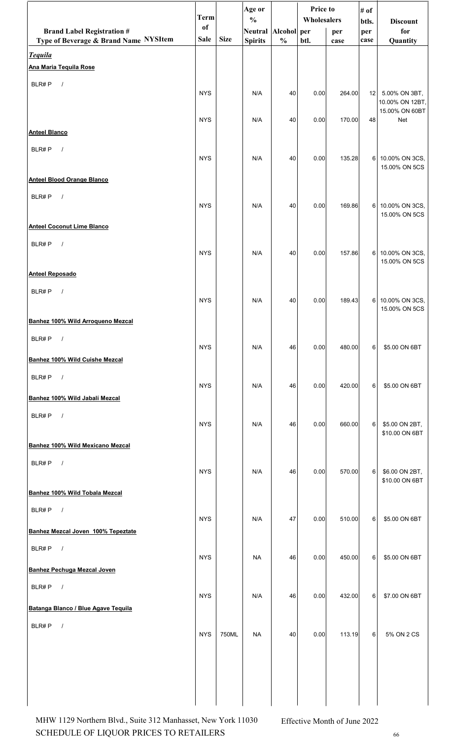|                                          | <b>Term</b> |             | Age or<br>$\frac{0}{0}$ |               | Price to<br>Wholesalers |        | # of         |                                   |
|------------------------------------------|-------------|-------------|-------------------------|---------------|-------------------------|--------|--------------|-----------------------------------|
| <b>Brand Label Registration #</b>        | of          |             | Neutral Alcohol per     |               |                         | per    | btls.<br>per | <b>Discount</b><br>for            |
| Type of Beverage & Brand Name NYSItem    | Sale        | <b>Size</b> | <b>Spirits</b>          | $\frac{0}{0}$ | btl.                    | case   | case         | Quantity                          |
| <b>Tequila</b><br>Ana Maria Tequila Rose |             |             |                         |               |                         |        |              |                                   |
| BLR#P<br>$\sqrt{ }$                      |             |             |                         |               |                         |        |              |                                   |
|                                          | <b>NYS</b>  |             | N/A                     | 40            | 0.00                    | 264.00 | 12           | 5.00% ON 3BT,<br>10.00% ON 12BT,  |
|                                          | <b>NYS</b>  |             | N/A                     | 40            | 0.00                    | 170.00 | 48           | 15.00% ON 60BT<br>Net             |
| <b>Anteel Blanco</b>                     |             |             |                         |               |                         |        |              |                                   |
| BLR#P<br>$\sqrt{ }$                      |             |             |                         |               |                         |        |              |                                   |
|                                          | <b>NYS</b>  |             | N/A                     | 40            | 0.00                    | 135.28 |              | 6 10.00% ON 3CS,<br>15.00% ON 5CS |
| <b>Anteel Blood Orange Blanco</b>        |             |             |                         |               |                         |        |              |                                   |
| BLR#P<br>$\sqrt{ }$                      | <b>NYS</b>  |             | N/A                     | 40            | 0.00                    | 169.86 |              | 6 10.00% ON 3CS,                  |
|                                          |             |             |                         |               |                         |        |              | 15.00% ON 5CS                     |
| <b>Anteel Coconut Lime Blanco</b>        |             |             |                         |               |                         |        |              |                                   |
| BLR#P<br>$\sqrt{ }$                      | <b>NYS</b>  |             | N/A                     | 40            | 0.00                    | 157.86 |              | 6 10.00% ON 3CS,                  |
| <b>Anteel Reposado</b>                   |             |             |                         |               |                         |        |              | 15.00% ON 5CS                     |
| BLR#P<br>$\sqrt{ }$                      |             |             |                         |               |                         |        |              |                                   |
|                                          | <b>NYS</b>  |             | N/A                     | 40            | 0.00                    | 189.43 |              | 6 10.00% ON 3CS,<br>15.00% ON 5CS |
| Banhez 100% Wild Arroqueno Mezcal        |             |             |                         |               |                         |        |              |                                   |
| BLR#P<br>$\sqrt{ }$                      |             |             |                         |               |                         |        |              |                                   |
| Banhez 100% Wild Cuishe Mezcal           | <b>NYS</b>  |             | N/A                     | 46            | 0.00                    | 480.00 | 6            | \$5.00 ON 6BT                     |
| BLR#P<br>$\sqrt{ }$                      |             |             |                         |               |                         |        |              |                                   |
| Banhez 100% Wild Jabalí Mezcal           | <b>NYS</b>  |             | N/A                     | 46            | 0.00                    | 420.00 | 6            | \$5.00 ON 6BT                     |
| BLR#P<br>$\frac{1}{2}$                   |             |             |                         |               |                         |        |              |                                   |
|                                          | <b>NYS</b>  |             | N/A                     | 46            | 0.00                    | 660.00 | 6            | \$5.00 ON 2BT,<br>\$10.00 ON 6BT  |
| Banhez 100% Wild Mexicano Mezcal         |             |             |                         |               |                         |        |              |                                   |
| BLR#P<br>$\sqrt{ }$                      |             |             |                         |               |                         |        |              |                                   |
|                                          | <b>NYS</b>  |             | N/A                     | 46            | 0.00                    | 570.00 | 6            | \$6.00 ON 2BT,<br>\$10.00 ON 6BT  |
| Banhez 100% Wild Tobala Mezcal           |             |             |                         |               |                         |        |              |                                   |
| BLR#P<br>$\sqrt{ }$                      | <b>NYS</b>  |             | N/A                     | 47            | 0.00                    | 510.00 | 6            | \$5.00 ON 6BT                     |
| Banhez Mezcal Joven 100% Tepeztate       |             |             |                         |               |                         |        |              |                                   |
| BLR#P<br>$\sqrt{ }$                      | <b>NYS</b>  |             | <b>NA</b>               | 46            | 0.00                    | 450.00 | 6            | \$5.00 ON 6BT                     |
| <b>Banhez Pechuga Mezcal Joven</b>       |             |             |                         |               |                         |        |              |                                   |
| BLR#P<br>$\sqrt{ }$                      |             |             |                         |               |                         |        |              |                                   |
| Batanga Blanco / Blue Agave Tequila      | <b>NYS</b>  |             | N/A                     | 46            | 0.00                    | 432.00 | 6            | \$7.00 ON 6BT                     |
| BLR#P<br>$\sqrt{ }$                      |             |             |                         |               |                         |        |              |                                   |
|                                          | <b>NYS</b>  | 750ML       | <b>NA</b>               | 40            | 0.00                    | 113.19 | 6            | 5% ON 2 CS                        |
|                                          |             |             |                         |               |                         |        |              |                                   |
|                                          |             |             |                         |               |                         |        |              |                                   |
|                                          |             |             |                         |               |                         |        |              |                                   |
|                                          |             |             |                         |               |                         |        |              |                                   |

SCHEDULE OF LIQUOR PRICES TO RETAILERS <sup>66</sup> MHW 1129 Northern Blvd., Suite 312 Manhasset, New York 11030 Effective Month of June 2022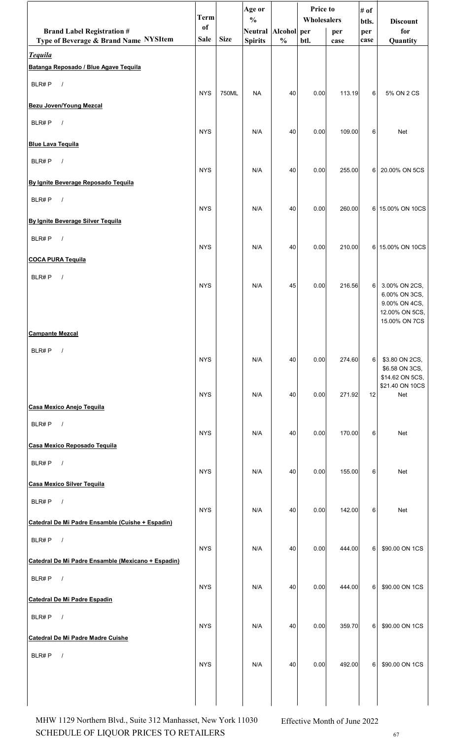|                                                         | <b>Term</b>   |             | Age or<br>$\frac{0}{0}$ |               | <b>Price to</b><br>Wholesalers |        | # of         |                                   |
|---------------------------------------------------------|---------------|-------------|-------------------------|---------------|--------------------------------|--------|--------------|-----------------------------------|
| <b>Brand Label Registration #</b>                       | <sub>of</sub> |             | Neutral Alcohol per     |               |                                | per    | btls.<br>per | <b>Discount</b><br>for            |
| Type of Beverage & Brand Name NYSItem                   | <b>Sale</b>   | <b>Size</b> | <b>Spirits</b>          | $\frac{0}{0}$ | btl.                           | case   | case         | Quantity                          |
| <b>Tequila</b><br>Batanga Reposado / Blue Agave Tequila |               |             |                         |               |                                |        |              |                                   |
| BLR#P<br>$\sqrt{ }$                                     |               |             |                         |               |                                |        |              |                                   |
|                                                         | <b>NYS</b>    | 750ML       | <b>NA</b>               | 40            | 0.00                           | 113.19 | 6            | 5% ON 2 CS                        |
| Bezu Joven/Young Mezcal                                 |               |             |                         |               |                                |        |              |                                   |
| $\sqrt{ }$<br>BLR#P                                     | <b>NYS</b>    |             | N/A                     | 40            | 0.00                           | 109.00 | 6            | <b>Net</b>                        |
| <b>Blue Lava Tequila</b>                                |               |             |                         |               |                                |        |              |                                   |
| BLR#P<br>$\sqrt{ }$                                     | <b>NYS</b>    |             | N/A                     | 40            | 0.00                           | 255.00 | 6            | 20.00% ON 5CS                     |
| By Ignite Beverage Reposado Tequila                     |               |             |                         |               |                                |        |              |                                   |
| BLR#P<br>$\sqrt{ }$                                     |               |             |                         |               |                                |        |              |                                   |
| By Ignite Beverage Silver Tequila                       | <b>NYS</b>    |             | N/A                     | 40            | 0.00                           | 260.00 |              | 6 15.00% ON 10CS                  |
| BLR#P<br>$\sqrt{ }$                                     |               |             |                         |               |                                |        |              |                                   |
|                                                         | <b>NYS</b>    |             | N/A                     | 40            | 0.00                           | 210.00 |              | 6 15.00% ON 10CS                  |
| <b>COCA PURA Tequila</b><br>$\sqrt{ }$<br>BLR#P         |               |             |                         |               |                                |        |              |                                   |
|                                                         | <b>NYS</b>    |             | N/A                     | 45            | 0.00                           | 216.56 | 6            | 3.00% ON 2CS,<br>6.00% ON 3CS,    |
|                                                         |               |             |                         |               |                                |        |              | 9.00% ON 4CS,                     |
|                                                         |               |             |                         |               |                                |        |              | 12.00% ON 5CS,<br>15.00% ON 7CS   |
| <b>Campante Mezcal</b>                                  |               |             |                         |               |                                |        |              |                                   |
| BLR#P<br>$\sqrt{ }$                                     | <b>NYS</b>    |             | N/A                     | 40            | 0.00                           | 274.60 | 6            | \$3.80 ON 2CS,                    |
|                                                         |               |             |                         |               |                                |        |              | \$6.58 ON 3CS,<br>\$14.62 ON 5CS, |
|                                                         | <b>NYS</b>    |             | N/A                     | 40            | 0.00                           | 271.92 | 12           | \$21.40 ON 10CS<br>Net            |
| Casa Mexico Anejo Tequila                               |               |             |                         |               |                                |        |              |                                   |
| $\sqrt{ }$<br>BLR#P                                     |               |             |                         |               |                                |        |              |                                   |
| Casa Mexico Reposado Tequila                            | <b>NYS</b>    |             | N/A                     | 40            | 0.00                           | 170.00 | 6            | <b>Net</b>                        |
| BLR#P<br>$\sqrt{ }$                                     |               |             |                         |               |                                |        |              |                                   |
| <b>Casa Mexico Silver Tequila</b>                       | <b>NYS</b>    |             | N/A                     | 40            | 0.00                           | 155.00 | 6            | Net                               |
| $\sqrt{ }$<br>BLR#P                                     |               |             |                         |               |                                |        |              |                                   |
|                                                         | <b>NYS</b>    |             | N/A                     | 40            | 0.00                           | 142.00 | 6            | <b>Net</b>                        |
| Catedral De Mi Padre Ensamble (Cuishe + Espadin)        |               |             |                         |               |                                |        |              |                                   |
| BLR#P<br>$\sqrt{ }$                                     | <b>NYS</b>    |             | N/A                     | 40            | 0.00                           | 444.00 | 6            | \$90.00 ON 1CS                    |
| Catedral De Mi Padre Ensamble (Mexicano + Espadin)      |               |             |                         |               |                                |        |              |                                   |
| BLR#P<br>$\sqrt{ }$                                     | <b>NYS</b>    |             | N/A                     | 40            | 0.00                           | 444.00 | 6            | \$90.00 ON 1CS                    |
| Catedral De Mi Padre Espadin                            |               |             |                         |               |                                |        |              |                                   |
| BLR#P<br>$\sqrt{ }$                                     | <b>NYS</b>    |             | N/A                     | 40            | 0.00                           | 359.70 | 6            | \$90.00 ON 1CS                    |
| Catedral De Mi Padre Madre Cuishe                       |               |             |                         |               |                                |        |              |                                   |
| BLR#P<br>$\sqrt{ }$                                     |               |             |                         |               |                                |        |              |                                   |
|                                                         | <b>NYS</b>    |             | N/A                     | 40            | 0.00                           | 492.00 | 6            | \$90.00 ON 1CS                    |
|                                                         |               |             |                         |               |                                |        |              |                                   |
|                                                         |               |             |                         |               |                                |        |              |                                   |

SCHEDULE OF LIQUOR PRICES TO RETAILERS  $67$ MHW 1129 Northern Blvd., Suite 312 Manhasset, New York 11030 Effective Month of June 2022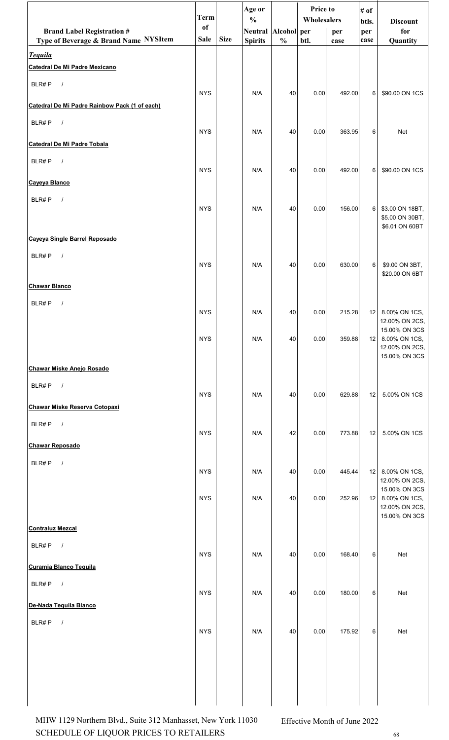|                                                        | <b>Term</b>   |             | Age or<br>$\frac{0}{0}$ |               | <b>Price to</b><br>Wholesalers |        | # of         |                                    |  |
|--------------------------------------------------------|---------------|-------------|-------------------------|---------------|--------------------------------|--------|--------------|------------------------------------|--|
| <b>Brand Label Registration #</b>                      | <sub>of</sub> |             | Neutral Alcohol per     |               |                                | per    | btls.<br>per | <b>Discount</b><br>for             |  |
| Type of Beverage & Brand Name NYSItem                  | <b>Sale</b>   | <b>Size</b> | <b>Spirits</b>          | $\frac{0}{0}$ | btl.                           | case   | case         | Quantity                           |  |
| <b>Tequila</b><br><b>Catedral De Mi Padre Mexicano</b> |               |             |                         |               |                                |        |              |                                    |  |
| BLR#P<br>$\sqrt{ }$                                    |               |             |                         |               |                                |        |              |                                    |  |
|                                                        | <b>NYS</b>    |             | N/A                     | 40            | 0.00                           | 492.00 | 6            | \$90.00 ON 1CS                     |  |
| Catedral De Mi Padre Rainbow Pack (1 of each)          |               |             |                         |               |                                |        |              |                                    |  |
| BLR#P<br>$\sqrt{ }$                                    | <b>NYS</b>    |             | N/A                     | 40            | 0.00                           | 363.95 | 6            | <b>Net</b>                         |  |
| Catedral De Mi Padre Tobala                            |               |             |                         |               |                                |        |              |                                    |  |
| BLR#P<br>$\sqrt{ }$                                    | <b>NYS</b>    |             | N/A                     | 40            | 0.00                           | 492.00 | 6            | \$90.00 ON 1CS                     |  |
| Cayeya Blanco                                          |               |             |                         |               |                                |        |              |                                    |  |
| BLR#P<br>$\frac{1}{2}$                                 |               |             |                         |               |                                |        |              |                                    |  |
|                                                        | <b>NYS</b>    |             | N/A                     | 40            | 0.00                           | 156.00 | 6            | \$3.00 ON 18BT,<br>\$5.00 ON 30BT, |  |
|                                                        |               |             |                         |               |                                |        |              | \$6.01 ON 60BT                     |  |
| Cayeya Single Barrel Reposado                          |               |             |                         |               |                                |        |              |                                    |  |
| BLR#P<br>$\sqrt{ }$                                    | <b>NYS</b>    |             | N/A                     | 40            | 0.00                           | 630.00 | 6            | \$9.00 ON 3BT,                     |  |
| <b>Chawar Blanco</b>                                   |               |             |                         |               |                                |        |              | \$20.00 ON 6BT                     |  |
|                                                        |               |             |                         |               |                                |        |              |                                    |  |
| BLR#P<br>$\sqrt{ }$                                    | <b>NYS</b>    |             | N/A                     | 40            | 0.00                           | 215.28 | 12           | 8.00% ON 1CS,                      |  |
|                                                        |               |             |                         |               |                                |        |              | 12.00% ON 2CS,<br>15.00% ON 3CS    |  |
|                                                        | <b>NYS</b>    |             | N/A                     | 40            | 0.00                           | 359.88 | 12           | 8.00% ON 1CS,<br>12.00% ON 2CS,    |  |
|                                                        |               |             |                         |               |                                |        |              | 15.00% ON 3CS                      |  |
| <b>Chawar Miske Anejo Rosado</b>                       |               |             |                         |               |                                |        |              |                                    |  |
| BLR#P<br>$\overline{\phantom{a}}$                      | <b>NYS</b>    |             | N/A                     | 40            | 0.00                           | 629.88 | 12           | 5.00% ON 1CS                       |  |
| Chawar Miske Reserva Cotopaxi                          |               |             |                         |               |                                |        |              |                                    |  |
| BLR#P $/$                                              | <b>NYS</b>    |             | N/A                     | 42            | 0.00                           | 773.88 | 12           | 5.00% ON 1CS                       |  |
| <b>Chawar Reposado</b>                                 |               |             |                         |               |                                |        |              |                                    |  |
| BLR#P<br>$\overline{\phantom{a}}$                      |               |             |                         |               |                                |        |              |                                    |  |
|                                                        | <b>NYS</b>    |             | N/A                     | 40            | 0.00                           | 445.44 | 12           | 8.00% ON 1CS,<br>12.00% ON 2CS,    |  |
|                                                        | <b>NYS</b>    |             | N/A                     | 40            | 0.00                           | 252.96 | 12           | 15.00% ON 3CS<br>8.00% ON 1CS,     |  |
|                                                        |               |             |                         |               |                                |        |              | 12.00% ON 2CS,<br>15.00% ON 3CS    |  |
| <b>Contraluz Mezcal</b>                                |               |             |                         |               |                                |        |              |                                    |  |
| BLR#P $/$                                              |               |             |                         |               |                                |        |              |                                    |  |
| <b>Curamia Blanco Tequila</b>                          | <b>NYS</b>    |             | N/A                     | 40            | 0.00                           | 168.40 | 6            | Net                                |  |
|                                                        |               |             |                         |               |                                |        |              |                                    |  |
| BLR#P<br>$\overline{\phantom{a}}$                      | <b>NYS</b>    |             | N/A                     | 40            | 0.00                           | 180.00 | 6            | Net                                |  |
| De-Nada Tequila Blanco                                 |               |             |                         |               |                                |        |              |                                    |  |
| BLR#P<br>$\sqrt{ }$                                    | <b>NYS</b>    |             | N/A                     | 40            | 0.00                           | 175.92 | 6            | Net                                |  |
|                                                        |               |             |                         |               |                                |        |              |                                    |  |
|                                                        |               |             |                         |               |                                |        |              |                                    |  |
|                                                        |               |             |                         |               |                                |        |              |                                    |  |
|                                                        |               |             |                         |               |                                |        |              |                                    |  |
|                                                        |               |             |                         |               |                                |        |              |                                    |  |

SCHEDULE OF LIQUOR PRICES TO RETAILERS  $68$ MHW 1129 Northern Blvd., Suite 312 Manhasset, New York 11030 Effective Month of June 2022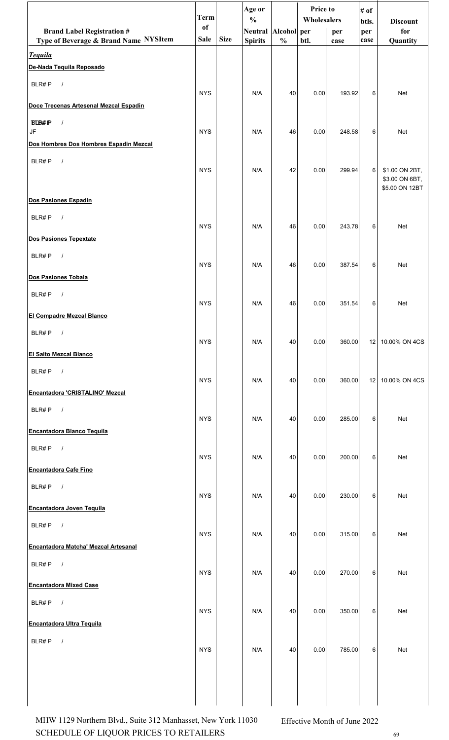|                                                         | <b>Term</b>   |             | Age or<br>$\frac{0}{0}$ |               | Price to<br>Wholesalers |        | # of<br>btls.   | <b>Discount</b>                  |
|---------------------------------------------------------|---------------|-------------|-------------------------|---------------|-------------------------|--------|-----------------|----------------------------------|
| <b>Brand Label Registration #</b>                       | <sub>of</sub> | <b>Size</b> | Neutral Alcohol per     |               |                         | per    | per             | for                              |
| Type of Beverage & Brand Name NYSItem<br><b>Tequila</b> | Sale          |             | <b>Spirits</b>          | $\frac{0}{0}$ | btl.                    | case   | case            | Quantity                         |
| De-Nada Tequila Reposado                                |               |             |                         |               |                         |        |                 |                                  |
| BLR#P<br>$\overline{\phantom{a}}$                       | <b>NYS</b>    |             | N/A                     | 40            | 0.00                    | 193.92 | 6               | Net                              |
| Doce Trecenas Artesenal Mezcal Espadin                  |               |             |                         |               |                         |        |                 |                                  |
| <b>BLB#P</b><br>$\sqrt{ }$<br>JF                        | <b>NYS</b>    |             | N/A                     | 46            | 0.00                    | 248.58 | 6               | <b>Net</b>                       |
| Dos Hombres Dos Hombres Espadin Mezcal                  |               |             |                         |               |                         |        |                 |                                  |
| $\sqrt{ }$<br>BLR#P                                     | <b>NYS</b>    |             | N/A                     | 42            | 0.00                    | 299.94 | 6 <sup>1</sup>  | \$1.00 ON 2BT,                   |
|                                                         |               |             |                         |               |                         |        |                 | \$3.00 ON 6BT,<br>\$5.00 ON 12BT |
| Dos Pasiones Espadin                                    |               |             |                         |               |                         |        |                 |                                  |
| BLR#P<br>$\sqrt{ }$                                     | <b>NYS</b>    |             | N/A                     | 46            | 0.00                    | 243.78 | 6               | Net                              |
| Dos Pasiones Tepextate                                  |               |             |                         |               |                         |        |                 |                                  |
| BLR#P<br>$\sqrt{ }$                                     | <b>NYS</b>    |             | N/A                     | 46            | 0.00                    | 387.54 | 6               | Net                              |
| Dos Pasiones Tobala                                     |               |             |                         |               |                         |        |                 |                                  |
| $\sqrt{ }$<br>BLR#P                                     | <b>NYS</b>    |             | N/A                     | 46            | 0.00                    | 351.54 | 6               | Net                              |
| El Compadre Mezcal Blanco                               |               |             |                         |               |                         |        |                 |                                  |
| $\overline{1}$<br>BLR#P                                 | <b>NYS</b>    |             | N/A                     | 40            | 0.00                    | 360.00 | 12 <sub>1</sub> | 10.00% ON 4CS                    |
| <b>El Salto Mezcal Blanco</b>                           |               |             |                         |               |                         |        |                 |                                  |
| BLR# $P$ /                                              | <b>NYS</b>    |             | N/A                     | 40            | 0.00                    | 360.00 |                 | 12   10.00% ON 4CS               |
| Encantadora 'CRISTALINO' Mezcal                         |               |             |                         |               |                         |        |                 |                                  |
| BLR#P<br>$\overline{\phantom{a}}$                       | <b>NYS</b>    |             | N/A                     | 40            | 0.00                    | 285.00 | 6               | Net                              |
| <b>Encantadora Blanco Tequila</b>                       |               |             |                         |               |                         |        |                 |                                  |
| BLR#P<br>$\sqrt{ }$                                     | <b>NYS</b>    |             | N/A                     | 40            | 0.00                    | 200.00 | 6               | <b>Net</b>                       |
| <b>Encantadora Cafe Fino</b>                            |               |             |                         |               |                         |        |                 |                                  |
| BLR#P $/$                                               | <b>NYS</b>    |             | N/A                     | 40            | 0.00                    | 230.00 | 6               | Net                              |
| <b>Encantadora Joven Tequila</b>                        |               |             |                         |               |                         |        |                 |                                  |
| BLR#P<br>$\sqrt{ }$                                     | <b>NYS</b>    |             | N/A                     |               |                         |        |                 | Net                              |
| Encantadora Matcha' Mezcal Artesanal                    |               |             |                         | 40            | 0.00                    | 315.00 | 6               |                                  |
| BLR#P $/$                                               | <b>NYS</b>    |             | N/A                     | 40            | 0.00                    | 270.00 | 6               | Net                              |
| <b>Encantadora Mixed Case</b>                           |               |             |                         |               |                         |        |                 |                                  |
| $\sqrt{ }$<br>BLR#P                                     | <b>NYS</b>    |             | N/A                     | 40            | 0.00                    | 350.00 | 6               | Net                              |
| <b>Encantadora Ultra Tequila</b>                        |               |             |                         |               |                         |        |                 |                                  |
| BLR#P<br>$\frac{1}{2}$                                  | <b>NYS</b>    |             | N/A                     | 40            | 0.00                    | 785.00 | 6               | Net                              |
|                                                         |               |             |                         |               |                         |        |                 |                                  |
|                                                         |               |             |                         |               |                         |        |                 |                                  |
|                                                         |               |             |                         |               |                         |        |                 |                                  |

SCHEDULE OF LIQUOR PRICES TO RETAILERS  $^{69}$ MHW 1129 Northern Blvd., Suite 312 Manhasset, New York 11030 Effective Month of June 2022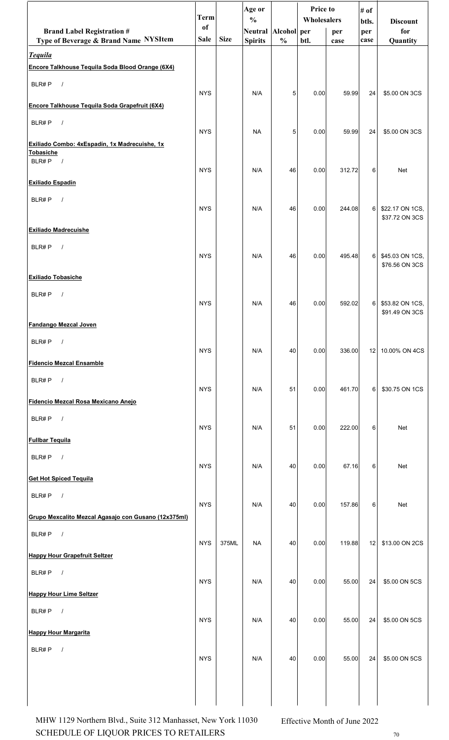|                                                                            | <b>Term</b>                  |             | Age or<br>$\frac{0}{0}$               |               | Price to<br>Wholesalers |             | # of<br>btls.   | <b>Discount</b>                   |
|----------------------------------------------------------------------------|------------------------------|-------------|---------------------------------------|---------------|-------------------------|-------------|-----------------|-----------------------------------|
| <b>Brand Label Registration #</b><br>Type of Beverage & Brand Name NYSItem | <sub>of</sub><br><b>Sale</b> | <b>Size</b> | Neutral Alcohol per<br><b>Spirits</b> | $\frac{0}{0}$ | btl.                    | per<br>case | per<br>case     | for<br>Quantity                   |
| <b>Tequila</b>                                                             |                              |             |                                       |               |                         |             |                 |                                   |
| Encore Talkhouse Tequila Soda Blood Orange (6X4)                           |                              |             |                                       |               |                         |             |                 |                                   |
| BLR#P<br>$\sqrt{ }$                                                        | <b>NYS</b>                   |             | N/A                                   | 5             | 0.00                    | 59.99       | 24              | \$5.00 ON 3CS                     |
| Encore Talkhouse Tequila Soda Grapefruit (6X4)                             |                              |             |                                       |               |                         |             |                 |                                   |
| $\sqrt{ }$<br>BLR#P                                                        | <b>NYS</b>                   |             | <b>NA</b>                             | 5             | 0.00                    | 59.99       | 24              | \$5.00 ON 3CS                     |
| Exiliado Combo: 4xEspadín, 1x Madrecuishe, 1x                              |                              |             |                                       |               |                         |             |                 |                                   |
| Tobasiche<br>BLR#P<br>$\overline{\phantom{a}}$                             |                              |             |                                       |               |                         |             |                 |                                   |
| Exiliado Espadín                                                           | <b>NYS</b>                   |             | N/A                                   | 46            | 0.00                    | 312.72      | 6               | Net                               |
| BLR#P<br>$\sqrt{ }$                                                        |                              |             |                                       |               |                         |             |                 |                                   |
|                                                                            | <b>NYS</b>                   |             | N/A                                   | 46            | 0.00                    | 244.08      | 6               | \$22.17 ON 1CS,<br>\$37.72 ON 3CS |
| <b>Exiliado Madrecuishe</b>                                                |                              |             |                                       |               |                         |             |                 |                                   |
| BLR#P<br>$\sqrt{ }$                                                        | <b>NYS</b>                   |             | N/A                                   | 46            | 0.00                    | 495.48      | 6 <sup>1</sup>  | \$45.03 ON 1CS,                   |
|                                                                            |                              |             |                                       |               |                         |             |                 | \$76.56 ON 3CS                    |
| Exiliado Tobasiche                                                         |                              |             |                                       |               |                         |             |                 |                                   |
| BLR#P<br>$\sqrt{ }$                                                        | <b>NYS</b>                   |             | N/A                                   | 46            | 0.00                    | 592.02      | 6               | \$53.82 ON 1CS,                   |
| <b>Fandango Mezcal Joven</b>                                               |                              |             |                                       |               |                         |             |                 | \$91.49 ON 3CS                    |
| BLR#P                                                                      |                              |             |                                       |               |                         |             |                 |                                   |
|                                                                            | <b>NYS</b>                   |             | N/A                                   | 40            | 0.00                    | 336.00      | 12 <sub>1</sub> | 10.00% ON 4CS                     |
| <b>Fidencio Mezcal Ensamble</b>                                            |                              |             |                                       |               |                         |             |                 |                                   |
| BLR#P<br>$\sqrt{ }$                                                        | <b>NYS</b>                   |             | N/A                                   | 51            | 0.00                    | 461.70      | 6               | \$30.75 ON 1CS                    |
| Fidencio Mezcal Rosa Mexicano Aneio                                        |                              |             |                                       |               |                         |             |                 |                                   |
| BLR#P<br>$\sqrt{ }$                                                        | <b>NYS</b>                   |             | N/A                                   | 51            | 0.00                    | 222.00      | 6               | Net                               |
| <b>Fullbar Tequila</b>                                                     |                              |             |                                       |               |                         |             |                 |                                   |
| BLR#P<br>$\sqrt{ }$                                                        | <b>NYS</b>                   |             | N/A                                   | 40            | 0.00                    | 67.16       | 6               | <b>Net</b>                        |
| <b>Get Hot Spiced Tequila</b>                                              |                              |             |                                       |               |                         |             |                 |                                   |
| BLR#P<br>$\sqrt{ }$                                                        |                              |             |                                       |               |                         |             |                 |                                   |
| Grupo Mexcalito Mezcal Agasajo con Gusano (12x375ml)                       | <b>NYS</b>                   |             | N/A                                   | 40            | 0.00                    | 157.86      | 6               | <b>Net</b>                        |
| BLR#P<br>$\sqrt{ }$                                                        |                              |             |                                       |               |                         |             |                 |                                   |
|                                                                            | <b>NYS</b>                   | 375ML       | <b>NA</b>                             | 40            | 0.00                    | 119.88      | 12              | \$13.00 ON 2CS                    |
| <b>Happy Hour Grapefruit Seltzer</b><br>$\sqrt{ }$                         |                              |             |                                       |               |                         |             |                 |                                   |
| BLR#P                                                                      | <b>NYS</b>                   |             | N/A                                   | 40            | 0.00                    | 55.00       | 24              | \$5.00 ON 5CS                     |
| <b>Happy Hour Lime Seltzer</b>                                             |                              |             |                                       |               |                         |             |                 |                                   |
| $\sqrt{ }$<br>BLR#P                                                        | <b>NYS</b>                   |             | N/A                                   | 40            | 0.00                    | 55.00       | 24              | \$5.00 ON 5CS                     |
| <b>Happy Hour Margarita</b>                                                |                              |             |                                       |               |                         |             |                 |                                   |
| BLR#P<br>$\prime$                                                          | <b>NYS</b>                   |             | N/A                                   | 40            | 0.00                    | 55.00       | 24 <sub>1</sub> | \$5.00 ON 5CS                     |
|                                                                            |                              |             |                                       |               |                         |             |                 |                                   |
|                                                                            |                              |             |                                       |               |                         |             |                 |                                   |
|                                                                            |                              |             |                                       |               |                         |             |                 |                                   |

SCHEDULE OF LIQUOR PRICES TO RETAILERS  $70$ MHW 1129 Northern Blvd., Suite 312 Manhasset, New York 11030 Effective Month of June 2022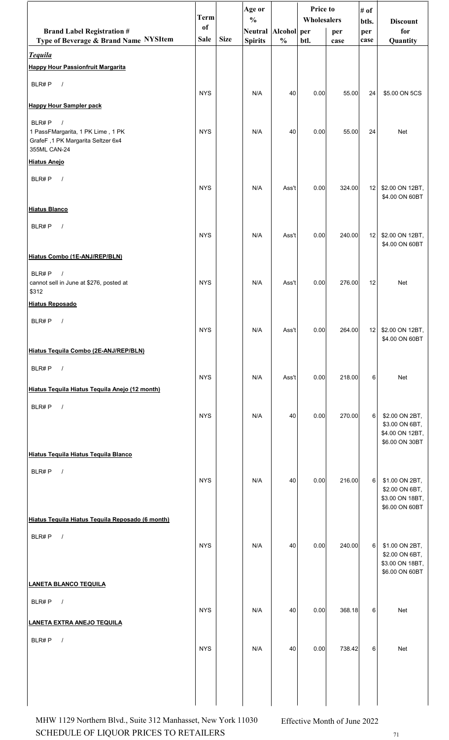|                                                                                                                | <b>Term</b> |             | Age or<br>$\frac{0}{0}$ |               | Price to<br>Wholesalers |        | # of<br>btls. | <b>Discount</b>                                                       |
|----------------------------------------------------------------------------------------------------------------|-------------|-------------|-------------------------|---------------|-------------------------|--------|---------------|-----------------------------------------------------------------------|
| <b>Brand Label Registration #</b>                                                                              | of          |             | Neutral Alcohol per     |               |                         | per    | per           | for                                                                   |
| Type of Beverage & Brand Name NYSItem                                                                          | Sale        | <b>Size</b> | <b>Spirits</b>          | $\frac{0}{0}$ | btl.                    | case   | case          | Quantity                                                              |
| <b>Tequila</b><br><b>Happy Hour Passionfruit Margarita</b>                                                     |             |             |                         |               |                         |        |               |                                                                       |
| BLR#P<br>$\sqrt{ }$                                                                                            |             |             |                         |               |                         |        |               |                                                                       |
| <b>Happy Hour Sampler pack</b>                                                                                 | <b>NYS</b>  |             | N/A                     | 40            | 0.00                    | 55.00  | 24            | \$5.00 ON 5CS                                                         |
| BLR#P<br>$\sqrt{ }$<br>1 PassFMargarita, 1 PK Lime, 1 PK<br>GrafeF, 1 PK Margarita Seltzer 6x4<br>355ML CAN-24 | <b>NYS</b>  |             | N/A                     | 40            | 0.00                    | 55.00  | 24            | <b>Net</b>                                                            |
| <b>Hiatus Anejo</b>                                                                                            |             |             |                         |               |                         |        |               |                                                                       |
| BLR#P<br>$\sqrt{ }$                                                                                            | <b>NYS</b>  |             | N/A                     | Ass't         | 0.00                    | 324.00 | 12            | \$2.00 ON 12BT,<br>\$4.00 ON 60BT                                     |
| <b>Hiatus Blanco</b>                                                                                           |             |             |                         |               |                         |        |               |                                                                       |
| BLR#P<br>$\frac{1}{2}$                                                                                         | <b>NYS</b>  |             | N/A                     | Ass't         | 0.00                    | 240.00 | 12            | \$2.00 ON 12BT,<br>\$4.00 ON 60BT                                     |
| Hiatus Combo (1E-ANJ/REP/BLN)                                                                                  |             |             |                         |               |                         |        |               |                                                                       |
| BLR#P<br>$\sqrt{ }$<br>cannot sell in June at \$276, posted at<br>\$312                                        | <b>NYS</b>  |             | N/A                     | Ass't         | 0.00                    | 276.00 | 12            | Net                                                                   |
| <b>Hiatus Reposado</b>                                                                                         |             |             |                         |               |                         |        |               |                                                                       |
| BLR#P<br>$\sqrt{ }$                                                                                            | <b>NYS</b>  |             | N/A                     | Ass't         | 0.00                    | 264.00 | 12            | \$2.00 ON 12BT,<br>\$4.00 ON 60BT                                     |
| Hiatus Tequila Combo (2E-ANJ/REP/BLN)                                                                          |             |             |                         |               |                         |        |               |                                                                       |
| BLR#P<br>$\sqrt{ }$                                                                                            | <b>NYS</b>  |             | N/A                     | Ass't         | 0.00                    | 218.00 | 6             | Net                                                                   |
| Hiatus Tequila Hiatus Tequila Anejo (12 month)                                                                 |             |             |                         |               |                         |        |               |                                                                       |
| BLR#P<br>$\sqrt{ }$                                                                                            | <b>NYS</b>  |             | N/A                     | 40            | 0.00                    | 270.00 | 6             | \$2.00 ON 2BT,<br>\$3.00 ON 6BT,<br>\$4.00 ON 12BT,<br>\$6.00 ON 30BT |
| Hiatus Tequila Hiatus Tequila Blanco                                                                           |             |             |                         |               |                         |        |               |                                                                       |
| BLR#P<br>$\sqrt{ }$                                                                                            | <b>NYS</b>  |             | N/A                     | 40            | 0.00                    | 216.00 | 6             | \$1.00 ON 2BT,<br>\$2.00 ON 6BT,<br>\$3.00 ON 18BT,<br>\$6.00 ON 60BT |
| Hiatus Tequila Hiatus Tequila Reposado (6 month)                                                               |             |             |                         |               |                         |        |               |                                                                       |
| BLR#P<br>$\sqrt{ }$                                                                                            | <b>NYS</b>  |             | N/A                     | 40            | 0.00                    | 240.00 | $6 \mid$      | \$1.00 ON 2BT,<br>\$2.00 ON 6BT,<br>\$3.00 ON 18BT,<br>\$6.00 ON 60BT |
| <b>LANETA BLANCO TEQUILA</b>                                                                                   |             |             |                         |               |                         |        |               |                                                                       |
| BLR#P<br>$\sqrt{ }$                                                                                            | <b>NYS</b>  |             | N/A                     | 40            | 0.00                    | 368.18 | 6             | Net                                                                   |
| <b>LANETA EXTRA ANEJO TEQUILA</b>                                                                              |             |             |                         |               |                         |        |               |                                                                       |
| BLR#P<br>$\prime$                                                                                              | <b>NYS</b>  |             | N/A                     |               |                         | 738.42 |               | Net                                                                   |
|                                                                                                                |             |             |                         | 40            | 0.00                    |        | 6             |                                                                       |

SCHEDULE OF LIQUOR PRICES TO RETAILERS  $71$ MHW 1129 Northern Blvd., Suite 312 Manhasset, New York 11030 Effective Month of June 2022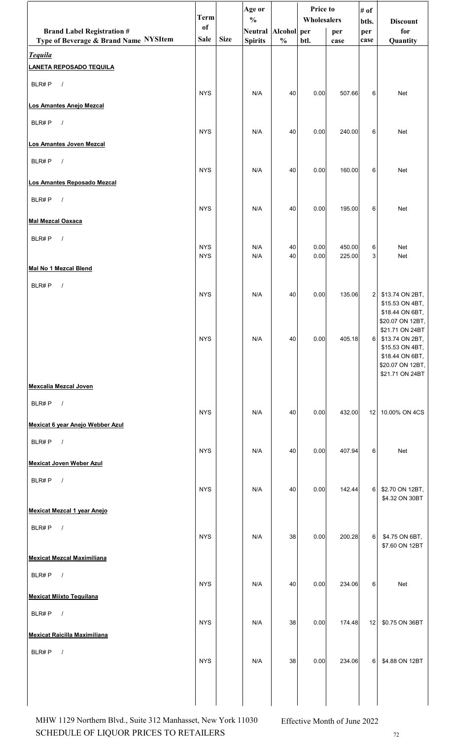|                                       | <b>Term</b> |             | Age or<br>$\frac{0}{0}$ |               | <b>Price to</b><br>Wholesalers |        | # of           |                                     |  |
|---------------------------------------|-------------|-------------|-------------------------|---------------|--------------------------------|--------|----------------|-------------------------------------|--|
| <b>Brand Label Registration #</b>     | of          |             | Neutral Alcohol per     |               |                                | per    | btls.<br>per   | <b>Discount</b><br>for              |  |
| Type of Beverage & Brand Name NYSItem | <b>Sale</b> | <b>Size</b> | <b>Spirits</b>          | $\frac{0}{0}$ | btl.                           | case   | case           | Quantity                            |  |
| <b>Tequila</b>                        |             |             |                         |               |                                |        |                |                                     |  |
| <b>LANETA REPOSADO TEQUILA</b>        |             |             |                         |               |                                |        |                |                                     |  |
| BLR#P<br>$\sqrt{ }$                   |             |             |                         |               |                                |        |                |                                     |  |
| Los Amantes Anejo Mezcal              | <b>NYS</b>  |             | N/A                     | 40            | 0.00                           | 507.66 | 6              | Net                                 |  |
|                                       |             |             |                         |               |                                |        |                |                                     |  |
| BLR#P<br>$\sqrt{ }$                   | <b>NYS</b>  |             | N/A                     | 40            | 0.00                           | 240.00 | 6              | Net                                 |  |
| Los Amantes Joven Mezcal              |             |             |                         |               |                                |        |                |                                     |  |
| BLR#P<br>$\sqrt{ }$                   |             |             |                         |               |                                |        |                |                                     |  |
|                                       | <b>NYS</b>  |             | N/A                     | 40            | 0.00                           | 160.00 | 6              | Net                                 |  |
| Los Amantes Reposado Mezcal           |             |             |                         |               |                                |        |                |                                     |  |
| BLR#P<br>$\sqrt{ }$                   |             |             |                         |               |                                |        |                |                                     |  |
| <b>Mal Mezcal Oaxaca</b>              | <b>NYS</b>  |             | N/A                     | 40            | 0.00                           | 195.00 | 6              | Net                                 |  |
|                                       |             |             |                         |               |                                |        |                |                                     |  |
| BLR#P<br>$\sqrt{ }$                   | <b>NYS</b>  |             | N/A                     | 40            | 0.00                           | 450.00 | 6              | Net                                 |  |
|                                       | <b>NYS</b>  |             | N/A                     | 40            | 0.00                           | 225.00 | 3              | Net                                 |  |
| Mal No 1 Mezcal Blend                 |             |             |                         |               |                                |        |                |                                     |  |
| BLR#P<br>$\sqrt{ }$                   |             |             |                         |               |                                |        |                |                                     |  |
|                                       | <b>NYS</b>  |             | N/A                     | 40            | 0.00                           | 135.06 | $\overline{2}$ | \$13.74 ON 2BT,<br>\$15.53 ON 4BT,  |  |
|                                       |             |             |                         |               |                                |        |                | \$18.44 ON 6BT,<br>\$20.07 ON 12BT, |  |
|                                       |             |             |                         |               |                                |        |                | \$21.71 ON 24BT                     |  |
|                                       | <b>NYS</b>  |             | N/A                     | 40            | 0.00                           | 405.18 | 6              | \$13.74 ON 2BT,<br>\$15.53 ON 4BT,  |  |
|                                       |             |             |                         |               |                                |        |                | \$18.44 ON 6BT,                     |  |
|                                       |             |             |                         |               |                                |        |                | \$20.07 ON 12BT,<br>\$21.71 ON 24BT |  |
| <b>Mexcalia Mezcal Joven</b>          |             |             |                         |               |                                |        |                |                                     |  |
| BLR#P<br>$\sqrt{ }$                   |             |             |                         |               |                                |        |                |                                     |  |
|                                       | <b>NYS</b>  |             | N/A                     | 40            | 0.00                           | 432.00 | 12             | 10.00% ON 4CS                       |  |
| Mexicat 6 year Anejo Webber Azul      |             |             |                         |               |                                |        |                |                                     |  |
| BLR#P<br>$\sqrt{ }$                   | <b>NYS</b>  |             | N/A                     | 40            | 0.00                           | 407.94 | 6              | Net                                 |  |
| <b>Mexicat Joven Weber Azul</b>       |             |             |                         |               |                                |        |                |                                     |  |
| BLR#P                                 |             |             |                         |               |                                |        |                |                                     |  |
| $\sqrt{ }$                            | <b>NYS</b>  |             | N/A                     | 40            | 0.00                           | 142.44 | 6              | \$2.70 ON 12BT,                     |  |
|                                       |             |             |                         |               |                                |        |                | \$4.32 ON 30BT                      |  |
| Mexicat Mezcal 1 year Anejo           |             |             |                         |               |                                |        |                |                                     |  |
| $\sqrt{ }$<br>BLR#P                   | <b>NYS</b>  |             | N/A                     | 38            | 0.00                           | 200.28 | 6              | \$4.75 ON 6BT,                      |  |
|                                       |             |             |                         |               |                                |        |                | \$7.60 ON 12BT                      |  |
| <b>Mexicat Mezcal Maximiliana</b>     |             |             |                         |               |                                |        |                |                                     |  |
| $\sqrt{ }$<br>BLR#P                   |             |             |                         |               |                                |        |                |                                     |  |
| <b>Mexicat Miixto Tequilana</b>       | <b>NYS</b>  |             | N/A                     | 40            | 0.00                           | 234.06 | 6              | Net                                 |  |
|                                       |             |             |                         |               |                                |        |                |                                     |  |
| BLR#P<br>$\sqrt{ }$                   | <b>NYS</b>  |             | N/A                     | 38            | 0.00                           | 174.48 | 12             | \$0.75 ON 36BT                      |  |
| <b>Mexicat Raicilla Maximiliana</b>   |             |             |                         |               |                                |        |                |                                     |  |
| BLR#P<br>$\sqrt{ }$                   |             |             |                         |               |                                |        |                |                                     |  |
|                                       | <b>NYS</b>  |             | N/A                     | $38\,$        | $0.00\,$                       | 234.06 |                | 6 \$4.88 ON 12BT                    |  |
|                                       |             |             |                         |               |                                |        |                |                                     |  |
|                                       |             |             |                         |               |                                |        |                |                                     |  |
|                                       |             |             |                         |               |                                |        |                |                                     |  |

SCHEDULE OF LIQUOR PRICES TO RETAILERS  $12$ MHW 1129 Northern Blvd., Suite 312 Manhasset, New York 11030 Effective Month of June 2022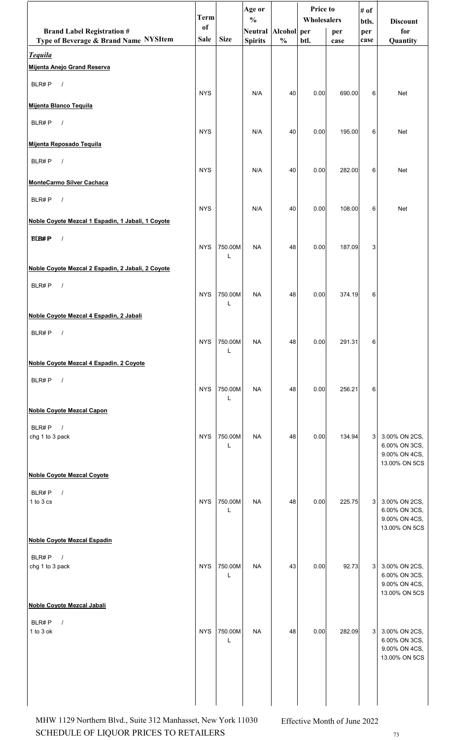|                                                   | <b>Term</b> |              | Age or                               |               | <b>Price to</b><br>Wholesalers |        | # of         |                                |
|---------------------------------------------------|-------------|--------------|--------------------------------------|---------------|--------------------------------|--------|--------------|--------------------------------|
| <b>Brand Label Registration #</b>                 | of          |              | $\frac{0}{0}$<br>Neutral Alcohol per |               |                                | per    | btls.<br>per | <b>Discount</b><br>for         |
| Type of Beverage & Brand Name NYSItem             | <b>Sale</b> | <b>Size</b>  | <b>Spirits</b>                       | $\frac{0}{0}$ | btl.                           | case   | case         | Quantity                       |
| <b>Tequila</b>                                    |             |              |                                      |               |                                |        |              |                                |
| Mijenta Anejo Grand Reserva                       |             |              |                                      |               |                                |        |              |                                |
| BLR#P<br>$\sqrt{ }$                               | <b>NYS</b>  |              | N/A                                  | 40            | 0.00                           | 690.00 | 6            | <b>Net</b>                     |
| Mijenta Blanco Tequila                            |             |              |                                      |               |                                |        |              |                                |
| $\sqrt{ }$<br>BLR#P                               | <b>NYS</b>  |              | N/A                                  | 40            | 0.00                           | 195.00 | 6            | Net                            |
| Mijenta Reposado Tequila                          |             |              |                                      |               |                                |        |              |                                |
| $\sqrt{ }$<br>BLR#P                               | <b>NYS</b>  |              |                                      |               |                                |        | 6            |                                |
| <b>MonteCarmo Silver Cachaca</b>                  |             |              | N/A                                  | 40            | 0.00                           | 282.00 |              | Net                            |
| BLR#P<br>$\sqrt{ }$                               |             |              |                                      |               |                                |        |              |                                |
|                                                   | <b>NYS</b>  |              | N/A                                  | 40            | 0.00                           | 108.00 | 6            | Net                            |
| Noble Coyote Mezcal 1 Espadin, 1 Jabali, 1 Coyote |             |              |                                      |               |                                |        |              |                                |
| <b>BLB#P</b><br>$\sqrt{ }$                        | <b>NYS</b>  | 750.00M      | <b>NA</b>                            | 48            | 0.00                           | 187.09 | 3            |                                |
|                                                   |             | L            |                                      |               |                                |        |              |                                |
| Noble Coyote Mezcal 2 Espadin, 2 Jabali, 2 Coyote |             |              |                                      |               |                                |        |              |                                |
| $\sqrt{ }$<br>BLR#P                               | <b>NYS</b>  | 750.00M      | <b>NA</b>                            | 48            | 0.00                           | 374.19 | 6            |                                |
|                                                   |             | L            |                                      |               |                                |        |              |                                |
| Noble Coyote Mezcal 4 Espadin, 2 Jabali           |             |              |                                      |               |                                |        |              |                                |
| BLR#P<br>$\sqrt{ }$                               | <b>NYS</b>  | 750.00M      | <b>NA</b>                            | 48            | 0.00                           | 291.31 | 6            |                                |
|                                                   |             | L            |                                      |               |                                |        |              |                                |
| Noble Coyote Mezcal 4 Espadin. 2 Coyote           |             |              |                                      |               |                                |        |              |                                |
| BLR#P<br>$\sqrt{ }$                               | <b>NYS</b>  | 750.00M      | <b>NA</b>                            | 48            | 0.00                           | 256.21 | 6            |                                |
|                                                   |             | L            |                                      |               |                                |        |              |                                |
| <b>Noble Coyote Mezcal Capon</b>                  |             |              |                                      |               |                                |        |              |                                |
| BLR#P<br>$\sqrt{ }$                               |             |              |                                      |               |                                |        |              |                                |
| chg 1 to 3 pack                                   | <b>NYS</b>  | 750.00M<br>L | <b>NA</b>                            | 48            | 0.00                           | 134.94 | 3            | 3.00% ON 2CS,<br>6.00% ON 3CS, |
|                                                   |             |              |                                      |               |                                |        |              | 9.00% ON 4CS,<br>13.00% ON 5CS |
| <b>Noble Coyote Mezcal Coyote</b>                 |             |              |                                      |               |                                |        |              |                                |
| BLR#P<br>$\sqrt{ }$                               |             |              |                                      |               |                                |        |              |                                |
| 1 to 3 cs                                         | <b>NYS</b>  | 750.00M<br>L | <b>NA</b>                            | 48            | 0.00                           | 225.75 | 3            | 3.00% ON 2CS,<br>6.00% ON 3CS, |
|                                                   |             |              |                                      |               |                                |        |              | 9.00% ON 4CS,<br>13.00% ON 5CS |
| <b>Noble Coyote Mezcal Espadin</b>                |             |              |                                      |               |                                |        |              |                                |
| BLR#P<br>$\sqrt{ }$                               |             |              |                                      |               |                                |        |              |                                |
| chg 1 to 3 pack                                   | <b>NYS</b>  | 750.00M<br>L | <b>NA</b>                            | 43            | 0.00                           | 92.73  | 3            | 3.00% ON 2CS,<br>6.00% ON 3CS, |
|                                                   |             |              |                                      |               |                                |        |              | 9.00% ON 4CS,<br>13.00% ON 5CS |
| Noble Coyote Mezcal Jabali                        |             |              |                                      |               |                                |        |              |                                |
| BLR#P<br>$\prime$                                 |             |              |                                      |               |                                |        |              |                                |
| 1 to 3 ok                                         | <b>NYS</b>  | 750.00M<br>L | <b>NA</b>                            | 48            | 0.00                           | 282.09 | 3            | 3.00% ON 2CS,<br>6.00% ON 3CS, |
|                                                   |             |              |                                      |               |                                |        |              | 9.00% ON 4CS,                  |
|                                                   |             |              |                                      |               |                                |        |              | 13.00% ON 5CS                  |
|                                                   |             |              |                                      |               |                                |        |              |                                |
|                                                   |             |              |                                      |               |                                |        |              |                                |

SCHEDULE OF LIQUOR PRICES TO RETAILERS  $13$ MHW 1129 Northern Blvd., Suite 312 Manhasset, New York 11030 Effective Month of June 2022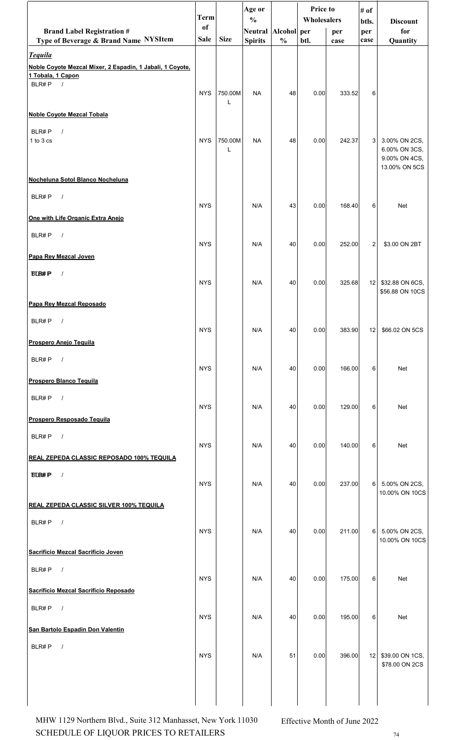|                                                                                                  | <b>Term</b>   |              | Age or<br>$\frac{0}{0}$ |               | Price to<br>Wholesalers |        | # of            |                                                                  |
|--------------------------------------------------------------------------------------------------|---------------|--------------|-------------------------|---------------|-------------------------|--------|-----------------|------------------------------------------------------------------|
| <b>Brand Label Registration #</b>                                                                | <sub>of</sub> |              | Neutral Alcohol per     |               |                         | per    | btls.<br>per    | <b>Discount</b><br>for                                           |
| Type of Beverage & Brand Name NYSItem                                                            | <b>Sale</b>   | <b>Size</b>  | <b>Spirits</b>          | $\frac{0}{0}$ | btl.                    | case   | case            | Quantity                                                         |
| <b>Tequila</b><br>Noble Coyote Mezcal Mixer, 2 Espadin, 1 Jabali, 1 Coyote,<br>1 Tobala, 1 Capon |               |              |                         |               |                         |        |                 |                                                                  |
| BLR#P $/$                                                                                        | <b>NYS</b>    | 750.00M      | <b>NA</b>               | 48            | 0.00                    | 333.52 | 6               |                                                                  |
| <b>Noble Coyote Mezcal Tobala</b>                                                                |               |              |                         |               |                         |        |                 |                                                                  |
| BLR#P<br>$\sqrt{ }$<br>1 to 3 cs                                                                 | <b>NYS</b>    | 750.00M<br>L | <b>NA</b>               | 48            | 0.00                    | 242.37 | 3               | 3.00% ON 2CS,<br>6.00% ON 3CS,<br>9.00% ON 4CS,<br>13.00% ON 5CS |
| Nocheluna Sotol Blanco Nocheluna                                                                 |               |              |                         |               |                         |        |                 |                                                                  |
| BLR#P<br>$\sqrt{ }$                                                                              | <b>NYS</b>    |              | N/A                     | 43            | 0.00                    | 168.40 | 6               | <b>Net</b>                                                       |
| One with Life Organic Extra Anejo                                                                |               |              |                         |               |                         |        |                 |                                                                  |
| BLR#P<br>$\sqrt{ }$                                                                              | <b>NYS</b>    |              | N/A                     | 40            | 0.00                    | 252.00 | $\overline{2}$  | \$3.00 ON 2BT                                                    |
| Papa Rey Mezcal Joven                                                                            |               |              |                         |               |                         |        |                 |                                                                  |
| <b>BLB#P</b><br>$\prime$                                                                         | <b>NYS</b>    |              | N/A                     | 40            | 0.00                    | 325.68 | 12 <sub>1</sub> | \$32.88 ON 6CS,<br>\$56.88 ON 10CS                               |
| Papa Rey Mezcal Reposado                                                                         |               |              |                         |               |                         |        |                 |                                                                  |
| BLR#P<br>$\sqrt{ }$                                                                              | <b>NYS</b>    |              | N/A                     | 40            | 0.00                    | 383.90 |                 | 12 \$66.02 ON 5CS                                                |
| Prospero Anejo Tequila                                                                           |               |              |                         |               |                         |        |                 |                                                                  |
| BLR#P<br>$\sqrt{ }$                                                                              | <b>NYS</b>    |              | N/A                     | 40            | 0.00                    | 166.00 | 6               | Net                                                              |
| <b>Prospero Blanco Tequila</b>                                                                   |               |              |                         |               |                         |        |                 |                                                                  |
| BLR#P $/$<br>Prospero Resposado Tequila                                                          | <b>NYS</b>    |              | N/A                     | 40            | 0.00                    | 129.00 | 6               | Net                                                              |
|                                                                                                  |               |              |                         |               |                         |        |                 |                                                                  |
| BLR#P<br>$\sqrt{ }$<br><b>REAL ZEPEDA CLASSIC REPOSADO 100% TEQUILA</b>                          | <b>NYS</b>    |              | N/A                     | 40            | 0.00                    | 140.00 | 6               | Net                                                              |
| <b>BLB#P</b><br>$\sqrt{ }$                                                                       |               |              |                         |               |                         |        |                 |                                                                  |
|                                                                                                  | <b>NYS</b>    |              | N/A                     | 40            | 0.00                    | 237.00 | 6               | 5.00% ON 2CS,<br>10.00% ON 10CS                                  |
| <b>REAL ZEPEDA CLASSIC SILVER 100% TEQUILA</b>                                                   |               |              |                         |               |                         |        |                 |                                                                  |
| BLR#P<br>$\sqrt{ }$                                                                              | <b>NYS</b>    |              | N/A                     | 40            | 0.00                    | 211.00 | 6               | 5.00% ON 2CS,<br>10.00% ON 10CS                                  |
| Sacrificio Mezcal Sacrificio Joven                                                               |               |              |                         |               |                         |        |                 |                                                                  |
| BLR#P<br>$\sqrt{ }$                                                                              | <b>NYS</b>    |              | N/A                     | 40            | 0.00                    | 175.00 | 6               | Net                                                              |
| Sacrificio Mezcal Sacrificio Reposado                                                            |               |              |                         |               |                         |        |                 |                                                                  |
| BLR#P $/$                                                                                        | <b>NYS</b>    |              | N/A                     | 40            | 0.00                    | 195.00 | 6               | Net                                                              |
| San Bartolo Espadin Don Valentin                                                                 |               |              |                         |               |                         |        |                 |                                                                  |
| BLR#P<br>$\sqrt{ }$                                                                              | <b>NYS</b>    |              | N/A                     | 51            | 0.00                    | 396.00 | 12              | \$39.00 ON 1CS,<br>\$78.00 ON 2CS                                |
|                                                                                                  |               |              |                         |               |                         |        |                 |                                                                  |

SCHEDULE OF LIQUOR PRICES TO RETAILERS  $^{74}$ MHW 1129 Northern Blvd., Suite 312 Manhasset, New York 11030 Effective Month of June 2022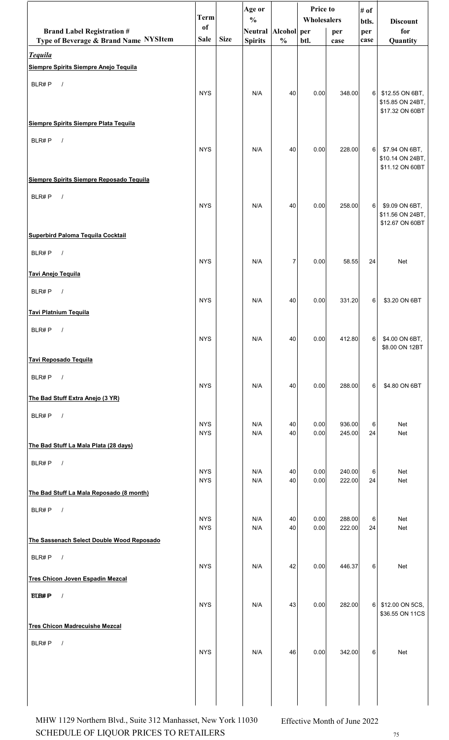|                                                         | <b>Term</b>              |             | Age or<br>$\frac{0}{0}$ |               | Price to<br>Wholesalers |                  | # of           | <b>Discount</b>                                        |
|---------------------------------------------------------|--------------------------|-------------|-------------------------|---------------|-------------------------|------------------|----------------|--------------------------------------------------------|
| <b>Brand Label Registration #</b>                       | <sub>of</sub>            |             | Neutral Alcohol per     |               |                         | per              | btls.<br>per   | for                                                    |
| Type of Beverage & Brand Name NYSItem                   | Sale                     | <b>Size</b> | <b>Spirits</b>          | $\frac{0}{0}$ | btl.                    | case             | case           | Quantity                                               |
| <b>Tequila</b><br>Siempre Spirits Siempre Anejo Tequila |                          |             |                         |               |                         |                  |                |                                                        |
| BLR#P<br>$\sqrt{ }$                                     |                          |             |                         |               |                         |                  |                |                                                        |
|                                                         | <b>NYS</b>               |             | N/A                     | 40            | 0.00                    | 348.00           | 6              | \$12.55 ON 6BT,<br>\$15.85 ON 24BT,<br>\$17.32 ON 60BT |
| Siempre Spirits Siempre Plata Tequila                   |                          |             |                         |               |                         |                  |                |                                                        |
| BLR#P<br>$\sqrt{ }$                                     | <b>NYS</b>               |             | N/A                     | 40            | 0.00                    | 228.00           | 6 <sup>1</sup> | \$7.94 ON 6BT,<br>\$10.14 ON 24BT,<br>\$11.12 ON 60BT  |
| Siempre Spirits Siempre Reposado Tequila                |                          |             |                         |               |                         |                  |                |                                                        |
| BLR#P<br>$\sqrt{ }$                                     | <b>NYS</b>               |             | N/A                     | 40            | 0.00                    | 258.00           | 6              | \$9.09 ON 6BT,<br>\$11.56 ON 24BT,<br>\$12.67 ON 60BT  |
| Superbird Paloma Tequila Cocktail                       |                          |             |                         |               |                         |                  |                |                                                        |
| BLR#P<br>$\sqrt{ }$                                     | <b>NYS</b>               |             | N/A                     | 7             | 0.00                    | 58.55            | 24             | Net                                                    |
| Tavi Anejo Tequila                                      |                          |             |                         |               |                         |                  |                |                                                        |
| BLR#P<br>$\sqrt{ }$<br><b>Tavi Platnium Tequila</b>     | <b>NYS</b>               |             | N/A                     | 40            | 0.00                    | 331.20           | 6              | \$3.20 ON 6BT                                          |
|                                                         |                          |             |                         |               |                         |                  |                |                                                        |
| $BLR\#P$ /                                              | <b>NYS</b>               |             | N/A                     | 40            | 0.00                    | 412.80           | 6              | \$4.00 ON 6BT,<br>\$8.00 ON 12BT                       |
| Tavi Reposado Tequila                                   |                          |             |                         |               |                         |                  |                |                                                        |
| BLR#P<br>$\sqrt{ }$                                     | <b>NYS</b>               |             | N/A                     | 40            | 0.00                    | 288.00           | 6              | \$4.80 ON 6BT                                          |
| The Bad Stuff Extra Anejo (3 YR)                        |                          |             |                         |               |                         |                  |                |                                                        |
| BLR#P<br>$\frac{1}{2}$                                  | <b>NYS</b><br><b>NYS</b> |             | N/A<br>N/A              | 40<br>40      | 0.00<br>0.00            | 936.00<br>245.00 | 6<br>24        | Net<br>Net                                             |
| The Bad Stuff La Mala Plata (28 days)                   |                          |             |                         |               |                         |                  |                |                                                        |
| BLR#P<br>$\sqrt{ }$                                     |                          |             |                         |               |                         |                  |                |                                                        |
|                                                         | <b>NYS</b><br><b>NYS</b> |             | N/A<br>N/A              | 40<br>40      | 0.00<br>0.00            | 240.00<br>222.00 | 6<br>24        | Net<br>Net                                             |
| The Bad Stuff La Mala Reposado (8 month)                |                          |             |                         |               |                         |                  |                |                                                        |
| BLR#P<br>$\sqrt{ }$                                     | <b>NYS</b><br><b>NYS</b> |             | N/A<br>N/A              | 40<br>40      | 0.00<br>0.00            | 288.00<br>222.00 | 6<br>24        | Net<br>Net                                             |
| The Sassenach Select Double Wood Reposado               |                          |             |                         |               |                         |                  |                |                                                        |
| BLR#P<br>$\sqrt{ }$                                     |                          |             |                         |               |                         |                  |                |                                                        |
| <b>Tres Chicon Joven Espadin Mezcal</b>                 | <b>NYS</b>               |             | N/A                     | 42            | 0.00                    | 446.37           | 6              | Net                                                    |
| <b>BLB#P</b><br>$\sqrt{ }$                              | <b>NYS</b>               |             | N/A                     | 43            | 0.00                    | 282.00           | 6              | \$12.00 ON 5CS,                                        |
|                                                         |                          |             |                         |               |                         |                  |                | \$36.55 ON 11CS                                        |
| <b>Tres Chicon Madrecuishe Mezcal</b>                   |                          |             |                         |               |                         |                  |                |                                                        |
| BLR#P<br>$\sqrt{ }$                                     | <b>NYS</b>               |             | N/A                     | 46            | 0.00                    | 342.00           | 6              | Net                                                    |
|                                                         |                          |             |                         |               |                         |                  |                |                                                        |

SCHEDULE OF LIQUOR PRICES TO RETAILERS  $1/5$ MHW 1129 Northern Blvd., Suite 312 Manhasset, New York 11030 Effective Month of June 2022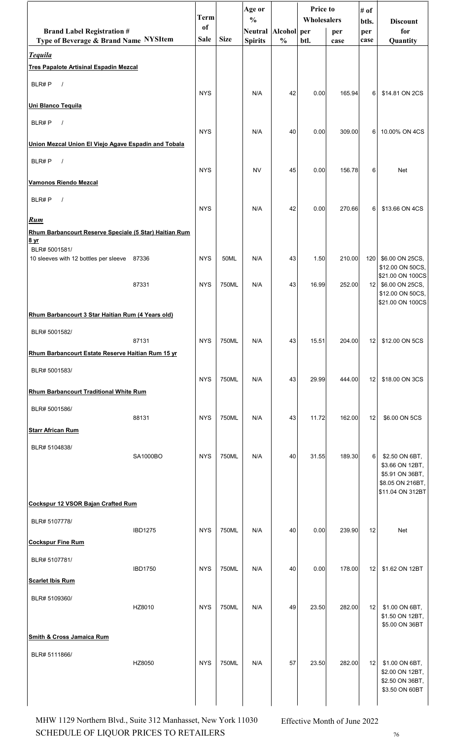|                                                                      |                | <b>Term</b>   |             | Age or<br>$\frac{0}{0}$ |               | <b>Price to</b><br>Wholesalers |        | # of<br>btls.   | <b>Discount</b>                        |
|----------------------------------------------------------------------|----------------|---------------|-------------|-------------------------|---------------|--------------------------------|--------|-----------------|----------------------------------------|
| <b>Brand Label Registration #</b>                                    |                | <sub>of</sub> |             | Neutral Alcohol per     |               |                                | per    | per             | for                                    |
| Type of Beverage & Brand Name NYSItem<br><b>Tequila</b>              |                | <b>Sale</b>   | <b>Size</b> | <b>Spirits</b>          | $\frac{0}{0}$ | btl.                           | case   | case            | Quantity                               |
| <b>Tres Papalote Artisinal Espadin Mezcal</b>                        |                |               |             |                         |               |                                |        |                 |                                        |
| BLR#P<br>$\sqrt{ }$                                                  |                | <b>NYS</b>    |             |                         |               |                                |        |                 |                                        |
| Uni Blanco Tequila                                                   |                |               |             | N/A                     | 42            | 0.00                           | 165.94 | 6               | \$14.81 ON 2CS                         |
| BLR#P<br>$\sqrt{ }$                                                  |                |               |             |                         |               |                                |        |                 |                                        |
| Union Mezcal Union El Viejo Agave Espadin and Tobala                 |                | <b>NYS</b>    |             | N/A                     | 40            | 0.00                           | 309.00 | 6               | 10.00% ON 4CS                          |
| BLR#P<br>$\sqrt{ }$                                                  |                |               |             |                         |               |                                |        |                 |                                        |
| <b>Vamonos Riendo Mezcal</b>                                         |                | <b>NYS</b>    |             | <b>NV</b>               | 45            | 0.00                           | 156.78 | 6               | <b>Net</b>                             |
| BLR#P<br>$\sqrt{ }$                                                  |                |               |             |                         |               |                                |        |                 |                                        |
|                                                                      |                | <b>NYS</b>    |             | N/A                     | 42            | 0.00                           | 270.66 | 6               | \$13.66 ON 4CS                         |
| <b>Rum</b><br>Rhum Barbancourt Reserve Speciale (5 Star) Haitian Rum |                |               |             |                         |               |                                |        |                 |                                        |
| 8 <sub>yr</sub>                                                      |                |               |             |                         |               |                                |        |                 |                                        |
| BLR# 5001581/<br>10 sleeves with 12 bottles per sleeve 87336         |                | <b>NYS</b>    | 50ML        | N/A                     | 43            | 1.50                           | 210.00 | 120             | \$6.00 ON 25CS,<br>\$12.00 ON 50CS,    |
|                                                                      | 87331          | <b>NYS</b>    | 750ML       | N/A                     | 43            | 16.99                          | 252.00 |                 | \$21.00 ON 100CS<br>12 \$6.00 ON 25CS, |
|                                                                      |                |               |             |                         |               |                                |        |                 | \$12.00 ON 50CS,<br>\$21.00 ON 100CS   |
| Rhum Barbancourt 3 Star Haitian Rum (4 Years old)                    |                |               |             |                         |               |                                |        |                 |                                        |
| BLR# 5001582/                                                        |                |               |             |                         |               |                                |        |                 |                                        |
|                                                                      | 87131          | <b>NYS</b>    | 750ML       | N/A                     | 43            | 15.51                          | 204.00 | 12              | \$12.00 ON 5CS                         |
| Rhum Barbancourt Estate Reserve Haitian Rum 15 yr                    |                |               |             |                         |               |                                |        |                 |                                        |
| BLR# 5001583/                                                        |                | <b>NYS</b>    | 750ML       | N/A                     | 43            | 29.99                          | 444.00 | 12 <sub>1</sub> | \$18.00 ON 3CS                         |
| Rhum Barbancourt Traditional White Rum                               |                |               |             |                         |               |                                |        |                 |                                        |
| BLR# 5001586/                                                        |                |               |             |                         |               |                                |        |                 |                                        |
| <b>Starr African Rum</b>                                             | 88131          | <b>NYS</b>    | 750ML       | N/A                     | 43            | 11.72                          | 162.00 | 12              | \$6.00 ON 5CS                          |
| BLR# 5104838/                                                        |                |               |             |                         |               |                                |        |                 |                                        |
|                                                                      | SA1000BO       | <b>NYS</b>    | 750ML       | N/A                     | 40            | 31.55                          | 189.30 | 6               | \$2.50 ON 6BT,                         |
|                                                                      |                |               |             |                         |               |                                |        |                 | \$3.66 ON 12BT,<br>\$5.91 ON 36BT,     |
|                                                                      |                |               |             |                         |               |                                |        |                 | \$8.05 ON 216BT,<br>\$11.04 ON 312BT   |
| Cockspur 12 VSOR Bajan Crafted Rum                                   |                |               |             |                         |               |                                |        |                 |                                        |
| BLR# 5107778/                                                        |                |               |             |                         |               |                                |        |                 |                                        |
| <b>Cockspur Fine Rum</b>                                             | <b>IBD1275</b> | <b>NYS</b>    | 750ML       | N/A                     | 40            | 0.00                           | 239.90 | 12              | Net                                    |
| BLR# 5107781/                                                        |                |               |             |                         |               |                                |        |                 |                                        |
|                                                                      | <b>IBD1750</b> | <b>NYS</b>    | 750ML       | N/A                     | 40            | 0.00                           | 178.00 | 12              | \$1.62 ON 12BT                         |
| <b>Scarlet Ibis Rum</b>                                              |                |               |             |                         |               |                                |        |                 |                                        |
| BLR# 5109360/                                                        | HZ8010         | <b>NYS</b>    | 750ML       | N/A                     | 49            | 23.50                          | 282.00 | 12              | \$1.00 ON 6BT,                         |
|                                                                      |                |               |             |                         |               |                                |        |                 | \$1.50 ON 12BT,<br>\$5.00 ON 36BT      |
| <b>Smith &amp; Cross Jamaica Rum</b>                                 |                |               |             |                         |               |                                |        |                 |                                        |
| BLR# 5111866/                                                        |                |               |             |                         |               |                                |        |                 |                                        |
|                                                                      | HZ8050         | <b>NYS</b>    | 750ML       | N/A                     | 57            | 23.50                          | 282.00 | 12              | \$1.00 ON 6BT,<br>\$2.00 ON 12BT,      |
|                                                                      |                |               |             |                         |               |                                |        |                 | \$2.50 ON 36BT,<br>\$3.50 ON 60BT      |
|                                                                      |                |               |             |                         |               |                                |        |                 |                                        |

SCHEDULE OF LIQUOR PRICES TO RETAILERS  $16$ MHW 1129 Northern Blvd., Suite 312 Manhasset, New York 11030 Effective Month of June 2022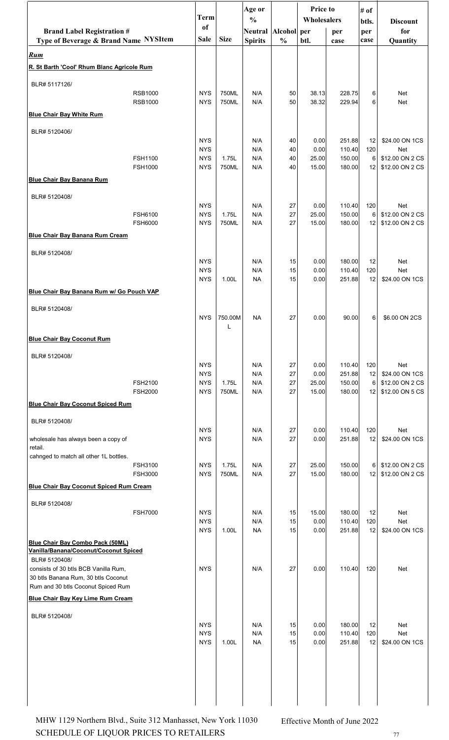|                                                                                  |                                  | <b>Term</b>              |                | Age or                               |               | <b>Price to</b><br>Wholesalers |                  | # of         |                                    |
|----------------------------------------------------------------------------------|----------------------------------|--------------------------|----------------|--------------------------------------|---------------|--------------------------------|------------------|--------------|------------------------------------|
| <b>Brand Label Registration #</b>                                                |                                  | of                       |                | $\frac{0}{0}$<br>Neutral Alcohol per |               |                                | per              | btls.<br>per | <b>Discount</b><br>for             |
| Type of Beverage & Brand Name NYSItem                                            |                                  | <b>Sale</b>              | <b>Size</b>    | <b>Spirits</b>                       | $\frac{0}{0}$ | btl.                           | case             | case         | Quantity                           |
| <b>Rum</b>                                                                       |                                  |                          |                |                                      |               |                                |                  |              |                                    |
| R. St Barth 'Cool' Rhum Blanc Agricole Rum                                       |                                  |                          |                |                                      |               |                                |                  |              |                                    |
| BLR# 5117126/                                                                    | <b>RSB1000</b>                   | <b>NYS</b>               | 750ML          | N/A                                  | 50            | 38.13                          | 228.75           | 6            | Net                                |
|                                                                                  | <b>RSB1000</b>                   | <b>NYS</b>               | 750ML          | N/A                                  | 50            | 38.32                          | 229.94           | 6            | Net                                |
| <b>Blue Chair Bay White Rum</b>                                                  |                                  |                          |                |                                      |               |                                |                  |              |                                    |
| BLR# 5120406/                                                                    |                                  |                          |                |                                      |               |                                |                  |              |                                    |
|                                                                                  |                                  | <b>NYS</b><br><b>NYS</b> |                | N/A<br>N/A                           | 40<br>40      | 0.00<br>0.00                   | 251.88<br>110.40 | 12<br>120    | \$24.00 ON 1CS<br>Net              |
|                                                                                  | FSH1100<br><b>FSH1000</b>        | <b>NYS</b><br><b>NYS</b> | 1.75L<br>750ML | N/A<br>N/A                           | 40<br>40      | 25.00<br>15.00                 | 150.00<br>180.00 | 6<br>12      | \$12.00 ON 2 CS<br>\$12.00 ON 2 CS |
| <b>Blue Chair Bay Banana Rum</b>                                                 |                                  |                          |                |                                      |               |                                |                  |              |                                    |
| BLR# 5120408/                                                                    |                                  |                          |                |                                      |               |                                |                  |              |                                    |
|                                                                                  |                                  | <b>NYS</b>               |                | N/A                                  | 27            | 0.00                           | 110.40           | 120          | <b>Net</b>                         |
|                                                                                  | FSH6100<br><b>FSH6000</b>        | <b>NYS</b><br><b>NYS</b> | 1.75L<br>750ML | N/A<br>N/A                           | 27<br>27      | 25.00<br>15.00                 | 150.00<br>180.00 | 6<br>12      | \$12.00 ON 2 CS<br>\$12.00 ON 2 CS |
| <b>Blue Chair Bay Banana Rum Cream</b>                                           |                                  |                          |                |                                      |               |                                |                  |              |                                    |
| BLR# 5120408/                                                                    |                                  |                          |                |                                      |               |                                |                  |              |                                    |
|                                                                                  |                                  | <b>NYS</b><br><b>NYS</b> |                | N/A<br>N/A                           | 15<br>15      | 0.00<br>0.00                   | 180.00<br>110.40 | 12<br>120    | Net<br><b>Net</b>                  |
|                                                                                  |                                  | <b>NYS</b>               | 1.00L          | <b>NA</b>                            | 15            | 0.00                           | 251.88           | 12           | \$24.00 ON 1CS                     |
| Blue Chair Bay Banana Rum w/ Go Pouch VAP                                        |                                  |                          |                |                                      |               |                                |                  |              |                                    |
| BLR# 5120408/                                                                    |                                  |                          |                |                                      |               |                                |                  |              |                                    |
|                                                                                  |                                  | <b>NYS</b>               | 750.00M<br>L   | <b>NA</b>                            | 27            | 0.00                           | 90.00            | 6            | \$6.00 ON 2CS                      |
| <b>Blue Chair Bay Coconut Rum</b>                                                |                                  |                          |                |                                      |               |                                |                  |              |                                    |
| BLR# 5120408/                                                                    |                                  |                          |                |                                      |               |                                |                  |              |                                    |
|                                                                                  |                                  | <b>NYS</b><br><b>NYS</b> |                | N/A<br>N/A                           | 27<br>27      | 0.00<br>0.00                   | 110.40<br>251.88 | 120<br>12    | <b>Net</b><br>\$24.00 ON 1CS       |
|                                                                                  | FSH2100                          | <b>NYS</b>               | 1.75L          | N/A                                  | 27            | 25.00                          | 150.00           | 6            | \$12.00 ON 2 CS                    |
| <b>Blue Chair Bay Coconut Spiced Rum</b>                                         | <b>FSH2000</b>                   | <b>NYS</b>               | 750ML          | N/A                                  | 27            | 15.00                          | 180.00           | 12           | \$12.00 ON 5 CS                    |
|                                                                                  |                                  |                          |                |                                      |               |                                |                  |              |                                    |
| BLR# 5120408/                                                                    |                                  | <b>NYS</b>               |                | N/A                                  | 27            | 0.00                           | 110.40           | 120          | <b>Net</b>                         |
| wholesale has always been a copy of<br>retail.                                   |                                  | <b>NYS</b>               |                | N/A                                  | 27            | 0.00                           | 251.88           | 12           | \$24.00 ON 1CS                     |
| cahnged to match all other 1L bottles.                                           |                                  |                          |                |                                      |               |                                |                  |              |                                    |
|                                                                                  | <b>FSH3100</b><br><b>FSH3000</b> | <b>NYS</b><br><b>NYS</b> | 1.75L<br>750ML | N/A<br>N/A                           | 27<br>27      | 25.00<br>15.00                 | 150.00<br>180.00 | 6<br>12      | \$12.00 ON 2 CS<br>\$12.00 ON 2 CS |
| <b>Blue Chair Bay Coconut Spiced Rum Cream</b>                                   |                                  |                          |                |                                      |               |                                |                  |              |                                    |
| BLR# 5120408/                                                                    |                                  |                          |                |                                      |               |                                |                  |              |                                    |
|                                                                                  | <b>FSH7000</b>                   | <b>NYS</b><br><b>NYS</b> |                | N/A<br>N/A                           | 15<br>15      | 15.00<br>0.00                  | 180.00<br>110.40 | 12<br>120    | <b>Net</b><br><b>Net</b>           |
|                                                                                  |                                  | <b>NYS</b>               | 1.00L          | <b>NA</b>                            | 15            | 0.00                           | 251.88           | 12           | \$24.00 ON 1CS                     |
| <b>Blue Chair Bay Combo Pack (50ML)</b><br>Vanilla/Banana/Coconut/Coconut Spiced |                                  |                          |                |                                      |               |                                |                  |              |                                    |
| BLR# 5120408/<br>consists of 30 btls BCB Vanilla Rum,                            |                                  | <b>NYS</b>               |                | N/A                                  | 27            | 0.00                           | 110.40           | 120          | Net                                |
| 30 btls Banana Rum, 30 btls Coconut                                              |                                  |                          |                |                                      |               |                                |                  |              |                                    |
| Rum and 30 btls Coconut Spiced Rum                                               |                                  |                          |                |                                      |               |                                |                  |              |                                    |
| <b>Blue Chair Bay Key Lime Rum Cream</b>                                         |                                  |                          |                |                                      |               |                                |                  |              |                                    |
| BLR# 5120408/                                                                    |                                  | <b>NYS</b>               |                | N/A                                  | 15            | 0.00                           | 180.00           | 12           | <b>Net</b>                         |
|                                                                                  |                                  | <b>NYS</b><br><b>NYS</b> | 1.00L          | N/A<br><b>NA</b>                     | 15<br>15      | 0.00<br>0.00                   | 110.40<br>251.88 | 120          | <b>Net</b><br>\$24.00 ON 1CS       |
|                                                                                  |                                  |                          |                |                                      |               |                                |                  | 12           |                                    |
|                                                                                  |                                  |                          |                |                                      |               |                                |                  |              |                                    |
|                                                                                  |                                  |                          |                |                                      |               |                                |                  |              |                                    |
|                                                                                  |                                  |                          |                |                                      |               |                                |                  |              |                                    |
|                                                                                  |                                  |                          |                |                                      |               |                                |                  |              |                                    |

SCHEDULE OF LIQUOR PRICES TO RETAILERS **77** MHW 1129 Northern Blvd., Suite 312 Manhasset, New York 11030 Effective Month of June 2022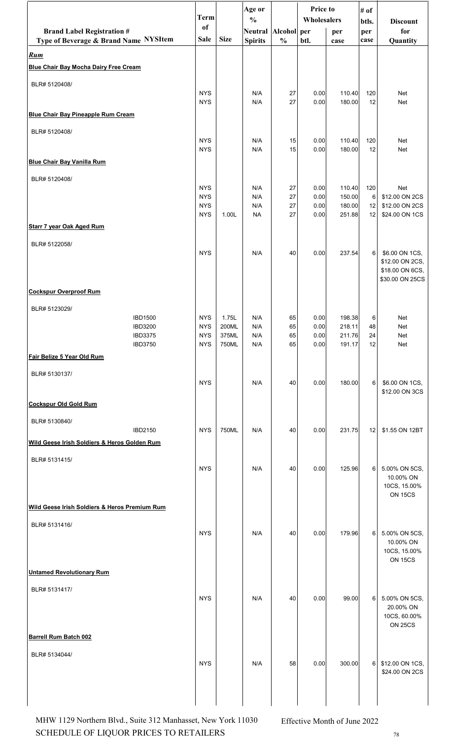| of<br><b>Brand Label Registration #</b><br>Alcohol per<br>for<br>Neutral  <br>per<br>per<br><b>Size</b><br>Type of Beverage & Brand Name NYSItem<br>Sale<br>$\frac{0}{0}$<br><b>Spirits</b><br>btl.<br>Quantity<br>case<br>case<br>BLR# 5120408/<br><b>NYS</b><br>27<br>110.40<br>N/A<br>0.00<br>120<br>Net<br>N/A<br>27<br><b>NYS</b><br>0.00<br>180.00<br>12<br>Net<br>BLR# 5120408/<br><b>NYS</b><br>110.40<br>N/A<br>15<br>0.00<br>120<br>Net<br><b>NYS</b><br>N/A<br>15<br>180.00<br>Net<br>0.00<br>12<br>BLR# 5120408/<br><b>NYS</b><br>27<br>110.40<br><b>Net</b><br>N/A<br>0.00<br>120<br>27<br>150.00<br>\$12.00 ON 2CS<br><b>NYS</b><br>N/A<br>0.00<br>6<br>27<br>180.00<br><b>NYS</b><br>N/A<br>0.00<br>\$12.00 ON 2CS<br>12<br><b>NYS</b><br>1.00L<br><b>NA</b><br>27<br>251.88<br>12<br>\$24.00 ON 1CS<br>0.00<br>BLR# 5122058/<br><b>NYS</b><br>0.00<br>237.54<br>N/A<br>40<br>6<br>\$6.00 ON 1CS,<br>\$12.00 ON 2CS,<br>\$18.00 ON 6CS,<br>\$30.00 ON 25CS<br><b>Cockspur Overproof Rum</b><br>BLR# 5123029/<br><b>IBD1500</b><br><b>NYS</b><br>1.75L<br>N/A<br>65<br>0.00<br>198.38<br>Net<br>6<br><b>NYS</b><br>65<br>218.11<br><b>IBD3200</b><br>200ML<br>N/A<br>0.00<br>48<br>Net<br><b>NYS</b><br>375ML<br>N/A<br>65<br>0.00<br>211.76<br>Net<br><b>IBD3375</b><br>24<br><b>NYS</b><br>750ML<br>N/A<br>65<br>0.00<br>191.17<br>12<br>Net<br><b>IBD3750</b><br>BLR# 5130137/<br><b>NYS</b><br>N/A<br>180.00<br>6<br>40<br>0.00<br>\$6.00 ON 1CS,<br>\$12.00 ON 3CS<br>BLR# 5130840/<br>750ML<br><b>IBD2150</b><br><b>NYS</b><br>N/A<br>40<br>0.00<br>231.75<br>12<br>\$1.55 ON 12BT<br>Wild Geese Irish Soldiers & Heros Golden Rum<br>BLR# 5131415/<br><b>NYS</b><br>N/A<br>0.00<br>125.96<br>40<br>6<br>5.00% ON 5CS,<br>10.00% ON<br>10CS, 15.00%<br><b>ON 15CS</b><br>BLR# 5131416/<br><b>NYS</b><br>N/A<br>40<br>179.96<br>5.00% ON 5CS,<br>0.00<br>6<br>10.00% ON<br>10CS, 15.00%<br><b>ON 15CS</b><br><b>Untamed Revolutionary Rum</b><br>BLR# 5131417/<br><b>NYS</b><br>N/A<br>0.00<br>99.00<br>6<br>5.00% ON 5CS,<br>40<br>20.00% ON<br>10CS, 60.00% |                                               | Price to<br>Age or<br># of<br><b>Term</b> |  | Wholesalers   |  |  |  |       |                 |
|----------------------------------------------------------------------------------------------------------------------------------------------------------------------------------------------------------------------------------------------------------------------------------------------------------------------------------------------------------------------------------------------------------------------------------------------------------------------------------------------------------------------------------------------------------------------------------------------------------------------------------------------------------------------------------------------------------------------------------------------------------------------------------------------------------------------------------------------------------------------------------------------------------------------------------------------------------------------------------------------------------------------------------------------------------------------------------------------------------------------------------------------------------------------------------------------------------------------------------------------------------------------------------------------------------------------------------------------------------------------------------------------------------------------------------------------------------------------------------------------------------------------------------------------------------------------------------------------------------------------------------------------------------------------------------------------------------------------------------------------------------------------------------------------------------------------------------------------------------------------------------------------------------------------------------------------------------------------------------------------------------------------------------------------------------------------------------|-----------------------------------------------|-------------------------------------------|--|---------------|--|--|--|-------|-----------------|
|                                                                                                                                                                                                                                                                                                                                                                                                                                                                                                                                                                                                                                                                                                                                                                                                                                                                                                                                                                                                                                                                                                                                                                                                                                                                                                                                                                                                                                                                                                                                                                                                                                                                                                                                                                                                                                                                                                                                                                                                                                                                                  |                                               |                                           |  | $\frac{0}{0}$ |  |  |  | btls. | <b>Discount</b> |
|                                                                                                                                                                                                                                                                                                                                                                                                                                                                                                                                                                                                                                                                                                                                                                                                                                                                                                                                                                                                                                                                                                                                                                                                                                                                                                                                                                                                                                                                                                                                                                                                                                                                                                                                                                                                                                                                                                                                                                                                                                                                                  |                                               |                                           |  |               |  |  |  |       |                 |
|                                                                                                                                                                                                                                                                                                                                                                                                                                                                                                                                                                                                                                                                                                                                                                                                                                                                                                                                                                                                                                                                                                                                                                                                                                                                                                                                                                                                                                                                                                                                                                                                                                                                                                                                                                                                                                                                                                                                                                                                                                                                                  | Rum                                           |                                           |  |               |  |  |  |       |                 |
|                                                                                                                                                                                                                                                                                                                                                                                                                                                                                                                                                                                                                                                                                                                                                                                                                                                                                                                                                                                                                                                                                                                                                                                                                                                                                                                                                                                                                                                                                                                                                                                                                                                                                                                                                                                                                                                                                                                                                                                                                                                                                  | <b>Blue Chair Bay Mocha Dairy Free Cream</b>  |                                           |  |               |  |  |  |       |                 |
|                                                                                                                                                                                                                                                                                                                                                                                                                                                                                                                                                                                                                                                                                                                                                                                                                                                                                                                                                                                                                                                                                                                                                                                                                                                                                                                                                                                                                                                                                                                                                                                                                                                                                                                                                                                                                                                                                                                                                                                                                                                                                  |                                               |                                           |  |               |  |  |  |       |                 |
|                                                                                                                                                                                                                                                                                                                                                                                                                                                                                                                                                                                                                                                                                                                                                                                                                                                                                                                                                                                                                                                                                                                                                                                                                                                                                                                                                                                                                                                                                                                                                                                                                                                                                                                                                                                                                                                                                                                                                                                                                                                                                  |                                               |                                           |  |               |  |  |  |       |                 |
|                                                                                                                                                                                                                                                                                                                                                                                                                                                                                                                                                                                                                                                                                                                                                                                                                                                                                                                                                                                                                                                                                                                                                                                                                                                                                                                                                                                                                                                                                                                                                                                                                                                                                                                                                                                                                                                                                                                                                                                                                                                                                  | <b>Blue Chair Bay Pineapple Rum Cream</b>     |                                           |  |               |  |  |  |       |                 |
|                                                                                                                                                                                                                                                                                                                                                                                                                                                                                                                                                                                                                                                                                                                                                                                                                                                                                                                                                                                                                                                                                                                                                                                                                                                                                                                                                                                                                                                                                                                                                                                                                                                                                                                                                                                                                                                                                                                                                                                                                                                                                  |                                               |                                           |  |               |  |  |  |       |                 |
|                                                                                                                                                                                                                                                                                                                                                                                                                                                                                                                                                                                                                                                                                                                                                                                                                                                                                                                                                                                                                                                                                                                                                                                                                                                                                                                                                                                                                                                                                                                                                                                                                                                                                                                                                                                                                                                                                                                                                                                                                                                                                  |                                               |                                           |  |               |  |  |  |       |                 |
|                                                                                                                                                                                                                                                                                                                                                                                                                                                                                                                                                                                                                                                                                                                                                                                                                                                                                                                                                                                                                                                                                                                                                                                                                                                                                                                                                                                                                                                                                                                                                                                                                                                                                                                                                                                                                                                                                                                                                                                                                                                                                  | <b>Blue Chair Bay Vanilla Rum</b>             |                                           |  |               |  |  |  |       |                 |
|                                                                                                                                                                                                                                                                                                                                                                                                                                                                                                                                                                                                                                                                                                                                                                                                                                                                                                                                                                                                                                                                                                                                                                                                                                                                                                                                                                                                                                                                                                                                                                                                                                                                                                                                                                                                                                                                                                                                                                                                                                                                                  |                                               |                                           |  |               |  |  |  |       |                 |
|                                                                                                                                                                                                                                                                                                                                                                                                                                                                                                                                                                                                                                                                                                                                                                                                                                                                                                                                                                                                                                                                                                                                                                                                                                                                                                                                                                                                                                                                                                                                                                                                                                                                                                                                                                                                                                                                                                                                                                                                                                                                                  |                                               |                                           |  |               |  |  |  |       |                 |
|                                                                                                                                                                                                                                                                                                                                                                                                                                                                                                                                                                                                                                                                                                                                                                                                                                                                                                                                                                                                                                                                                                                                                                                                                                                                                                                                                                                                                                                                                                                                                                                                                                                                                                                                                                                                                                                                                                                                                                                                                                                                                  |                                               |                                           |  |               |  |  |  |       |                 |
|                                                                                                                                                                                                                                                                                                                                                                                                                                                                                                                                                                                                                                                                                                                                                                                                                                                                                                                                                                                                                                                                                                                                                                                                                                                                                                                                                                                                                                                                                                                                                                                                                                                                                                                                                                                                                                                                                                                                                                                                                                                                                  |                                               |                                           |  |               |  |  |  |       |                 |
|                                                                                                                                                                                                                                                                                                                                                                                                                                                                                                                                                                                                                                                                                                                                                                                                                                                                                                                                                                                                                                                                                                                                                                                                                                                                                                                                                                                                                                                                                                                                                                                                                                                                                                                                                                                                                                                                                                                                                                                                                                                                                  | <b>Starr 7 year Oak Aged Rum</b>              |                                           |  |               |  |  |  |       |                 |
|                                                                                                                                                                                                                                                                                                                                                                                                                                                                                                                                                                                                                                                                                                                                                                                                                                                                                                                                                                                                                                                                                                                                                                                                                                                                                                                                                                                                                                                                                                                                                                                                                                                                                                                                                                                                                                                                                                                                                                                                                                                                                  |                                               |                                           |  |               |  |  |  |       |                 |
|                                                                                                                                                                                                                                                                                                                                                                                                                                                                                                                                                                                                                                                                                                                                                                                                                                                                                                                                                                                                                                                                                                                                                                                                                                                                                                                                                                                                                                                                                                                                                                                                                                                                                                                                                                                                                                                                                                                                                                                                                                                                                  |                                               |                                           |  |               |  |  |  |       |                 |
|                                                                                                                                                                                                                                                                                                                                                                                                                                                                                                                                                                                                                                                                                                                                                                                                                                                                                                                                                                                                                                                                                                                                                                                                                                                                                                                                                                                                                                                                                                                                                                                                                                                                                                                                                                                                                                                                                                                                                                                                                                                                                  |                                               |                                           |  |               |  |  |  |       |                 |
|                                                                                                                                                                                                                                                                                                                                                                                                                                                                                                                                                                                                                                                                                                                                                                                                                                                                                                                                                                                                                                                                                                                                                                                                                                                                                                                                                                                                                                                                                                                                                                                                                                                                                                                                                                                                                                                                                                                                                                                                                                                                                  |                                               |                                           |  |               |  |  |  |       |                 |
|                                                                                                                                                                                                                                                                                                                                                                                                                                                                                                                                                                                                                                                                                                                                                                                                                                                                                                                                                                                                                                                                                                                                                                                                                                                                                                                                                                                                                                                                                                                                                                                                                                                                                                                                                                                                                                                                                                                                                                                                                                                                                  |                                               |                                           |  |               |  |  |  |       |                 |
|                                                                                                                                                                                                                                                                                                                                                                                                                                                                                                                                                                                                                                                                                                                                                                                                                                                                                                                                                                                                                                                                                                                                                                                                                                                                                                                                                                                                                                                                                                                                                                                                                                                                                                                                                                                                                                                                                                                                                                                                                                                                                  |                                               |                                           |  |               |  |  |  |       |                 |
|                                                                                                                                                                                                                                                                                                                                                                                                                                                                                                                                                                                                                                                                                                                                                                                                                                                                                                                                                                                                                                                                                                                                                                                                                                                                                                                                                                                                                                                                                                                                                                                                                                                                                                                                                                                                                                                                                                                                                                                                                                                                                  |                                               |                                           |  |               |  |  |  |       |                 |
|                                                                                                                                                                                                                                                                                                                                                                                                                                                                                                                                                                                                                                                                                                                                                                                                                                                                                                                                                                                                                                                                                                                                                                                                                                                                                                                                                                                                                                                                                                                                                                                                                                                                                                                                                                                                                                                                                                                                                                                                                                                                                  |                                               |                                           |  |               |  |  |  |       |                 |
|                                                                                                                                                                                                                                                                                                                                                                                                                                                                                                                                                                                                                                                                                                                                                                                                                                                                                                                                                                                                                                                                                                                                                                                                                                                                                                                                                                                                                                                                                                                                                                                                                                                                                                                                                                                                                                                                                                                                                                                                                                                                                  | Fair Belize 5 Year Old Rum                    |                                           |  |               |  |  |  |       |                 |
|                                                                                                                                                                                                                                                                                                                                                                                                                                                                                                                                                                                                                                                                                                                                                                                                                                                                                                                                                                                                                                                                                                                                                                                                                                                                                                                                                                                                                                                                                                                                                                                                                                                                                                                                                                                                                                                                                                                                                                                                                                                                                  |                                               |                                           |  |               |  |  |  |       |                 |
|                                                                                                                                                                                                                                                                                                                                                                                                                                                                                                                                                                                                                                                                                                                                                                                                                                                                                                                                                                                                                                                                                                                                                                                                                                                                                                                                                                                                                                                                                                                                                                                                                                                                                                                                                                                                                                                                                                                                                                                                                                                                                  |                                               |                                           |  |               |  |  |  |       |                 |
|                                                                                                                                                                                                                                                                                                                                                                                                                                                                                                                                                                                                                                                                                                                                                                                                                                                                                                                                                                                                                                                                                                                                                                                                                                                                                                                                                                                                                                                                                                                                                                                                                                                                                                                                                                                                                                                                                                                                                                                                                                                                                  | <b>Cockspur Old Gold Rum</b>                  |                                           |  |               |  |  |  |       |                 |
|                                                                                                                                                                                                                                                                                                                                                                                                                                                                                                                                                                                                                                                                                                                                                                                                                                                                                                                                                                                                                                                                                                                                                                                                                                                                                                                                                                                                                                                                                                                                                                                                                                                                                                                                                                                                                                                                                                                                                                                                                                                                                  |                                               |                                           |  |               |  |  |  |       |                 |
|                                                                                                                                                                                                                                                                                                                                                                                                                                                                                                                                                                                                                                                                                                                                                                                                                                                                                                                                                                                                                                                                                                                                                                                                                                                                                                                                                                                                                                                                                                                                                                                                                                                                                                                                                                                                                                                                                                                                                                                                                                                                                  |                                               |                                           |  |               |  |  |  |       |                 |
|                                                                                                                                                                                                                                                                                                                                                                                                                                                                                                                                                                                                                                                                                                                                                                                                                                                                                                                                                                                                                                                                                                                                                                                                                                                                                                                                                                                                                                                                                                                                                                                                                                                                                                                                                                                                                                                                                                                                                                                                                                                                                  |                                               |                                           |  |               |  |  |  |       |                 |
|                                                                                                                                                                                                                                                                                                                                                                                                                                                                                                                                                                                                                                                                                                                                                                                                                                                                                                                                                                                                                                                                                                                                                                                                                                                                                                                                                                                                                                                                                                                                                                                                                                                                                                                                                                                                                                                                                                                                                                                                                                                                                  |                                               |                                           |  |               |  |  |  |       |                 |
|                                                                                                                                                                                                                                                                                                                                                                                                                                                                                                                                                                                                                                                                                                                                                                                                                                                                                                                                                                                                                                                                                                                                                                                                                                                                                                                                                                                                                                                                                                                                                                                                                                                                                                                                                                                                                                                                                                                                                                                                                                                                                  |                                               |                                           |  |               |  |  |  |       |                 |
|                                                                                                                                                                                                                                                                                                                                                                                                                                                                                                                                                                                                                                                                                                                                                                                                                                                                                                                                                                                                                                                                                                                                                                                                                                                                                                                                                                                                                                                                                                                                                                                                                                                                                                                                                                                                                                                                                                                                                                                                                                                                                  |                                               |                                           |  |               |  |  |  |       |                 |
|                                                                                                                                                                                                                                                                                                                                                                                                                                                                                                                                                                                                                                                                                                                                                                                                                                                                                                                                                                                                                                                                                                                                                                                                                                                                                                                                                                                                                                                                                                                                                                                                                                                                                                                                                                                                                                                                                                                                                                                                                                                                                  | Wild Geese Irish Soldiers & Heros Premium Rum |                                           |  |               |  |  |  |       |                 |
|                                                                                                                                                                                                                                                                                                                                                                                                                                                                                                                                                                                                                                                                                                                                                                                                                                                                                                                                                                                                                                                                                                                                                                                                                                                                                                                                                                                                                                                                                                                                                                                                                                                                                                                                                                                                                                                                                                                                                                                                                                                                                  |                                               |                                           |  |               |  |  |  |       |                 |
|                                                                                                                                                                                                                                                                                                                                                                                                                                                                                                                                                                                                                                                                                                                                                                                                                                                                                                                                                                                                                                                                                                                                                                                                                                                                                                                                                                                                                                                                                                                                                                                                                                                                                                                                                                                                                                                                                                                                                                                                                                                                                  |                                               |                                           |  |               |  |  |  |       |                 |
|                                                                                                                                                                                                                                                                                                                                                                                                                                                                                                                                                                                                                                                                                                                                                                                                                                                                                                                                                                                                                                                                                                                                                                                                                                                                                                                                                                                                                                                                                                                                                                                                                                                                                                                                                                                                                                                                                                                                                                                                                                                                                  |                                               |                                           |  |               |  |  |  |       |                 |
|                                                                                                                                                                                                                                                                                                                                                                                                                                                                                                                                                                                                                                                                                                                                                                                                                                                                                                                                                                                                                                                                                                                                                                                                                                                                                                                                                                                                                                                                                                                                                                                                                                                                                                                                                                                                                                                                                                                                                                                                                                                                                  |                                               |                                           |  |               |  |  |  |       |                 |
|                                                                                                                                                                                                                                                                                                                                                                                                                                                                                                                                                                                                                                                                                                                                                                                                                                                                                                                                                                                                                                                                                                                                                                                                                                                                                                                                                                                                                                                                                                                                                                                                                                                                                                                                                                                                                                                                                                                                                                                                                                                                                  |                                               |                                           |  |               |  |  |  |       |                 |
|                                                                                                                                                                                                                                                                                                                                                                                                                                                                                                                                                                                                                                                                                                                                                                                                                                                                                                                                                                                                                                                                                                                                                                                                                                                                                                                                                                                                                                                                                                                                                                                                                                                                                                                                                                                                                                                                                                                                                                                                                                                                                  |                                               |                                           |  |               |  |  |  |       |                 |
|                                                                                                                                                                                                                                                                                                                                                                                                                                                                                                                                                                                                                                                                                                                                                                                                                                                                                                                                                                                                                                                                                                                                                                                                                                                                                                                                                                                                                                                                                                                                                                                                                                                                                                                                                                                                                                                                                                                                                                                                                                                                                  |                                               |                                           |  |               |  |  |  |       |                 |
|                                                                                                                                                                                                                                                                                                                                                                                                                                                                                                                                                                                                                                                                                                                                                                                                                                                                                                                                                                                                                                                                                                                                                                                                                                                                                                                                                                                                                                                                                                                                                                                                                                                                                                                                                                                                                                                                                                                                                                                                                                                                                  |                                               |                                           |  |               |  |  |  |       | <b>ON 25CS</b>  |
|                                                                                                                                                                                                                                                                                                                                                                                                                                                                                                                                                                                                                                                                                                                                                                                                                                                                                                                                                                                                                                                                                                                                                                                                                                                                                                                                                                                                                                                                                                                                                                                                                                                                                                                                                                                                                                                                                                                                                                                                                                                                                  | <b>Barrell Rum Batch 002</b>                  |                                           |  |               |  |  |  |       |                 |
| BLR# 5134044/                                                                                                                                                                                                                                                                                                                                                                                                                                                                                                                                                                                                                                                                                                                                                                                                                                                                                                                                                                                                                                                                                                                                                                                                                                                                                                                                                                                                                                                                                                                                                                                                                                                                                                                                                                                                                                                                                                                                                                                                                                                                    |                                               |                                           |  |               |  |  |  |       |                 |
| <b>NYS</b><br>N/A<br>58<br>0.00<br>300.00<br>\$12.00 ON 1CS,<br>6 <br>\$24.00 ON 2CS                                                                                                                                                                                                                                                                                                                                                                                                                                                                                                                                                                                                                                                                                                                                                                                                                                                                                                                                                                                                                                                                                                                                                                                                                                                                                                                                                                                                                                                                                                                                                                                                                                                                                                                                                                                                                                                                                                                                                                                             |                                               |                                           |  |               |  |  |  |       |                 |
|                                                                                                                                                                                                                                                                                                                                                                                                                                                                                                                                                                                                                                                                                                                                                                                                                                                                                                                                                                                                                                                                                                                                                                                                                                                                                                                                                                                                                                                                                                                                                                                                                                                                                                                                                                                                                                                                                                                                                                                                                                                                                  |                                               |                                           |  |               |  |  |  |       |                 |
|                                                                                                                                                                                                                                                                                                                                                                                                                                                                                                                                                                                                                                                                                                                                                                                                                                                                                                                                                                                                                                                                                                                                                                                                                                                                                                                                                                                                                                                                                                                                                                                                                                                                                                                                                                                                                                                                                                                                                                                                                                                                                  |                                               |                                           |  |               |  |  |  |       |                 |

SCHEDULE OF LIQUOR PRICES TO RETAILERS  $78$ MHW 1129 Northern Blvd., Suite 312 Manhasset, New York 11030 Effective Month of June 2022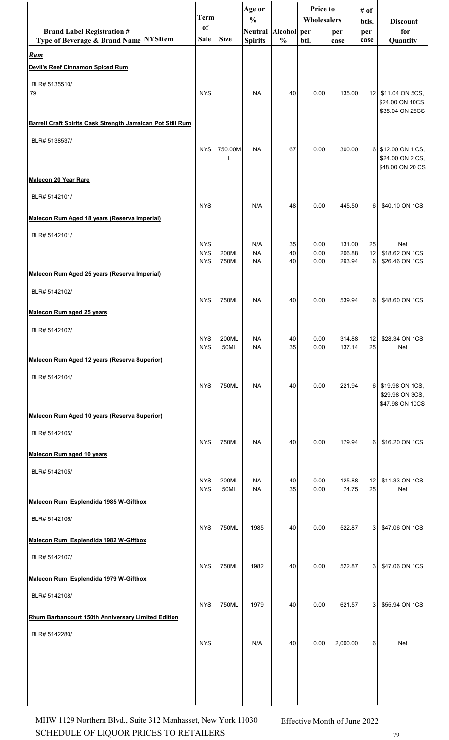|                                                                            | <b>Term</b>                            |                | Age or<br>$\frac{0}{0}$       |                | <b>Price to</b><br>Wholesalers |                            | # of<br>btls.   | <b>Discount</b>                                            |
|----------------------------------------------------------------------------|----------------------------------------|----------------|-------------------------------|----------------|--------------------------------|----------------------------|-----------------|------------------------------------------------------------|
| <b>Brand Label Registration #</b><br>Type of Beverage & Brand Name NYSItem | <sub>of</sub><br><b>Sale</b>           | <b>Size</b>    | Neutral Alcohol per           | $\frac{0}{0}$  | btl.                           | per                        | per             | for                                                        |
| <b>Rum</b>                                                                 |                                        |                | <b>Spirits</b>                |                |                                | case                       | case            | Quantity                                                   |
| Devil's Reef Cinnamon Spiced Rum                                           |                                        |                |                               |                |                                |                            |                 |                                                            |
| BLR# 5135510/<br>79                                                        | <b>NYS</b>                             |                | <b>NA</b>                     | 40             | 0.00                           | 135.00                     | 12 <sub>1</sub> | \$11.04 ON 5CS,<br>\$24.00 ON 10CS,<br>\$35.04 ON 25CS     |
| Barrell Craft Spirits Cask Strength Jamaican Pot Still Rum                 |                                        |                |                               |                |                                |                            |                 |                                                            |
| BLR# 5138537/<br>Malecon 20 Year Rare                                      | <b>NYS</b>                             | 750.00M<br>L   | <b>NA</b>                     | 67             | 0.00                           | 300.00                     |                 | 6 \$12.00 ON 1 CS,<br>\$24.00 ON 2 CS,<br>\$48.00 ON 20 CS |
| BLR# 5142101/                                                              |                                        |                |                               |                |                                |                            |                 |                                                            |
|                                                                            | <b>NYS</b>                             |                | N/A                           | 48             | 0.00                           | 445.50                     | 6               | \$40.10 ON 1CS                                             |
| Malecon Rum Aged 18 years (Reserva Imperial)                               |                                        |                |                               |                |                                |                            |                 |                                                            |
| BLR# 5142101/                                                              | <b>NYS</b><br><b>NYS</b><br><b>NYS</b> | 200ML<br>750ML | N/A<br><b>NA</b><br><b>NA</b> | 35<br>40<br>40 | 0.00<br>0.00<br>0.00           | 131.00<br>206.88<br>293.94 | 25<br>12<br>6   | Net<br>\$18.62 ON 1CS<br>\$26.46 ON 1CS                    |
| Malecon Rum Aged 25 years (Reserva Imperial)                               |                                        |                |                               |                |                                |                            |                 |                                                            |
| BLR# 5142102/<br>Malecon Rum aged 25 years                                 | <b>NYS</b>                             | 750ML          | <b>NA</b>                     | 40             | 0.00                           | 539.94                     | 6               | \$48.60 ON 1CS                                             |
| BLR# 5142102/                                                              |                                        |                |                               |                |                                |                            |                 |                                                            |
|                                                                            | <b>NYS</b><br><b>NYS</b>               | 200ML<br>50ML  | <b>NA</b><br><b>NA</b>        | 40<br>35       | 0.00<br>0.00                   | 314.88<br>137.14           | 12<br>25        | \$28.34 ON 1CS<br>Net                                      |
| Malecon Rum Aged 12 years (Reserva Superior)                               |                                        |                |                               |                |                                |                            |                 |                                                            |
| BLR# 5142104/                                                              | <b>NYS</b>                             | 750ML          | <b>NA</b>                     | 40             | 0.00                           | 221.94                     | 6 I             | \$19.98 ON 1CS,<br>\$29.98 ON 3CS,<br>\$47.98 ON 10CS      |
| Malecon Rum Aged 10 years (Reserva Superior)                               |                                        |                |                               |                |                                |                            |                 |                                                            |
| BLR# 5142105/                                                              | <b>NYS</b>                             | 750ML          | <b>NA</b>                     | 40             | 0.00                           | 179.94                     | 6               | \$16.20 ON 1CS                                             |
| <b>Malecon Rum aged 10 years</b>                                           |                                        |                |                               |                |                                |                            |                 |                                                            |
| BLR# 5142105/                                                              | <b>NYS</b>                             | 200ML          | <b>NA</b>                     | 40             | 0.00                           | 125.88                     | 12              | \$11.33 ON 1CS                                             |
| Malecon Rum Esplendida 1985 W-Giftbox                                      | <b>NYS</b>                             | 50ML           | <b>NA</b>                     | 35             | 0.00                           | 74.75                      | 25              | Net                                                        |
| BLR# 5142106/                                                              |                                        |                |                               |                |                                |                            |                 |                                                            |
| Malecon Rum Esplendida 1982 W-Giftbox                                      | <b>NYS</b>                             | 750ML          | 1985                          | 40             | 0.00                           | 522.87                     | 3               | \$47.06 ON 1CS                                             |
| BLR# 5142107/                                                              |                                        |                |                               |                |                                |                            |                 |                                                            |
| Malecon Rum Esplendida 1979 W-Giftbox                                      | <b>NYS</b>                             | 750ML          | 1982                          | 40             | 0.00                           | 522.87                     | 3               | \$47.06 ON 1CS                                             |
| BLR# 5142108/                                                              | <b>NYS</b>                             | 750ML          | 1979                          | 40             | 0.00                           | 621.57                     | 3               | \$55.94 ON 1CS                                             |
| Rhum Barbancourt 150th Anniversary Limited Edition                         |                                        |                |                               |                |                                |                            |                 |                                                            |
| BLR# 5142280/                                                              | <b>NYS</b>                             |                | N/A                           | 40             | 0.00                           | 2,000.00                   | 6               | Net                                                        |
|                                                                            |                                        |                |                               |                |                                |                            |                 |                                                            |
|                                                                            |                                        |                |                               |                |                                |                            |                 |                                                            |

SCHEDULE OF LIQUOR PRICES TO RETAILERS  $^{79}$ MHW 1129 Northern Blvd., Suite 312 Manhasset, New York 11030 Effective Month of June 2022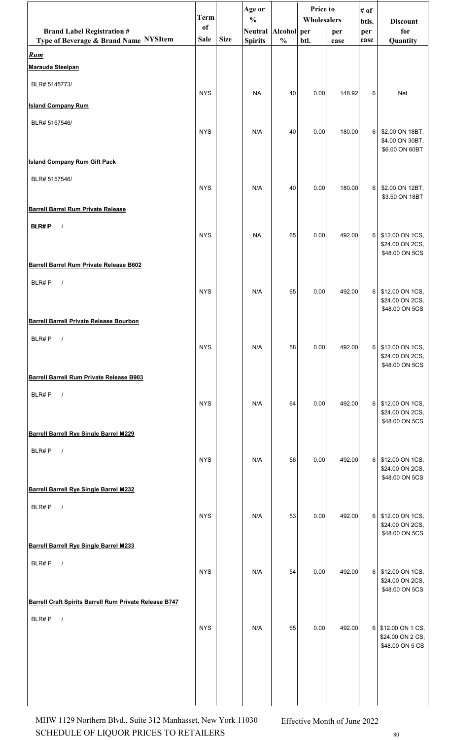|                                                        | <b>Term</b> |             | Age or<br>$\frac{0}{0}$ |               | Price to<br>Wholesalers |        | # of<br>btls.  | <b>Discount</b>                                           |
|--------------------------------------------------------|-------------|-------------|-------------------------|---------------|-------------------------|--------|----------------|-----------------------------------------------------------|
| <b>Brand Label Registration #</b>                      | of          |             | Neutral Alcohol per     |               |                         | per    | per            | for                                                       |
| Type of Beverage & Brand Name NYSItem                  | <b>Sale</b> | <b>Size</b> | <b>Spirits</b>          | $\frac{0}{0}$ | btl.                    | case   | case           | Quantity                                                  |
| <u>Rum</u><br>Marauda Steelpan                         |             |             |                         |               |                         |        |                |                                                           |
| BLR# 5145773/                                          | <b>NYS</b>  |             | <b>NA</b>               | 40            | 0.00                    | 148.92 | 6              | Net                                                       |
| <b>Island Company Rum</b>                              |             |             |                         |               |                         |        |                |                                                           |
| BLR# 5157546/                                          | <b>NYS</b>  |             | N/A                     | 40            | 0.00                    | 180.00 | 6              | \$2.00 ON 18BT,<br>\$4.00 ON 30BT,<br>\$6.00 ON 60BT      |
| <b>Island Company Rum Gift Pack</b>                    |             |             |                         |               |                         |        |                |                                                           |
| BLR# 5157546/                                          | <b>NYS</b>  |             | N/A                     | 40            | 0.00                    | 180.00 | 6              | \$2.00 ON 12BT,<br>\$3.50 ON 18BT                         |
| <b>Barrell Barrel Rum Private Release</b>              |             |             |                         |               |                         |        |                |                                                           |
| <b>BLR#P</b><br>$\sqrt{ }$                             | <b>NYS</b>  |             | <b>NA</b>               | 65            | 0.00                    | 492.00 | $6 \mid$       | \$12.00 ON 1CS,<br>\$24.00 ON 2CS,<br>\$48.00 ON 5CS      |
| Barrell Barrel Rum Private Release B602                |             |             |                         |               |                         |        |                |                                                           |
| BLR#P<br>$\sqrt{ }$                                    | <b>NYS</b>  |             | N/A                     | 65            | 0.00                    | 492.00 | 6 <sup>1</sup> | \$12.00 ON 1CS,<br>\$24.00 ON 2CS,<br>\$48.00 ON 5CS      |
| <b>Barrell Barrell Private Release Bourbon</b>         |             |             |                         |               |                         |        |                |                                                           |
| BLR#P                                                  | <b>NYS</b>  |             | N/A                     | 58            | 0.00                    | 492.00 | $6 \mid$       | \$12.00 ON 1CS,<br>\$24.00 ON 2CS,<br>\$48.00 ON 5CS      |
| Barrell Barrell Rum Private Release B903               |             |             |                         |               |                         |        |                |                                                           |
| BLR#P<br>$\sqrt{ }$                                    | <b>NYS</b>  |             | N/A                     | 64            | 0.00                    | 492.00 | 6 <sup>1</sup> | \$12.00 ON 1CS,<br>\$24.00 ON 2CS,<br>\$48.00 ON 5CS      |
| <b>Barrell Barrell Rye Single Barrel M229</b>          |             |             |                         |               |                         |        |                |                                                           |
| BLR#P<br>$\sqrt{ }$                                    | <b>NYS</b>  |             | N/A                     | 56            | 0.00                    | 492.00 | 6              | \$12.00 ON 1CS,<br>\$24.00 ON 2CS,<br>\$48.00 ON 5CS      |
| <b>Barrell Barrell Rye Single Barrel M232</b>          |             |             |                         |               |                         |        |                |                                                           |
| BLR#P<br>$\sqrt{ }$                                    | <b>NYS</b>  |             | N/A                     | 53            | 0.00                    | 492.00 | 6              | \$12.00 ON 1CS,<br>\$24.00 ON 2CS,<br>\$48.00 ON 5CS      |
| <b>Barrell Barrell Rye Single Barrel M233</b>          |             |             |                         |               |                         |        |                |                                                           |
| BLR#P<br>$\sqrt{ }$                                    | <b>NYS</b>  |             | N/A                     | 54            | 0.00                    | 492.00 | 6              | \$12.00 ON 1CS,<br>\$24.00 ON 2CS,<br>\$48.00 ON 5CS      |
| Barrell Craft Spirits Barrell Rum Private Release B747 |             |             |                         |               |                         |        |                |                                                           |
| BLR#P<br>$\sqrt{ }$                                    | <b>NYS</b>  |             | N/A                     | 65            | 0.00                    | 492.00 |                | 6 \$12.00 ON 1 CS,<br>\$24.00 ON 2 CS,<br>\$48.00 ON 5 CS |
|                                                        |             |             |                         |               |                         |        |                |                                                           |

SCHEDULE OF LIQUOR PRICES TO RETAILERS  $_{\rm 80}$ MHW 1129 Northern Blvd., Suite 312 Manhasset, New York 11030 Effective Month of June 2022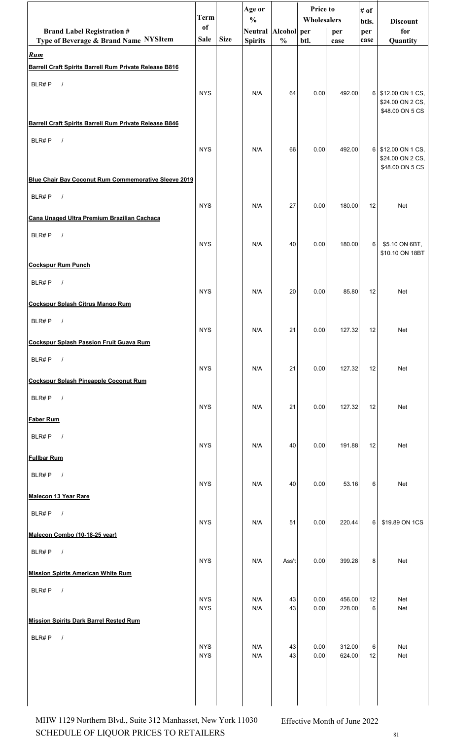|                                                                      | <b>Term</b>              |             | Age or<br>$\frac{0}{0}$ |               | Price to<br>Wholesalers |                  | # of<br>btls.  |                                                         |
|----------------------------------------------------------------------|--------------------------|-------------|-------------------------|---------------|-------------------------|------------------|----------------|---------------------------------------------------------|
| <b>Brand Label Registration #</b>                                    | of                       |             | Neutral Alcohol per     |               |                         | per              | per            | <b>Discount</b><br>for                                  |
| Type of Beverage & Brand Name NYSItem                                | <b>Sale</b>              | <b>Size</b> | <b>Spirits</b>          | $\frac{0}{0}$ | btl.                    | case             | case           | Quantity                                                |
| <u>Rum</u><br>Barrell Craft Spirits Barrell Rum Private Release B816 |                          |             |                         |               |                         |                  |                |                                                         |
| BLR#P<br>$\sqrt{ }$                                                  |                          |             |                         |               |                         |                  |                |                                                         |
|                                                                      | <b>NYS</b>               |             | N/A                     | 64            | 0.00                    | 492.00           | $6 \mid$       | \$12.00 ON 1 CS,<br>\$24.00 ON 2 CS,<br>\$48.00 ON 5 CS |
| Barrell Craft Spirits Barrell Rum Private Release B846               |                          |             |                         |               |                         |                  |                |                                                         |
| BLR#P<br>$\sqrt{ }$                                                  | <b>NYS</b>               |             | N/A                     | 66            | 0.00                    | 492.00           | 6 <sup>1</sup> | \$12.00 ON 1 CS,<br>\$24.00 ON 2 CS,<br>\$48.00 ON 5 CS |
| Blue Chair Bay Coconut Rum Commemorative Sleeve 2019                 |                          |             |                         |               |                         |                  |                |                                                         |
| BLR#P<br>$\sqrt{ }$                                                  | <b>NYS</b>               |             | N/A                     | 27            | 0.00                    | 180.00           | 12             | <b>Net</b>                                              |
| Cana Unaged Ultra Premium Brazilian Cachaca                          |                          |             |                         |               |                         |                  |                |                                                         |
| BLR#P<br>$\sqrt{ }$                                                  | <b>NYS</b>               |             | N/A                     | 40            | 0.00                    | 180.00           | 6              | \$5.10 ON 6BT,<br>\$10.10 ON 18BT                       |
| <b>Cockspur Rum Punch</b>                                            |                          |             |                         |               |                         |                  |                |                                                         |
| BLR#P<br>$\sqrt{ }$                                                  | <b>NYS</b>               |             | N/A                     | 20            | 0.00                    | 85.80            | 12             | <b>Net</b>                                              |
| <b>Cockspur Splash Citrus Mango Rum</b>                              |                          |             |                         |               |                         |                  |                |                                                         |
| BLR#P<br>$\sqrt{ }$                                                  | <b>NYS</b>               |             | N/A                     | 21            | 0.00                    | 127.32           | 12             | Net                                                     |
| <b>Cockspur Splash Passion Fruit Guava Rum</b>                       |                          |             |                         |               |                         |                  |                |                                                         |
| BLR#P<br>$\sqrt{ }$                                                  | <b>NYS</b>               |             | N/A                     | 21            | 0.00                    | 127.32           | 12             | Net                                                     |
| <b>Cockspur Splash Pineapple Coconut Rum</b>                         |                          |             |                         |               |                         |                  |                |                                                         |
| BLR#P $/$                                                            | <b>NYS</b>               |             | N/A                     | 21            | 0.00                    | 127.32           | 12             | Net                                                     |
| <b>Faber Rum</b>                                                     |                          |             |                         |               |                         |                  |                |                                                         |
| BLR#P<br>$\overline{\phantom{a}}$                                    | <b>NYS</b>               |             | N/A                     | 40            | 0.00                    | 191.88           | 12             | Net                                                     |
| <b>Fullbar Rum</b>                                                   |                          |             |                         |               |                         |                  |                |                                                         |
| BLR#P $/$                                                            | <b>NYS</b>               |             | N/A                     | 40            | 0.00                    | 53.16            | 6              | Net                                                     |
| <b>Malecon 13 Year Rare</b>                                          |                          |             |                         |               |                         |                  |                |                                                         |
| BLR#P<br>$\sqrt{ }$                                                  | <b>NYS</b>               |             | N/A                     | 51            | 0.00                    | 220.44           | 6              | \$19.89 ON 1CS                                          |
| Malecon Combo (10-18-25 year)                                        |                          |             |                         |               |                         |                  |                |                                                         |
| BLR#P<br>$\sqrt{ }$                                                  | <b>NYS</b>               |             | N/A                     | Ass't         | 0.00                    | 399.28           | 8              | Net                                                     |
| <b>Mission Spirits American White Rum</b>                            |                          |             |                         |               |                         |                  |                |                                                         |
| BLR#P $/$                                                            | <b>NYS</b><br><b>NYS</b> |             | N/A<br>N/A              | 43<br>43      | 0.00<br>0.00            | 456.00<br>228.00 | 12<br>6        | Net<br>Net                                              |
| <b>Mission Spirits Dark Barrel Rested Rum</b>                        |                          |             |                         |               |                         |                  |                |                                                         |
| $\sqrt{ }$<br>BLR#P                                                  |                          |             |                         |               |                         |                  |                |                                                         |
|                                                                      | <b>NYS</b><br><b>NYS</b> |             | N/A<br>N/A              | 43<br>43      | 0.00<br>0.00            | 312.00<br>624.00 | 6<br>12        | Net<br>Net                                              |
|                                                                      |                          |             |                         |               |                         |                  |                |                                                         |
|                                                                      |                          |             |                         |               |                         |                  |                |                                                         |
|                                                                      |                          |             |                         |               |                         |                  |                |                                                         |

SCHEDULE OF LIQUOR PRICES TO RETAILERS  $81$ MHW 1129 Northern Blvd., Suite 312 Manhasset, New York 11030 Effective Month of June 2022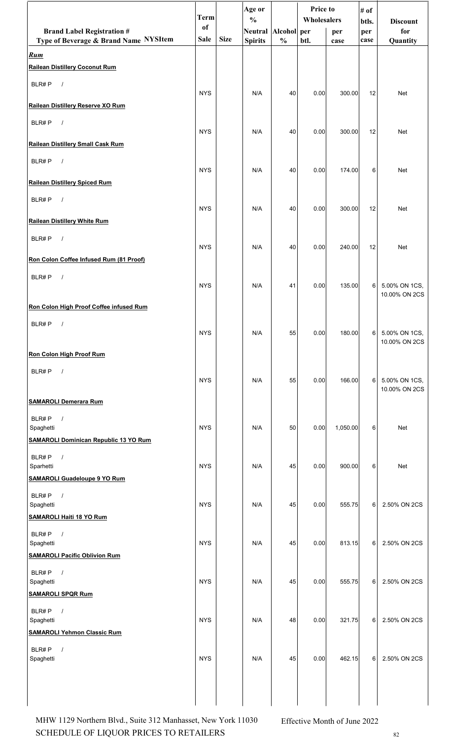|                                                   | <b>Term</b> |             | Age or                               |               | <b>Price to</b> |          | # of         |                                |
|---------------------------------------------------|-------------|-------------|--------------------------------------|---------------|-----------------|----------|--------------|--------------------------------|
| <b>Brand Label Registration #</b>                 | of          |             | $\frac{0}{0}$<br>Neutral Alcohol per |               | Wholesalers     | per      | btls.<br>per | <b>Discount</b><br>for         |
| Type of Beverage & Brand Name NYSItem             | <b>Sale</b> | <b>Size</b> | <b>Spirits</b>                       | $\frac{0}{0}$ | btl.            | case     | case         | Quantity                       |
| Rum                                               |             |             |                                      |               |                 |          |              |                                |
| <b>Railean Distillery Coconut Rum</b>             |             |             |                                      |               |                 |          |              |                                |
| BLR#P<br>$\sqrt{ }$                               | <b>NYS</b>  |             | N/A                                  | 40            | 0.00            | 300.00   | 12           | Net                            |
| Railean Distillery Reserve XO Rum                 |             |             |                                      |               |                 |          |              |                                |
| BLR#P<br>$\sqrt{ }$                               | <b>NYS</b>  |             | N/A                                  | 40            | 0.00            | 300.00   | 12           | Net                            |
| Railean Distillery Small Cask Rum                 |             |             |                                      |               |                 |          |              |                                |
| BLR#P<br>$\sqrt{ }$                               | <b>NYS</b>  |             | N/A                                  | 40            | 0.00            | 174.00   | 6            | Net                            |
| <b>Railean Distillery Spiced Rum</b>              |             |             |                                      |               |                 |          |              |                                |
| BLR#P<br>$\sqrt{ }$                               |             |             |                                      |               |                 |          |              |                                |
| <b>Railean Distillery White Rum</b>               | <b>NYS</b>  |             | N/A                                  | 40            | 0.00            | 300.00   | 12           | Net                            |
| BLR#P<br>$\sqrt{ }$                               |             |             |                                      |               |                 |          |              |                                |
| Ron Colon Coffee Infused Rum (81 Proof)           | <b>NYS</b>  |             | N/A                                  | 40            | 0.00            | 240.00   | 12           | Net                            |
| BLR#P<br>$\sqrt{ }$                               |             |             |                                      |               |                 |          |              |                                |
|                                                   | <b>NYS</b>  |             | N/A                                  | 41            | 0.00            | 135.00   | 6            | 5.00% ON 1CS,<br>10.00% ON 2CS |
| Ron Colon High Proof Coffee infused Rum           |             |             |                                      |               |                 |          |              |                                |
| BLR#P<br>$\prime$                                 | <b>NYS</b>  |             | N/A                                  | 55            | 0.00            | 180.00   | 6            | 5.00% ON 1CS,                  |
| <b>Ron Colon High Proof Rum</b>                   |             |             |                                      |               |                 |          |              | 10.00% ON 2CS                  |
| BLR#P<br>$\sqrt{2}$                               | <b>NYS</b>  |             | N/A                                  | 55            | 0.00            | 166.00   | 6            | 5.00% ON 1CS,                  |
|                                                   |             |             |                                      |               |                 |          |              | 10.00% ON 2CS                  |
| <b>SAMAROLI Demerara Rum</b>                      |             |             |                                      |               |                 |          |              |                                |
| BLR#P<br>$\sqrt{ }$<br>Spaghetti                  | <b>NYS</b>  |             | N/A                                  | 50            | 0.00            | 1,050.00 | 6            | Net                            |
| <b>SAMAROLI Dominican Republic 13 YO Rum</b>      |             |             |                                      |               |                 |          |              |                                |
| BLR#P<br>$\sqrt{ }$<br>Sparhetti                  | <b>NYS</b>  |             | N/A                                  | 45            | 0.00            | 900.00   | 6            | Net                            |
| <b>SAMAROLI Guadeloupe 9 YO Rum</b>               |             |             |                                      |               |                 |          |              |                                |
| BLR#P<br>$\sqrt{ }$                               |             |             |                                      |               |                 |          |              |                                |
| Spaghetti<br><b>SAMAROLI Haiti 18 YO Rum</b>      | <b>NYS</b>  |             | N/A                                  | 45            | 0.00            | 555.75   | 6            | 2.50% ON 2CS                   |
| BLR#P<br>$\prime$                                 |             |             |                                      |               |                 |          |              |                                |
| Spaghetti<br><b>SAMAROLI Pacific Oblivion Rum</b> | <b>NYS</b>  |             | N/A                                  | 45            | 0.00            | 813.15   | 6            | 2.50% ON 2CS                   |
| BLR#P<br>$\sqrt{ }$                               |             |             |                                      |               |                 |          |              |                                |
| Spaghetti<br><b>SAMAROLI SPQR Rum</b>             | <b>NYS</b>  |             | N/A                                  | 45            | 0.00            | 555.75   | 6            | 2.50% ON 2CS                   |
| BLR#P<br>$\sqrt{ }$                               |             |             |                                      |               |                 |          |              |                                |
| Spaghetti<br><b>SAMAROLI Yehmon Classic Rum</b>   | <b>NYS</b>  |             | N/A                                  | 48            | 0.00            | 321.75   | 6            | 2.50% ON 2CS                   |
| BLR#P                                             |             |             |                                      |               |                 |          |              |                                |
| Spaghetti                                         | <b>NYS</b>  |             | N/A                                  | 45            | 0.00            | 462.15   |              | 6 2.50% ON 2CS                 |
|                                                   |             |             |                                      |               |                 |          |              |                                |
|                                                   |             |             |                                      |               |                 |          |              |                                |

SCHEDULE OF LIQUOR PRICES TO RETAILERS  $82$ MHW 1129 Northern Blvd., Suite 312 Manhasset, New York 11030 Effective Month of June 2022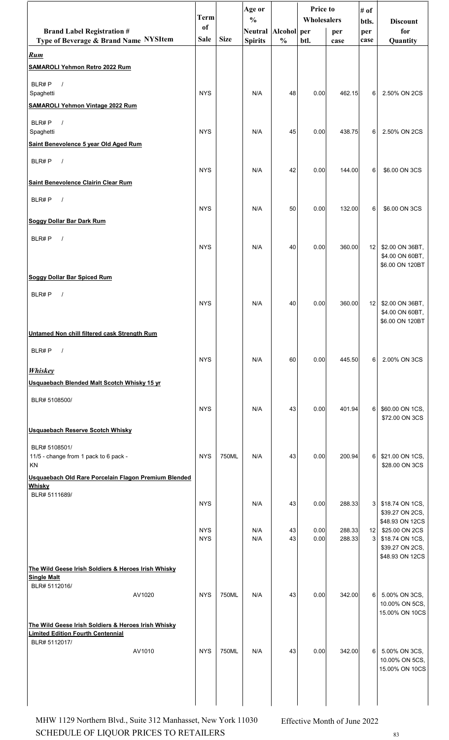| <sub>of</sub><br>Neutral Alcohol per<br>for<br><b>Brand Label Registration #</b><br>per<br>per<br><b>Size</b><br>Type of Beverage & Brand Name NYSItem<br><b>Sale</b><br>$\frac{0}{0}$<br><b>Spirits</b><br>btl.<br>Quantity<br>case<br>case<br><b>SAMAROLI Yehmon Retro 2022 Rum</b><br>BLR#P<br>$\sqrt{ }$<br><b>NYS</b><br>Spaghetti<br>N/A<br>48<br>0.00<br>462.15<br>6<br>2.50% ON 2CS<br><b>SAMAROLI Yehmon Vintage 2022 Rum</b><br>BLR#P<br>$\sqrt{ }$<br><b>NYS</b><br>N/A<br>Spaghetti<br>45<br>0.00<br>438.75<br>6<br>2.50% ON 2CS<br>Saint Benevolence 5 year Old Aged Rum<br>BLR#P<br>$\sqrt{ }$<br><b>NYS</b><br>42<br>\$6.00 ON 3CS<br>N/A<br>0.00<br>144.00<br>6<br>BLR#P<br>$\sqrt{ }$<br><b>NYS</b><br>N/A<br>50<br>0.00<br>132.00<br>6<br>\$6.00 ON 3CS<br>BLR#P<br>$\sqrt{ }$<br><b>NYS</b><br>N/A<br>40<br>0.00<br>360.00<br>12 <sub>1</sub><br>\$2.00 ON 36BT,<br>\$4.00 ON 60BT,<br>\$6.00 ON 120BT<br>BLR#P<br>$\sqrt{ }$<br><b>NYS</b><br>N/A<br>40<br>360.00<br>12<br>\$2.00 ON 36BT,<br>0.00<br>\$4.00 ON 60BT,<br>\$6.00 ON 120BT<br>BLR#P<br>$\sqrt{ }$<br><b>NYS</b><br>6<br>N/A<br>60<br>0.00<br>445.50<br>2.00% ON 3CS<br><b>Whiskey</b><br>Usquaebach Blended Malt Scotch Whisky 15 yr<br>BLR# 5108500/<br><b>NYS</b><br>N/A<br>43<br>401.94<br>6<br>\$60.00 ON 1CS,<br>0.00<br>\$72.00 ON 3CS<br>BLR# 5108501/<br>750ML<br>11/5 - change from 1 pack to 6 pack -<br><b>NYS</b><br>N/A<br>43<br>0.00<br>200.94<br>6<br>\$21.00 ON 1CS,<br>KN<br>\$28.00 ON 3CS<br>Usquaebach Old Rare Porcelain Flagon Premium Blended<br><b>Whisky</b><br>BLR# 5111689/<br><b>NYS</b><br>N/A<br>43<br>0.00<br>288.33<br>3<br>\$18.74 ON 1CS,<br>\$39.27 ON 2CS,<br>\$48.93 ON 12CS<br><b>NYS</b><br>N/A<br>43<br>0.00<br>288.33<br>\$25.00 ON 2CS<br>12 <sub>1</sub><br><b>NYS</b><br>N/A<br>43<br>0.00<br>288.33<br>3<br>\$18.74 ON 1CS,<br>\$39.27 ON 2CS,<br>\$48.93 ON 12CS<br><b>Single Malt</b><br>BLR# 5112016/<br>750ML<br>AV1020<br><b>NYS</b><br>N/A<br>43<br>342.00<br>6 <br>5.00% ON 3CS,<br>0.00<br>10.00% ON 5CS,<br>15.00% ON 10CS<br>The Wild Geese Irish Soldiers & Heroes Irish Whisky<br><b>Limited Edition Fourth Centennial</b><br>BLR# 5112017/<br><b>NYS</b><br>6<br>AV1010<br>750ML<br>N/A<br>43<br>342.00<br>0.00<br>5.00% ON 3CS,<br>10.00% ON 5CS,<br>15.00% ON 10CS |                                                     | <b>Term</b> | Age or<br>$\frac{0}{0}$ | <b>Price to</b><br>Wholesalers |  | # of  |                 |
|------------------------------------------------------------------------------------------------------------------------------------------------------------------------------------------------------------------------------------------------------------------------------------------------------------------------------------------------------------------------------------------------------------------------------------------------------------------------------------------------------------------------------------------------------------------------------------------------------------------------------------------------------------------------------------------------------------------------------------------------------------------------------------------------------------------------------------------------------------------------------------------------------------------------------------------------------------------------------------------------------------------------------------------------------------------------------------------------------------------------------------------------------------------------------------------------------------------------------------------------------------------------------------------------------------------------------------------------------------------------------------------------------------------------------------------------------------------------------------------------------------------------------------------------------------------------------------------------------------------------------------------------------------------------------------------------------------------------------------------------------------------------------------------------------------------------------------------------------------------------------------------------------------------------------------------------------------------------------------------------------------------------------------------------------------------------------------------------------------------------------------------------------------------------------------------------------------------------------------------------------------------------------------------------------------------|-----------------------------------------------------|-------------|-------------------------|--------------------------------|--|-------|-----------------|
|                                                                                                                                                                                                                                                                                                                                                                                                                                                                                                                                                                                                                                                                                                                                                                                                                                                                                                                                                                                                                                                                                                                                                                                                                                                                                                                                                                                                                                                                                                                                                                                                                                                                                                                                                                                                                                                                                                                                                                                                                                                                                                                                                                                                                                                                                                                  |                                                     |             |                         |                                |  | btls. | <b>Discount</b> |
|                                                                                                                                                                                                                                                                                                                                                                                                                                                                                                                                                                                                                                                                                                                                                                                                                                                                                                                                                                                                                                                                                                                                                                                                                                                                                                                                                                                                                                                                                                                                                                                                                                                                                                                                                                                                                                                                                                                                                                                                                                                                                                                                                                                                                                                                                                                  |                                                     |             |                         |                                |  |       |                 |
|                                                                                                                                                                                                                                                                                                                                                                                                                                                                                                                                                                                                                                                                                                                                                                                                                                                                                                                                                                                                                                                                                                                                                                                                                                                                                                                                                                                                                                                                                                                                                                                                                                                                                                                                                                                                                                                                                                                                                                                                                                                                                                                                                                                                                                                                                                                  | <b>Rum</b>                                          |             |                         |                                |  |       |                 |
|                                                                                                                                                                                                                                                                                                                                                                                                                                                                                                                                                                                                                                                                                                                                                                                                                                                                                                                                                                                                                                                                                                                                                                                                                                                                                                                                                                                                                                                                                                                                                                                                                                                                                                                                                                                                                                                                                                                                                                                                                                                                                                                                                                                                                                                                                                                  |                                                     |             |                         |                                |  |       |                 |
|                                                                                                                                                                                                                                                                                                                                                                                                                                                                                                                                                                                                                                                                                                                                                                                                                                                                                                                                                                                                                                                                                                                                                                                                                                                                                                                                                                                                                                                                                                                                                                                                                                                                                                                                                                                                                                                                                                                                                                                                                                                                                                                                                                                                                                                                                                                  |                                                     |             |                         |                                |  |       |                 |
|                                                                                                                                                                                                                                                                                                                                                                                                                                                                                                                                                                                                                                                                                                                                                                                                                                                                                                                                                                                                                                                                                                                                                                                                                                                                                                                                                                                                                                                                                                                                                                                                                                                                                                                                                                                                                                                                                                                                                                                                                                                                                                                                                                                                                                                                                                                  |                                                     |             |                         |                                |  |       |                 |
|                                                                                                                                                                                                                                                                                                                                                                                                                                                                                                                                                                                                                                                                                                                                                                                                                                                                                                                                                                                                                                                                                                                                                                                                                                                                                                                                                                                                                                                                                                                                                                                                                                                                                                                                                                                                                                                                                                                                                                                                                                                                                                                                                                                                                                                                                                                  |                                                     |             |                         |                                |  |       |                 |
|                                                                                                                                                                                                                                                                                                                                                                                                                                                                                                                                                                                                                                                                                                                                                                                                                                                                                                                                                                                                                                                                                                                                                                                                                                                                                                                                                                                                                                                                                                                                                                                                                                                                                                                                                                                                                                                                                                                                                                                                                                                                                                                                                                                                                                                                                                                  |                                                     |             |                         |                                |  |       |                 |
|                                                                                                                                                                                                                                                                                                                                                                                                                                                                                                                                                                                                                                                                                                                                                                                                                                                                                                                                                                                                                                                                                                                                                                                                                                                                                                                                                                                                                                                                                                                                                                                                                                                                                                                                                                                                                                                                                                                                                                                                                                                                                                                                                                                                                                                                                                                  |                                                     |             |                         |                                |  |       |                 |
|                                                                                                                                                                                                                                                                                                                                                                                                                                                                                                                                                                                                                                                                                                                                                                                                                                                                                                                                                                                                                                                                                                                                                                                                                                                                                                                                                                                                                                                                                                                                                                                                                                                                                                                                                                                                                                                                                                                                                                                                                                                                                                                                                                                                                                                                                                                  |                                                     |             |                         |                                |  |       |                 |
|                                                                                                                                                                                                                                                                                                                                                                                                                                                                                                                                                                                                                                                                                                                                                                                                                                                                                                                                                                                                                                                                                                                                                                                                                                                                                                                                                                                                                                                                                                                                                                                                                                                                                                                                                                                                                                                                                                                                                                                                                                                                                                                                                                                                                                                                                                                  |                                                     |             |                         |                                |  |       |                 |
|                                                                                                                                                                                                                                                                                                                                                                                                                                                                                                                                                                                                                                                                                                                                                                                                                                                                                                                                                                                                                                                                                                                                                                                                                                                                                                                                                                                                                                                                                                                                                                                                                                                                                                                                                                                                                                                                                                                                                                                                                                                                                                                                                                                                                                                                                                                  | <b>Saint Benevolence Clairin Clear Rum</b>          |             |                         |                                |  |       |                 |
|                                                                                                                                                                                                                                                                                                                                                                                                                                                                                                                                                                                                                                                                                                                                                                                                                                                                                                                                                                                                                                                                                                                                                                                                                                                                                                                                                                                                                                                                                                                                                                                                                                                                                                                                                                                                                                                                                                                                                                                                                                                                                                                                                                                                                                                                                                                  |                                                     |             |                         |                                |  |       |                 |
|                                                                                                                                                                                                                                                                                                                                                                                                                                                                                                                                                                                                                                                                                                                                                                                                                                                                                                                                                                                                                                                                                                                                                                                                                                                                                                                                                                                                                                                                                                                                                                                                                                                                                                                                                                                                                                                                                                                                                                                                                                                                                                                                                                                                                                                                                                                  |                                                     |             |                         |                                |  |       |                 |
|                                                                                                                                                                                                                                                                                                                                                                                                                                                                                                                                                                                                                                                                                                                                                                                                                                                                                                                                                                                                                                                                                                                                                                                                                                                                                                                                                                                                                                                                                                                                                                                                                                                                                                                                                                                                                                                                                                                                                                                                                                                                                                                                                                                                                                                                                                                  | <b>Soggy Dollar Bar Dark Rum</b>                    |             |                         |                                |  |       |                 |
|                                                                                                                                                                                                                                                                                                                                                                                                                                                                                                                                                                                                                                                                                                                                                                                                                                                                                                                                                                                                                                                                                                                                                                                                                                                                                                                                                                                                                                                                                                                                                                                                                                                                                                                                                                                                                                                                                                                                                                                                                                                                                                                                                                                                                                                                                                                  |                                                     |             |                         |                                |  |       |                 |
|                                                                                                                                                                                                                                                                                                                                                                                                                                                                                                                                                                                                                                                                                                                                                                                                                                                                                                                                                                                                                                                                                                                                                                                                                                                                                                                                                                                                                                                                                                                                                                                                                                                                                                                                                                                                                                                                                                                                                                                                                                                                                                                                                                                                                                                                                                                  |                                                     |             |                         |                                |  |       |                 |
|                                                                                                                                                                                                                                                                                                                                                                                                                                                                                                                                                                                                                                                                                                                                                                                                                                                                                                                                                                                                                                                                                                                                                                                                                                                                                                                                                                                                                                                                                                                                                                                                                                                                                                                                                                                                                                                                                                                                                                                                                                                                                                                                                                                                                                                                                                                  |                                                     |             |                         |                                |  |       |                 |
|                                                                                                                                                                                                                                                                                                                                                                                                                                                                                                                                                                                                                                                                                                                                                                                                                                                                                                                                                                                                                                                                                                                                                                                                                                                                                                                                                                                                                                                                                                                                                                                                                                                                                                                                                                                                                                                                                                                                                                                                                                                                                                                                                                                                                                                                                                                  | <b>Soggy Dollar Bar Spiced Rum</b>                  |             |                         |                                |  |       |                 |
|                                                                                                                                                                                                                                                                                                                                                                                                                                                                                                                                                                                                                                                                                                                                                                                                                                                                                                                                                                                                                                                                                                                                                                                                                                                                                                                                                                                                                                                                                                                                                                                                                                                                                                                                                                                                                                                                                                                                                                                                                                                                                                                                                                                                                                                                                                                  |                                                     |             |                         |                                |  |       |                 |
|                                                                                                                                                                                                                                                                                                                                                                                                                                                                                                                                                                                                                                                                                                                                                                                                                                                                                                                                                                                                                                                                                                                                                                                                                                                                                                                                                                                                                                                                                                                                                                                                                                                                                                                                                                                                                                                                                                                                                                                                                                                                                                                                                                                                                                                                                                                  |                                                     |             |                         |                                |  |       |                 |
|                                                                                                                                                                                                                                                                                                                                                                                                                                                                                                                                                                                                                                                                                                                                                                                                                                                                                                                                                                                                                                                                                                                                                                                                                                                                                                                                                                                                                                                                                                                                                                                                                                                                                                                                                                                                                                                                                                                                                                                                                                                                                                                                                                                                                                                                                                                  |                                                     |             |                         |                                |  |       |                 |
|                                                                                                                                                                                                                                                                                                                                                                                                                                                                                                                                                                                                                                                                                                                                                                                                                                                                                                                                                                                                                                                                                                                                                                                                                                                                                                                                                                                                                                                                                                                                                                                                                                                                                                                                                                                                                                                                                                                                                                                                                                                                                                                                                                                                                                                                                                                  | Untamed Non chill filtered cask Strength Rum        |             |                         |                                |  |       |                 |
|                                                                                                                                                                                                                                                                                                                                                                                                                                                                                                                                                                                                                                                                                                                                                                                                                                                                                                                                                                                                                                                                                                                                                                                                                                                                                                                                                                                                                                                                                                                                                                                                                                                                                                                                                                                                                                                                                                                                                                                                                                                                                                                                                                                                                                                                                                                  |                                                     |             |                         |                                |  |       |                 |
|                                                                                                                                                                                                                                                                                                                                                                                                                                                                                                                                                                                                                                                                                                                                                                                                                                                                                                                                                                                                                                                                                                                                                                                                                                                                                                                                                                                                                                                                                                                                                                                                                                                                                                                                                                                                                                                                                                                                                                                                                                                                                                                                                                                                                                                                                                                  |                                                     |             |                         |                                |  |       |                 |
|                                                                                                                                                                                                                                                                                                                                                                                                                                                                                                                                                                                                                                                                                                                                                                                                                                                                                                                                                                                                                                                                                                                                                                                                                                                                                                                                                                                                                                                                                                                                                                                                                                                                                                                                                                                                                                                                                                                                                                                                                                                                                                                                                                                                                                                                                                                  |                                                     |             |                         |                                |  |       |                 |
|                                                                                                                                                                                                                                                                                                                                                                                                                                                                                                                                                                                                                                                                                                                                                                                                                                                                                                                                                                                                                                                                                                                                                                                                                                                                                                                                                                                                                                                                                                                                                                                                                                                                                                                                                                                                                                                                                                                                                                                                                                                                                                                                                                                                                                                                                                                  |                                                     |             |                         |                                |  |       |                 |
|                                                                                                                                                                                                                                                                                                                                                                                                                                                                                                                                                                                                                                                                                                                                                                                                                                                                                                                                                                                                                                                                                                                                                                                                                                                                                                                                                                                                                                                                                                                                                                                                                                                                                                                                                                                                                                                                                                                                                                                                                                                                                                                                                                                                                                                                                                                  |                                                     |             |                         |                                |  |       |                 |
|                                                                                                                                                                                                                                                                                                                                                                                                                                                                                                                                                                                                                                                                                                                                                                                                                                                                                                                                                                                                                                                                                                                                                                                                                                                                                                                                                                                                                                                                                                                                                                                                                                                                                                                                                                                                                                                                                                                                                                                                                                                                                                                                                                                                                                                                                                                  |                                                     |             |                         |                                |  |       |                 |
|                                                                                                                                                                                                                                                                                                                                                                                                                                                                                                                                                                                                                                                                                                                                                                                                                                                                                                                                                                                                                                                                                                                                                                                                                                                                                                                                                                                                                                                                                                                                                                                                                                                                                                                                                                                                                                                                                                                                                                                                                                                                                                                                                                                                                                                                                                                  | Usquaebach Reserve Scotch Whisky                    |             |                         |                                |  |       |                 |
|                                                                                                                                                                                                                                                                                                                                                                                                                                                                                                                                                                                                                                                                                                                                                                                                                                                                                                                                                                                                                                                                                                                                                                                                                                                                                                                                                                                                                                                                                                                                                                                                                                                                                                                                                                                                                                                                                                                                                                                                                                                                                                                                                                                                                                                                                                                  |                                                     |             |                         |                                |  |       |                 |
|                                                                                                                                                                                                                                                                                                                                                                                                                                                                                                                                                                                                                                                                                                                                                                                                                                                                                                                                                                                                                                                                                                                                                                                                                                                                                                                                                                                                                                                                                                                                                                                                                                                                                                                                                                                                                                                                                                                                                                                                                                                                                                                                                                                                                                                                                                                  |                                                     |             |                         |                                |  |       |                 |
|                                                                                                                                                                                                                                                                                                                                                                                                                                                                                                                                                                                                                                                                                                                                                                                                                                                                                                                                                                                                                                                                                                                                                                                                                                                                                                                                                                                                                                                                                                                                                                                                                                                                                                                                                                                                                                                                                                                                                                                                                                                                                                                                                                                                                                                                                                                  |                                                     |             |                         |                                |  |       |                 |
|                                                                                                                                                                                                                                                                                                                                                                                                                                                                                                                                                                                                                                                                                                                                                                                                                                                                                                                                                                                                                                                                                                                                                                                                                                                                                                                                                                                                                                                                                                                                                                                                                                                                                                                                                                                                                                                                                                                                                                                                                                                                                                                                                                                                                                                                                                                  |                                                     |             |                         |                                |  |       |                 |
|                                                                                                                                                                                                                                                                                                                                                                                                                                                                                                                                                                                                                                                                                                                                                                                                                                                                                                                                                                                                                                                                                                                                                                                                                                                                                                                                                                                                                                                                                                                                                                                                                                                                                                                                                                                                                                                                                                                                                                                                                                                                                                                                                                                                                                                                                                                  |                                                     |             |                         |                                |  |       |                 |
|                                                                                                                                                                                                                                                                                                                                                                                                                                                                                                                                                                                                                                                                                                                                                                                                                                                                                                                                                                                                                                                                                                                                                                                                                                                                                                                                                                                                                                                                                                                                                                                                                                                                                                                                                                                                                                                                                                                                                                                                                                                                                                                                                                                                                                                                                                                  |                                                     |             |                         |                                |  |       |                 |
|                                                                                                                                                                                                                                                                                                                                                                                                                                                                                                                                                                                                                                                                                                                                                                                                                                                                                                                                                                                                                                                                                                                                                                                                                                                                                                                                                                                                                                                                                                                                                                                                                                                                                                                                                                                                                                                                                                                                                                                                                                                                                                                                                                                                                                                                                                                  |                                                     |             |                         |                                |  |       |                 |
|                                                                                                                                                                                                                                                                                                                                                                                                                                                                                                                                                                                                                                                                                                                                                                                                                                                                                                                                                                                                                                                                                                                                                                                                                                                                                                                                                                                                                                                                                                                                                                                                                                                                                                                                                                                                                                                                                                                                                                                                                                                                                                                                                                                                                                                                                                                  |                                                     |             |                         |                                |  |       |                 |
|                                                                                                                                                                                                                                                                                                                                                                                                                                                                                                                                                                                                                                                                                                                                                                                                                                                                                                                                                                                                                                                                                                                                                                                                                                                                                                                                                                                                                                                                                                                                                                                                                                                                                                                                                                                                                                                                                                                                                                                                                                                                                                                                                                                                                                                                                                                  |                                                     |             |                         |                                |  |       |                 |
|                                                                                                                                                                                                                                                                                                                                                                                                                                                                                                                                                                                                                                                                                                                                                                                                                                                                                                                                                                                                                                                                                                                                                                                                                                                                                                                                                                                                                                                                                                                                                                                                                                                                                                                                                                                                                                                                                                                                                                                                                                                                                                                                                                                                                                                                                                                  | The Wild Geese Irish Soldiers & Heroes Irish Whisky |             |                         |                                |  |       |                 |
|                                                                                                                                                                                                                                                                                                                                                                                                                                                                                                                                                                                                                                                                                                                                                                                                                                                                                                                                                                                                                                                                                                                                                                                                                                                                                                                                                                                                                                                                                                                                                                                                                                                                                                                                                                                                                                                                                                                                                                                                                                                                                                                                                                                                                                                                                                                  |                                                     |             |                         |                                |  |       |                 |
|                                                                                                                                                                                                                                                                                                                                                                                                                                                                                                                                                                                                                                                                                                                                                                                                                                                                                                                                                                                                                                                                                                                                                                                                                                                                                                                                                                                                                                                                                                                                                                                                                                                                                                                                                                                                                                                                                                                                                                                                                                                                                                                                                                                                                                                                                                                  |                                                     |             |                         |                                |  |       |                 |
|                                                                                                                                                                                                                                                                                                                                                                                                                                                                                                                                                                                                                                                                                                                                                                                                                                                                                                                                                                                                                                                                                                                                                                                                                                                                                                                                                                                                                                                                                                                                                                                                                                                                                                                                                                                                                                                                                                                                                                                                                                                                                                                                                                                                                                                                                                                  |                                                     |             |                         |                                |  |       |                 |
|                                                                                                                                                                                                                                                                                                                                                                                                                                                                                                                                                                                                                                                                                                                                                                                                                                                                                                                                                                                                                                                                                                                                                                                                                                                                                                                                                                                                                                                                                                                                                                                                                                                                                                                                                                                                                                                                                                                                                                                                                                                                                                                                                                                                                                                                                                                  |                                                     |             |                         |                                |  |       |                 |
|                                                                                                                                                                                                                                                                                                                                                                                                                                                                                                                                                                                                                                                                                                                                                                                                                                                                                                                                                                                                                                                                                                                                                                                                                                                                                                                                                                                                                                                                                                                                                                                                                                                                                                                                                                                                                                                                                                                                                                                                                                                                                                                                                                                                                                                                                                                  |                                                     |             |                         |                                |  |       |                 |
|                                                                                                                                                                                                                                                                                                                                                                                                                                                                                                                                                                                                                                                                                                                                                                                                                                                                                                                                                                                                                                                                                                                                                                                                                                                                                                                                                                                                                                                                                                                                                                                                                                                                                                                                                                                                                                                                                                                                                                                                                                                                                                                                                                                                                                                                                                                  |                                                     |             |                         |                                |  |       |                 |
|                                                                                                                                                                                                                                                                                                                                                                                                                                                                                                                                                                                                                                                                                                                                                                                                                                                                                                                                                                                                                                                                                                                                                                                                                                                                                                                                                                                                                                                                                                                                                                                                                                                                                                                                                                                                                                                                                                                                                                                                                                                                                                                                                                                                                                                                                                                  |                                                     |             |                         |                                |  |       |                 |
|                                                                                                                                                                                                                                                                                                                                                                                                                                                                                                                                                                                                                                                                                                                                                                                                                                                                                                                                                                                                                                                                                                                                                                                                                                                                                                                                                                                                                                                                                                                                                                                                                                                                                                                                                                                                                                                                                                                                                                                                                                                                                                                                                                                                                                                                                                                  |                                                     |             |                         |                                |  |       |                 |
|                                                                                                                                                                                                                                                                                                                                                                                                                                                                                                                                                                                                                                                                                                                                                                                                                                                                                                                                                                                                                                                                                                                                                                                                                                                                                                                                                                                                                                                                                                                                                                                                                                                                                                                                                                                                                                                                                                                                                                                                                                                                                                                                                                                                                                                                                                                  |                                                     |             |                         |                                |  |       |                 |

SCHEDULE OF LIQUOR PRICES TO RETAILERS  $83$ MHW 1129 Northern Blvd., Suite 312 Manhasset, New York 11030 Effective Month of June 2022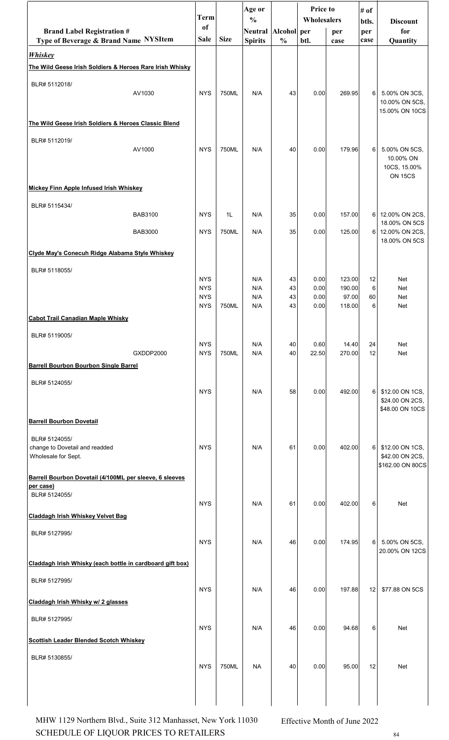|                                                                            |                | <b>Term</b>              |                | Age or<br>$\frac{0}{0}$ |               | <b>Price to</b><br>Wholesalers |                  | # of           |                                                              |
|----------------------------------------------------------------------------|----------------|--------------------------|----------------|-------------------------|---------------|--------------------------------|------------------|----------------|--------------------------------------------------------------|
| <b>Brand Label Registration #</b>                                          |                | of                       |                | Neutral Alcohol per     |               |                                | per              | btls.<br>per   | <b>Discount</b><br>for                                       |
| Type of Beverage & Brand Name NYSItem                                      |                | <b>Sale</b>              | <b>Size</b>    | <b>Spirits</b>          | $\frac{0}{0}$ | btl.                           | case             | case           | Quantity                                                     |
| <b>Whiskey</b><br>The Wild Geese Irish Soldiers & Heroes Rare Irish Whisky |                |                          |                |                         |               |                                |                  |                |                                                              |
| BLR# 5112018/                                                              |                |                          |                |                         |               |                                |                  |                |                                                              |
|                                                                            | AV1030         | <b>NYS</b>               | 750ML          | N/A                     | 43            | 0.00                           | 269.95           | 6              | 5.00% ON 3CS,<br>10.00% ON 5CS,<br>15.00% ON 10CS            |
| The Wild Geese Irish Soldiers & Heroes Classic Blend                       |                |                          |                |                         |               |                                |                  |                |                                                              |
| BLR# 5112019/                                                              | AV1000         | <b>NYS</b>               | 750ML          | N/A                     | 40            | 0.00                           | 179.96           | 6              | 5.00% ON 5CS,<br>10.00% ON<br>10CS, 15.00%<br><b>ON 15CS</b> |
| Mickey Finn Apple Infused Irish Whiskey                                    |                |                          |                |                         |               |                                |                  |                |                                                              |
| BLR# 5115434/                                                              |                |                          |                |                         |               |                                |                  |                |                                                              |
|                                                                            | <b>BAB3100</b> | <b>NYS</b>               | 1 <sub>L</sub> | N/A                     | 35            | 0.00                           | 157.00           | 6 <sup>1</sup> | 12.00% ON 2CS,<br>18.00% ON 5CS                              |
|                                                                            | <b>BAB3000</b> | <b>NYS</b>               | 750ML          | N/A                     | 35            | 0.00                           | 125.00           |                | 6 12.00% ON 2CS,<br>18.00% ON 5CS                            |
| Clyde May's Conecuh Ridge Alabama Style Whiskey                            |                |                          |                |                         |               |                                |                  |                |                                                              |
| BLR# 5118055/                                                              |                |                          |                |                         |               |                                |                  |                |                                                              |
|                                                                            |                | <b>NYS</b><br><b>NYS</b> |                | N/A<br>N/A              | 43<br>43      | 0.00<br>0.00                   | 123.00<br>190.00 | 12<br>6        | <b>Net</b><br><b>Net</b>                                     |
|                                                                            |                | <b>NYS</b><br><b>NYS</b> | 750ML          | N/A<br>N/A              | 43<br>43      | 0.00<br>0.00                   | 97.00<br>118.00  | 60<br>6        | <b>Net</b><br><b>Net</b>                                     |
| <b>Cabot Trail Canadian Maple Whisky</b>                                   |                |                          |                |                         |               |                                |                  |                |                                                              |
| BLR# 5119005/                                                              |                |                          |                |                         |               |                                |                  |                |                                                              |
|                                                                            | GXDDP2000      | <b>NYS</b><br><b>NYS</b> | 750ML          | N/A<br>N/A              | 40<br>40      | 0.60<br>22.50                  | 14.40<br>270.00  | 24<br>12       | <b>Net</b><br><b>Net</b>                                     |
| <b>Barrell Bourbon Bourbon Single Barrel</b>                               |                |                          |                |                         |               |                                |                  |                |                                                              |
| BLR# 5124055/                                                              |                | <b>NYS</b>               |                | N/A                     | 58            | 0.00                           | 492.00           | 6              | \$12.00 ON 1CS,<br>\$24.00 ON 2CS,<br>\$48.00 ON 10CS        |
| <b>Barrell Bourbon Dovetail</b>                                            |                |                          |                |                         |               |                                |                  |                |                                                              |
| BLR# 5124055/<br>change to Dovetail and readded<br>Wholesale for Sept.     |                | <b>NYS</b>               |                | N/A                     | 61            | 0.00                           | 402.00           | 6              | \$12.00 ON 1CS,<br>\$42.00 ON 2CS,<br>\$162.00 ON 80CS       |
| Barrell Bourbon Dovetail (4/100ML per sleeve, 6 sleeves<br>per case)       |                |                          |                |                         |               |                                |                  |                |                                                              |
| BLR# 5124055/                                                              |                | <b>NYS</b>               |                | N/A                     | 61            | 0.00                           | 402.00           | 6              | <b>Net</b>                                                   |
| Claddagh Irish Whiskey Velvet Bag                                          |                |                          |                |                         |               |                                |                  |                |                                                              |
| BLR# 5127995/                                                              |                | <b>NYS</b>               |                | N/A                     | 46            | 0.00                           | 174.95           | 6              | 5.00% ON 5CS,<br>20.00% ON 12CS                              |
| Claddagh Irish Whisky (each bottle in cardboard gift box)                  |                |                          |                |                         |               |                                |                  |                |                                                              |
| BLR# 5127995/                                                              |                | <b>NYS</b>               |                | N/A                     | 46            | 0.00                           | 197.88           | 12             | \$77.88 ON 5CS                                               |
| Claddagh Irish Whisky w/ 2 glasses                                         |                |                          |                |                         |               |                                |                  |                |                                                              |
| BLR# 5127995/                                                              |                |                          |                |                         |               |                                |                  |                |                                                              |
| <b>Scottish Leader Blended Scotch Whiskey</b>                              |                | <b>NYS</b>               |                | N/A                     | 46            | 0.00                           | 94.68            | 6              | <b>Net</b>                                                   |
|                                                                            |                |                          |                |                         |               |                                |                  |                |                                                              |
| BLR# 5130855/                                                              |                | <b>NYS</b>               | 750ML          | <b>NA</b>               | 40            | 0.00                           | 95.00            | 12             | Net                                                          |
|                                                                            |                |                          |                |                         |               |                                |                  |                |                                                              |

SCHEDULE OF LIQUOR PRICES TO RETAILERS  $^{84}$ MHW 1129 Northern Blvd., Suite 312 Manhasset, New York 11030 Effective Month of June 2022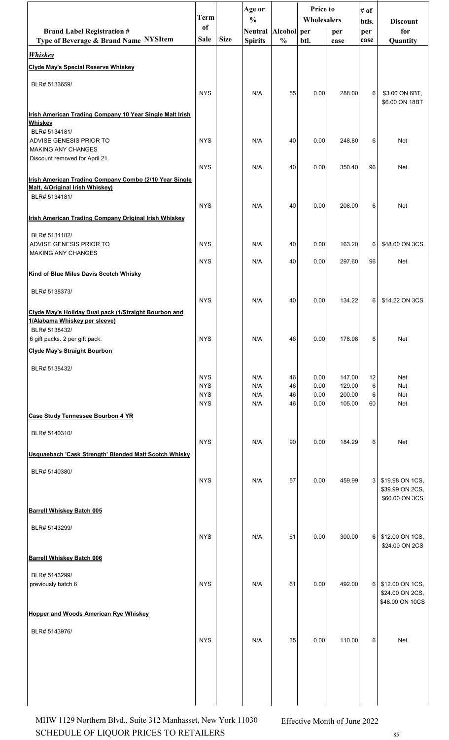|                                                                            | Term                     |             | Age or                               |               | <b>Price to</b><br>Wholesalers |                  | # of         |                                   |
|----------------------------------------------------------------------------|--------------------------|-------------|--------------------------------------|---------------|--------------------------------|------------------|--------------|-----------------------------------|
| <b>Brand Label Registration #</b>                                          | of                       |             | $\frac{0}{0}$<br>Neutral Alcohol per |               |                                | per              | btls.<br>per | <b>Discount</b><br>for            |
| Type of Beverage & Brand Name NYSItem                                      | Sale                     | <b>Size</b> | <b>Spirits</b>                       | $\frac{0}{0}$ | btl.                           | case             | case         | Quantity                          |
| <b>Whiskey</b>                                                             |                          |             |                                      |               |                                |                  |              |                                   |
| <b>Clyde May's Special Reserve Whiskey</b>                                 |                          |             |                                      |               |                                |                  |              |                                   |
| BLR# 5133659/                                                              |                          |             |                                      |               |                                |                  |              |                                   |
|                                                                            | <b>NYS</b>               |             | N/A                                  | 55            | 0.00                           | 288.00           | 6            | \$3.00 ON 6BT,                    |
|                                                                            |                          |             |                                      |               |                                |                  |              | \$6.00 ON 18BT                    |
| Irish American Trading Company 10 Year Single Malt Irish<br><b>Whiskey</b> |                          |             |                                      |               |                                |                  |              |                                   |
| BLR# 5134181/                                                              |                          |             |                                      |               |                                |                  |              |                                   |
| ADVISE GENESIS PRIOR TO<br><b>MAKING ANY CHANGES</b>                       | <b>NYS</b>               |             | N/A                                  | 40            | 0.00                           | 248.80           | 6            | Net                               |
| Discount removed for April 21.                                             | <b>NYS</b>               |             | N/A                                  | 40            | 0.00                           | 350.40           | 96           | Net                               |
| Irish American Trading Company Combo (2/10 Year Single                     |                          |             |                                      |               |                                |                  |              |                                   |
| Malt, 4/Original Irish Whiskey)                                            |                          |             |                                      |               |                                |                  |              |                                   |
| BLR# 5134181/                                                              | <b>NYS</b>               |             | N/A                                  | 40            | 0.00                           | 208.00           | 6            | Net                               |
| Irish American Trading Company Original Irish Whiskey                      |                          |             |                                      |               |                                |                  |              |                                   |
|                                                                            |                          |             |                                      |               |                                |                  |              |                                   |
| BLR# 5134182/<br>ADVISE GENESIS PRIOR TO                                   | <b>NYS</b>               |             | N/A                                  | 40            | 0.00                           | 163.20           | 6            | \$48.00 ON 3CS                    |
| <b>MAKING ANY CHANGES</b>                                                  |                          |             |                                      |               |                                |                  |              |                                   |
|                                                                            | <b>NYS</b>               |             | N/A                                  | 40            | 0.00                           | 297.60           | 96           | Net                               |
| Kind of Blue Miles Davis Scotch Whisky                                     |                          |             |                                      |               |                                |                  |              |                                   |
| BLR# 5138373/                                                              | <b>NYS</b>               |             | N/A                                  | 40            | 0.00                           | 134.22           | 6            | \$14.22 ON 3CS                    |
| Clyde May's Holiday Dual pack (1/Straight Bourbon and                      |                          |             |                                      |               |                                |                  |              |                                   |
| 1/Alabama Whiskey per sleeve)                                              |                          |             |                                      |               |                                |                  |              |                                   |
| BLR# 5138432/<br>6 gift packs. 2 per gift pack.                            | <b>NYS</b>               |             | N/A                                  | 46            | 0.00                           | 178.98           | 6            | Net                               |
| <b>Clyde May's Straight Bourbon</b>                                        |                          |             |                                      |               |                                |                  |              |                                   |
|                                                                            |                          |             |                                      |               |                                |                  |              |                                   |
| BLR# 5138432/                                                              | <b>NYS</b>               |             | N/A                                  | 46            | 0.00                           | 147.00           | 12           | Net                               |
|                                                                            | <b>NYS</b><br><b>NYS</b> |             | N/A<br>N/A                           | 46<br>46      | 0.00<br>0.00                   | 129.00<br>200.00 | 6<br>6       | Net<br>Net                        |
|                                                                            | <b>NYS</b>               |             | N/A                                  | 46            | 0.00                           | 105.00           | 60           | Net                               |
| <b>Case Study Tennessee Bourbon 4 YR</b>                                   |                          |             |                                      |               |                                |                  |              |                                   |
| BLR# 5140310/                                                              |                          |             |                                      |               |                                |                  |              |                                   |
|                                                                            | <b>NYS</b>               |             | N/A                                  | 90            | 0.00                           | 184.29           | 6            | Net                               |
| Usquaebach 'Cask Strength' Blended Malt Scotch Whisky                      |                          |             |                                      |               |                                |                  |              |                                   |
| BLR# 5140380/                                                              |                          |             |                                      |               |                                |                  |              |                                   |
|                                                                            | <b>NYS</b>               |             | N/A                                  | 57            | 0.00                           | 459.99           | 3            | \$19.98 ON 1CS,                   |
|                                                                            |                          |             |                                      |               |                                |                  |              | \$39.99 ON 2CS,<br>\$60.00 ON 3CS |
| <b>Barrell Whiskey Batch 005</b>                                           |                          |             |                                      |               |                                |                  |              |                                   |
| BLR# 5143299/                                                              |                          |             |                                      |               |                                |                  |              |                                   |
|                                                                            | <b>NYS</b>               |             | N/A                                  | 61            | 0.00                           | 300.00           | 6            | \$12.00 ON 1CS,                   |
|                                                                            |                          |             |                                      |               |                                |                  |              | \$24.00 ON 2CS                    |
| <b>Barrell Whiskey Batch 006</b>                                           |                          |             |                                      |               |                                |                  |              |                                   |
| BLR# 5143299/<br>previously batch 6                                        | <b>NYS</b>               |             | N/A                                  | 61            | 0.00                           | 492.00           | 6            | \$12.00 ON 1CS,                   |
|                                                                            |                          |             |                                      |               |                                |                  |              | \$24.00 ON 2CS,                   |
|                                                                            |                          |             |                                      |               |                                |                  |              | \$48.00 ON 10CS                   |
| <b>Hopper and Woods American Rye Whiskey</b>                               |                          |             |                                      |               |                                |                  |              |                                   |
| BLR# 5143976/                                                              |                          |             |                                      |               |                                |                  |              |                                   |
|                                                                            | <b>NYS</b>               |             | N/A                                  | 35            | 0.00                           | 110.00           | 6            | Net                               |
|                                                                            |                          |             |                                      |               |                                |                  |              |                                   |
|                                                                            |                          |             |                                      |               |                                |                  |              |                                   |
|                                                                            |                          |             |                                      |               |                                |                  |              |                                   |
|                                                                            |                          |             |                                      |               |                                |                  |              |                                   |

SCHEDULE OF LIQUOR PRICES TO RETAILERS  $85$ MHW 1129 Northern Blvd., Suite 312 Manhasset, New York 11030 Effective Month of June 2022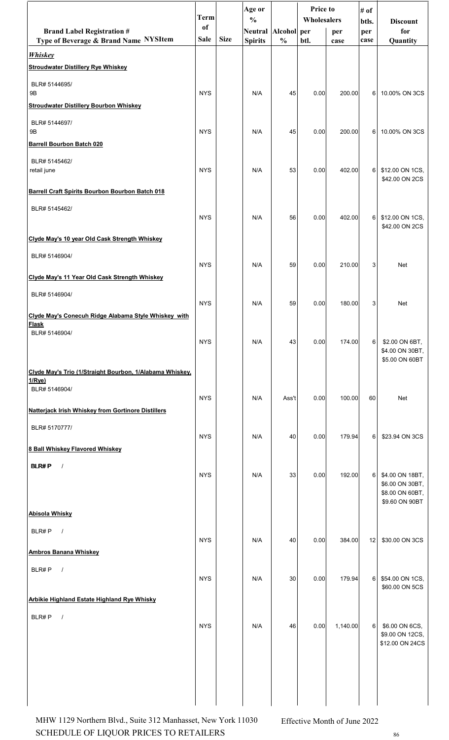|                                                                            | <b>Term</b>       |             | Age or<br>$\frac{0}{0}$                   |               | <b>Price to</b><br>Wholesalers |             | # of<br>btls.  | <b>Discount</b>                                                         |
|----------------------------------------------------------------------------|-------------------|-------------|-------------------------------------------|---------------|--------------------------------|-------------|----------------|-------------------------------------------------------------------------|
| <b>Brand Label Registration #</b><br>Type of Beverage & Brand Name NYSItem | of<br><b>Sale</b> | <b>Size</b> | Neutral   Alcohol   per<br><b>Spirits</b> | $\frac{0}{0}$ | btl.                           | per<br>case | per<br>case    | for<br>Quantity                                                         |
| <b>Whiskey</b>                                                             |                   |             |                                           |               |                                |             |                |                                                                         |
| <b>Stroudwater Distillery Rye Whiskey</b>                                  |                   |             |                                           |               |                                |             |                |                                                                         |
| BLR# 5144695/<br><b>9B</b>                                                 | <b>NYS</b>        |             | N/A                                       | 45            | 0.00                           | 200.00      | 6 I            | 10.00% ON 3CS                                                           |
| <b>Stroudwater Distillery Bourbon Whiskey</b>                              |                   |             |                                           |               |                                |             |                |                                                                         |
| BLR# 5144697/<br><b>9B</b>                                                 | <b>NYS</b>        |             | N/A                                       | 45            | 0.00                           | 200.00      |                | 6 10.00% ON 3CS                                                         |
| <b>Barrell Bourbon Batch 020</b>                                           |                   |             |                                           |               |                                |             |                |                                                                         |
| BLR# 5145462/<br>retail june                                               | <b>NYS</b>        |             | N/A                                       | 53            | 0.00                           | 402.00      | 6              | \$12.00 ON 1CS,<br>\$42.00 ON 2CS                                       |
| <b>Barrell Craft Spirits Bourbon Bourbon Batch 018</b>                     |                   |             |                                           |               |                                |             |                |                                                                         |
| BLR# 5145462/                                                              | <b>NYS</b>        |             | N/A                                       | 56            | 0.00                           | 402.00      | 6I             | \$12.00 ON 1CS,<br>\$42.00 ON 2CS                                       |
| Clyde May's 10 year Old Cask Strength Whiskey                              |                   |             |                                           |               |                                |             |                |                                                                         |
| BLR# 5146904/                                                              | <b>NYS</b>        |             | N/A                                       | 59            | 0.00                           | 210.00      | 3              | <b>Net</b>                                                              |
| Clyde May's 11 Year Old Cask Strength Whiskey                              |                   |             |                                           |               |                                |             |                |                                                                         |
| BLR# 5146904/                                                              | <b>NYS</b>        |             | N/A                                       | 59            | 0.00                           | 180.00      | 3              | Net                                                                     |
| Clyde May's Conecuh Ridge Alabama Style Whiskey with<br><b>Flask</b>       |                   |             |                                           |               |                                |             |                |                                                                         |
| BLR# 5146904/                                                              | <b>NYS</b>        |             | N/A                                       | 43            | 0.00                           | 174.00      | 6              | \$2.00 ON 6BT,<br>\$4.00 ON 30BT,<br>\$5.00 ON 60BT                     |
| Clyde May's Trio (1/Straight Bourbon, 1/Alabama Whiskey,<br>1/Rye)         |                   |             |                                           |               |                                |             |                |                                                                         |
| BLR# 5146904/                                                              | <b>NYS</b>        |             | N/A                                       | Ass't         | 0.00                           | 100.00      | 60             | Net                                                                     |
| <b>Natterjack Irish Whiskey from Gortinore Distillers</b>                  |                   |             |                                           |               |                                |             |                |                                                                         |
| BLR# 5170777/                                                              | <b>NYS</b>        |             | N/A                                       | 40            | 0.00                           | 179.94      | 6              | \$23.94 ON 3CS                                                          |
| <b>8 Ball Whiskey Flavored Whiskey</b>                                     |                   |             |                                           |               |                                |             |                |                                                                         |
| <b>BLR#P</b><br>$\sqrt{ }$                                                 | <b>NYS</b>        |             | N/A                                       | 33            | 0.00                           | 192.00      | 6              | \$4.00 ON 18BT,<br>\$6.00 ON 30BT,<br>\$8.00 ON 60BT,<br>\$9.60 ON 90BT |
| <b>Abisola Whisky</b>                                                      |                   |             |                                           |               |                                |             |                |                                                                         |
| BLR#P<br>$\sqrt{ }$                                                        | <b>NYS</b>        |             |                                           |               |                                | 384.00      | 12             |                                                                         |
| <b>Ambros Banana Whiskey</b>                                               |                   |             | N/A                                       | 40            | 0.00                           |             |                | \$30.00 ON 3CS                                                          |
| BLR#P<br>$\prime$                                                          | <b>NYS</b>        |             | N/A                                       | 30            | 0.00                           | 179.94      | 6 <sup>1</sup> | \$54.00 ON 1CS,                                                         |
| <b>Arbikie Highland Estate Highland Rye Whisky</b>                         |                   |             |                                           |               |                                |             |                | \$60.00 ON 5CS                                                          |
| BLR#P<br>$\sqrt{ }$                                                        |                   |             |                                           |               |                                |             |                |                                                                         |
|                                                                            | <b>NYS</b>        |             | N/A                                       | 46            | 0.00                           | 1,140.00    | $6 \mid$       | \$6.00 ON 6CS,<br>\$9.00 ON 12CS,<br>\$12.00 ON 24CS                    |
|                                                                            |                   |             |                                           |               |                                |             |                |                                                                         |
|                                                                            |                   |             |                                           |               |                                |             |                |                                                                         |

SCHEDULE OF LIQUOR PRICES TO RETAILERS  $^{86}$ MHW 1129 Northern Blvd., Suite 312 Manhasset, New York 11030 Effective Month of June 2022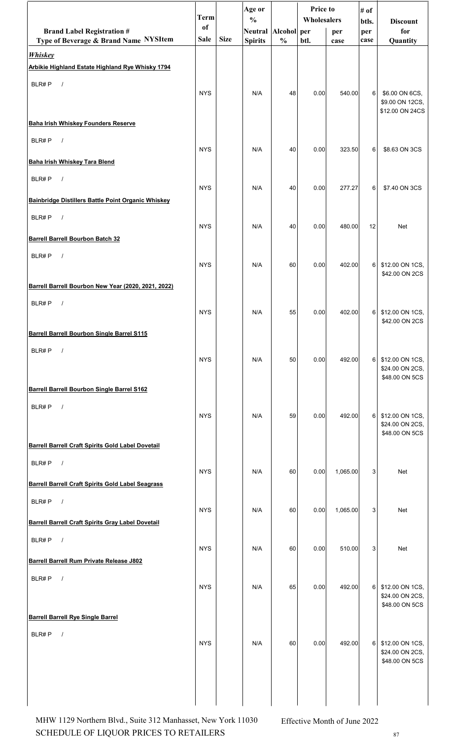| btls.<br><b>Discount</b><br><sub>of</sub><br><b>Brand Label Registration #</b><br>Neutral Alcohol per<br>for<br>per<br>per<br><b>Size</b><br>Type of Beverage & Brand Name NYSItem<br><b>Sale</b><br><b>Spirits</b><br>$\frac{0}{0}$<br>btl.<br>Quantity<br>case<br>case<br><b>Whiskey</b><br>Arbikie Highland Estate Highland Rye Whisky 1794<br>BLR#P<br>$\sqrt{ }$<br><b>NYS</b><br>6<br>\$6.00 ON 6CS,<br>N/A<br>48<br>0.00<br>540.00<br>\$9.00 ON 12CS,<br>\$12.00 ON 24CS<br><b>Baha Irish Whiskey Founders Reserve</b><br>BLR#P<br>$\sqrt{ }$<br><b>NYS</b><br>N/A<br>40<br>0.00<br>323.50<br>6<br>\$8.63 ON 3CS<br>Baha Irish Whiskey Tara Blend<br>BLR#P<br>$\sqrt{ }$<br><b>NYS</b><br>\$7.40 ON 3CS<br>N/A<br>40<br>0.00<br>277.27<br>6<br>Bainbridge Distillers Battle Point Organic Whiskey<br>BLR#P<br>$\sqrt{ }$<br><b>NYS</b><br>N/A<br>40<br>0.00<br>480.00<br>12<br><b>Net</b><br><b>Barrell Barrell Bourbon Batch 32</b><br>BLR#P<br>$\sqrt{ }$<br><b>NYS</b><br>N/A<br>402.00<br>60<br>0.00<br>6<br>\$12.00 ON 1CS,<br>\$42.00 ON 2CS<br>Barrell Barrell Bourbon New Year (2020, 2021, 2022)<br>BLR#P<br>$\sqrt{ }$<br><b>NYS</b><br>N/A<br>55<br>402.00<br>$6 \mid$<br>\$12.00 ON 1CS,<br>0.00<br>\$42.00 ON 2CS<br><b>Barrell Barrell Bourbon Single Barrel S115</b><br>BLR#P<br>$\sqrt{ }$<br><b>NYS</b><br>492.00<br>N/A<br>50<br>0.00<br>6<br>\$12.00 ON 1CS,<br>\$24.00 ON 2CS,<br>\$48.00 ON 5CS<br>Barrell Barrell Bourbon Single Barrel S162<br>BLR#P<br>$\sqrt{ }$<br><b>NYS</b><br>492.00<br>N/A<br>59<br>0.00<br>6<br>\$12.00 ON 1CS,<br>\$24.00 ON 2CS,<br>\$48.00 ON 5CS<br><b>Barrell Barrell Craft Spirits Gold Label Dovetail</b><br>BLR#P<br>$\sqrt{ }$<br><b>NYS</b><br>N/A<br>60<br>1,065.00<br>3<br>Net<br>0.00<br><b>Barrell Barrell Craft Spirits Gold Label Seagrass</b><br>BLR#P<br>$\sqrt{ }$<br><b>NYS</b><br>N/A<br>60<br>0.00<br>1,065.00<br>3<br><b>Net</b><br><b>Barrell Barrell Craft Spirits Gray Label Dovetail</b><br>BLR#P<br>$\sqrt{ }$<br><b>NYS</b><br>N/A<br>60<br>0.00<br>510.00<br>3<br><b>Net</b> | <b>Term</b> | Age or<br>$\frac{0}{0}$ | <b>Price to</b><br>Wholesalers |  | # of |  |
|------------------------------------------------------------------------------------------------------------------------------------------------------------------------------------------------------------------------------------------------------------------------------------------------------------------------------------------------------------------------------------------------------------------------------------------------------------------------------------------------------------------------------------------------------------------------------------------------------------------------------------------------------------------------------------------------------------------------------------------------------------------------------------------------------------------------------------------------------------------------------------------------------------------------------------------------------------------------------------------------------------------------------------------------------------------------------------------------------------------------------------------------------------------------------------------------------------------------------------------------------------------------------------------------------------------------------------------------------------------------------------------------------------------------------------------------------------------------------------------------------------------------------------------------------------------------------------------------------------------------------------------------------------------------------------------------------------------------------------------------------------------------------------------------------------------------------------------------------------------------------------------------------------------------------------------------------------------------------------------------------------------------------------------------------------------|-------------|-------------------------|--------------------------------|--|------|--|
|                                                                                                                                                                                                                                                                                                                                                                                                                                                                                                                                                                                                                                                                                                                                                                                                                                                                                                                                                                                                                                                                                                                                                                                                                                                                                                                                                                                                                                                                                                                                                                                                                                                                                                                                                                                                                                                                                                                                                                                                                                                                  |             |                         |                                |  |      |  |
|                                                                                                                                                                                                                                                                                                                                                                                                                                                                                                                                                                                                                                                                                                                                                                                                                                                                                                                                                                                                                                                                                                                                                                                                                                                                                                                                                                                                                                                                                                                                                                                                                                                                                                                                                                                                                                                                                                                                                                                                                                                                  |             |                         |                                |  |      |  |
|                                                                                                                                                                                                                                                                                                                                                                                                                                                                                                                                                                                                                                                                                                                                                                                                                                                                                                                                                                                                                                                                                                                                                                                                                                                                                                                                                                                                                                                                                                                                                                                                                                                                                                                                                                                                                                                                                                                                                                                                                                                                  |             |                         |                                |  |      |  |
|                                                                                                                                                                                                                                                                                                                                                                                                                                                                                                                                                                                                                                                                                                                                                                                                                                                                                                                                                                                                                                                                                                                                                                                                                                                                                                                                                                                                                                                                                                                                                                                                                                                                                                                                                                                                                                                                                                                                                                                                                                                                  |             |                         |                                |  |      |  |
|                                                                                                                                                                                                                                                                                                                                                                                                                                                                                                                                                                                                                                                                                                                                                                                                                                                                                                                                                                                                                                                                                                                                                                                                                                                                                                                                                                                                                                                                                                                                                                                                                                                                                                                                                                                                                                                                                                                                                                                                                                                                  |             |                         |                                |  |      |  |
|                                                                                                                                                                                                                                                                                                                                                                                                                                                                                                                                                                                                                                                                                                                                                                                                                                                                                                                                                                                                                                                                                                                                                                                                                                                                                                                                                                                                                                                                                                                                                                                                                                                                                                                                                                                                                                                                                                                                                                                                                                                                  |             |                         |                                |  |      |  |
|                                                                                                                                                                                                                                                                                                                                                                                                                                                                                                                                                                                                                                                                                                                                                                                                                                                                                                                                                                                                                                                                                                                                                                                                                                                                                                                                                                                                                                                                                                                                                                                                                                                                                                                                                                                                                                                                                                                                                                                                                                                                  |             |                         |                                |  |      |  |
|                                                                                                                                                                                                                                                                                                                                                                                                                                                                                                                                                                                                                                                                                                                                                                                                                                                                                                                                                                                                                                                                                                                                                                                                                                                                                                                                                                                                                                                                                                                                                                                                                                                                                                                                                                                                                                                                                                                                                                                                                                                                  |             |                         |                                |  |      |  |
|                                                                                                                                                                                                                                                                                                                                                                                                                                                                                                                                                                                                                                                                                                                                                                                                                                                                                                                                                                                                                                                                                                                                                                                                                                                                                                                                                                                                                                                                                                                                                                                                                                                                                                                                                                                                                                                                                                                                                                                                                                                                  |             |                         |                                |  |      |  |
|                                                                                                                                                                                                                                                                                                                                                                                                                                                                                                                                                                                                                                                                                                                                                                                                                                                                                                                                                                                                                                                                                                                                                                                                                                                                                                                                                                                                                                                                                                                                                                                                                                                                                                                                                                                                                                                                                                                                                                                                                                                                  |             |                         |                                |  |      |  |
|                                                                                                                                                                                                                                                                                                                                                                                                                                                                                                                                                                                                                                                                                                                                                                                                                                                                                                                                                                                                                                                                                                                                                                                                                                                                                                                                                                                                                                                                                                                                                                                                                                                                                                                                                                                                                                                                                                                                                                                                                                                                  |             |                         |                                |  |      |  |
|                                                                                                                                                                                                                                                                                                                                                                                                                                                                                                                                                                                                                                                                                                                                                                                                                                                                                                                                                                                                                                                                                                                                                                                                                                                                                                                                                                                                                                                                                                                                                                                                                                                                                                                                                                                                                                                                                                                                                                                                                                                                  |             |                         |                                |  |      |  |
|                                                                                                                                                                                                                                                                                                                                                                                                                                                                                                                                                                                                                                                                                                                                                                                                                                                                                                                                                                                                                                                                                                                                                                                                                                                                                                                                                                                                                                                                                                                                                                                                                                                                                                                                                                                                                                                                                                                                                                                                                                                                  |             |                         |                                |  |      |  |
|                                                                                                                                                                                                                                                                                                                                                                                                                                                                                                                                                                                                                                                                                                                                                                                                                                                                                                                                                                                                                                                                                                                                                                                                                                                                                                                                                                                                                                                                                                                                                                                                                                                                                                                                                                                                                                                                                                                                                                                                                                                                  |             |                         |                                |  |      |  |
|                                                                                                                                                                                                                                                                                                                                                                                                                                                                                                                                                                                                                                                                                                                                                                                                                                                                                                                                                                                                                                                                                                                                                                                                                                                                                                                                                                                                                                                                                                                                                                                                                                                                                                                                                                                                                                                                                                                                                                                                                                                                  |             |                         |                                |  |      |  |
|                                                                                                                                                                                                                                                                                                                                                                                                                                                                                                                                                                                                                                                                                                                                                                                                                                                                                                                                                                                                                                                                                                                                                                                                                                                                                                                                                                                                                                                                                                                                                                                                                                                                                                                                                                                                                                                                                                                                                                                                                                                                  |             |                         |                                |  |      |  |
|                                                                                                                                                                                                                                                                                                                                                                                                                                                                                                                                                                                                                                                                                                                                                                                                                                                                                                                                                                                                                                                                                                                                                                                                                                                                                                                                                                                                                                                                                                                                                                                                                                                                                                                                                                                                                                                                                                                                                                                                                                                                  |             |                         |                                |  |      |  |
|                                                                                                                                                                                                                                                                                                                                                                                                                                                                                                                                                                                                                                                                                                                                                                                                                                                                                                                                                                                                                                                                                                                                                                                                                                                                                                                                                                                                                                                                                                                                                                                                                                                                                                                                                                                                                                                                                                                                                                                                                                                                  |             |                         |                                |  |      |  |
|                                                                                                                                                                                                                                                                                                                                                                                                                                                                                                                                                                                                                                                                                                                                                                                                                                                                                                                                                                                                                                                                                                                                                                                                                                                                                                                                                                                                                                                                                                                                                                                                                                                                                                                                                                                                                                                                                                                                                                                                                                                                  |             |                         |                                |  |      |  |
|                                                                                                                                                                                                                                                                                                                                                                                                                                                                                                                                                                                                                                                                                                                                                                                                                                                                                                                                                                                                                                                                                                                                                                                                                                                                                                                                                                                                                                                                                                                                                                                                                                                                                                                                                                                                                                                                                                                                                                                                                                                                  |             |                         |                                |  |      |  |
|                                                                                                                                                                                                                                                                                                                                                                                                                                                                                                                                                                                                                                                                                                                                                                                                                                                                                                                                                                                                                                                                                                                                                                                                                                                                                                                                                                                                                                                                                                                                                                                                                                                                                                                                                                                                                                                                                                                                                                                                                                                                  |             |                         |                                |  |      |  |
|                                                                                                                                                                                                                                                                                                                                                                                                                                                                                                                                                                                                                                                                                                                                                                                                                                                                                                                                                                                                                                                                                                                                                                                                                                                                                                                                                                                                                                                                                                                                                                                                                                                                                                                                                                                                                                                                                                                                                                                                                                                                  |             |                         |                                |  |      |  |
|                                                                                                                                                                                                                                                                                                                                                                                                                                                                                                                                                                                                                                                                                                                                                                                                                                                                                                                                                                                                                                                                                                                                                                                                                                                                                                                                                                                                                                                                                                                                                                                                                                                                                                                                                                                                                                                                                                                                                                                                                                                                  |             |                         |                                |  |      |  |
|                                                                                                                                                                                                                                                                                                                                                                                                                                                                                                                                                                                                                                                                                                                                                                                                                                                                                                                                                                                                                                                                                                                                                                                                                                                                                                                                                                                                                                                                                                                                                                                                                                                                                                                                                                                                                                                                                                                                                                                                                                                                  |             |                         |                                |  |      |  |
|                                                                                                                                                                                                                                                                                                                                                                                                                                                                                                                                                                                                                                                                                                                                                                                                                                                                                                                                                                                                                                                                                                                                                                                                                                                                                                                                                                                                                                                                                                                                                                                                                                                                                                                                                                                                                                                                                                                                                                                                                                                                  |             |                         |                                |  |      |  |
|                                                                                                                                                                                                                                                                                                                                                                                                                                                                                                                                                                                                                                                                                                                                                                                                                                                                                                                                                                                                                                                                                                                                                                                                                                                                                                                                                                                                                                                                                                                                                                                                                                                                                                                                                                                                                                                                                                                                                                                                                                                                  |             |                         |                                |  |      |  |
|                                                                                                                                                                                                                                                                                                                                                                                                                                                                                                                                                                                                                                                                                                                                                                                                                                                                                                                                                                                                                                                                                                                                                                                                                                                                                                                                                                                                                                                                                                                                                                                                                                                                                                                                                                                                                                                                                                                                                                                                                                                                  |             |                         |                                |  |      |  |
|                                                                                                                                                                                                                                                                                                                                                                                                                                                                                                                                                                                                                                                                                                                                                                                                                                                                                                                                                                                                                                                                                                                                                                                                                                                                                                                                                                                                                                                                                                                                                                                                                                                                                                                                                                                                                                                                                                                                                                                                                                                                  |             |                         |                                |  |      |  |
|                                                                                                                                                                                                                                                                                                                                                                                                                                                                                                                                                                                                                                                                                                                                                                                                                                                                                                                                                                                                                                                                                                                                                                                                                                                                                                                                                                                                                                                                                                                                                                                                                                                                                                                                                                                                                                                                                                                                                                                                                                                                  |             |                         |                                |  |      |  |
|                                                                                                                                                                                                                                                                                                                                                                                                                                                                                                                                                                                                                                                                                                                                                                                                                                                                                                                                                                                                                                                                                                                                                                                                                                                                                                                                                                                                                                                                                                                                                                                                                                                                                                                                                                                                                                                                                                                                                                                                                                                                  |             |                         |                                |  |      |  |
|                                                                                                                                                                                                                                                                                                                                                                                                                                                                                                                                                                                                                                                                                                                                                                                                                                                                                                                                                                                                                                                                                                                                                                                                                                                                                                                                                                                                                                                                                                                                                                                                                                                                                                                                                                                                                                                                                                                                                                                                                                                                  |             |                         |                                |  |      |  |
| <b>Barrell Barrell Rum Private Release J802</b>                                                                                                                                                                                                                                                                                                                                                                                                                                                                                                                                                                                                                                                                                                                                                                                                                                                                                                                                                                                                                                                                                                                                                                                                                                                                                                                                                                                                                                                                                                                                                                                                                                                                                                                                                                                                                                                                                                                                                                                                                  |             |                         |                                |  |      |  |
| BLR#P<br>$\sqrt{ }$                                                                                                                                                                                                                                                                                                                                                                                                                                                                                                                                                                                                                                                                                                                                                                                                                                                                                                                                                                                                                                                                                                                                                                                                                                                                                                                                                                                                                                                                                                                                                                                                                                                                                                                                                                                                                                                                                                                                                                                                                                              |             |                         |                                |  |      |  |
| <b>NYS</b><br>492.00<br>N/A<br>65<br>0.00<br>6<br>\$12.00 ON 1CS,<br>\$24.00 ON 2CS,                                                                                                                                                                                                                                                                                                                                                                                                                                                                                                                                                                                                                                                                                                                                                                                                                                                                                                                                                                                                                                                                                                                                                                                                                                                                                                                                                                                                                                                                                                                                                                                                                                                                                                                                                                                                                                                                                                                                                                             |             |                         |                                |  |      |  |
| \$48.00 ON 5CS<br><b>Barrell Barrell Rye Single Barrel</b>                                                                                                                                                                                                                                                                                                                                                                                                                                                                                                                                                                                                                                                                                                                                                                                                                                                                                                                                                                                                                                                                                                                                                                                                                                                                                                                                                                                                                                                                                                                                                                                                                                                                                                                                                                                                                                                                                                                                                                                                       |             |                         |                                |  |      |  |
| BLR#P<br>$\sqrt{ }$                                                                                                                                                                                                                                                                                                                                                                                                                                                                                                                                                                                                                                                                                                                                                                                                                                                                                                                                                                                                                                                                                                                                                                                                                                                                                                                                                                                                                                                                                                                                                                                                                                                                                                                                                                                                                                                                                                                                                                                                                                              |             |                         |                                |  |      |  |
| <b>NYS</b><br>N/A<br>60<br>492.00<br>6<br>0.00<br>\$12.00 ON 1CS,<br>\$24.00 ON 2CS,                                                                                                                                                                                                                                                                                                                                                                                                                                                                                                                                                                                                                                                                                                                                                                                                                                                                                                                                                                                                                                                                                                                                                                                                                                                                                                                                                                                                                                                                                                                                                                                                                                                                                                                                                                                                                                                                                                                                                                             |             |                         |                                |  |      |  |
| \$48.00 ON 5CS                                                                                                                                                                                                                                                                                                                                                                                                                                                                                                                                                                                                                                                                                                                                                                                                                                                                                                                                                                                                                                                                                                                                                                                                                                                                                                                                                                                                                                                                                                                                                                                                                                                                                                                                                                                                                                                                                                                                                                                                                                                   |             |                         |                                |  |      |  |
|                                                                                                                                                                                                                                                                                                                                                                                                                                                                                                                                                                                                                                                                                                                                                                                                                                                                                                                                                                                                                                                                                                                                                                                                                                                                                                                                                                                                                                                                                                                                                                                                                                                                                                                                                                                                                                                                                                                                                                                                                                                                  |             |                         |                                |  |      |  |
|                                                                                                                                                                                                                                                                                                                                                                                                                                                                                                                                                                                                                                                                                                                                                                                                                                                                                                                                                                                                                                                                                                                                                                                                                                                                                                                                                                                                                                                                                                                                                                                                                                                                                                                                                                                                                                                                                                                                                                                                                                                                  |             |                         |                                |  |      |  |

SCHEDULE OF LIQUOR PRICES TO RETAILERS  $$87$$ MHW 1129 Northern Blvd., Suite 312 Manhasset, New York 11030 Effective Month of June 2022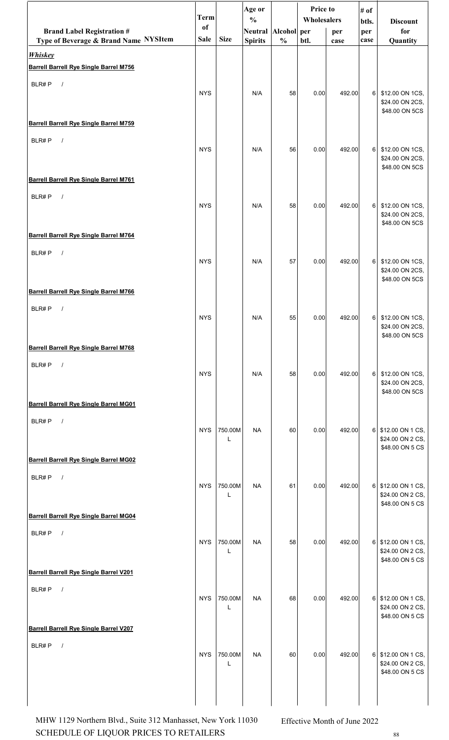|                                                                      | <b>Term</b> |              | Age or                               |               | Price to<br>Wholesalers |        | # of         |                                                           |
|----------------------------------------------------------------------|-------------|--------------|--------------------------------------|---------------|-------------------------|--------|--------------|-----------------------------------------------------------|
| <b>Brand Label Registration #</b>                                    | of          |              | $\frac{0}{0}$<br>Neutral Alcohol per |               |                         | per    | btls.<br>per | <b>Discount</b><br>for                                    |
| Type of Beverage & Brand Name NYSItem                                | <b>Sale</b> | <b>Size</b>  | <b>Spirits</b>                       | $\frac{0}{0}$ | btl.                    | case   | case         | Quantity                                                  |
| <b>Whiskey</b>                                                       |             |              |                                      |               |                         |        |              |                                                           |
| <b>Barrell Barrell Rye Single Barrel M756</b>                        |             |              |                                      |               |                         |        |              |                                                           |
| BLR#P<br>$\sqrt{ }$                                                  | <b>NYS</b>  |              | N/A                                  | 58            | 0.00                    | 492.00 | 6            | \$12.00 ON 1CS,<br>\$24.00 ON 2CS,<br>\$48.00 ON 5CS      |
| <b>Barrell Barrell Rye Single Barrel M759</b>                        |             |              |                                      |               |                         |        |              |                                                           |
| BLR#P<br>$\sqrt{ }$                                                  | <b>NYS</b>  |              | N/A                                  | 56            | 0.00                    | 492.00 | 6            | \$12.00 ON 1CS,<br>\$24.00 ON 2CS,<br>\$48.00 ON 5CS      |
| <b>Barrell Barrell Rye Single Barrel M761</b>                        |             |              |                                      |               |                         |        |              |                                                           |
| BLR#P<br>$\sqrt{ }$                                                  | <b>NYS</b>  |              | N/A                                  | 58            | 0.00                    | 492.00 | 6            | \$12.00 ON 1CS,<br>\$24.00 ON 2CS,<br>\$48.00 ON 5CS      |
| <b>Barrell Barrell Rye Single Barrel M764</b>                        |             |              |                                      |               |                         |        |              |                                                           |
| BLR#P<br>$\sqrt{ }$                                                  | <b>NYS</b>  |              | N/A                                  | 57            | 0.00                    | 492.00 | 6            | \$12.00 ON 1CS,<br>\$24.00 ON 2CS,<br>\$48.00 ON 5CS      |
| <b>Barrell Barrell Rye Single Barrel M766</b>                        |             |              |                                      |               |                         |        |              |                                                           |
| BLR#P<br>$\sqrt{ }$                                                  | <b>NYS</b>  |              | N/A                                  | 55            | 0.00                    | 492.00 | $6 \mid$     | \$12.00 ON 1CS,<br>\$24.00 ON 2CS,<br>\$48.00 ON 5CS      |
| <b>Barrell Barrell Rye Single Barrel M768</b>                        |             |              |                                      |               |                         |        |              |                                                           |
| BLR#P<br>$\sqrt{ }$                                                  | <b>NYS</b>  |              | N/A                                  | 58            | 0.00                    | 492.00 | $6 \mid$     | \$12.00 ON 1CS,<br>\$24.00 ON 2CS,<br>\$48.00 ON 5CS      |
| <b>Barrell Barrell Rye Single Barrel MG01</b>                        |             |              |                                      |               |                         |        |              |                                                           |
| BLR#P<br>$\sqrt{ }$                                                  | <b>NYS</b>  | 750.00M<br>L | <b>NA</b>                            | 60            | 0.00                    | 492.00 |              | 6 \$12.00 ON 1 CS,<br>\$24.00 ON 2 CS,<br>\$48.00 ON 5 CS |
| <b>Barrell Barrell Rye Single Barrel MG02</b>                        |             |              |                                      |               |                         |        |              |                                                           |
| BLR#P<br>$\sqrt{ }$                                                  | <b>NYS</b>  | 750.00M<br>L | <b>NA</b>                            | 61            | 0.00                    | 492.00 |              | 6 \$12.00 ON 1 CS,<br>\$24.00 ON 2 CS,<br>\$48.00 ON 5 CS |
| <b>Barrell Barrell Rye Single Barrel MG04</b>                        |             |              |                                      |               |                         |        |              |                                                           |
| BLR#P<br>$\sqrt{ }$                                                  | <b>NYS</b>  | 750.00M<br>L | <b>NA</b>                            | 58            | 0.00                    | 492.00 |              | 6 \$12.00 ON 1 CS,<br>\$24.00 ON 2 CS,<br>\$48.00 ON 5 CS |
| <b>Barrell Barrell Rye Single Barrel V201</b>                        |             |              |                                      |               |                         |        |              |                                                           |
| BLR#P<br>$\sqrt{ }$<br><b>Barrell Barrell Rye Single Barrel V207</b> | <b>NYS</b>  | 750.00M<br>L | <b>NA</b>                            | 68            | 0.00                    | 492.00 |              | 6 \$12.00 ON 1 CS,<br>\$24.00 ON 2 CS,<br>\$48.00 ON 5 CS |
|                                                                      |             |              |                                      |               |                         |        |              |                                                           |
| BLR#P<br>$\prime$                                                    | <b>NYS</b>  | 750.00M<br>L | <b>NA</b>                            | 60            | 0.00                    | 492.00 |              | 6 \$12.00 ON 1 CS,<br>\$24.00 ON 2 CS,<br>\$48.00 ON 5 CS |
|                                                                      |             |              |                                      |               |                         |        |              |                                                           |

SCHEDULE OF LIQUOR PRICES TO RETAILERS  $^{88}$ MHW 1129 Northern Blvd., Suite 312 Manhasset, New York 11030 Effective Month of June 2022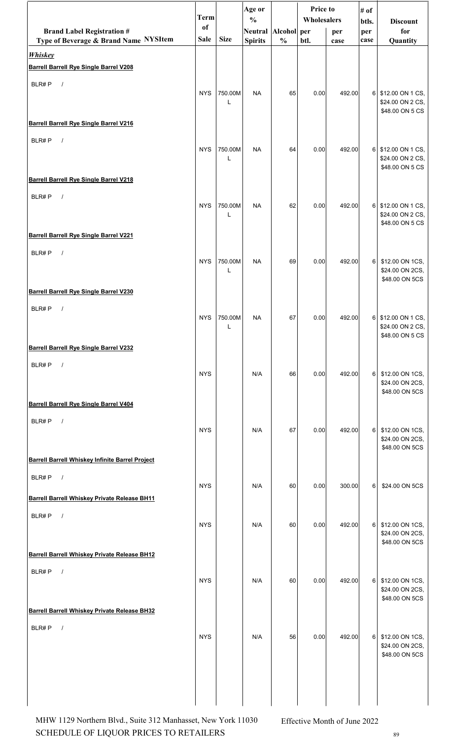|                                                         | <b>Term</b> |                         | Age or<br>$\frac{0}{0}$ |               | Price to<br>Wholesalers |        | # of<br>btls.<br><b>Discount</b> |                                      |
|---------------------------------------------------------|-------------|-------------------------|-------------------------|---------------|-------------------------|--------|----------------------------------|--------------------------------------|
| <b>Brand Label Registration #</b>                       | of          |                         | Neutral Alcohol per     |               |                         | per    | per                              | for                                  |
| Type of Beverage & Brand Name NYSItem<br><b>Whiskey</b> | <b>Sale</b> | <b>Size</b>             | <b>Spirits</b>          | $\frac{0}{0}$ | btl.                    | case   | case                             | Quantity                             |
| <b>Barrell Barrell Rye Single Barrel V208</b>           |             |                         |                         |               |                         |        |                                  |                                      |
| BLR#P<br>$\sqrt{ }$                                     |             |                         |                         |               |                         |        |                                  |                                      |
|                                                         | <b>NYS</b>  | 750.00M<br>$\mathbf{I}$ | <b>NA</b>               | 65            | 0.00                    | 492.00 | $6 \mid$                         | \$12.00 ON 1 CS,<br>\$24.00 ON 2 CS, |
| <b>Barrell Barrell Rye Single Barrel V216</b>           |             |                         |                         |               |                         |        |                                  | \$48.00 ON 5 CS                      |
| BLR#P<br>$\sqrt{ }$                                     |             |                         |                         |               |                         |        |                                  |                                      |
|                                                         | <b>NYS</b>  | 750.00M<br>L            | <b>NA</b>               | 64            | 0.00                    | 492.00 | 6                                | \$12.00 ON 1 CS,<br>\$24.00 ON 2 CS, |
|                                                         |             |                         |                         |               |                         |        |                                  | \$48.00 ON 5 CS                      |
| <b>Barrell Barrell Rye Single Barrel V218</b>           |             |                         |                         |               |                         |        |                                  |                                      |
| BLR#P<br>$\sqrt{ }$                                     | <b>NYS</b>  | 750.00M                 | <b>NA</b>               | 62            | 0.00                    | 492.00 | 6                                | \$12.00 ON 1 CS,                     |
|                                                         |             | L                       |                         |               |                         |        |                                  | \$24.00 ON 2 CS,<br>\$48.00 ON 5 CS  |
| <b>Barrell Barrell Rye Single Barrel V221</b>           |             |                         |                         |               |                         |        |                                  |                                      |
| BLR#P<br>$\sqrt{ }$                                     | <b>NYS</b>  | 750.00M                 | <b>NA</b>               | 69            | 0.00                    | 492.00 | 6                                | \$12.00 ON 1CS,                      |
|                                                         |             | L                       |                         |               |                         |        |                                  | \$24.00 ON 2CS,<br>\$48.00 ON 5CS    |
| <b>Barrell Barrell Rye Single Barrel V230</b>           |             |                         |                         |               |                         |        |                                  |                                      |
| BLR#P<br>$\sqrt{ }$                                     |             |                         |                         |               |                         |        |                                  |                                      |
|                                                         | <b>NYS</b>  | 750.00M<br>L            | <b>NA</b>               | 67            | 0.00                    | 492.00 | 6                                | \$12.00 ON 1 CS,<br>\$24.00 ON 2 CS, |
| <b>Barrell Barrell Rye Single Barrel V232</b>           |             |                         |                         |               |                         |        |                                  | \$48.00 ON 5 CS                      |
| $\sqrt{ }$<br>BLR#P                                     |             |                         |                         |               |                         |        |                                  |                                      |
|                                                         | <b>NYS</b>  |                         | N/A                     | 66            | 0.00                    | 492.00 | 6                                | \$12.00 ON 1CS,<br>\$24.00 ON 2CS,   |
| <b>Barrell Barrell Rye Single Barrel V404</b>           |             |                         |                         |               |                         |        |                                  | \$48.00 ON 5CS                       |
| BLR#P<br>$\sqrt{ }$                                     |             |                         |                         |               |                         |        |                                  |                                      |
|                                                         | <b>NYS</b>  |                         | N/A                     | 67            | 0.00                    | 492.00 | 6                                | \$12.00 ON 1CS,<br>\$24.00 ON 2CS,   |
|                                                         |             |                         |                         |               |                         |        |                                  | \$48.00 ON 5CS                       |
| <b>Barrell Barrell Whiskey Infinite Barrel Project</b>  |             |                         |                         |               |                         |        |                                  |                                      |
| BLR#P<br>$\sqrt{ }$                                     | <b>NYS</b>  |                         | N/A                     | 60            | 0.00                    | 300.00 | 6                                | \$24.00 ON 5CS                       |
| <b>Barrell Barrell Whiskey Private Release BH11</b>     |             |                         |                         |               |                         |        |                                  |                                      |
| BLR#P<br>$\sqrt{ }$                                     | <b>NYS</b>  |                         | N/A                     | 60            | 0.00                    | 492.00 | 6                                | \$12.00 ON 1CS,                      |
|                                                         |             |                         |                         |               |                         |        |                                  | \$24.00 ON 2CS,<br>\$48.00 ON 5CS    |
| <b>Barrell Barrell Whiskey Private Release BH12</b>     |             |                         |                         |               |                         |        |                                  |                                      |
| $\sqrt{ }$<br>BLR#P                                     | <b>NYS</b>  |                         | N/A                     | 60            | 0.00                    | 492.00 | $6 \mid$                         | \$12.00 ON 1CS,                      |
|                                                         |             |                         |                         |               |                         |        |                                  | \$24.00 ON 2CS,<br>\$48.00 ON 5CS    |
| <b>Barrell Barrell Whiskey Private Release BH32</b>     |             |                         |                         |               |                         |        |                                  |                                      |
| BLR#P<br>$\sqrt{ }$                                     |             |                         |                         |               |                         |        |                                  |                                      |
|                                                         | <b>NYS</b>  |                         | N/A                     | 56            | 0.00                    | 492.00 | $6 \mid$                         | \$12.00 ON 1CS,<br>\$24.00 ON 2CS,   |
|                                                         |             |                         |                         |               |                         |        |                                  | \$48.00 ON 5CS                       |
|                                                         |             |                         |                         |               |                         |        |                                  |                                      |
|                                                         |             |                         |                         |               |                         |        |                                  |                                      |
|                                                         |             |                         |                         |               |                         |        |                                  |                                      |

SCHEDULE OF LIQUOR PRICES TO RETAILERS  $^{89}$ MHW 1129 Northern Blvd., Suite 312 Manhasset, New York 11030 Effective Month of June 2022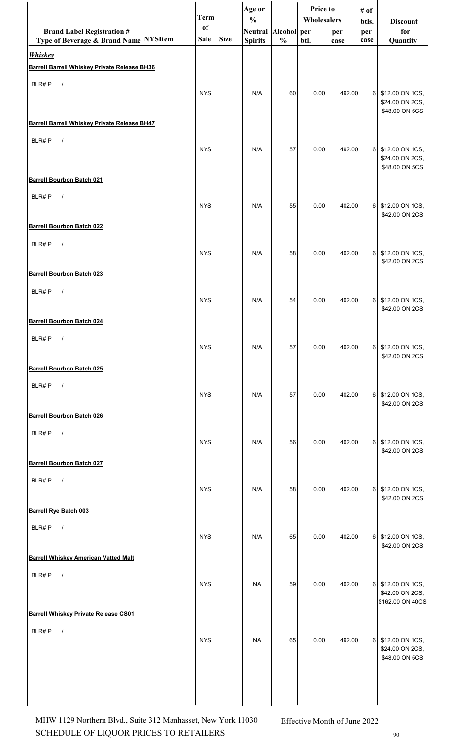|                                                                       | <b>Term</b>   |             | Age or<br>$\frac{0}{0}$ |               | <b>Price to</b><br>Wholesalers |        | # of           |                                                        |
|-----------------------------------------------------------------------|---------------|-------------|-------------------------|---------------|--------------------------------|--------|----------------|--------------------------------------------------------|
| <b>Brand Label Registration #</b>                                     | <sub>of</sub> |             | Neutral Alcohol per     |               |                                | per    | btls.<br>per   | <b>Discount</b><br>for                                 |
| Type of Beverage & Brand Name NYSItem                                 | Sale          | <b>Size</b> | <b>Spirits</b>          | $\frac{0}{0}$ | btl.                           | case   | case           | Quantity                                               |
| <b>Whiskey</b><br><b>Barrell Barrell Whiskey Private Release BH36</b> |               |             |                         |               |                                |        |                |                                                        |
| BLR#P<br>$\sqrt{ }$                                                   |               |             |                         |               |                                |        |                |                                                        |
|                                                                       | <b>NYS</b>    |             | N/A                     | 60            | 0.00                           | 492.00 | 6              | \$12.00 ON 1CS,<br>\$24.00 ON 2CS,<br>\$48.00 ON 5CS   |
| <b>Barrell Barrell Whiskey Private Release BH47</b>                   |               |             |                         |               |                                |        |                |                                                        |
| BLR#P<br>$\sqrt{ }$                                                   | <b>NYS</b>    |             | N/A                     | 57            | 0.00                           | 492.00 | 6 I            | \$12.00 ON 1CS,<br>\$24.00 ON 2CS,<br>\$48.00 ON 5CS   |
| <b>Barrell Bourbon Batch 021</b>                                      |               |             |                         |               |                                |        |                |                                                        |
| BLR#P<br>$\sqrt{ }$                                                   | <b>NYS</b>    |             | N/A                     | 55            | 0.00                           | 402.00 | 6              | \$12.00 ON 1CS,<br>\$42.00 ON 2CS                      |
| <b>Barrell Bourbon Batch 022</b>                                      |               |             |                         |               |                                |        |                |                                                        |
| BLR#P<br>$\sqrt{ }$                                                   | <b>NYS</b>    |             | N/A                     | 58            | 0.00                           | 402.00 | 6 <sup>1</sup> | \$12.00 ON 1CS,<br>\$42.00 ON 2CS                      |
| <b>Barrell Bourbon Batch 023</b>                                      |               |             |                         |               |                                |        |                |                                                        |
| BLR#P<br>$\sqrt{ }$                                                   | <b>NYS</b>    |             | N/A                     | 54            | 0.00                           | 402.00 | 6              | \$12.00 ON 1CS,<br>\$42.00 ON 2CS                      |
| <b>Barrell Bourbon Batch 024</b>                                      |               |             |                         |               |                                |        |                |                                                        |
| BLR#P<br>$\frac{1}{2}$                                                | <b>NYS</b>    |             | N/A                     | 57            | 0.00                           | 402.00 | 6              | \$12.00 ON 1CS,<br>\$42.00 ON 2CS                      |
| <b>Barrell Bourbon Batch 025</b>                                      |               |             |                         |               |                                |        |                |                                                        |
| BLR#P<br>$\sqrt{ }$                                                   | <b>NYS</b>    |             | N/A                     | 57            | 0.00                           | 402.00 | 6              | \$12.00 ON 1CS,<br>\$42.00 ON 2CS                      |
| <b>Barrell Bourbon Batch 026</b>                                      |               |             |                         |               |                                |        |                |                                                        |
| BLR#P<br>$\sqrt{ }$                                                   | <b>NYS</b>    |             | N/A                     | 56            | 0.00                           | 402.00 | 6              | \$12.00 ON 1CS,<br>\$42.00 ON 2CS                      |
| <b>Barrell Bourbon Batch 027</b>                                      |               |             |                         |               |                                |        |                |                                                        |
| BLR#P<br>$\prime$                                                     | <b>NYS</b>    |             | N/A                     | 58            | 0.00                           | 402.00 | 6              | \$12.00 ON 1CS,<br>\$42.00 ON 2CS                      |
| <b>Barrell Rye Batch 003</b>                                          |               |             |                         |               |                                |        |                |                                                        |
| BLR#P<br>$\sqrt{ }$                                                   | <b>NYS</b>    |             | N/A                     | 65            | 0.00                           | 402.00 | 6              | \$12.00 ON 1CS,<br>\$42.00 ON 2CS                      |
| <b>Barrell Whiskey American Vatted Malt</b>                           |               |             |                         |               |                                |        |                |                                                        |
| BLR#P<br>$\sqrt{ }$                                                   | <b>NYS</b>    |             | <b>NA</b>               | 59            | 0.00                           | 402.00 | 6              | \$12.00 ON 1CS,<br>\$42.00 ON 2CS,<br>\$162.00 ON 40CS |
| <b>Barrell Whiskey Private Release CS01</b>                           |               |             |                         |               |                                |        |                |                                                        |
| BLR#P<br>$\prime$                                                     | <b>NYS</b>    |             | <b>NA</b>               | 65            | 0.00                           | 492.00 | 6              | \$12.00 ON 1CS,<br>\$24.00 ON 2CS,<br>\$48.00 ON 5CS   |
|                                                                       |               |             |                         |               |                                |        |                |                                                        |

SCHEDULE OF LIQUOR PRICES TO RETAILERS  $_{90}$ MHW 1129 Northern Blvd., Suite 312 Manhasset, New York 11030 Effective Month of June 2022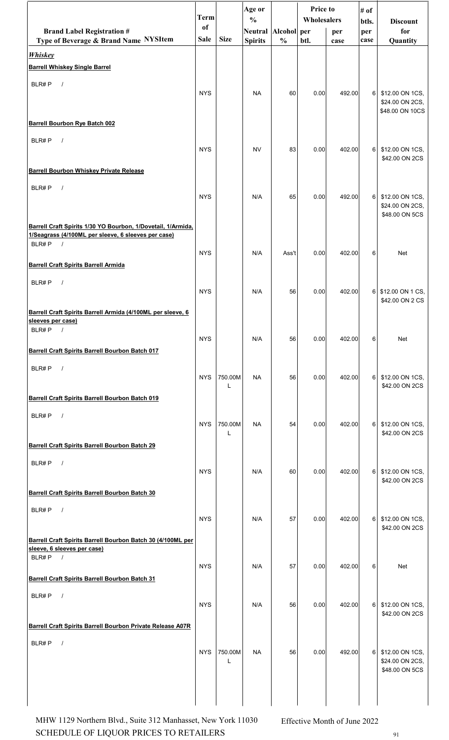|                                                                                            | <b>Term</b> |              | Age or                               |               | Price to<br>Wholesalers |        | # of         |                                     |
|--------------------------------------------------------------------------------------------|-------------|--------------|--------------------------------------|---------------|-------------------------|--------|--------------|-------------------------------------|
| <b>Brand Label Registration #</b>                                                          | of          |              | $\frac{0}{0}$<br>Neutral Alcohol per |               |                         | per    | btls.<br>per | <b>Discount</b><br>for              |
| Type of Beverage & Brand Name NYSItem                                                      | Sale        | <b>Size</b>  | <b>Spirits</b>                       | $\frac{0}{0}$ | btl.                    | case   | case         | Quantity                            |
| <b>Whiskey</b><br><b>Barrell Whiskey Single Barrel</b>                                     |             |              |                                      |               |                         |        |              |                                     |
| BLR#P                                                                                      |             |              |                                      |               |                         |        |              |                                     |
| $\sqrt{ }$                                                                                 | <b>NYS</b>  |              | <b>NA</b>                            | 60            | 0.00                    | 492.00 | $6 \mid$     | \$12.00 ON 1CS,                     |
|                                                                                            |             |              |                                      |               |                         |        |              | \$24.00 ON 2CS,<br>\$48.00 ON 10CS  |
| <b>Barrell Bourbon Rye Batch 002</b>                                                       |             |              |                                      |               |                         |        |              |                                     |
| BLR#P<br>$\sqrt{ }$                                                                        |             |              |                                      |               |                         |        |              |                                     |
|                                                                                            | <b>NYS</b>  |              | <b>NV</b>                            | 83            | 0.00                    | 402.00 |              | 6 \$12.00 ON 1CS,<br>\$42.00 ON 2CS |
| <b>Barrell Bourbon Whiskey Private Release</b>                                             |             |              |                                      |               |                         |        |              |                                     |
| BLR#P<br>$\sqrt{ }$                                                                        | <b>NYS</b>  |              | N/A                                  | 65            | 0.00                    | 492.00 | $6 \mid$     | \$12.00 ON 1CS,                     |
|                                                                                            |             |              |                                      |               |                         |        |              | \$24.00 ON 2CS,                     |
| Barrell Craft Spirits 1/30 YO Bourbon, 1/Dovetail, 1/Armida,                               |             |              |                                      |               |                         |        |              | \$48.00 ON 5CS                      |
| 1/Seagrass (4/100ML per sleeve, 6 sleeves per case)<br>BLR#P<br>$\frac{1}{2}$              |             |              |                                      |               |                         |        |              |                                     |
|                                                                                            | <b>NYS</b>  |              | N/A                                  | Ass't         | 0.00                    | 402.00 | 6            | <b>Net</b>                          |
| <b>Barrell Craft Spirits Barrell Armida</b>                                                |             |              |                                      |               |                         |        |              |                                     |
| BLR#P<br>$\sqrt{ }$                                                                        | <b>NYS</b>  |              | N/A                                  | 56            | 0.00                    | 402.00 |              | 6 \$12.00 ON 1 CS,                  |
|                                                                                            |             |              |                                      |               |                         |        |              | \$42.00 ON 2 CS                     |
| Barrell Craft Spirits Barrell Armida (4/100ML per sleeve, 6<br>sleeves per case)           |             |              |                                      |               |                         |        |              |                                     |
| $BLR\#P$ /                                                                                 | <b>NYS</b>  |              | N/A                                  | 56            | 0.00                    | 402.00 | 6            | Net                                 |
| Barrell Craft Spirits Barrell Bourbon Batch 017                                            |             |              |                                      |               |                         |        |              |                                     |
| BLR#P<br>$\sqrt{ }$                                                                        |             |              |                                      |               |                         |        |              |                                     |
|                                                                                            | <b>NYS</b>  | 750.00M<br>L | <b>NA</b>                            | 56            | 0.00                    | 402.00 | 6            | \$12.00 ON 1CS,<br>\$42.00 ON 2CS   |
| Barrell Craft Spirits Barrell Bourbon Batch 019                                            |             |              |                                      |               |                         |        |              |                                     |
| BLR#P<br>$\sqrt{ }$                                                                        |             |              |                                      |               |                         |        |              |                                     |
|                                                                                            | <b>NYS</b>  | 750.00M<br>L | <b>NA</b>                            | 54            | 0.00                    | 402.00 | $6 \mid$     | \$12.00 ON 1CS,<br>\$42.00 ON 2CS   |
| Barrell Craft Spirits Barrell Bourbon Batch 29                                             |             |              |                                      |               |                         |        |              |                                     |
| BLR#P<br>$\sqrt{ }$                                                                        | <b>NYS</b>  |              | N/A                                  | 60            | 0.00                    | 402.00 |              | 6 \$12.00 ON 1CS,                   |
|                                                                                            |             |              |                                      |               |                         |        |              | \$42.00 ON 2CS                      |
| Barrell Craft Spirits Barrell Bourbon Batch 30                                             |             |              |                                      |               |                         |        |              |                                     |
| BLR#P<br>$\sqrt{ }$                                                                        | <b>NYS</b>  |              | N/A                                  | 57            | 0.00                    | 402.00 |              | 6 \$12.00 ON 1CS,                   |
|                                                                                            |             |              |                                      |               |                         |        |              | \$42.00 ON 2CS                      |
| Barrell Craft Spirits Barrell Bourbon Batch 30 (4/100ML per<br>sleeve, 6 sleeves per case) |             |              |                                      |               |                         |        |              |                                     |
| BLR#P $/$                                                                                  | <b>NYS</b>  |              | N/A                                  | 57            | 0.00                    | 402.00 | 6            | Net                                 |
| <b>Barrell Craft Spirits Barrell Bourbon Batch 31</b>                                      |             |              |                                      |               |                         |        |              |                                     |
| BLR#P<br>$\sqrt{ }$                                                                        |             |              |                                      |               |                         |        |              |                                     |
|                                                                                            | <b>NYS</b>  |              | N/A                                  | 56            | 0.00                    | 402.00 | 6            | \$12.00 ON 1CS,<br>\$42.00 ON 2CS   |
| Barrell Craft Spirits Barrell Bourbon Private Release A07R                                 |             |              |                                      |               |                         |        |              |                                     |
| BLR#P<br>$\sqrt{ }$                                                                        | <b>NYS</b>  | 750.00M      | NA                                   | 56            | 0.00                    | 492.00 |              | 6 \$12.00 ON 1CS,                   |
|                                                                                            |             | L            |                                      |               |                         |        |              | \$24.00 ON 2CS,                     |
|                                                                                            |             |              |                                      |               |                         |        |              | \$48.00 ON 5CS                      |
|                                                                                            |             |              |                                      |               |                         |        |              |                                     |
|                                                                                            |             |              |                                      |               |                         |        |              |                                     |

SCHEDULE OF LIQUOR PRICES TO RETAILERS  $91$ MHW 1129 Northern Blvd., Suite 312 Manhasset, New York 11030 Effective Month of June 2022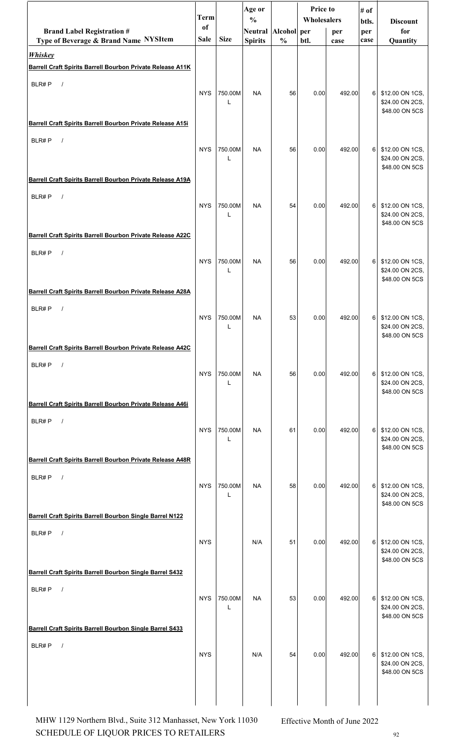|                                                                              | <b>Term</b> |              | Age or                               |               | Price to<br>Wholesalers |        | # of           |                                                        |
|------------------------------------------------------------------------------|-------------|--------------|--------------------------------------|---------------|-------------------------|--------|----------------|--------------------------------------------------------|
| <b>Brand Label Registration #</b>                                            | of          |              | $\frac{0}{0}$<br>Neutral Alcohol per |               |                         | per    | btls.<br>per   | <b>Discount</b><br>for                                 |
| Type of Beverage & Brand Name NYSItem                                        | Sale        | <b>Size</b>  | <b>Spirits</b>                       | $\frac{0}{0}$ | btl.                    | case   | case           | Quantity                                               |
| <b>Whiskey</b><br>Barrell Craft Spirits Barrell Bourbon Private Release A11K |             |              |                                      |               |                         |        |                |                                                        |
| BLR#P<br>$\sqrt{ }$                                                          |             |              |                                      |               |                         |        |                |                                                        |
|                                                                              | <b>NYS</b>  | 750.00M<br>L | <b>NA</b>                            | 56            | 0.00                    | 492.00 | 6              | \$12.00 ON 1CS,<br>\$24.00 ON 2CS,<br>\$48.00 ON 5CS   |
| Barrell Craft Spirits Barrell Bourbon Private Release A15i                   |             |              |                                      |               |                         |        |                |                                                        |
| BLR#P<br>$\sqrt{ }$                                                          | <b>NYS</b>  | 750.00M<br>L | <b>NA</b>                            | 56            | 0.00                    | 492.00 | 6              | \$12.00 ON 1CS,<br>\$24.00 ON 2CS,<br>\$48.00 ON 5CS   |
| Barrell Craft Spirits Barrell Bourbon Private Release A19A                   |             |              |                                      |               |                         |        |                |                                                        |
| BLR#P<br>$\sqrt{ }$                                                          | <b>NYS</b>  | 750.00M<br>L | <b>NA</b>                            | 54            | 0.00                    | 492.00 | 6              | \$12.00 ON 1CS,<br>\$24.00 ON 2CS,<br>\$48.00 ON 5CS   |
| Barrell Craft Spirits Barrell Bourbon Private Release A22C                   |             |              |                                      |               |                         |        |                |                                                        |
| BLR#P<br>$\frac{1}{2}$                                                       | <b>NYS</b>  | 750.00M<br>L | <b>NA</b>                            | 56            | 0.00                    | 492.00 | 6 <sup>1</sup> | \$12.00 ON 1CS,<br>\$24.00 ON 2CS,<br>\$48.00 ON 5CS   |
| Barrell Craft Spirits Barrell Bourbon Private Release A28A                   |             |              |                                      |               |                         |        |                |                                                        |
| BLR#P<br>$\sqrt{ }$                                                          | <b>NYS</b>  | 750.00M<br>L | <b>NA</b>                            | 53            | 0.00                    | 492.00 | 6 <sup>1</sup> | \$12.00 ON 1CS,<br>\$24.00 ON 2CS,<br>\$48.00 ON 5CS   |
| Barrell Craft Spirits Barrell Bourbon Private Release A42C                   |             |              |                                      |               |                         |        |                |                                                        |
| BLR#P<br>$\sqrt{ }$                                                          | <b>NYS</b>  | 750.00M<br>L | <b>NA</b>                            | 56            | 0.00                    | 492.00 | 6              | \$12.00 ON 1CS,<br>\$24.00 ON 2CS,<br>\$48.00 ON 5CS   |
| Barrell Craft Spirits Barrell Bourbon Private Release A46i                   |             |              |                                      |               |                         |        |                |                                                        |
| BLR#P<br>$\sqrt{ }$                                                          | <b>NYS</b>  | 750.00M<br>L | <b>NA</b>                            | 61            | 0.00                    | 492.00 | 6 <sup>1</sup> | \$12.00 ON 1CS,<br>\$24.00 ON 2CS,<br>\$48.00 ON 5CS   |
| Barrell Craft Spirits Barrell Bourbon Private Release A48R                   |             |              |                                      |               |                         |        |                |                                                        |
| BLR#P<br>$\sqrt{ }$                                                          | <b>NYS</b>  | 750.00M<br>L | <b>NA</b>                            | 58            | 0.00                    | 492.00 | 6              | \$12.00 ON 1CS,<br>\$24.00 ON 2CS,<br>\$48.00 ON 5CS   |
| Barrell Craft Spirits Barrell Bourbon Single Barrel N122                     |             |              |                                      |               |                         |        |                |                                                        |
| BLR#P<br>$\sqrt{ }$                                                          | <b>NYS</b>  |              | N/A                                  | 51            | 0.00                    | 492.00 |                | 6 \$12.00 ON 1CS,<br>\$24.00 ON 2CS,<br>\$48.00 ON 5CS |
| Barrell Craft Spirits Barrell Bourbon Single Barrel S432                     |             |              |                                      |               |                         |        |                |                                                        |
| BLR#P<br>$\sqrt{ }$                                                          | <b>NYS</b>  | 750.00M<br>L | <b>NA</b>                            | 53            | 0.00                    | 492.00 | 6 <sup>1</sup> | \$12.00 ON 1CS,<br>\$24.00 ON 2CS,<br>\$48.00 ON 5CS   |
| Barrell Craft Spirits Barrell Bourbon Single Barrel S433                     |             |              |                                      |               |                         |        |                |                                                        |
| BLR#P<br>$\prime$                                                            | <b>NYS</b>  |              | N/A                                  | 54            | 0.00                    | 492.00 | 6              | \$12.00 ON 1CS,<br>\$24.00 ON 2CS,<br>\$48.00 ON 5CS   |
|                                                                              |             |              |                                      |               |                         |        |                |                                                        |

SCHEDULE OF LIQUOR PRICES TO RETAILERS  $92$ MHW 1129 Northern Blvd., Suite 312 Manhasset, New York 11030 Effective Month of June 2022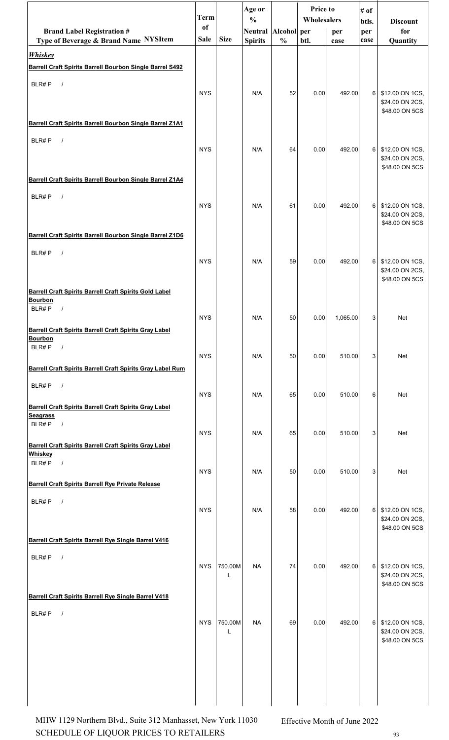|                                                                                                         | Term        |              | Age or<br>$\frac{0}{0}$ |               | <b>Price to</b><br>Wholesalers |          | # of         |                                                        |
|---------------------------------------------------------------------------------------------------------|-------------|--------------|-------------------------|---------------|--------------------------------|----------|--------------|--------------------------------------------------------|
| <b>Brand Label Registration #</b>                                                                       | of          |              | Neutral Alcohol per     |               |                                | per      | btls.<br>per | <b>Discount</b><br>for                                 |
| Type of Beverage & Brand Name NYSItem                                                                   | <b>Sale</b> | <b>Size</b>  | <b>Spirits</b>          | $\frac{0}{0}$ | btl.                           | case     | case         | Quantity                                               |
| <b>Whiskey</b><br>Barrell Craft Spirits Barrell Bourbon Single Barrel S492                              |             |              |                         |               |                                |          |              |                                                        |
| BLR#P<br>$\sqrt{ }$                                                                                     |             |              |                         |               |                                |          |              |                                                        |
|                                                                                                         | <b>NYS</b>  |              | N/A                     | 52            | 0.00                           | 492.00   |              | 6 \$12.00 ON 1CS,<br>\$24.00 ON 2CS,<br>\$48.00 ON 5CS |
| Barrell Craft Spirits Barrell Bourbon Single Barrel Z1A1                                                |             |              |                         |               |                                |          |              |                                                        |
| BLR#P<br>$\sqrt{ }$                                                                                     | <b>NYS</b>  |              | N/A                     | 64            | 0.00                           | 492.00   | 6            | \$12.00 ON 1CS,<br>\$24.00 ON 2CS,<br>\$48.00 ON 5CS   |
| Barrell Craft Spirits Barrell Bourbon Single Barrel Z1A4                                                |             |              |                         |               |                                |          |              |                                                        |
| $\sqrt{ }$<br>BLR#P                                                                                     | <b>NYS</b>  |              | N/A                     | 61            | 0.00                           | 492.00   | $6 \mid$     | \$12.00 ON 1CS,<br>\$24.00 ON 2CS,<br>\$48.00 ON 5CS   |
| Barrell Craft Spirits Barrell Bourbon Single Barrel Z1D6                                                |             |              |                         |               |                                |          |              |                                                        |
| BLR#P<br>$\sqrt{ }$                                                                                     | <b>NYS</b>  |              | N/A                     | 59            | 0.00                           | 492.00   | $6 \mid$     | \$12.00 ON 1CS,<br>\$24.00 ON 2CS,<br>\$48.00 ON 5CS   |
| <b>Barrell Craft Spirits Barrell Craft Spirits Gold Label</b><br><b>Bourbon</b>                         |             |              |                         |               |                                |          |              |                                                        |
| BLR#P<br>$\sqrt{ }$                                                                                     | <b>NYS</b>  |              | N/A                     | 50            | 0.00                           | 1,065.00 | 3            | Net                                                    |
| <b>Barrell Craft Spirits Barrell Craft Spirits Gray Label</b>                                           |             |              |                         |               |                                |          |              |                                                        |
| <b>Bourbon</b><br>BLR#P<br>$\sqrt{ }$                                                                   |             |              |                         |               |                                |          |              |                                                        |
|                                                                                                         | <b>NYS</b>  |              | N/A                     | 50            | 0.00                           | 510.00   | 3            | Net                                                    |
| <b>Barrell Craft Spirits Barrell Craft Spirits Gray Label Rum</b>                                       |             |              |                         |               |                                |          |              |                                                        |
| BLR#P<br>$\sqrt{ }$                                                                                     | <b>NYS</b>  |              | N/A                     | 65            | 0.00                           | 510.00   | 6            | <b>Net</b>                                             |
| <b>Barrell Craft Spirits Barrell Craft Spirits Gray Label</b><br><b>Seagrass</b><br>$\sqrt{ }$<br>BLR#P |             |              |                         |               |                                |          |              |                                                        |
| <b>Barrell Craft Spirits Barrell Craft Spirits Gray Label</b>                                           | <b>NYS</b>  |              | N/A                     | 65            | 0.00                           | 510.00   | 3            | Net                                                    |
| Whiskey<br>BLR#P<br>$\sqrt{ }$                                                                          |             |              |                         |               |                                |          |              |                                                        |
|                                                                                                         | <b>NYS</b>  |              | N/A                     | 50            | 0.00                           | 510.00   | 3            | <b>Net</b>                                             |
| <b>Barrell Craft Spirits Barrell Rye Private Release</b>                                                |             |              |                         |               |                                |          |              |                                                        |
| BLR#P<br>$\sqrt{ }$                                                                                     | <b>NYS</b>  |              | N/A                     | 58            | 0.00                           | 492.00   | 6            | \$12.00 ON 1CS,<br>\$24.00 ON 2CS,<br>\$48.00 ON 5CS   |
| Barrell Craft Spirits Barrell Rye Single Barrel V416                                                    |             |              |                         |               |                                |          |              |                                                        |
| BLR#P<br>$\sqrt{ }$                                                                                     | <b>NYS</b>  | 750.00M      | <b>NA</b>               | 74            | 0.00                           | 492.00   |              | 6 \$12.00 ON 1CS,<br>\$24.00 ON 2CS,<br>\$48.00 ON 5CS |
| <b>Barrell Craft Spirits Barrell Rye Single Barrel V418</b>                                             |             |              |                         |               |                                |          |              |                                                        |
| BLR#P<br>$\sqrt{ }$                                                                                     |             |              |                         |               |                                |          |              |                                                        |
|                                                                                                         | <b>NYS</b>  | 750.00M<br>L | <b>NA</b>               | 69            | 0.00                           | 492.00   | 6 I          | \$12.00 ON 1CS,<br>\$24.00 ON 2CS,<br>\$48.00 ON 5CS   |
|                                                                                                         |             |              |                         |               |                                |          |              |                                                        |
|                                                                                                         |             |              |                         |               |                                |          |              |                                                        |

SCHEDULE OF LIQUOR PRICES TO RETAILERS  $^{93}$ MHW 1129 Northern Blvd., Suite 312 Manhasset, New York 11030 Effective Month of June 2022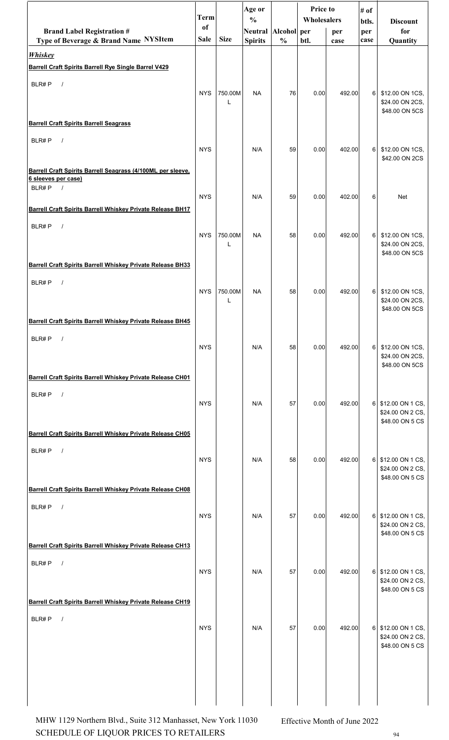|                                                                                    | <b>Term</b> |              | Age or<br>$\frac{0}{0}$ |               | <b>Price to</b><br>Wholesalers |        | # of         |                                        |
|------------------------------------------------------------------------------------|-------------|--------------|-------------------------|---------------|--------------------------------|--------|--------------|----------------------------------------|
| <b>Brand Label Registration #</b>                                                  | of          |              | Neutral Alcohol per     |               |                                | per    | btls.<br>per | <b>Discount</b><br>for                 |
| Type of Beverage & Brand Name NYSItem                                              | <b>Sale</b> | <b>Size</b>  | <b>Spirits</b>          | $\frac{0}{0}$ | btl.                           | case   | case         | Quantity                               |
| <b>Whiskey</b><br><b>Barrell Craft Spirits Barrell Rye Single Barrel V429</b>      |             |              |                         |               |                                |        |              |                                        |
| BLR#P<br>$\sqrt{ }$                                                                |             |              |                         |               |                                |        |              |                                        |
|                                                                                    | <b>NYS</b>  | 750.00M      | <b>NA</b>               | 76            | 0.00                           | 492.00 | 6            | \$12.00 ON 1CS,                        |
|                                                                                    |             | L            |                         |               |                                |        |              | \$24.00 ON 2CS,<br>\$48.00 ON 5CS      |
| <b>Barrell Craft Spirits Barrell Seagrass</b>                                      |             |              |                         |               |                                |        |              |                                        |
| BLR#P<br>$\sqrt{ }$                                                                | <b>NYS</b>  |              | N/A                     | 59            | 0.00                           | 402.00 | 6            | \$12.00 ON 1CS,                        |
|                                                                                    |             |              |                         |               |                                |        |              | \$42.00 ON 2CS                         |
| Barrell Craft Spirits Barrell Seagrass (4/100ML per sleeve.<br>6 sleeves per case) |             |              |                         |               |                                |        |              |                                        |
| BLR#P<br>$\sqrt{ }$                                                                | <b>NYS</b>  |              | N/A                     | 59            | 0.00                           | 402.00 | 6            | Net                                    |
| Barrell Craft Spirits Barrell Whiskey Private Release BH17                         |             |              |                         |               |                                |        |              |                                        |
| BLR#P<br>$\sqrt{ }$                                                                |             |              |                         |               |                                |        |              |                                        |
|                                                                                    | <b>NYS</b>  | 750.00M<br>L | <b>NA</b>               | 58            | 0.00                           | 492.00 | 6            | \$12.00 ON 1CS,<br>\$24.00 ON 2CS,     |
|                                                                                    |             |              |                         |               |                                |        |              | \$48.00 ON 5CS                         |
| <b>Barrell Craft Spirits Barrell Whiskey Private Release BH33</b>                  |             |              |                         |               |                                |        |              |                                        |
| BLR#P<br>$\sqrt{ }$                                                                | <b>NYS</b>  | 750.00M      | <b>NA</b>               | 58            | 0.00                           | 492.00 | 6            | \$12.00 ON 1CS,                        |
|                                                                                    |             | L            |                         |               |                                |        |              | \$24.00 ON 2CS,<br>\$48.00 ON 5CS      |
| Barrell Craft Spirits Barrell Whiskey Private Release BH45                         |             |              |                         |               |                                |        |              |                                        |
| BLR#P                                                                              |             |              |                         |               |                                |        |              |                                        |
|                                                                                    | <b>NYS</b>  |              | N/A                     | 58            | 0.00                           | 492.00 | 61           | \$12.00 ON 1CS,<br>\$24.00 ON 2CS,     |
| Barrell Craft Spirits Barrell Whiskey Private Release CH01                         |             |              |                         |               |                                |        |              | \$48.00 ON 5CS                         |
| BLR#P<br>$\sqrt{ }$                                                                |             |              |                         |               |                                |        |              |                                        |
|                                                                                    | <b>NYS</b>  |              | N/A                     | 57            | 0.00                           | 492.00 | 6 I          | \$12.00 ON 1 CS,<br>\$24.00 ON 2 CS,   |
|                                                                                    |             |              |                         |               |                                |        |              | \$48.00 ON 5 CS                        |
| Barrell Craft Spirits Barrell Whiskey Private Release CH05                         |             |              |                         |               |                                |        |              |                                        |
| BLR#P<br>$\sqrt{ }$                                                                | <b>NYS</b>  |              | N/A                     | 58            | 0.00                           | 492.00 |              | 6 \$12.00 ON 1 CS,                     |
|                                                                                    |             |              |                         |               |                                |        |              | \$24.00 ON 2 CS,<br>\$48.00 ON 5 CS    |
| <b>Barrell Craft Spirits Barrell Whiskey Private Release CH08</b>                  |             |              |                         |               |                                |        |              |                                        |
| BLR#P<br>$\sqrt{ }$                                                                |             |              |                         |               |                                |        |              |                                        |
|                                                                                    | <b>NYS</b>  |              | N/A                     | 57            | 0.00                           | 492.00 |              | 6 \$12.00 ON 1 CS,<br>\$24.00 ON 2 CS, |
|                                                                                    |             |              |                         |               |                                |        |              | \$48.00 ON 5 CS                        |
| <b>Barrell Craft Spirits Barrell Whiskey Private Release CH13</b>                  |             |              |                         |               |                                |        |              |                                        |
| BLR#P<br>$\sqrt{ }$                                                                | <b>NYS</b>  |              | N/A                     | 57            | 0.00                           | 492.00 |              | 6 \$12.00 ON 1 CS,                     |
|                                                                                    |             |              |                         |               |                                |        |              | \$24.00 ON 2 CS,<br>\$48.00 ON 5 CS    |
| Barrell Craft Spirits Barrell Whiskey Private Release CH19                         |             |              |                         |               |                                |        |              |                                        |
| BLR#P<br>$\sqrt{ }$                                                                |             |              |                         |               |                                |        |              |                                        |
|                                                                                    | <b>NYS</b>  |              | N/A                     | 57            | 0.00                           | 492.00 |              | 6 \$12.00 ON 1 CS,<br>\$24.00 ON 2 CS, |
|                                                                                    |             |              |                         |               |                                |        |              | \$48.00 ON 5 CS                        |
|                                                                                    |             |              |                         |               |                                |        |              |                                        |
|                                                                                    |             |              |                         |               |                                |        |              |                                        |
|                                                                                    |             |              |                         |               |                                |        |              |                                        |

SCHEDULE OF LIQUOR PRICES TO RETAILERS  $^{94}$ MHW 1129 Northern Blvd., Suite 312 Manhasset, New York 11030 Effective Month of June 2022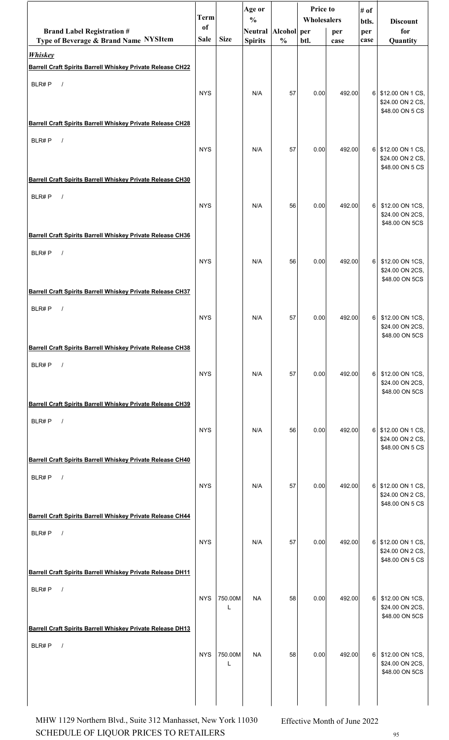|                                                                                   | <b>Term</b>   |              | Age or                               |               | <b>Price to</b><br>Wholesalers |        | # of           |                                                           |
|-----------------------------------------------------------------------------------|---------------|--------------|--------------------------------------|---------------|--------------------------------|--------|----------------|-----------------------------------------------------------|
| <b>Brand Label Registration #</b>                                                 | <sub>of</sub> |              | $\frac{0}{0}$<br>Neutral Alcohol per |               |                                | per    | btls.<br>per   | <b>Discount</b><br>for                                    |
| Type of Beverage & Brand Name NYSItem                                             | Sale          | <b>Size</b>  | <b>Spirits</b>                       | $\frac{0}{0}$ | btl.                           | case   | case           | Quantity                                                  |
| <b>Whiskey</b><br>Barrell Craft Spirits Barrell Whiskey Private Release CH22      |               |              |                                      |               |                                |        |                |                                                           |
|                                                                                   |               |              |                                      |               |                                |        |                |                                                           |
| BLR#P<br>$\sqrt{ }$                                                               | <b>NYS</b>    |              | N/A                                  | 57            | 0.00                           | 492.00 | 6              | \$12.00 ON 1 CS,<br>\$24.00 ON 2 CS,<br>\$48.00 ON 5 CS   |
| <b>Barrell Craft Spirits Barrell Whiskey Private Release CH28</b>                 |               |              |                                      |               |                                |        |                |                                                           |
| BLR#P<br>$\sqrt{ }$                                                               | <b>NYS</b>    |              | N/A                                  | 57            | 0.00                           | 492.00 | 6 <sup>1</sup> | \$12.00 ON 1 CS,<br>\$24.00 ON 2 CS,<br>\$48.00 ON 5 CS   |
| Barrell Craft Spirits Barrell Whiskey Private Release CH30                        |               |              |                                      |               |                                |        |                |                                                           |
| BLR#P<br>$\sqrt{ }$                                                               | <b>NYS</b>    |              | N/A                                  | 56            | 0.00                           | 492.00 | 6              | \$12.00 ON 1CS,<br>\$24.00 ON 2CS,<br>\$48.00 ON 5CS      |
| Barrell Craft Spirits Barrell Whiskey Private Release CH36                        |               |              |                                      |               |                                |        |                |                                                           |
| BLR#P<br>$\sqrt{ }$                                                               | <b>NYS</b>    |              | N/A                                  | 56            | 0.00                           | 492.00 | 6              | \$12.00 ON 1CS,<br>\$24.00 ON 2CS,<br>\$48.00 ON 5CS      |
| Barrell Craft Spirits Barrell Whiskey Private Release CH37                        |               |              |                                      |               |                                |        |                |                                                           |
| BLR#P<br>$\sqrt{ }$                                                               | <b>NYS</b>    |              | N/A                                  | 57            | 0.00                           | 492.00 | 6              | \$12.00 ON 1CS,<br>\$24.00 ON 2CS,<br>\$48.00 ON 5CS      |
| <b>Barrell Craft Spirits Barrell Whiskey Private Release CH38</b>                 |               |              |                                      |               |                                |        |                |                                                           |
| BLR#P<br>$\sqrt{ }$                                                               | <b>NYS</b>    |              | N/A                                  | 57            | 0.00                           | 492.00 | 6              | \$12.00 ON 1CS,<br>\$24.00 ON 2CS,<br>\$48.00 ON 5CS      |
| <b>Barrell Craft Spirits Barrell Whiskey Private Release CH39</b>                 |               |              |                                      |               |                                |        |                |                                                           |
| BLR#P<br>$\sqrt{ }$                                                               | <b>NYS</b>    |              | N/A                                  | 56            | 0.00                           | 492.00 | 6              | \$12.00 ON 1 CS,<br>\$24.00 ON 2 CS,<br>\$48.00 ON 5 CS   |
| Barrell Craft Spirits Barrell Whiskey Private Release CH40                        |               |              |                                      |               |                                |        |                |                                                           |
| BLR#P<br>$\sqrt{ }$                                                               | <b>NYS</b>    |              | N/A                                  | 57            | 0.00                           | 492.00 | 6 <sup>1</sup> | \$12.00 ON 1 CS,<br>\$24.00 ON 2 CS,<br>\$48.00 ON 5 CS   |
| Barrell Craft Spirits Barrell Whiskey Private Release CH44                        |               |              |                                      |               |                                |        |                |                                                           |
| BLR#P<br>$\sqrt{ }$                                                               | <b>NYS</b>    |              | N/A                                  | 57            | 0.00                           | 492.00 |                | 6 \$12.00 ON 1 CS,<br>\$24.00 ON 2 CS,<br>\$48.00 ON 5 CS |
| <b>Barrell Craft Spirits Barrell Whiskey Private Release DH11</b>                 |               |              |                                      |               |                                |        |                |                                                           |
| BLR#P<br>$\sqrt{ }$<br>Barrell Craft Spirits Barrell Whiskey Private Release DH13 | <b>NYS</b>    | 750.00M<br>L | <b>NA</b>                            | 58            | 0.00                           | 492.00 | 6              | \$12.00 ON 1CS,<br>\$24.00 ON 2CS,<br>\$48.00 ON 5CS      |
| BLR#P<br>$\prime$                                                                 |               |              |                                      |               |                                |        |                |                                                           |
|                                                                                   | <b>NYS</b>    | 750.00M<br>L | <b>NA</b>                            | 58            | 0.00                           | 492.00 | 6              | \$12.00 ON 1CS,<br>\$24.00 ON 2CS,<br>\$48.00 ON 5CS      |
|                                                                                   |               |              |                                      |               |                                |        |                |                                                           |

SCHEDULE OF LIQUOR PRICES TO RETAILERS 95 MHW 1129 Northern Blvd., Suite 312 Manhasset, New York 11030 Effective Month of June 2022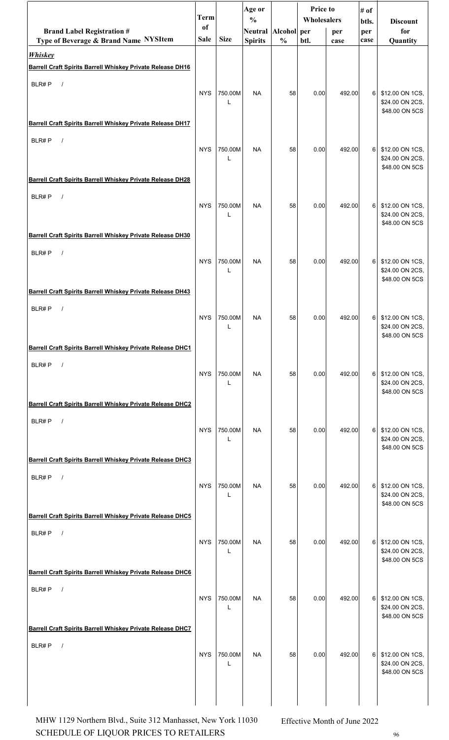|                                                                                          | <b>Term</b> |                         | Age or                               |               | Price to<br>Wholesalers |        | # of           |                                                      |
|------------------------------------------------------------------------------------------|-------------|-------------------------|--------------------------------------|---------------|-------------------------|--------|----------------|------------------------------------------------------|
| <b>Brand Label Registration #</b>                                                        | of          |                         | $\frac{0}{0}$<br>Neutral Alcohol per |               |                         | per    | btls.<br>per   | <b>Discount</b><br>for                               |
| Type of Beverage & Brand Name NYSItem                                                    | <b>Sale</b> | <b>Size</b>             | <b>Spirits</b>                       | $\frac{0}{0}$ | btl.                    | case   | case           | Quantity                                             |
| <b>Whiskey</b>                                                                           |             |                         |                                      |               |                         |        |                |                                                      |
| Barrell Craft Spirits Barrell Whiskey Private Release DH16                               |             |                         |                                      |               |                         |        |                |                                                      |
| BLR#P<br>$\sqrt{ }$                                                                      | <b>NYS</b>  | 750.00M<br>$\mathbf{I}$ | <b>NA</b>                            | 58            | 0.00                    | 492.00 | 6 <sup>1</sup> | \$12.00 ON 1CS,<br>\$24.00 ON 2CS,<br>\$48.00 ON 5CS |
| Barrell Craft Spirits Barrell Whiskey Private Release DH17                               |             |                         |                                      |               |                         |        |                |                                                      |
| BLR#P<br>$\sqrt{ }$                                                                      | <b>NYS</b>  | 750.00M<br>L            | <b>NA</b>                            | 58            | 0.00                    | 492.00 | $6 \mid$       | \$12.00 ON 1CS,<br>\$24.00 ON 2CS,<br>\$48.00 ON 5CS |
| <b>Barrell Craft Spirits Barrell Whiskey Private Release DH28</b>                        |             |                         |                                      |               |                         |        |                |                                                      |
| BLR#P<br>$\sqrt{ }$                                                                      | <b>NYS</b>  | 750.00M<br>$\mathbf{I}$ | <b>NA</b>                            | 58            | 0.00                    | 492.00 | 6              | \$12.00 ON 1CS,<br>\$24.00 ON 2CS,<br>\$48.00 ON 5CS |
| Barrell Craft Spirits Barrell Whiskey Private Release DH30                               |             |                         |                                      |               |                         |        |                |                                                      |
| BLR#P<br>$\sqrt{ }$                                                                      | <b>NYS</b>  | 750.00M                 | <b>NA</b>                            | 58            | 0.00                    | 492.00 | 6              | \$12.00 ON 1CS,<br>\$24.00 ON 2CS,<br>\$48.00 ON 5CS |
| Barrell Craft Spirits Barrell Whiskey Private Release DH43                               |             |                         |                                      |               |                         |        |                |                                                      |
| BLR#P<br>$\prime$                                                                        | <b>NYS</b>  | 750.00M<br>L            | <b>NA</b>                            | 58            | 0.00                    | 492.00 | 6              | \$12.00 ON 1CS,<br>\$24.00 ON 2CS,<br>\$48.00 ON 5CS |
| Barrell Craft Spirits Barrell Whiskey Private Release DHC1                               |             |                         |                                      |               |                         |        |                |                                                      |
| BLR#P<br>$\sqrt{ }$                                                                      | <b>NYS</b>  | 750.00M<br>L            | <b>NA</b>                            | 58            | 0.00                    | 492.00 | $6 \mid$       | \$12.00 ON 1CS,<br>\$24.00 ON 2CS,<br>\$48.00 ON 5CS |
| Barrell Craft Spirits Barrell Whiskey Private Release DHC2<br>BLR#P<br>$\sqrt{ }$        |             |                         |                                      |               |                         |        |                |                                                      |
|                                                                                          | <b>NYS</b>  | 750.00M<br>L            | <b>NA</b>                            | 58            | 0.00                    | 492.00 | 6              | \$12.00 ON 1CS,<br>\$24.00 ON 2CS,<br>\$48.00 ON 5CS |
| Barrell Craft Spirits Barrell Whiskey Private Release DHC3                               |             |                         |                                      |               |                         |        |                |                                                      |
| BLR#P<br>$\sqrt{ }$                                                                      | <b>NYS</b>  | 750.00M<br>L            | <b>NA</b>                            | 58            | 0.00                    | 492.00 | $6 \mid$       | \$12.00 ON 1CS,<br>\$24.00 ON 2CS,<br>\$48.00 ON 5CS |
| Barrell Craft Spirits Barrell Whiskey Private Release DHC5                               |             |                         |                                      |               |                         |        |                |                                                      |
| BLR#P<br>$\sqrt{ }$                                                                      | <b>NYS</b>  | 750.00M<br>L            | <b>NA</b>                            | 58            | 0.00                    | 492.00 | $6 \mid$       | \$12.00 ON 1CS,<br>\$24.00 ON 2CS,<br>\$48.00 ON 5CS |
| Barrell Craft Spirits Barrell Whiskey Private Release DHC6                               |             |                         |                                      |               |                         |        |                |                                                      |
| BLR#P<br>$\sqrt{ }$<br><b>Barrell Craft Spirits Barrell Whiskey Private Release DHC7</b> | <b>NYS</b>  | 750.00M<br>L            | <b>NA</b>                            | 58            | 0.00                    | 492.00 | $6 \mid$       | \$12.00 ON 1CS,<br>\$24.00 ON 2CS,<br>\$48.00 ON 5CS |
|                                                                                          |             |                         |                                      |               |                         |        |                |                                                      |
| BLR#P                                                                                    | <b>NYS</b>  | 750.00M<br>L            | <b>NA</b>                            | 58            | 0.00                    | 492.00 | 6              | \$12.00 ON 1CS,<br>\$24.00 ON 2CS,<br>\$48.00 ON 5CS |
|                                                                                          |             |                         |                                      |               |                         |        |                |                                                      |

SCHEDULE OF LIQUOR PRICES TO RETAILERS  $96$ MHW 1129 Northern Blvd., Suite 312 Manhasset, New York 11030 Effective Month of June 2022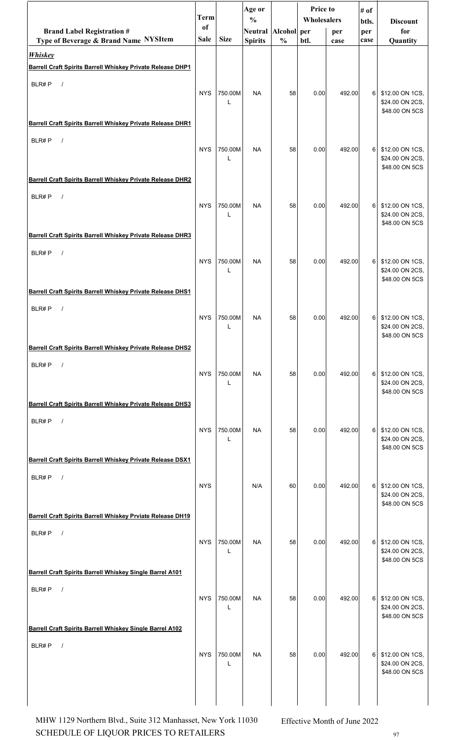|                                                                                     | <b>Term</b> |              | Age or                               |               | Price to<br>Wholesalers |        | # of           |                                                        |
|-------------------------------------------------------------------------------------|-------------|--------------|--------------------------------------|---------------|-------------------------|--------|----------------|--------------------------------------------------------|
| <b>Brand Label Registration #</b>                                                   | of          |              | $\frac{0}{0}$<br>Neutral Alcohol per |               |                         | per    | btls.<br>per   | <b>Discount</b><br>for                                 |
| Type of Beverage & Brand Name NYSItem                                               | Sale        | <b>Size</b>  | <b>Spirits</b>                       | $\frac{0}{0}$ | btl.                    | case   | case           | Quantity                                               |
| <b>Whiskey</b><br><b>Barrell Craft Spirits Barrell Whiskey Private Release DHP1</b> |             |              |                                      |               |                         |        |                |                                                        |
| BLR#P<br>$\sqrt{ }$                                                                 |             |              |                                      |               |                         |        |                |                                                        |
|                                                                                     | <b>NYS</b>  | 750.00M<br>L | <b>NA</b>                            | 58            | 0.00                    | 492.00 | 6              | \$12.00 ON 1CS,<br>\$24.00 ON 2CS,<br>\$48.00 ON 5CS   |
| Barrell Craft Spirits Barrell Whiskey Private Release DHR1                          |             |              |                                      |               |                         |        |                |                                                        |
| BLR#P<br>$\sqrt{ }$                                                                 | <b>NYS</b>  | 750.00M<br>L | <b>NA</b>                            | 58            | 0.00                    | 492.00 | 6 <sup>1</sup> | \$12.00 ON 1CS,<br>\$24.00 ON 2CS,<br>\$48.00 ON 5CS   |
| Barrell Craft Spirits Barrell Whiskey Private Release DHR2                          |             |              |                                      |               |                         |        |                |                                                        |
| BLR#P<br>$\sqrt{ }$                                                                 | <b>NYS</b>  | 750.00M<br>L | <b>NA</b>                            | 58            | 0.00                    | 492.00 | 6              | \$12.00 ON 1CS,<br>\$24.00 ON 2CS,<br>\$48.00 ON 5CS   |
| <b>Barrell Craft Spirits Barrell Whiskey Private Release DHR3</b>                   |             |              |                                      |               |                         |        |                |                                                        |
| BLR#P<br>$\frac{1}{2}$                                                              | <b>NYS</b>  | 750.00M<br>L | <b>NA</b>                            | 58            | 0.00                    | 492.00 | 6 <sup>1</sup> | \$12.00 ON 1CS,<br>\$24.00 ON 2CS,<br>\$48.00 ON 5CS   |
| Barrell Craft Spirits Barrell Whiskey Private Release DHS1                          |             |              |                                      |               |                         |        |                |                                                        |
| BLR#P<br>$\sqrt{ }$                                                                 | <b>NYS</b>  | 750.00M<br>L | <b>NA</b>                            | 58            | 0.00                    | 492.00 | 6              | \$12.00 ON 1CS,<br>\$24.00 ON 2CS,<br>\$48.00 ON 5CS   |
| Barrell Craft Spirits Barrell Whiskey Private Release DHS2                          |             |              |                                      |               |                         |        |                |                                                        |
| BLR#P<br>$\sqrt{ }$                                                                 | <b>NYS</b>  | 750.00M<br>L | <b>NA</b>                            | 58            | 0.00                    | 492.00 | 6              | \$12.00 ON 1CS,<br>\$24.00 ON 2CS,<br>\$48.00 ON 5CS   |
| <b>Barrell Craft Spirits Barrell Whiskey Private Release DHS3</b>                   |             |              |                                      |               |                         |        |                |                                                        |
| BLR#P<br>$\sqrt{ }$                                                                 | <b>NYS</b>  | 750.00M<br>L | <b>NA</b>                            | 58            | 0.00                    | 492.00 | 6 <sup>1</sup> | \$12.00 ON 1CS,<br>\$24.00 ON 2CS,<br>\$48.00 ON 5CS   |
| Barrell Craft Spirits Barrell Whiskey Private Release DSX1                          |             |              |                                      |               |                         |        |                |                                                        |
| BLR#P<br>$\sqrt{ }$                                                                 | <b>NYS</b>  |              | N/A                                  | 60            | 0.00                    | 492.00 | 6              | \$12.00 ON 1CS,<br>\$24.00 ON 2CS,<br>\$48.00 ON 5CS   |
| Barrell Craft Spirits Barrell Whiskey Prviate Release DH19                          |             |              |                                      |               |                         |        |                |                                                        |
| BLR#P<br>$\sqrt{ }$                                                                 | <b>NYS</b>  | 750.00M<br>L | <b>NA</b>                            | 58            | 0.00                    | 492.00 |                | 6 \$12.00 ON 1CS,<br>\$24.00 ON 2CS,<br>\$48.00 ON 5CS |
| Barrell Craft Spirits Barrell Whiskey Single Barrel A101                            |             |              |                                      |               |                         |        |                |                                                        |
| BLR#P<br>$\sqrt{ }$                                                                 | <b>NYS</b>  | 750.00M<br>L | <b>NA</b>                            | 58            | 0.00                    | 492.00 | 6 <sup>1</sup> | \$12.00 ON 1CS,<br>\$24.00 ON 2CS,<br>\$48.00 ON 5CS   |
| Barrell Craft Spirits Barrell Whiskey Single Barrel A102                            |             |              |                                      |               |                         |        |                |                                                        |
| BLR#P<br>$\prime$                                                                   | <b>NYS</b>  | 750.00M<br>L | NA                                   | 58            | 0.00                    | 492.00 | 6              | \$12.00 ON 1CS,<br>\$24.00 ON 2CS,<br>\$48.00 ON 5CS   |
|                                                                                     |             |              |                                      |               |                         |        |                |                                                        |

SCHEDULE OF LIQUOR PRICES TO RETAILERS 97 MHW 1129 Northern Blvd., Suite 312 Manhasset, New York 11030 Effective Month of June 2022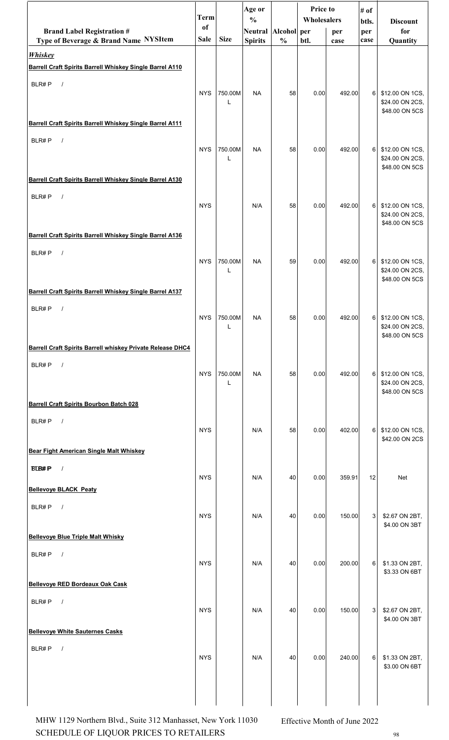|                                                                            | <b>Term</b> |              | Age or<br>$\frac{0}{0}$ |               | Price to<br>Wholesalers |        | # of           |                                                      |
|----------------------------------------------------------------------------|-------------|--------------|-------------------------|---------------|-------------------------|--------|----------------|------------------------------------------------------|
| <b>Brand Label Registration #</b>                                          | of          |              | Neutral Alcohol per     |               |                         | per    | btls.<br>per   | <b>Discount</b><br>for                               |
| Type of Beverage & Brand Name NYSItem                                      | <b>Sale</b> | <b>Size</b>  | <b>Spirits</b>          | $\frac{0}{0}$ | btl.                    | case   | case           | Quantity                                             |
| <b>Whiskey</b><br>Barrell Craft Spirits Barrell Whiskey Single Barrel A110 |             |              |                         |               |                         |        |                |                                                      |
| BLR#P<br>$\sqrt{ }$                                                        |             |              |                         |               |                         |        |                |                                                      |
|                                                                            | <b>NYS</b>  | 750.00M<br>L | <b>NA</b>               | 58            | 0.00                    | 492.00 | 6              | \$12.00 ON 1CS,<br>\$24.00 ON 2CS,<br>\$48.00 ON 5CS |
| Barrell Craft Spirits Barrell Whiskey Single Barrel A111                   |             |              |                         |               |                         |        |                |                                                      |
| BLR#P<br>$\sqrt{ }$                                                        | <b>NYS</b>  | 750.00M<br>L | <b>NA</b>               | 58            | 0.00                    | 492.00 | 6              | \$12.00 ON 1CS,<br>\$24.00 ON 2CS,<br>\$48.00 ON 5CS |
| Barrell Craft Spirits Barrell Whiskey Single Barrel A130                   |             |              |                         |               |                         |        |                |                                                      |
| BLR#P<br>$\sqrt{ }$                                                        | <b>NYS</b>  |              | N/A                     | 58            | 0.00                    | 492.00 | 6              | \$12.00 ON 1CS,<br>\$24.00 ON 2CS,<br>\$48.00 ON 5CS |
| Barrell Craft Spirits Barrell Whiskey Single Barrel A136                   |             |              |                         |               |                         |        |                |                                                      |
| BLR#P<br>$\sqrt{ }$                                                        | <b>NYS</b>  | 750.00M<br>L | <b>NA</b>               | 59            | 0.00                    | 492.00 | 6              | \$12.00 ON 1CS,<br>\$24.00 ON 2CS,<br>\$48.00 ON 5CS |
| Barrell Craft Spirits Barrell Whiskey Single Barrel A137                   |             |              |                         |               |                         |        |                |                                                      |
| BLR#P<br>$\sqrt{ }$                                                        | <b>NYS</b>  | 750.00M<br>L | <b>NA</b>               | 58            | 0.00                    | 492.00 | 6 <sup>1</sup> | \$12.00 ON 1CS,<br>\$24.00 ON 2CS,<br>\$48.00 ON 5CS |
| Barrell Craft Spirits Barrell whiskey Private Release DHC4                 |             |              |                         |               |                         |        |                |                                                      |
| BLR#P<br>$\sqrt{ }$                                                        | <b>NYS</b>  | 750.00M<br>L | <b>NA</b>               | 58            | 0.00                    | 492.00 | 6 <sup>1</sup> | \$12.00 ON 1CS,<br>\$24.00 ON 2CS,<br>\$48.00 ON 5CS |
| <b>Barrell Craft Spirits Bourbon Batch 028</b>                             |             |              |                         |               |                         |        |                |                                                      |
| BLR#P<br>$\sqrt{ }$                                                        | <b>NYS</b>  |              | N/A                     | 58            | 0.00                    | 402.00 | 6              | \$12.00 ON 1CS,<br>\$42.00 ON 2CS                    |
| <b>Bear Fight American Single Malt Whiskey</b>                             |             |              |                         |               |                         |        |                |                                                      |
| <b>BLB#P</b><br>$\sqrt{ }$                                                 | <b>NYS</b>  |              | N/A                     | 40            | 0.00                    | 359.91 | 12             | Net                                                  |
| <b>Bellevove BLACK Peaty</b>                                               |             |              |                         |               |                         |        |                |                                                      |
| BLR#P<br>$\sqrt{ }$                                                        | <b>NYS</b>  |              | N/A                     | 40            | 0.00                    | 150.00 | 3 <sup>1</sup> | \$2.67 ON 2BT,<br>\$4.00 ON 3BT                      |
| <b>Bellevoye Blue Triple Malt Whisky</b>                                   |             |              |                         |               |                         |        |                |                                                      |
| BLR#P<br>$\sqrt{ }$                                                        | <b>NYS</b>  |              | N/A                     | 40            | 0.00                    | 200.00 | 6              | \$1.33 ON 2BT,<br>\$3.33 ON 6BT                      |
| <b>Bellevoye RED Bordeaux Oak Cask</b>                                     |             |              |                         |               |                         |        |                |                                                      |
| BLR#P<br>$\sqrt{ }$                                                        | <b>NYS</b>  |              | N/A                     | 40            | 0.00                    | 150.00 | 3              | \$2.67 ON 2BT,<br>\$4.00 ON 3BT                      |
| <b>Bellevoye White Sauternes Casks</b>                                     |             |              |                         |               |                         |        |                |                                                      |
| BLR#P<br>$\prime$                                                          | <b>NYS</b>  |              | N/A                     | 40            | 0.00                    | 240.00 | 6              | \$1.33 ON 2BT,<br>\$3.00 ON 6BT                      |
|                                                                            |             |              |                         |               |                         |        |                |                                                      |

SCHEDULE OF LIQUOR PRICES TO RETAILERS  $_{\rm 98}$ MHW 1129 Northern Blvd., Suite 312 Manhasset, New York 11030 Effective Month of June 2022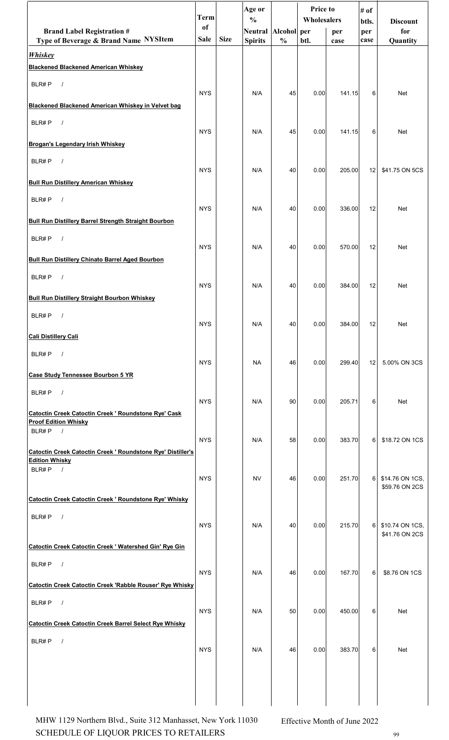|                                                                                      | <b>Term</b> |             | Age or<br>$\frac{0}{0}$ |               | <b>Price to</b><br>Wholesalers |        | # of<br>btls.  | <b>Discount</b>                   |
|--------------------------------------------------------------------------------------|-------------|-------------|-------------------------|---------------|--------------------------------|--------|----------------|-----------------------------------|
| <b>Brand Label Registration #</b>                                                    | of          |             | Neutral Alcohol per     |               |                                | per    | per            | for                               |
| Type of Beverage & Brand Name NYSItem<br><b>Whiskey</b>                              | <b>Sale</b> | <b>Size</b> | <b>Spirits</b>          | $\frac{0}{0}$ | btl.                           | case   | case           | Quantity                          |
| <b>Blackened Blackened American Whiskey</b>                                          |             |             |                         |               |                                |        |                |                                   |
| BLR#P<br>$\sqrt{ }$                                                                  |             |             |                         |               |                                |        |                |                                   |
| Blackened Blackened American Whiskey in Velvet bag                                   | <b>NYS</b>  |             | N/A                     | 45            | 0.00                           | 141.15 | 6              | Net                               |
| BLR#P<br>$\sqrt{ }$                                                                  |             |             |                         |               |                                |        |                |                                   |
| <b>Brogan's Legendary Irish Whiskey</b>                                              | <b>NYS</b>  |             | N/A                     | 45            | 0.00                           | 141.15 | 6              | Net                               |
| BLR#P<br>$\sqrt{ }$                                                                  |             |             |                         |               |                                |        |                |                                   |
| <b>Bull Run Distillery American Whiskey</b>                                          | <b>NYS</b>  |             | N/A                     | 40            | 0.00                           | 205.00 | 12             | \$41.75 ON 5CS                    |
| BLR#P<br>$\sqrt{ }$                                                                  |             |             |                         |               |                                |        |                |                                   |
| <b>Bull Run Distillery Barrel Strength Straight Bourbon</b>                          | <b>NYS</b>  |             | N/A                     | 40            | 0.00                           | 336.00 | 12             | Net                               |
| BLR#P<br>$\sqrt{ }$                                                                  |             |             |                         |               |                                |        |                |                                   |
| <b>Bull Run Distillery Chinato Barrel Aged Bourbon</b>                               | <b>NYS</b>  |             | N/A                     | 40            | 0.00                           | 570.00 | 12             | <b>Net</b>                        |
| BLR#P<br>$\sqrt{ }$                                                                  |             |             |                         |               |                                |        |                |                                   |
| <b>Bull Run Distillery Straight Bourbon Whiskey</b>                                  | <b>NYS</b>  |             | N/A                     | 40            | 0.00                           | 384.00 | 12             | Net                               |
| BLR#P<br>$\prime$                                                                    |             |             |                         |               |                                |        |                |                                   |
| <b>Cali Distillery Cali</b>                                                          | <b>NYS</b>  |             | N/A                     | 40            | 0.00                           | 384.00 | 12             | Net                               |
| BLR#P<br>$\sqrt{ }$                                                                  |             |             |                         |               |                                |        |                |                                   |
|                                                                                      | <b>NYS</b>  |             | <b>NA</b>               | 46            | 0.00                           | 299.40 | 12             | 5.00% ON 3CS                      |
| Case Study Tennessee Bourbon 5 YR                                                    |             |             |                         |               |                                |        |                |                                   |
| BLR#P<br>$\sqrt{ }$                                                                  | <b>NYS</b>  |             | N/A                     | 90            | 0.00                           | 205.71 | 6              | Net                               |
| Catoctin Creek Catoctin Creek ' Roundstone Rye' Cask<br><b>Proof Edition Whisky</b>  |             |             |                         |               |                                |        |                |                                   |
| BLR#P $/$                                                                            | <b>NYS</b>  |             | N/A                     | 58            | 0.00                           | 383.70 | 6              | \$18.72 ON 1CS                    |
| Catoctin Creek Catoctin Creek ' Roundstone Rye' Distiller's<br><b>Edition Whisky</b> |             |             |                         |               |                                |        |                |                                   |
| BLR#P<br>$\sqrt{ }$                                                                  | <b>NYS</b>  |             | <b>NV</b>               | 46            | 0.00                           | 251.70 | 6 I            | \$14.76 ON 1CS,                   |
|                                                                                      |             |             |                         |               |                                |        |                | \$59.76 ON 2CS                    |
| <b>Catoctin Creek Catoctin Creek ' Roundstone Rye' Whisky</b><br>BLR#P<br>$\sqrt{ }$ |             |             |                         |               |                                |        |                |                                   |
|                                                                                      | <b>NYS</b>  |             | N/A                     | 40            | 0.00                           | 215.70 | 6 <sup>1</sup> | \$10.74 ON 1CS,<br>\$41.76 ON 2CS |
| Catoctin Creek Catoctin Creek ' Watershed Gin' Rye Gin                               |             |             |                         |               |                                |        |                |                                   |
| BLR#P $/$                                                                            | <b>NYS</b>  |             | N/A                     | 46            | 0.00                           | 167.70 | 6              | \$8.76 ON 1CS                     |
| Catoctin Creek Catoctin Creek 'Rabble Rouser' Rye Whisky                             |             |             |                         |               |                                |        |                |                                   |
| $\sqrt{ }$<br>BLR#P                                                                  | <b>NYS</b>  |             |                         |               |                                |        |                |                                   |
| <b>Catoctin Creek Catoctin Creek Barrel Select Rye Whisky</b>                        |             |             | N/A                     | 50            | 0.00                           | 450.00 | 6              | Net                               |
| BLR#P<br>$\sqrt{ }$                                                                  |             |             |                         |               |                                |        |                |                                   |
|                                                                                      | <b>NYS</b>  |             | N/A                     | 46            | 0.00                           | 383.70 | 6              | Net                               |
|                                                                                      |             |             |                         |               |                                |        |                |                                   |
|                                                                                      |             |             |                         |               |                                |        |                |                                   |
|                                                                                      |             |             |                         |               |                                |        |                |                                   |

SCHEDULE OF LIQUOR PRICES TO RETAILERS  $^{99}$ MHW 1129 Northern Blvd., Suite 312 Manhasset, New York 11030 Effective Month of June 2022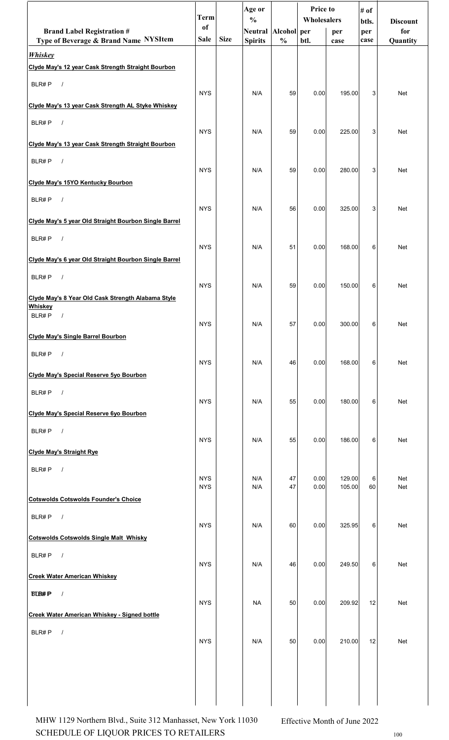|                                                               | <b>Term</b>              |             | Age or                               |               | Price to<br>Wholesalers |                  | # of         |                        |
|---------------------------------------------------------------|--------------------------|-------------|--------------------------------------|---------------|-------------------------|------------------|--------------|------------------------|
| <b>Brand Label Registration #</b>                             | of                       |             | $\frac{0}{0}$<br>Neutral Alcohol per |               |                         | per              | btls.<br>per | <b>Discount</b><br>for |
| Type of Beverage & Brand Name NYSItem                         | Sale                     | <b>Size</b> | <b>Spirits</b>                       | $\frac{0}{0}$ | btl.                    | case             | case         | Quantity               |
| <b>Whiskey</b>                                                |                          |             |                                      |               |                         |                  |              |                        |
| Clyde May's 12 year Cask Strength Straight Bourbon            |                          |             |                                      |               |                         |                  |              |                        |
| BLR#P<br>$\sqrt{ }$                                           |                          |             |                                      |               |                         |                  |              |                        |
| Clyde May's 13 year Cask Strength AL Styke Whiskey            | <b>NYS</b>               |             | N/A                                  | 59            | 0.00                    | 195.00           | 3            | <b>Net</b>             |
| BLR#P<br>$\sqrt{ }$                                           |                          |             |                                      |               |                         |                  |              |                        |
| Clyde May's 13 year Cask Strength Straight Bourbon            | <b>NYS</b>               |             | N/A                                  | 59            | 0.00                    | 225.00           | 3            | Net                    |
| $\sqrt{ }$<br>BLR#P                                           |                          |             |                                      |               |                         |                  |              |                        |
| Clyde May's 15YO Kentucky Bourbon                             | <b>NYS</b>               |             | N/A                                  | 59            | 0.00                    | 280.00           | 3            | <b>Net</b>             |
| BLR#P<br>$\sqrt{ }$                                           |                          |             |                                      |               |                         |                  |              |                        |
| Clyde May's 5 year Old Straight Bourbon Single Barrel         | <b>NYS</b>               |             | N/A                                  | 56            | 0.00                    | 325.00           | 3            | Net                    |
| BLR#P<br>$\sqrt{ }$                                           |                          |             |                                      |               |                         |                  |              |                        |
|                                                               | <b>NYS</b>               |             | N/A                                  | 51            | 0.00                    | 168.00           | 6            | Net                    |
| Clyde May's 6 year Old Straight Bourbon Single Barrel         |                          |             |                                      |               |                         |                  |              |                        |
| $\sqrt{ }$<br>BLR#P                                           | <b>NYS</b>               |             | N/A                                  | 59            | 0.00                    | 150.00           | 6            | Net                    |
| Clyde May's 8 Year Old Cask Strength Alabama Style<br>Whiskey |                          |             |                                      |               |                         |                  |              |                        |
| BLR#P<br>$\sqrt{ }$                                           | <b>NYS</b>               |             | N/A                                  | 57            | 0.00                    | 300.00           | 6            | Net                    |
| <b>Clyde May's Single Barrel Bourbon</b>                      |                          |             |                                      |               |                         |                  |              |                        |
| BLR#P<br>$\sqrt{ }$                                           | <b>NYS</b>               |             | N/A                                  | 46            | 0.00                    | 168.00           | 6            | Net                    |
| Clyde May's Special Reserve 5yo Bourbon                       |                          |             |                                      |               |                         |                  |              |                        |
| BLR#P<br>$\overline{\phantom{a}}$                             | <b>NYS</b>               |             | N/A                                  | 55            | 0.00                    | 180.00           | 6            | Net                    |
| Clyde May's Special Reserve 6yo Bourbon                       |                          |             |                                      |               |                         |                  |              |                        |
| $\sqrt{ }$<br>BLR#P                                           | <b>NYS</b>               |             | N/A                                  | 55            | 0.00                    | 186.00           | 6            | Net                    |
| <b>Clyde May's Straight Rye</b>                               |                          |             |                                      |               |                         |                  |              |                        |
| BLR#P<br>$\sqrt{ }$                                           |                          |             |                                      |               |                         |                  |              |                        |
|                                                               | <b>NYS</b><br><b>NYS</b> |             | N/A<br>N/A                           | 47<br>47      | 0.00<br>0.00            | 129.00<br>105.00 | 6<br>60      | Net<br>Net             |
| <b>Cotswolds Cotswolds Founder's Choice</b>                   |                          |             |                                      |               |                         |                  |              |                        |
| BLR#P<br>$\sqrt{ }$                                           | <b>NYS</b>               |             | N/A                                  | 60            | 0.00                    | 325.95           | 6            | Net                    |
| <b>Cotswolds Cotswolds Single Malt Whisky</b>                 |                          |             |                                      |               |                         |                  |              |                        |
| BLR#P<br>$\sqrt{ }$                                           |                          |             |                                      |               |                         |                  |              |                        |
| <b>Creek Water American Whiskey</b>                           | <b>NYS</b>               |             | N/A                                  | 46            | 0.00                    | 249.50           | 6            | Net                    |
| $\sqrt{ }$<br><b>BLB#P</b>                                    |                          |             |                                      |               |                         |                  |              |                        |
| <b>Creek Water American Whiskey - Signed bottle</b>           | <b>NYS</b>               |             | <b>NA</b>                            | 50            | 0.00                    | 209.92           | 12           | Net                    |
| $\sqrt{ }$<br>BLR#P                                           |                          |             |                                      |               |                         |                  |              |                        |
|                                                               | <b>NYS</b>               |             | N/A                                  | 50            | 0.00                    | 210.00           | 12           | Net                    |
|                                                               |                          |             |                                      |               |                         |                  |              |                        |
|                                                               |                          |             |                                      |               |                         |                  |              |                        |
|                                                               |                          |             |                                      |               |                         |                  |              |                        |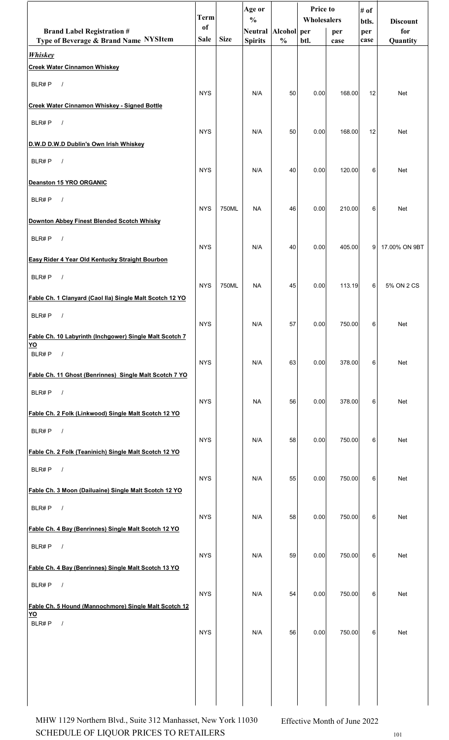|                                                          | <b>Term</b> |             | Age or<br>$\frac{0}{0}$ |               | Price to<br>Wholesalers |        | # of         |                        |
|----------------------------------------------------------|-------------|-------------|-------------------------|---------------|-------------------------|--------|--------------|------------------------|
| <b>Brand Label Registration #</b>                        | of          |             | Neutral Alcohol per     |               |                         | per    | btls.<br>per | <b>Discount</b><br>for |
| Type of Beverage & Brand Name NYSItem<br><b>Whiskey</b>  | <b>Sale</b> | <b>Size</b> | <b>Spirits</b>          | $\frac{0}{0}$ | btl.                    | case   | case         | Quantity               |
| <b>Creek Water Cinnamon Whiskey</b>                      |             |             |                         |               |                         |        |              |                        |
| BLR#P<br>$\sqrt{ }$                                      |             |             |                         |               |                         |        |              |                        |
| <b>Creek Water Cinnamon Whiskey - Signed Bottle</b>      | <b>NYS</b>  |             | N/A                     | 50            | 0.00                    | 168.00 | 12           | Net                    |
| BLR#P<br>$\sqrt{ }$                                      |             |             |                         |               |                         |        |              |                        |
| D.W.D D.W.D Dublin's Own Irish Whiskey                   | <b>NYS</b>  |             | N/A                     | 50            | 0.00                    | 168.00 | 12           | Net                    |
| BLR#P<br>$\sqrt{ }$                                      |             |             |                         |               |                         |        |              |                        |
| <b>Deanston 15 YRO ORGANIC</b>                           | <b>NYS</b>  |             | N/A                     | 40            | 0.00                    | 120.00 | 6            | Net                    |
| BLR#P<br>$\sqrt{ }$                                      |             |             |                         |               |                         |        |              |                        |
|                                                          | <b>NYS</b>  | 750ML       | <b>NA</b>               | 46            | 0.00                    | 210.00 | 6            | Net                    |
| Downton Abbey Finest Blended Scotch Whisky               |             |             |                         |               |                         |        |              |                        |
| BLR#P<br>$\sqrt{ }$                                      | <b>NYS</b>  |             | N/A                     | 40            | 0.00                    | 405.00 | 9            | 17.00% ON 9BT          |
| Easy Rider 4 Year Old Kentucky Straight Bourbon          |             |             |                         |               |                         |        |              |                        |
| $\sqrt{ }$<br>BLR#P                                      | <b>NYS</b>  | 750ML       | <b>NA</b>               | 45            | 0.00                    | 113.19 | 6            | 5% ON 2 CS             |
| Fable Ch. 1 Clanyard (Caol Ila) Single Malt Scotch 12 YO |             |             |                         |               |                         |        |              |                        |
| BLR#P<br>$\prime$                                        | <b>NYS</b>  |             | N/A                     | 57            | 0.00                    | 750.00 | 6            | Net                    |
| Fable Ch. 10 Labyrinth (Inchgower) Single Malt Scotch 7  |             |             |                         |               |                         |        |              |                        |
| <u>YO</u><br>BLR#P<br>$\sqrt{ }$                         |             |             |                         |               |                         |        |              |                        |
| Fable Ch. 11 Ghost (Benrinnes) Single Malt Scotch 7 YO   | <b>NYS</b>  |             | N/A                     | 63            | 0.00                    | 378.00 | 6            | Net                    |
| BLR#P<br>$\overline{\phantom{a}}$                        |             |             |                         |               |                         |        |              |                        |
| Fable Ch. 2 Folk (Linkwood) Single Malt Scotch 12 YO     | <b>NYS</b>  |             | <b>NA</b>               | 56            | 0.00                    | 378.00 | 6            | Net                    |
| $\sqrt{ }$<br>BLR#P                                      |             |             |                         |               |                         |        |              |                        |
|                                                          | <b>NYS</b>  |             | N/A                     | 58            | 0.00                    | 750.00 | 6            | Net                    |
| Fable Ch. 2 Folk (Teaninich) Single Malt Scotch 12 YO    |             |             |                         |               |                         |        |              |                        |
| BLR#P<br>$\sqrt{ }$                                      | <b>NYS</b>  |             | N/A                     | 55            | 0.00                    | 750.00 | 6            | Net                    |
| Fable Ch. 3 Moon (Dailuaine) Single Malt Scotch 12 YO    |             |             |                         |               |                         |        |              |                        |
| BLR#P<br>$\sqrt{ }$                                      | <b>NYS</b>  |             | N/A                     | 58            | 0.00                    | 750.00 | 6            | Net                    |
| Fable Ch. 4 Bay (Benrinnes) Single Malt Scotch 12 YO     |             |             |                         |               |                         |        |              |                        |
| BLR#P $/$                                                | <b>NYS</b>  |             | N/A                     | 59            | 0.00                    | 750.00 | 6            | Net                    |
| Fable Ch. 4 Bay (Benrinnes) Single Malt Scotch 13 YO     |             |             |                         |               |                         |        |              |                        |
| $\sqrt{ }$<br>BLR#P                                      | <b>NYS</b>  |             | N/A                     |               |                         |        |              |                        |
| Fable Ch. 5 Hound (Mannochmore) Single Malt Scotch 12    |             |             |                         | 54            | 0.00                    | 750.00 | 6            | Net                    |
| <u>YO</u><br>BLR#P<br>$\sqrt{ }$                         |             |             |                         |               |                         |        |              |                        |
|                                                          | <b>NYS</b>  |             | N/A                     | 56            | 0.00                    | 750.00 | 6            | Net                    |
|                                                          |             |             |                         |               |                         |        |              |                        |
|                                                          |             |             |                         |               |                         |        |              |                        |
|                                                          |             |             |                         |               |                         |        |              |                        |
|                                                          |             |             |                         |               |                         |        |              |                        |

 $\begin{minipage}{.4\linewidth} \textbf{SCHEDULE OF LIQUOR PRICES TO RETAILERS} \end{minipage}$ MHW 1129 Northern Blvd., Suite 312 Manhasset, New York 11030 Effective Month of June 2022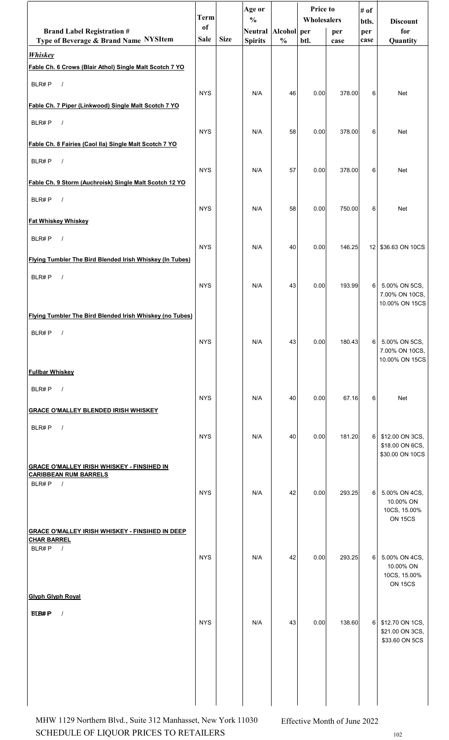|                                                                                   | Term          |             | Age or<br>$\frac{0}{0}$ |               | <b>Price to</b><br>Wholesalers |        | # of<br>btls.   | <b>Discount</b>                                              |
|-----------------------------------------------------------------------------------|---------------|-------------|-------------------------|---------------|--------------------------------|--------|-----------------|--------------------------------------------------------------|
| <b>Brand Label Registration #</b>                                                 | <sub>of</sub> |             | Neutral Alcohol per     |               |                                | per    | per             | for                                                          |
| Type of Beverage & Brand Name NYSItem                                             | <b>Sale</b>   | <b>Size</b> | <b>Spirits</b>          | $\frac{0}{0}$ | btl.                           | case   | case            | Quantity                                                     |
| <b>Whiskey</b><br>Fable Ch. 6 Crows (Blair Athol) Single Malt Scotch 7 YO         |               |             |                         |               |                                |        |                 |                                                              |
| BLR#P<br>$\sqrt{ }$                                                               | <b>NYS</b>    |             | N/A                     | 46            | 0.00                           | 378.00 | 6               | <b>Net</b>                                                   |
| Fable Ch. 7 Piper (Linkwood) Single Malt Scotch 7 YO                              |               |             |                         |               |                                |        |                 |                                                              |
| BLR#P<br>$\sqrt{ }$                                                               | <b>NYS</b>    |             | N/A                     | 58            | 0.00                           | 378.00 | 6               | <b>Net</b>                                                   |
| Fable Ch. 8 Fairies (Caol Ila) Single Malt Scotch 7 YO                            |               |             |                         |               |                                |        |                 |                                                              |
| BLR#P<br>$\sqrt{ }$                                                               | <b>NYS</b>    |             | N/A                     | 57            | 0.00                           | 378.00 | 6               | <b>Net</b>                                                   |
| Fable Ch. 9 Storm (Auchroisk) Single Malt Scotch 12 YO                            |               |             |                         |               |                                |        |                 |                                                              |
| BLR#P<br>$\sqrt{ }$                                                               | <b>NYS</b>    |             | N/A                     | 58            | 0.00                           | 750.00 | 6               | <b>Net</b>                                                   |
| <b>Fat Whiskey Whiskey</b>                                                        |               |             |                         |               |                                |        |                 |                                                              |
| BLR#P<br>$\sqrt{ }$                                                               | <b>NYS</b>    |             | N/A                     | 40            | 0.00                           | 146.25 | 12 <sub>1</sub> | \$36.63 ON 10CS                                              |
| Flying Tumbler The Bird Blended Irish Whiskey (In Tubes)                          |               |             |                         |               |                                |        |                 |                                                              |
| BLR#P<br>$\sqrt{ }$                                                               | <b>NYS</b>    |             | N/A                     | 43            | 0.00                           | 193.99 | 6               | 5.00% ON 5CS,                                                |
|                                                                                   |               |             |                         |               |                                |        |                 | 7.00% ON 10CS,<br>10.00% ON 15CS                             |
| Flying Tumbler The Bird Blended Irish Whiskey (no Tubes)<br>$\sqrt{ }$<br>BLR#P   |               |             |                         |               |                                |        |                 |                                                              |
|                                                                                   | <b>NYS</b>    |             | N/A                     | 43            | 0.00                           | 180.43 | 6               | 5.00% ON 5CS,<br>7.00% ON 10CS,                              |
| <b>Fullbar Whiskey</b>                                                            |               |             |                         |               |                                |        |                 | 10.00% ON 15CS                                               |
| BLR#P<br>$\sqrt{ }$                                                               |               |             |                         |               |                                |        |                 |                                                              |
| <b>GRACE O'MALLEY BLENDED IRISH WHISKEY</b>                                       | <b>NYS</b>    |             | N/A                     | 40            | 0.00                           | 67.16  | 6               | Net                                                          |
| BLR#P<br>$\sqrt{ }$                                                               |               |             |                         |               |                                |        |                 |                                                              |
|                                                                                   | <b>NYS</b>    |             | N/A                     | 40            | 0.00                           | 181.20 | 6               | \$12.00 ON 3CS,<br>\$18.00 ON 6CS,<br>\$30.00 ON 10CS        |
| <b>GRACE O'MALLEY IRISH WHISKEY - FINSIHED IN</b><br><b>CARIBBEAN RUM BARRELS</b> |               |             |                         |               |                                |        |                 |                                                              |
| BLR#P $/$                                                                         | <b>NYS</b>    |             | N/A                     | 42            | 0.00                           | 293.25 | 6               | 5.00% ON 4CS,                                                |
|                                                                                   |               |             |                         |               |                                |        |                 | 10.00% ON<br>10CS, 15.00%                                    |
| <b>GRACE O'MALLEY IRISH WHISKEY - FINSIHED IN DEEP</b>                            |               |             |                         |               |                                |        |                 | <b>ON 15CS</b>                                               |
| <b>CHAR BARREL</b><br>BLR#P<br>$\sqrt{ }$                                         |               |             |                         |               |                                |        |                 |                                                              |
|                                                                                   | <b>NYS</b>    |             | N/A                     | 42            | 0.00                           | 293.25 | 6               | 5.00% ON 4CS,<br>10.00% ON<br>10CS, 15.00%<br><b>ON 15CS</b> |
| <b>Glyph Glyph Royal</b>                                                          |               |             |                         |               |                                |        |                 |                                                              |
| <b>BLB#P</b><br>$\prime$                                                          | <b>NYS</b>    |             | N/A                     | 43            | 0.00                           | 138.60 | 6               | \$12.70 ON 1CS,<br>\$21.00 ON 3CS,<br>\$33.60 ON 5CS         |
|                                                                                   |               |             |                         |               |                                |        |                 |                                                              |
|                                                                                   |               |             |                         |               |                                |        |                 |                                                              |
|                                                                                   |               |             |                         |               |                                |        |                 |                                                              |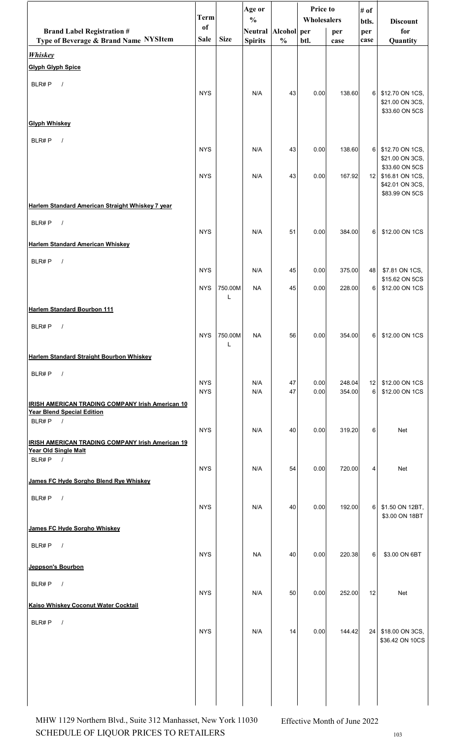|                                                                                              | <b>Term</b>              |              | Age or<br>$\frac{0}{0}$ |               | Price to<br>Wholesalers |                  | # of         |                                                                        |
|----------------------------------------------------------------------------------------------|--------------------------|--------------|-------------------------|---------------|-------------------------|------------------|--------------|------------------------------------------------------------------------|
| <b>Brand Label Registration #</b>                                                            | <sub>of</sub>            |              | Neutral Alcohol per     |               |                         | per              | btls.<br>per | <b>Discount</b><br>for                                                 |
| Type of Beverage & Brand Name NYSItem                                                        | Sale                     | <b>Size</b>  | <b>Spirits</b>          | $\frac{0}{0}$ | btl.                    | case             | case         | Quantity                                                               |
| <b>Whiskey</b><br><b>Glyph Glyph Spice</b>                                                   |                          |              |                         |               |                         |                  |              |                                                                        |
|                                                                                              |                          |              |                         |               |                         |                  |              |                                                                        |
| BLR#P<br>$\sqrt{ }$                                                                          | <b>NYS</b>               |              | N/A                     | 43            | 0.00                    | 138.60           | 6            | \$12.70 ON 1CS,<br>\$21.00 ON 3CS,<br>\$33.60 ON 5CS                   |
| <b>Glyph Whiskey</b>                                                                         |                          |              |                         |               |                         |                  |              |                                                                        |
| BLR#P<br>$\sqrt{ }$                                                                          |                          |              |                         |               |                         |                  |              |                                                                        |
|                                                                                              | <b>NYS</b>               |              | N/A                     | 43            | 0.00                    | 138.60           | 6            | \$12.70 ON 1CS,<br>\$21.00 ON 3CS,                                     |
|                                                                                              | <b>NYS</b>               |              | N/A                     | 43            | 0.00                    | 167.92           | 12           | \$33.60 ON 5CS<br>\$16.81 ON 1CS,<br>\$42.01 ON 3CS,<br>\$83.99 ON 5CS |
| Harlem Standard American Straight Whiskey 7 year                                             |                          |              |                         |               |                         |                  |              |                                                                        |
| BLR#P<br>$\sqrt{ }$                                                                          | <b>NYS</b>               |              | N/A                     | 51            | 0.00                    | 384.00           | 6            | \$12.00 ON 1CS                                                         |
| <b>Harlem Standard American Whiskey</b>                                                      |                          |              |                         |               |                         |                  |              |                                                                        |
| BLR#P<br>$\sqrt{ }$                                                                          |                          |              |                         |               |                         |                  |              |                                                                        |
|                                                                                              | <b>NYS</b>               |              | N/A                     | 45            | 0.00                    | 375.00           | 48           | \$7.81 ON 1CS,<br>\$15.62 ON 5CS                                       |
|                                                                                              | <b>NYS</b>               | 750.00M<br>L | <b>NA</b>               | 45            | 0.00                    | 228.00           | 6            | \$12.00 ON 1CS                                                         |
| Harlem Standard Bourbon 111                                                                  |                          |              |                         |               |                         |                  |              |                                                                        |
| BLR#P<br>$\sqrt{2}$                                                                          |                          |              |                         |               |                         |                  |              |                                                                        |
|                                                                                              | <b>NYS</b>               | 750.00M      | <b>NA</b>               | 56            | 0.00                    | 354.00           | 6            | \$12.00 ON 1CS                                                         |
| Harlem Standard Straight Bourbon Whiskey                                                     |                          |              |                         |               |                         |                  |              |                                                                        |
| BLR#P<br>$\sqrt{ }$                                                                          |                          |              |                         |               |                         |                  |              |                                                                        |
|                                                                                              | <b>NYS</b><br><b>NYS</b> |              | N/A<br>N/A              | 47<br>47      | 0.00<br>0.00            | 248.04<br>354.00 | 12<br>6      | \$12.00 ON 1CS<br>\$12.00 ON 1CS                                       |
| <b>IRISH AMERICAN TRADING COMPANY Irish American 10</b><br><b>Year Blend Special Edition</b> |                          |              |                         |               |                         |                  |              |                                                                        |
| BLR#P<br>$\sqrt{ }$                                                                          | <b>NYS</b>               |              | N/A                     | 40            | 0.00                    | 319.20           | 6            | Net                                                                    |
| <b>IRISH AMERICAN TRADING COMPANY Irish American 19</b>                                      |                          |              |                         |               |                         |                  |              |                                                                        |
| Year Old Single Malt<br>$BLR\#P$ /                                                           |                          |              |                         |               |                         |                  |              |                                                                        |
| James FC Hyde Sorgho Blend Rye Whiskey                                                       | <b>NYS</b>               |              | N/A                     | 54            | 0.00                    | 720.00           | 4            | Net                                                                    |
| BLR#P<br>$\sqrt{ }$                                                                          |                          |              |                         |               |                         |                  |              |                                                                        |
|                                                                                              | <b>NYS</b>               |              | N/A                     | 40            | 0.00                    | 192.00           | 6            | \$1.50 ON 12BT,                                                        |
| James FC Hyde Sorgho Whiskey                                                                 |                          |              |                         |               |                         |                  |              | \$3.00 ON 18BT                                                         |
| BLR#P<br>$\overline{\phantom{a}}$                                                            |                          |              |                         |               |                         |                  |              |                                                                        |
|                                                                                              | <b>NYS</b>               |              | <b>NA</b>               | 40            | 0.00                    | 220.38           | 6            | \$3.00 ON 6BT                                                          |
| Jeppson's Bourbon                                                                            |                          |              |                         |               |                         |                  |              |                                                                        |
| BLR#P<br>$\sqrt{ }$                                                                          | <b>NYS</b>               |              | N/A                     | 50            | 0.00                    | 252.00           | 12           | <b>Net</b>                                                             |
| Kaiso Whiskey Coconut Water Cocktail                                                         |                          |              |                         |               |                         |                  |              |                                                                        |
| BLR#P<br>$\sqrt{ }$                                                                          | <b>NYS</b>               |              | N/A                     | 14            | 0.00                    | 144.42           |              | 24 \$18.00 ON 3CS,                                                     |
|                                                                                              |                          |              |                         |               |                         |                  |              | \$36.42 ON 10CS                                                        |
|                                                                                              |                          |              |                         |               |                         |                  |              |                                                                        |
|                                                                                              |                          |              |                         |               |                         |                  |              |                                                                        |
|                                                                                              |                          |              |                         |               |                         |                  |              |                                                                        |
|                                                                                              |                          |              |                         |               |                         |                  |              |                                                                        |

 $\begin{minipage}{.4\linewidth} \textbf{SCHEDULE OF LIQUOR PRICES TO RETAILERS} \end{minipage}$ MHW 1129 Northern Blvd., Suite 312 Manhasset, New York 11030 Effective Month of June 2022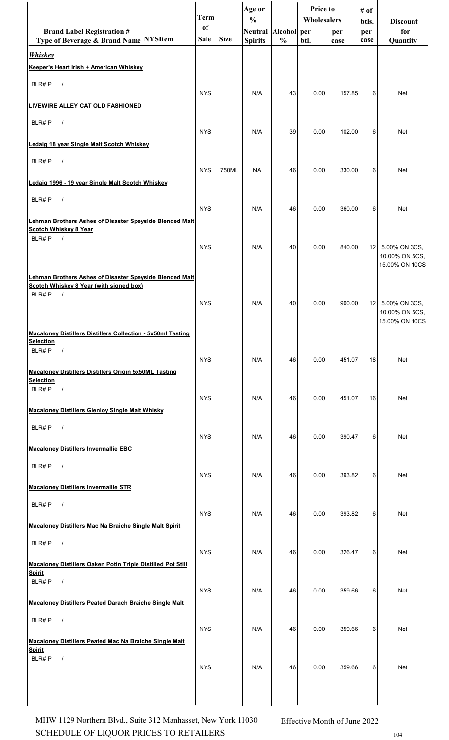|                                                                                                                                  | <b>Term</b> |             | Age or<br>$\frac{0}{0}$ |               | <b>Price to</b><br>Wholesalers |        | # of         |                                  |
|----------------------------------------------------------------------------------------------------------------------------------|-------------|-------------|-------------------------|---------------|--------------------------------|--------|--------------|----------------------------------|
| <b>Brand Label Registration #</b>                                                                                                | of          |             | Neutral Alcohol per     |               |                                | per    | btls.<br>per | <b>Discount</b><br>for           |
| Type of Beverage & Brand Name NYSItem                                                                                            | <b>Sale</b> | <b>Size</b> | <b>Spirits</b>          | $\frac{0}{0}$ | btl.                           | case   | case         | Quantity                         |
| <b>Whiskey</b><br>Keeper's Heart Irish + American Whiskey                                                                        |             |             |                         |               |                                |        |              |                                  |
| BLR#P<br>$\sqrt{ }$                                                                                                              |             |             |                         |               |                                |        |              |                                  |
| LIVEWIRE ALLEY CAT OLD FASHIONED                                                                                                 | <b>NYS</b>  |             | N/A                     | 43            | 0.00                           | 157.85 | 6            | Net                              |
| BLR#P<br>$\sqrt{ }$                                                                                                              |             |             |                         |               |                                |        |              |                                  |
| Ledaig 18 year Single Malt Scotch Whiskey                                                                                        | <b>NYS</b>  |             | N/A                     | 39            | 0.00                           | 102.00 | 6            | Net                              |
| BLR#P<br>$\sqrt{ }$                                                                                                              | <b>NYS</b>  | 750ML       | <b>NA</b>               | 46            | 0.00                           | 330.00 | 6            | Net                              |
| Ledaig 1996 - 19 year Single Malt Scotch Whiskey                                                                                 |             |             |                         |               |                                |        |              |                                  |
| BLR#P<br>$\sqrt{ }$                                                                                                              | <b>NYS</b>  |             | N/A                     | 46            | 0.00                           | 360.00 | 6            | Net                              |
| Lehman Brothers Ashes of Disaster Speyside Blended Malt<br><b>Scotch Whiskey 8 Year</b>                                          |             |             |                         |               |                                |        |              |                                  |
| BLR#P<br>$\sqrt{ }$                                                                                                              | <b>NYS</b>  |             | N/A                     | 40            | 0.00                           | 840.00 | 12           | 5.00% ON 3CS,                    |
|                                                                                                                                  |             |             |                         |               |                                |        |              | 10.00% ON 5CS,<br>15.00% ON 10CS |
| <b>Lehman Brothers Ashes of Disaster Speyside Blended Malt</b><br>Scotch Whiskey 8 Year (with signed box)<br>BLR#P<br>$\sqrt{ }$ |             |             |                         |               |                                |        |              |                                  |
|                                                                                                                                  | <b>NYS</b>  |             | N/A                     | 40            | 0.00                           | 900.00 | 12           | 5.00% ON 3CS,<br>10.00% ON 5CS,  |
| <b>Macaloney Distillers Distillers Collection - 5x50ml Tasting</b>                                                               |             |             |                         |               |                                |        |              | 15.00% ON 10CS                   |
| <b>Selection</b><br>BLR#P<br>$\sqrt{ }$                                                                                          |             |             |                         |               |                                |        |              |                                  |
| <b>Macaloney Distillers Distillers Origin 5x50ML Tasting</b>                                                                     | <b>NYS</b>  |             | N/A                     | 46            | 0.00                           | 451.07 | 18           | Net                              |
| <b>Selection</b><br>BLR#P<br>$\sqrt{ }$                                                                                          | <b>NYS</b>  |             | N/A                     |               |                                |        |              |                                  |
| <b>Macaloney Distillers Glenloy Single Malt Whisky</b>                                                                           |             |             |                         | 46            | 0.00                           | 451.07 | 16           | Net                              |
| BLR#P<br>$\sqrt{ }$                                                                                                              | <b>NYS</b>  |             | N/A                     | 46            | 0.00                           | 390.47 | 6            | Net                              |
| <b>Macaloney Distillers Invermallie EBC</b>                                                                                      |             |             |                         |               |                                |        |              |                                  |
| BLR#P<br>$\sqrt{ }$                                                                                                              | <b>NYS</b>  |             | N/A                     | 46            | 0.00                           | 393.82 | 6            | Net                              |
| <b>Macaloney Distillers Invermallie STR</b>                                                                                      |             |             |                         |               |                                |        |              |                                  |
| BLR#P<br>$\sqrt{ }$                                                                                                              | <b>NYS</b>  |             | N/A                     | 46            | 0.00                           | 393.82 | 6            | Net                              |
| <b>Macaloney Distillers Mac Na Braiche Single Malt Spirit</b>                                                                    |             |             |                         |               |                                |        |              |                                  |
| BLR#P<br>$\sqrt{ }$                                                                                                              | <b>NYS</b>  |             | N/A                     | 46            | 0.00                           | 326.47 | 6            | Net                              |
| Macaloney Distillers Oaken Potin Triple Distilled Pot Still<br><b>Spirit</b>                                                     |             |             |                         |               |                                |        |              |                                  |
| BLR#P<br>$\sqrt{ }$                                                                                                              | <b>NYS</b>  |             | N/A                     | 46            | 0.00                           | 359.66 | 6            | Net                              |
| Macaloney Distillers Peated Darach Braiche Single Malt                                                                           |             |             |                         |               |                                |        |              |                                  |
| $\sqrt{ }$<br>BLR#P                                                                                                              | <b>NYS</b>  |             | N/A                     | 46            | 0.00                           | 359.66 | 6            | Net                              |
| Macaloney Distillers Peated Mac Na Braiche Single Malt<br><b>Spirit</b>                                                          |             |             |                         |               |                                |        |              |                                  |
| BLR#P<br>$\frac{1}{2}$                                                                                                           | <b>NYS</b>  |             | N/A                     | 46            | 0.00                           | 359.66 | 6            | Net                              |
|                                                                                                                                  |             |             |                         |               |                                |        |              |                                  |
|                                                                                                                                  |             |             |                         |               |                                |        |              |                                  |

SCHEDULE OF LIQUOR PRICES TO RETAILERS  $104$ MHW 1129 Northern Blvd., Suite 312 Manhasset, New York 11030 Effective Month of June 2022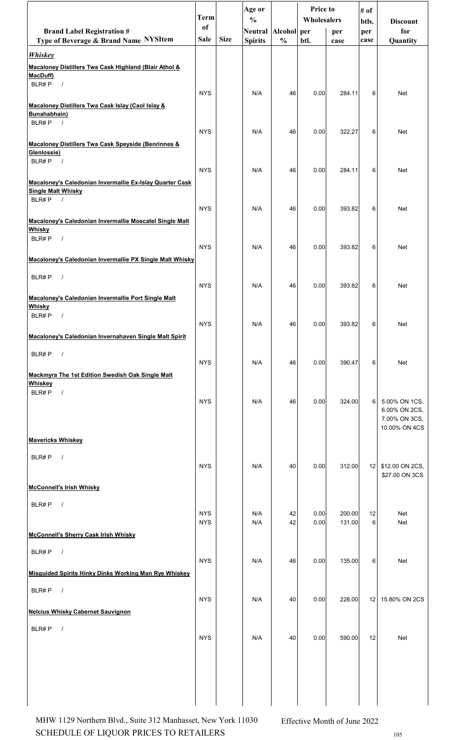|                                                                   | <b>Term</b>              |             | Age or<br>$\frac{0}{0}$ |               | <b>Price to</b><br><b>Wholesalers</b> |                  | # of            |                                |
|-------------------------------------------------------------------|--------------------------|-------------|-------------------------|---------------|---------------------------------------|------------------|-----------------|--------------------------------|
| <b>Brand Label Registration #</b>                                 | of                       |             | Neutral   Alcohol   per |               |                                       | per              | btls.<br>per    | <b>Discount</b><br>for         |
| Type of Beverage & Brand Name NYSItem                             | <b>Sale</b>              | <b>Size</b> | <b>Spirits</b>          | $\frac{0}{0}$ | btl.                                  | case             | case            | Quantity                       |
| <b>Whiskey</b>                                                    |                          |             |                         |               |                                       |                  |                 |                                |
| Macaloney Distillers Twa Cask Highland (Blair Athol &<br>MacDuff) |                          |             |                         |               |                                       |                  |                 |                                |
| BLR#P<br>$\sqrt{ }$                                               |                          |             |                         |               |                                       |                  |                 |                                |
| Macaloney Distillers Twa Cask Islay (Caol Islay &                 | <b>NYS</b>               |             | N/A                     | 46            | 0.00                                  | 284.11           | 6               | Net                            |
| Bunahabhain)                                                      |                          |             |                         |               |                                       |                  |                 |                                |
| BLR#P $/$                                                         | <b>NYS</b>               |             | N/A                     | 46            | 0.00                                  | 322.27           | 6               | Net                            |
| Macaloney Distillers Twa Cask Speyside (Benrinnes &               |                          |             |                         |               |                                       |                  |                 |                                |
| Glenlossie)<br>BLR#P<br>$\sqrt{ }$                                |                          |             |                         |               |                                       |                  |                 |                                |
|                                                                   | <b>NYS</b>               |             | N/A                     | 46            | 0.00                                  | 284.11           | 6               | Net                            |
| Macaloney's Caledonian Invermallie Ex-Islay Quarter Cask          |                          |             |                         |               |                                       |                  |                 |                                |
| <b>Single Malt Whisky</b><br>BLR#P $/$                            |                          |             |                         |               |                                       |                  |                 |                                |
|                                                                   | <b>NYS</b>               |             | N/A                     | 46            | 0.00                                  | 393.82           | 6               | Net                            |
| Macaloney's Caledonian Invermallie Moscatel Single Malt<br>Whisky |                          |             |                         |               |                                       |                  |                 |                                |
| BLR#P<br>$\sqrt{ }$                                               |                          |             |                         |               |                                       |                  |                 |                                |
|                                                                   | <b>NYS</b>               |             | N/A                     | 46            | 0.00                                  | 393.82           | 6               | Net                            |
| Macaloney's Caledonian Invermallie PX Single Malt Whisky          |                          |             |                         |               |                                       |                  |                 |                                |
| BLR#P<br>$\sqrt{ }$                                               | <b>NYS</b>               |             | N/A                     | 46            | 0.00                                  | 393.82           | 6               | Net                            |
| Macaloney's Caledonian Invermallie Port Single Malt               |                          |             |                         |               |                                       |                  |                 |                                |
| <b>Whisky</b><br>BLR#P                                            |                          |             |                         |               |                                       |                  |                 |                                |
| $\sqrt{ }$                                                        | <b>NYS</b>               |             | N/A                     | 46            | 0.00                                  | 393.82           | 6               | Net                            |
| Macaloney's Caledonian Invernahaven Single Malt Spirit            |                          |             |                         |               |                                       |                  |                 |                                |
| BLR#P<br>$\overline{\phantom{a}}$                                 |                          |             |                         |               |                                       |                  |                 |                                |
|                                                                   | <b>NYS</b>               |             | N/A                     | 46            | 0.00                                  | 390.47           | 6               | Net                            |
| Mackmyra The 1st Edition Swedish Oak Single Malt<br>Whiskey       |                          |             |                         |               |                                       |                  |                 |                                |
| $\sqrt{ }$<br>BLR#P                                               |                          |             |                         |               |                                       |                  |                 |                                |
|                                                                   | <b>NYS</b>               |             | N/A                     | 46            | 0.00                                  | 324.00           | 6               | 5.00% ON 1CS,<br>6.00% ON 2CS, |
|                                                                   |                          |             |                         |               |                                       |                  |                 | 7.00% ON 3CS,                  |
| <b>Mavericks Whiskey</b>                                          |                          |             |                         |               |                                       |                  |                 | 10.00% ON 4CS                  |
|                                                                   |                          |             |                         |               |                                       |                  |                 |                                |
| BLR#P<br>$\sqrt{ }$                                               | <b>NYS</b>               |             | N/A                     | 40            | 0.00                                  | 312.00           | 12 <sub>1</sub> | \$12.00 ON 2CS,                |
|                                                                   |                          |             |                         |               |                                       |                  |                 | \$27.00 ON 3CS                 |
| <b>McConnell's Irish Whisky</b>                                   |                          |             |                         |               |                                       |                  |                 |                                |
| BLR#P<br>$\sqrt{ }$                                               |                          |             |                         |               |                                       |                  |                 |                                |
|                                                                   | <b>NYS</b><br><b>NYS</b> |             | N/A<br>N/A              | 42<br>42      | 0.00<br>0.00                          | 200.00<br>131.00 | 12<br>6         | Net<br>Net                     |
| <b>McConnell's Sherry Cask Irish Whisky</b>                       |                          |             |                         |               |                                       |                  |                 |                                |
| BLR#P<br>$\sqrt{ }$                                               |                          |             |                         |               |                                       |                  |                 |                                |
|                                                                   | <b>NYS</b>               |             | N/A                     | 46            | 0.00                                  | 135.00           | 6               | Net                            |
| <b>Misguided Spirits Hinky Dinks Working Man Rye Whiskey</b>      |                          |             |                         |               |                                       |                  |                 |                                |
| BLR#P $/$                                                         |                          |             |                         |               |                                       |                  |                 |                                |
|                                                                   | <b>NYS</b>               |             | N/A                     | 40            | 0.00                                  | 228.00           | 12 <sup>1</sup> | 15.80% ON 2CS                  |
| <b>Nelcius Whisky Cabernet Sauvignon</b>                          |                          |             |                         |               |                                       |                  |                 |                                |
| $\sqrt{ }$<br>BLR#P                                               | <b>NYS</b>               |             | N/A                     | 40            | 0.00                                  | 590.00           | 12              | Net                            |
|                                                                   |                          |             |                         |               |                                       |                  |                 |                                |
|                                                                   |                          |             |                         |               |                                       |                  |                 |                                |
|                                                                   |                          |             |                         |               |                                       |                  |                 |                                |
|                                                                   |                          |             |                         |               |                                       |                  |                 |                                |
|                                                                   |                          |             |                         |               |                                       |                  |                 |                                |

 $\begin{minipage}{.4\linewidth} \textbf{SCHEDULE OF LIQUOR PRICES TO RETAILERS} \end{minipage}$ MHW 1129 Northern Blvd., Suite 312 Manhasset, New York 11030 Effective Month of June 2022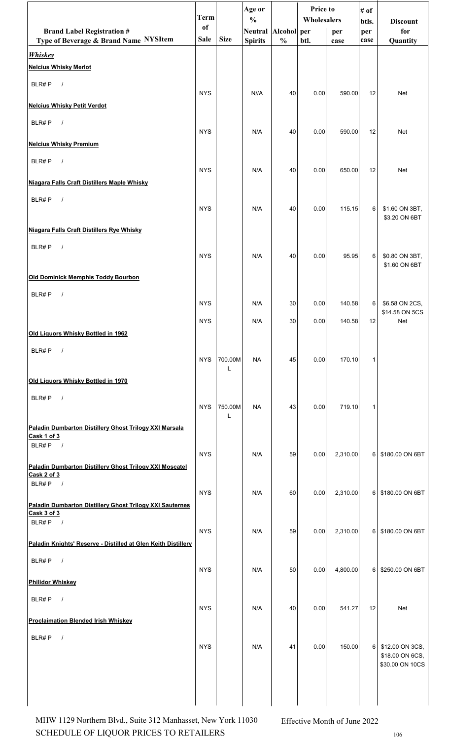|                                                                              | <b>Term</b> |              | Age or<br>$\frac{0}{0}$ |               | Price to<br>Wholesalers |          | # of         |                                                       |
|------------------------------------------------------------------------------|-------------|--------------|-------------------------|---------------|-------------------------|----------|--------------|-------------------------------------------------------|
| <b>Brand Label Registration #</b>                                            | of          |              | Neutral                 | Alcohol per   |                         | per      | btls.<br>per | <b>Discount</b><br>for                                |
| Type of Beverage & Brand Name NYSItem                                        | Sale        | <b>Size</b>  | <b>Spirits</b>          | $\frac{0}{0}$ | btl.                    | case     | case         | Quantity                                              |
| <b>Whiskey</b><br><b>Nelcius Whisky Merlot</b>                               |             |              |                         |               |                         |          |              |                                                       |
| BLR#P<br>$\sqrt{ }$                                                          | <b>NYS</b>  |              | N//A                    | 40            | 0.00                    | 590.00   | 12           | Net                                                   |
| <b>Nelcius Whisky Petit Verdot</b>                                           |             |              |                         |               |                         |          |              |                                                       |
| BLR#P<br>$\sqrt{ }$                                                          | <b>NYS</b>  |              | N/A                     | 40            | 0.00                    | 590.00   | 12           | Net                                                   |
| <b>Nelcius Whisky Premium</b>                                                |             |              |                         |               |                         |          |              |                                                       |
| BLR#P<br>$\sqrt{ }$                                                          | <b>NYS</b>  |              | N/A                     | 40            | 0.00                    | 650.00   | 12           | Net                                                   |
| Niagara Falls Craft Distillers Maple Whisky                                  |             |              |                         |               |                         |          |              |                                                       |
| BLR#P<br>$\sqrt{ }$                                                          | <b>NYS</b>  |              | N/A                     | 40            | 0.00                    | 115.15   | 6            | \$1.60 ON 3BT,<br>\$3.20 ON 6BT                       |
| Niagara Falls Craft Distillers Rye Whisky                                    |             |              |                         |               |                         |          |              |                                                       |
| BLR#P<br>$\sqrt{ }$                                                          | <b>NYS</b>  |              | N/A                     | 40            | 0.00                    | 95.95    | 6            | \$0.80 ON 3BT,<br>\$1.60 ON 6BT                       |
| Old Dominick Memphis Toddy Bourbon                                           |             |              |                         |               |                         |          |              |                                                       |
| BLR#P<br>$\sqrt{ }$                                                          | <b>NYS</b>  |              | N/A                     | 30            | 0.00                    | 140.58   | 6            | \$6.58 ON 2CS,                                        |
|                                                                              | <b>NYS</b>  |              | N/A                     | 30            | 0.00                    | 140.58   | 12           | \$14.58 ON 5CS<br>Net                                 |
| Old Liquors Whisky Bottled in 1962                                           |             |              |                         |               |                         |          |              |                                                       |
| BLR#P<br>$\sqrt{ }$                                                          | <b>NYS</b>  | 700.00M      | <b>NA</b>               | 45            | 0.00                    | 170.10   | $\mathbf 1$  |                                                       |
| Old Liquors Whisky Bottled in 1970                                           |             | L            |                         |               |                         |          |              |                                                       |
| BLR#P<br>$\sqrt{ }$                                                          | <b>NYS</b>  | 750.00M<br>L | <b>NA</b>               | 43            | 0.00                    | 719.10   | 1            |                                                       |
| Paladin Dumbarton Distillery Ghost Trilogy XXI Marsala<br>Cask 1 of 3        |             |              |                         |               |                         |          |              |                                                       |
| BLR#P<br>$\overline{\phantom{a}}$                                            | <b>NYS</b>  |              | N/A                     | 59            | 0.00                    | 2,310.00 | 61           | \$180.00 ON 6BT                                       |
| Paladin Dumbarton Distillery Ghost Trilogy XXI Moscatel<br>Cask 2 of 3       |             |              |                         |               |                         |          |              |                                                       |
| BLR#P $/$<br><b>Paladin Dumbarton Distillery Ghost Trilogy XXI Sauternes</b> | <b>NYS</b>  |              | N/A                     | 60            | 0.00                    | 2,310.00 | 61           | \$180.00 ON 6BT                                       |
| Cask 3 of 3<br>BLR#P $/$                                                     |             |              |                         |               |                         |          |              |                                                       |
| Paladin Knights' Reserve - Distilled at Glen Keith Distillery                | <b>NYS</b>  |              | N/A                     | 59            | 0.00                    | 2,310.00 | 6            | \$180.00 ON 6BT                                       |
| BLR#P<br>$\sqrt{ }$                                                          | <b>NYS</b>  |              | N/A                     | 50            | 0.00                    | 4,800.00 | 6            | \$250.00 ON 6BT                                       |
| Philidor Whiskey                                                             |             |              |                         |               |                         |          |              |                                                       |
| BLR#P<br>$\overline{\phantom{a}}$                                            | <b>NYS</b>  |              | N/A                     | 40            | 0.00                    | 541.27   | 12           | Net                                                   |
| <b>Proclaimation Blended Irish Whiskey</b>                                   |             |              |                         |               |                         |          |              |                                                       |
| BLR#P<br>$\sqrt{ }$                                                          | <b>NYS</b>  |              | N/A                     | 41            | 0.00                    | 150.00   | 6            | \$12.00 ON 3CS,<br>\$18.00 ON 6CS,<br>\$30.00 ON 10CS |
|                                                                              |             |              |                         |               |                         |          |              |                                                       |

SCHEDULE OF LIQUOR PRICES TO RETAILERS 106 MHW 1129 Northern Blvd., Suite 312 Manhasset, New York 11030 Effective Month of June 2022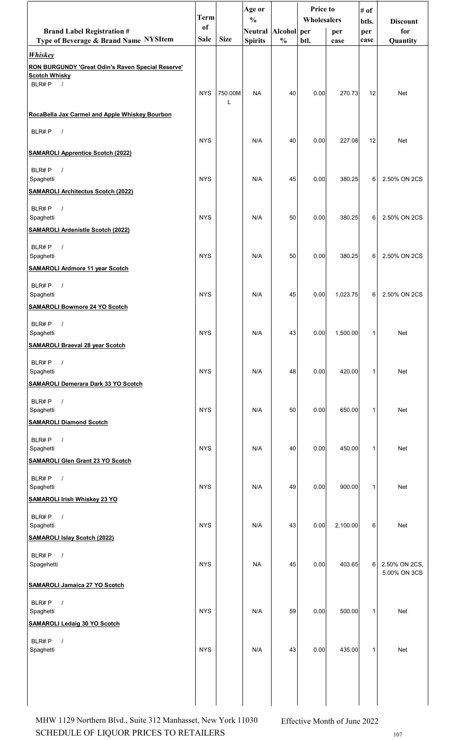|                                                                            | <b>Term</b> |             | Age or<br>$\frac{0}{0}$ |               | <b>Price to</b><br><b>Wholesalers</b> |          | # of<br>btls. | <b>Discount</b> |
|----------------------------------------------------------------------------|-------------|-------------|-------------------------|---------------|---------------------------------------|----------|---------------|-----------------|
| <b>Brand Label Registration #</b>                                          | of          |             | Neutral Alcohol per     |               |                                       | per      | per           | for             |
| Type of Beverage & Brand Name NYSItem                                      | <b>Sale</b> | <b>Size</b> | <b>Spirits</b>          | $\frac{0}{0}$ | btl.                                  | case     | case          | Quantity        |
| <b>Whiskey</b><br><b>RON BURGUNDY 'Great Odin's Raven Special Reserve'</b> |             |             |                         |               |                                       |          |               |                 |
| <b>Scotch Whisky</b>                                                       |             |             |                         |               |                                       |          |               |                 |
| BLR#P $/$                                                                  | <b>NYS</b>  | 750.00M     | <b>NA</b>               | 40            | 0.00                                  | 270.73   | 12            | Net             |
|                                                                            |             |             |                         |               |                                       |          |               |                 |
| RocaBella Jax Carmel and Apple Whiskey Bourbon                             |             |             |                         |               |                                       |          |               |                 |
| BLR#P<br>$\sqrt{ }$                                                        | <b>NYS</b>  |             | N/A                     | 40            | 0.00                                  | 227.08   | 12            | Net             |
| <b>SAMAROLI Apprentice Scotch (2022)</b>                                   |             |             |                         |               |                                       |          |               |                 |
| BLR#P<br>$\sqrt{ }$                                                        |             |             |                         |               |                                       |          |               |                 |
| Spaghetti                                                                  | <b>NYS</b>  |             | N/A                     | 45            | 0.00                                  | 380.25   | 6             | 2.50% ON 2CS    |
| <b>SAMAROLI Architectus Scotch (2022)</b>                                  |             |             |                         |               |                                       |          |               |                 |
| BLR#P<br>$\sqrt{ }$<br>Spaghetti                                           | <b>NYS</b>  |             | N/A                     | 50            | 0.00                                  | 380.25   | 6             | 2.50% ON 2CS    |
| <b>SAMAROLI Ardenistle Scotch (2022)</b>                                   |             |             |                         |               |                                       |          |               |                 |
| BLR#P<br>$\sqrt{ }$                                                        |             |             |                         |               |                                       |          |               |                 |
| Spaghetti                                                                  | <b>NYS</b>  |             | N/A                     | 50            | 0.00                                  | 380.25   | 6             | 2.50% ON 2CS    |
| <b>SAMAROLI Ardmore 11 year Scotch</b>                                     |             |             |                         |               |                                       |          |               |                 |
| BLR#P<br>$\sqrt{ }$                                                        |             |             |                         |               |                                       |          |               |                 |
| Spaghetti<br><b>SAMAROLI Bowmore 24 YO Scotch</b>                          | <b>NYS</b>  |             | N/A                     | 45            | 0.00                                  | 1,023.75 | 6             | 2.50% ON 2CS    |
|                                                                            |             |             |                         |               |                                       |          |               |                 |
| BLR#P<br>$\sqrt{2}$<br>Spaghetti                                           | <b>NYS</b>  |             | N/A                     | 43            | 0.00                                  | 1,500.00 | 1             | Net             |
| <b>SAMAROLI Braeval 28 year Scotch</b>                                     |             |             |                         |               |                                       |          |               |                 |
| BLR#P<br>$\sqrt{ }$                                                        |             |             |                         |               |                                       |          |               |                 |
| Spaghetti                                                                  | <b>NYS</b>  |             | N/A                     | 48            | 0.00                                  | 420.00   | 1             | Net             |
| <b>SAMAROLI Demerara Dark 33 YO Scotch</b>                                 |             |             |                         |               |                                       |          |               |                 |
| BLR#P<br>$\sqrt{ }$<br>Spaghetti                                           | <b>NYS</b>  |             | N/A                     | 50            | 0.00                                  | 650.00   | 1             | Net             |
| <b>SAMAROLI Diamond Scotch</b>                                             |             |             |                         |               |                                       |          |               |                 |
| $\sqrt{ }$<br>BLR#P                                                        |             |             |                         |               |                                       |          |               |                 |
| Spaghetti                                                                  | <b>NYS</b>  |             | N/A                     | 40            | 0.00                                  | 450.00   | 1             | Net             |
| <b>SAMAROLI Glen Grant 23 YO Scotch</b>                                    |             |             |                         |               |                                       |          |               |                 |
| BLR#P<br>$\sqrt{ }$<br>Spaghetti                                           | <b>NYS</b>  |             | N/A                     | 49            | 0.00                                  | 900.00   | 1             | Net             |
| <b>SAMAROLI Irish Whiskey 23 YO</b>                                        |             |             |                         |               |                                       |          |               |                 |
| BLR#P<br>$\sqrt{ }$                                                        |             |             |                         |               |                                       |          |               |                 |
| Spaghetti                                                                  | <b>NYS</b>  |             | N/A                     | 43            | 0.00                                  | 2,100.00 | 6             | Net             |
| <b>SAMAROLI Islay Scotch (2022)</b>                                        |             |             |                         |               |                                       |          |               |                 |
| BLR#P<br>$\sqrt{ }$                                                        | <b>NYS</b>  |             | <b>NA</b>               | 45            | 0.00                                  | 403.65   | 6             | 2.50% ON 2CS,   |
| Spagehetti                                                                 |             |             |                         |               |                                       |          |               | 5.00% ON 3CS    |
| <b>SAMAROLI Jamaica 27 YO Scotch</b>                                       |             |             |                         |               |                                       |          |               |                 |
| BLR#P<br>$\sqrt{ }$                                                        |             |             |                         |               |                                       |          |               |                 |
| Spaghetti<br><b>SAMAROLI Ledaig 30 YO Scotch</b>                           | <b>NYS</b>  |             | N/A                     | 59            | 0.00                                  | 500.00   | $\mathbf{1}$  | Net             |
|                                                                            |             |             |                         |               |                                       |          |               |                 |
| BLR#P<br>$\prime$<br>Spaghetti                                             | <b>NYS</b>  |             | N/A                     | 43            | 0.00                                  | 435.00   | 1             | Net             |
|                                                                            |             |             |                         |               |                                       |          |               |                 |
|                                                                            |             |             |                         |               |                                       |          |               |                 |
|                                                                            |             |             |                         |               |                                       |          |               |                 |
|                                                                            |             |             |                         |               |                                       |          |               |                 |

 $\begin{minipage}{.4\linewidth} \textbf{SCHEDULE OF LIQUOR PRICES TO RETAILERS} \end{minipage}$ MHW 1129 Northern Blvd., Suite 312 Manhasset, New York 11030 Effective Month of June 2022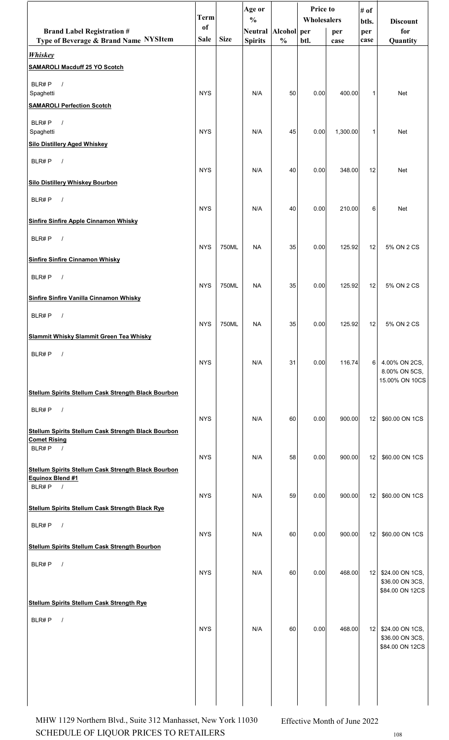|                                                                                                   | <b>Term</b> |             | Age or<br>$\frac{0}{0}$ |               | Price to<br>Wholesalers |          | # of         |                                                          |
|---------------------------------------------------------------------------------------------------|-------------|-------------|-------------------------|---------------|-------------------------|----------|--------------|----------------------------------------------------------|
| <b>Brand Label Registration #</b>                                                                 | of          |             | Neutral Alcohol per     |               |                         | per      | btls.<br>per | <b>Discount</b><br>for                                   |
| Type of Beverage & Brand Name NYSItem                                                             | Sale        | <b>Size</b> | <b>Spirits</b>          | $\frac{0}{0}$ | btl.                    | case     | case         | Quantity                                                 |
| <b>Whiskey</b><br><b>SAMAROLI Macduff 25 YO Scotch</b>                                            |             |             |                         |               |                         |          |              |                                                          |
| BLR#P<br>$\prime$<br>Spaghetti                                                                    | <b>NYS</b>  |             | N/A                     | 50            | 0.00                    | 400.00   | 1            | <b>Net</b>                                               |
| <b>SAMAROLI Perfection Scotch</b>                                                                 |             |             |                         |               |                         |          |              |                                                          |
| BLR#P<br>$\sqrt{ }$<br>Spaghetti                                                                  | <b>NYS</b>  |             | N/A                     | 45            | 0.00                    | 1,300.00 | 1            | Net                                                      |
| <b>Silo Distillery Aged Whiskey</b>                                                               |             |             |                         |               |                         |          |              |                                                          |
| BLR#P<br>$\sqrt{ }$                                                                               | <b>NYS</b>  |             | N/A                     | 40            | 0.00                    | 348.00   | 12           | <b>Net</b>                                               |
| <b>Silo Distillery Whiskey Bourbon</b>                                                            |             |             |                         |               |                         |          |              |                                                          |
| BLR#P<br>$\sqrt{2}$                                                                               | <b>NYS</b>  |             | N/A                     | 40            | 0.00                    | 210.00   | 6            | Net                                                      |
| <b>Sinfire Sinfire Apple Cinnamon Whisky</b>                                                      |             |             |                         |               |                         |          |              |                                                          |
| BLR#P<br>$\sqrt{ }$                                                                               | <b>NYS</b>  | 750ML       | <b>NA</b>               | 35            | 0.00                    | 125.92   | 12           | 5% ON 2 CS                                               |
| <b>Sinfire Sinfire Cinnamon Whisky</b>                                                            |             |             |                         |               |                         |          |              |                                                          |
| BLR#P<br>$\sqrt{ }$                                                                               | <b>NYS</b>  | 750ML       | <b>NA</b>               | 35            | 0.00                    | 125.92   | 12           | 5% ON 2 CS                                               |
| <b>Sinfire Sinfire Vanilla Cinnamon Whisky</b>                                                    |             |             |                         |               |                         |          |              |                                                          |
| BLR#P                                                                                             | <b>NYS</b>  | 750ML       | NA                      | 35            | 0.00                    | 125.92   | 12           | 5% ON 2 CS                                               |
| Slammit Whisky Slammit Green Tea Whisky                                                           |             |             |                         |               |                         |          |              |                                                          |
| BLR#P<br>$\sqrt{ }$                                                                               | <b>NYS</b>  |             | N/A                     | 31            | 0.00                    | 116.74   | 6            | 4.00% ON 2CS,<br>8.00% ON 5CS,<br>15.00% ON 10CS         |
| Stellum Spirits Stellum Cask Strength Black Bourbon                                               |             |             |                         |               |                         |          |              |                                                          |
| BLR#P<br>$\sqrt{ }$                                                                               | <b>NYS</b>  |             | N/A                     | 60            | 0.00                    | 900.00   | 12           | \$60.00 ON 1CS                                           |
| Stellum Spirits Stellum Cask Strength Black Bourbon<br><b>Comet Rising</b><br>BLR#P<br>$\sqrt{ }$ |             |             |                         |               |                         |          |              |                                                          |
|                                                                                                   | <b>NYS</b>  |             | N/A                     | 58            | 0.00                    | 900.00   | 12           | \$60.00 ON 1CS                                           |
| Stellum Spirits Stellum Cask Strength Black Bourbon<br>Equinox Blend #1<br>BLR#P<br>$\sqrt{ }$    |             |             |                         |               |                         |          |              |                                                          |
| <b>Stellum Spirits Stellum Cask Strength Black Rye</b>                                            | <b>NYS</b>  |             | N/A                     | 59            | 0.00                    | 900.00   | 12           | \$60.00 ON 1CS                                           |
| BLR#P<br>$\prime$                                                                                 |             |             |                         |               |                         |          |              |                                                          |
| <b>Stellum Spirits Stellum Cask Strength Bourbon</b>                                              | <b>NYS</b>  |             | N/A                     | 60            | 0.00                    | 900.00   | 12           | \$60.00 ON 1CS                                           |
| BLR#P<br>$\sqrt{ }$                                                                               |             |             |                         |               |                         |          |              |                                                          |
|                                                                                                   | <b>NYS</b>  |             | N/A                     | 60            | 0.00                    | 468.00   |              | 12 \$24.00 ON 1CS,<br>\$36.00 ON 3CS,<br>\$84.00 ON 12CS |
| <b>Stellum Spirits Stellum Cask Strength Rye</b>                                                  |             |             |                         |               |                         |          |              |                                                          |
| $\prime$<br>BLR#P                                                                                 | <b>NYS</b>  |             | N/A                     | 60            | 0.00                    | 468.00   | 12           | \$24.00 ON 1CS,<br>\$36.00 ON 3CS,<br>\$84.00 ON 12CS    |
|                                                                                                   |             |             |                         |               |                         |          |              |                                                          |
|                                                                                                   |             |             |                         |               |                         |          |              |                                                          |

 $\begin{minipage}{.4\linewidth} \textbf{SCHEDULE OF LIQUOR PRICES TO RETAILERS} \end{minipage}$ MHW 1129 Northern Blvd., Suite 312 Manhasset, New York 11030 Effective Month of June 2022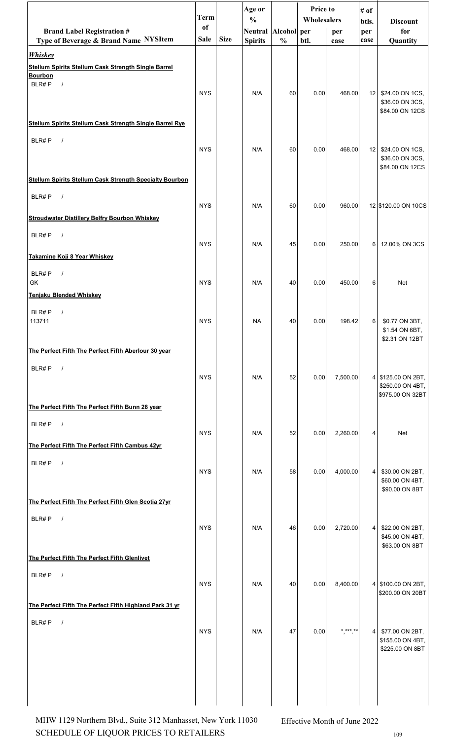|                                                                                                     | <b>Term</b>       |             | Age or<br>$\frac{0}{0}$ |               | <b>Price to</b><br>Wholesalers |               | # of<br>btls.   | <b>Discount</b>                                            |
|-----------------------------------------------------------------------------------------------------|-------------------|-------------|-------------------------|---------------|--------------------------------|---------------|-----------------|------------------------------------------------------------|
| <b>Brand Label Registration #</b>                                                                   | of<br><b>Sale</b> | <b>Size</b> | Neutral Alcohol per     |               |                                | per           | per             | for                                                        |
| Type of Beverage & Brand Name NYSItem<br><b>Whiskey</b>                                             |                   |             | <b>Spirits</b>          | $\frac{0}{0}$ | btl.                           | case          | case            | Quantity                                                   |
| <b>Stellum Spirits Stellum Cask Strength Single Barrel</b><br><b>Bourbon</b><br>$\sqrt{ }$<br>BLR#P | <b>NYS</b>        |             | N/A                     | 60            | 0.00                           | 468.00        | 12 <sub>1</sub> | \$24.00 ON 1CS,<br>\$36.00 ON 3CS,<br>\$84.00 ON 12CS      |
| <b>Stellum Spirits Stellum Cask Strength Single Barrel Rye</b>                                      |                   |             |                         |               |                                |               |                 |                                                            |
| BLR#P<br>$\sqrt{ }$<br><b>Stellum Spirits Stellum Cask Strength Specialty Bourbon</b>               | <b>NYS</b>        |             | N/A                     | 60            | 0.00                           | 468.00        | 12              | \$24.00 ON 1CS,<br>\$36.00 ON 3CS,<br>\$84.00 ON 12CS      |
|                                                                                                     |                   |             |                         |               |                                |               |                 |                                                            |
| BLR#P<br>$\sqrt{ }$                                                                                 | <b>NYS</b>        |             | N/A                     | 60            | 0.00                           | 960.00        |                 | 12 \$120.00 ON 10CS                                        |
| <b>Stroudwater Distillery Belfry Bourbon Whiskey</b>                                                |                   |             |                         |               |                                |               |                 |                                                            |
| BLR#P<br>$\sqrt{ }$                                                                                 | <b>NYS</b>        |             | N/A                     | 45            | 0.00                           | 250.00        | 6               | 12.00% ON 3CS                                              |
| Takamine Koji 8 Year Whiskey                                                                        |                   |             |                         |               |                                |               |                 |                                                            |
| BLR#P<br>$\sqrt{2}$<br>GK                                                                           | <b>NYS</b>        |             | N/A                     | 40            | 0.00                           | 450.00        | 6               | <b>Net</b>                                                 |
| <b>Tenjaku Blended Whiskey</b>                                                                      |                   |             |                         |               |                                |               |                 |                                                            |
| BLR#P<br>$\prime$<br>113711                                                                         | <b>NYS</b>        |             | <b>NA</b>               | 40            | 0.00                           | 198.42        | 6               | \$0.77 ON 3BT,<br>\$1.54 ON 6BT,<br>\$2.31 ON 12BT         |
| The Perfect Fifth The Perfect Fifth Aberlour 30 year                                                |                   |             |                         |               |                                |               |                 |                                                            |
| BLR#P<br>$\sqrt{ }$                                                                                 | <b>NYS</b>        |             | N/A                     | 52            | 0.00                           | 7,500.00      |                 | 4 \$125.00 ON 2BT,<br>\$250.00 ON 4BT,<br>\$975.00 ON 32BT |
| The Perfect Fifth The Perfect Fifth Bunn 28 year                                                    |                   |             |                         |               |                                |               |                 |                                                            |
| BLR#P<br>$\sqrt{ }$<br>The Perfect Fifth The Perfect Fifth Cambus 42yr                              | <b>NYS</b>        |             | N/A                     | 52            | 0.00                           | 2,260.00      | 4               | Net                                                        |
| BLR#P<br>$\sqrt{ }$                                                                                 |                   |             |                         |               |                                |               |                 |                                                            |
|                                                                                                     | <b>NYS</b>        |             | N/A                     | 58            | 0.00                           | 4,000.00      | 4               | \$30.00 ON 2BT,<br>\$60.00 ON 4BT,<br>\$90.00 ON 8BT       |
| The Perfect Fifth The Perfect Fifth Glen Scotia 27yr                                                |                   |             |                         |               |                                |               |                 |                                                            |
| $\sqrt{ }$<br>BLR#P                                                                                 | <b>NYS</b>        |             | N/A                     | 46            | 0.00                           | 2,720.00      | 4               | \$22.00 ON 2BT,<br>\$45.00 ON 4BT,<br>\$63.00 ON 8BT       |
| The Perfect Fifth The Perfect Fifth Glenlivet                                                       |                   |             |                         |               |                                |               |                 |                                                            |
| BLR#P<br>$\sqrt{ }$                                                                                 | <b>NYS</b>        |             | N/A                     | 40            | 0.00                           | 8,400.00      |                 | 4 \$100.00 ON 2BT,<br>\$200.00 ON 20BT                     |
| The Perfect Fifth The Perfect Fifth Highland Park 31 yr                                             |                   |             |                         |               |                                |               |                 |                                                            |
| BLR#P<br>$\sqrt{ }$                                                                                 | <b>NYS</b>        |             | N/A                     | 47            | 0.00                           | * *** **<br>, | $\vert 4 \vert$ | \$77.00 ON 2BT,<br>\$155.00 ON 4BT,<br>\$225.00 ON 8BT     |
|                                                                                                     |                   |             |                         |               |                                |               |                 |                                                            |

 $\begin{minipage}{.4\linewidth} \textbf{SCHEDULE OF LIQUOR PRICES TO RETAILERS} \end{minipage}$ MHW 1129 Northern Blvd., Suite 312 Manhasset, New York 11030 Effective Month of June 2022